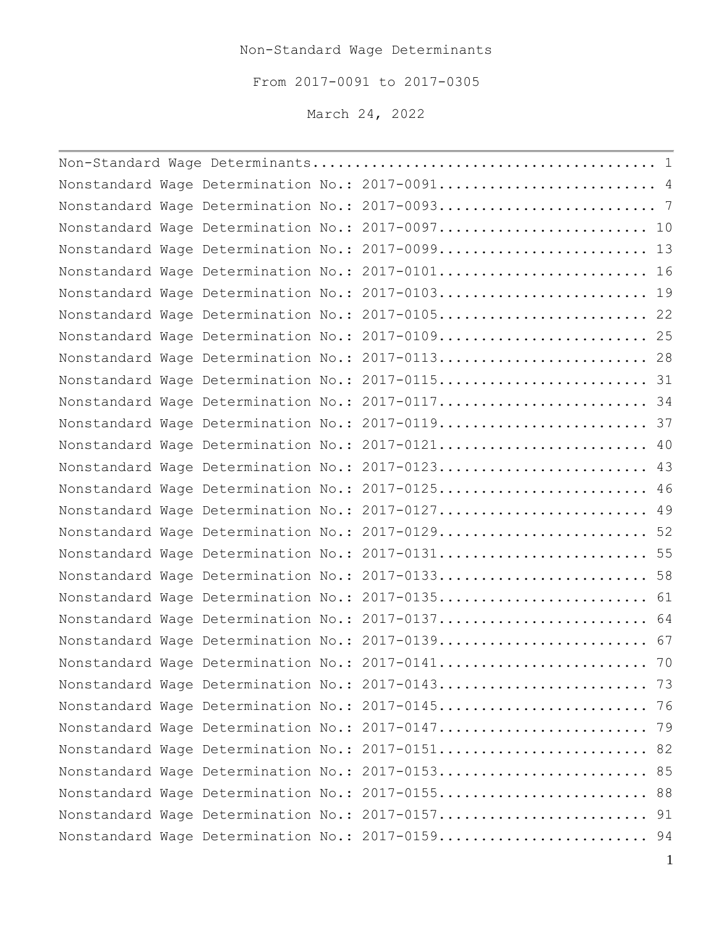## Non-Standard Wage Determinants

From 2017-0091 to 2017-0305

March 24, 2022

<span id="page-0-0"></span>

|  |  | Nonstandard Wage Determination No.: 2017-0091 4  |  |
|--|--|--------------------------------------------------|--|
|  |  |                                                  |  |
|  |  | Nonstandard Wage Determination No.: 2017-0097 10 |  |
|  |  | Nonstandard Wage Determination No.: 2017-0099 13 |  |
|  |  | Nonstandard Wage Determination No.: 2017-0101 16 |  |
|  |  | Nonstandard Wage Determination No.: 2017-0103 19 |  |
|  |  | Nonstandard Wage Determination No.: 2017-0105 22 |  |
|  |  | Nonstandard Wage Determination No.: 2017-0109 25 |  |
|  |  | Nonstandard Wage Determination No.: 2017-0113 28 |  |
|  |  | Nonstandard Wage Determination No.: 2017-0115 31 |  |
|  |  | Nonstandard Wage Determination No.: 2017-0117 34 |  |
|  |  | Nonstandard Wage Determination No.: 2017-0119 37 |  |
|  |  | Nonstandard Wage Determination No.: 2017-0121 40 |  |
|  |  | Nonstandard Wage Determination No.: 2017-0123 43 |  |
|  |  | Nonstandard Wage Determination No.: 2017-0125 46 |  |
|  |  | Nonstandard Wage Determination No.: 2017-0127 49 |  |
|  |  | Nonstandard Wage Determination No.: 2017-0129 52 |  |
|  |  | Nonstandard Wage Determination No.: 2017-0131 55 |  |
|  |  | Nonstandard Wage Determination No.: 2017-0133 58 |  |
|  |  | Nonstandard Wage Determination No.: 2017-0135 61 |  |
|  |  | Nonstandard Wage Determination No.: 2017-0137 64 |  |
|  |  | Nonstandard Wage Determination No.: 2017-0139 67 |  |
|  |  | Nonstandard Wage Determination No.: 2017-0141 70 |  |
|  |  | Nonstandard Wage Determination No.: 2017-0143 73 |  |
|  |  | Nonstandard Wage Determination No.: 2017-0145 76 |  |
|  |  | Nonstandard Wage Determination No.: 2017-0147 79 |  |
|  |  | Nonstandard Wage Determination No.: 2017-0151 82 |  |
|  |  | Nonstandard Wage Determination No.: 2017-0153 85 |  |
|  |  | Nonstandard Wage Determination No.: 2017-0155 88 |  |
|  |  | Nonstandard Wage Determination No.: 2017-0157 91 |  |
|  |  | Nonstandard Wage Determination No.: 2017-0159 94 |  |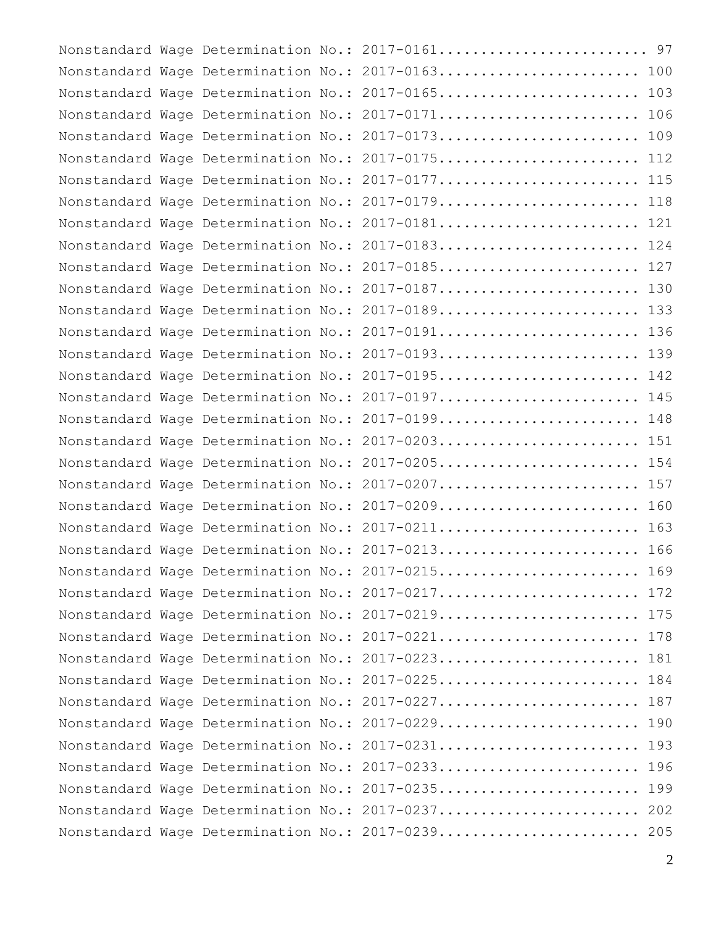|  |  | Nonstandard Wage Determination No.: 2017-0161 97  |  |
|--|--|---------------------------------------------------|--|
|  |  | Nonstandard Wage Determination No.: 2017-0163 100 |  |
|  |  | Nonstandard Wage Determination No.: 2017-0165 103 |  |
|  |  | Nonstandard Wage Determination No.: 2017-0171 106 |  |
|  |  | Nonstandard Wage Determination No.: 2017-0173 109 |  |
|  |  | Nonstandard Wage Determination No.: 2017-0175 112 |  |
|  |  | Nonstandard Wage Determination No.: 2017-0177 115 |  |
|  |  | Nonstandard Wage Determination No.: 2017-0179 118 |  |
|  |  | Nonstandard Wage Determination No.: 2017-0181 121 |  |
|  |  | Nonstandard Wage Determination No.: 2017-0183 124 |  |
|  |  | Nonstandard Wage Determination No.: 2017-0185 127 |  |
|  |  | Nonstandard Wage Determination No.: 2017-0187 130 |  |
|  |  | Nonstandard Wage Determination No.: 2017-0189 133 |  |
|  |  | Nonstandard Wage Determination No.: 2017-0191 136 |  |
|  |  | Nonstandard Wage Determination No.: 2017-0193 139 |  |
|  |  | Nonstandard Wage Determination No.: 2017-0195 142 |  |
|  |  | Nonstandard Wage Determination No.: 2017-0197 145 |  |
|  |  | Nonstandard Wage Determination No.: 2017-0199 148 |  |
|  |  | Nonstandard Wage Determination No.: 2017-0203 151 |  |
|  |  | Nonstandard Wage Determination No.: 2017-0205 154 |  |
|  |  | Nonstandard Wage Determination No.: 2017-0207 157 |  |
|  |  | Nonstandard Wage Determination No.: 2017-0209 160 |  |
|  |  | Nonstandard Wage Determination No.: 2017-0211 163 |  |
|  |  | Nonstandard Wage Determination No.: 2017-0213 166 |  |
|  |  | Nonstandard Wage Determination No.: 2017-0215 169 |  |
|  |  | Nonstandard Wage Determination No.: 2017-0217 172 |  |
|  |  | Nonstandard Wage Determination No.: 2017-0219 175 |  |
|  |  | Nonstandard Wage Determination No.: 2017-0221 178 |  |
|  |  | Nonstandard Wage Determination No.: 2017-0223 181 |  |
|  |  | Nonstandard Wage Determination No.: 2017-0225 184 |  |
|  |  | Nonstandard Wage Determination No.: 2017-0227 187 |  |
|  |  | Nonstandard Wage Determination No.: 2017-0229 190 |  |
|  |  | Nonstandard Wage Determination No.: 2017-0231 193 |  |
|  |  | Nonstandard Wage Determination No.: 2017-0233 196 |  |
|  |  | Nonstandard Wage Determination No.: 2017-0235 199 |  |
|  |  | Nonstandard Wage Determination No.: 2017-0237 202 |  |
|  |  | Nonstandard Wage Determination No.: 2017-0239 205 |  |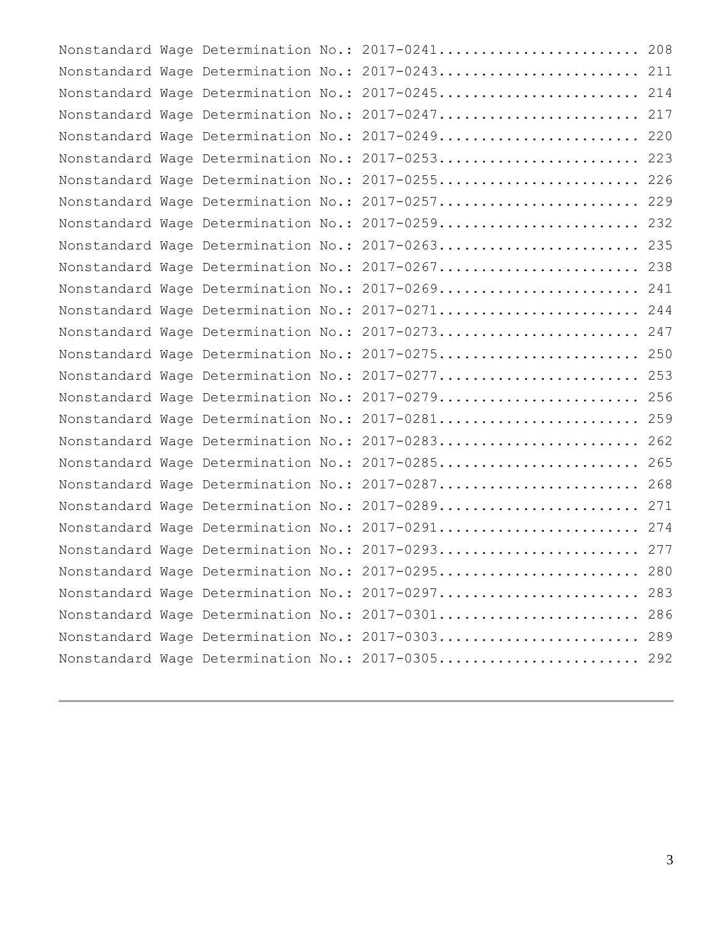|  |  | Nonstandard Wage Determination No.: 2017-0241 208 |  |
|--|--|---------------------------------------------------|--|
|  |  | Nonstandard Wage Determination No.: 2017-0243 211 |  |
|  |  | Nonstandard Wage Determination No.: 2017-0245 214 |  |
|  |  | Nonstandard Wage Determination No.: 2017-0247 217 |  |
|  |  | Nonstandard Wage Determination No.: 2017-0249 220 |  |
|  |  | Nonstandard Wage Determination No.: 2017-0253 223 |  |
|  |  | Nonstandard Wage Determination No.: 2017-0255 226 |  |
|  |  | Nonstandard Wage Determination No.: 2017-0257 229 |  |
|  |  | Nonstandard Wage Determination No.: 2017-0259 232 |  |
|  |  | Nonstandard Wage Determination No.: 2017-0263 235 |  |
|  |  | Nonstandard Wage Determination No.: 2017-0267 238 |  |
|  |  | Nonstandard Wage Determination No.: 2017-0269 241 |  |
|  |  | Nonstandard Wage Determination No.: 2017-0271 244 |  |
|  |  | Nonstandard Wage Determination No.: 2017-0273 247 |  |
|  |  | Nonstandard Wage Determination No.: 2017-0275 250 |  |
|  |  | Nonstandard Wage Determination No.: 2017-0277 253 |  |
|  |  | Nonstandard Wage Determination No.: 2017-0279 256 |  |
|  |  | Nonstandard Wage Determination No.: 2017-0281 259 |  |
|  |  | Nonstandard Wage Determination No.: 2017-0283 262 |  |
|  |  | Nonstandard Wage Determination No.: 2017-0285 265 |  |
|  |  | Nonstandard Wage Determination No.: 2017-0287 268 |  |
|  |  | Nonstandard Wage Determination No.: 2017-0289 271 |  |
|  |  | Nonstandard Wage Determination No.: 2017-0291 274 |  |
|  |  | Nonstandard Wage Determination No.: 2017-0293 277 |  |
|  |  | Nonstandard Wage Determination No.: 2017-0295 280 |  |
|  |  | Nonstandard Wage Determination No.: 2017-0297 283 |  |
|  |  | Nonstandard Wage Determination No.: 2017-0301 286 |  |
|  |  | Nonstandard Wage Determination No.: 2017-0303 289 |  |
|  |  | Nonstandard Wage Determination No.: 2017-0305 292 |  |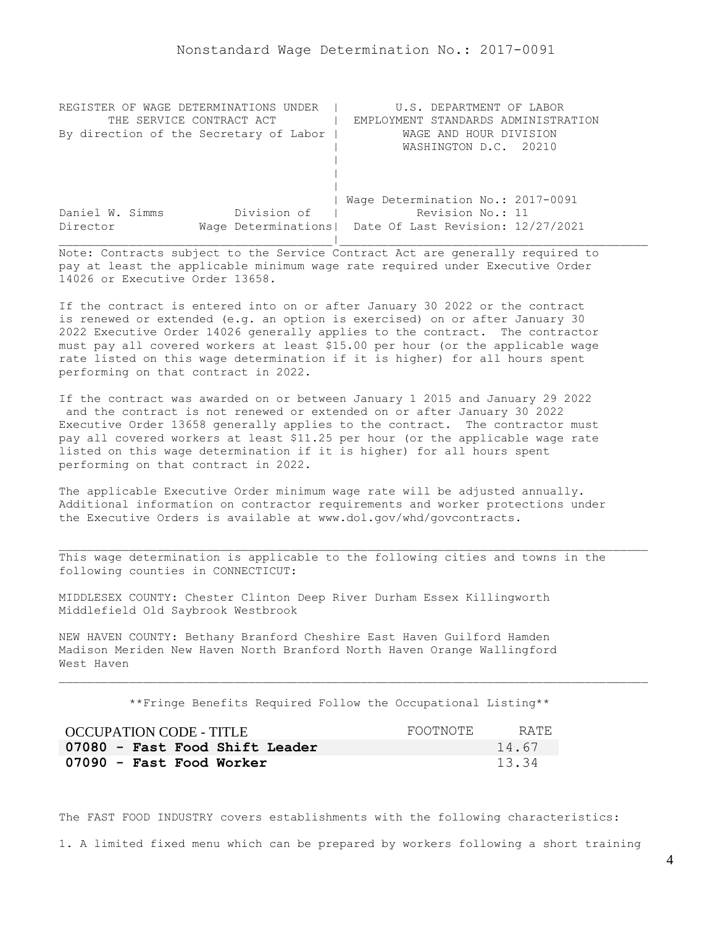<span id="page-3-0"></span>

| REGISTER OF WAGE DETERMINATIONS UNDER  | U.S. DEPARTMENT OF LABOR                                |
|----------------------------------------|---------------------------------------------------------|
| THE SERVICE CONTRACT ACT               | EMPLOYMENT STANDARDS ADMINISTRATION                     |
| By direction of the Secretary of Labor | WAGE AND HOUR DIVISION                                  |
|                                        | WASHINGTON D.C. 20210                                   |
|                                        |                                                         |
|                                        |                                                         |
|                                        |                                                         |
|                                        | Wage Determination No.: 2017-0091                       |
| Division of<br>Daniel W. Simms         | Revision No.: 11                                        |
| Director                               | Wage Determinations   Date Of Last Revision: 12/27/2021 |
|                                        |                                                         |

If the contract is entered into on or after January 30 2022 or the contract is renewed or extended (e.g. an option is exercised) on or after January 30 2022 Executive Order 14026 generally applies to the contract. The contractor must pay all covered workers at least \$15.00 per hour (or the applicable wage rate listed on this wage determination if it is higher) for all hours spent performing on that contract in 2022.

If the contract was awarded on or between January 1 2015 and January 29 2022 and the contract is not renewed or extended on or after January 30 2022 Executive Order 13658 generally applies to the contract. The contractor must pay all covered workers at least \$11.25 per hour (or the applicable wage rate listed on this wage determination if it is higher) for all hours spent performing on that contract in 2022.

The applicable Executive Order minimum wage rate will be adjusted annually. Additional information on contractor requirements and worker protections under the Executive Orders is available at www.dol.gov/whd/govcontracts.

MIDDLESEX COUNTY: Chester Clinton Deep River Durham Essex Killingworth Middlefield Old Saybrook Westbrook

NEW HAVEN COUNTY: Bethany Branford Cheshire East Haven Guilford Hamden Madison Meriden New Haven North Branford North Haven Orange Wallingford West Haven

\*\*Fringe Benefits Required Follow the Occupational Listing\*\*

| OCCUPATION CODE - TITLE        | FOOTNOTE | RATE. |
|--------------------------------|----------|-------|
| 07080 - Fast Food Shift Leader |          | 14.67 |
| 07090 - Fast Food Worker       |          | 13.34 |

The FAST FOOD INDUSTRY covers establishments with the following characteristics:

1. A limited fixed menu which can be prepared by workers following a short training

This wage determination is applicable to the following cities and towns in the following counties in CONNECTICUT: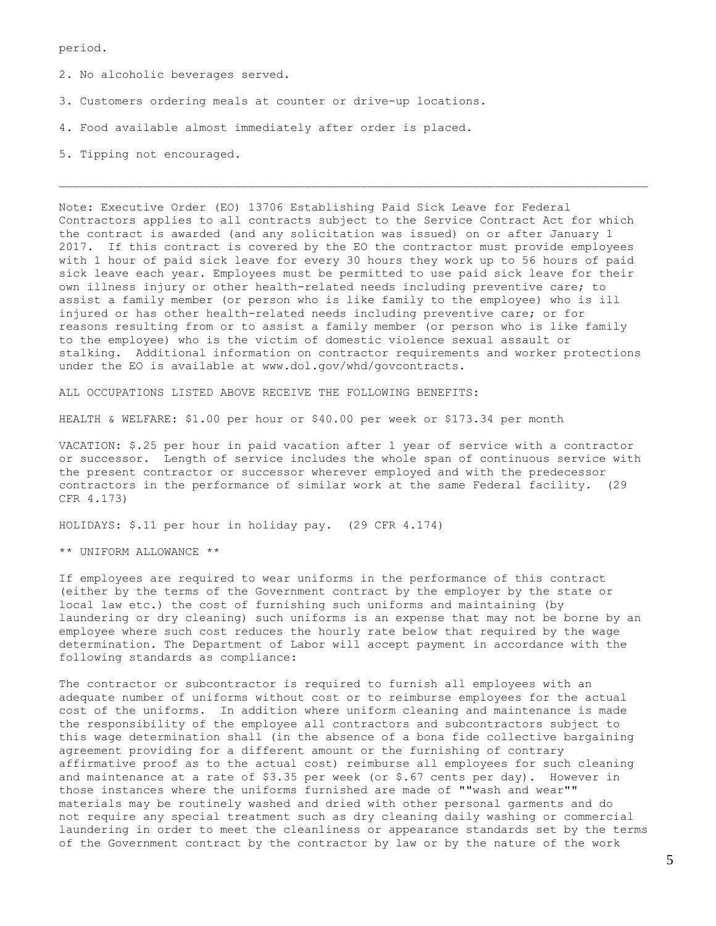period.

2. No alcoholic beverages served.

- 3. Customers ordering meals at counter or drive-up locations.
- 4. Food available almost immediately after order is placed.
- 5. Tipping not encouraged.

Note: Executive Order (EO) 13706 Establishing Paid Sick Leave for Federal Contractors applies to all contracts subject to the Service Contract Act for which the contract is awarded (and any solicitation was issued) on or after January 1 2017. If this contract is covered by the EO the contractor must provide employees with 1 hour of paid sick leave for every 30 hours they work up to 56 hours of paid sick leave each year. Employees must be permitted to use paid sick leave for their own illness injury or other health-related needs including preventive care; to assist a family member (or person who is like family to the employee) who is ill injured or has other health-related needs including preventive care; or for reasons resulting from or to assist a family member (or person who is like family to the employee) who is the victim of domestic violence sexual assault or stalking. Additional information on contractor requirements and worker protections under the EO is available at www.dol.gov/whd/govcontracts.

ALL OCCUPATIONS LISTED ABOVE RECEIVE THE FOLLOWING BENEFITS:

HEALTH & WELFARE: \$1.00 per hour or \$40.00 per week or \$173.34 per month

VACATION: \$.25 per hour in paid vacation after 1 year of service with a contractor or successor. Length of service includes the whole span of continuous service with the present contractor or successor wherever employed and with the predecessor contractors in the performance of similar work at the same Federal facility. (29 CFR 4.173)

HOLIDAYS: \$.11 per hour in holiday pay. (29 CFR 4.174)

\*\* UNIFORM ALLOWANCE \*\*

If employees are required to wear uniforms in the performance of this contract (either by the terms of the Government contract by the employer by the state or local law etc.) the cost of furnishing such uniforms and maintaining (by laundering or dry cleaning) such uniforms is an expense that may not be borne by an employee where such cost reduces the hourly rate below that required by the wage determination. The Department of Labor will accept payment in accordance with the following standards as compliance:

The contractor or subcontractor is required to furnish all employees with an adequate number of uniforms without cost or to reimburse employees for the actual cost of the uniforms. In addition where uniform cleaning and maintenance is made the responsibility of the employee all contractors and subcontractors subject to this wage determination shall (in the absence of a bona fide collective bargaining agreement providing for a different amount or the furnishing of contrary affirmative proof as to the actual cost) reimburse all employees for such cleaning and maintenance at a rate of \$3.35 per week (or \$.67 cents per day). However in those instances where the uniforms furnished are made of ""wash and wear"" materials may be routinely washed and dried with other personal garments and do not require any special treatment such as dry cleaning daily washing or commercial laundering in order to meet the cleanliness or appearance standards set by the terms of the Government contract by the contractor by law or by the nature of the work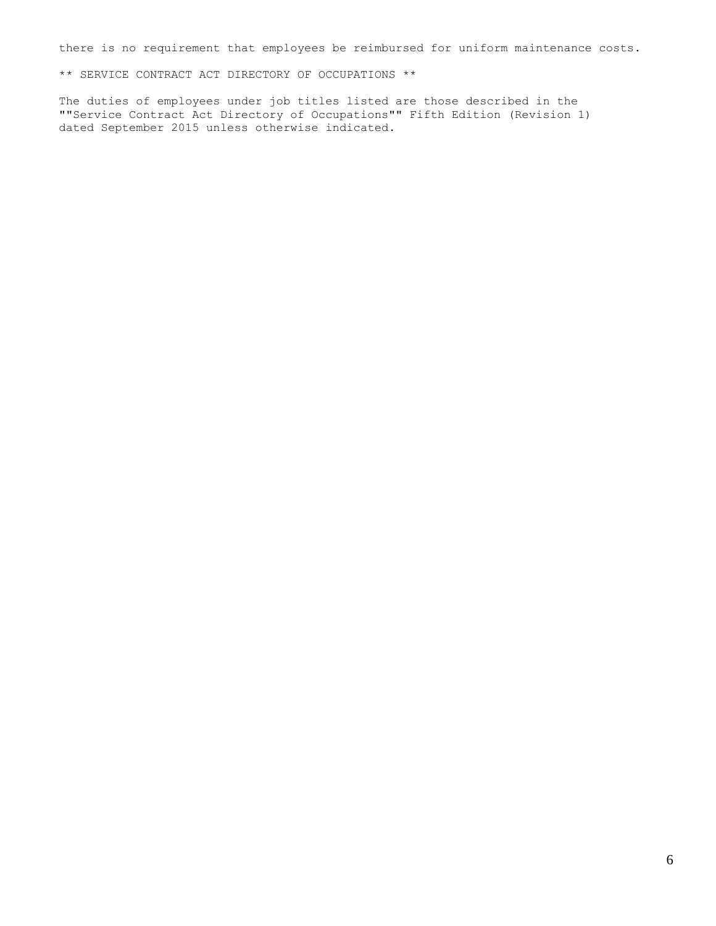there is no requirement that employees be reimbursed for uniform maintenance costs.

\*\* SERVICE CONTRACT ACT DIRECTORY OF OCCUPATIONS \*\*

The duties of employees under job titles listed are those described in the ""Service Contract Act Directory of Occupations"" Fifth Edition (Revision 1) dated September 2015 unless otherwise indicated.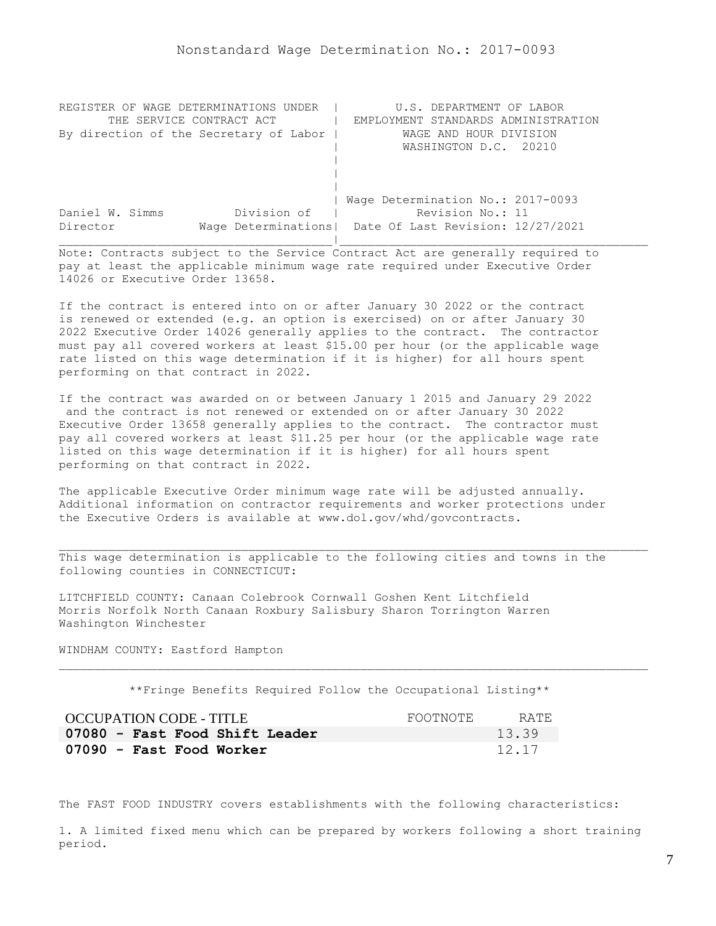<span id="page-6-0"></span>

| REGISTER OF WAGE DETERMINATIONS UNDER  | U.S. DEPARTMENT OF LABOR                                |
|----------------------------------------|---------------------------------------------------------|
| THE SERVICE CONTRACT ACT               | EMPLOYMENT STANDARDS ADMINISTRATION                     |
| By direction of the Secretary of Labor | WAGE AND HOUR DIVISION                                  |
|                                        | WASHINGTON D.C. 20210                                   |
|                                        |                                                         |
|                                        |                                                         |
|                                        |                                                         |
|                                        | Wage Determination No.: 2017-0093                       |
| Division of<br>Daniel W. Simms         | Revision No.: 11                                        |
| Director                               | Wage Determinations   Date Of Last Revision: 12/27/2021 |
|                                        |                                                         |

If the contract is entered into on or after January 30 2022 or the contract is renewed or extended (e.g. an option is exercised) on or after January 30 2022 Executive Order 14026 generally applies to the contract. The contractor must pay all covered workers at least \$15.00 per hour (or the applicable wage rate listed on this wage determination if it is higher) for all hours spent performing on that contract in 2022.

If the contract was awarded on or between January 1 2015 and January 29 2022 and the contract is not renewed or extended on or after January 30 2022 Executive Order 13658 generally applies to the contract. The contractor must pay all covered workers at least \$11.25 per hour (or the applicable wage rate listed on this wage determination if it is higher) for all hours spent performing on that contract in 2022.

The applicable Executive Order minimum wage rate will be adjusted annually. Additional information on contractor requirements and worker protections under the Executive Orders is available at www.dol.gov/whd/govcontracts.

This wage determination is applicable to the following cities and towns in the following counties in CONNECTICUT:

LITCHFIELD COUNTY: Canaan Colebrook Cornwall Goshen Kent Litchfield Morris Norfolk North Canaan Roxbury Salisbury Sharon Torrington Warren Washington Winchester

WINDHAM COUNTY: Eastford Hampton

\*\*Fringe Benefits Required Follow the Occupational Listing\*\*

| OCCUPATION CODE - TITLE        | FOOTNOTE | RATE  |
|--------------------------------|----------|-------|
| 07080 - Fast Food Shift Leader |          | 13.39 |
| 07090 - Fast Food Worker       |          | 12.17 |

The FAST FOOD INDUSTRY covers establishments with the following characteristics:

1. A limited fixed menu which can be prepared by workers following a short training period.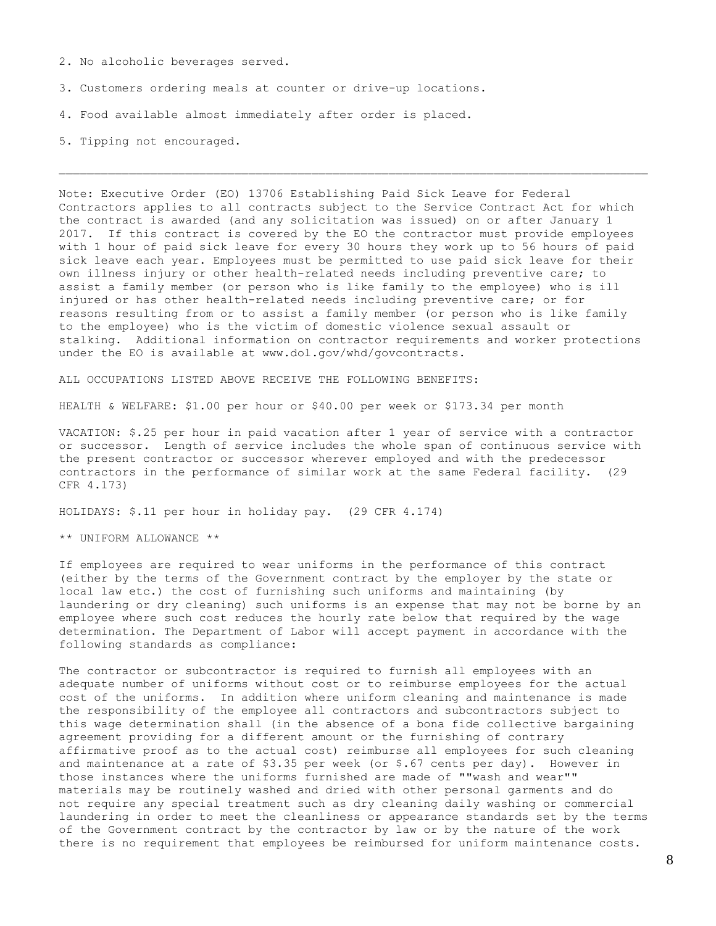- 2. No alcoholic beverages served.
- 3. Customers ordering meals at counter or drive-up locations.
- 4. Food available almost immediately after order is placed.
- 5. Tipping not encouraged.

Note: Executive Order (EO) 13706 Establishing Paid Sick Leave for Federal Contractors applies to all contracts subject to the Service Contract Act for which the contract is awarded (and any solicitation was issued) on or after January 1 2017. If this contract is covered by the EO the contractor must provide employees with 1 hour of paid sick leave for every 30 hours they work up to 56 hours of paid sick leave each year. Employees must be permitted to use paid sick leave for their own illness injury or other health-related needs including preventive care; to assist a family member (or person who is like family to the employee) who is ill injured or has other health-related needs including preventive care; or for reasons resulting from or to assist a family member (or person who is like family to the employee) who is the victim of domestic violence sexual assault or stalking. Additional information on contractor requirements and worker protections under the EO is available at www.dol.gov/whd/govcontracts.

ALL OCCUPATIONS LISTED ABOVE RECEIVE THE FOLLOWING BENEFITS:

HEALTH & WELFARE: \$1.00 per hour or \$40.00 per week or \$173.34 per month

VACATION: \$.25 per hour in paid vacation after 1 year of service with a contractor or successor. Length of service includes the whole span of continuous service with the present contractor or successor wherever employed and with the predecessor contractors in the performance of similar work at the same Federal facility. (29 CFR 4.173)

HOLIDAYS: \$.11 per hour in holiday pay. (29 CFR 4.174)

\*\* UNIFORM ALLOWANCE \*\*

If employees are required to wear uniforms in the performance of this contract (either by the terms of the Government contract by the employer by the state or local law etc.) the cost of furnishing such uniforms and maintaining (by laundering or dry cleaning) such uniforms is an expense that may not be borne by an employee where such cost reduces the hourly rate below that required by the wage determination. The Department of Labor will accept payment in accordance with the following standards as compliance:

The contractor or subcontractor is required to furnish all employees with an adequate number of uniforms without cost or to reimburse employees for the actual cost of the uniforms. In addition where uniform cleaning and maintenance is made the responsibility of the employee all contractors and subcontractors subject to this wage determination shall (in the absence of a bona fide collective bargaining agreement providing for a different amount or the furnishing of contrary affirmative proof as to the actual cost) reimburse all employees for such cleaning and maintenance at a rate of \$3.35 per week (or \$.67 cents per day). However in those instances where the uniforms furnished are made of ""wash and wear"" materials may be routinely washed and dried with other personal garments and do not require any special treatment such as dry cleaning daily washing or commercial laundering in order to meet the cleanliness or appearance standards set by the terms of the Government contract by the contractor by law or by the nature of the work there is no requirement that employees be reimbursed for uniform maintenance costs.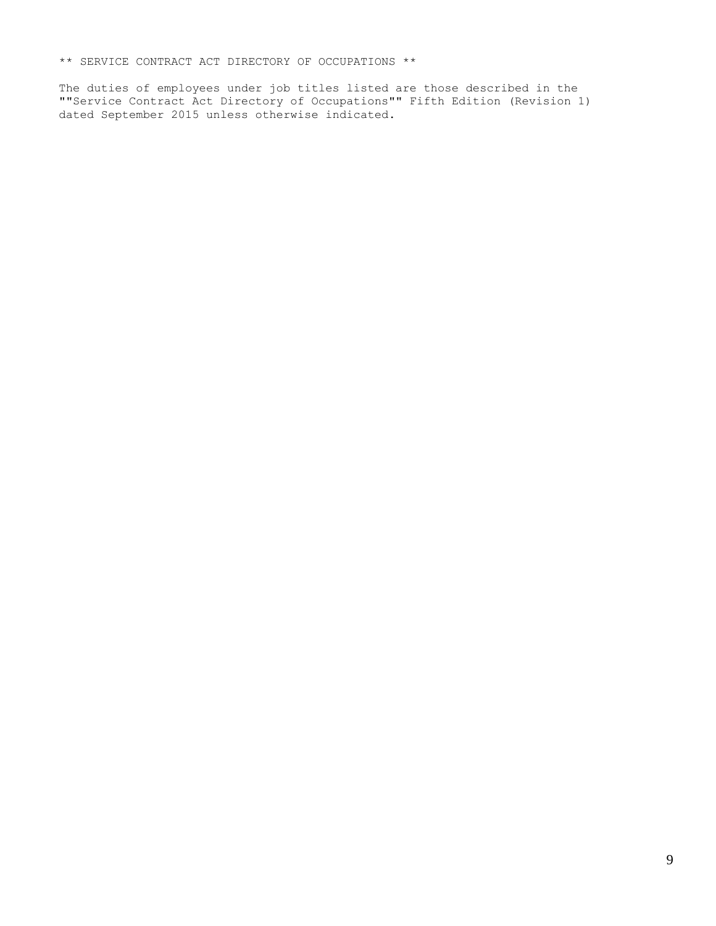\*\* SERVICE CONTRACT ACT DIRECTORY OF OCCUPATIONS \*\*

The duties of employees under job titles listed are those described in the ""Service Contract Act Directory of Occupations"" Fifth Edition (Revision 1) dated September 2015 unless otherwise indicated.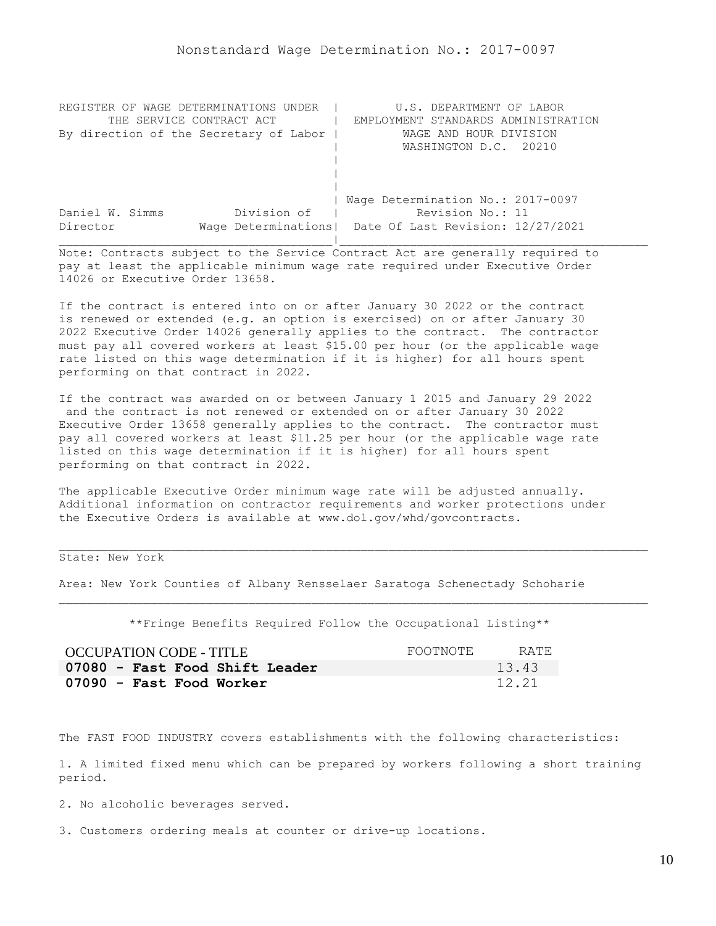<span id="page-9-0"></span>

| REGISTER OF WAGE DETERMINATIONS UNDER  | U.S. DEPARTMENT OF LABOR                                |
|----------------------------------------|---------------------------------------------------------|
| THE SERVICE CONTRACT ACT               | EMPLOYMENT STANDARDS ADMINISTRATION                     |
| By direction of the Secretary of Labor | WAGE AND HOUR DIVISION                                  |
|                                        | WASHINGTON D.C. 20210                                   |
|                                        |                                                         |
|                                        |                                                         |
|                                        |                                                         |
|                                        | Wage Determination No.: 2017-0097                       |
| Division of<br>Daniel W. Simms         | Revision No.: 11                                        |
| Director                               | Wage Determinations   Date Of Last Revision: 12/27/2021 |
|                                        |                                                         |

If the contract is entered into on or after January 30 2022 or the contract is renewed or extended (e.g. an option is exercised) on or after January 30 2022 Executive Order 14026 generally applies to the contract. The contractor must pay all covered workers at least \$15.00 per hour (or the applicable wage rate listed on this wage determination if it is higher) for all hours spent performing on that contract in 2022.

If the contract was awarded on or between January 1 2015 and January 29 2022 and the contract is not renewed or extended on or after January 30 2022 Executive Order 13658 generally applies to the contract. The contractor must pay all covered workers at least \$11.25 per hour (or the applicable wage rate listed on this wage determination if it is higher) for all hours spent performing on that contract in 2022.

The applicable Executive Order minimum wage rate will be adjusted annually. Additional information on contractor requirements and worker protections under the Executive Orders is available at www.dol.gov/whd/govcontracts.

State: New York

Area: New York Counties of Albany Rensselaer Saratoga Schenectady Schoharie

\*\*Fringe Benefits Required Follow the Occupational Listing\*\*

| OCCUPATION CODE - TITLE        | FOOTNOTE | RATE. |
|--------------------------------|----------|-------|
| 07080 - Fast Food Shift Leader |          | 13.43 |
| 07090 - Fast Food Worker       |          | 12.21 |

The FAST FOOD INDUSTRY covers establishments with the following characteristics:

1. A limited fixed menu which can be prepared by workers following a short training period.

2. No alcoholic beverages served.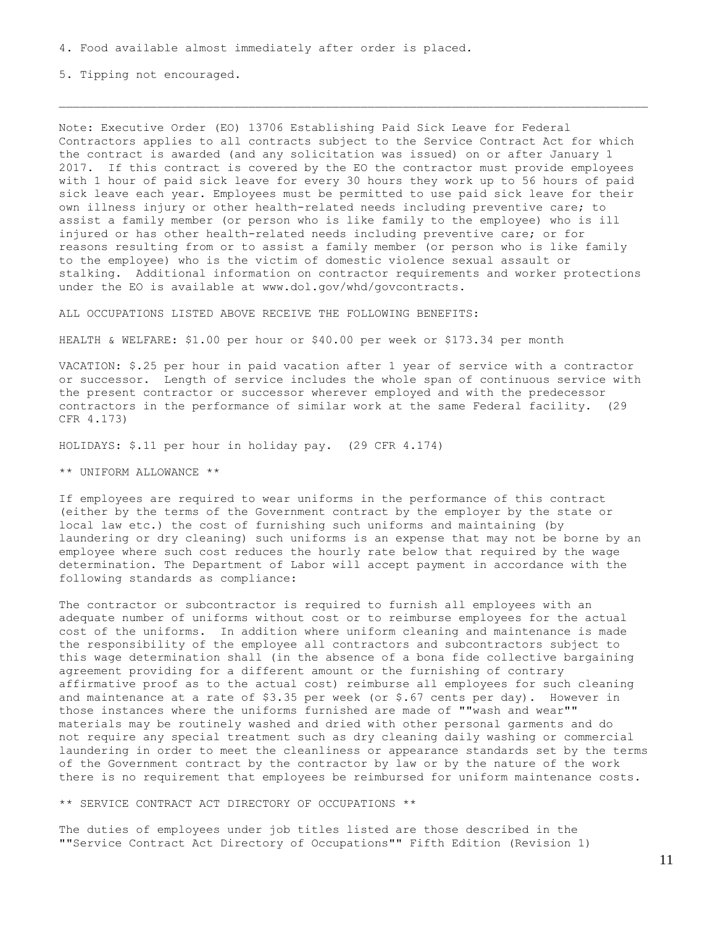5. Tipping not encouraged.

Note: Executive Order (EO) 13706 Establishing Paid Sick Leave for Federal Contractors applies to all contracts subject to the Service Contract Act for which the contract is awarded (and any solicitation was issued) on or after January 1 2017. If this contract is covered by the EO the contractor must provide employees with 1 hour of paid sick leave for every 30 hours they work up to 56 hours of paid sick leave each year. Employees must be permitted to use paid sick leave for their own illness injury or other health-related needs including preventive care; to assist a family member (or person who is like family to the employee) who is ill injured or has other health-related needs including preventive care; or for reasons resulting from or to assist a family member (or person who is like family to the employee) who is the victim of domestic violence sexual assault or stalking. Additional information on contractor requirements and worker protections under the EO is available at www.dol.gov/whd/govcontracts.

ALL OCCUPATIONS LISTED ABOVE RECEIVE THE FOLLOWING BENEFITS:

HEALTH & WELFARE: \$1.00 per hour or \$40.00 per week or \$173.34 per month

VACATION: \$.25 per hour in paid vacation after 1 year of service with a contractor or successor. Length of service includes the whole span of continuous service with the present contractor or successor wherever employed and with the predecessor contractors in the performance of similar work at the same Federal facility. (29 CFR 4.173)

HOLIDAYS: \$.11 per hour in holiday pay. (29 CFR 4.174)

\*\* UNIFORM ALLOWANCE \*\*

If employees are required to wear uniforms in the performance of this contract (either by the terms of the Government contract by the employer by the state or local law etc.) the cost of furnishing such uniforms and maintaining (by laundering or dry cleaning) such uniforms is an expense that may not be borne by an employee where such cost reduces the hourly rate below that required by the wage determination. The Department of Labor will accept payment in accordance with the following standards as compliance:

The contractor or subcontractor is required to furnish all employees with an adequate number of uniforms without cost or to reimburse employees for the actual cost of the uniforms. In addition where uniform cleaning and maintenance is made the responsibility of the employee all contractors and subcontractors subject to this wage determination shall (in the absence of a bona fide collective bargaining agreement providing for a different amount or the furnishing of contrary affirmative proof as to the actual cost) reimburse all employees for such cleaning and maintenance at a rate of  $$3.35$  per week (or  $$.67$  cents per day). However in those instances where the uniforms furnished are made of ""wash and wear"" materials may be routinely washed and dried with other personal garments and do not require any special treatment such as dry cleaning daily washing or commercial laundering in order to meet the cleanliness or appearance standards set by the terms of the Government contract by the contractor by law or by the nature of the work there is no requirement that employees be reimbursed for uniform maintenance costs.

\*\* SERVICE CONTRACT ACT DIRECTORY OF OCCUPATIONS \*\*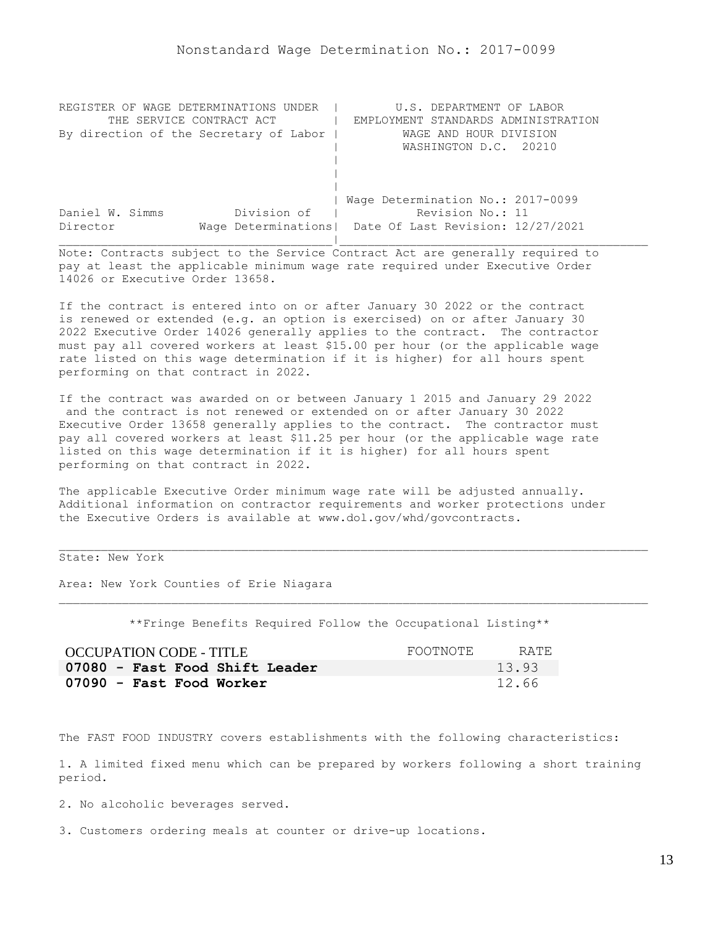<span id="page-12-0"></span>

| REGISTER OF WAGE DETERMINATIONS UNDER  | U.S. DEPARTMENT OF LABOR                                |
|----------------------------------------|---------------------------------------------------------|
| THE SERVICE CONTRACT ACT               | EMPLOYMENT STANDARDS ADMINISTRATION                     |
| By direction of the Secretary of Labor | WAGE AND HOUR DIVISION                                  |
|                                        | WASHINGTON D.C. 20210                                   |
|                                        |                                                         |
|                                        |                                                         |
|                                        |                                                         |
|                                        | Wage Determination No.: 2017-0099                       |
| Division of<br>Daniel W. Simms         | Revision No.: 11                                        |
| Director                               | Wage Determinations   Date Of Last Revision: 12/27/2021 |
|                                        |                                                         |

If the contract is entered into on or after January 30 2022 or the contract is renewed or extended (e.g. an option is exercised) on or after January 30 2022 Executive Order 14026 generally applies to the contract. The contractor must pay all covered workers at least \$15.00 per hour (or the applicable wage rate listed on this wage determination if it is higher) for all hours spent performing on that contract in 2022.

If the contract was awarded on or between January 1 2015 and January 29 2022 and the contract is not renewed or extended on or after January 30 2022 Executive Order 13658 generally applies to the contract. The contractor must pay all covered workers at least \$11.25 per hour (or the applicable wage rate listed on this wage determination if it is higher) for all hours spent performing on that contract in 2022.

The applicable Executive Order minimum wage rate will be adjusted annually. Additional information on contractor requirements and worker protections under the Executive Orders is available at www.dol.gov/whd/govcontracts.

State: New York

Area: New York Counties of Erie Niagara

\*\*Fringe Benefits Required Follow the Occupational Listing\*\*

| <b>OCCUPATION CODE - TITLE</b> | FOOTNOTE | RATE. |
|--------------------------------|----------|-------|
| 07080 - Fast Food Shift Leader |          | 13.93 |
| 07090 - Fast Food Worker       |          | 12.66 |

The FAST FOOD INDUSTRY covers establishments with the following characteristics:

1. A limited fixed menu which can be prepared by workers following a short training period.

2. No alcoholic beverages served.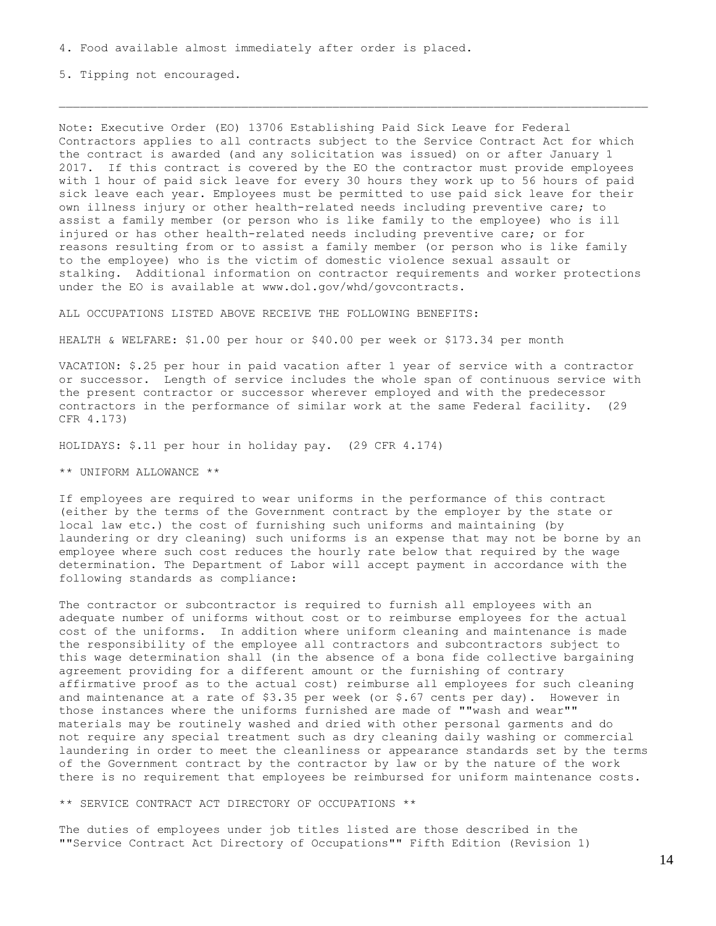5. Tipping not encouraged.

Note: Executive Order (EO) 13706 Establishing Paid Sick Leave for Federal Contractors applies to all contracts subject to the Service Contract Act for which the contract is awarded (and any solicitation was issued) on or after January 1 2017. If this contract is covered by the EO the contractor must provide employees with 1 hour of paid sick leave for every 30 hours they work up to 56 hours of paid sick leave each year. Employees must be permitted to use paid sick leave for their own illness injury or other health-related needs including preventive care; to assist a family member (or person who is like family to the employee) who is ill injured or has other health-related needs including preventive care; or for reasons resulting from or to assist a family member (or person who is like family to the employee) who is the victim of domestic violence sexual assault or stalking. Additional information on contractor requirements and worker protections under the EO is available at www.dol.gov/whd/govcontracts.

ALL OCCUPATIONS LISTED ABOVE RECEIVE THE FOLLOWING BENEFITS:

HEALTH & WELFARE: \$1.00 per hour or \$40.00 per week or \$173.34 per month

VACATION: \$.25 per hour in paid vacation after 1 year of service with a contractor or successor. Length of service includes the whole span of continuous service with the present contractor or successor wherever employed and with the predecessor contractors in the performance of similar work at the same Federal facility. (29 CFR 4.173)

HOLIDAYS: \$.11 per hour in holiday pay. (29 CFR 4.174)

\*\* UNIFORM ALLOWANCE \*\*

If employees are required to wear uniforms in the performance of this contract (either by the terms of the Government contract by the employer by the state or local law etc.) the cost of furnishing such uniforms and maintaining (by laundering or dry cleaning) such uniforms is an expense that may not be borne by an employee where such cost reduces the hourly rate below that required by the wage determination. The Department of Labor will accept payment in accordance with the following standards as compliance:

The contractor or subcontractor is required to furnish all employees with an adequate number of uniforms without cost or to reimburse employees for the actual cost of the uniforms. In addition where uniform cleaning and maintenance is made the responsibility of the employee all contractors and subcontractors subject to this wage determination shall (in the absence of a bona fide collective bargaining agreement providing for a different amount or the furnishing of contrary affirmative proof as to the actual cost) reimburse all employees for such cleaning and maintenance at a rate of  $$3.35$  per week (or  $$.67$  cents per day). However in those instances where the uniforms furnished are made of ""wash and wear"" materials may be routinely washed and dried with other personal garments and do not require any special treatment such as dry cleaning daily washing or commercial laundering in order to meet the cleanliness or appearance standards set by the terms of the Government contract by the contractor by law or by the nature of the work there is no requirement that employees be reimbursed for uniform maintenance costs.

\*\* SERVICE CONTRACT ACT DIRECTORY OF OCCUPATIONS \*\*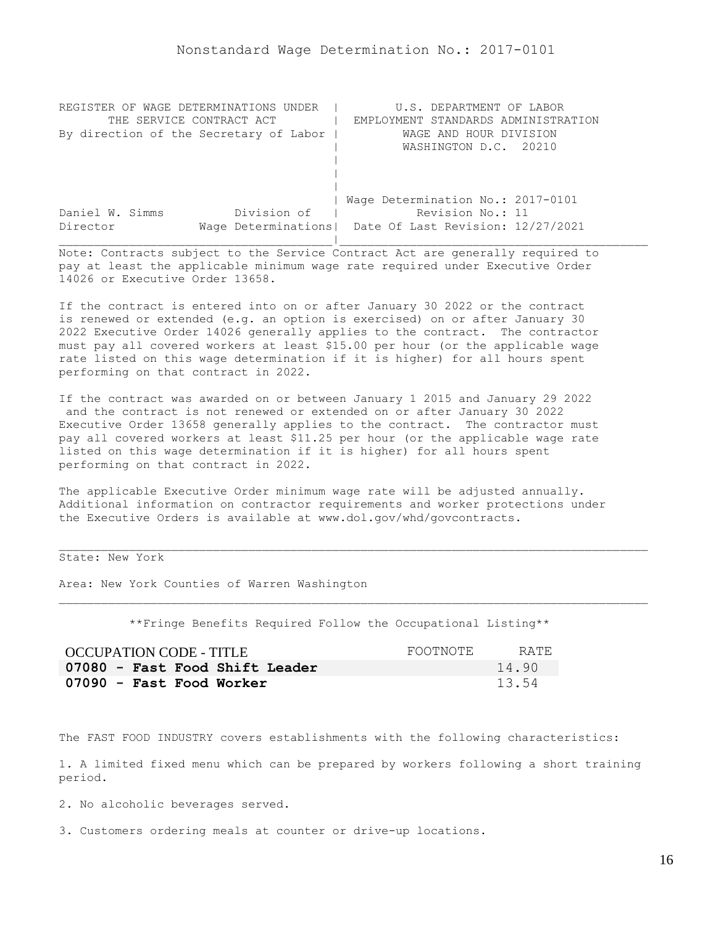<span id="page-15-0"></span>

| REGISTER OF WAGE DETERMINATIONS UNDER  | U.S. DEPARTMENT OF LABOR                                |
|----------------------------------------|---------------------------------------------------------|
| THE SERVICE CONTRACT ACT               | EMPLOYMENT STANDARDS ADMINISTRATION                     |
| By direction of the Secretary of Labor | WAGE AND HOUR DIVISION                                  |
|                                        | WASHINGTON D.C. 20210                                   |
|                                        |                                                         |
|                                        |                                                         |
|                                        |                                                         |
|                                        | Wage Determination No.: 2017-0101                       |
| Division of<br>Daniel W. Simms         | Revision No.: 11                                        |
| Director                               | Wage Determinations   Date Of Last Revision: 12/27/2021 |
|                                        |                                                         |

If the contract is entered into on or after January 30 2022 or the contract is renewed or extended (e.g. an option is exercised) on or after January 30 2022 Executive Order 14026 generally applies to the contract. The contractor must pay all covered workers at least \$15.00 per hour (or the applicable wage rate listed on this wage determination if it is higher) for all hours spent performing on that contract in 2022.

If the contract was awarded on or between January 1 2015 and January 29 2022 and the contract is not renewed or extended on or after January 30 2022 Executive Order 13658 generally applies to the contract. The contractor must pay all covered workers at least \$11.25 per hour (or the applicable wage rate listed on this wage determination if it is higher) for all hours spent performing on that contract in 2022.

The applicable Executive Order minimum wage rate will be adjusted annually. Additional information on contractor requirements and worker protections under the Executive Orders is available at www.dol.gov/whd/govcontracts.

State: New York

Area: New York Counties of Warren Washington

\*\*Fringe Benefits Required Follow the Occupational Listing\*\*

| OCCUPATION CODE - TITLE        | FOOTNOTE | RATE  |
|--------------------------------|----------|-------|
| 07080 - Fast Food Shift Leader |          | 14.90 |
| 07090 - Fast Food Worker       |          | 13.54 |

The FAST FOOD INDUSTRY covers establishments with the following characteristics:

1. A limited fixed menu which can be prepared by workers following a short training period.

2. No alcoholic beverages served.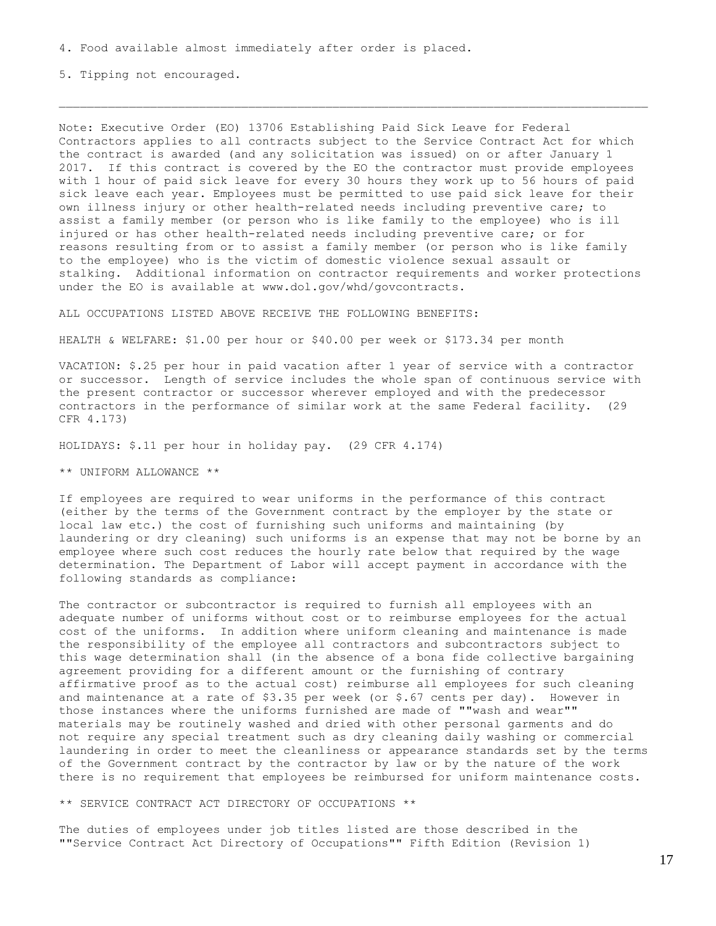5. Tipping not encouraged.

Note: Executive Order (EO) 13706 Establishing Paid Sick Leave for Federal Contractors applies to all contracts subject to the Service Contract Act for which the contract is awarded (and any solicitation was issued) on or after January 1 2017. If this contract is covered by the EO the contractor must provide employees with 1 hour of paid sick leave for every 30 hours they work up to 56 hours of paid sick leave each year. Employees must be permitted to use paid sick leave for their own illness injury or other health-related needs including preventive care; to assist a family member (or person who is like family to the employee) who is ill injured or has other health-related needs including preventive care; or for reasons resulting from or to assist a family member (or person who is like family to the employee) who is the victim of domestic violence sexual assault or stalking. Additional information on contractor requirements and worker protections under the EO is available at www.dol.gov/whd/govcontracts.

ALL OCCUPATIONS LISTED ABOVE RECEIVE THE FOLLOWING BENEFITS:

HEALTH & WELFARE: \$1.00 per hour or \$40.00 per week or \$173.34 per month

VACATION: \$.25 per hour in paid vacation after 1 year of service with a contractor or successor. Length of service includes the whole span of continuous service with the present contractor or successor wherever employed and with the predecessor contractors in the performance of similar work at the same Federal facility. (29 CFR 4.173)

HOLIDAYS: \$.11 per hour in holiday pay. (29 CFR 4.174)

\*\* UNIFORM ALLOWANCE \*\*

If employees are required to wear uniforms in the performance of this contract (either by the terms of the Government contract by the employer by the state or local law etc.) the cost of furnishing such uniforms and maintaining (by laundering or dry cleaning) such uniforms is an expense that may not be borne by an employee where such cost reduces the hourly rate below that required by the wage determination. The Department of Labor will accept payment in accordance with the following standards as compliance:

The contractor or subcontractor is required to furnish all employees with an adequate number of uniforms without cost or to reimburse employees for the actual cost of the uniforms. In addition where uniform cleaning and maintenance is made the responsibility of the employee all contractors and subcontractors subject to this wage determination shall (in the absence of a bona fide collective bargaining agreement providing for a different amount or the furnishing of contrary affirmative proof as to the actual cost) reimburse all employees for such cleaning and maintenance at a rate of  $$3.35$  per week (or  $$.67$  cents per day). However in those instances where the uniforms furnished are made of ""wash and wear"" materials may be routinely washed and dried with other personal garments and do not require any special treatment such as dry cleaning daily washing or commercial laundering in order to meet the cleanliness or appearance standards set by the terms of the Government contract by the contractor by law or by the nature of the work there is no requirement that employees be reimbursed for uniform maintenance costs.

\*\* SERVICE CONTRACT ACT DIRECTORY OF OCCUPATIONS \*\*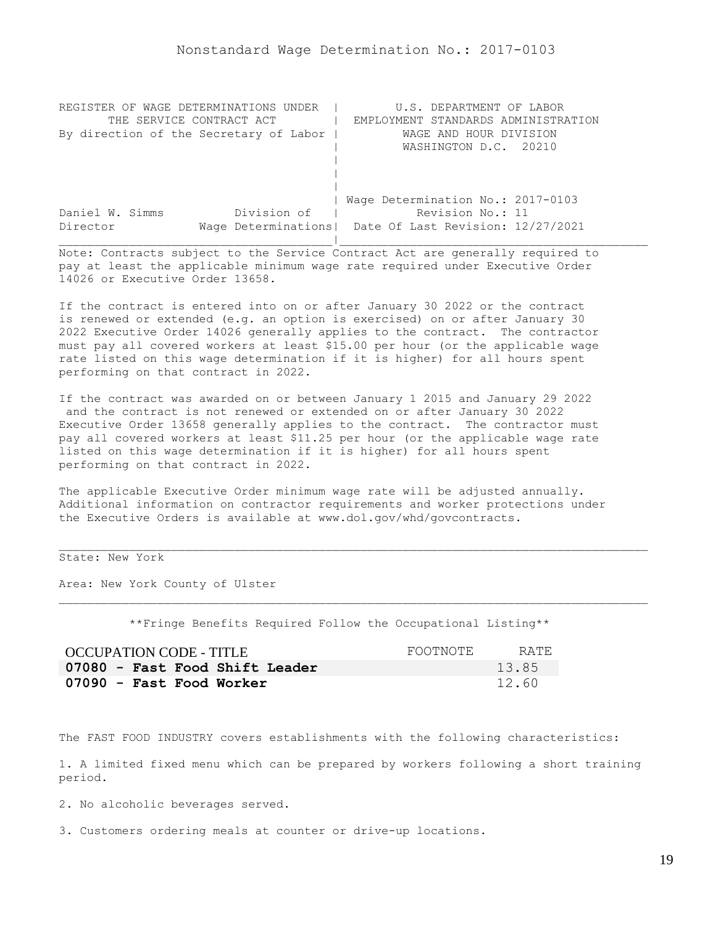<span id="page-18-0"></span>

| REGISTER OF WAGE DETERMINATIONS UNDER  | U.S. DEPARTMENT OF LABOR                                |
|----------------------------------------|---------------------------------------------------------|
| THE SERVICE CONTRACT ACT               | EMPLOYMENT STANDARDS ADMINISTRATION                     |
| By direction of the Secretary of Labor | WAGE AND HOUR DIVISION                                  |
|                                        | WASHINGTON D.C. 20210                                   |
|                                        |                                                         |
|                                        |                                                         |
|                                        |                                                         |
|                                        | Wage Determination No.: 2017-0103                       |
| Division of<br>Daniel W. Simms         | Revision No.: 11                                        |
| Director                               | Wage Determinations   Date Of Last Revision: 12/27/2021 |
|                                        |                                                         |

If the contract is entered into on or after January 30 2022 or the contract is renewed or extended (e.g. an option is exercised) on or after January 30 2022 Executive Order 14026 generally applies to the contract. The contractor must pay all covered workers at least \$15.00 per hour (or the applicable wage rate listed on this wage determination if it is higher) for all hours spent performing on that contract in 2022.

If the contract was awarded on or between January 1 2015 and January 29 2022 and the contract is not renewed or extended on or after January 30 2022 Executive Order 13658 generally applies to the contract. The contractor must pay all covered workers at least \$11.25 per hour (or the applicable wage rate listed on this wage determination if it is higher) for all hours spent performing on that contract in 2022.

The applicable Executive Order minimum wage rate will be adjusted annually. Additional information on contractor requirements and worker protections under the Executive Orders is available at www.dol.gov/whd/govcontracts.

State: New York

Area: New York County of Ulster

\*\*Fringe Benefits Required Follow the Occupational Listing\*\*

| <b>OCCUPATION CODE - TITLE</b> | FOOTNOTE | RATE. |
|--------------------------------|----------|-------|
| 07080 - Fast Food Shift Leader |          | 13.85 |
| 07090 - Fast Food Worker       |          | 12.60 |

The FAST FOOD INDUSTRY covers establishments with the following characteristics:

1. A limited fixed menu which can be prepared by workers following a short training period.

2. No alcoholic beverages served.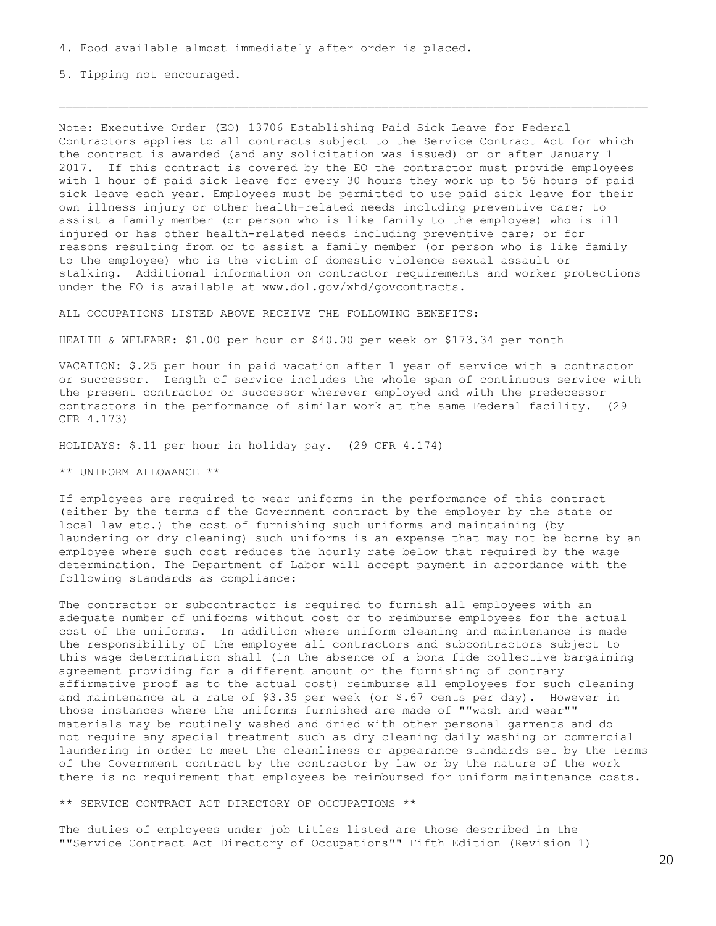5. Tipping not encouraged.

Note: Executive Order (EO) 13706 Establishing Paid Sick Leave for Federal Contractors applies to all contracts subject to the Service Contract Act for which the contract is awarded (and any solicitation was issued) on or after January 1 2017. If this contract is covered by the EO the contractor must provide employees with 1 hour of paid sick leave for every 30 hours they work up to 56 hours of paid sick leave each year. Employees must be permitted to use paid sick leave for their own illness injury or other health-related needs including preventive care; to assist a family member (or person who is like family to the employee) who is ill injured or has other health-related needs including preventive care; or for reasons resulting from or to assist a family member (or person who is like family to the employee) who is the victim of domestic violence sexual assault or stalking. Additional information on contractor requirements and worker protections under the EO is available at www.dol.gov/whd/govcontracts.

ALL OCCUPATIONS LISTED ABOVE RECEIVE THE FOLLOWING BENEFITS:

HEALTH & WELFARE: \$1.00 per hour or \$40.00 per week or \$173.34 per month

VACATION: \$.25 per hour in paid vacation after 1 year of service with a contractor or successor. Length of service includes the whole span of continuous service with the present contractor or successor wherever employed and with the predecessor contractors in the performance of similar work at the same Federal facility. (29 CFR 4.173)

HOLIDAYS: \$.11 per hour in holiday pay. (29 CFR 4.174)

\*\* UNIFORM ALLOWANCE \*\*

If employees are required to wear uniforms in the performance of this contract (either by the terms of the Government contract by the employer by the state or local law etc.) the cost of furnishing such uniforms and maintaining (by laundering or dry cleaning) such uniforms is an expense that may not be borne by an employee where such cost reduces the hourly rate below that required by the wage determination. The Department of Labor will accept payment in accordance with the following standards as compliance:

The contractor or subcontractor is required to furnish all employees with an adequate number of uniforms without cost or to reimburse employees for the actual cost of the uniforms. In addition where uniform cleaning and maintenance is made the responsibility of the employee all contractors and subcontractors subject to this wage determination shall (in the absence of a bona fide collective bargaining agreement providing for a different amount or the furnishing of contrary affirmative proof as to the actual cost) reimburse all employees for such cleaning and maintenance at a rate of  $$3.35$  per week (or  $$.67$  cents per day). However in those instances where the uniforms furnished are made of ""wash and wear"" materials may be routinely washed and dried with other personal garments and do not require any special treatment such as dry cleaning daily washing or commercial laundering in order to meet the cleanliness or appearance standards set by the terms of the Government contract by the contractor by law or by the nature of the work there is no requirement that employees be reimbursed for uniform maintenance costs.

\*\* SERVICE CONTRACT ACT DIRECTORY OF OCCUPATIONS \*\*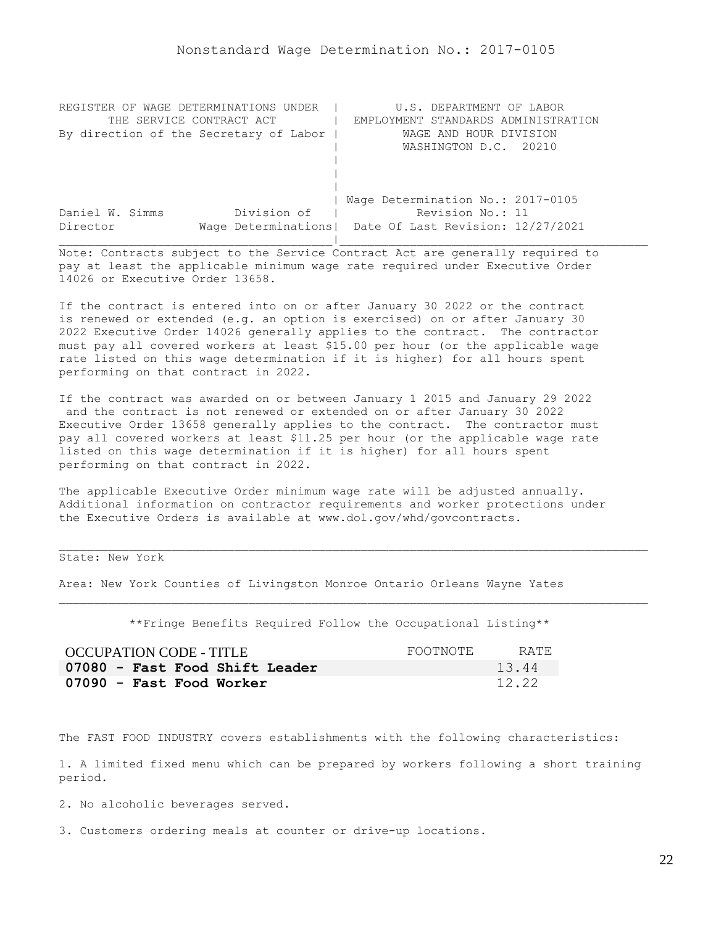<span id="page-21-0"></span>

| REGISTER OF WAGE DETERMINATIONS UNDER  | U.S. DEPARTMENT OF LABOR                                |
|----------------------------------------|---------------------------------------------------------|
| THE SERVICE CONTRACT ACT               | EMPLOYMENT STANDARDS ADMINISTRATION                     |
| By direction of the Secretary of Labor | WAGE AND HOUR DIVISION                                  |
|                                        | WASHINGTON D.C. 20210                                   |
|                                        |                                                         |
|                                        |                                                         |
|                                        |                                                         |
|                                        | Wage Determination No.: 2017-0105                       |
| Division of<br>Daniel W. Simms         | Revision No.: 11                                        |
| Director                               | Wage Determinations   Date Of Last Revision: 12/27/2021 |
|                                        |                                                         |

If the contract is entered into on or after January 30 2022 or the contract is renewed or extended (e.g. an option is exercised) on or after January 30 2022 Executive Order 14026 generally applies to the contract. The contractor must pay all covered workers at least \$15.00 per hour (or the applicable wage rate listed on this wage determination if it is higher) for all hours spent performing on that contract in 2022.

If the contract was awarded on or between January 1 2015 and January 29 2022 and the contract is not renewed or extended on or after January 30 2022 Executive Order 13658 generally applies to the contract. The contractor must pay all covered workers at least \$11.25 per hour (or the applicable wage rate listed on this wage determination if it is higher) for all hours spent performing on that contract in 2022.

The applicable Executive Order minimum wage rate will be adjusted annually. Additional information on contractor requirements and worker protections under the Executive Orders is available at www.dol.gov/whd/govcontracts.

State: New York

Area: New York Counties of Livingston Monroe Ontario Orleans Wayne Yates

\*\*Fringe Benefits Required Follow the Occupational Listing\*\*

| OCCUPATION CODE - TITLE        | FOOTNOTE | RATE. |
|--------------------------------|----------|-------|
| 07080 - Fast Food Shift Leader |          | 13.44 |
| 07090 - Fast Food Worker       |          | 12.22 |

The FAST FOOD INDUSTRY covers establishments with the following characteristics:

1. A limited fixed menu which can be prepared by workers following a short training period.

2. No alcoholic beverages served.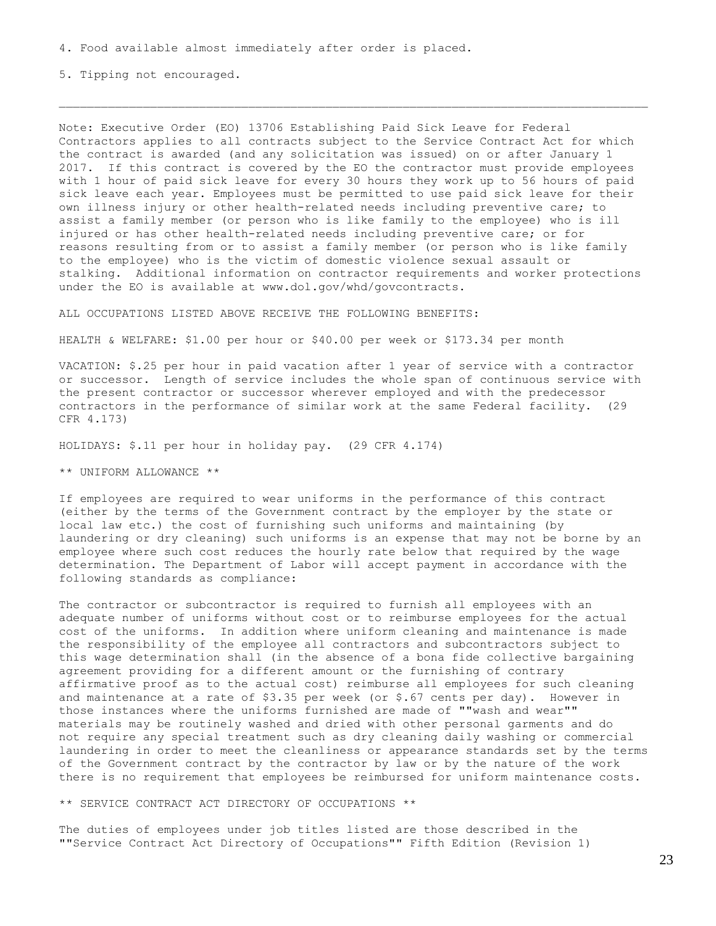5. Tipping not encouraged.

Note: Executive Order (EO) 13706 Establishing Paid Sick Leave for Federal Contractors applies to all contracts subject to the Service Contract Act for which the contract is awarded (and any solicitation was issued) on or after January 1 2017. If this contract is covered by the EO the contractor must provide employees with 1 hour of paid sick leave for every 30 hours they work up to 56 hours of paid sick leave each year. Employees must be permitted to use paid sick leave for their own illness injury or other health-related needs including preventive care; to assist a family member (or person who is like family to the employee) who is ill injured or has other health-related needs including preventive care; or for reasons resulting from or to assist a family member (or person who is like family to the employee) who is the victim of domestic violence sexual assault or stalking. Additional information on contractor requirements and worker protections under the EO is available at www.dol.gov/whd/govcontracts.

ALL OCCUPATIONS LISTED ABOVE RECEIVE THE FOLLOWING BENEFITS:

HEALTH & WELFARE: \$1.00 per hour or \$40.00 per week or \$173.34 per month

VACATION: \$.25 per hour in paid vacation after 1 year of service with a contractor or successor. Length of service includes the whole span of continuous service with the present contractor or successor wherever employed and with the predecessor contractors in the performance of similar work at the same Federal facility. (29 CFR 4.173)

HOLIDAYS: \$.11 per hour in holiday pay. (29 CFR 4.174)

\*\* UNIFORM ALLOWANCE \*\*

If employees are required to wear uniforms in the performance of this contract (either by the terms of the Government contract by the employer by the state or local law etc.) the cost of furnishing such uniforms and maintaining (by laundering or dry cleaning) such uniforms is an expense that may not be borne by an employee where such cost reduces the hourly rate below that required by the wage determination. The Department of Labor will accept payment in accordance with the following standards as compliance:

The contractor or subcontractor is required to furnish all employees with an adequate number of uniforms without cost or to reimburse employees for the actual cost of the uniforms. In addition where uniform cleaning and maintenance is made the responsibility of the employee all contractors and subcontractors subject to this wage determination shall (in the absence of a bona fide collective bargaining agreement providing for a different amount or the furnishing of contrary affirmative proof as to the actual cost) reimburse all employees for such cleaning and maintenance at a rate of  $$3.35$  per week (or  $$.67$  cents per day). However in those instances where the uniforms furnished are made of ""wash and wear"" materials may be routinely washed and dried with other personal garments and do not require any special treatment such as dry cleaning daily washing or commercial laundering in order to meet the cleanliness or appearance standards set by the terms of the Government contract by the contractor by law or by the nature of the work there is no requirement that employees be reimbursed for uniform maintenance costs.

\*\* SERVICE CONTRACT ACT DIRECTORY OF OCCUPATIONS \*\*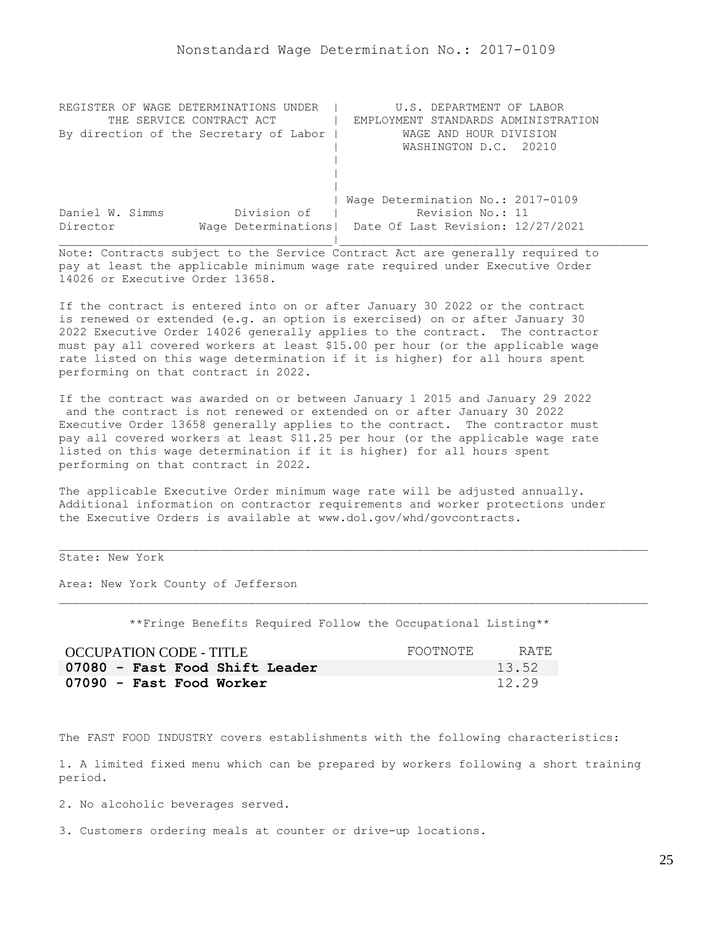<span id="page-24-0"></span>

| REGISTER OF WAGE DETERMINATIONS UNDER  | U.S. DEPARTMENT OF LABOR                                |
|----------------------------------------|---------------------------------------------------------|
| THE SERVICE CONTRACT ACT               | EMPLOYMENT STANDARDS ADMINISTRATION                     |
| By direction of the Secretary of Labor | WAGE AND HOUR DIVISION                                  |
|                                        | WASHINGTON D.C. 20210                                   |
|                                        |                                                         |
|                                        |                                                         |
|                                        |                                                         |
|                                        | Wage Determination No.: 2017-0109                       |
| Division of<br>Daniel W. Simms         | Revision No.: 11                                        |
| Director                               | Wage Determinations   Date Of Last Revision: 12/27/2021 |
|                                        |                                                         |

If the contract is entered into on or after January 30 2022 or the contract is renewed or extended (e.g. an option is exercised) on or after January 30 2022 Executive Order 14026 generally applies to the contract. The contractor must pay all covered workers at least \$15.00 per hour (or the applicable wage rate listed on this wage determination if it is higher) for all hours spent performing on that contract in 2022.

If the contract was awarded on or between January 1 2015 and January 29 2022 and the contract is not renewed or extended on or after January 30 2022 Executive Order 13658 generally applies to the contract. The contractor must pay all covered workers at least \$11.25 per hour (or the applicable wage rate listed on this wage determination if it is higher) for all hours spent performing on that contract in 2022.

The applicable Executive Order minimum wage rate will be adjusted annually. Additional information on contractor requirements and worker protections under the Executive Orders is available at www.dol.gov/whd/govcontracts.

State: New York

Area: New York County of Jefferson

\*\*Fringe Benefits Required Follow the Occupational Listing\*\*

| <b>OCCUPATION CODE - TITLE</b> | FOOTNOTE | RATE  |
|--------------------------------|----------|-------|
| 07080 - Fast Food Shift Leader |          | 13.52 |
| 07090 - Fast Food Worker       |          | 12.29 |

The FAST FOOD INDUSTRY covers establishments with the following characteristics:

1. A limited fixed menu which can be prepared by workers following a short training period.

2. No alcoholic beverages served.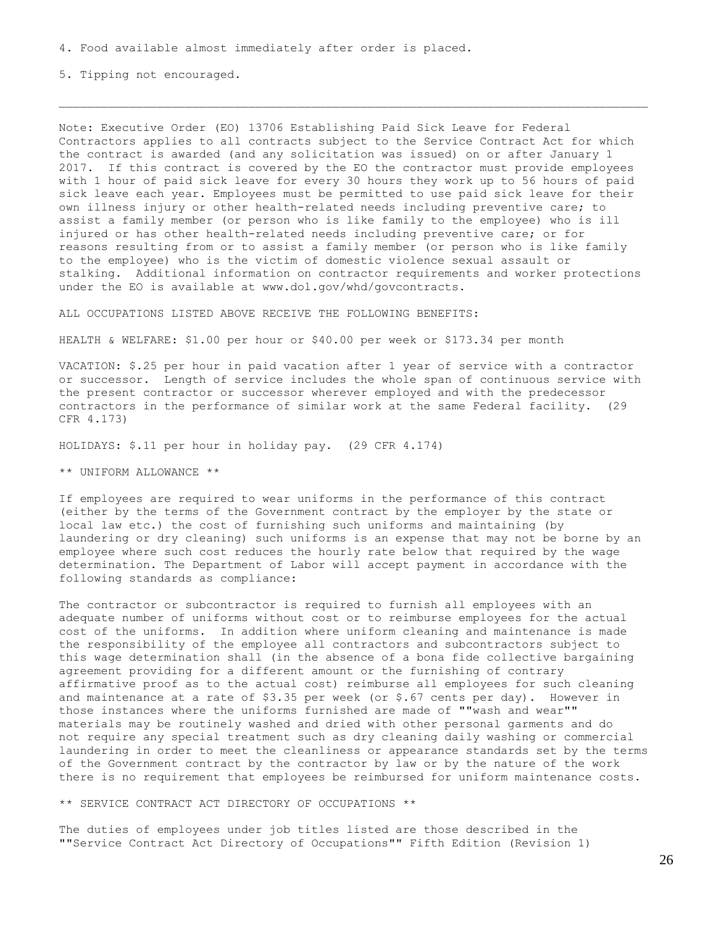5. Tipping not encouraged.

Note: Executive Order (EO) 13706 Establishing Paid Sick Leave for Federal Contractors applies to all contracts subject to the Service Contract Act for which the contract is awarded (and any solicitation was issued) on or after January 1 2017. If this contract is covered by the EO the contractor must provide employees with 1 hour of paid sick leave for every 30 hours they work up to 56 hours of paid sick leave each year. Employees must be permitted to use paid sick leave for their own illness injury or other health-related needs including preventive care; to assist a family member (or person who is like family to the employee) who is ill injured or has other health-related needs including preventive care; or for reasons resulting from or to assist a family member (or person who is like family to the employee) who is the victim of domestic violence sexual assault or stalking. Additional information on contractor requirements and worker protections under the EO is available at www.dol.gov/whd/govcontracts.

ALL OCCUPATIONS LISTED ABOVE RECEIVE THE FOLLOWING BENEFITS:

HEALTH & WELFARE: \$1.00 per hour or \$40.00 per week or \$173.34 per month

VACATION: \$.25 per hour in paid vacation after 1 year of service with a contractor or successor. Length of service includes the whole span of continuous service with the present contractor or successor wherever employed and with the predecessor contractors in the performance of similar work at the same Federal facility. (29 CFR 4.173)

HOLIDAYS: \$.11 per hour in holiday pay. (29 CFR 4.174)

\*\* UNIFORM ALLOWANCE \*\*

If employees are required to wear uniforms in the performance of this contract (either by the terms of the Government contract by the employer by the state or local law etc.) the cost of furnishing such uniforms and maintaining (by laundering or dry cleaning) such uniforms is an expense that may not be borne by an employee where such cost reduces the hourly rate below that required by the wage determination. The Department of Labor will accept payment in accordance with the following standards as compliance:

The contractor or subcontractor is required to furnish all employees with an adequate number of uniforms without cost or to reimburse employees for the actual cost of the uniforms. In addition where uniform cleaning and maintenance is made the responsibility of the employee all contractors and subcontractors subject to this wage determination shall (in the absence of a bona fide collective bargaining agreement providing for a different amount or the furnishing of contrary affirmative proof as to the actual cost) reimburse all employees for such cleaning and maintenance at a rate of  $$3.35$  per week (or  $$.67$  cents per day). However in those instances where the uniforms furnished are made of ""wash and wear"" materials may be routinely washed and dried with other personal garments and do not require any special treatment such as dry cleaning daily washing or commercial laundering in order to meet the cleanliness or appearance standards set by the terms of the Government contract by the contractor by law or by the nature of the work there is no requirement that employees be reimbursed for uniform maintenance costs.

\*\* SERVICE CONTRACT ACT DIRECTORY OF OCCUPATIONS \*\*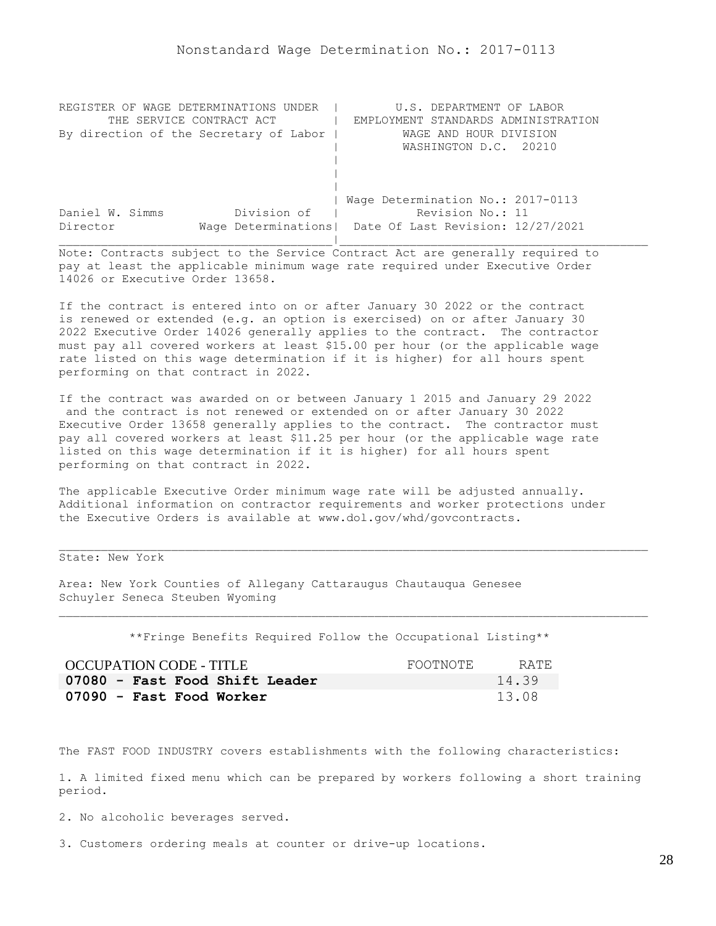<span id="page-27-0"></span>

| REGISTER OF WAGE DETERMINATIONS UNDER  | U.S. DEPARTMENT OF LABOR                                |
|----------------------------------------|---------------------------------------------------------|
| THE SERVICE CONTRACT ACT               | EMPLOYMENT STANDARDS ADMINISTRATION                     |
| By direction of the Secretary of Labor | WAGE AND HOUR DIVISION                                  |
|                                        | WASHINGTON D.C. 20210                                   |
|                                        |                                                         |
|                                        |                                                         |
|                                        |                                                         |
|                                        | Wage Determination No.: 2017-0113                       |
| Division of<br>Daniel W. Simms         | Revision No.: 11                                        |
| Director                               | Wage Determinations   Date Of Last Revision: 12/27/2021 |
|                                        |                                                         |

If the contract is entered into on or after January 30 2022 or the contract is renewed or extended (e.g. an option is exercised) on or after January 30 2022 Executive Order 14026 generally applies to the contract. The contractor must pay all covered workers at least \$15.00 per hour (or the applicable wage rate listed on this wage determination if it is higher) for all hours spent performing on that contract in 2022.

If the contract was awarded on or between January 1 2015 and January 29 2022 and the contract is not renewed or extended on or after January 30 2022 Executive Order 13658 generally applies to the contract. The contractor must pay all covered workers at least \$11.25 per hour (or the applicable wage rate listed on this wage determination if it is higher) for all hours spent performing on that contract in 2022.

The applicable Executive Order minimum wage rate will be adjusted annually. Additional information on contractor requirements and worker protections under the Executive Orders is available at www.dol.gov/whd/govcontracts.

State: New York

Area: New York Counties of Allegany Cattaraugus Chautauqua Genesee Schuyler Seneca Steuben Wyoming

\*\*Fringe Benefits Required Follow the Occupational Listing\*\*

| <b>OCCUPATION CODE - TITLE</b> | FOOTNOTE | RATE  |
|--------------------------------|----------|-------|
| 07080 - Fast Food Shift Leader |          | 14.39 |
| 07090 - Fast Food Worker       |          | 13.08 |

The FAST FOOD INDUSTRY covers establishments with the following characteristics:

1. A limited fixed menu which can be prepared by workers following a short training period.

2. No alcoholic beverages served.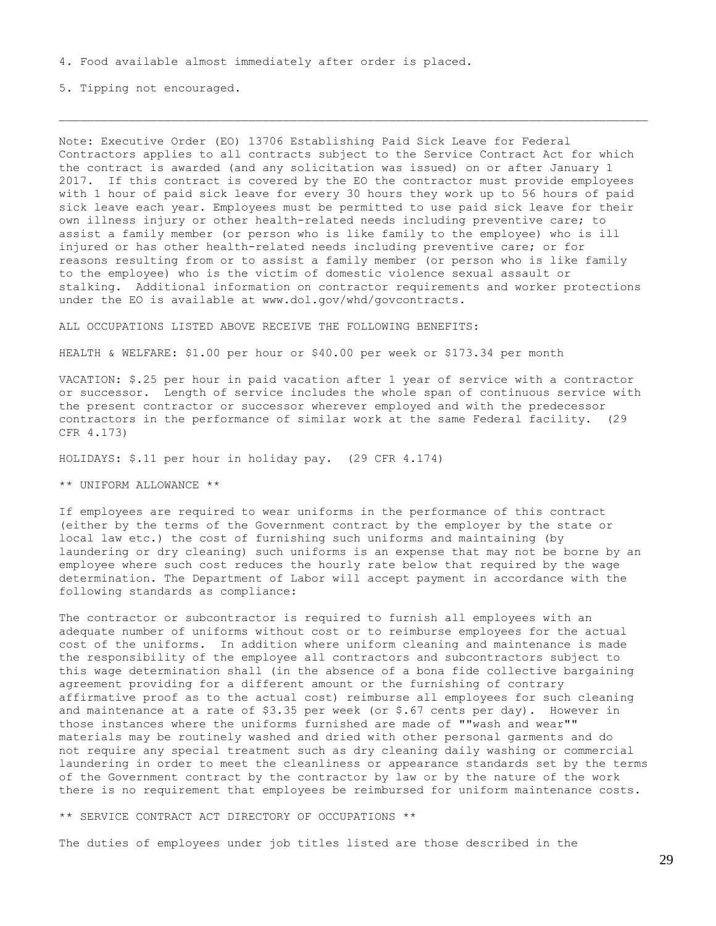5. Tipping not encouraged.

Note: Executive Order (EO) 13706 Establishing Paid Sick Leave for Federal Contractors applies to all contracts subject to the Service Contract Act for which the contract is awarded (and any solicitation was issued) on or after January 1 2017. If this contract is covered by the EO the contractor must provide employees with 1 hour of paid sick leave for every 30 hours they work up to 56 hours of paid sick leave each year. Employees must be permitted to use paid sick leave for their own illness injury or other health-related needs including preventive care; to assist a family member (or person who is like family to the employee) who is ill injured or has other health-related needs including preventive care; or for reasons resulting from or to assist a family member (or person who is like family to the employee) who is the victim of domestic violence sexual assault or stalking. Additional information on contractor requirements and worker protections under the EO is available at www.dol.gov/whd/govcontracts.

ALL OCCUPATIONS LISTED ABOVE RECEIVE THE FOLLOWING BENEFITS:

HEALTH & WELFARE: \$1.00 per hour or \$40.00 per week or \$173.34 per month

VACATION: \$.25 per hour in paid vacation after 1 year of service with a contractor or successor. Length of service includes the whole span of continuous service with the present contractor or successor wherever employed and with the predecessor contractors in the performance of similar work at the same Federal facility. (29 CFR 4.173)

HOLIDAYS: \$.11 per hour in holiday pay. (29 CFR 4.174)

\*\* UNIFORM ALLOWANCE \*\*

If employees are required to wear uniforms in the performance of this contract (either by the terms of the Government contract by the employer by the state or local law etc.) the cost of furnishing such uniforms and maintaining (by laundering or dry cleaning) such uniforms is an expense that may not be borne by an employee where such cost reduces the hourly rate below that required by the wage determination. The Department of Labor will accept payment in accordance with the following standards as compliance:

The contractor or subcontractor is required to furnish all employees with an adequate number of uniforms without cost or to reimburse employees for the actual cost of the uniforms. In addition where uniform cleaning and maintenance is made the responsibility of the employee all contractors and subcontractors subject to this wage determination shall (in the absence of a bona fide collective bargaining agreement providing for a different amount or the furnishing of contrary affirmative proof as to the actual cost) reimburse all employees for such cleaning and maintenance at a rate of  $$3.35$  per week (or  $$.67$  cents per day). However in those instances where the uniforms furnished are made of ""wash and wear"" materials may be routinely washed and dried with other personal garments and do not require any special treatment such as dry cleaning daily washing or commercial laundering in order to meet the cleanliness or appearance standards set by the terms of the Government contract by the contractor by law or by the nature of the work there is no requirement that employees be reimbursed for uniform maintenance costs.

\*\* SERVICE CONTRACT ACT DIRECTORY OF OCCUPATIONS \*\*

The duties of employees under job titles listed are those described in the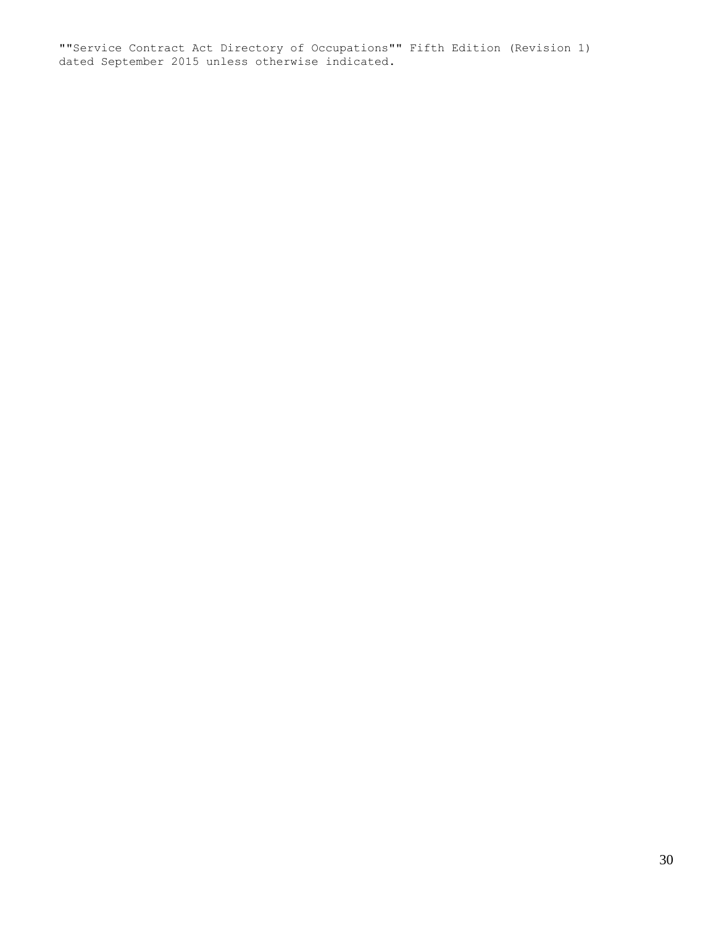""Service Contract Act Directory of Occupations"" Fifth Edition (Revision 1) dated September 2015 unless otherwise indicated.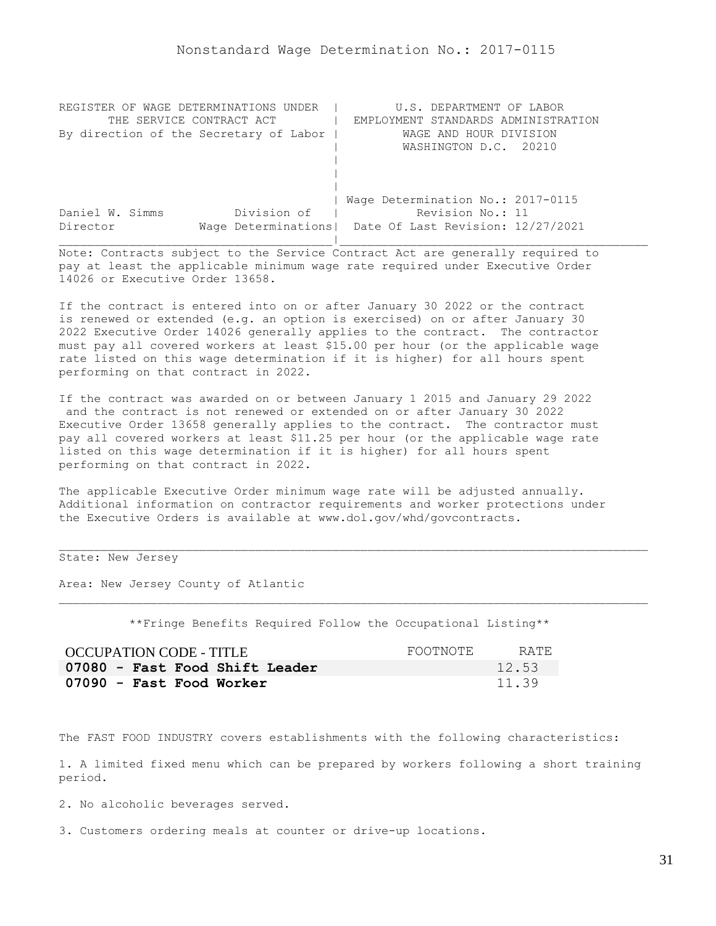<span id="page-30-0"></span>

| REGISTER OF WAGE DETERMINATIONS UNDER  | U.S. DEPARTMENT OF LABOR                                |
|----------------------------------------|---------------------------------------------------------|
| THE SERVICE CONTRACT ACT               | EMPLOYMENT STANDARDS ADMINISTRATION                     |
| By direction of the Secretary of Labor | WAGE AND HOUR DIVISION                                  |
|                                        | WASHINGTON D.C. 20210                                   |
|                                        |                                                         |
|                                        |                                                         |
|                                        |                                                         |
|                                        | Wage Determination No.: 2017-0115                       |
| Division of<br>Daniel W. Simms         | Revision No.: 11                                        |
| Director                               | Wage Determinations   Date Of Last Revision: 12/27/2021 |
|                                        |                                                         |

If the contract is entered into on or after January 30 2022 or the contract is renewed or extended (e.g. an option is exercised) on or after January 30 2022 Executive Order 14026 generally applies to the contract. The contractor must pay all covered workers at least \$15.00 per hour (or the applicable wage rate listed on this wage determination if it is higher) for all hours spent performing on that contract in 2022.

If the contract was awarded on or between January 1 2015 and January 29 2022 and the contract is not renewed or extended on or after January 30 2022 Executive Order 13658 generally applies to the contract. The contractor must pay all covered workers at least \$11.25 per hour (or the applicable wage rate listed on this wage determination if it is higher) for all hours spent performing on that contract in 2022.

The applicable Executive Order minimum wage rate will be adjusted annually. Additional information on contractor requirements and worker protections under the Executive Orders is available at www.dol.gov/whd/govcontracts.

State: New Jersey

Area: New Jersey County of Atlantic

\*\*Fringe Benefits Required Follow the Occupational Listing\*\*

| <b>OCCUPATION CODE - TITLE</b> | FOOTNOTE | RATE. |
|--------------------------------|----------|-------|
| 07080 - Fast Food Shift Leader |          | 12.53 |
| 07090 - Fast Food Worker       |          | 11.39 |

The FAST FOOD INDUSTRY covers establishments with the following characteristics:

1. A limited fixed menu which can be prepared by workers following a short training period.

2. No alcoholic beverages served.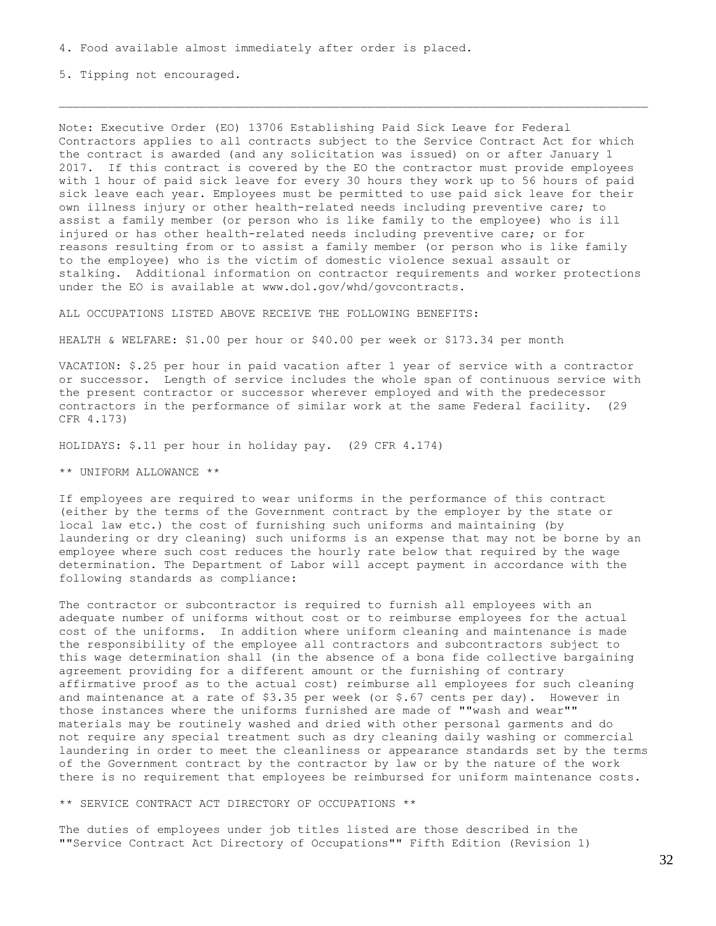5. Tipping not encouraged.

Note: Executive Order (EO) 13706 Establishing Paid Sick Leave for Federal Contractors applies to all contracts subject to the Service Contract Act for which the contract is awarded (and any solicitation was issued) on or after January 1 2017. If this contract is covered by the EO the contractor must provide employees with 1 hour of paid sick leave for every 30 hours they work up to 56 hours of paid sick leave each year. Employees must be permitted to use paid sick leave for their own illness injury or other health-related needs including preventive care; to assist a family member (or person who is like family to the employee) who is ill injured or has other health-related needs including preventive care; or for reasons resulting from or to assist a family member (or person who is like family to the employee) who is the victim of domestic violence sexual assault or stalking. Additional information on contractor requirements and worker protections under the EO is available at www.dol.gov/whd/govcontracts.

ALL OCCUPATIONS LISTED ABOVE RECEIVE THE FOLLOWING BENEFITS:

HEALTH & WELFARE: \$1.00 per hour or \$40.00 per week or \$173.34 per month

VACATION: \$.25 per hour in paid vacation after 1 year of service with a contractor or successor. Length of service includes the whole span of continuous service with the present contractor or successor wherever employed and with the predecessor contractors in the performance of similar work at the same Federal facility. (29 CFR 4.173)

HOLIDAYS: \$.11 per hour in holiday pay. (29 CFR 4.174)

\*\* UNIFORM ALLOWANCE \*\*

If employees are required to wear uniforms in the performance of this contract (either by the terms of the Government contract by the employer by the state or local law etc.) the cost of furnishing such uniforms and maintaining (by laundering or dry cleaning) such uniforms is an expense that may not be borne by an employee where such cost reduces the hourly rate below that required by the wage determination. The Department of Labor will accept payment in accordance with the following standards as compliance:

The contractor or subcontractor is required to furnish all employees with an adequate number of uniforms without cost or to reimburse employees for the actual cost of the uniforms. In addition where uniform cleaning and maintenance is made the responsibility of the employee all contractors and subcontractors subject to this wage determination shall (in the absence of a bona fide collective bargaining agreement providing for a different amount or the furnishing of contrary affirmative proof as to the actual cost) reimburse all employees for such cleaning and maintenance at a rate of  $$3.35$  per week (or  $$.67$  cents per day). However in those instances where the uniforms furnished are made of ""wash and wear"" materials may be routinely washed and dried with other personal garments and do not require any special treatment such as dry cleaning daily washing or commercial laundering in order to meet the cleanliness or appearance standards set by the terms of the Government contract by the contractor by law or by the nature of the work there is no requirement that employees be reimbursed for uniform maintenance costs.

\*\* SERVICE CONTRACT ACT DIRECTORY OF OCCUPATIONS \*\*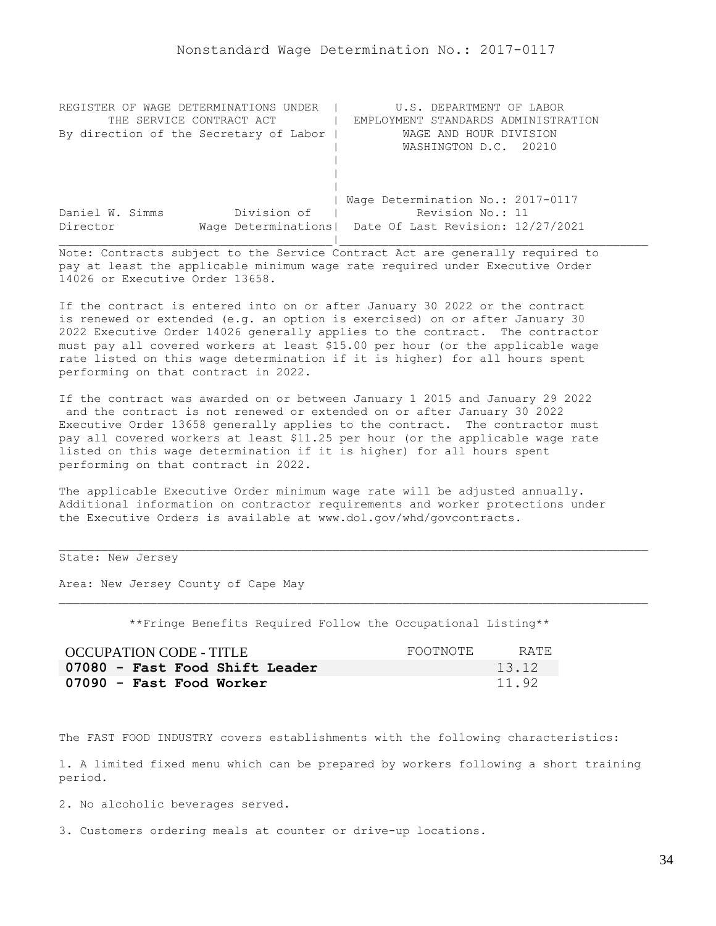<span id="page-33-0"></span>

| REGISTER OF WAGE DETERMINATIONS UNDER  | U.S. DEPARTMENT OF LABOR                                |
|----------------------------------------|---------------------------------------------------------|
| THE SERVICE CONTRACT ACT               | EMPLOYMENT STANDARDS ADMINISTRATION                     |
| By direction of the Secretary of Labor | WAGE AND HOUR DIVISION                                  |
|                                        | WASHINGTON D.C. 20210                                   |
|                                        |                                                         |
|                                        |                                                         |
|                                        |                                                         |
|                                        | Wage Determination No.: 2017-0117                       |
| Division of<br>Daniel W. Simms         | Revision No.: 11                                        |
| Director                               | Wage Determinations   Date Of Last Revision: 12/27/2021 |
|                                        |                                                         |

If the contract is entered into on or after January 30 2022 or the contract is renewed or extended (e.g. an option is exercised) on or after January 30 2022 Executive Order 14026 generally applies to the contract. The contractor must pay all covered workers at least \$15.00 per hour (or the applicable wage rate listed on this wage determination if it is higher) for all hours spent performing on that contract in 2022.

If the contract was awarded on or between January 1 2015 and January 29 2022 and the contract is not renewed or extended on or after January 30 2022 Executive Order 13658 generally applies to the contract. The contractor must pay all covered workers at least \$11.25 per hour (or the applicable wage rate listed on this wage determination if it is higher) for all hours spent performing on that contract in 2022.

The applicable Executive Order minimum wage rate will be adjusted annually. Additional information on contractor requirements and worker protections under the Executive Orders is available at www.dol.gov/whd/govcontracts.

## State: New Jersey

Area: New Jersey County of Cape May

\*\*Fringe Benefits Required Follow the Occupational Listing\*\*

| <b>OCCUPATION CODE - TITLE</b> | FOOTNOTE | RATE. |
|--------------------------------|----------|-------|
| 07080 - Fast Food Shift Leader |          | 13.12 |
| 07090 - Fast Food Worker       |          | 11.92 |

The FAST FOOD INDUSTRY covers establishments with the following characteristics:

1. A limited fixed menu which can be prepared by workers following a short training period.

2. No alcoholic beverages served.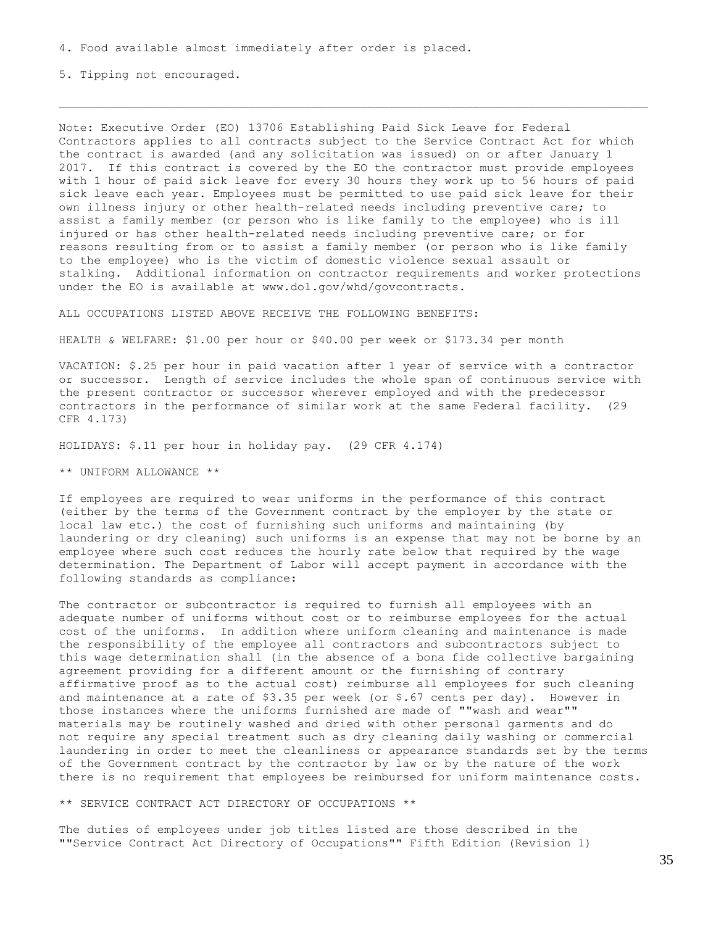5. Tipping not encouraged.

Note: Executive Order (EO) 13706 Establishing Paid Sick Leave for Federal Contractors applies to all contracts subject to the Service Contract Act for which the contract is awarded (and any solicitation was issued) on or after January 1 2017. If this contract is covered by the EO the contractor must provide employees with 1 hour of paid sick leave for every 30 hours they work up to 56 hours of paid sick leave each year. Employees must be permitted to use paid sick leave for their own illness injury or other health-related needs including preventive care; to assist a family member (or person who is like family to the employee) who is ill injured or has other health-related needs including preventive care; or for reasons resulting from or to assist a family member (or person who is like family to the employee) who is the victim of domestic violence sexual assault or stalking. Additional information on contractor requirements and worker protections under the EO is available at www.dol.gov/whd/govcontracts.

ALL OCCUPATIONS LISTED ABOVE RECEIVE THE FOLLOWING BENEFITS:

HEALTH & WELFARE: \$1.00 per hour or \$40.00 per week or \$173.34 per month

VACATION: \$.25 per hour in paid vacation after 1 year of service with a contractor or successor. Length of service includes the whole span of continuous service with the present contractor or successor wherever employed and with the predecessor contractors in the performance of similar work at the same Federal facility. (29 CFR 4.173)

HOLIDAYS: \$.11 per hour in holiday pay. (29 CFR 4.174)

\*\* UNIFORM ALLOWANCE \*\*

If employees are required to wear uniforms in the performance of this contract (either by the terms of the Government contract by the employer by the state or local law etc.) the cost of furnishing such uniforms and maintaining (by laundering or dry cleaning) such uniforms is an expense that may not be borne by an employee where such cost reduces the hourly rate below that required by the wage determination. The Department of Labor will accept payment in accordance with the following standards as compliance:

The contractor or subcontractor is required to furnish all employees with an adequate number of uniforms without cost or to reimburse employees for the actual cost of the uniforms. In addition where uniform cleaning and maintenance is made the responsibility of the employee all contractors and subcontractors subject to this wage determination shall (in the absence of a bona fide collective bargaining agreement providing for a different amount or the furnishing of contrary affirmative proof as to the actual cost) reimburse all employees for such cleaning and maintenance at a rate of  $$3.35$  per week (or  $$.67$  cents per day). However in those instances where the uniforms furnished are made of ""wash and wear"" materials may be routinely washed and dried with other personal garments and do not require any special treatment such as dry cleaning daily washing or commercial laundering in order to meet the cleanliness or appearance standards set by the terms of the Government contract by the contractor by law or by the nature of the work there is no requirement that employees be reimbursed for uniform maintenance costs.

\*\* SERVICE CONTRACT ACT DIRECTORY OF OCCUPATIONS \*\*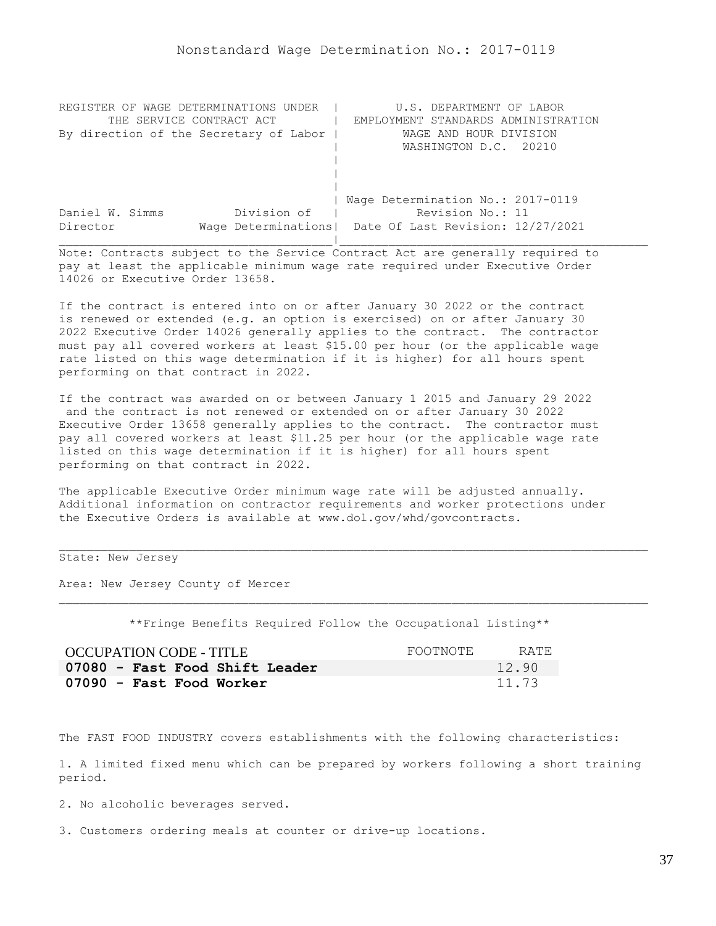| REGISTER OF WAGE DETERMINATIONS UNDER  | U.S. DEPARTMENT OF LABOR                                |
|----------------------------------------|---------------------------------------------------------|
| THE SERVICE CONTRACT ACT               | EMPLOYMENT STANDARDS ADMINISTRATION                     |
| By direction of the Secretary of Labor | WAGE AND HOUR DIVISION                                  |
|                                        | WASHINGTON D.C. 20210                                   |
|                                        |                                                         |
|                                        |                                                         |
|                                        |                                                         |
|                                        | Wage Determination No.: 2017-0119                       |
| Division of<br>Daniel W. Simms         | Revision No.: 11                                        |
| Director                               | Wage Determinations   Date Of Last Revision: 12/27/2021 |
|                                        |                                                         |

If the contract is entered into on or after January 30 2022 or the contract is renewed or extended (e.g. an option is exercised) on or after January 30 2022 Executive Order 14026 generally applies to the contract. The contractor must pay all covered workers at least \$15.00 per hour (or the applicable wage rate listed on this wage determination if it is higher) for all hours spent performing on that contract in 2022.

If the contract was awarded on or between January 1 2015 and January 29 2022 and the contract is not renewed or extended on or after January 30 2022 Executive Order 13658 generally applies to the contract. The contractor must pay all covered workers at least \$11.25 per hour (or the applicable wage rate listed on this wage determination if it is higher) for all hours spent performing on that contract in 2022.

The applicable Executive Order minimum wage rate will be adjusted annually. Additional information on contractor requirements and worker protections under the Executive Orders is available at www.dol.gov/whd/govcontracts.

State: New Jersey

Area: New Jersey County of Mercer

\*\*Fringe Benefits Required Follow the Occupational Listing\*\*

| <b>OCCUPATION CODE - TITLE</b> | FOOTNOTE | RATE. |
|--------------------------------|----------|-------|
| 07080 - Fast Food Shift Leader |          | 12.90 |
| 07090 - Fast Food Worker       |          | 11.73 |

The FAST FOOD INDUSTRY covers establishments with the following characteristics:

1. A limited fixed menu which can be prepared by workers following a short training period.

2. No alcoholic beverages served.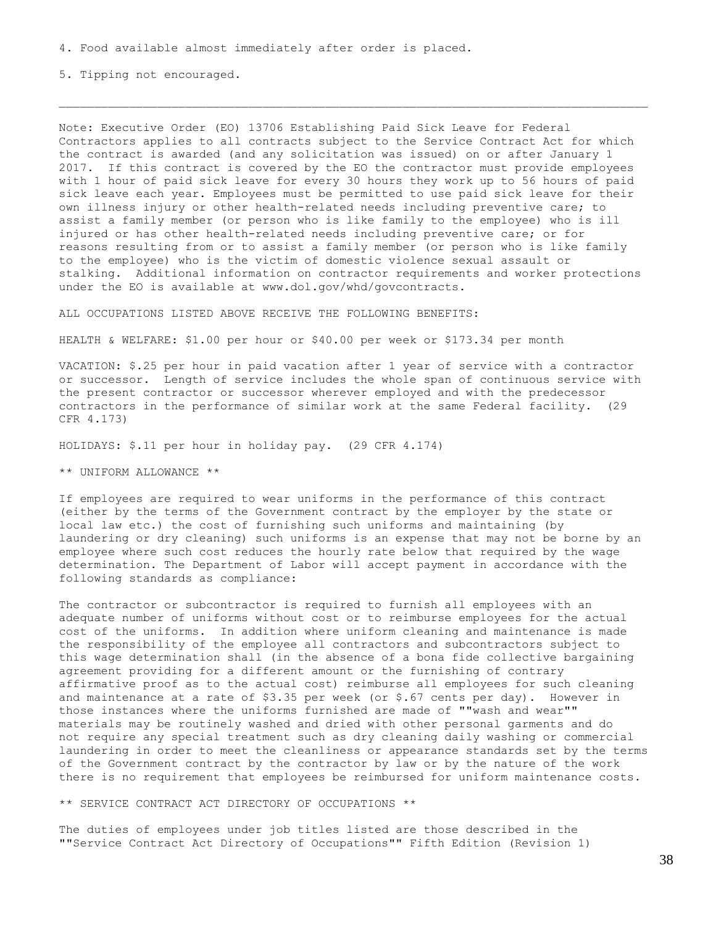5. Tipping not encouraged.

Note: Executive Order (EO) 13706 Establishing Paid Sick Leave for Federal Contractors applies to all contracts subject to the Service Contract Act for which the contract is awarded (and any solicitation was issued) on or after January 1 2017. If this contract is covered by the EO the contractor must provide employees with 1 hour of paid sick leave for every 30 hours they work up to 56 hours of paid sick leave each year. Employees must be permitted to use paid sick leave for their own illness injury or other health-related needs including preventive care; to assist a family member (or person who is like family to the employee) who is ill injured or has other health-related needs including preventive care; or for reasons resulting from or to assist a family member (or person who is like family to the employee) who is the victim of domestic violence sexual assault or stalking. Additional information on contractor requirements and worker protections under the EO is available at www.dol.gov/whd/govcontracts.

ALL OCCUPATIONS LISTED ABOVE RECEIVE THE FOLLOWING BENEFITS:

HEALTH & WELFARE: \$1.00 per hour or \$40.00 per week or \$173.34 per month

VACATION: \$.25 per hour in paid vacation after 1 year of service with a contractor or successor. Length of service includes the whole span of continuous service with the present contractor or successor wherever employed and with the predecessor contractors in the performance of similar work at the same Federal facility. (29 CFR 4.173)

HOLIDAYS: \$.11 per hour in holiday pay. (29 CFR 4.174)

\*\* UNIFORM ALLOWANCE \*\*

If employees are required to wear uniforms in the performance of this contract (either by the terms of the Government contract by the employer by the state or local law etc.) the cost of furnishing such uniforms and maintaining (by laundering or dry cleaning) such uniforms is an expense that may not be borne by an employee where such cost reduces the hourly rate below that required by the wage determination. The Department of Labor will accept payment in accordance with the following standards as compliance:

The contractor or subcontractor is required to furnish all employees with an adequate number of uniforms without cost or to reimburse employees for the actual cost of the uniforms. In addition where uniform cleaning and maintenance is made the responsibility of the employee all contractors and subcontractors subject to this wage determination shall (in the absence of a bona fide collective bargaining agreement providing for a different amount or the furnishing of contrary affirmative proof as to the actual cost) reimburse all employees for such cleaning and maintenance at a rate of  $$3.35$  per week (or  $$.67$  cents per day). However in those instances where the uniforms furnished are made of ""wash and wear"" materials may be routinely washed and dried with other personal garments and do not require any special treatment such as dry cleaning daily washing or commercial laundering in order to meet the cleanliness or appearance standards set by the terms of the Government contract by the contractor by law or by the nature of the work there is no requirement that employees be reimbursed for uniform maintenance costs.

\*\* SERVICE CONTRACT ACT DIRECTORY OF OCCUPATIONS \*\*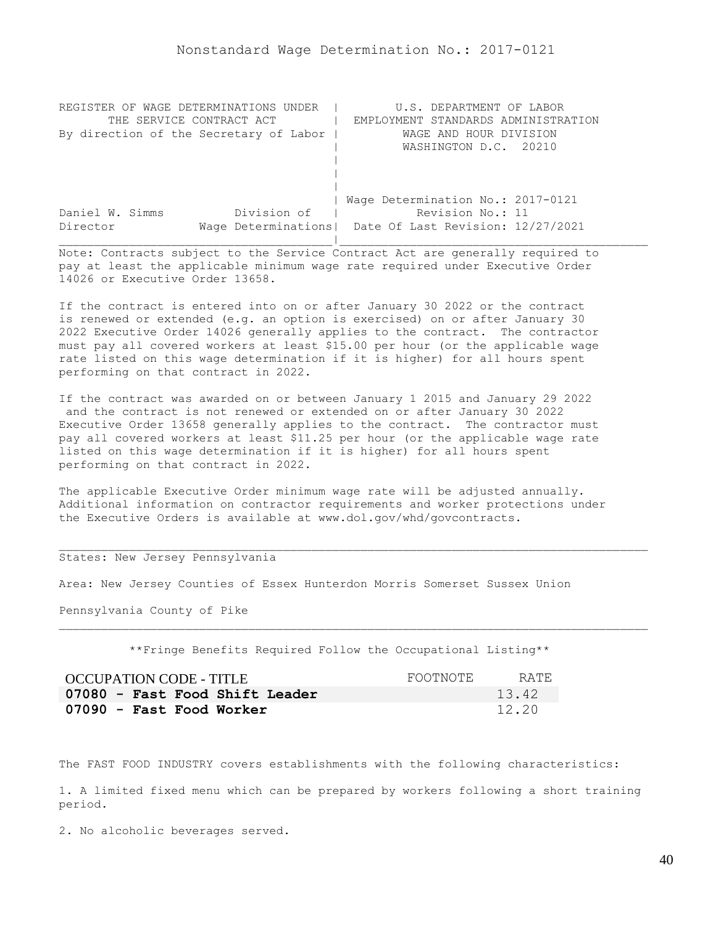| REGISTER OF WAGE DETERMINATIONS UNDER  | U.S. DEPARTMENT OF LABOR                                |
|----------------------------------------|---------------------------------------------------------|
| THE SERVICE CONTRACT ACT               | EMPLOYMENT STANDARDS ADMINISTRATION                     |
| By direction of the Secretary of Labor | WAGE AND HOUR DIVISION                                  |
|                                        | WASHINGTON D.C. 20210                                   |
|                                        |                                                         |
|                                        |                                                         |
|                                        |                                                         |
|                                        | Wage Determination No.: 2017-0121                       |
| Division of<br>Daniel W. Simms         | Revision No.: 11                                        |
| Director                               | Wage Determinations   Date Of Last Revision: 12/27/2021 |
|                                        |                                                         |

If the contract is entered into on or after January 30 2022 or the contract is renewed or extended (e.g. an option is exercised) on or after January 30 2022 Executive Order 14026 generally applies to the contract. The contractor must pay all covered workers at least \$15.00 per hour (or the applicable wage rate listed on this wage determination if it is higher) for all hours spent performing on that contract in 2022.

If the contract was awarded on or between January 1 2015 and January 29 2022 and the contract is not renewed or extended on or after January 30 2022 Executive Order 13658 generally applies to the contract. The contractor must pay all covered workers at least \$11.25 per hour (or the applicable wage rate listed on this wage determination if it is higher) for all hours spent performing on that contract in 2022.

The applicable Executive Order minimum wage rate will be adjusted annually. Additional information on contractor requirements and worker protections under the Executive Orders is available at www.dol.gov/whd/govcontracts.

## States: New Jersey Pennsylvania

Area: New Jersey Counties of Essex Hunterdon Morris Somerset Sussex Union

Pennsylvania County of Pike

\*\*Fringe Benefits Required Follow the Occupational Listing\*\*

| OCCUPATION CODE - TITLE        | FOOTNOTE | RATE. |
|--------------------------------|----------|-------|
| 07080 - Fast Food Shift Leader |          | 13.42 |
| 07090 - Fast Food Worker       |          | 12.20 |

The FAST FOOD INDUSTRY covers establishments with the following characteristics:

1. A limited fixed menu which can be prepared by workers following a short training period.

2. No alcoholic beverages served.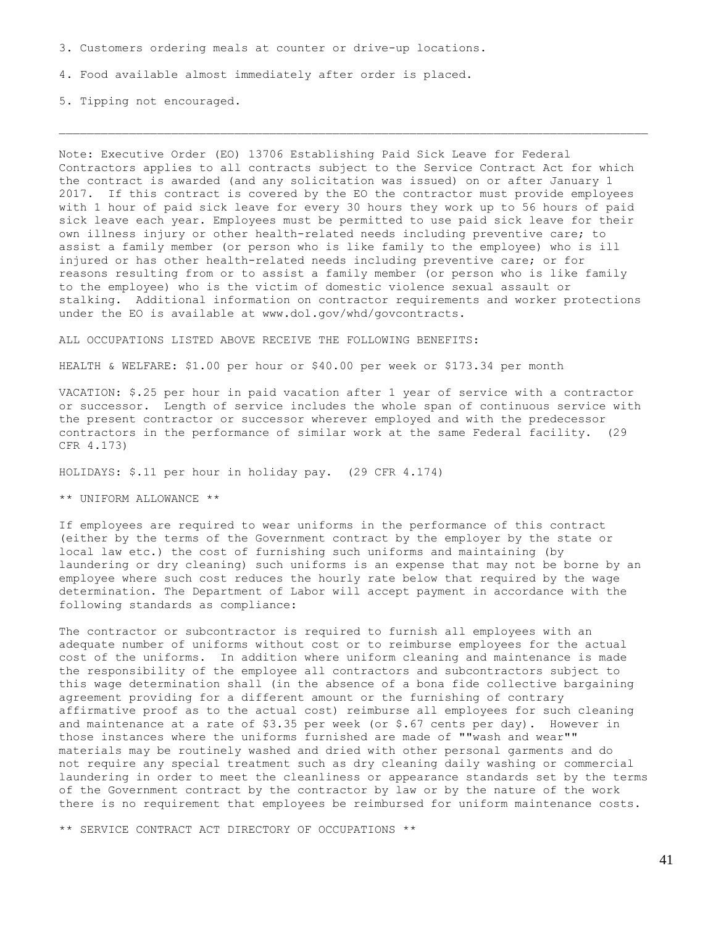3. Customers ordering meals at counter or drive-up locations.

4. Food available almost immediately after order is placed.

5. Tipping not encouraged.

Note: Executive Order (EO) 13706 Establishing Paid Sick Leave for Federal Contractors applies to all contracts subject to the Service Contract Act for which the contract is awarded (and any solicitation was issued) on or after January 1 2017. If this contract is covered by the EO the contractor must provide employees with 1 hour of paid sick leave for every 30 hours they work up to 56 hours of paid sick leave each year. Employees must be permitted to use paid sick leave for their own illness injury or other health-related needs including preventive care; to assist a family member (or person who is like family to the employee) who is ill injured or has other health-related needs including preventive care; or for reasons resulting from or to assist a family member (or person who is like family to the employee) who is the victim of domestic violence sexual assault or stalking. Additional information on contractor requirements and worker protections under the EO is available at www.dol.gov/whd/govcontracts.

ALL OCCUPATIONS LISTED ABOVE RECEIVE THE FOLLOWING BENEFITS:

HEALTH & WELFARE: \$1.00 per hour or \$40.00 per week or \$173.34 per month

VACATION: \$.25 per hour in paid vacation after 1 year of service with a contractor or successor. Length of service includes the whole span of continuous service with the present contractor or successor wherever employed and with the predecessor contractors in the performance of similar work at the same Federal facility. (29 CFR 4.173)

HOLIDAYS: \$.11 per hour in holiday pay. (29 CFR 4.174)

\*\* UNIFORM ALLOWANCE \*\*

If employees are required to wear uniforms in the performance of this contract (either by the terms of the Government contract by the employer by the state or local law etc.) the cost of furnishing such uniforms and maintaining (by laundering or dry cleaning) such uniforms is an expense that may not be borne by an employee where such cost reduces the hourly rate below that required by the wage determination. The Department of Labor will accept payment in accordance with the following standards as compliance:

The contractor or subcontractor is required to furnish all employees with an adequate number of uniforms without cost or to reimburse employees for the actual cost of the uniforms. In addition where uniform cleaning and maintenance is made the responsibility of the employee all contractors and subcontractors subject to this wage determination shall (in the absence of a bona fide collective bargaining agreement providing for a different amount or the furnishing of contrary affirmative proof as to the actual cost) reimburse all employees for such cleaning and maintenance at a rate of  $$3.35$  per week (or  $$.67$  cents per day). However in those instances where the uniforms furnished are made of ""wash and wear"" materials may be routinely washed and dried with other personal garments and do not require any special treatment such as dry cleaning daily washing or commercial laundering in order to meet the cleanliness or appearance standards set by the terms of the Government contract by the contractor by law or by the nature of the work there is no requirement that employees be reimbursed for uniform maintenance costs.

\*\* SERVICE CONTRACT ACT DIRECTORY OF OCCUPATIONS \*\*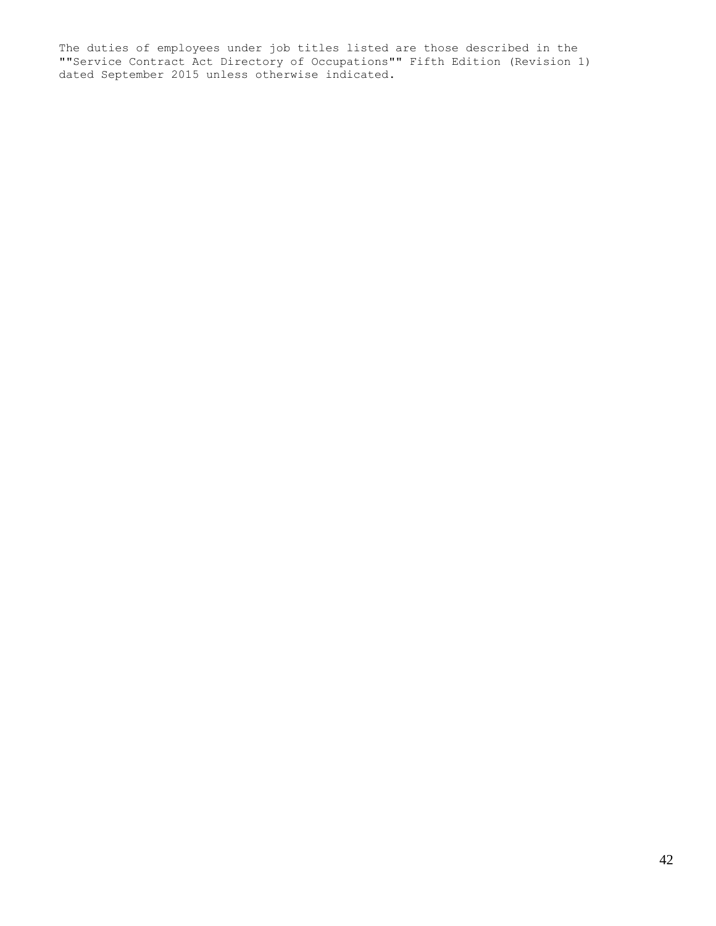The duties of employees under job titles listed are those described in the ""Service Contract Act Directory of Occupations"" Fifth Edition (Revision 1) dated September 2015 unless otherwise indicated.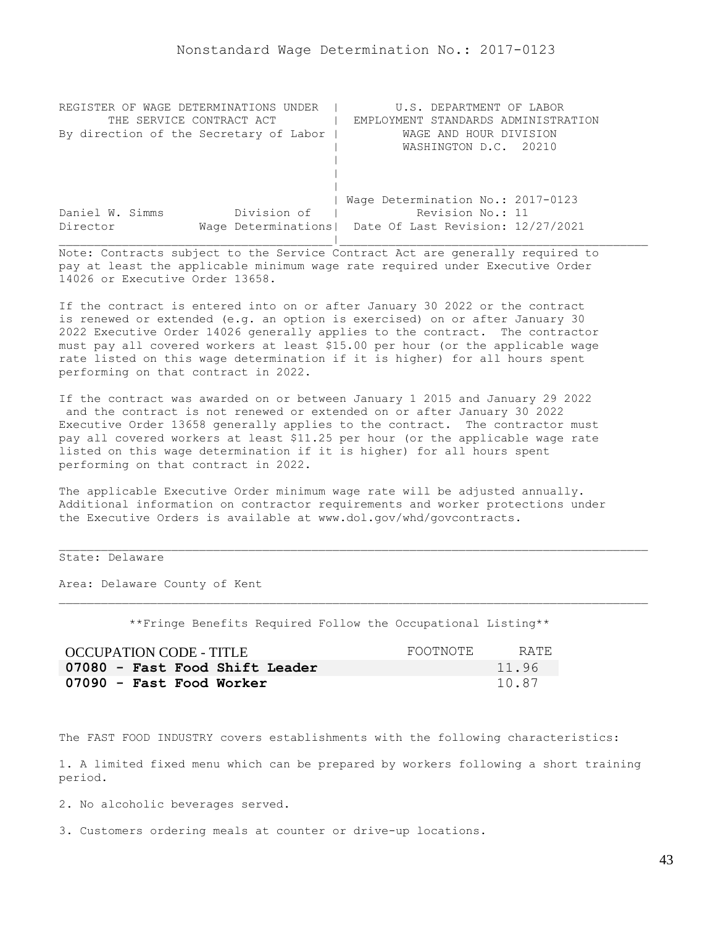| REGISTER OF WAGE DETERMINATIONS UNDER  | U.S. DEPARTMENT OF LABOR                                |
|----------------------------------------|---------------------------------------------------------|
| THE SERVICE CONTRACT ACT               | EMPLOYMENT STANDARDS ADMINISTRATION                     |
| By direction of the Secretary of Labor | WAGE AND HOUR DIVISION                                  |
|                                        | WASHINGTON D.C. 20210                                   |
|                                        |                                                         |
|                                        |                                                         |
|                                        |                                                         |
|                                        | Wage Determination No.: 2017-0123                       |
| Division of<br>Daniel W. Simms         | Revision No.: 11                                        |
| Director                               | Wage Determinations   Date Of Last Revision: 12/27/2021 |
|                                        |                                                         |

If the contract is entered into on or after January 30 2022 or the contract is renewed or extended (e.g. an option is exercised) on or after January 30 2022 Executive Order 14026 generally applies to the contract. The contractor must pay all covered workers at least \$15.00 per hour (or the applicable wage rate listed on this wage determination if it is higher) for all hours spent performing on that contract in 2022.

If the contract was awarded on or between January 1 2015 and January 29 2022 and the contract is not renewed or extended on or after January 30 2022 Executive Order 13658 generally applies to the contract. The contractor must pay all covered workers at least \$11.25 per hour (or the applicable wage rate listed on this wage determination if it is higher) for all hours spent performing on that contract in 2022.

The applicable Executive Order minimum wage rate will be adjusted annually. Additional information on contractor requirements and worker protections under the Executive Orders is available at www.dol.gov/whd/govcontracts.

## State: Delaware

Area: Delaware County of Kent

\*\*Fringe Benefits Required Follow the Occupational Listing\*\*

| <b>OCCUPATION CODE - TITLE</b> | FOOTNOTE | RATE. |
|--------------------------------|----------|-------|
| 07080 - Fast Food Shift Leader |          | 11.96 |
| 07090 - Fast Food Worker       |          | 10.87 |

The FAST FOOD INDUSTRY covers establishments with the following characteristics:

1. A limited fixed menu which can be prepared by workers following a short training period.

2. No alcoholic beverages served.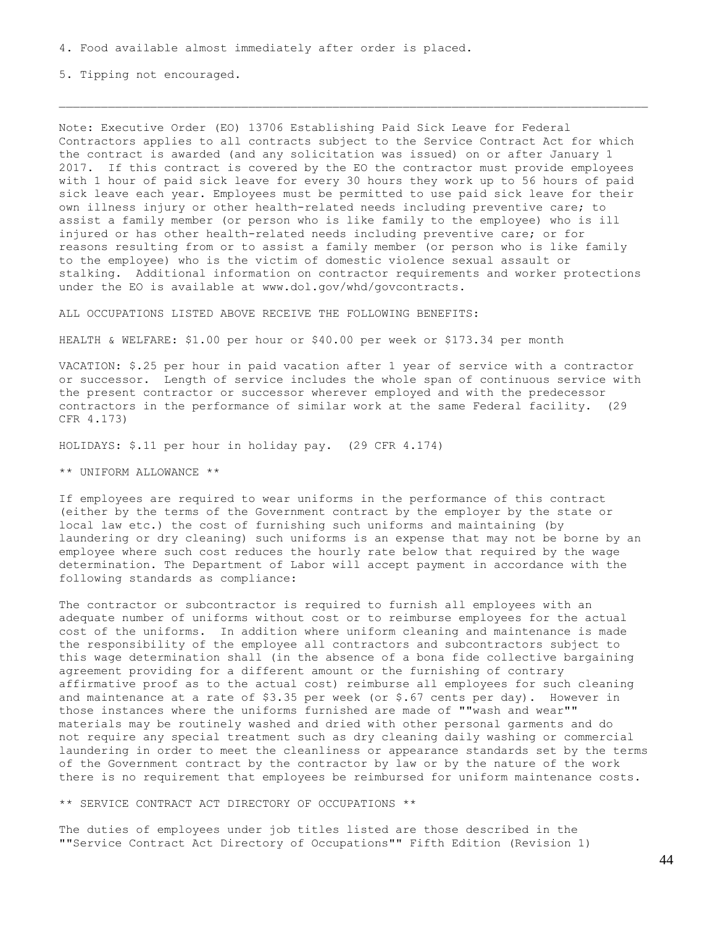5. Tipping not encouraged.

Note: Executive Order (EO) 13706 Establishing Paid Sick Leave for Federal Contractors applies to all contracts subject to the Service Contract Act for which the contract is awarded (and any solicitation was issued) on or after January 1 2017. If this contract is covered by the EO the contractor must provide employees with 1 hour of paid sick leave for every 30 hours they work up to 56 hours of paid sick leave each year. Employees must be permitted to use paid sick leave for their own illness injury or other health-related needs including preventive care; to assist a family member (or person who is like family to the employee) who is ill injured or has other health-related needs including preventive care; or for reasons resulting from or to assist a family member (or person who is like family to the employee) who is the victim of domestic violence sexual assault or stalking. Additional information on contractor requirements and worker protections under the EO is available at www.dol.gov/whd/govcontracts.

ALL OCCUPATIONS LISTED ABOVE RECEIVE THE FOLLOWING BENEFITS:

HEALTH & WELFARE: \$1.00 per hour or \$40.00 per week or \$173.34 per month

VACATION: \$.25 per hour in paid vacation after 1 year of service with a contractor or successor. Length of service includes the whole span of continuous service with the present contractor or successor wherever employed and with the predecessor contractors in the performance of similar work at the same Federal facility. (29 CFR 4.173)

HOLIDAYS: \$.11 per hour in holiday pay. (29 CFR 4.174)

\*\* UNIFORM ALLOWANCE \*\*

If employees are required to wear uniforms in the performance of this contract (either by the terms of the Government contract by the employer by the state or local law etc.) the cost of furnishing such uniforms and maintaining (by laundering or dry cleaning) such uniforms is an expense that may not be borne by an employee where such cost reduces the hourly rate below that required by the wage determination. The Department of Labor will accept payment in accordance with the following standards as compliance:

The contractor or subcontractor is required to furnish all employees with an adequate number of uniforms without cost or to reimburse employees for the actual cost of the uniforms. In addition where uniform cleaning and maintenance is made the responsibility of the employee all contractors and subcontractors subject to this wage determination shall (in the absence of a bona fide collective bargaining agreement providing for a different amount or the furnishing of contrary affirmative proof as to the actual cost) reimburse all employees for such cleaning and maintenance at a rate of \$3.35 per week (or \$.67 cents per day). However in those instances where the uniforms furnished are made of ""wash and wear"" materials may be routinely washed and dried with other personal garments and do not require any special treatment such as dry cleaning daily washing or commercial laundering in order to meet the cleanliness or appearance standards set by the terms of the Government contract by the contractor by law or by the nature of the work there is no requirement that employees be reimbursed for uniform maintenance costs.

\*\* SERVICE CONTRACT ACT DIRECTORY OF OCCUPATIONS \*\*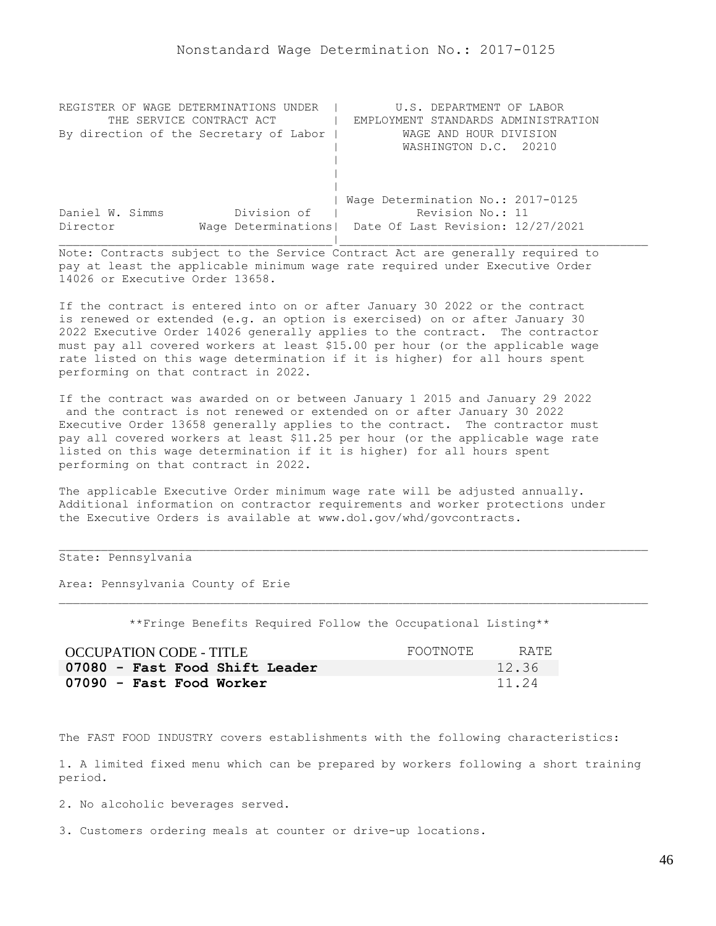| REGISTER OF WAGE DETERMINATIONS UNDER  | U.S. DEPARTMENT OF LABOR                                |
|----------------------------------------|---------------------------------------------------------|
| THE SERVICE CONTRACT ACT               | EMPLOYMENT STANDARDS ADMINISTRATION                     |
| By direction of the Secretary of Labor | WAGE AND HOUR DIVISION                                  |
|                                        | WASHINGTON D.C. 20210                                   |
|                                        |                                                         |
|                                        |                                                         |
|                                        |                                                         |
|                                        | Wage Determination No.: 2017-0125                       |
| Division of<br>Daniel W. Simms         | Revision No.: 11                                        |
| Director                               | Wage Determinations   Date Of Last Revision: 12/27/2021 |
|                                        |                                                         |

If the contract is entered into on or after January 30 2022 or the contract is renewed or extended (e.g. an option is exercised) on or after January 30 2022 Executive Order 14026 generally applies to the contract. The contractor must pay all covered workers at least \$15.00 per hour (or the applicable wage rate listed on this wage determination if it is higher) for all hours spent performing on that contract in 2022.

If the contract was awarded on or between January 1 2015 and January 29 2022 and the contract is not renewed or extended on or after January 30 2022 Executive Order 13658 generally applies to the contract. The contractor must pay all covered workers at least \$11.25 per hour (or the applicable wage rate listed on this wage determination if it is higher) for all hours spent performing on that contract in 2022.

The applicable Executive Order minimum wage rate will be adjusted annually. Additional information on contractor requirements and worker protections under the Executive Orders is available at www.dol.gov/whd/govcontracts.

## State: Pennsylvania

Area: Pennsylvania County of Erie

\*\*Fringe Benefits Required Follow the Occupational Listing\*\*

| OCCUPATION CODE - TITLE        | FOOTNOTE | RATE. |
|--------------------------------|----------|-------|
| 07080 - Fast Food Shift Leader |          | 12.36 |
| 07090 - Fast Food Worker       |          | 11.24 |

The FAST FOOD INDUSTRY covers establishments with the following characteristics:

1. A limited fixed menu which can be prepared by workers following a short training period.

2. No alcoholic beverages served.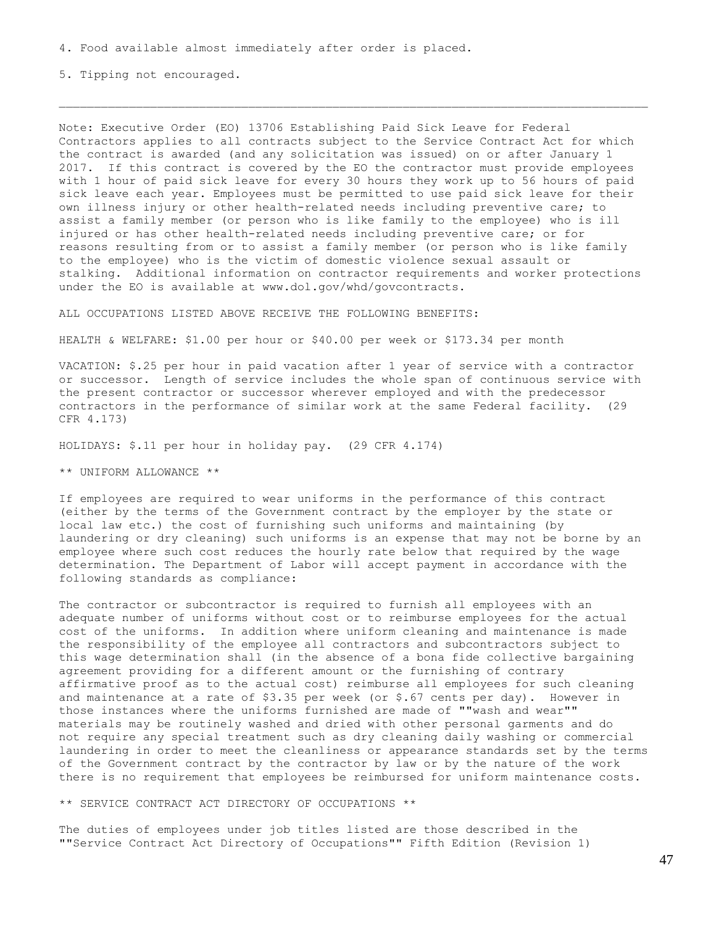5. Tipping not encouraged.

Note: Executive Order (EO) 13706 Establishing Paid Sick Leave for Federal Contractors applies to all contracts subject to the Service Contract Act for which the contract is awarded (and any solicitation was issued) on or after January 1 2017. If this contract is covered by the EO the contractor must provide employees with 1 hour of paid sick leave for every 30 hours they work up to 56 hours of paid sick leave each year. Employees must be permitted to use paid sick leave for their own illness injury or other health-related needs including preventive care; to assist a family member (or person who is like family to the employee) who is ill injured or has other health-related needs including preventive care; or for reasons resulting from or to assist a family member (or person who is like family to the employee) who is the victim of domestic violence sexual assault or stalking. Additional information on contractor requirements and worker protections under the EO is available at www.dol.gov/whd/govcontracts.

ALL OCCUPATIONS LISTED ABOVE RECEIVE THE FOLLOWING BENEFITS:

HEALTH & WELFARE: \$1.00 per hour or \$40.00 per week or \$173.34 per month

VACATION: \$.25 per hour in paid vacation after 1 year of service with a contractor or successor. Length of service includes the whole span of continuous service with the present contractor or successor wherever employed and with the predecessor contractors in the performance of similar work at the same Federal facility. (29 CFR 4.173)

HOLIDAYS: \$.11 per hour in holiday pay. (29 CFR 4.174)

\*\* UNIFORM ALLOWANCE \*\*

If employees are required to wear uniforms in the performance of this contract (either by the terms of the Government contract by the employer by the state or local law etc.) the cost of furnishing such uniforms and maintaining (by laundering or dry cleaning) such uniforms is an expense that may not be borne by an employee where such cost reduces the hourly rate below that required by the wage determination. The Department of Labor will accept payment in accordance with the following standards as compliance:

The contractor or subcontractor is required to furnish all employees with an adequate number of uniforms without cost or to reimburse employees for the actual cost of the uniforms. In addition where uniform cleaning and maintenance is made the responsibility of the employee all contractors and subcontractors subject to this wage determination shall (in the absence of a bona fide collective bargaining agreement providing for a different amount or the furnishing of contrary affirmative proof as to the actual cost) reimburse all employees for such cleaning and maintenance at a rate of  $$3.35$  per week (or  $$.67$  cents per day). However in those instances where the uniforms furnished are made of ""wash and wear"" materials may be routinely washed and dried with other personal garments and do not require any special treatment such as dry cleaning daily washing or commercial laundering in order to meet the cleanliness or appearance standards set by the terms of the Government contract by the contractor by law or by the nature of the work there is no requirement that employees be reimbursed for uniform maintenance costs.

\*\* SERVICE CONTRACT ACT DIRECTORY OF OCCUPATIONS \*\*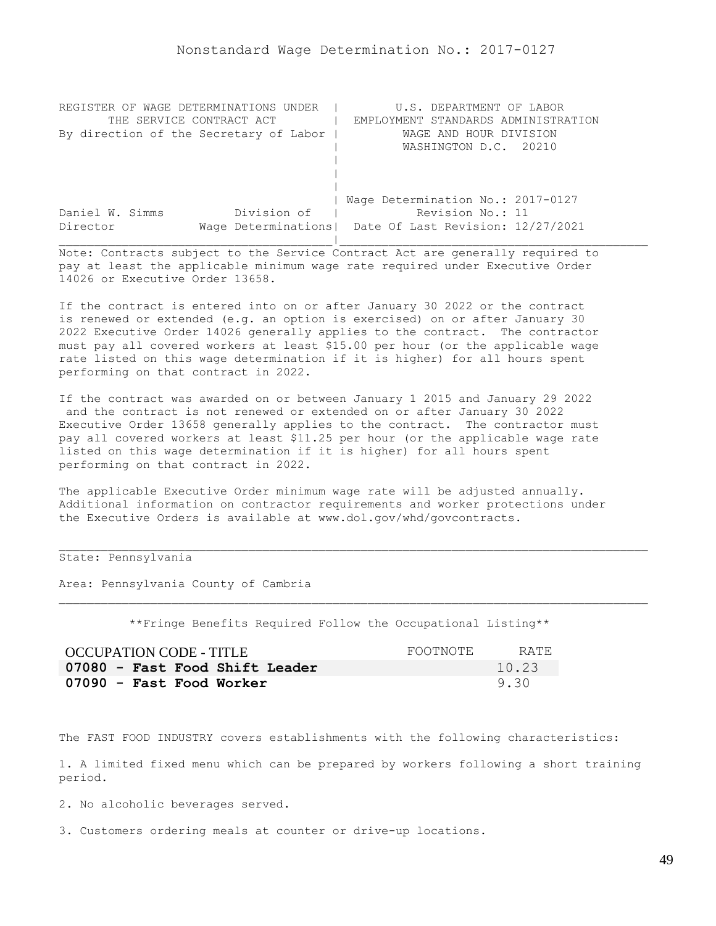| REGISTER OF WAGE DETERMINATIONS UNDER  | U.S. DEPARTMENT OF LABOR                                |
|----------------------------------------|---------------------------------------------------------|
| THE SERVICE CONTRACT ACT               | EMPLOYMENT STANDARDS ADMINISTRATION                     |
| By direction of the Secretary of Labor | WAGE AND HOUR DIVISION                                  |
|                                        | WASHINGTON D.C. 20210                                   |
|                                        |                                                         |
|                                        |                                                         |
|                                        |                                                         |
|                                        | Wage Determination No.: 2017-0127                       |
| Division of<br>Daniel W. Simms         | Revision No.: 11                                        |
| Director                               | Wage Determinations   Date Of Last Revision: 12/27/2021 |
|                                        |                                                         |

If the contract is entered into on or after January 30 2022 or the contract is renewed or extended (e.g. an option is exercised) on or after January 30 2022 Executive Order 14026 generally applies to the contract. The contractor must pay all covered workers at least \$15.00 per hour (or the applicable wage rate listed on this wage determination if it is higher) for all hours spent performing on that contract in 2022.

If the contract was awarded on or between January 1 2015 and January 29 2022 and the contract is not renewed or extended on or after January 30 2022 Executive Order 13658 generally applies to the contract. The contractor must pay all covered workers at least \$11.25 per hour (or the applicable wage rate listed on this wage determination if it is higher) for all hours spent performing on that contract in 2022.

The applicable Executive Order minimum wage rate will be adjusted annually. Additional information on contractor requirements and worker protections under the Executive Orders is available at www.dol.gov/whd/govcontracts.

## State: Pennsylvania

Area: Pennsylvania County of Cambria

\*\*Fringe Benefits Required Follow the Occupational Listing\*\*

| <b>OCCUPATION CODE - TITLE</b> | FOOTNOTE | RATE. |
|--------------------------------|----------|-------|
| 07080 - Fast Food Shift Leader |          | 10.23 |
| 07090 - Fast Food Worker       |          | 9.30  |

The FAST FOOD INDUSTRY covers establishments with the following characteristics:

1. A limited fixed menu which can be prepared by workers following a short training period.

2. No alcoholic beverages served.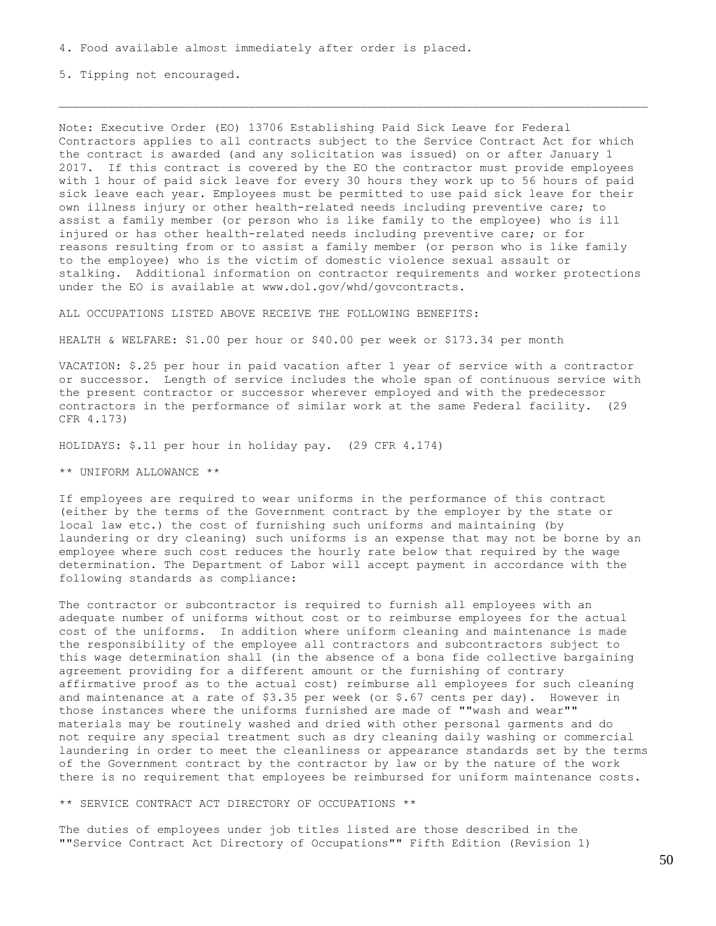5. Tipping not encouraged.

Note: Executive Order (EO) 13706 Establishing Paid Sick Leave for Federal Contractors applies to all contracts subject to the Service Contract Act for which the contract is awarded (and any solicitation was issued) on or after January 1 2017. If this contract is covered by the EO the contractor must provide employees with 1 hour of paid sick leave for every 30 hours they work up to 56 hours of paid sick leave each year. Employees must be permitted to use paid sick leave for their own illness injury or other health-related needs including preventive care; to assist a family member (or person who is like family to the employee) who is ill injured or has other health-related needs including preventive care; or for reasons resulting from or to assist a family member (or person who is like family to the employee) who is the victim of domestic violence sexual assault or stalking. Additional information on contractor requirements and worker protections under the EO is available at www.dol.gov/whd/govcontracts.

ALL OCCUPATIONS LISTED ABOVE RECEIVE THE FOLLOWING BENEFITS:

HEALTH & WELFARE: \$1.00 per hour or \$40.00 per week or \$173.34 per month

VACATION: \$.25 per hour in paid vacation after 1 year of service with a contractor or successor. Length of service includes the whole span of continuous service with the present contractor or successor wherever employed and with the predecessor contractors in the performance of similar work at the same Federal facility. (29 CFR 4.173)

HOLIDAYS: \$.11 per hour in holiday pay. (29 CFR 4.174)

\*\* UNIFORM ALLOWANCE \*\*

If employees are required to wear uniforms in the performance of this contract (either by the terms of the Government contract by the employer by the state or local law etc.) the cost of furnishing such uniforms and maintaining (by laundering or dry cleaning) such uniforms is an expense that may not be borne by an employee where such cost reduces the hourly rate below that required by the wage determination. The Department of Labor will accept payment in accordance with the following standards as compliance:

The contractor or subcontractor is required to furnish all employees with an adequate number of uniforms without cost or to reimburse employees for the actual cost of the uniforms. In addition where uniform cleaning and maintenance is made the responsibility of the employee all contractors and subcontractors subject to this wage determination shall (in the absence of a bona fide collective bargaining agreement providing for a different amount or the furnishing of contrary affirmative proof as to the actual cost) reimburse all employees for such cleaning and maintenance at a rate of  $$3.35$  per week (or  $$.67$  cents per day). However in those instances where the uniforms furnished are made of ""wash and wear"" materials may be routinely washed and dried with other personal garments and do not require any special treatment such as dry cleaning daily washing or commercial laundering in order to meet the cleanliness or appearance standards set by the terms of the Government contract by the contractor by law or by the nature of the work there is no requirement that employees be reimbursed for uniform maintenance costs.

\*\* SERVICE CONTRACT ACT DIRECTORY OF OCCUPATIONS \*\*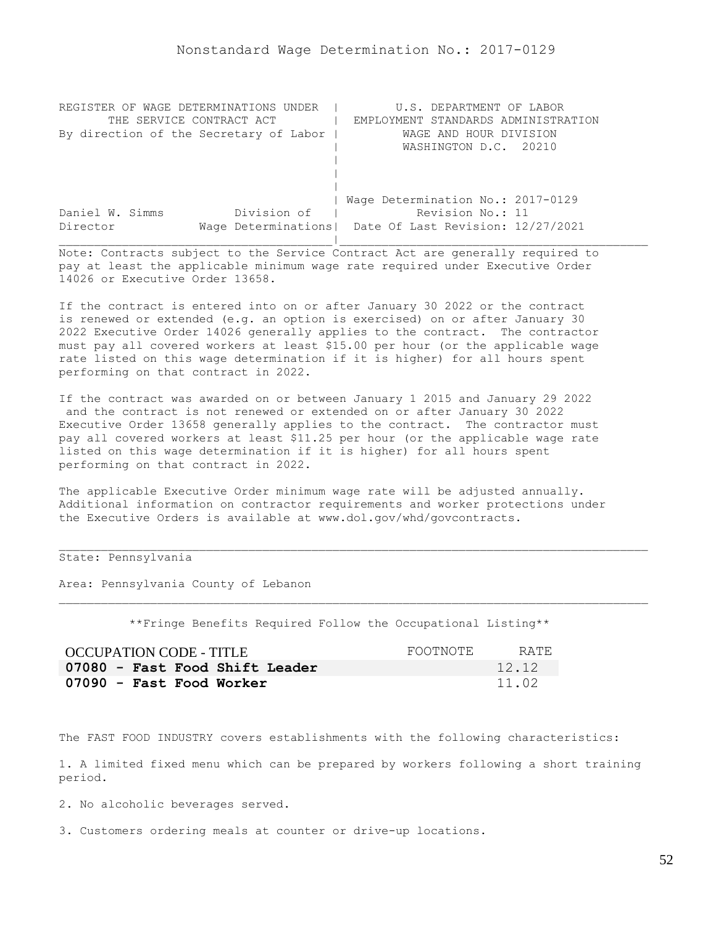| REGISTER OF WAGE DETERMINATIONS UNDER  | U.S. DEPARTMENT OF LABOR                                |
|----------------------------------------|---------------------------------------------------------|
| THE SERVICE CONTRACT ACT               | EMPLOYMENT STANDARDS ADMINISTRATION                     |
| By direction of the Secretary of Labor | WAGE AND HOUR DIVISION                                  |
|                                        | WASHINGTON D.C. 20210                                   |
|                                        |                                                         |
|                                        |                                                         |
|                                        |                                                         |
|                                        | Wage Determination No.: 2017-0129                       |
| Division of<br>Daniel W. Simms         | Revision No.: 11                                        |
| Director                               | Wage Determinations   Date Of Last Revision: 12/27/2021 |
|                                        |                                                         |

If the contract is entered into on or after January 30 2022 or the contract is renewed or extended (e.g. an option is exercised) on or after January 30 2022 Executive Order 14026 generally applies to the contract. The contractor must pay all covered workers at least \$15.00 per hour (or the applicable wage rate listed on this wage determination if it is higher) for all hours spent performing on that contract in 2022.

If the contract was awarded on or between January 1 2015 and January 29 2022 and the contract is not renewed or extended on or after January 30 2022 Executive Order 13658 generally applies to the contract. The contractor must pay all covered workers at least \$11.25 per hour (or the applicable wage rate listed on this wage determination if it is higher) for all hours spent performing on that contract in 2022.

The applicable Executive Order minimum wage rate will be adjusted annually. Additional information on contractor requirements and worker protections under the Executive Orders is available at www.dol.gov/whd/govcontracts.

## State: Pennsylvania

Area: Pennsylvania County of Lebanon

\*\*Fringe Benefits Required Follow the Occupational Listing\*\*

| <b>OCCUPATION CODE - TITLE</b> | FOOTNOTE | RATE. |
|--------------------------------|----------|-------|
| 07080 - Fast Food Shift Leader |          | 12.12 |
| 07090 - Fast Food Worker       |          | 11.02 |

The FAST FOOD INDUSTRY covers establishments with the following characteristics:

1. A limited fixed menu which can be prepared by workers following a short training period.

2. No alcoholic beverages served.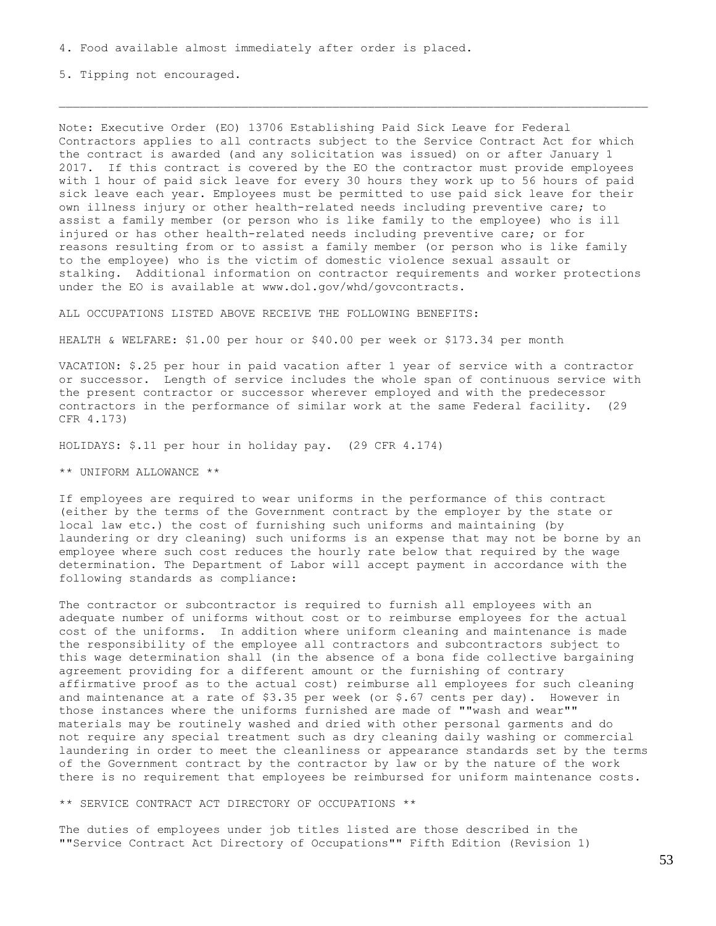5. Tipping not encouraged.

Note: Executive Order (EO) 13706 Establishing Paid Sick Leave for Federal Contractors applies to all contracts subject to the Service Contract Act for which the contract is awarded (and any solicitation was issued) on or after January 1 2017. If this contract is covered by the EO the contractor must provide employees with 1 hour of paid sick leave for every 30 hours they work up to 56 hours of paid sick leave each year. Employees must be permitted to use paid sick leave for their own illness injury or other health-related needs including preventive care; to assist a family member (or person who is like family to the employee) who is ill injured or has other health-related needs including preventive care; or for reasons resulting from or to assist a family member (or person who is like family to the employee) who is the victim of domestic violence sexual assault or stalking. Additional information on contractor requirements and worker protections under the EO is available at www.dol.gov/whd/govcontracts.

ALL OCCUPATIONS LISTED ABOVE RECEIVE THE FOLLOWING BENEFITS:

HEALTH & WELFARE: \$1.00 per hour or \$40.00 per week or \$173.34 per month

VACATION: \$.25 per hour in paid vacation after 1 year of service with a contractor or successor. Length of service includes the whole span of continuous service with the present contractor or successor wherever employed and with the predecessor contractors in the performance of similar work at the same Federal facility. (29 CFR 4.173)

HOLIDAYS: \$.11 per hour in holiday pay. (29 CFR 4.174)

\*\* UNIFORM ALLOWANCE \*\*

If employees are required to wear uniforms in the performance of this contract (either by the terms of the Government contract by the employer by the state or local law etc.) the cost of furnishing such uniforms and maintaining (by laundering or dry cleaning) such uniforms is an expense that may not be borne by an employee where such cost reduces the hourly rate below that required by the wage determination. The Department of Labor will accept payment in accordance with the following standards as compliance:

The contractor or subcontractor is required to furnish all employees with an adequate number of uniforms without cost or to reimburse employees for the actual cost of the uniforms. In addition where uniform cleaning and maintenance is made the responsibility of the employee all contractors and subcontractors subject to this wage determination shall (in the absence of a bona fide collective bargaining agreement providing for a different amount or the furnishing of contrary affirmative proof as to the actual cost) reimburse all employees for such cleaning and maintenance at a rate of  $$3.35$  per week (or  $$.67$  cents per day). However in those instances where the uniforms furnished are made of ""wash and wear"" materials may be routinely washed and dried with other personal garments and do not require any special treatment such as dry cleaning daily washing or commercial laundering in order to meet the cleanliness or appearance standards set by the terms of the Government contract by the contractor by law or by the nature of the work there is no requirement that employees be reimbursed for uniform maintenance costs.

\*\* SERVICE CONTRACT ACT DIRECTORY OF OCCUPATIONS \*\*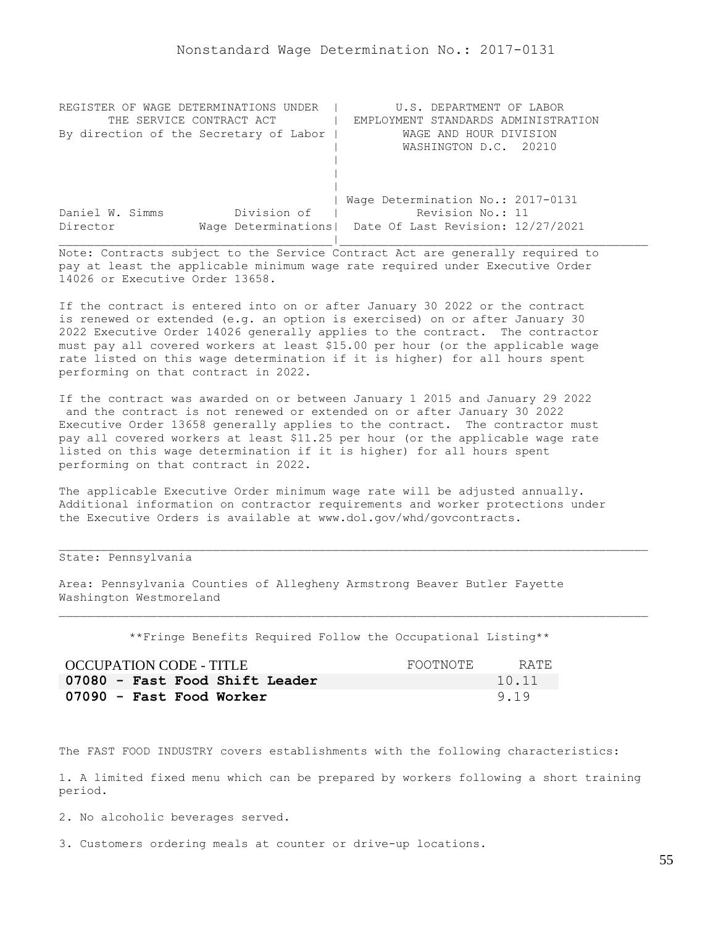| REGISTER OF WAGE DETERMINATIONS UNDER  | U.S. DEPARTMENT OF LABOR                                |  |
|----------------------------------------|---------------------------------------------------------|--|
| THE SERVICE CONTRACT ACT               | EMPLOYMENT STANDARDS ADMINISTRATION                     |  |
| By direction of the Secretary of Labor | WAGE AND HOUR DIVISION                                  |  |
|                                        | WASHINGTON D.C. 20210                                   |  |
|                                        |                                                         |  |
|                                        |                                                         |  |
|                                        |                                                         |  |
|                                        | Wage Determination No.: 2017-0131                       |  |
| Division of<br>Daniel W. Simms         | Revision No.: 11                                        |  |
| Director                               | Wage Determinations   Date Of Last Revision: 12/27/2021 |  |
|                                        |                                                         |  |

If the contract is entered into on or after January 30 2022 or the contract is renewed or extended (e.g. an option is exercised) on or after January 30 2022 Executive Order 14026 generally applies to the contract. The contractor must pay all covered workers at least \$15.00 per hour (or the applicable wage rate listed on this wage determination if it is higher) for all hours spent performing on that contract in 2022.

If the contract was awarded on or between January 1 2015 and January 29 2022 and the contract is not renewed or extended on or after January 30 2022 Executive Order 13658 generally applies to the contract. The contractor must pay all covered workers at least \$11.25 per hour (or the applicable wage rate listed on this wage determination if it is higher) for all hours spent performing on that contract in 2022.

The applicable Executive Order minimum wage rate will be adjusted annually. Additional information on contractor requirements and worker protections under the Executive Orders is available at www.dol.gov/whd/govcontracts.

## State: Pennsylvania

Area: Pennsylvania Counties of Allegheny Armstrong Beaver Butler Fayette Washington Westmoreland

\*\*Fringe Benefits Required Follow the Occupational Listing\*\*

| OCCUPATION CODE - TITLE        | FOOTNOTE | RATE. |
|--------------------------------|----------|-------|
| 07080 - Fast Food Shift Leader |          | 10.11 |
| 07090 - Fast Food Worker       |          | 9.19  |

The FAST FOOD INDUSTRY covers establishments with the following characteristics:

1. A limited fixed menu which can be prepared by workers following a short training period.

2. No alcoholic beverages served.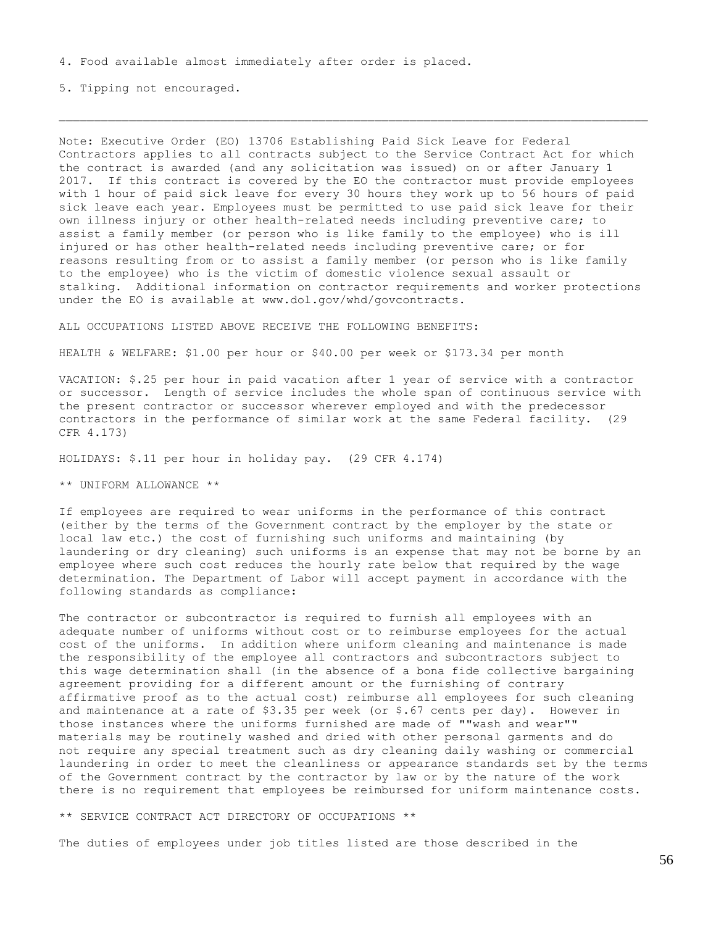5. Tipping not encouraged.

Note: Executive Order (EO) 13706 Establishing Paid Sick Leave for Federal Contractors applies to all contracts subject to the Service Contract Act for which the contract is awarded (and any solicitation was issued) on or after January 1 2017. If this contract is covered by the EO the contractor must provide employees with 1 hour of paid sick leave for every 30 hours they work up to 56 hours of paid sick leave each year. Employees must be permitted to use paid sick leave for their own illness injury or other health-related needs including preventive care; to assist a family member (or person who is like family to the employee) who is ill injured or has other health-related needs including preventive care; or for reasons resulting from or to assist a family member (or person who is like family to the employee) who is the victim of domestic violence sexual assault or stalking. Additional information on contractor requirements and worker protections under the EO is available at www.dol.gov/whd/govcontracts.

ALL OCCUPATIONS LISTED ABOVE RECEIVE THE FOLLOWING BENEFITS:

HEALTH & WELFARE: \$1.00 per hour or \$40.00 per week or \$173.34 per month

VACATION: \$.25 per hour in paid vacation after 1 year of service with a contractor or successor. Length of service includes the whole span of continuous service with the present contractor or successor wherever employed and with the predecessor contractors in the performance of similar work at the same Federal facility. (29 CFR 4.173)

HOLIDAYS: \$.11 per hour in holiday pay. (29 CFR 4.174)

\*\* UNIFORM ALLOWANCE \*\*

If employees are required to wear uniforms in the performance of this contract (either by the terms of the Government contract by the employer by the state or local law etc.) the cost of furnishing such uniforms and maintaining (by laundering or dry cleaning) such uniforms is an expense that may not be borne by an employee where such cost reduces the hourly rate below that required by the wage determination. The Department of Labor will accept payment in accordance with the following standards as compliance:

The contractor or subcontractor is required to furnish all employees with an adequate number of uniforms without cost or to reimburse employees for the actual cost of the uniforms. In addition where uniform cleaning and maintenance is made the responsibility of the employee all contractors and subcontractors subject to this wage determination shall (in the absence of a bona fide collective bargaining agreement providing for a different amount or the furnishing of contrary affirmative proof as to the actual cost) reimburse all employees for such cleaning and maintenance at a rate of  $$3.35$  per week (or  $$.67$  cents per day). However in those instances where the uniforms furnished are made of ""wash and wear"" materials may be routinely washed and dried with other personal garments and do not require any special treatment such as dry cleaning daily washing or commercial laundering in order to meet the cleanliness or appearance standards set by the terms of the Government contract by the contractor by law or by the nature of the work there is no requirement that employees be reimbursed for uniform maintenance costs.

\*\* SERVICE CONTRACT ACT DIRECTORY OF OCCUPATIONS \*\*

The duties of employees under job titles listed are those described in the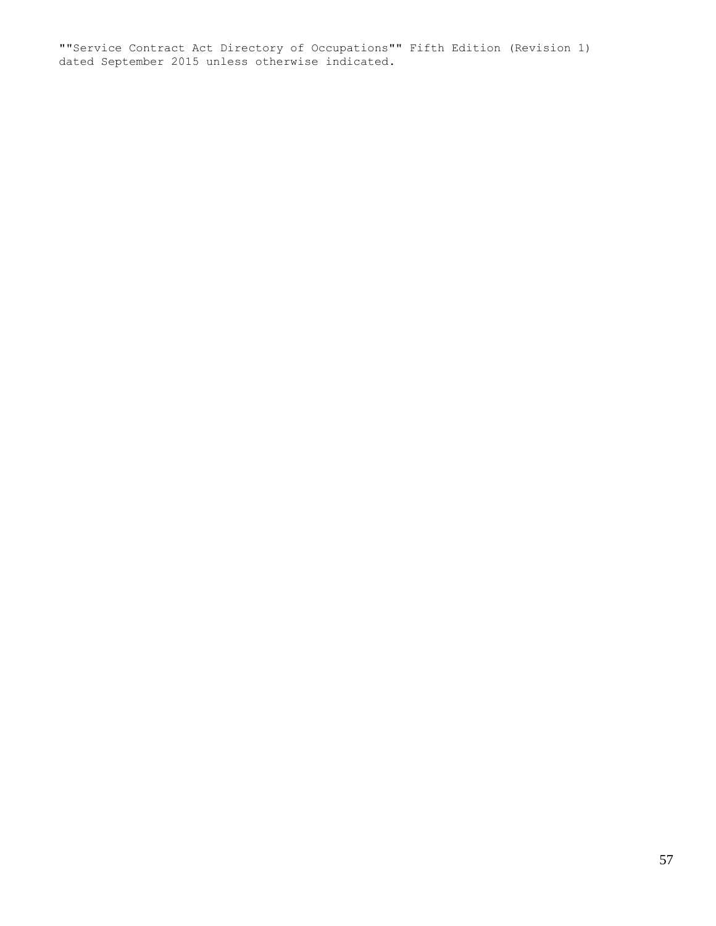""Service Contract Act Directory of Occupations"" Fifth Edition (Revision 1) dated September 2015 unless otherwise indicated.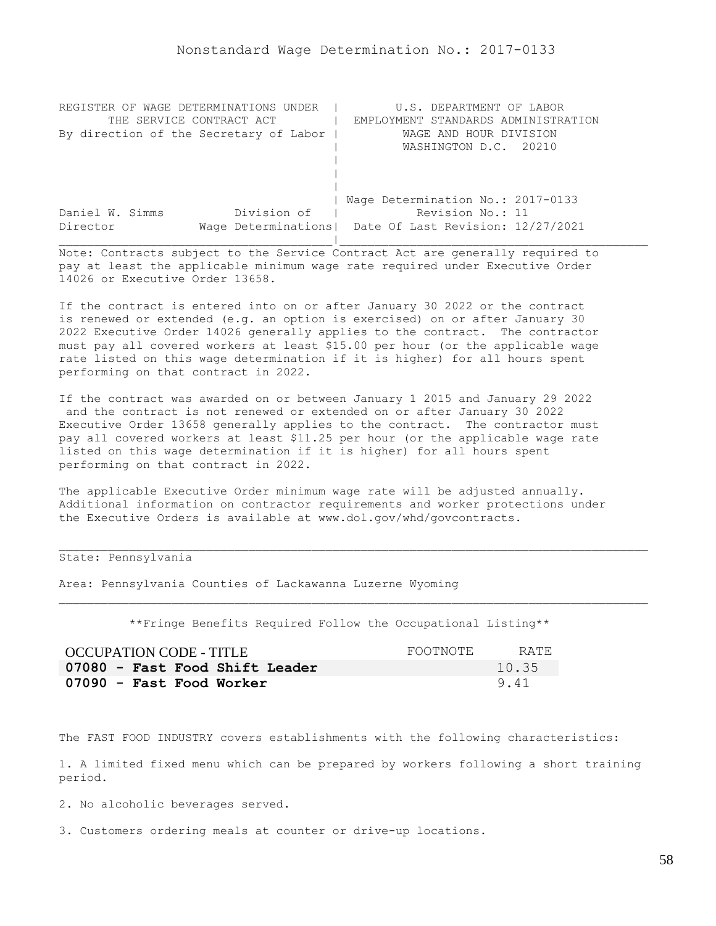| REGISTER OF WAGE DETERMINATIONS UNDER  | U.S. DEPARTMENT OF LABOR                                |
|----------------------------------------|---------------------------------------------------------|
| THE SERVICE CONTRACT ACT               | EMPLOYMENT STANDARDS ADMINISTRATION                     |
| By direction of the Secretary of Labor | WAGE AND HOUR DIVISION                                  |
|                                        | WASHINGTON D.C. 20210                                   |
|                                        |                                                         |
|                                        |                                                         |
|                                        |                                                         |
|                                        | Wage Determination No.: 2017-0133                       |
| Division of<br>Daniel W. Simms         | Revision No.: 11                                        |
| Director                               | Wage Determinations   Date Of Last Revision: 12/27/2021 |
|                                        |                                                         |

If the contract is entered into on or after January 30 2022 or the contract is renewed or extended (e.g. an option is exercised) on or after January 30 2022 Executive Order 14026 generally applies to the contract. The contractor must pay all covered workers at least \$15.00 per hour (or the applicable wage rate listed on this wage determination if it is higher) for all hours spent performing on that contract in 2022.

If the contract was awarded on or between January 1 2015 and January 29 2022 and the contract is not renewed or extended on or after January 30 2022 Executive Order 13658 generally applies to the contract. The contractor must pay all covered workers at least \$11.25 per hour (or the applicable wage rate listed on this wage determination if it is higher) for all hours spent performing on that contract in 2022.

The applicable Executive Order minimum wage rate will be adjusted annually. Additional information on contractor requirements and worker protections under the Executive Orders is available at www.dol.gov/whd/govcontracts.

## State: Pennsylvania

Area: Pennsylvania Counties of Lackawanna Luzerne Wyoming

\*\*Fringe Benefits Required Follow the Occupational Listing\*\*

| OCCUPATION CODE - TITLE        | FOOTNOTE | RATE  |
|--------------------------------|----------|-------|
| 07080 - Fast Food Shift Leader |          | 10.35 |
| 07090 - Fast Food Worker       |          | 9.41  |

The FAST FOOD INDUSTRY covers establishments with the following characteristics:

1. A limited fixed menu which can be prepared by workers following a short training period.

2. No alcoholic beverages served.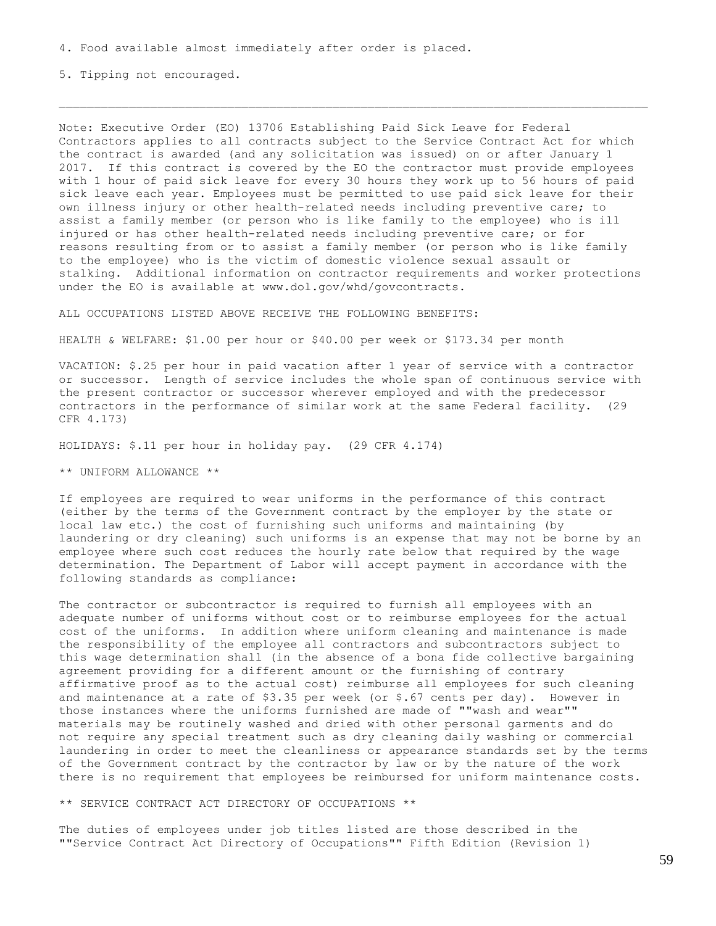5. Tipping not encouraged.

Note: Executive Order (EO) 13706 Establishing Paid Sick Leave for Federal Contractors applies to all contracts subject to the Service Contract Act for which the contract is awarded (and any solicitation was issued) on or after January 1 2017. If this contract is covered by the EO the contractor must provide employees with 1 hour of paid sick leave for every 30 hours they work up to 56 hours of paid sick leave each year. Employees must be permitted to use paid sick leave for their own illness injury or other health-related needs including preventive care; to assist a family member (or person who is like family to the employee) who is ill injured or has other health-related needs including preventive care; or for reasons resulting from or to assist a family member (or person who is like family to the employee) who is the victim of domestic violence sexual assault or stalking. Additional information on contractor requirements and worker protections under the EO is available at www.dol.gov/whd/govcontracts.

ALL OCCUPATIONS LISTED ABOVE RECEIVE THE FOLLOWING BENEFITS:

HEALTH & WELFARE: \$1.00 per hour or \$40.00 per week or \$173.34 per month

VACATION: \$.25 per hour in paid vacation after 1 year of service with a contractor or successor. Length of service includes the whole span of continuous service with the present contractor or successor wherever employed and with the predecessor contractors in the performance of similar work at the same Federal facility. (29 CFR 4.173)

HOLIDAYS: \$.11 per hour in holiday pay. (29 CFR 4.174)

\*\* UNIFORM ALLOWANCE \*\*

If employees are required to wear uniforms in the performance of this contract (either by the terms of the Government contract by the employer by the state or local law etc.) the cost of furnishing such uniforms and maintaining (by laundering or dry cleaning) such uniforms is an expense that may not be borne by an employee where such cost reduces the hourly rate below that required by the wage determination. The Department of Labor will accept payment in accordance with the following standards as compliance:

The contractor or subcontractor is required to furnish all employees with an adequate number of uniforms without cost or to reimburse employees for the actual cost of the uniforms. In addition where uniform cleaning and maintenance is made the responsibility of the employee all contractors and subcontractors subject to this wage determination shall (in the absence of a bona fide collective bargaining agreement providing for a different amount or the furnishing of contrary affirmative proof as to the actual cost) reimburse all employees for such cleaning and maintenance at a rate of  $$3.35$  per week (or  $$.67$  cents per day). However in those instances where the uniforms furnished are made of ""wash and wear"" materials may be routinely washed and dried with other personal garments and do not require any special treatment such as dry cleaning daily washing or commercial laundering in order to meet the cleanliness or appearance standards set by the terms of the Government contract by the contractor by law or by the nature of the work there is no requirement that employees be reimbursed for uniform maintenance costs.

\*\* SERVICE CONTRACT ACT DIRECTORY OF OCCUPATIONS \*\*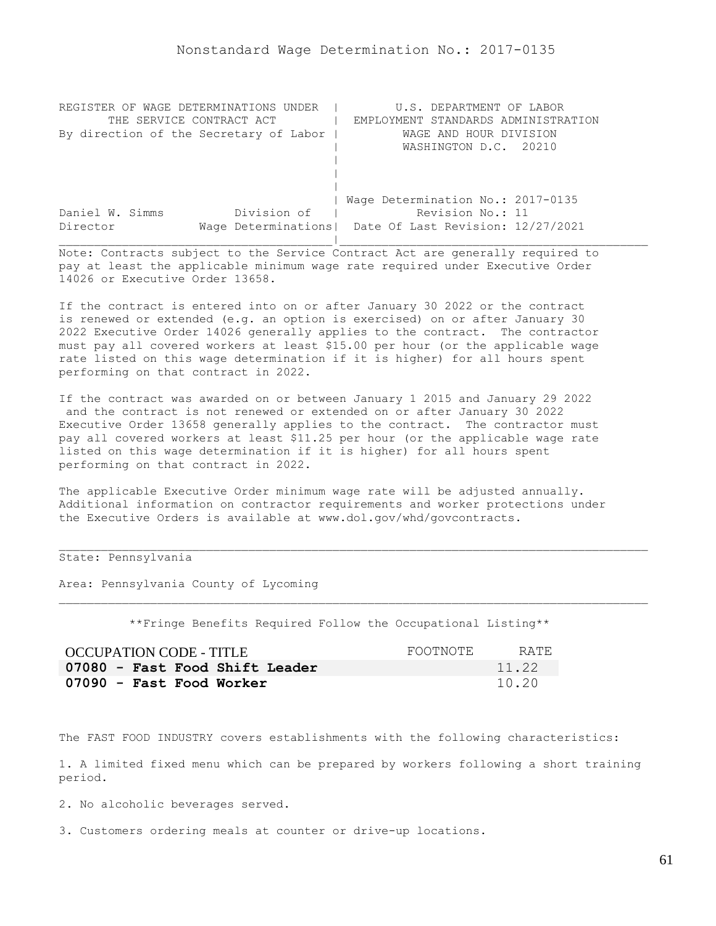| REGISTER OF WAGE DETERMINATIONS UNDER  | U.S. DEPARTMENT OF LABOR                                |
|----------------------------------------|---------------------------------------------------------|
| THE SERVICE CONTRACT ACT               | EMPLOYMENT STANDARDS ADMINISTRATION                     |
| By direction of the Secretary of Labor | WAGE AND HOUR DIVISION                                  |
|                                        | WASHINGTON D.C. 20210                                   |
|                                        |                                                         |
|                                        |                                                         |
|                                        |                                                         |
|                                        | Wage Determination No.: 2017-0135                       |
| Division of<br>Daniel W. Simms         | Revision No.: 11                                        |
| Director                               | Wage Determinations   Date Of Last Revision: 12/27/2021 |
|                                        |                                                         |

If the contract is entered into on or after January 30 2022 or the contract is renewed or extended (e.g. an option is exercised) on or after January 30 2022 Executive Order 14026 generally applies to the contract. The contractor must pay all covered workers at least \$15.00 per hour (or the applicable wage rate listed on this wage determination if it is higher) for all hours spent performing on that contract in 2022.

If the contract was awarded on or between January 1 2015 and January 29 2022 and the contract is not renewed or extended on or after January 30 2022 Executive Order 13658 generally applies to the contract. The contractor must pay all covered workers at least \$11.25 per hour (or the applicable wage rate listed on this wage determination if it is higher) for all hours spent performing on that contract in 2022.

The applicable Executive Order minimum wage rate will be adjusted annually. Additional information on contractor requirements and worker protections under the Executive Orders is available at www.dol.gov/whd/govcontracts.

## State: Pennsylvania

Area: Pennsylvania County of Lycoming

\*\*Fringe Benefits Required Follow the Occupational Listing\*\*

| <b>OCCUPATION CODE - TITLE</b> | FOOTNOTE | RATE. |
|--------------------------------|----------|-------|
| 07080 - Fast Food Shift Leader |          | 11.22 |
| 07090 - Fast Food Worker       |          | 10.20 |

The FAST FOOD INDUSTRY covers establishments with the following characteristics:

1. A limited fixed menu which can be prepared by workers following a short training period.

2. No alcoholic beverages served.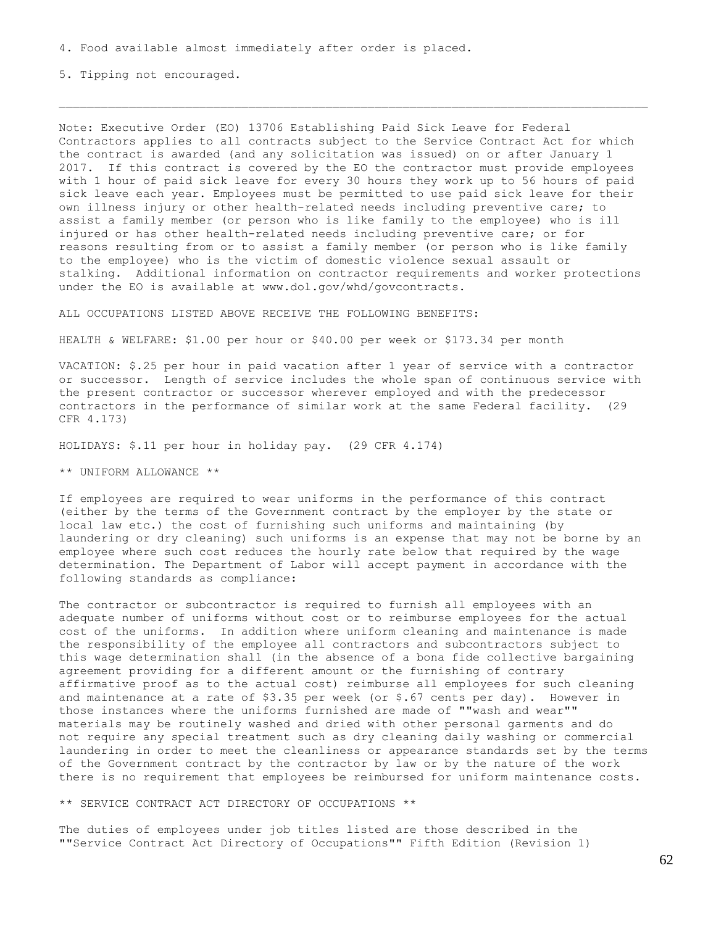5. Tipping not encouraged.

Note: Executive Order (EO) 13706 Establishing Paid Sick Leave for Federal Contractors applies to all contracts subject to the Service Contract Act for which the contract is awarded (and any solicitation was issued) on or after January 1 2017. If this contract is covered by the EO the contractor must provide employees with 1 hour of paid sick leave for every 30 hours they work up to 56 hours of paid sick leave each year. Employees must be permitted to use paid sick leave for their own illness injury or other health-related needs including preventive care; to assist a family member (or person who is like family to the employee) who is ill injured or has other health-related needs including preventive care; or for reasons resulting from or to assist a family member (or person who is like family to the employee) who is the victim of domestic violence sexual assault or stalking. Additional information on contractor requirements and worker protections under the EO is available at www.dol.gov/whd/govcontracts.

ALL OCCUPATIONS LISTED ABOVE RECEIVE THE FOLLOWING BENEFITS:

HEALTH & WELFARE: \$1.00 per hour or \$40.00 per week or \$173.34 per month

VACATION: \$.25 per hour in paid vacation after 1 year of service with a contractor or successor. Length of service includes the whole span of continuous service with the present contractor or successor wherever employed and with the predecessor contractors in the performance of similar work at the same Federal facility. (29 CFR 4.173)

HOLIDAYS: \$.11 per hour in holiday pay. (29 CFR 4.174)

\*\* UNIFORM ALLOWANCE \*\*

If employees are required to wear uniforms in the performance of this contract (either by the terms of the Government contract by the employer by the state or local law etc.) the cost of furnishing such uniforms and maintaining (by laundering or dry cleaning) such uniforms is an expense that may not be borne by an employee where such cost reduces the hourly rate below that required by the wage determination. The Department of Labor will accept payment in accordance with the following standards as compliance:

The contractor or subcontractor is required to furnish all employees with an adequate number of uniforms without cost or to reimburse employees for the actual cost of the uniforms. In addition where uniform cleaning and maintenance is made the responsibility of the employee all contractors and subcontractors subject to this wage determination shall (in the absence of a bona fide collective bargaining agreement providing for a different amount or the furnishing of contrary affirmative proof as to the actual cost) reimburse all employees for such cleaning and maintenance at a rate of \$3.35 per week (or \$.67 cents per day). However in those instances where the uniforms furnished are made of ""wash and wear"" materials may be routinely washed and dried with other personal garments and do not require any special treatment such as dry cleaning daily washing or commercial laundering in order to meet the cleanliness or appearance standards set by the terms of the Government contract by the contractor by law or by the nature of the work there is no requirement that employees be reimbursed for uniform maintenance costs.

\*\* SERVICE CONTRACT ACT DIRECTORY OF OCCUPATIONS \*\*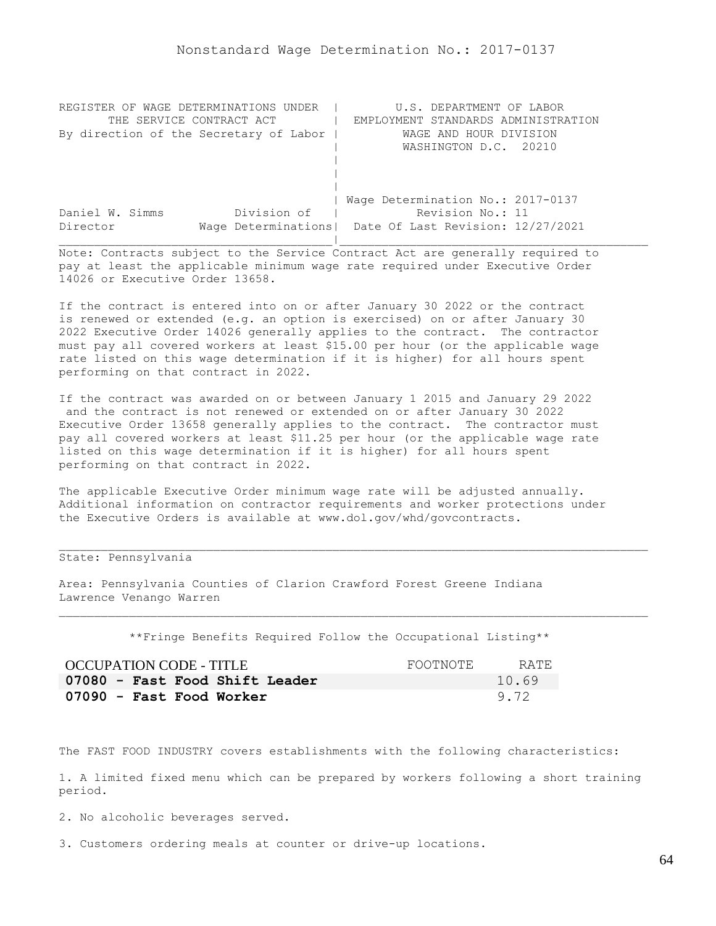| REGISTER OF WAGE DETERMINATIONS UNDER  | U.S. DEPARTMENT OF LABOR                                |
|----------------------------------------|---------------------------------------------------------|
| THE SERVICE CONTRACT ACT               | EMPLOYMENT STANDARDS ADMINISTRATION                     |
| By direction of the Secretary of Labor | WAGE AND HOUR DIVISION                                  |
|                                        | WASHINGTON D.C. 20210                                   |
|                                        |                                                         |
|                                        |                                                         |
|                                        |                                                         |
|                                        | Wage Determination No.: 2017-0137                       |
| Division of<br>Daniel W. Simms         | Revision No.: 11                                        |
| Director                               | Wage Determinations   Date Of Last Revision: 12/27/2021 |
|                                        |                                                         |

If the contract is entered into on or after January 30 2022 or the contract is renewed or extended (e.g. an option is exercised) on or after January 30 2022 Executive Order 14026 generally applies to the contract. The contractor must pay all covered workers at least \$15.00 per hour (or the applicable wage rate listed on this wage determination if it is higher) for all hours spent performing on that contract in 2022.

If the contract was awarded on or between January 1 2015 and January 29 2022 and the contract is not renewed or extended on or after January 30 2022 Executive Order 13658 generally applies to the contract. The contractor must pay all covered workers at least \$11.25 per hour (or the applicable wage rate listed on this wage determination if it is higher) for all hours spent performing on that contract in 2022.

The applicable Executive Order minimum wage rate will be adjusted annually. Additional information on contractor requirements and worker protections under the Executive Orders is available at www.dol.gov/whd/govcontracts.

# State: Pennsylvania

Area: Pennsylvania Counties of Clarion Crawford Forest Greene Indiana Lawrence Venango Warren

\*\*Fringe Benefits Required Follow the Occupational Listing\*\*

| OCCUPATION CODE - TITLE        | FOOTNOTE | RATE. |
|--------------------------------|----------|-------|
| 07080 - Fast Food Shift Leader |          | 10.69 |
| 07090 - Fast Food Worker       |          | 9.72  |

The FAST FOOD INDUSTRY covers establishments with the following characteristics:

1. A limited fixed menu which can be prepared by workers following a short training period.

2. No alcoholic beverages served.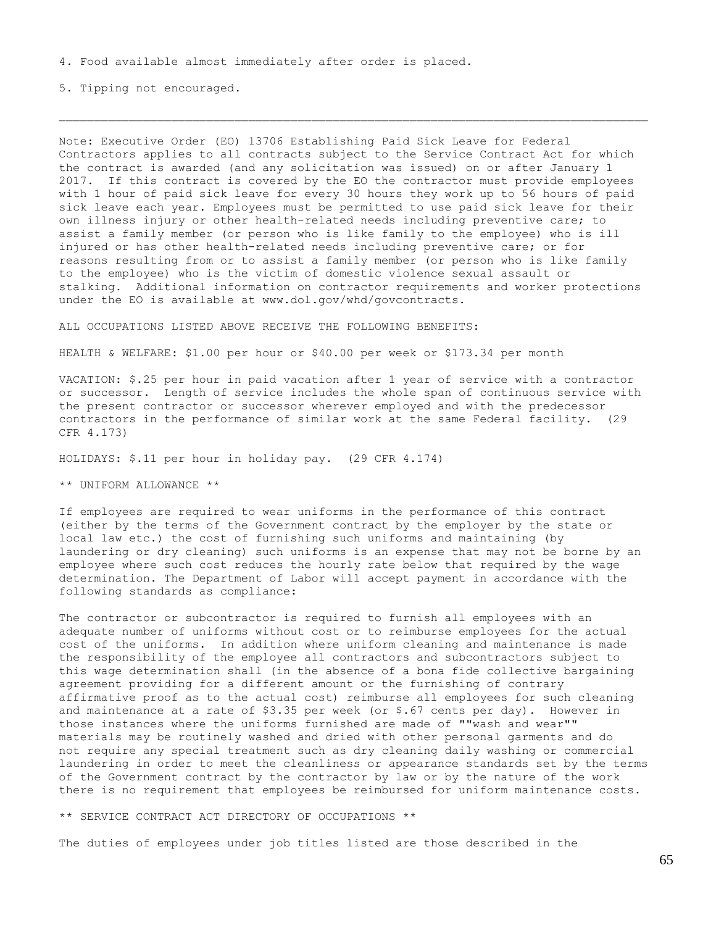5. Tipping not encouraged.

Note: Executive Order (EO) 13706 Establishing Paid Sick Leave for Federal Contractors applies to all contracts subject to the Service Contract Act for which the contract is awarded (and any solicitation was issued) on or after January 1 2017. If this contract is covered by the EO the contractor must provide employees with 1 hour of paid sick leave for every 30 hours they work up to 56 hours of paid sick leave each year. Employees must be permitted to use paid sick leave for their own illness injury or other health-related needs including preventive care; to assist a family member (or person who is like family to the employee) who is ill injured or has other health-related needs including preventive care; or for reasons resulting from or to assist a family member (or person who is like family to the employee) who is the victim of domestic violence sexual assault or stalking. Additional information on contractor requirements and worker protections under the EO is available at www.dol.gov/whd/govcontracts.

ALL OCCUPATIONS LISTED ABOVE RECEIVE THE FOLLOWING BENEFITS:

HEALTH & WELFARE: \$1.00 per hour or \$40.00 per week or \$173.34 per month

VACATION: \$.25 per hour in paid vacation after 1 year of service with a contractor or successor. Length of service includes the whole span of continuous service with the present contractor or successor wherever employed and with the predecessor contractors in the performance of similar work at the same Federal facility. (29 CFR 4.173)

HOLIDAYS: \$.11 per hour in holiday pay. (29 CFR 4.174)

\*\* UNIFORM ALLOWANCE \*\*

If employees are required to wear uniforms in the performance of this contract (either by the terms of the Government contract by the employer by the state or local law etc.) the cost of furnishing such uniforms and maintaining (by laundering or dry cleaning) such uniforms is an expense that may not be borne by an employee where such cost reduces the hourly rate below that required by the wage determination. The Department of Labor will accept payment in accordance with the following standards as compliance:

The contractor or subcontractor is required to furnish all employees with an adequate number of uniforms without cost or to reimburse employees for the actual cost of the uniforms. In addition where uniform cleaning and maintenance is made the responsibility of the employee all contractors and subcontractors subject to this wage determination shall (in the absence of a bona fide collective bargaining agreement providing for a different amount or the furnishing of contrary affirmative proof as to the actual cost) reimburse all employees for such cleaning and maintenance at a rate of  $$3.35$  per week (or  $$.67$  cents per day). However in those instances where the uniforms furnished are made of ""wash and wear"" materials may be routinely washed and dried with other personal garments and do not require any special treatment such as dry cleaning daily washing or commercial laundering in order to meet the cleanliness or appearance standards set by the terms of the Government contract by the contractor by law or by the nature of the work there is no requirement that employees be reimbursed for uniform maintenance costs.

\*\* SERVICE CONTRACT ACT DIRECTORY OF OCCUPATIONS \*\*

The duties of employees under job titles listed are those described in the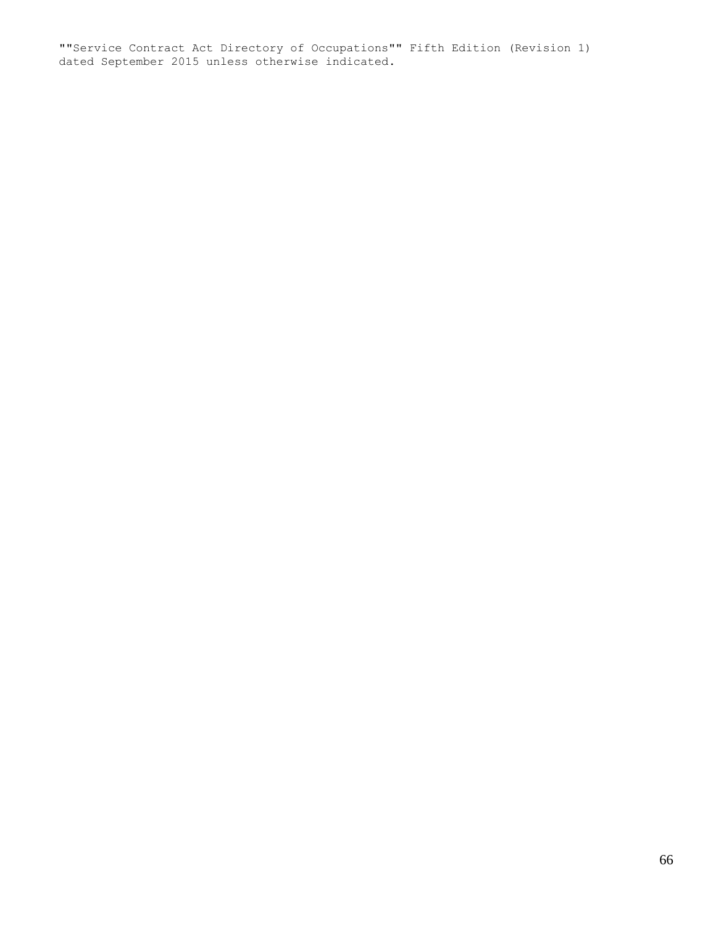""Service Contract Act Directory of Occupations"" Fifth Edition (Revision 1) dated September 2015 unless otherwise indicated.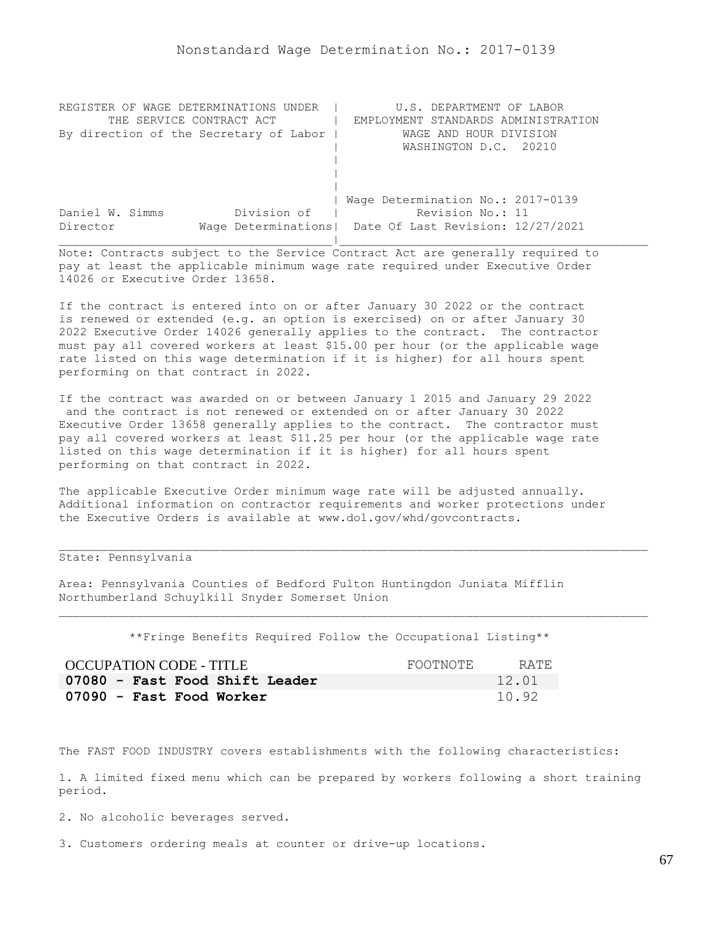| REGISTER OF WAGE DETERMINATIONS UNDER  | U.S. DEPARTMENT OF LABOR                                |
|----------------------------------------|---------------------------------------------------------|
| THE SERVICE CONTRACT ACT               | EMPLOYMENT STANDARDS ADMINISTRATION                     |
| By direction of the Secretary of Labor | WAGE AND HOUR DIVISION                                  |
|                                        | WASHINGTON D.C. 20210                                   |
|                                        |                                                         |
|                                        |                                                         |
|                                        |                                                         |
|                                        | Wage Determination No.: 2017-0139                       |
| Division of<br>Daniel W. Simms         | Revision No.: 11                                        |
| Director                               | Wage Determinations   Date Of Last Revision: 12/27/2021 |
|                                        |                                                         |

If the contract is entered into on or after January 30 2022 or the contract is renewed or extended (e.g. an option is exercised) on or after January 30 2022 Executive Order 14026 generally applies to the contract. The contractor must pay all covered workers at least \$15.00 per hour (or the applicable wage rate listed on this wage determination if it is higher) for all hours spent performing on that contract in 2022.

If the contract was awarded on or between January 1 2015 and January 29 2022 and the contract is not renewed or extended on or after January 30 2022 Executive Order 13658 generally applies to the contract. The contractor must pay all covered workers at least \$11.25 per hour (or the applicable wage rate listed on this wage determination if it is higher) for all hours spent performing on that contract in 2022.

The applicable Executive Order minimum wage rate will be adjusted annually. Additional information on contractor requirements and worker protections under the Executive Orders is available at www.dol.gov/whd/govcontracts.

# State: Pennsylvania

Area: Pennsylvania Counties of Bedford Fulton Huntingdon Juniata Mifflin Northumberland Schuylkill Snyder Somerset Union

\*\*Fringe Benefits Required Follow the Occupational Listing\*\*

| OCCUPATION CODE - TITLE        | FOOTNOTE | RATE. |
|--------------------------------|----------|-------|
| 07080 - Fast Food Shift Leader |          | 12.01 |
| 07090 - Fast Food Worker       |          | 10.92 |

The FAST FOOD INDUSTRY covers establishments with the following characteristics:

1. A limited fixed menu which can be prepared by workers following a short training period.

2. No alcoholic beverages served.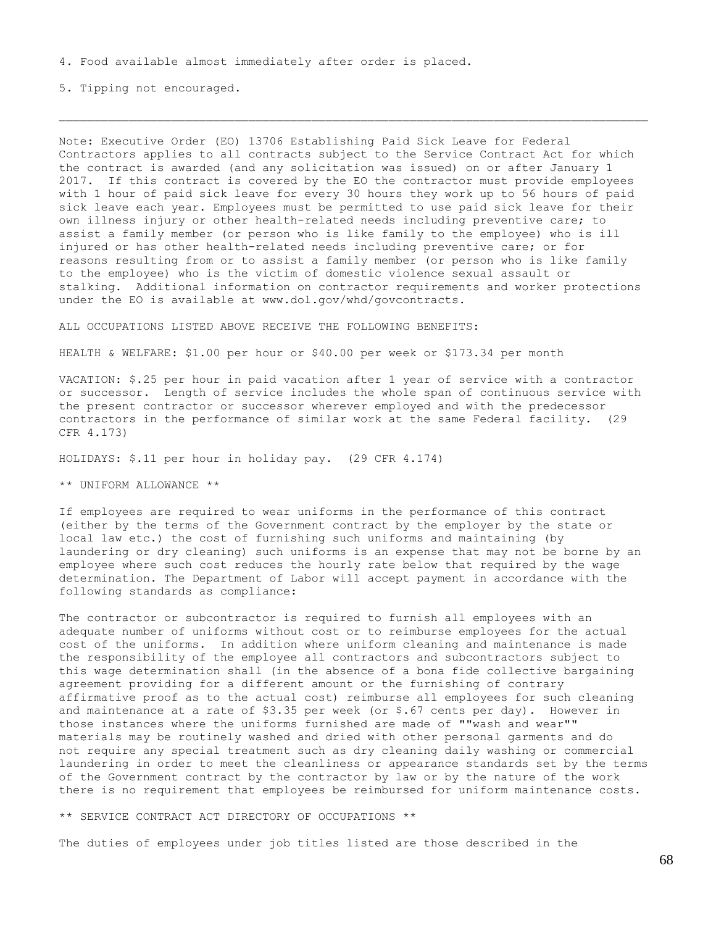5. Tipping not encouraged.

Note: Executive Order (EO) 13706 Establishing Paid Sick Leave for Federal Contractors applies to all contracts subject to the Service Contract Act for which the contract is awarded (and any solicitation was issued) on or after January 1 2017. If this contract is covered by the EO the contractor must provide employees with 1 hour of paid sick leave for every 30 hours they work up to 56 hours of paid sick leave each year. Employees must be permitted to use paid sick leave for their own illness injury or other health-related needs including preventive care; to assist a family member (or person who is like family to the employee) who is ill injured or has other health-related needs including preventive care; or for reasons resulting from or to assist a family member (or person who is like family to the employee) who is the victim of domestic violence sexual assault or stalking. Additional information on contractor requirements and worker protections under the EO is available at www.dol.gov/whd/govcontracts.

ALL OCCUPATIONS LISTED ABOVE RECEIVE THE FOLLOWING BENEFITS:

HEALTH & WELFARE: \$1.00 per hour or \$40.00 per week or \$173.34 per month

VACATION: \$.25 per hour in paid vacation after 1 year of service with a contractor or successor. Length of service includes the whole span of continuous service with the present contractor or successor wherever employed and with the predecessor contractors in the performance of similar work at the same Federal facility. (29 CFR 4.173)

HOLIDAYS: \$.11 per hour in holiday pay. (29 CFR 4.174)

\*\* UNIFORM ALLOWANCE \*\*

If employees are required to wear uniforms in the performance of this contract (either by the terms of the Government contract by the employer by the state or local law etc.) the cost of furnishing such uniforms and maintaining (by laundering or dry cleaning) such uniforms is an expense that may not be borne by an employee where such cost reduces the hourly rate below that required by the wage determination. The Department of Labor will accept payment in accordance with the following standards as compliance:

The contractor or subcontractor is required to furnish all employees with an adequate number of uniforms without cost or to reimburse employees for the actual cost of the uniforms. In addition where uniform cleaning and maintenance is made the responsibility of the employee all contractors and subcontractors subject to this wage determination shall (in the absence of a bona fide collective bargaining agreement providing for a different amount or the furnishing of contrary affirmative proof as to the actual cost) reimburse all employees for such cleaning and maintenance at a rate of  $$3.35$  per week (or  $$.67$  cents per day). However in those instances where the uniforms furnished are made of ""wash and wear"" materials may be routinely washed and dried with other personal garments and do not require any special treatment such as dry cleaning daily washing or commercial laundering in order to meet the cleanliness or appearance standards set by the terms of the Government contract by the contractor by law or by the nature of the work there is no requirement that employees be reimbursed for uniform maintenance costs.

\*\* SERVICE CONTRACT ACT DIRECTORY OF OCCUPATIONS \*\*

The duties of employees under job titles listed are those described in the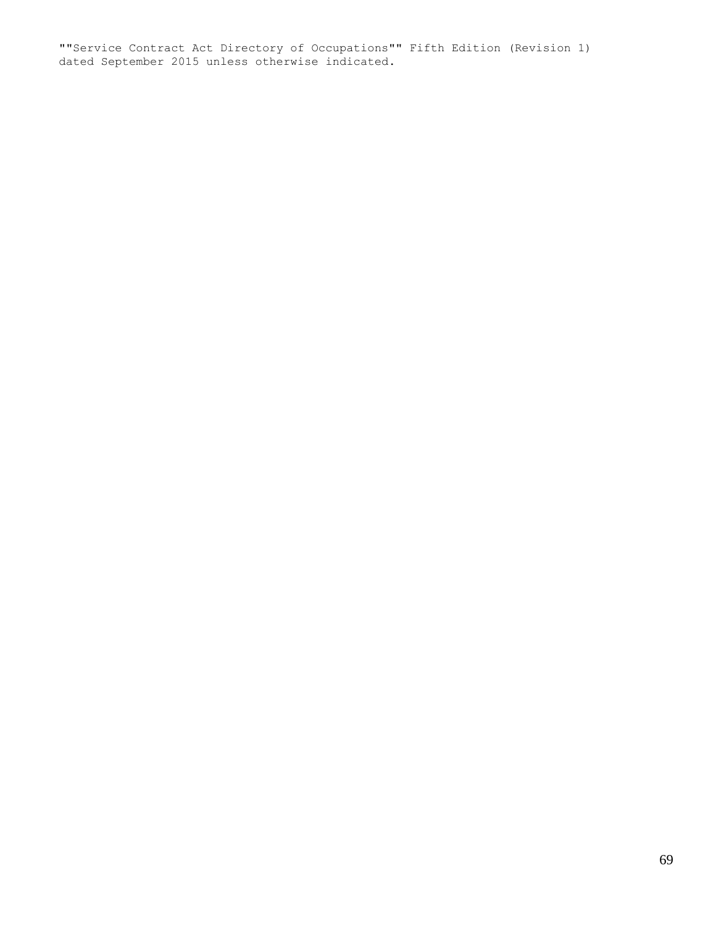""Service Contract Act Directory of Occupations"" Fifth Edition (Revision 1) dated September 2015 unless otherwise indicated.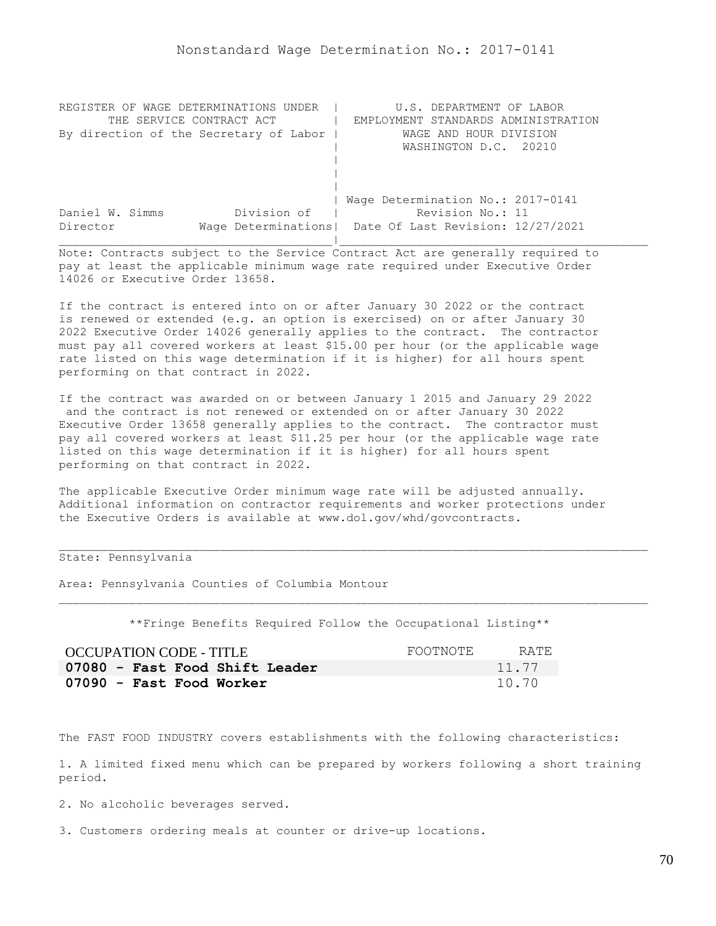| REGISTER OF WAGE DETERMINATIONS UNDER  | U.S. DEPARTMENT OF LABOR                                |
|----------------------------------------|---------------------------------------------------------|
| THE SERVICE CONTRACT ACT               | EMPLOYMENT STANDARDS ADMINISTRATION                     |
| By direction of the Secretary of Labor | WAGE AND HOUR DIVISION                                  |
|                                        | WASHINGTON D.C. 20210                                   |
|                                        |                                                         |
|                                        |                                                         |
|                                        |                                                         |
|                                        | Wage Determination No.: 2017-0141                       |
| Division of<br>Daniel W. Simms         | Revision No.: 11                                        |
| Director                               | Wage Determinations   Date Of Last Revision: 12/27/2021 |
|                                        |                                                         |

If the contract is entered into on or after January 30 2022 or the contract is renewed or extended (e.g. an option is exercised) on or after January 30 2022 Executive Order 14026 generally applies to the contract. The contractor must pay all covered workers at least \$15.00 per hour (or the applicable wage rate listed on this wage determination if it is higher) for all hours spent performing on that contract in 2022.

If the contract was awarded on or between January 1 2015 and January 29 2022 and the contract is not renewed or extended on or after January 30 2022 Executive Order 13658 generally applies to the contract. The contractor must pay all covered workers at least \$11.25 per hour (or the applicable wage rate listed on this wage determination if it is higher) for all hours spent performing on that contract in 2022.

The applicable Executive Order minimum wage rate will be adjusted annually. Additional information on contractor requirements and worker protections under the Executive Orders is available at www.dol.gov/whd/govcontracts.

## State: Pennsylvania

Area: Pennsylvania Counties of Columbia Montour

\*\*Fringe Benefits Required Follow the Occupational Listing\*\*

| OCCUPATION CODE - TITLE        | FOOTNOTE | RATE. |
|--------------------------------|----------|-------|
| 07080 - Fast Food Shift Leader |          | 11.77 |
| 07090 - Fast Food Worker       |          | 10.70 |

The FAST FOOD INDUSTRY covers establishments with the following characteristics:

1. A limited fixed menu which can be prepared by workers following a short training period.

2. No alcoholic beverages served.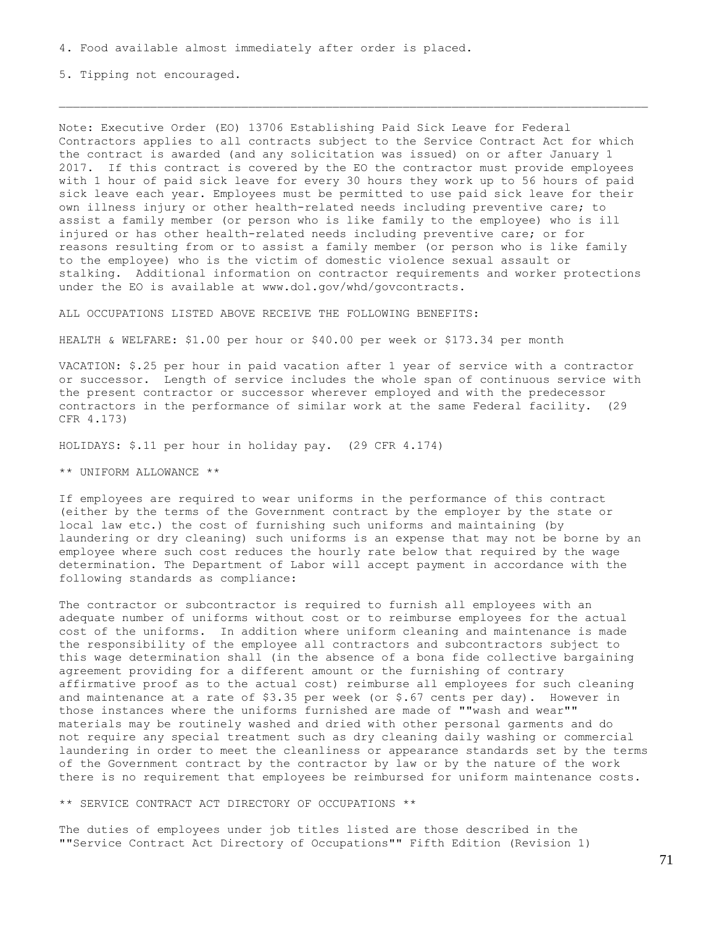5. Tipping not encouraged.

Note: Executive Order (EO) 13706 Establishing Paid Sick Leave for Federal Contractors applies to all contracts subject to the Service Contract Act for which the contract is awarded (and any solicitation was issued) on or after January 1 2017. If this contract is covered by the EO the contractor must provide employees with 1 hour of paid sick leave for every 30 hours they work up to 56 hours of paid sick leave each year. Employees must be permitted to use paid sick leave for their own illness injury or other health-related needs including preventive care; to assist a family member (or person who is like family to the employee) who is ill injured or has other health-related needs including preventive care; or for reasons resulting from or to assist a family member (or person who is like family to the employee) who is the victim of domestic violence sexual assault or stalking. Additional information on contractor requirements and worker protections under the EO is available at www.dol.gov/whd/govcontracts.

ALL OCCUPATIONS LISTED ABOVE RECEIVE THE FOLLOWING BENEFITS:

HEALTH & WELFARE: \$1.00 per hour or \$40.00 per week or \$173.34 per month

VACATION: \$.25 per hour in paid vacation after 1 year of service with a contractor or successor. Length of service includes the whole span of continuous service with the present contractor or successor wherever employed and with the predecessor contractors in the performance of similar work at the same Federal facility. (29 CFR 4.173)

HOLIDAYS: \$.11 per hour in holiday pay. (29 CFR 4.174)

\*\* UNIFORM ALLOWANCE \*\*

If employees are required to wear uniforms in the performance of this contract (either by the terms of the Government contract by the employer by the state or local law etc.) the cost of furnishing such uniforms and maintaining (by laundering or dry cleaning) such uniforms is an expense that may not be borne by an employee where such cost reduces the hourly rate below that required by the wage determination. The Department of Labor will accept payment in accordance with the following standards as compliance:

The contractor or subcontractor is required to furnish all employees with an adequate number of uniforms without cost or to reimburse employees for the actual cost of the uniforms. In addition where uniform cleaning and maintenance is made the responsibility of the employee all contractors and subcontractors subject to this wage determination shall (in the absence of a bona fide collective bargaining agreement providing for a different amount or the furnishing of contrary affirmative proof as to the actual cost) reimburse all employees for such cleaning and maintenance at a rate of  $$3.35$  per week (or  $$.67$  cents per day). However in those instances where the uniforms furnished are made of ""wash and wear"" materials may be routinely washed and dried with other personal garments and do not require any special treatment such as dry cleaning daily washing or commercial laundering in order to meet the cleanliness or appearance standards set by the terms of the Government contract by the contractor by law or by the nature of the work there is no requirement that employees be reimbursed for uniform maintenance costs.

\*\* SERVICE CONTRACT ACT DIRECTORY OF OCCUPATIONS \*\*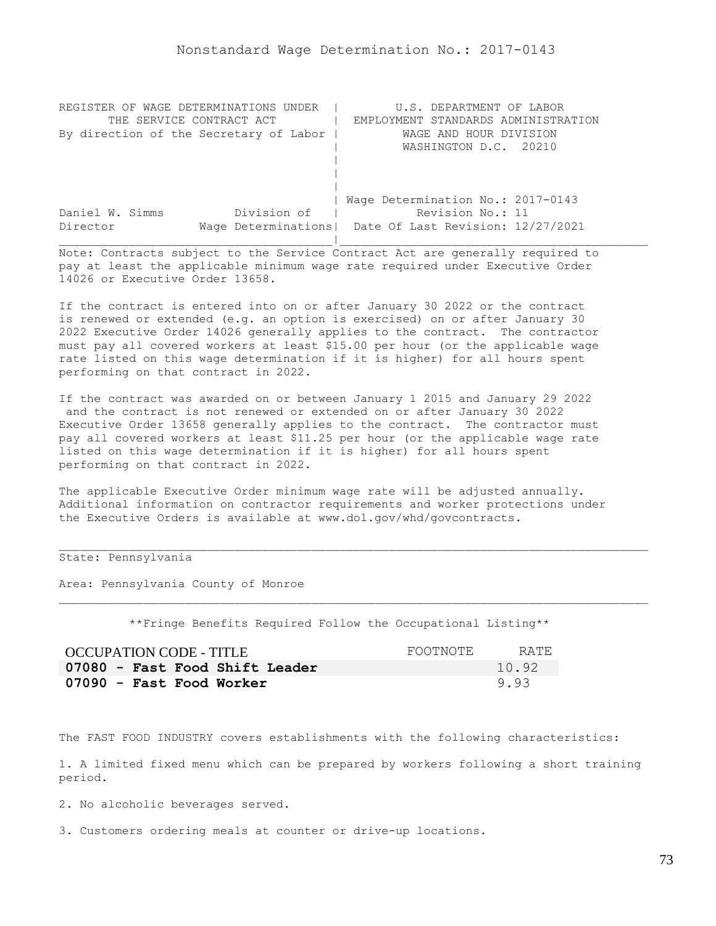| REGISTER OF WAGE DETERMINATIONS UNDER  | U.S. DEPARTMENT OF LABOR                                |
|----------------------------------------|---------------------------------------------------------|
| THE SERVICE CONTRACT ACT               | EMPLOYMENT STANDARDS ADMINISTRATION                     |
| By direction of the Secretary of Labor | WAGE AND HOUR DIVISION                                  |
|                                        | WASHINGTON D.C. 20210                                   |
|                                        |                                                         |
|                                        |                                                         |
|                                        |                                                         |
|                                        | Wage Determination No.: 2017-0143                       |
| Division of<br>Daniel W. Simms         | Revision No.: 11                                        |
| Director                               | Wage Determinations   Date Of Last Revision: 12/27/2021 |
|                                        |                                                         |

If the contract is entered into on or after January 30 2022 or the contract is renewed or extended (e.g. an option is exercised) on or after January 30 2022 Executive Order 14026 generally applies to the contract. The contractor must pay all covered workers at least \$15.00 per hour (or the applicable wage rate listed on this wage determination if it is higher) for all hours spent performing on that contract in 2022.

If the contract was awarded on or between January 1 2015 and January 29 2022 and the contract is not renewed or extended on or after January 30 2022 Executive Order 13658 generally applies to the contract. The contractor must pay all covered workers at least \$11.25 per hour (or the applicable wage rate listed on this wage determination if it is higher) for all hours spent performing on that contract in 2022.

The applicable Executive Order minimum wage rate will be adjusted annually. Additional information on contractor requirements and worker protections under the Executive Orders is available at www.dol.gov/whd/govcontracts.

## State: Pennsylvania

Area: Pennsylvania County of Monroe

\*\*Fringe Benefits Required Follow the Occupational Listing\*\*

| <b>OCCUPATION CODE - TITLE</b> | FOOTNOTE | RATE. |
|--------------------------------|----------|-------|
| 07080 - Fast Food Shift Leader |          | 10.92 |
| 07090 - Fast Food Worker       |          | 9.93  |

The FAST FOOD INDUSTRY covers establishments with the following characteristics:

1. A limited fixed menu which can be prepared by workers following a short training period.

2. No alcoholic beverages served.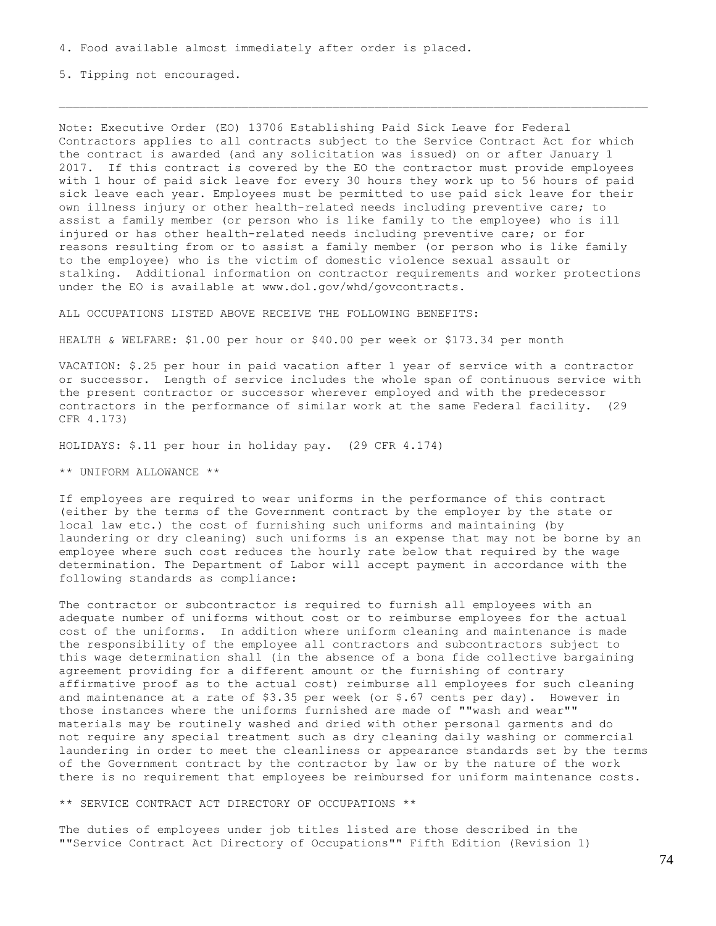5. Tipping not encouraged.

Note: Executive Order (EO) 13706 Establishing Paid Sick Leave for Federal Contractors applies to all contracts subject to the Service Contract Act for which the contract is awarded (and any solicitation was issued) on or after January 1 2017. If this contract is covered by the EO the contractor must provide employees with 1 hour of paid sick leave for every 30 hours they work up to 56 hours of paid sick leave each year. Employees must be permitted to use paid sick leave for their own illness injury or other health-related needs including preventive care; to assist a family member (or person who is like family to the employee) who is ill injured or has other health-related needs including preventive care; or for reasons resulting from or to assist a family member (or person who is like family to the employee) who is the victim of domestic violence sexual assault or stalking. Additional information on contractor requirements and worker protections under the EO is available at www.dol.gov/whd/govcontracts.

ALL OCCUPATIONS LISTED ABOVE RECEIVE THE FOLLOWING BENEFITS:

HEALTH & WELFARE: \$1.00 per hour or \$40.00 per week or \$173.34 per month

VACATION: \$.25 per hour in paid vacation after 1 year of service with a contractor or successor. Length of service includes the whole span of continuous service with the present contractor or successor wherever employed and with the predecessor contractors in the performance of similar work at the same Federal facility. (29 CFR 4.173)

HOLIDAYS: \$.11 per hour in holiday pay. (29 CFR 4.174)

\*\* UNIFORM ALLOWANCE \*\*

If employees are required to wear uniforms in the performance of this contract (either by the terms of the Government contract by the employer by the state or local law etc.) the cost of furnishing such uniforms and maintaining (by laundering or dry cleaning) such uniforms is an expense that may not be borne by an employee where such cost reduces the hourly rate below that required by the wage determination. The Department of Labor will accept payment in accordance with the following standards as compliance:

The contractor or subcontractor is required to furnish all employees with an adequate number of uniforms without cost or to reimburse employees for the actual cost of the uniforms. In addition where uniform cleaning and maintenance is made the responsibility of the employee all contractors and subcontractors subject to this wage determination shall (in the absence of a bona fide collective bargaining agreement providing for a different amount or the furnishing of contrary affirmative proof as to the actual cost) reimburse all employees for such cleaning and maintenance at a rate of  $$3.35$  per week (or  $$.67$  cents per day). However in those instances where the uniforms furnished are made of ""wash and wear"" materials may be routinely washed and dried with other personal garments and do not require any special treatment such as dry cleaning daily washing or commercial laundering in order to meet the cleanliness or appearance standards set by the terms of the Government contract by the contractor by law or by the nature of the work there is no requirement that employees be reimbursed for uniform maintenance costs.

\*\* SERVICE CONTRACT ACT DIRECTORY OF OCCUPATIONS \*\*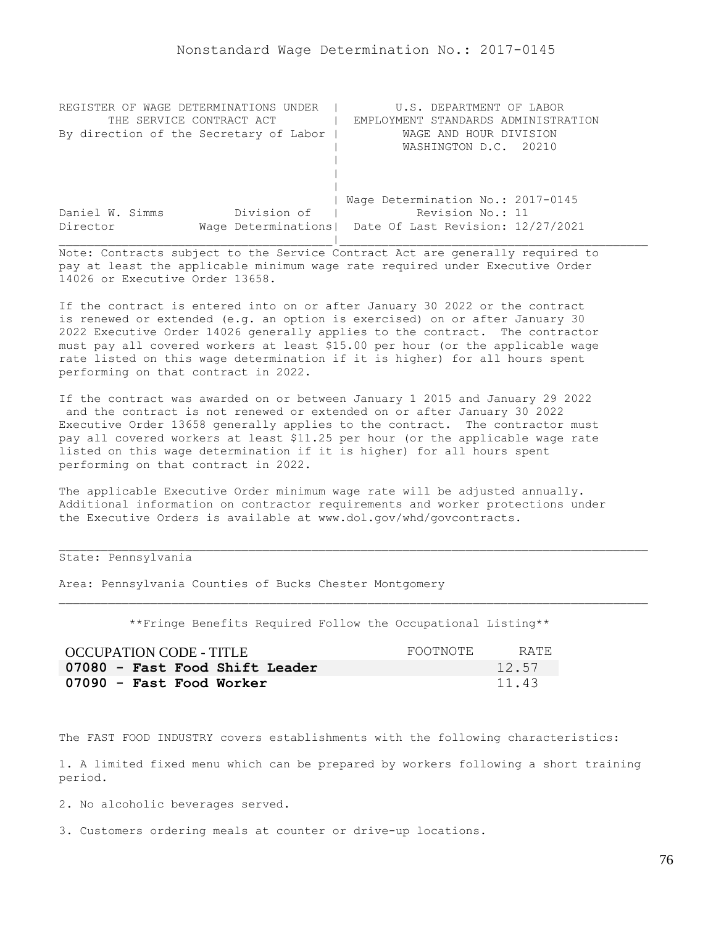| REGISTER OF WAGE DETERMINATIONS UNDER  | U.S. DEPARTMENT OF LABOR                                |
|----------------------------------------|---------------------------------------------------------|
| THE SERVICE CONTRACT ACT               | EMPLOYMENT STANDARDS ADMINISTRATION                     |
| By direction of the Secretary of Labor | WAGE AND HOUR DIVISION                                  |
|                                        | WASHINGTON D.C. 20210                                   |
|                                        |                                                         |
|                                        |                                                         |
|                                        |                                                         |
|                                        | Wage Determination No.: 2017-0145                       |
| Division of<br>Daniel W. Simms         | Revision No.: 11                                        |
| Director                               | Wage Determinations   Date Of Last Revision: 12/27/2021 |
|                                        |                                                         |

If the contract is entered into on or after January 30 2022 or the contract is renewed or extended (e.g. an option is exercised) on or after January 30 2022 Executive Order 14026 generally applies to the contract. The contractor must pay all covered workers at least \$15.00 per hour (or the applicable wage rate listed on this wage determination if it is higher) for all hours spent performing on that contract in 2022.

If the contract was awarded on or between January 1 2015 and January 29 2022 and the contract is not renewed or extended on or after January 30 2022 Executive Order 13658 generally applies to the contract. The contractor must pay all covered workers at least \$11.25 per hour (or the applicable wage rate listed on this wage determination if it is higher) for all hours spent performing on that contract in 2022.

The applicable Executive Order minimum wage rate will be adjusted annually. Additional information on contractor requirements and worker protections under the Executive Orders is available at www.dol.gov/whd/govcontracts.

## State: Pennsylvania

Area: Pennsylvania Counties of Bucks Chester Montgomery

\*\*Fringe Benefits Required Follow the Occupational Listing\*\*

| OCCUPATION CODE - TITLE        | FOOTNOTE | RATE. |
|--------------------------------|----------|-------|
| 07080 - Fast Food Shift Leader |          | 12.57 |
| 07090 - Fast Food Worker       |          | 11.43 |

The FAST FOOD INDUSTRY covers establishments with the following characteristics:

1. A limited fixed menu which can be prepared by workers following a short training period.

2. No alcoholic beverages served.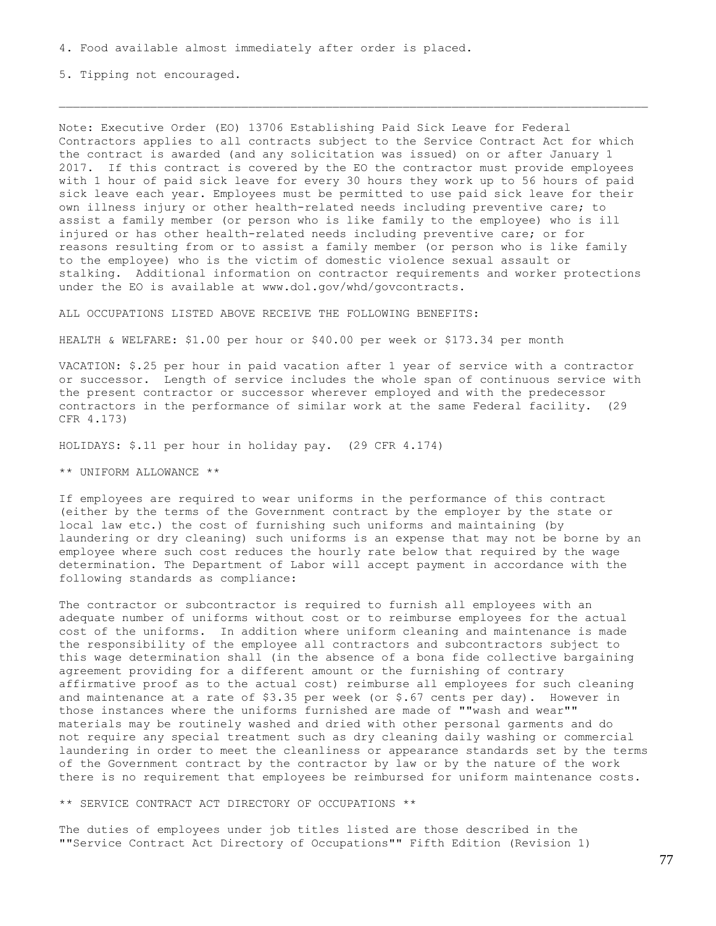5. Tipping not encouraged.

Note: Executive Order (EO) 13706 Establishing Paid Sick Leave for Federal Contractors applies to all contracts subject to the Service Contract Act for which the contract is awarded (and any solicitation was issued) on or after January 1 2017. If this contract is covered by the EO the contractor must provide employees with 1 hour of paid sick leave for every 30 hours they work up to 56 hours of paid sick leave each year. Employees must be permitted to use paid sick leave for their own illness injury or other health-related needs including preventive care; to assist a family member (or person who is like family to the employee) who is ill injured or has other health-related needs including preventive care; or for reasons resulting from or to assist a family member (or person who is like family to the employee) who is the victim of domestic violence sexual assault or stalking. Additional information on contractor requirements and worker protections under the EO is available at www.dol.gov/whd/govcontracts.

ALL OCCUPATIONS LISTED ABOVE RECEIVE THE FOLLOWING BENEFITS:

HEALTH & WELFARE: \$1.00 per hour or \$40.00 per week or \$173.34 per month

VACATION: \$.25 per hour in paid vacation after 1 year of service with a contractor or successor. Length of service includes the whole span of continuous service with the present contractor or successor wherever employed and with the predecessor contractors in the performance of similar work at the same Federal facility. (29 CFR 4.173)

HOLIDAYS: \$.11 per hour in holiday pay. (29 CFR 4.174)

\*\* UNIFORM ALLOWANCE \*\*

If employees are required to wear uniforms in the performance of this contract (either by the terms of the Government contract by the employer by the state or local law etc.) the cost of furnishing such uniforms and maintaining (by laundering or dry cleaning) such uniforms is an expense that may not be borne by an employee where such cost reduces the hourly rate below that required by the wage determination. The Department of Labor will accept payment in accordance with the following standards as compliance:

The contractor or subcontractor is required to furnish all employees with an adequate number of uniforms without cost or to reimburse employees for the actual cost of the uniforms. In addition where uniform cleaning and maintenance is made the responsibility of the employee all contractors and subcontractors subject to this wage determination shall (in the absence of a bona fide collective bargaining agreement providing for a different amount or the furnishing of contrary affirmative proof as to the actual cost) reimburse all employees for such cleaning and maintenance at a rate of  $$3.35$  per week (or  $$.67$  cents per day). However in those instances where the uniforms furnished are made of ""wash and wear"" materials may be routinely washed and dried with other personal garments and do not require any special treatment such as dry cleaning daily washing or commercial laundering in order to meet the cleanliness or appearance standards set by the terms of the Government contract by the contractor by law or by the nature of the work there is no requirement that employees be reimbursed for uniform maintenance costs.

\*\* SERVICE CONTRACT ACT DIRECTORY OF OCCUPATIONS \*\*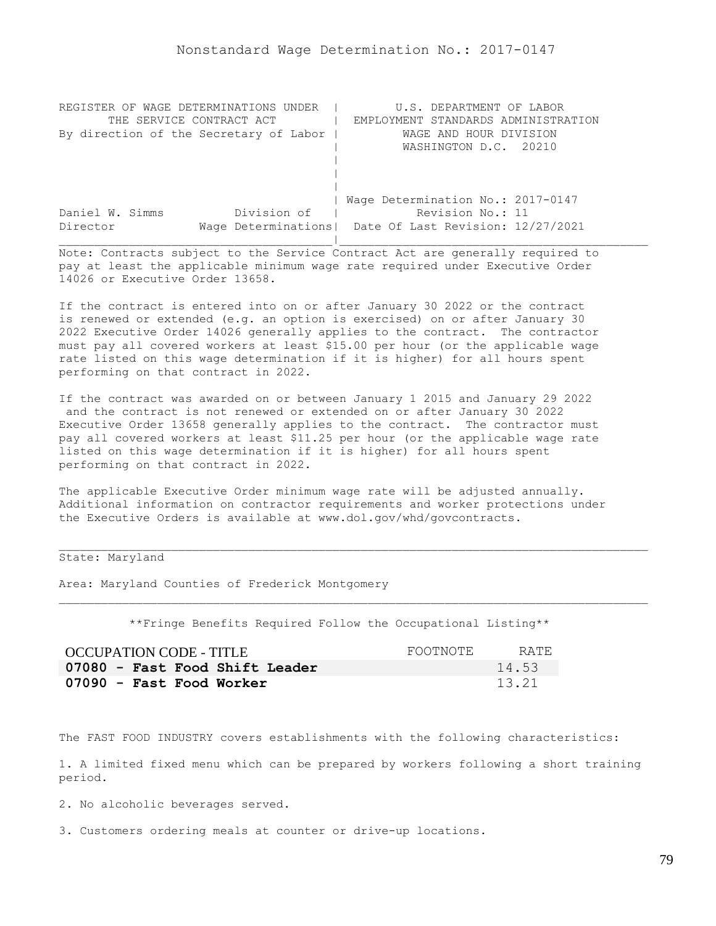| REGISTER OF WAGE DETERMINATIONS UNDER  | U.S. DEPARTMENT OF LABOR                                |
|----------------------------------------|---------------------------------------------------------|
| THE SERVICE CONTRACT ACT               | EMPLOYMENT STANDARDS ADMINISTRATION                     |
| By direction of the Secretary of Labor | WAGE AND HOUR DIVISION                                  |
|                                        | WASHINGTON D.C. 20210                                   |
|                                        |                                                         |
|                                        |                                                         |
|                                        |                                                         |
|                                        | Wage Determination No.: 2017-0147                       |
| Division of<br>Daniel W. Simms         | Revision No.: 11                                        |
| Director                               | Wage Determinations   Date Of Last Revision: 12/27/2021 |
|                                        |                                                         |

If the contract is entered into on or after January 30 2022 or the contract is renewed or extended (e.g. an option is exercised) on or after January 30 2022 Executive Order 14026 generally applies to the contract. The contractor must pay all covered workers at least \$15.00 per hour (or the applicable wage rate listed on this wage determination if it is higher) for all hours spent performing on that contract in 2022.

If the contract was awarded on or between January 1 2015 and January 29 2022 and the contract is not renewed or extended on or after January 30 2022 Executive Order 13658 generally applies to the contract. The contractor must pay all covered workers at least \$11.25 per hour (or the applicable wage rate listed on this wage determination if it is higher) for all hours spent performing on that contract in 2022.

The applicable Executive Order minimum wage rate will be adjusted annually. Additional information on contractor requirements and worker protections under the Executive Orders is available at www.dol.gov/whd/govcontracts.

## State: Maryland

Area: Maryland Counties of Frederick Montgomery

\*\*Fringe Benefits Required Follow the Occupational Listing\*\*

| OCCUPATION CODE - TITLE        | FOOTNOTE | RATE. |
|--------------------------------|----------|-------|
| 07080 - Fast Food Shift Leader |          | 14.53 |
| 07090 - Fast Food Worker       |          | 13.21 |

The FAST FOOD INDUSTRY covers establishments with the following characteristics:

1. A limited fixed menu which can be prepared by workers following a short training period.

2. No alcoholic beverages served.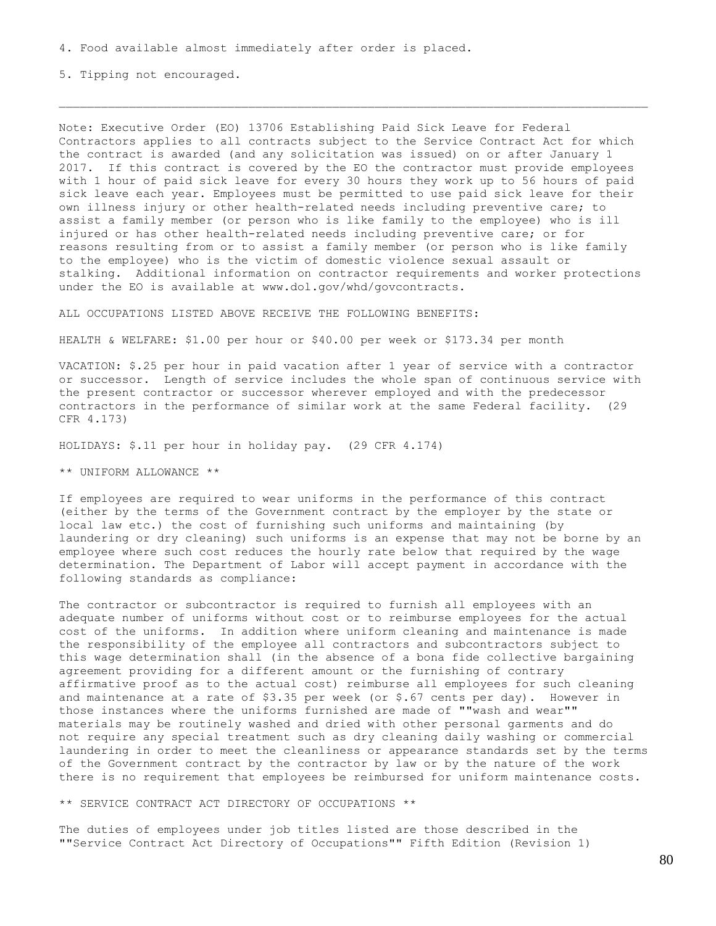5. Tipping not encouraged.

Note: Executive Order (EO) 13706 Establishing Paid Sick Leave for Federal Contractors applies to all contracts subject to the Service Contract Act for which the contract is awarded (and any solicitation was issued) on or after January 1 2017. If this contract is covered by the EO the contractor must provide employees with 1 hour of paid sick leave for every 30 hours they work up to 56 hours of paid sick leave each year. Employees must be permitted to use paid sick leave for their own illness injury or other health-related needs including preventive care; to assist a family member (or person who is like family to the employee) who is ill injured or has other health-related needs including preventive care; or for reasons resulting from or to assist a family member (or person who is like family to the employee) who is the victim of domestic violence sexual assault or stalking. Additional information on contractor requirements and worker protections under the EO is available at www.dol.gov/whd/govcontracts.

ALL OCCUPATIONS LISTED ABOVE RECEIVE THE FOLLOWING BENEFITS:

HEALTH & WELFARE: \$1.00 per hour or \$40.00 per week or \$173.34 per month

VACATION: \$.25 per hour in paid vacation after 1 year of service with a contractor or successor. Length of service includes the whole span of continuous service with the present contractor or successor wherever employed and with the predecessor contractors in the performance of similar work at the same Federal facility. (29 CFR 4.173)

HOLIDAYS: \$.11 per hour in holiday pay. (29 CFR 4.174)

\*\* UNIFORM ALLOWANCE \*\*

If employees are required to wear uniforms in the performance of this contract (either by the terms of the Government contract by the employer by the state or local law etc.) the cost of furnishing such uniforms and maintaining (by laundering or dry cleaning) such uniforms is an expense that may not be borne by an employee where such cost reduces the hourly rate below that required by the wage determination. The Department of Labor will accept payment in accordance with the following standards as compliance:

The contractor or subcontractor is required to furnish all employees with an adequate number of uniforms without cost or to reimburse employees for the actual cost of the uniforms. In addition where uniform cleaning and maintenance is made the responsibility of the employee all contractors and subcontractors subject to this wage determination shall (in the absence of a bona fide collective bargaining agreement providing for a different amount or the furnishing of contrary affirmative proof as to the actual cost) reimburse all employees for such cleaning and maintenance at a rate of \$3.35 per week (or \$.67 cents per day). However in those instances where the uniforms furnished are made of ""wash and wear"" materials may be routinely washed and dried with other personal garments and do not require any special treatment such as dry cleaning daily washing or commercial laundering in order to meet the cleanliness or appearance standards set by the terms of the Government contract by the contractor by law or by the nature of the work there is no requirement that employees be reimbursed for uniform maintenance costs.

\*\* SERVICE CONTRACT ACT DIRECTORY OF OCCUPATIONS \*\*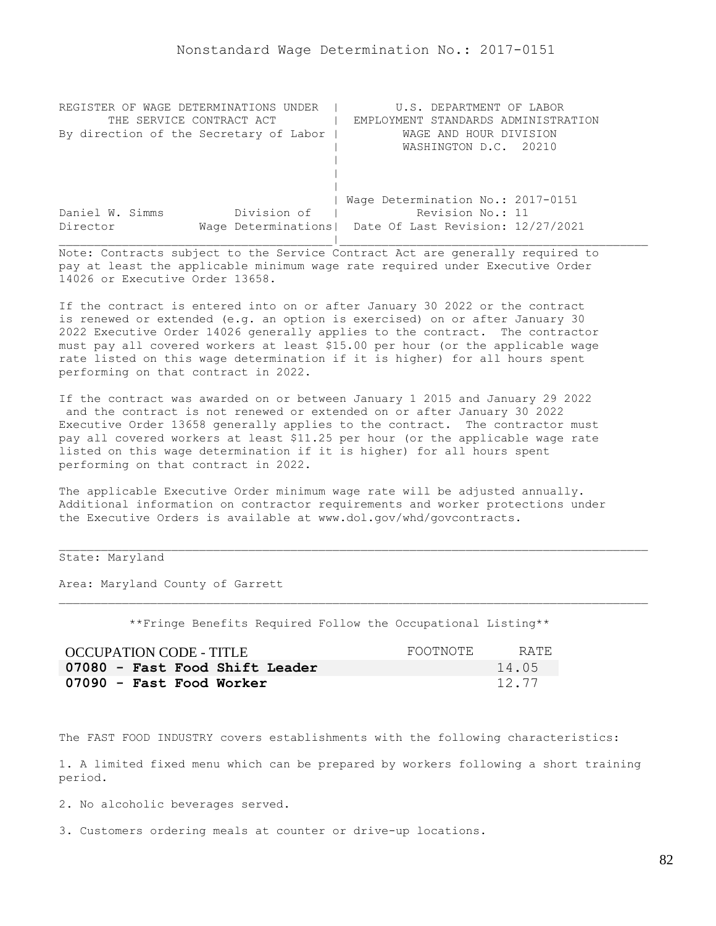| REGISTER OF WAGE DETERMINATIONS UNDER  | U.S. DEPARTMENT OF LABOR                                |
|----------------------------------------|---------------------------------------------------------|
| THE SERVICE CONTRACT ACT               | EMPLOYMENT STANDARDS ADMINISTRATION                     |
| By direction of the Secretary of Labor | WAGE AND HOUR DIVISION                                  |
|                                        | WASHINGTON D.C. 20210                                   |
|                                        |                                                         |
|                                        |                                                         |
|                                        |                                                         |
|                                        | Wage Determination No.: 2017-0151                       |
| Division of<br>Daniel W. Simms         | Revision No.: 11                                        |
| Director                               | Wage Determinations   Date Of Last Revision: 12/27/2021 |
|                                        |                                                         |

If the contract is entered into on or after January 30 2022 or the contract is renewed or extended (e.g. an option is exercised) on or after January 30 2022 Executive Order 14026 generally applies to the contract. The contractor must pay all covered workers at least \$15.00 per hour (or the applicable wage rate listed on this wage determination if it is higher) for all hours spent performing on that contract in 2022.

If the contract was awarded on or between January 1 2015 and January 29 2022 and the contract is not renewed or extended on or after January 30 2022 Executive Order 13658 generally applies to the contract. The contractor must pay all covered workers at least \$11.25 per hour (or the applicable wage rate listed on this wage determination if it is higher) for all hours spent performing on that contract in 2022.

The applicable Executive Order minimum wage rate will be adjusted annually. Additional information on contractor requirements and worker protections under the Executive Orders is available at www.dol.gov/whd/govcontracts.

## State: Maryland

Area: Maryland County of Garrett

\*\*Fringe Benefits Required Follow the Occupational Listing\*\*

| <b>OCCUPATION CODE - TITLE</b> | FOOTNOTE | RATE. |
|--------------------------------|----------|-------|
| 07080 - Fast Food Shift Leader |          | 14.05 |
| 07090 - Fast Food Worker       |          | 12.77 |

The FAST FOOD INDUSTRY covers establishments with the following characteristics:

1. A limited fixed menu which can be prepared by workers following a short training period.

2. No alcoholic beverages served.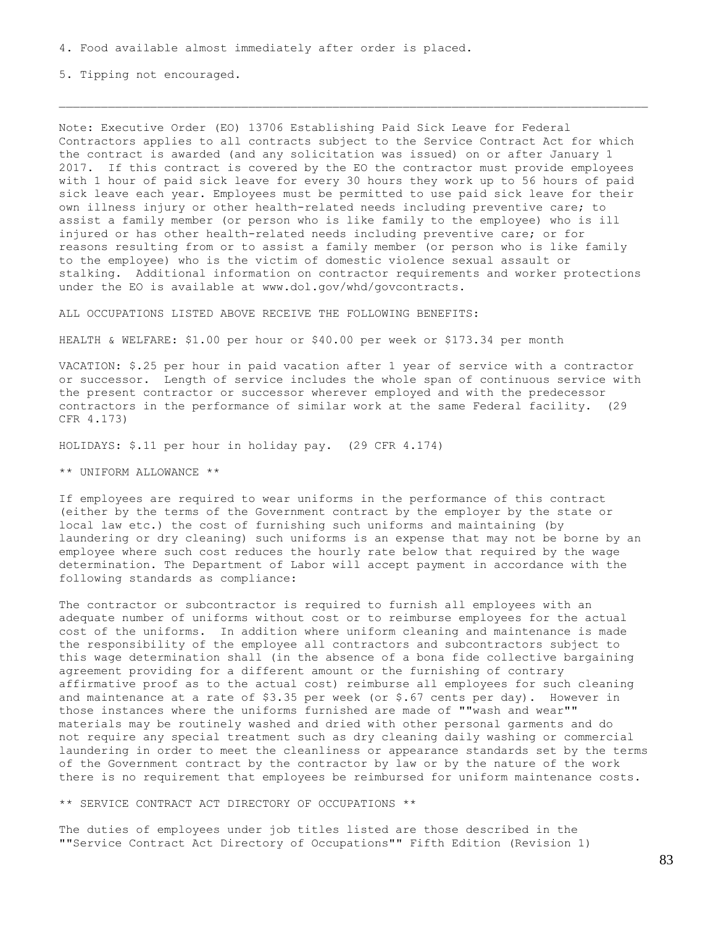5. Tipping not encouraged.

Note: Executive Order (EO) 13706 Establishing Paid Sick Leave for Federal Contractors applies to all contracts subject to the Service Contract Act for which the contract is awarded (and any solicitation was issued) on or after January 1 2017. If this contract is covered by the EO the contractor must provide employees with 1 hour of paid sick leave for every 30 hours they work up to 56 hours of paid sick leave each year. Employees must be permitted to use paid sick leave for their own illness injury or other health-related needs including preventive care; to assist a family member (or person who is like family to the employee) who is ill injured or has other health-related needs including preventive care; or for reasons resulting from or to assist a family member (or person who is like family to the employee) who is the victim of domestic violence sexual assault or stalking. Additional information on contractor requirements and worker protections under the EO is available at www.dol.gov/whd/govcontracts.

ALL OCCUPATIONS LISTED ABOVE RECEIVE THE FOLLOWING BENEFITS:

HEALTH & WELFARE: \$1.00 per hour or \$40.00 per week or \$173.34 per month

VACATION: \$.25 per hour in paid vacation after 1 year of service with a contractor or successor. Length of service includes the whole span of continuous service with the present contractor or successor wherever employed and with the predecessor contractors in the performance of similar work at the same Federal facility. (29 CFR 4.173)

HOLIDAYS: \$.11 per hour in holiday pay. (29 CFR 4.174)

\*\* UNIFORM ALLOWANCE \*\*

If employees are required to wear uniforms in the performance of this contract (either by the terms of the Government contract by the employer by the state or local law etc.) the cost of furnishing such uniforms and maintaining (by laundering or dry cleaning) such uniforms is an expense that may not be borne by an employee where such cost reduces the hourly rate below that required by the wage determination. The Department of Labor will accept payment in accordance with the following standards as compliance:

The contractor or subcontractor is required to furnish all employees with an adequate number of uniforms without cost or to reimburse employees for the actual cost of the uniforms. In addition where uniform cleaning and maintenance is made the responsibility of the employee all contractors and subcontractors subject to this wage determination shall (in the absence of a bona fide collective bargaining agreement providing for a different amount or the furnishing of contrary affirmative proof as to the actual cost) reimburse all employees for such cleaning and maintenance at a rate of  $$3.35$  per week (or  $$.67$  cents per day). However in those instances where the uniforms furnished are made of ""wash and wear"" materials may be routinely washed and dried with other personal garments and do not require any special treatment such as dry cleaning daily washing or commercial laundering in order to meet the cleanliness or appearance standards set by the terms of the Government contract by the contractor by law or by the nature of the work there is no requirement that employees be reimbursed for uniform maintenance costs.

\*\* SERVICE CONTRACT ACT DIRECTORY OF OCCUPATIONS \*\*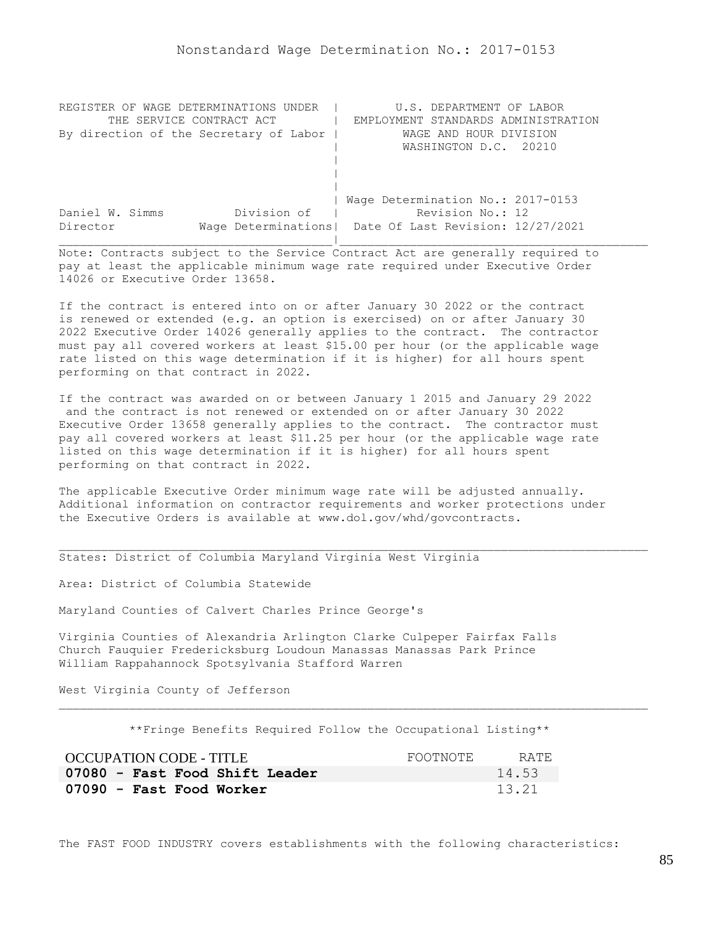| REGISTER OF WAGE DETERMINATIONS UNDER  | U.S. DEPARTMENT OF LABOR                                |
|----------------------------------------|---------------------------------------------------------|
| THE SERVICE CONTRACT ACT               | EMPLOYMENT STANDARDS ADMINISTRATION                     |
| By direction of the Secretary of Labor | WAGE AND HOUR DIVISION                                  |
|                                        | WASHINGTON D.C. 20210                                   |
|                                        |                                                         |
|                                        |                                                         |
|                                        |                                                         |
|                                        | Wage Determination No.: 2017-0153                       |
| Division of<br>Daniel W. Simms         | Revision No.: 12                                        |
| Director                               | Wage Determinations   Date Of Last Revision: 12/27/2021 |
|                                        |                                                         |

If the contract is entered into on or after January 30 2022 or the contract is renewed or extended (e.g. an option is exercised) on or after January 30 2022 Executive Order 14026 generally applies to the contract. The contractor must pay all covered workers at least \$15.00 per hour (or the applicable wage rate listed on this wage determination if it is higher) for all hours spent performing on that contract in 2022.

If the contract was awarded on or between January 1 2015 and January 29 2022 and the contract is not renewed or extended on or after January 30 2022 Executive Order 13658 generally applies to the contract. The contractor must pay all covered workers at least \$11.25 per hour (or the applicable wage rate listed on this wage determination if it is higher) for all hours spent performing on that contract in 2022.

The applicable Executive Order minimum wage rate will be adjusted annually. Additional information on contractor requirements and worker protections under the Executive Orders is available at www.dol.gov/whd/govcontracts.

States: District of Columbia Maryland Virginia West Virginia

Area: District of Columbia Statewide

Maryland Counties of Calvert Charles Prince George's

Virginia Counties of Alexandria Arlington Clarke Culpeper Fairfax Falls Church Fauquier Fredericksburg Loudoun Manassas Manassas Park Prince William Rappahannock Spotsylvania Stafford Warren

West Virginia County of Jefferson

\*\*Fringe Benefits Required Follow the Occupational Listing\*\*

| OCCUPATION CODE - TITLE        | FOOTNOTE | RATE. |
|--------------------------------|----------|-------|
| 07080 - Fast Food Shift Leader |          | 14.53 |
| 07090 - Fast Food Worker       |          | 13.21 |

The FAST FOOD INDUSTRY covers establishments with the following characteristics: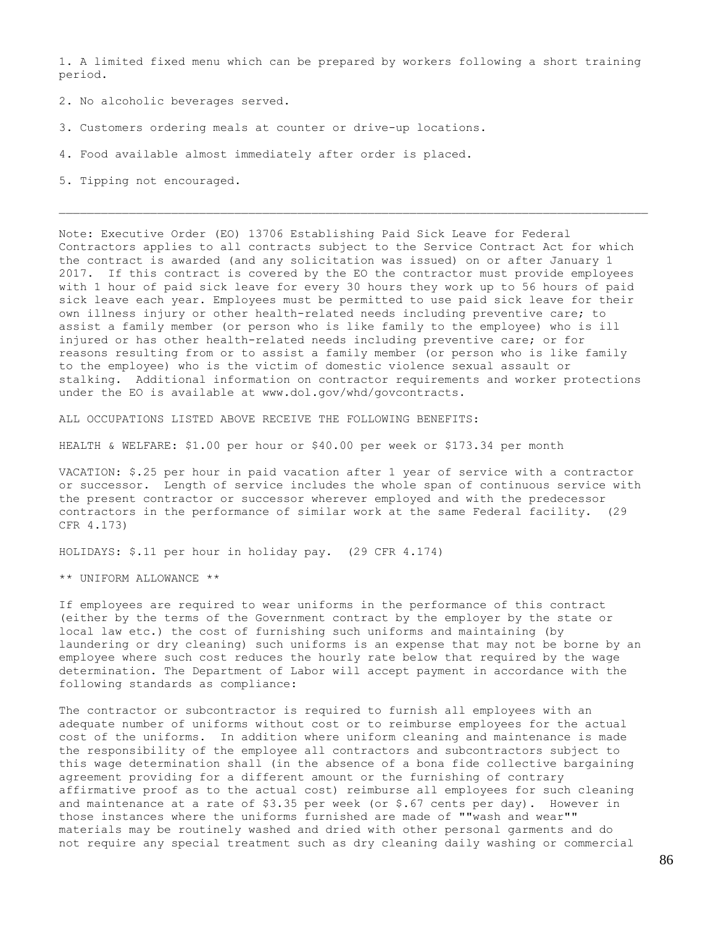1. A limited fixed menu which can be prepared by workers following a short training period.

- 2. No alcoholic beverages served.
- 3. Customers ordering meals at counter or drive-up locations.
- 4. Food available almost immediately after order is placed.
- 5. Tipping not encouraged.

Note: Executive Order (EO) 13706 Establishing Paid Sick Leave for Federal Contractors applies to all contracts subject to the Service Contract Act for which the contract is awarded (and any solicitation was issued) on or after January 1 2017. If this contract is covered by the EO the contractor must provide employees with 1 hour of paid sick leave for every 30 hours they work up to 56 hours of paid sick leave each year. Employees must be permitted to use paid sick leave for their own illness injury or other health-related needs including preventive care; to assist a family member (or person who is like family to the employee) who is ill injured or has other health-related needs including preventive care; or for reasons resulting from or to assist a family member (or person who is like family to the employee) who is the victim of domestic violence sexual assault or stalking. Additional information on contractor requirements and worker protections under the EO is available at www.dol.gov/whd/govcontracts.

ALL OCCUPATIONS LISTED ABOVE RECEIVE THE FOLLOWING BENEFITS:

HEALTH & WELFARE: \$1.00 per hour or \$40.00 per week or \$173.34 per month

VACATION: \$.25 per hour in paid vacation after 1 year of service with a contractor or successor. Length of service includes the whole span of continuous service with the present contractor or successor wherever employed and with the predecessor contractors in the performance of similar work at the same Federal facility. (29 CFR 4.173)

HOLIDAYS: \$.11 per hour in holiday pay. (29 CFR 4.174)

\*\* UNIFORM ALLOWANCE \*\*

If employees are required to wear uniforms in the performance of this contract (either by the terms of the Government contract by the employer by the state or local law etc.) the cost of furnishing such uniforms and maintaining (by laundering or dry cleaning) such uniforms is an expense that may not be borne by an employee where such cost reduces the hourly rate below that required by the wage determination. The Department of Labor will accept payment in accordance with the following standards as compliance:

The contractor or subcontractor is required to furnish all employees with an adequate number of uniforms without cost or to reimburse employees for the actual cost of the uniforms. In addition where uniform cleaning and maintenance is made the responsibility of the employee all contractors and subcontractors subject to this wage determination shall (in the absence of a bona fide collective bargaining agreement providing for a different amount or the furnishing of contrary affirmative proof as to the actual cost) reimburse all employees for such cleaning and maintenance at a rate of \$3.35 per week (or \$.67 cents per day). However in those instances where the uniforms furnished are made of ""wash and wear"" materials may be routinely washed and dried with other personal garments and do not require any special treatment such as dry cleaning daily washing or commercial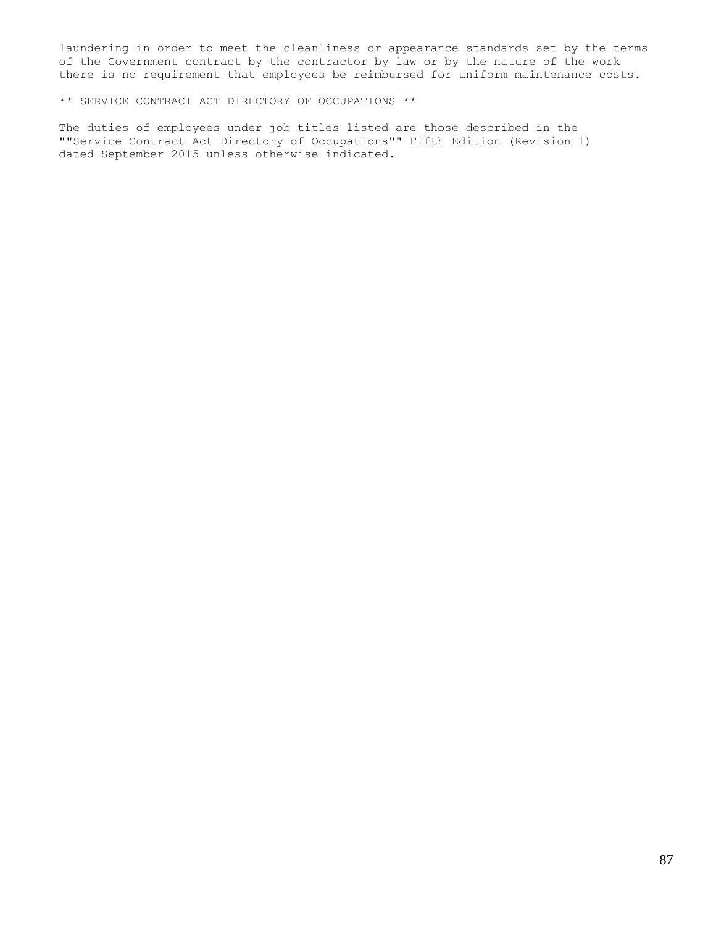laundering in order to meet the cleanliness or appearance standards set by the terms of the Government contract by the contractor by law or by the nature of the work there is no requirement that employees be reimbursed for uniform maintenance costs.

\*\* SERVICE CONTRACT ACT DIRECTORY OF OCCUPATIONS \*\*

The duties of employees under job titles listed are those described in the ""Service Contract Act Directory of Occupations"" Fifth Edition (Revision 1) dated September 2015 unless otherwise indicated.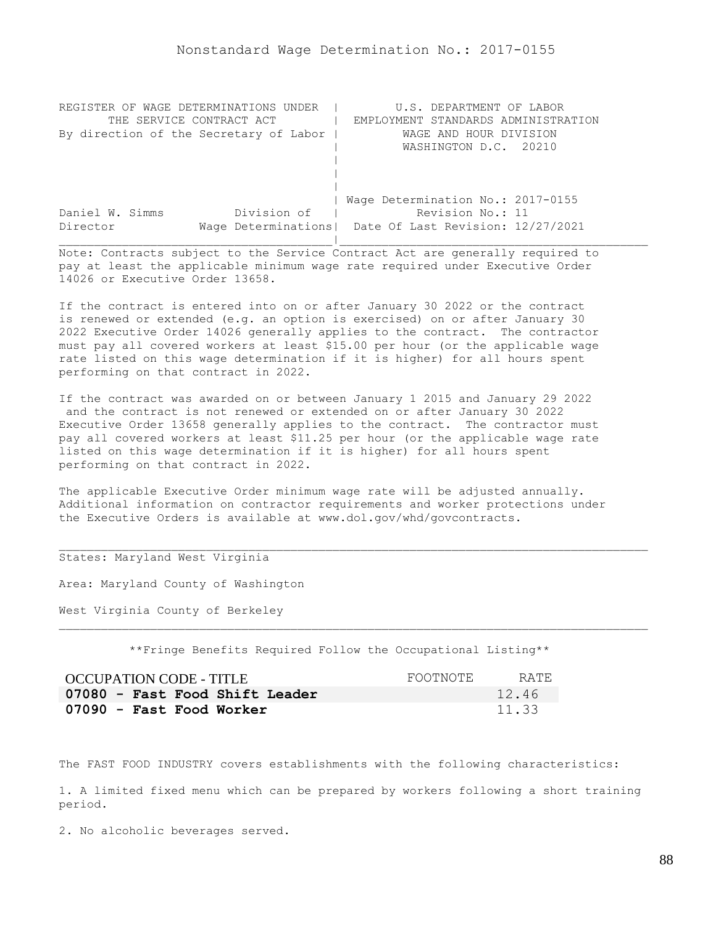| REGISTER OF WAGE DETERMINATIONS UNDER  | U.S. DEPARTMENT OF LABOR                                |
|----------------------------------------|---------------------------------------------------------|
| THE SERVICE CONTRACT ACT               | EMPLOYMENT STANDARDS ADMINISTRATION                     |
| By direction of the Secretary of Labor | WAGE AND HOUR DIVISION                                  |
|                                        | WASHINGTON D.C. 20210                                   |
|                                        |                                                         |
|                                        |                                                         |
|                                        |                                                         |
|                                        | Wage Determination No.: 2017-0155                       |
| Division of<br>Daniel W. Simms         | Revision No.: 11                                        |
| Director                               | Wage Determinations   Date Of Last Revision: 12/27/2021 |
|                                        |                                                         |

If the contract is entered into on or after January 30 2022 or the contract is renewed or extended (e.g. an option is exercised) on or after January 30 2022 Executive Order 14026 generally applies to the contract. The contractor must pay all covered workers at least \$15.00 per hour (or the applicable wage rate listed on this wage determination if it is higher) for all hours spent performing on that contract in 2022.

If the contract was awarded on or between January 1 2015 and January 29 2022 and the contract is not renewed or extended on or after January 30 2022 Executive Order 13658 generally applies to the contract. The contractor must pay all covered workers at least \$11.25 per hour (or the applicable wage rate listed on this wage determination if it is higher) for all hours spent performing on that contract in 2022.

The applicable Executive Order minimum wage rate will be adjusted annually. Additional information on contractor requirements and worker protections under the Executive Orders is available at www.dol.gov/whd/govcontracts.

## States: Maryland West Virginia

Area: Maryland County of Washington

West Virginia County of Berkeley

\*\*Fringe Benefits Required Follow the Occupational Listing\*\*

| OCCUPATION CODE - TITLE        | FOOTNOTE | RATE. |
|--------------------------------|----------|-------|
| 07080 - Fast Food Shift Leader |          | 12.46 |
| 07090 - Fast Food Worker       |          | 11.33 |

The FAST FOOD INDUSTRY covers establishments with the following characteristics:

1. A limited fixed menu which can be prepared by workers following a short training period.

2. No alcoholic beverages served.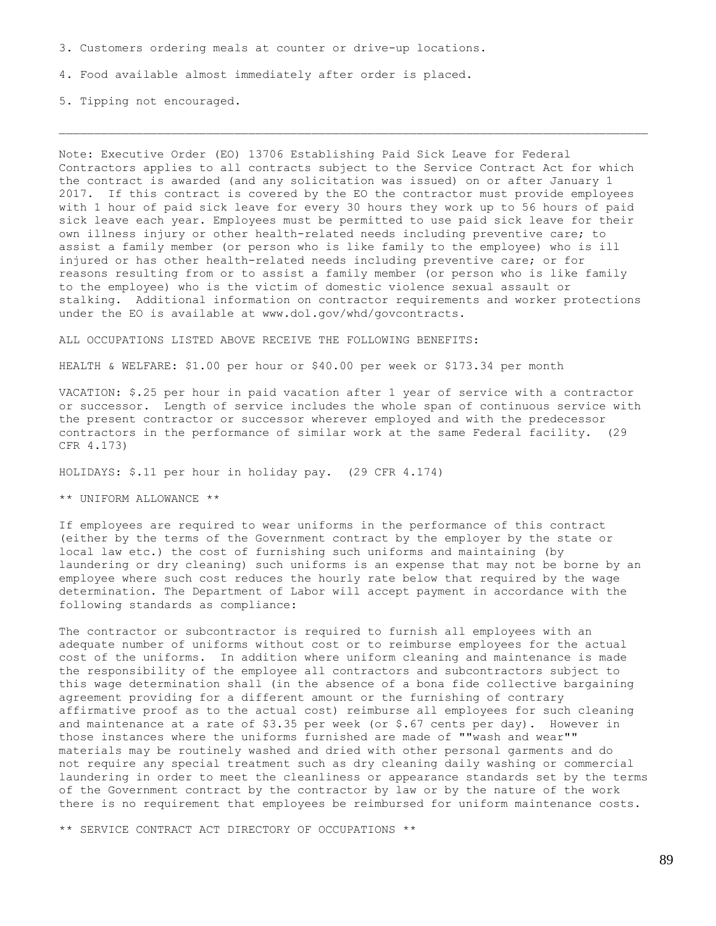3. Customers ordering meals at counter or drive-up locations.

4. Food available almost immediately after order is placed.

5. Tipping not encouraged.

Note: Executive Order (EO) 13706 Establishing Paid Sick Leave for Federal Contractors applies to all contracts subject to the Service Contract Act for which the contract is awarded (and any solicitation was issued) on or after January 1 2017. If this contract is covered by the EO the contractor must provide employees with 1 hour of paid sick leave for every 30 hours they work up to 56 hours of paid sick leave each year. Employees must be permitted to use paid sick leave for their own illness injury or other health-related needs including preventive care; to assist a family member (or person who is like family to the employee) who is ill injured or has other health-related needs including preventive care; or for reasons resulting from or to assist a family member (or person who is like family to the employee) who is the victim of domestic violence sexual assault or stalking. Additional information on contractor requirements and worker protections under the EO is available at www.dol.gov/whd/govcontracts.

ALL OCCUPATIONS LISTED ABOVE RECEIVE THE FOLLOWING BENEFITS:

HEALTH & WELFARE: \$1.00 per hour or \$40.00 per week or \$173.34 per month

VACATION: \$.25 per hour in paid vacation after 1 year of service with a contractor or successor. Length of service includes the whole span of continuous service with the present contractor or successor wherever employed and with the predecessor contractors in the performance of similar work at the same Federal facility. (29 CFR 4.173)

HOLIDAYS: \$.11 per hour in holiday pay. (29 CFR 4.174)

\*\* UNIFORM ALLOWANCE \*\*

If employees are required to wear uniforms in the performance of this contract (either by the terms of the Government contract by the employer by the state or local law etc.) the cost of furnishing such uniforms and maintaining (by laundering or dry cleaning) such uniforms is an expense that may not be borne by an employee where such cost reduces the hourly rate below that required by the wage determination. The Department of Labor will accept payment in accordance with the following standards as compliance:

The contractor or subcontractor is required to furnish all employees with an adequate number of uniforms without cost or to reimburse employees for the actual cost of the uniforms. In addition where uniform cleaning and maintenance is made the responsibility of the employee all contractors and subcontractors subject to this wage determination shall (in the absence of a bona fide collective bargaining agreement providing for a different amount or the furnishing of contrary affirmative proof as to the actual cost) reimburse all employees for such cleaning and maintenance at a rate of  $$3.35$  per week (or  $$.67$  cents per day). However in those instances where the uniforms furnished are made of ""wash and wear"" materials may be routinely washed and dried with other personal garments and do not require any special treatment such as dry cleaning daily washing or commercial laundering in order to meet the cleanliness or appearance standards set by the terms of the Government contract by the contractor by law or by the nature of the work there is no requirement that employees be reimbursed for uniform maintenance costs.

\*\* SERVICE CONTRACT ACT DIRECTORY OF OCCUPATIONS \*\*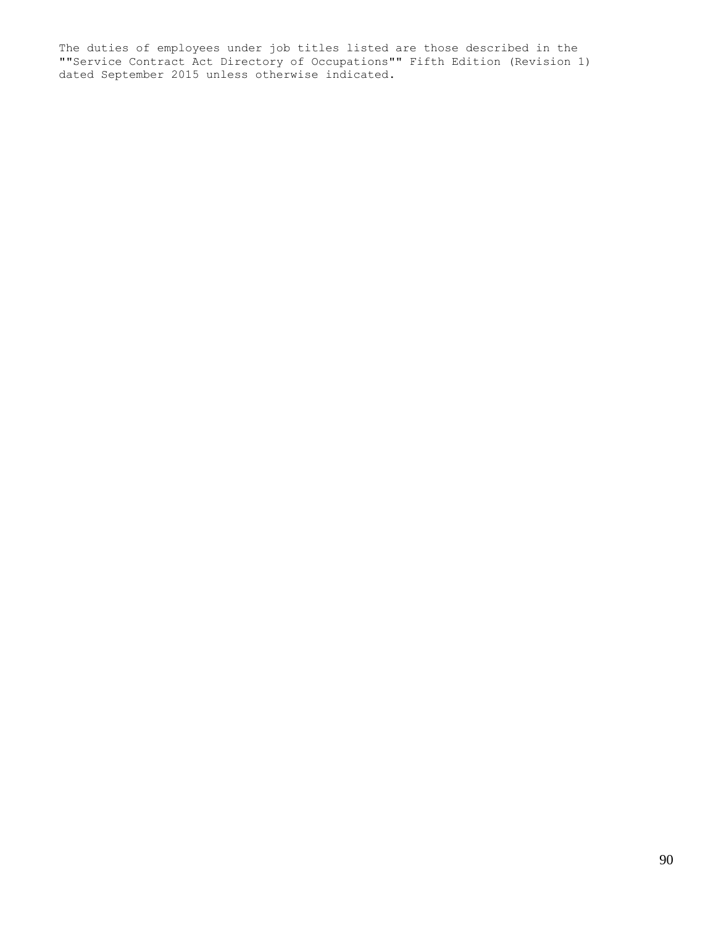The duties of employees under job titles listed are those described in the ""Service Contract Act Directory of Occupations"" Fifth Edition (Revision 1) dated September 2015 unless otherwise indicated.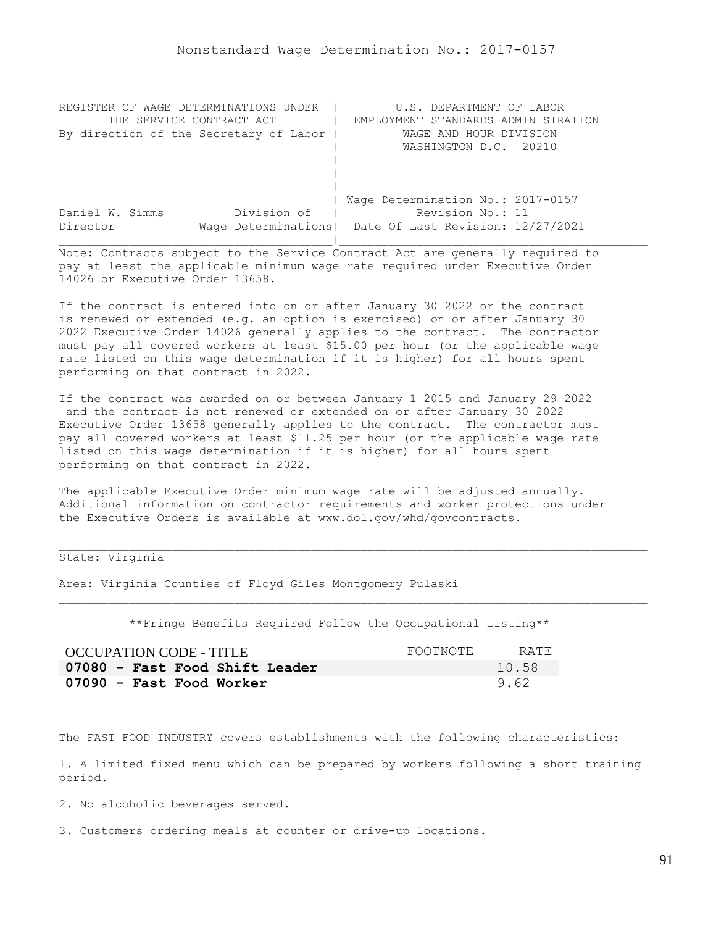| REGISTER OF WAGE DETERMINATIONS UNDER  | U.S. DEPARTMENT OF LABOR                                |
|----------------------------------------|---------------------------------------------------------|
| THE SERVICE CONTRACT ACT               | EMPLOYMENT STANDARDS ADMINISTRATION                     |
| By direction of the Secretary of Labor | WAGE AND HOUR DIVISION                                  |
|                                        | WASHINGTON D.C. 20210                                   |
|                                        |                                                         |
|                                        |                                                         |
|                                        |                                                         |
|                                        | Wage Determination No.: 2017-0157                       |
| Division of<br>Daniel W. Simms         | Revision No.: 11                                        |
| Director                               | Wage Determinations   Date Of Last Revision: 12/27/2021 |
|                                        |                                                         |

If the contract is entered into on or after January 30 2022 or the contract is renewed or extended (e.g. an option is exercised) on or after January 30 2022 Executive Order 14026 generally applies to the contract. The contractor must pay all covered workers at least \$15.00 per hour (or the applicable wage rate listed on this wage determination if it is higher) for all hours spent performing on that contract in 2022.

If the contract was awarded on or between January 1 2015 and January 29 2022 and the contract is not renewed or extended on or after January 30 2022 Executive Order 13658 generally applies to the contract. The contractor must pay all covered workers at least \$11.25 per hour (or the applicable wage rate listed on this wage determination if it is higher) for all hours spent performing on that contract in 2022.

The applicable Executive Order minimum wage rate will be adjusted annually. Additional information on contractor requirements and worker protections under the Executive Orders is available at www.dol.gov/whd/govcontracts.

State: Virginia

Area: Virginia Counties of Floyd Giles Montgomery Pulaski

\*\*Fringe Benefits Required Follow the Occupational Listing\*\*

| OCCUPATION CODE - TITLE        | FOOTNOTE | RATE. |
|--------------------------------|----------|-------|
| 07080 - Fast Food Shift Leader |          | 10.58 |
| 07090 - Fast Food Worker       |          | 9.62  |

The FAST FOOD INDUSTRY covers establishments with the following characteristics:

1. A limited fixed menu which can be prepared by workers following a short training period.

2. No alcoholic beverages served.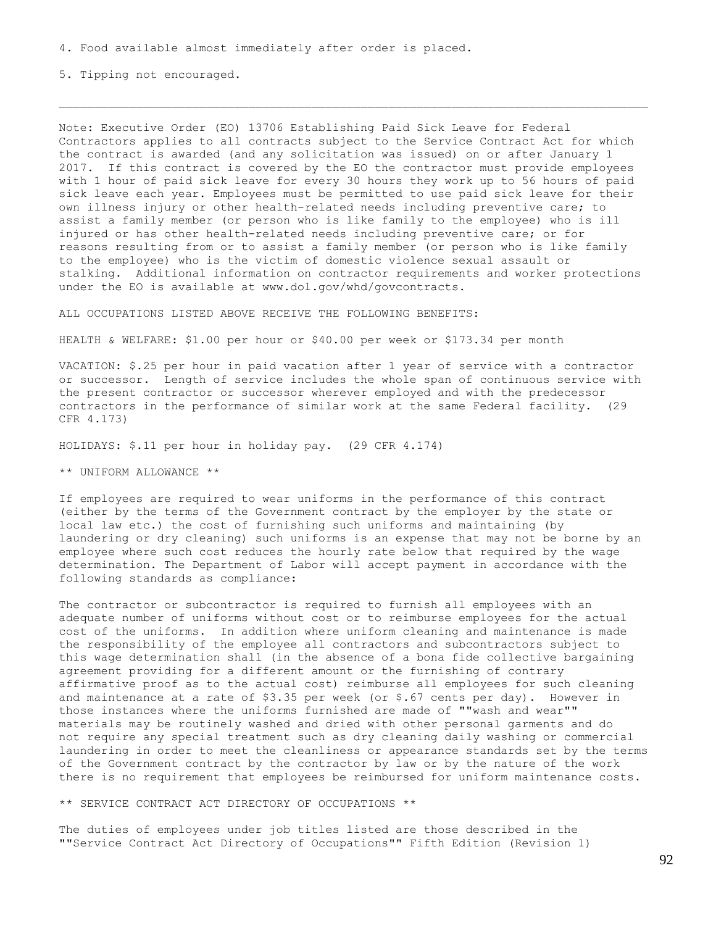5. Tipping not encouraged.

Note: Executive Order (EO) 13706 Establishing Paid Sick Leave for Federal Contractors applies to all contracts subject to the Service Contract Act for which the contract is awarded (and any solicitation was issued) on or after January 1 2017. If this contract is covered by the EO the contractor must provide employees with 1 hour of paid sick leave for every 30 hours they work up to 56 hours of paid sick leave each year. Employees must be permitted to use paid sick leave for their own illness injury or other health-related needs including preventive care; to assist a family member (or person who is like family to the employee) who is ill injured or has other health-related needs including preventive care; or for reasons resulting from or to assist a family member (or person who is like family to the employee) who is the victim of domestic violence sexual assault or stalking. Additional information on contractor requirements and worker protections under the EO is available at www.dol.gov/whd/govcontracts.

ALL OCCUPATIONS LISTED ABOVE RECEIVE THE FOLLOWING BENEFITS:

HEALTH & WELFARE: \$1.00 per hour or \$40.00 per week or \$173.34 per month

VACATION: \$.25 per hour in paid vacation after 1 year of service with a contractor or successor. Length of service includes the whole span of continuous service with the present contractor or successor wherever employed and with the predecessor contractors in the performance of similar work at the same Federal facility. (29 CFR 4.173)

HOLIDAYS: \$.11 per hour in holiday pay. (29 CFR 4.174)

\*\* UNIFORM ALLOWANCE \*\*

If employees are required to wear uniforms in the performance of this contract (either by the terms of the Government contract by the employer by the state or local law etc.) the cost of furnishing such uniforms and maintaining (by laundering or dry cleaning) such uniforms is an expense that may not be borne by an employee where such cost reduces the hourly rate below that required by the wage determination. The Department of Labor will accept payment in accordance with the following standards as compliance:

The contractor or subcontractor is required to furnish all employees with an adequate number of uniforms without cost or to reimburse employees for the actual cost of the uniforms. In addition where uniform cleaning and maintenance is made the responsibility of the employee all contractors and subcontractors subject to this wage determination shall (in the absence of a bona fide collective bargaining agreement providing for a different amount or the furnishing of contrary affirmative proof as to the actual cost) reimburse all employees for such cleaning and maintenance at a rate of  $$3.35$  per week (or  $$.67$  cents per day). However in those instances where the uniforms furnished are made of ""wash and wear"" materials may be routinely washed and dried with other personal garments and do not require any special treatment such as dry cleaning daily washing or commercial laundering in order to meet the cleanliness or appearance standards set by the terms of the Government contract by the contractor by law or by the nature of the work there is no requirement that employees be reimbursed for uniform maintenance costs.

\*\* SERVICE CONTRACT ACT DIRECTORY OF OCCUPATIONS \*\*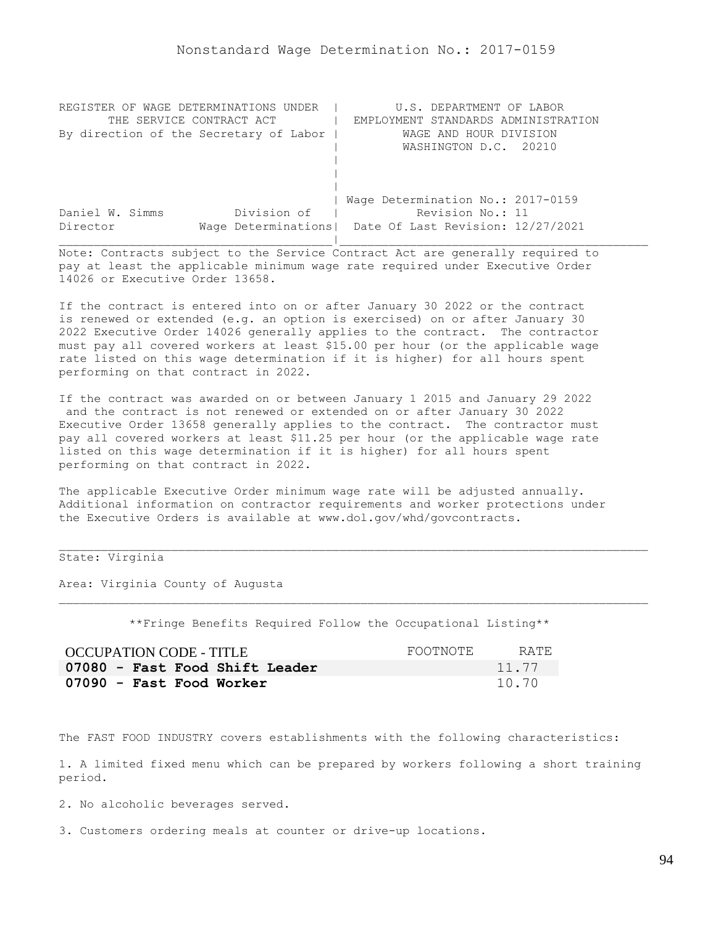| REGISTER OF WAGE DETERMINATIONS UNDER  | U.S. DEPARTMENT OF LABOR                                |
|----------------------------------------|---------------------------------------------------------|
| THE SERVICE CONTRACT ACT               | EMPLOYMENT STANDARDS ADMINISTRATION                     |
| By direction of the Secretary of Labor | WAGE AND HOUR DIVISION                                  |
|                                        | WASHINGTON D.C. 20210                                   |
|                                        |                                                         |
|                                        |                                                         |
|                                        |                                                         |
|                                        | Wage Determination No.: 2017-0159                       |
| Division of<br>Daniel W. Simms         | Revision No.: 11                                        |
| Director                               | Wage Determinations   Date Of Last Revision: 12/27/2021 |
|                                        |                                                         |

If the contract is entered into on or after January 30 2022 or the contract is renewed or extended (e.g. an option is exercised) on or after January 30 2022 Executive Order 14026 generally applies to the contract. The contractor must pay all covered workers at least \$15.00 per hour (or the applicable wage rate listed on this wage determination if it is higher) for all hours spent performing on that contract in 2022.

If the contract was awarded on or between January 1 2015 and January 29 2022 and the contract is not renewed or extended on or after January 30 2022 Executive Order 13658 generally applies to the contract. The contractor must pay all covered workers at least \$11.25 per hour (or the applicable wage rate listed on this wage determination if it is higher) for all hours spent performing on that contract in 2022.

The applicable Executive Order minimum wage rate will be adjusted annually. Additional information on contractor requirements and worker protections under the Executive Orders is available at www.dol.gov/whd/govcontracts.

# State: Virginia

Area: Virginia County of Augusta

\*\*Fringe Benefits Required Follow the Occupational Listing\*\*

| OCCUPATION CODE - TITLE        | FOOTNOTE | RATE. |
|--------------------------------|----------|-------|
| 07080 - Fast Food Shift Leader |          | 11.77 |
| 07090 - Fast Food Worker       |          | 10.70 |

The FAST FOOD INDUSTRY covers establishments with the following characteristics:

1. A limited fixed menu which can be prepared by workers following a short training period.

2. No alcoholic beverages served.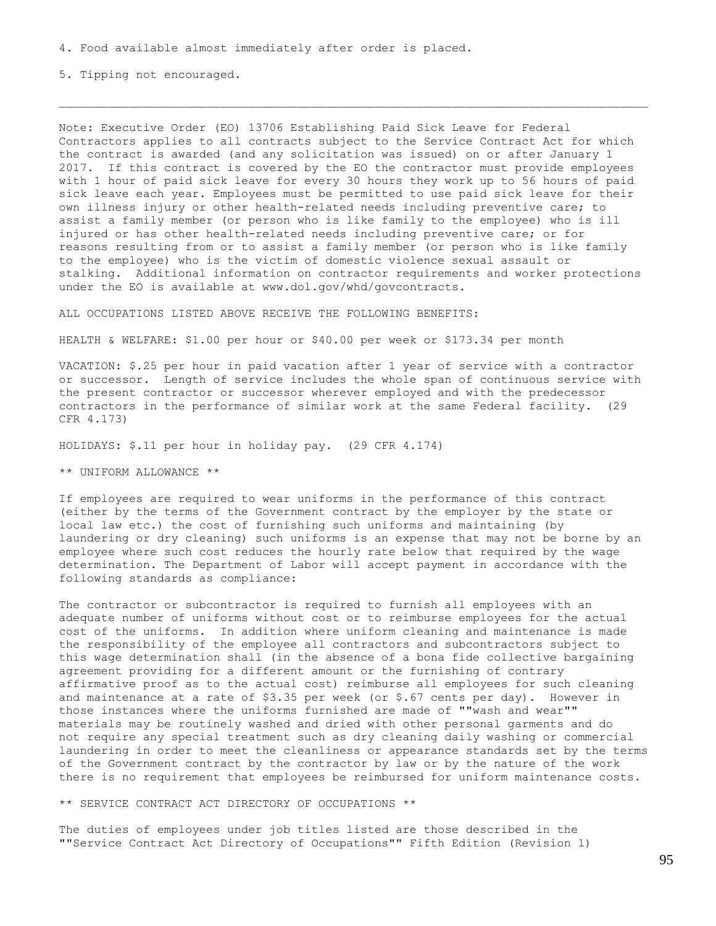5. Tipping not encouraged.

Note: Executive Order (EO) 13706 Establishing Paid Sick Leave for Federal Contractors applies to all contracts subject to the Service Contract Act for which the contract is awarded (and any solicitation was issued) on or after January 1 2017. If this contract is covered by the EO the contractor must provide employees with 1 hour of paid sick leave for every 30 hours they work up to 56 hours of paid sick leave each year. Employees must be permitted to use paid sick leave for their own illness injury or other health-related needs including preventive care; to assist a family member (or person who is like family to the employee) who is ill injured or has other health-related needs including preventive care; or for reasons resulting from or to assist a family member (or person who is like family to the employee) who is the victim of domestic violence sexual assault or stalking. Additional information on contractor requirements and worker protections under the EO is available at www.dol.gov/whd/govcontracts.

ALL OCCUPATIONS LISTED ABOVE RECEIVE THE FOLLOWING BENEFITS:

HEALTH & WELFARE: \$1.00 per hour or \$40.00 per week or \$173.34 per month

VACATION: \$.25 per hour in paid vacation after 1 year of service with a contractor or successor. Length of service includes the whole span of continuous service with the present contractor or successor wherever employed and with the predecessor contractors in the performance of similar work at the same Federal facility. (29 CFR 4.173)

HOLIDAYS: \$.11 per hour in holiday pay. (29 CFR 4.174)

\*\* UNIFORM ALLOWANCE \*\*

If employees are required to wear uniforms in the performance of this contract (either by the terms of the Government contract by the employer by the state or local law etc.) the cost of furnishing such uniforms and maintaining (by laundering or dry cleaning) such uniforms is an expense that may not be borne by an employee where such cost reduces the hourly rate below that required by the wage determination. The Department of Labor will accept payment in accordance with the following standards as compliance:

The contractor or subcontractor is required to furnish all employees with an adequate number of uniforms without cost or to reimburse employees for the actual cost of the uniforms. In addition where uniform cleaning and maintenance is made the responsibility of the employee all contractors and subcontractors subject to this wage determination shall (in the absence of a bona fide collective bargaining agreement providing for a different amount or the furnishing of contrary affirmative proof as to the actual cost) reimburse all employees for such cleaning and maintenance at a rate of  $$3.35$  per week (or  $$.67$  cents per day). However in those instances where the uniforms furnished are made of ""wash and wear"" materials may be routinely washed and dried with other personal garments and do not require any special treatment such as dry cleaning daily washing or commercial laundering in order to meet the cleanliness or appearance standards set by the terms of the Government contract by the contractor by law or by the nature of the work there is no requirement that employees be reimbursed for uniform maintenance costs.

\*\* SERVICE CONTRACT ACT DIRECTORY OF OCCUPATIONS \*\*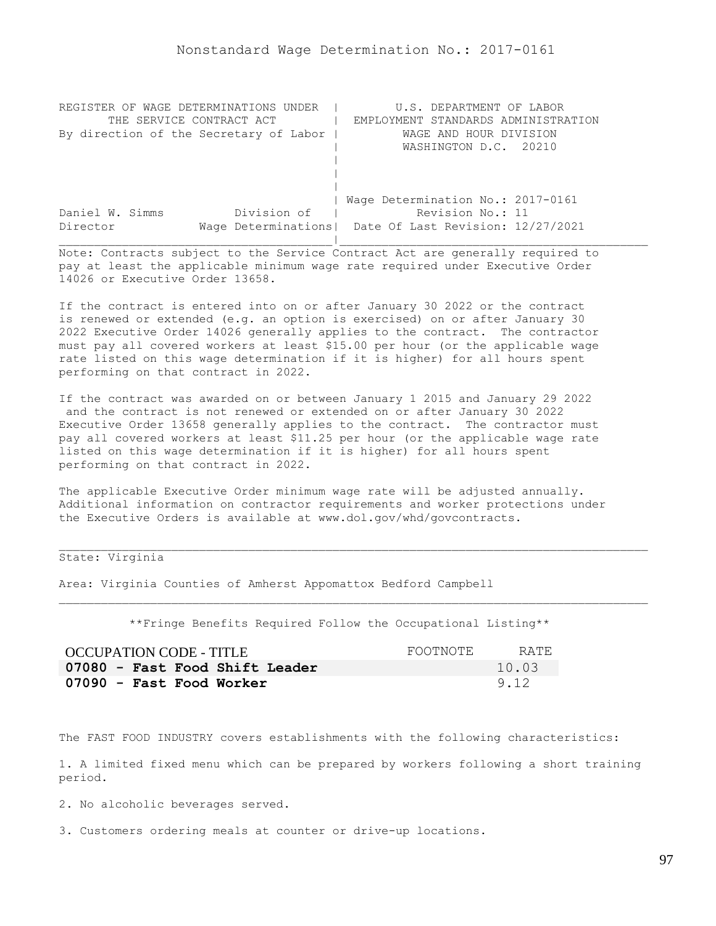| REGISTER OF WAGE DETERMINATIONS UNDER  | U.S. DEPARTMENT OF LABOR                                |
|----------------------------------------|---------------------------------------------------------|
| THE SERVICE CONTRACT ACT               | EMPLOYMENT STANDARDS ADMINISTRATION                     |
| By direction of the Secretary of Labor | WAGE AND HOUR DIVISION                                  |
|                                        | WASHINGTON D.C. 20210                                   |
|                                        |                                                         |
|                                        |                                                         |
|                                        |                                                         |
|                                        | Wage Determination No.: 2017-0161                       |
| Division of<br>Daniel W. Simms         | Revision No.: 11                                        |
| Director                               | Wage Determinations   Date Of Last Revision: 12/27/2021 |
|                                        |                                                         |

If the contract is entered into on or after January 30 2022 or the contract is renewed or extended (e.g. an option is exercised) on or after January 30 2022 Executive Order 14026 generally applies to the contract. The contractor must pay all covered workers at least \$15.00 per hour (or the applicable wage rate listed on this wage determination if it is higher) for all hours spent performing on that contract in 2022.

If the contract was awarded on or between January 1 2015 and January 29 2022 and the contract is not renewed or extended on or after January 30 2022 Executive Order 13658 generally applies to the contract. The contractor must pay all covered workers at least \$11.25 per hour (or the applicable wage rate listed on this wage determination if it is higher) for all hours spent performing on that contract in 2022.

The applicable Executive Order minimum wage rate will be adjusted annually. Additional information on contractor requirements and worker protections under the Executive Orders is available at www.dol.gov/whd/govcontracts.

## State: Virginia

Area: Virginia Counties of Amherst Appomattox Bedford Campbell

\*\*Fringe Benefits Required Follow the Occupational Listing\*\*

| OCCUPATION CODE - TITLE        | FOOTNOTE | RATE. |
|--------------------------------|----------|-------|
| 07080 - Fast Food Shift Leader |          | 10.03 |
| 07090 - Fast Food Worker       |          | 9.12  |

The FAST FOOD INDUSTRY covers establishments with the following characteristics:

1. A limited fixed menu which can be prepared by workers following a short training period.

2. No alcoholic beverages served.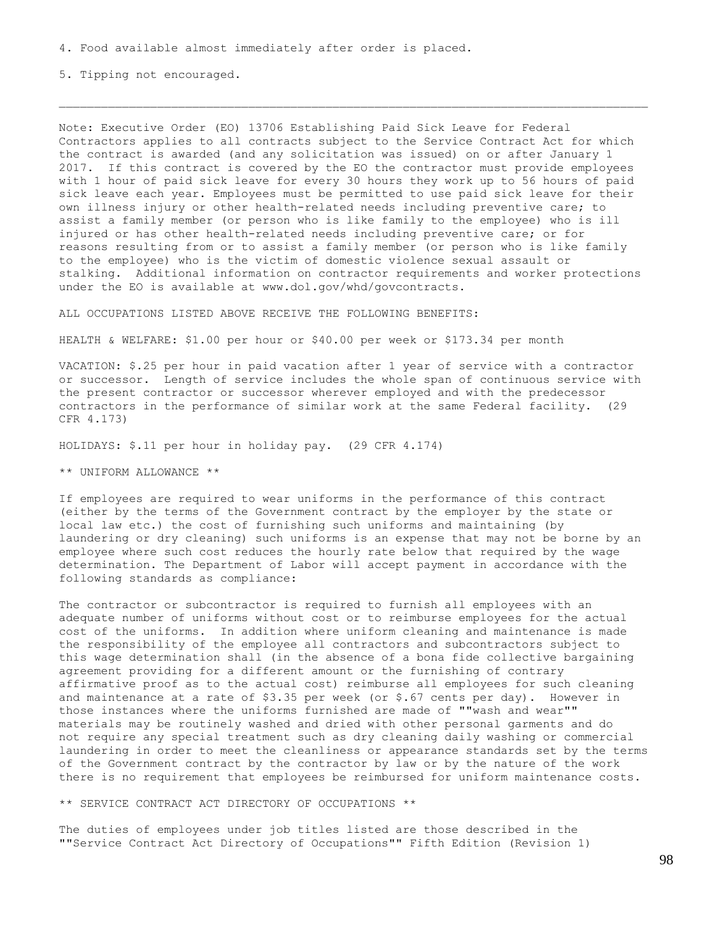5. Tipping not encouraged.

Note: Executive Order (EO) 13706 Establishing Paid Sick Leave for Federal Contractors applies to all contracts subject to the Service Contract Act for which the contract is awarded (and any solicitation was issued) on or after January 1 2017. If this contract is covered by the EO the contractor must provide employees with 1 hour of paid sick leave for every 30 hours they work up to 56 hours of paid sick leave each year. Employees must be permitted to use paid sick leave for their own illness injury or other health-related needs including preventive care; to assist a family member (or person who is like family to the employee) who is ill injured or has other health-related needs including preventive care; or for reasons resulting from or to assist a family member (or person who is like family to the employee) who is the victim of domestic violence sexual assault or stalking. Additional information on contractor requirements and worker protections under the EO is available at www.dol.gov/whd/govcontracts.

ALL OCCUPATIONS LISTED ABOVE RECEIVE THE FOLLOWING BENEFITS:

HEALTH & WELFARE: \$1.00 per hour or \$40.00 per week or \$173.34 per month

VACATION: \$.25 per hour in paid vacation after 1 year of service with a contractor or successor. Length of service includes the whole span of continuous service with the present contractor or successor wherever employed and with the predecessor contractors in the performance of similar work at the same Federal facility. (29 CFR 4.173)

HOLIDAYS: \$.11 per hour in holiday pay. (29 CFR 4.174)

\*\* UNIFORM ALLOWANCE \*\*

If employees are required to wear uniforms in the performance of this contract (either by the terms of the Government contract by the employer by the state or local law etc.) the cost of furnishing such uniforms and maintaining (by laundering or dry cleaning) such uniforms is an expense that may not be borne by an employee where such cost reduces the hourly rate below that required by the wage determination. The Department of Labor will accept payment in accordance with the following standards as compliance:

The contractor or subcontractor is required to furnish all employees with an adequate number of uniforms without cost or to reimburse employees for the actual cost of the uniforms. In addition where uniform cleaning and maintenance is made the responsibility of the employee all contractors and subcontractors subject to this wage determination shall (in the absence of a bona fide collective bargaining agreement providing for a different amount or the furnishing of contrary affirmative proof as to the actual cost) reimburse all employees for such cleaning and maintenance at a rate of  $$3.35$  per week (or  $$.67$  cents per day). However in those instances where the uniforms furnished are made of ""wash and wear"" materials may be routinely washed and dried with other personal garments and do not require any special treatment such as dry cleaning daily washing or commercial laundering in order to meet the cleanliness or appearance standards set by the terms of the Government contract by the contractor by law or by the nature of the work there is no requirement that employees be reimbursed for uniform maintenance costs.

\*\* SERVICE CONTRACT ACT DIRECTORY OF OCCUPATIONS \*\*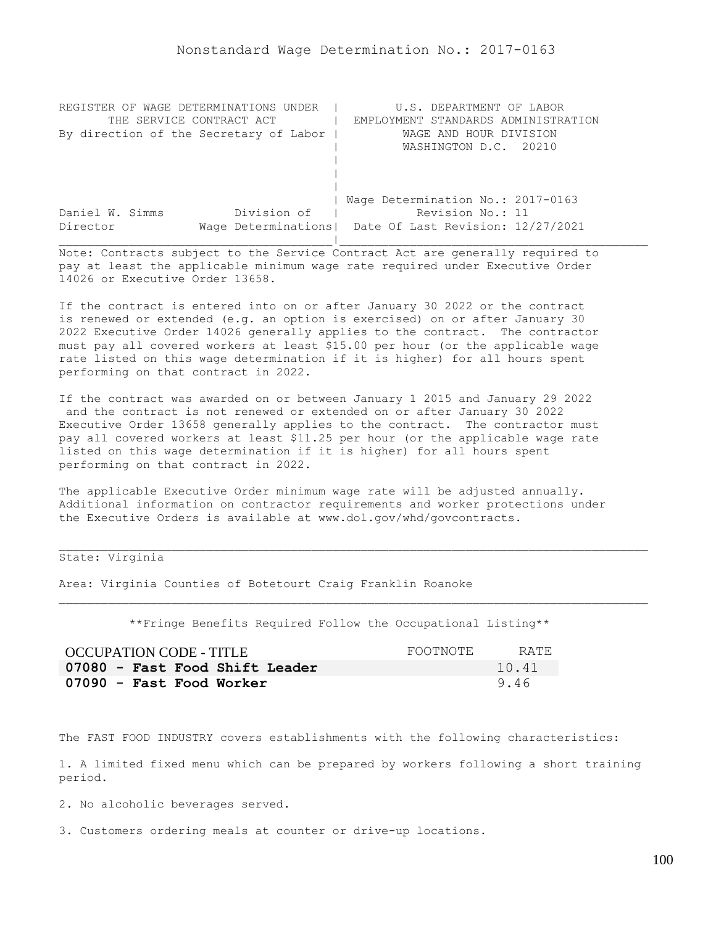| REGISTER OF WAGE DETERMINATIONS UNDER  | U.S. DEPARTMENT OF LABOR                                |
|----------------------------------------|---------------------------------------------------------|
| THE SERVICE CONTRACT ACT               | EMPLOYMENT STANDARDS ADMINISTRATION                     |
| By direction of the Secretary of Labor | WAGE AND HOUR DIVISION                                  |
|                                        | WASHINGTON D.C. 20210                                   |
|                                        |                                                         |
|                                        |                                                         |
|                                        |                                                         |
|                                        | Wage Determination No.: 2017-0163                       |
| Division of<br>Daniel W. Simms         | Revision No.: 11                                        |
| Director                               | Wage Determinations   Date Of Last Revision: 12/27/2021 |
|                                        |                                                         |

If the contract is entered into on or after January 30 2022 or the contract is renewed or extended (e.g. an option is exercised) on or after January 30 2022 Executive Order 14026 generally applies to the contract. The contractor must pay all covered workers at least \$15.00 per hour (or the applicable wage rate listed on this wage determination if it is higher) for all hours spent performing on that contract in 2022.

If the contract was awarded on or between January 1 2015 and January 29 2022 and the contract is not renewed or extended on or after January 30 2022 Executive Order 13658 generally applies to the contract. The contractor must pay all covered workers at least \$11.25 per hour (or the applicable wage rate listed on this wage determination if it is higher) for all hours spent performing on that contract in 2022.

The applicable Executive Order minimum wage rate will be adjusted annually. Additional information on contractor requirements and worker protections under the Executive Orders is available at www.dol.gov/whd/govcontracts.

# State: Virginia

Area: Virginia Counties of Botetourt Craig Franklin Roanoke

\*\*Fringe Benefits Required Follow the Occupational Listing\*\*

| OCCUPATION CODE - TITLE        | FOOTNOTE | RATE. |
|--------------------------------|----------|-------|
| 07080 - Fast Food Shift Leader |          | 10.41 |
| 07090 - Fast Food Worker       |          | 9.46  |

The FAST FOOD INDUSTRY covers establishments with the following characteristics:

1. A limited fixed menu which can be prepared by workers following a short training period.

2. No alcoholic beverages served.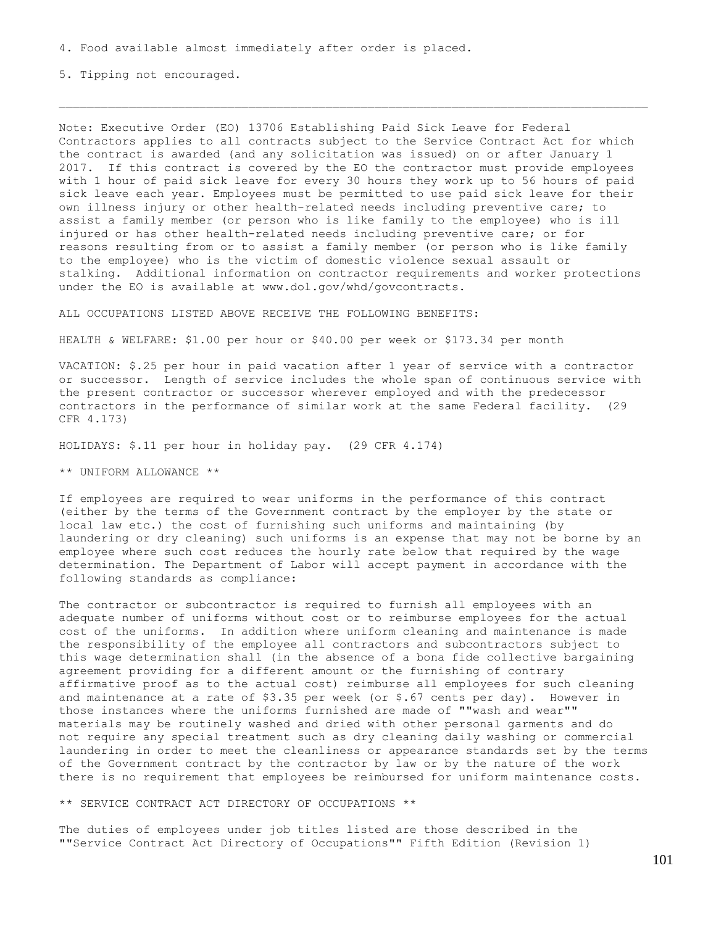5. Tipping not encouraged.

Note: Executive Order (EO) 13706 Establishing Paid Sick Leave for Federal Contractors applies to all contracts subject to the Service Contract Act for which the contract is awarded (and any solicitation was issued) on or after January 1 2017. If this contract is covered by the EO the contractor must provide employees with 1 hour of paid sick leave for every 30 hours they work up to 56 hours of paid sick leave each year. Employees must be permitted to use paid sick leave for their own illness injury or other health-related needs including preventive care; to assist a family member (or person who is like family to the employee) who is ill injured or has other health-related needs including preventive care; or for reasons resulting from or to assist a family member (or person who is like family to the employee) who is the victim of domestic violence sexual assault or stalking. Additional information on contractor requirements and worker protections under the EO is available at www.dol.gov/whd/govcontracts.

ALL OCCUPATIONS LISTED ABOVE RECEIVE THE FOLLOWING BENEFITS:

HEALTH & WELFARE: \$1.00 per hour or \$40.00 per week or \$173.34 per month

VACATION: \$.25 per hour in paid vacation after 1 year of service with a contractor or successor. Length of service includes the whole span of continuous service with the present contractor or successor wherever employed and with the predecessor contractors in the performance of similar work at the same Federal facility. (29 CFR 4.173)

HOLIDAYS: \$.11 per hour in holiday pay. (29 CFR 4.174)

\*\* UNIFORM ALLOWANCE \*\*

If employees are required to wear uniforms in the performance of this contract (either by the terms of the Government contract by the employer by the state or local law etc.) the cost of furnishing such uniforms and maintaining (by laundering or dry cleaning) such uniforms is an expense that may not be borne by an employee where such cost reduces the hourly rate below that required by the wage determination. The Department of Labor will accept payment in accordance with the following standards as compliance:

The contractor or subcontractor is required to furnish all employees with an adequate number of uniforms without cost or to reimburse employees for the actual cost of the uniforms. In addition where uniform cleaning and maintenance is made the responsibility of the employee all contractors and subcontractors subject to this wage determination shall (in the absence of a bona fide collective bargaining agreement providing for a different amount or the furnishing of contrary affirmative proof as to the actual cost) reimburse all employees for such cleaning and maintenance at a rate of \$3.35 per week (or \$.67 cents per day). However in those instances where the uniforms furnished are made of ""wash and wear"" materials may be routinely washed and dried with other personal garments and do not require any special treatment such as dry cleaning daily washing or commercial laundering in order to meet the cleanliness or appearance standards set by the terms of the Government contract by the contractor by law or by the nature of the work there is no requirement that employees be reimbursed for uniform maintenance costs.

\*\* SERVICE CONTRACT ACT DIRECTORY OF OCCUPATIONS \*\*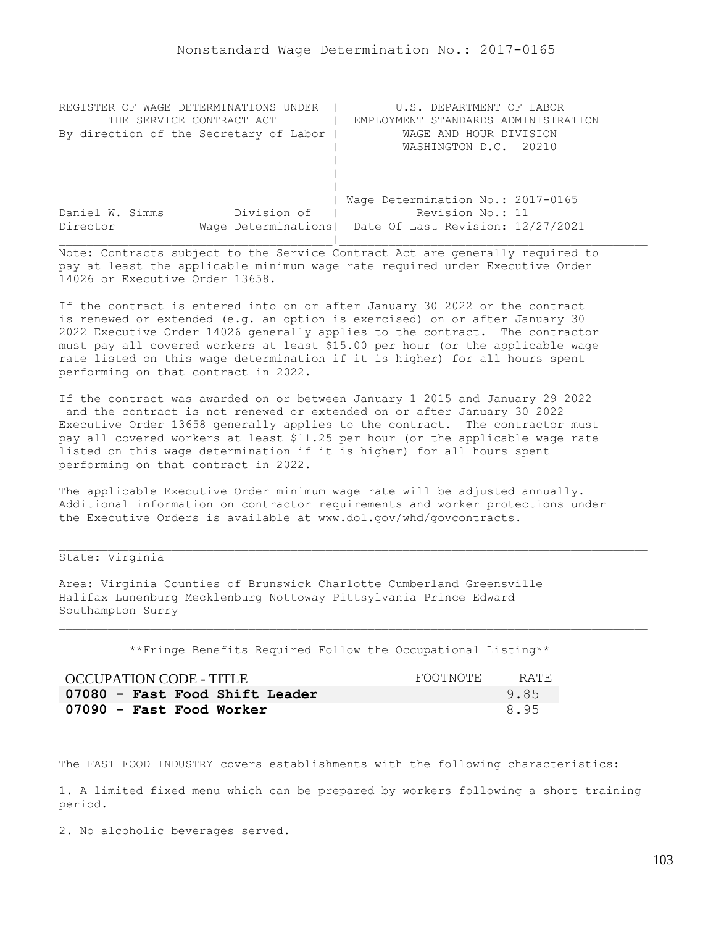| REGISTER OF WAGE DETERMINATIONS UNDER  | U.S. DEPARTMENT OF LABOR                                |
|----------------------------------------|---------------------------------------------------------|
| THE SERVICE CONTRACT ACT               | EMPLOYMENT STANDARDS ADMINISTRATION                     |
| By direction of the Secretary of Labor | WAGE AND HOUR DIVISION                                  |
|                                        | WASHINGTON D.C. 20210                                   |
|                                        |                                                         |
|                                        |                                                         |
|                                        |                                                         |
|                                        | Wage Determination No.: 2017-0165                       |
| Division of<br>Daniel W. Simms         | Revision No.: 11                                        |
| Director                               | Wage Determinations   Date Of Last Revision: 12/27/2021 |
|                                        |                                                         |

If the contract is entered into on or after January 30 2022 or the contract is renewed or extended (e.g. an option is exercised) on or after January 30 2022 Executive Order 14026 generally applies to the contract. The contractor must pay all covered workers at least \$15.00 per hour (or the applicable wage rate listed on this wage determination if it is higher) for all hours spent performing on that contract in 2022.

If the contract was awarded on or between January 1 2015 and January 29 2022 and the contract is not renewed or extended on or after January 30 2022 Executive Order 13658 generally applies to the contract. The contractor must pay all covered workers at least \$11.25 per hour (or the applicable wage rate listed on this wage determination if it is higher) for all hours spent performing on that contract in 2022.

The applicable Executive Order minimum wage rate will be adjusted annually. Additional information on contractor requirements and worker protections under the Executive Orders is available at www.dol.gov/whd/govcontracts.

# State: Virginia

Area: Virginia Counties of Brunswick Charlotte Cumberland Greensville Halifax Lunenburg Mecklenburg Nottoway Pittsylvania Prince Edward Southampton Surry

\*\*Fringe Benefits Required Follow the Occupational Listing\*\*

| OCCUPATION CODE - TITLE        | FOOTNOTE. | RATE. |
|--------------------------------|-----------|-------|
| 07080 - Fast Food Shift Leader |           | 9.85  |
| 07090 - Fast Food Worker       |           | 8.95  |

The FAST FOOD INDUSTRY covers establishments with the following characteristics:

1. A limited fixed menu which can be prepared by workers following a short training period.

2. No alcoholic beverages served.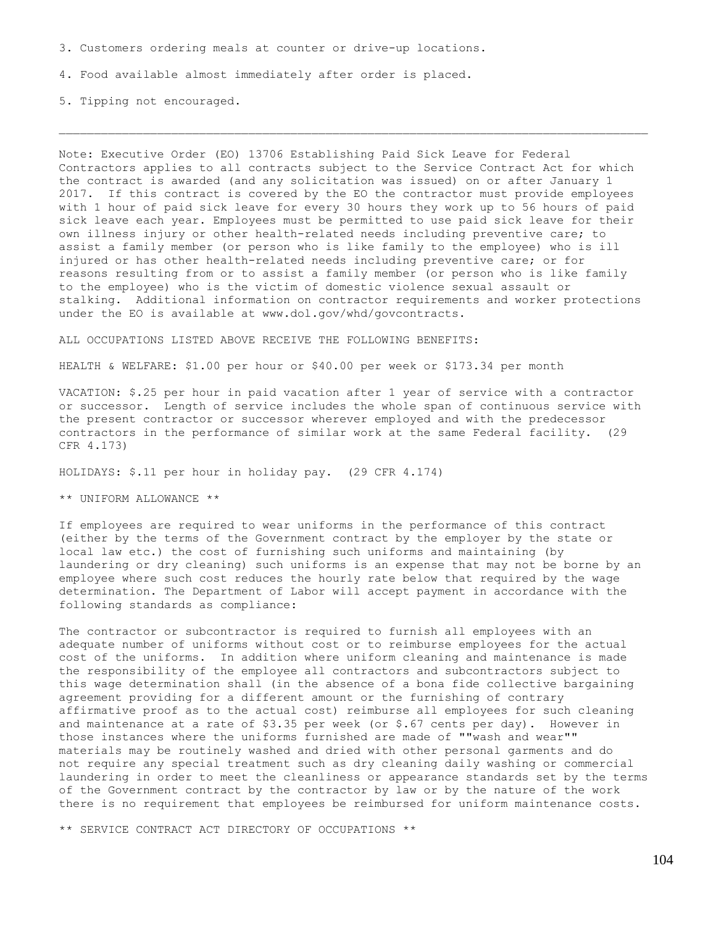3. Customers ordering meals at counter or drive-up locations.

4. Food available almost immediately after order is placed.

5. Tipping not encouraged.

Note: Executive Order (EO) 13706 Establishing Paid Sick Leave for Federal Contractors applies to all contracts subject to the Service Contract Act for which the contract is awarded (and any solicitation was issued) on or after January 1 2017. If this contract is covered by the EO the contractor must provide employees with 1 hour of paid sick leave for every 30 hours they work up to 56 hours of paid sick leave each year. Employees must be permitted to use paid sick leave for their own illness injury or other health-related needs including preventive care; to assist a family member (or person who is like family to the employee) who is ill injured or has other health-related needs including preventive care; or for reasons resulting from or to assist a family member (or person who is like family to the employee) who is the victim of domestic violence sexual assault or stalking. Additional information on contractor requirements and worker protections under the EO is available at www.dol.gov/whd/govcontracts.

ALL OCCUPATIONS LISTED ABOVE RECEIVE THE FOLLOWING BENEFITS:

HEALTH & WELFARE: \$1.00 per hour or \$40.00 per week or \$173.34 per month

VACATION: \$.25 per hour in paid vacation after 1 year of service with a contractor or successor. Length of service includes the whole span of continuous service with the present contractor or successor wherever employed and with the predecessor contractors in the performance of similar work at the same Federal facility. (29 CFR 4.173)

HOLIDAYS: \$.11 per hour in holiday pay. (29 CFR 4.174)

\*\* UNIFORM ALLOWANCE \*\*

If employees are required to wear uniforms in the performance of this contract (either by the terms of the Government contract by the employer by the state or local law etc.) the cost of furnishing such uniforms and maintaining (by laundering or dry cleaning) such uniforms is an expense that may not be borne by an employee where such cost reduces the hourly rate below that required by the wage determination. The Department of Labor will accept payment in accordance with the following standards as compliance:

The contractor or subcontractor is required to furnish all employees with an adequate number of uniforms without cost or to reimburse employees for the actual cost of the uniforms. In addition where uniform cleaning and maintenance is made the responsibility of the employee all contractors and subcontractors subject to this wage determination shall (in the absence of a bona fide collective bargaining agreement providing for a different amount or the furnishing of contrary affirmative proof as to the actual cost) reimburse all employees for such cleaning and maintenance at a rate of  $$3.35$  per week (or  $$.67$  cents per day). However in those instances where the uniforms furnished are made of ""wash and wear"" materials may be routinely washed and dried with other personal garments and do not require any special treatment such as dry cleaning daily washing or commercial laundering in order to meet the cleanliness or appearance standards set by the terms of the Government contract by the contractor by law or by the nature of the work there is no requirement that employees be reimbursed for uniform maintenance costs.

\*\* SERVICE CONTRACT ACT DIRECTORY OF OCCUPATIONS \*\*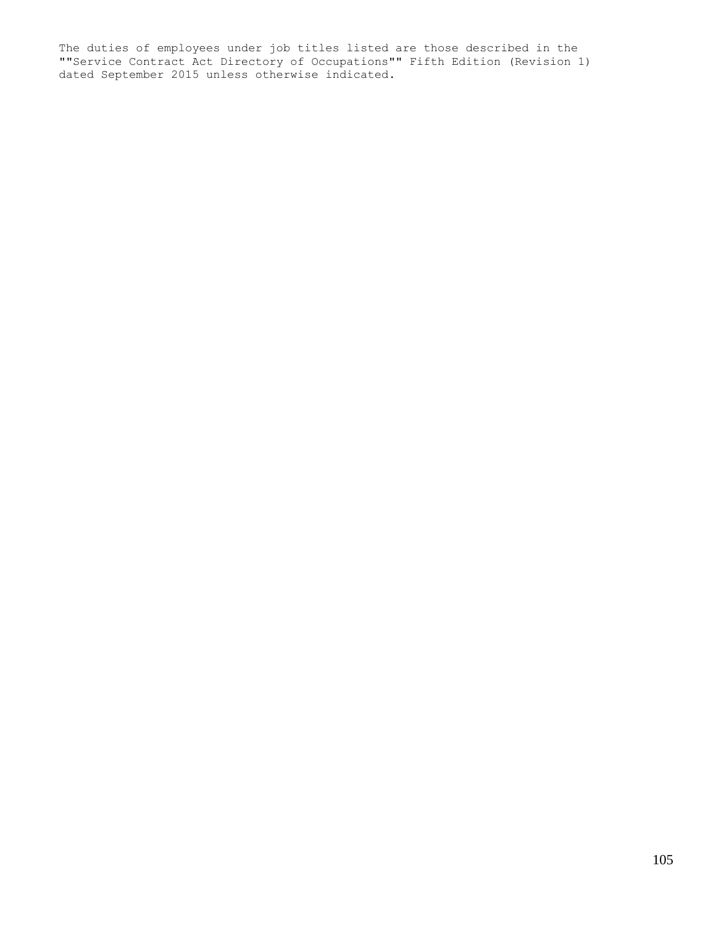The duties of employees under job titles listed are those described in the ""Service Contract Act Directory of Occupations"" Fifth Edition (Revision 1) dated September 2015 unless otherwise indicated.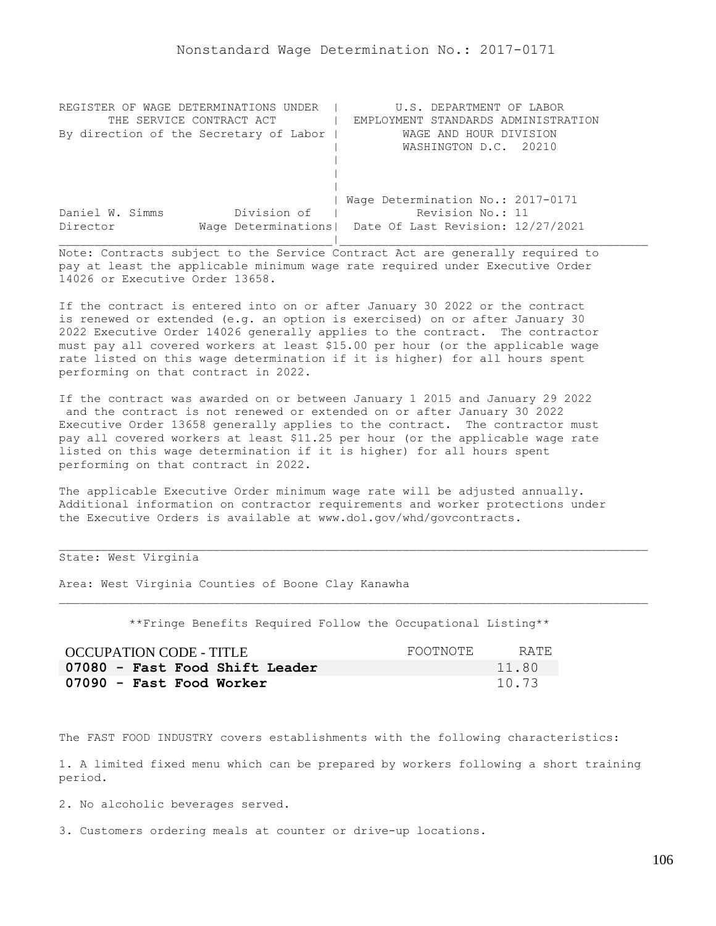| REGISTER OF WAGE DETERMINATIONS<br>UNDER | U.S. DEPARTMENT OF LABOR                                |
|------------------------------------------|---------------------------------------------------------|
| THE SERVICE CONTRACT ACT                 | EMPLOYMENT STANDARDS ADMINISTRATION                     |
| By direction of the Secretary of Labor   | WAGE AND HOUR DIVISION                                  |
|                                          | WASHINGTON D.C. 20210                                   |
|                                          |                                                         |
|                                          |                                                         |
|                                          |                                                         |
|                                          | Wage Determination No.: 2017-0171                       |
| Division of<br>Daniel W. Simms           | Revision No.: 11                                        |
| Director                                 | Wage Determinations   Date Of Last Revision: 12/27/2021 |
|                                          |                                                         |

If the contract is entered into on or after January 30 2022 or the contract is renewed or extended (e.g. an option is exercised) on or after January 30 2022 Executive Order 14026 generally applies to the contract. The contractor must pay all covered workers at least \$15.00 per hour (or the applicable wage rate listed on this wage determination if it is higher) for all hours spent performing on that contract in 2022.

If the contract was awarded on or between January 1 2015 and January 29 2022 and the contract is not renewed or extended on or after January 30 2022 Executive Order 13658 generally applies to the contract. The contractor must pay all covered workers at least \$11.25 per hour (or the applicable wage rate listed on this wage determination if it is higher) for all hours spent performing on that contract in 2022.

The applicable Executive Order minimum wage rate will be adjusted annually. Additional information on contractor requirements and worker protections under the Executive Orders is available at www.dol.gov/whd/govcontracts.

# State: West Virginia

Area: West Virginia Counties of Boone Clay Kanawha

\*\*Fringe Benefits Required Follow the Occupational Listing\*\*

| OCCUPATION CODE - TITLE        | FOOTNOTE | RATE. |
|--------------------------------|----------|-------|
| 07080 - Fast Food Shift Leader |          | 11.80 |
| 07090 - Fast Food Worker       |          | 10.73 |

The FAST FOOD INDUSTRY covers establishments with the following characteristics:

1. A limited fixed menu which can be prepared by workers following a short training period.

2. No alcoholic beverages served.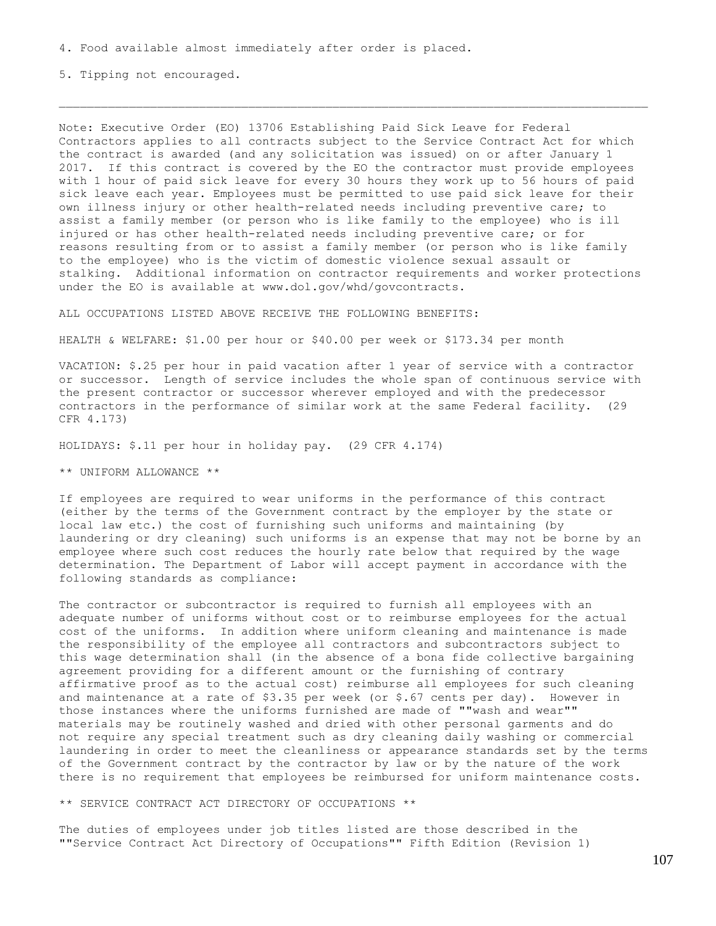5. Tipping not encouraged.

Note: Executive Order (EO) 13706 Establishing Paid Sick Leave for Federal Contractors applies to all contracts subject to the Service Contract Act for which the contract is awarded (and any solicitation was issued) on or after January 1 2017. If this contract is covered by the EO the contractor must provide employees with 1 hour of paid sick leave for every 30 hours they work up to 56 hours of paid sick leave each year. Employees must be permitted to use paid sick leave for their own illness injury or other health-related needs including preventive care; to assist a family member (or person who is like family to the employee) who is ill injured or has other health-related needs including preventive care; or for reasons resulting from or to assist a family member (or person who is like family to the employee) who is the victim of domestic violence sexual assault or stalking. Additional information on contractor requirements and worker protections under the EO is available at www.dol.gov/whd/govcontracts.

ALL OCCUPATIONS LISTED ABOVE RECEIVE THE FOLLOWING BENEFITS:

HEALTH & WELFARE: \$1.00 per hour or \$40.00 per week or \$173.34 per month

VACATION: \$.25 per hour in paid vacation after 1 year of service with a contractor or successor. Length of service includes the whole span of continuous service with the present contractor or successor wherever employed and with the predecessor contractors in the performance of similar work at the same Federal facility. (29 CFR 4.173)

HOLIDAYS: \$.11 per hour in holiday pay. (29 CFR 4.174)

\*\* UNIFORM ALLOWANCE \*\*

If employees are required to wear uniforms in the performance of this contract (either by the terms of the Government contract by the employer by the state or local law etc.) the cost of furnishing such uniforms and maintaining (by laundering or dry cleaning) such uniforms is an expense that may not be borne by an employee where such cost reduces the hourly rate below that required by the wage determination. The Department of Labor will accept payment in accordance with the following standards as compliance:

The contractor or subcontractor is required to furnish all employees with an adequate number of uniforms without cost or to reimburse employees for the actual cost of the uniforms. In addition where uniform cleaning and maintenance is made the responsibility of the employee all contractors and subcontractors subject to this wage determination shall (in the absence of a bona fide collective bargaining agreement providing for a different amount or the furnishing of contrary affirmative proof as to the actual cost) reimburse all employees for such cleaning and maintenance at a rate of  $$3.35$  per week (or  $$.67$  cents per day). However in those instances where the uniforms furnished are made of ""wash and wear"" materials may be routinely washed and dried with other personal garments and do not require any special treatment such as dry cleaning daily washing or commercial laundering in order to meet the cleanliness or appearance standards set by the terms of the Government contract by the contractor by law or by the nature of the work there is no requirement that employees be reimbursed for uniform maintenance costs.

\*\* SERVICE CONTRACT ACT DIRECTORY OF OCCUPATIONS \*\*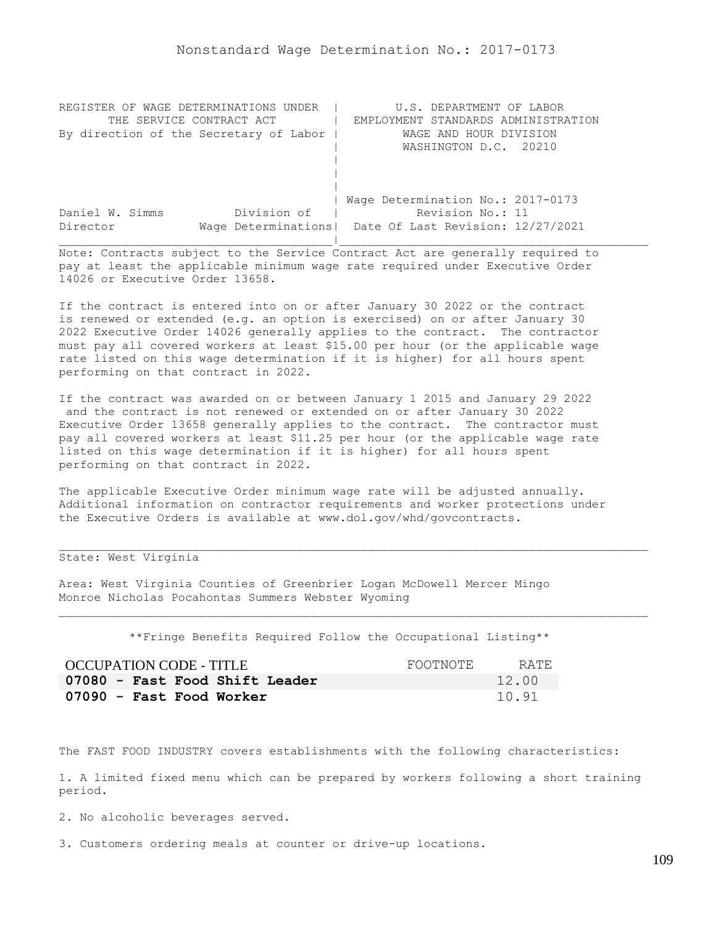| REGISTER OF WAGE DETERMINATIONS UNDER  | U.S. DEPARTMENT OF LABOR                                |
|----------------------------------------|---------------------------------------------------------|
| THE SERVICE CONTRACT ACT               | EMPLOYMENT STANDARDS ADMINISTRATION                     |
| By direction of the Secretary of Labor | WAGE AND HOUR DIVISION                                  |
|                                        | WASHINGTON D.C. 20210                                   |
|                                        |                                                         |
|                                        |                                                         |
|                                        |                                                         |
|                                        | Wage Determination No.: 2017-0173                       |
| Division of<br>Daniel W. Simms         | Revision No.: 11                                        |
| Director                               | Wage Determinations   Date Of Last Revision: 12/27/2021 |
|                                        |                                                         |

If the contract is entered into on or after January 30 2022 or the contract is renewed or extended (e.g. an option is exercised) on or after January 30 2022 Executive Order 14026 generally applies to the contract. The contractor must pay all covered workers at least \$15.00 per hour (or the applicable wage rate listed on this wage determination if it is higher) for all hours spent performing on that contract in 2022.

If the contract was awarded on or between January 1 2015 and January 29 2022 and the contract is not renewed or extended on or after January 30 2022 Executive Order 13658 generally applies to the contract. The contractor must pay all covered workers at least \$11.25 per hour (or the applicable wage rate listed on this wage determination if it is higher) for all hours spent performing on that contract in 2022.

The applicable Executive Order minimum wage rate will be adjusted annually. Additional information on contractor requirements and worker protections under the Executive Orders is available at www.dol.gov/whd/govcontracts.

### State: West Virginia

Area: West Virginia Counties of Greenbrier Logan McDowell Mercer Mingo Monroe Nicholas Pocahontas Summers Webster Wyoming

\*\*Fringe Benefits Required Follow the Occupational Listing\*\*

| OCCUPATION CODE - TITLE        | FOOTNOTE | RATE. |
|--------------------------------|----------|-------|
| 07080 - Fast Food Shift Leader |          | 12.00 |
| 07090 - Fast Food Worker       |          | 10.91 |

The FAST FOOD INDUSTRY covers establishments with the following characteristics:

1. A limited fixed menu which can be prepared by workers following a short training period.

2. No alcoholic beverages served.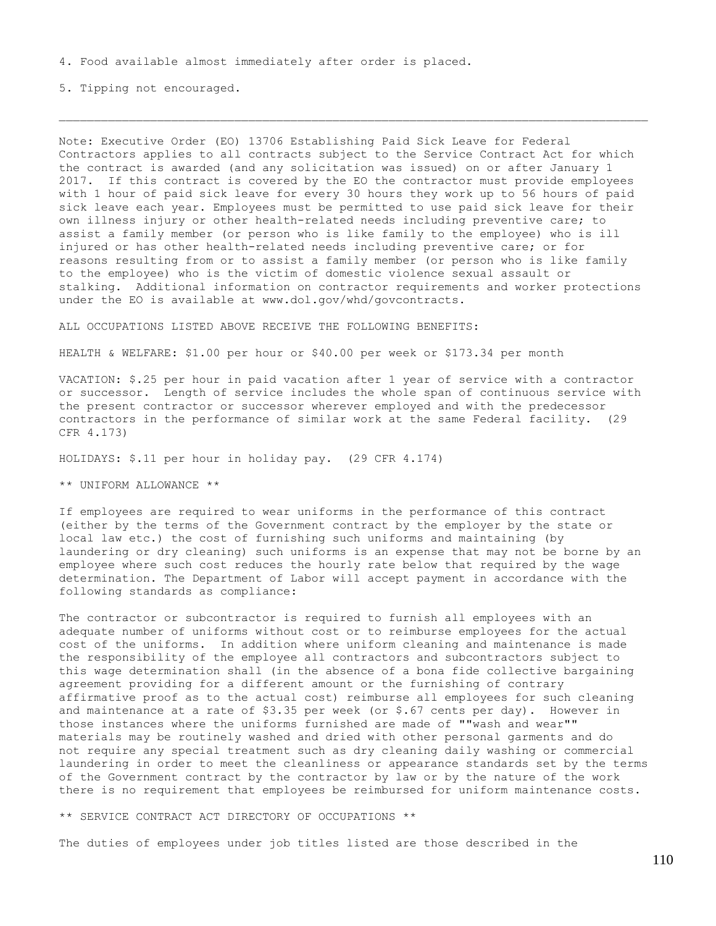5. Tipping not encouraged.

Note: Executive Order (EO) 13706 Establishing Paid Sick Leave for Federal Contractors applies to all contracts subject to the Service Contract Act for which the contract is awarded (and any solicitation was issued) on or after January 1 2017. If this contract is covered by the EO the contractor must provide employees with 1 hour of paid sick leave for every 30 hours they work up to 56 hours of paid sick leave each year. Employees must be permitted to use paid sick leave for their own illness injury or other health-related needs including preventive care; to assist a family member (or person who is like family to the employee) who is ill injured or has other health-related needs including preventive care; or for reasons resulting from or to assist a family member (or person who is like family to the employee) who is the victim of domestic violence sexual assault or stalking. Additional information on contractor requirements and worker protections under the EO is available at www.dol.gov/whd/govcontracts.

ALL OCCUPATIONS LISTED ABOVE RECEIVE THE FOLLOWING BENEFITS:

HEALTH & WELFARE: \$1.00 per hour or \$40.00 per week or \$173.34 per month

VACATION: \$.25 per hour in paid vacation after 1 year of service with a contractor or successor. Length of service includes the whole span of continuous service with the present contractor or successor wherever employed and with the predecessor contractors in the performance of similar work at the same Federal facility. (29 CFR 4.173)

HOLIDAYS: \$.11 per hour in holiday pay. (29 CFR 4.174)

\*\* UNIFORM ALLOWANCE \*\*

If employees are required to wear uniforms in the performance of this contract (either by the terms of the Government contract by the employer by the state or local law etc.) the cost of furnishing such uniforms and maintaining (by laundering or dry cleaning) such uniforms is an expense that may not be borne by an employee where such cost reduces the hourly rate below that required by the wage determination. The Department of Labor will accept payment in accordance with the following standards as compliance:

The contractor or subcontractor is required to furnish all employees with an adequate number of uniforms without cost or to reimburse employees for the actual cost of the uniforms. In addition where uniform cleaning and maintenance is made the responsibility of the employee all contractors and subcontractors subject to this wage determination shall (in the absence of a bona fide collective bargaining agreement providing for a different amount or the furnishing of contrary affirmative proof as to the actual cost) reimburse all employees for such cleaning and maintenance at a rate of  $$3.35$  per week (or  $$.67$  cents per day). However in those instances where the uniforms furnished are made of ""wash and wear"" materials may be routinely washed and dried with other personal garments and do not require any special treatment such as dry cleaning daily washing or commercial laundering in order to meet the cleanliness or appearance standards set by the terms of the Government contract by the contractor by law or by the nature of the work there is no requirement that employees be reimbursed for uniform maintenance costs.

\*\* SERVICE CONTRACT ACT DIRECTORY OF OCCUPATIONS \*\*

The duties of employees under job titles listed are those described in the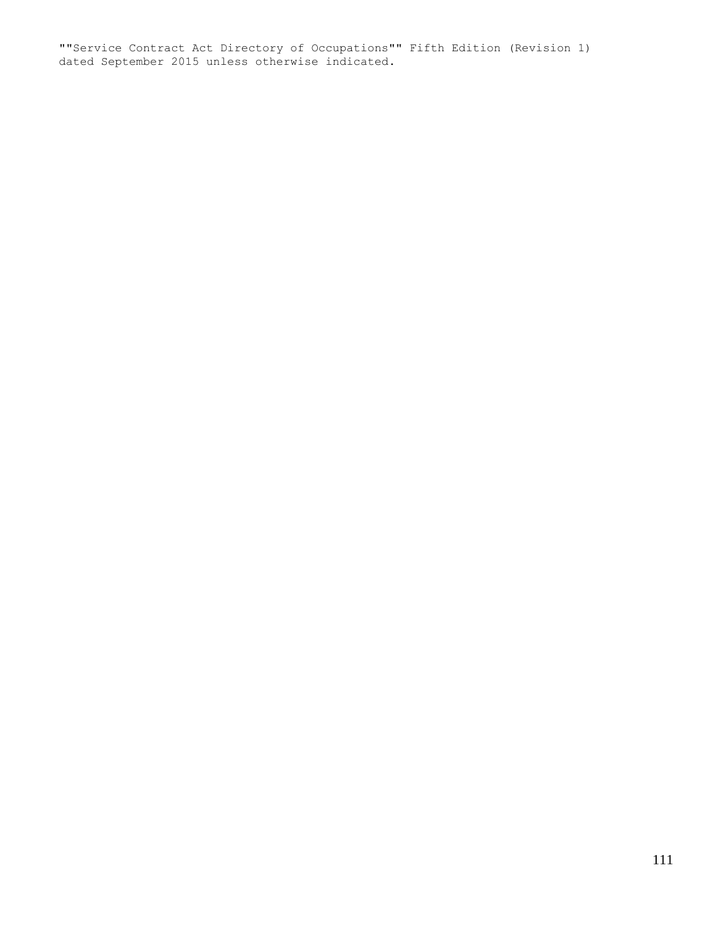""Service Contract Act Directory of Occupations"" Fifth Edition (Revision 1) dated September 2015 unless otherwise indicated.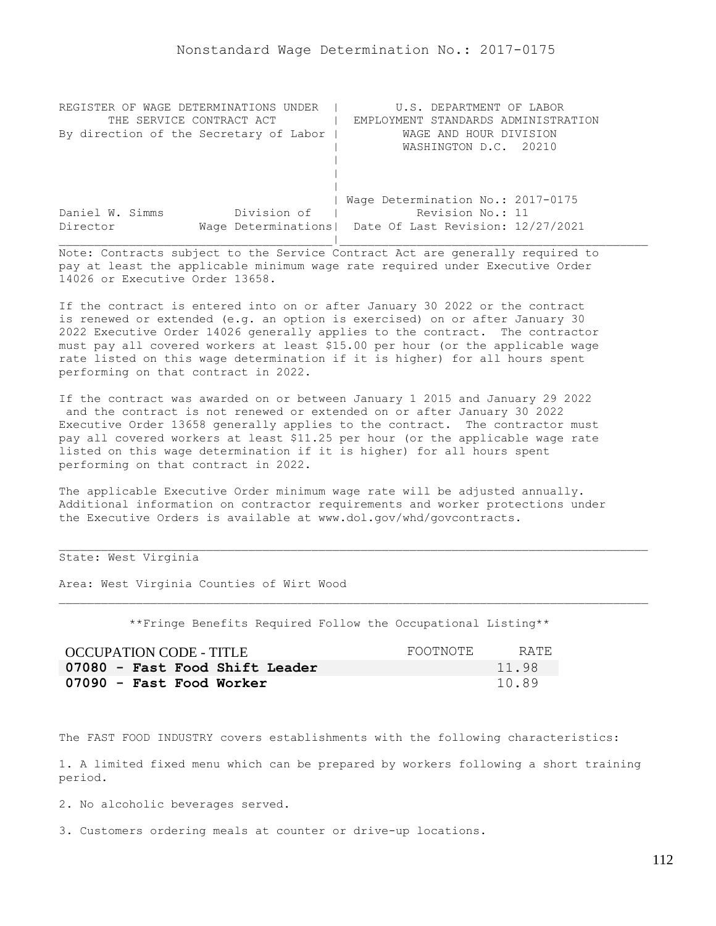| REGISTER OF WAGE DETERMINATIONS UNDER  | U.S. DEPARTMENT OF LABOR                                |
|----------------------------------------|---------------------------------------------------------|
| THE SERVICE CONTRACT ACT               | EMPLOYMENT STANDARDS ADMINISTRATION                     |
| By direction of the Secretary of Labor | WAGE AND HOUR DIVISION                                  |
|                                        | WASHINGTON D.C. 20210                                   |
|                                        |                                                         |
|                                        |                                                         |
|                                        |                                                         |
|                                        | Wage Determination No.: 2017-0175                       |
| Division of<br>Daniel W. Simms         | Revision No.: 11                                        |
| Director                               | Wage Determinations   Date Of Last Revision: 12/27/2021 |
|                                        |                                                         |

If the contract is entered into on or after January 30 2022 or the contract is renewed or extended (e.g. an option is exercised) on or after January 30 2022 Executive Order 14026 generally applies to the contract. The contractor must pay all covered workers at least \$15.00 per hour (or the applicable wage rate listed on this wage determination if it is higher) for all hours spent performing on that contract in 2022.

If the contract was awarded on or between January 1 2015 and January 29 2022 and the contract is not renewed or extended on or after January 30 2022 Executive Order 13658 generally applies to the contract. The contractor must pay all covered workers at least \$11.25 per hour (or the applicable wage rate listed on this wage determination if it is higher) for all hours spent performing on that contract in 2022.

The applicable Executive Order minimum wage rate will be adjusted annually. Additional information on contractor requirements and worker protections under the Executive Orders is available at www.dol.gov/whd/govcontracts.

## State: West Virginia

Area: West Virginia Counties of Wirt Wood

\*\*Fringe Benefits Required Follow the Occupational Listing\*\*

| OCCUPATION CODE - TITLE        | FOOTNOTE | RATE. |
|--------------------------------|----------|-------|
| 07080 - Fast Food Shift Leader |          | 11.98 |
| 07090 - Fast Food Worker       |          | 10.89 |

The FAST FOOD INDUSTRY covers establishments with the following characteristics:

1. A limited fixed menu which can be prepared by workers following a short training period.

2. No alcoholic beverages served.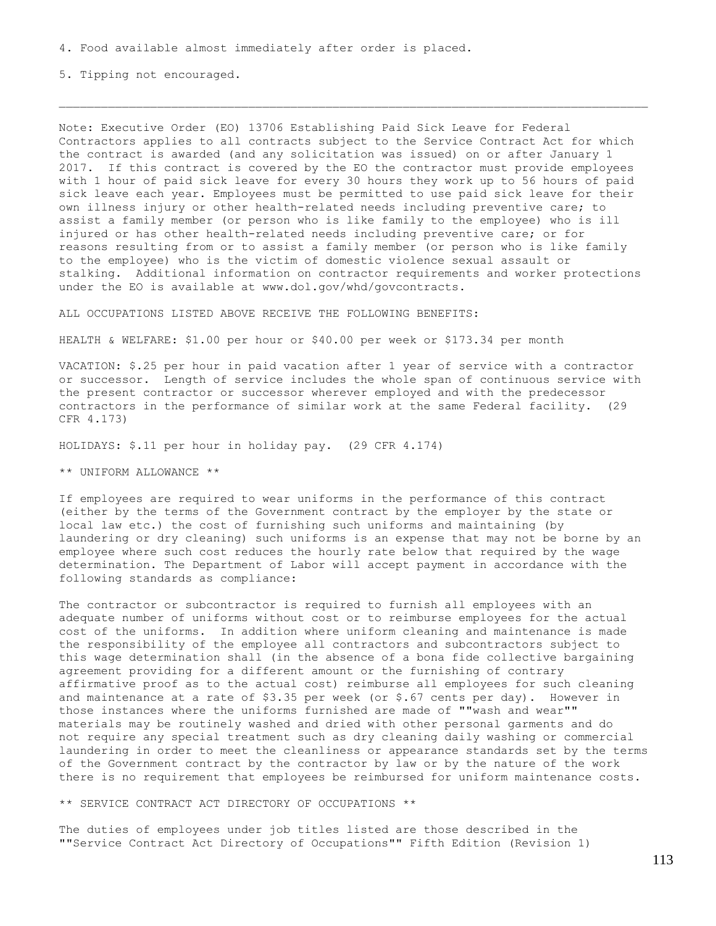5. Tipping not encouraged.

Note: Executive Order (EO) 13706 Establishing Paid Sick Leave for Federal Contractors applies to all contracts subject to the Service Contract Act for which the contract is awarded (and any solicitation was issued) on or after January 1 2017. If this contract is covered by the EO the contractor must provide employees with 1 hour of paid sick leave for every 30 hours they work up to 56 hours of paid sick leave each year. Employees must be permitted to use paid sick leave for their own illness injury or other health-related needs including preventive care; to assist a family member (or person who is like family to the employee) who is ill injured or has other health-related needs including preventive care; or for reasons resulting from or to assist a family member (or person who is like family to the employee) who is the victim of domestic violence sexual assault or stalking. Additional information on contractor requirements and worker protections under the EO is available at www.dol.gov/whd/govcontracts.

ALL OCCUPATIONS LISTED ABOVE RECEIVE THE FOLLOWING BENEFITS:

HEALTH & WELFARE: \$1.00 per hour or \$40.00 per week or \$173.34 per month

VACATION: \$.25 per hour in paid vacation after 1 year of service with a contractor or successor. Length of service includes the whole span of continuous service with the present contractor or successor wherever employed and with the predecessor contractors in the performance of similar work at the same Federal facility. (29 CFR 4.173)

HOLIDAYS: \$.11 per hour in holiday pay. (29 CFR 4.174)

\*\* UNIFORM ALLOWANCE \*\*

If employees are required to wear uniforms in the performance of this contract (either by the terms of the Government contract by the employer by the state or local law etc.) the cost of furnishing such uniforms and maintaining (by laundering or dry cleaning) such uniforms is an expense that may not be borne by an employee where such cost reduces the hourly rate below that required by the wage determination. The Department of Labor will accept payment in accordance with the following standards as compliance:

The contractor or subcontractor is required to furnish all employees with an adequate number of uniforms without cost or to reimburse employees for the actual cost of the uniforms. In addition where uniform cleaning and maintenance is made the responsibility of the employee all contractors and subcontractors subject to this wage determination shall (in the absence of a bona fide collective bargaining agreement providing for a different amount or the furnishing of contrary affirmative proof as to the actual cost) reimburse all employees for such cleaning and maintenance at a rate of \$3.35 per week (or \$.67 cents per day). However in those instances where the uniforms furnished are made of ""wash and wear"" materials may be routinely washed and dried with other personal garments and do not require any special treatment such as dry cleaning daily washing or commercial laundering in order to meet the cleanliness or appearance standards set by the terms of the Government contract by the contractor by law or by the nature of the work there is no requirement that employees be reimbursed for uniform maintenance costs.

\*\* SERVICE CONTRACT ACT DIRECTORY OF OCCUPATIONS \*\*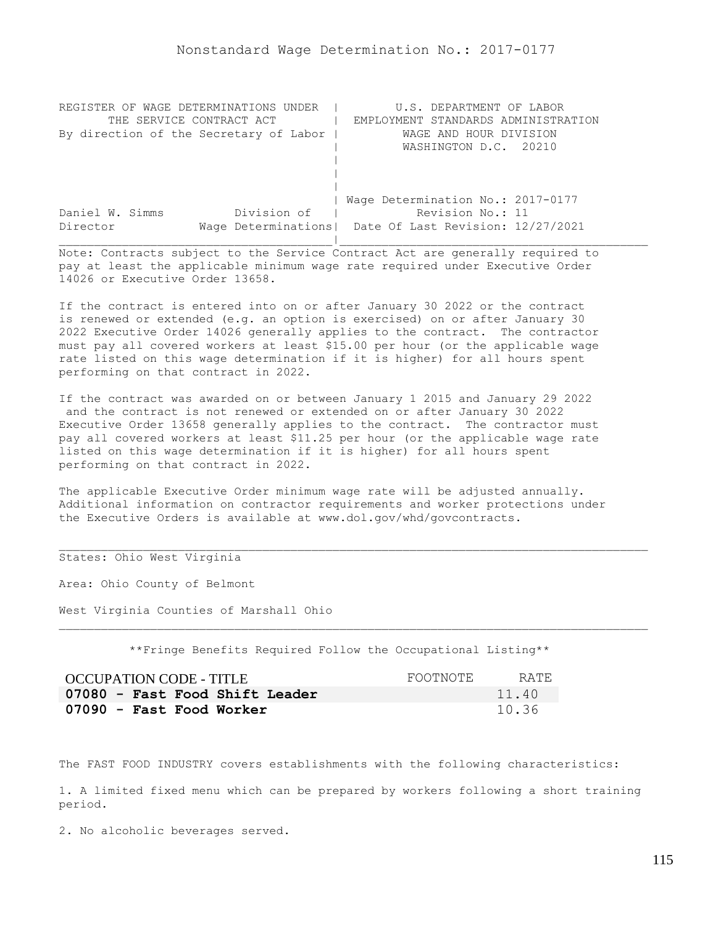| REGISTER OF WAGE DETERMINATIONS UNDER  | U.S. DEPARTMENT OF LABOR                                |
|----------------------------------------|---------------------------------------------------------|
| THE SERVICE CONTRACT ACT               | EMPLOYMENT STANDARDS ADMINISTRATION                     |
| By direction of the Secretary of Labor | WAGE AND HOUR DIVISION                                  |
|                                        | WASHINGTON D.C. 20210                                   |
|                                        |                                                         |
|                                        |                                                         |
|                                        |                                                         |
|                                        | Wage Determination No.: 2017-0177                       |
| Division of<br>Daniel W. Simms         | Revision No.: 11                                        |
| Director                               | Wage Determinations   Date Of Last Revision: 12/27/2021 |
|                                        |                                                         |

If the contract is entered into on or after January 30 2022 or the contract is renewed or extended (e.g. an option is exercised) on or after January 30 2022 Executive Order 14026 generally applies to the contract. The contractor must pay all covered workers at least \$15.00 per hour (or the applicable wage rate listed on this wage determination if it is higher) for all hours spent performing on that contract in 2022.

If the contract was awarded on or between January 1 2015 and January 29 2022 and the contract is not renewed or extended on or after January 30 2022 Executive Order 13658 generally applies to the contract. The contractor must pay all covered workers at least \$11.25 per hour (or the applicable wage rate listed on this wage determination if it is higher) for all hours spent performing on that contract in 2022.

The applicable Executive Order minimum wage rate will be adjusted annually. Additional information on contractor requirements and worker protections under the Executive Orders is available at www.dol.gov/whd/govcontracts.

# States: Ohio West Virginia

Area: Ohio County of Belmont

West Virginia Counties of Marshall Ohio

\*\*Fringe Benefits Required Follow the Occupational Listing\*\*

| OCCUPATION CODE - TITLE        | FOOTNOTE | RATE. |
|--------------------------------|----------|-------|
| 07080 - Fast Food Shift Leader |          | 11.40 |
| 07090 - Fast Food Worker       |          | 10.36 |

The FAST FOOD INDUSTRY covers establishments with the following characteristics:

1. A limited fixed menu which can be prepared by workers following a short training period.

2. No alcoholic beverages served.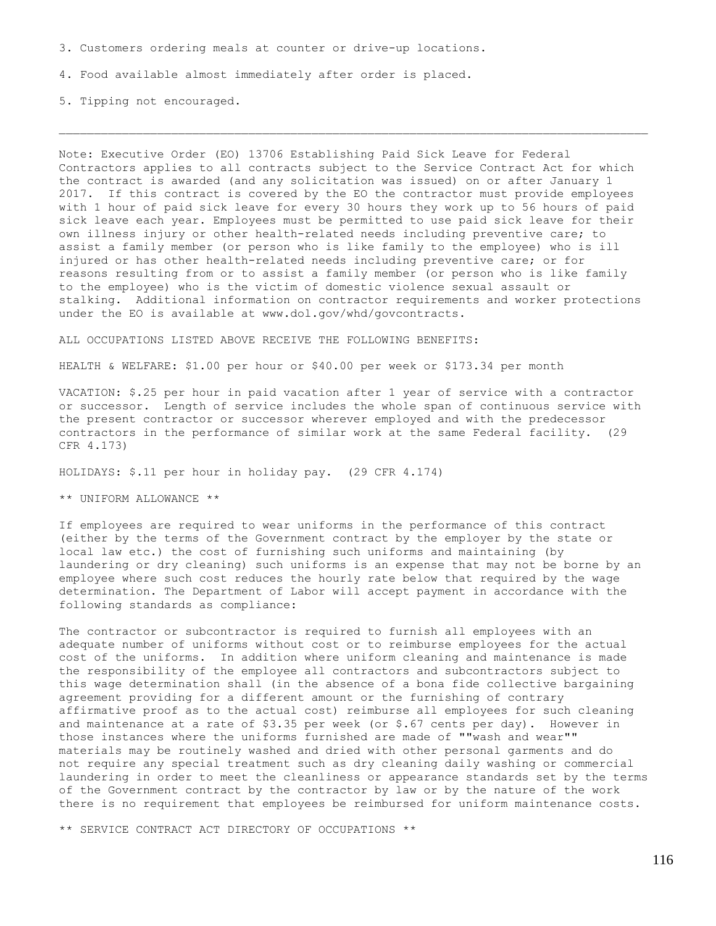3. Customers ordering meals at counter or drive-up locations.

4. Food available almost immediately after order is placed.

5. Tipping not encouraged.

Note: Executive Order (EO) 13706 Establishing Paid Sick Leave for Federal Contractors applies to all contracts subject to the Service Contract Act for which the contract is awarded (and any solicitation was issued) on or after January 1 2017. If this contract is covered by the EO the contractor must provide employees with 1 hour of paid sick leave for every 30 hours they work up to 56 hours of paid sick leave each year. Employees must be permitted to use paid sick leave for their own illness injury or other health-related needs including preventive care; to assist a family member (or person who is like family to the employee) who is ill injured or has other health-related needs including preventive care; or for reasons resulting from or to assist a family member (or person who is like family to the employee) who is the victim of domestic violence sexual assault or stalking. Additional information on contractor requirements and worker protections under the EO is available at www.dol.gov/whd/govcontracts.

ALL OCCUPATIONS LISTED ABOVE RECEIVE THE FOLLOWING BENEFITS:

HEALTH & WELFARE: \$1.00 per hour or \$40.00 per week or \$173.34 per month

VACATION: \$.25 per hour in paid vacation after 1 year of service with a contractor or successor. Length of service includes the whole span of continuous service with the present contractor or successor wherever employed and with the predecessor contractors in the performance of similar work at the same Federal facility. (29 CFR 4.173)

HOLIDAYS: \$.11 per hour in holiday pay. (29 CFR 4.174)

\*\* UNIFORM ALLOWANCE \*\*

If employees are required to wear uniforms in the performance of this contract (either by the terms of the Government contract by the employer by the state or local law etc.) the cost of furnishing such uniforms and maintaining (by laundering or dry cleaning) such uniforms is an expense that may not be borne by an employee where such cost reduces the hourly rate below that required by the wage determination. The Department of Labor will accept payment in accordance with the following standards as compliance:

The contractor or subcontractor is required to furnish all employees with an adequate number of uniforms without cost or to reimburse employees for the actual cost of the uniforms. In addition where uniform cleaning and maintenance is made the responsibility of the employee all contractors and subcontractors subject to this wage determination shall (in the absence of a bona fide collective bargaining agreement providing for a different amount or the furnishing of contrary affirmative proof as to the actual cost) reimburse all employees for such cleaning and maintenance at a rate of  $$3.35$  per week (or  $$.67$  cents per day). However in those instances where the uniforms furnished are made of ""wash and wear"" materials may be routinely washed and dried with other personal garments and do not require any special treatment such as dry cleaning daily washing or commercial laundering in order to meet the cleanliness or appearance standards set by the terms of the Government contract by the contractor by law or by the nature of the work there is no requirement that employees be reimbursed for uniform maintenance costs.

\*\* SERVICE CONTRACT ACT DIRECTORY OF OCCUPATIONS \*\*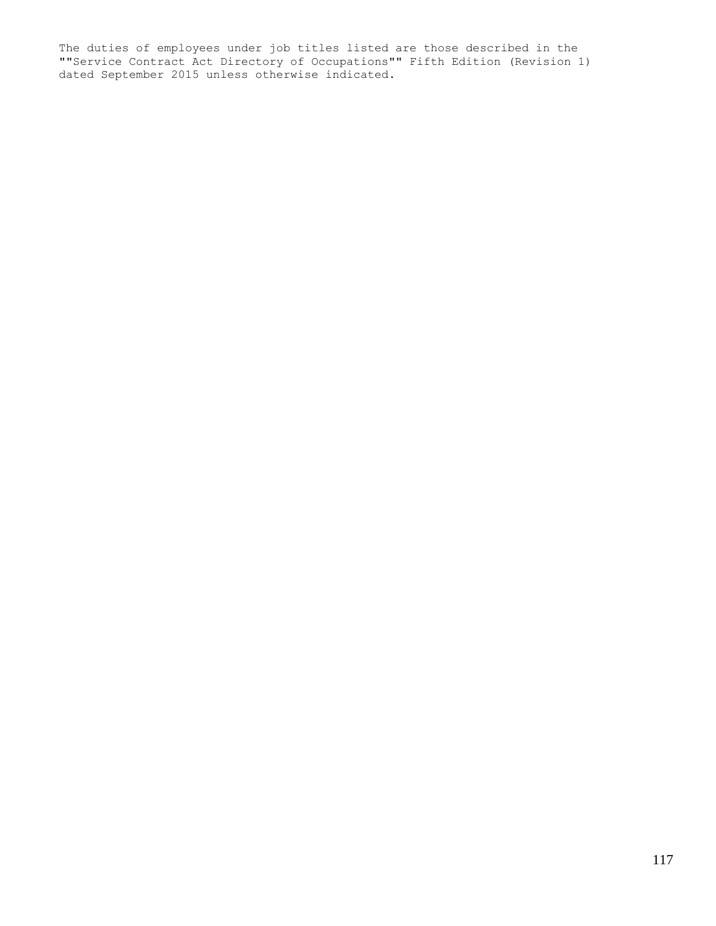The duties of employees under job titles listed are those described in the ""Service Contract Act Directory of Occupations"" Fifth Edition (Revision 1) dated September 2015 unless otherwise indicated.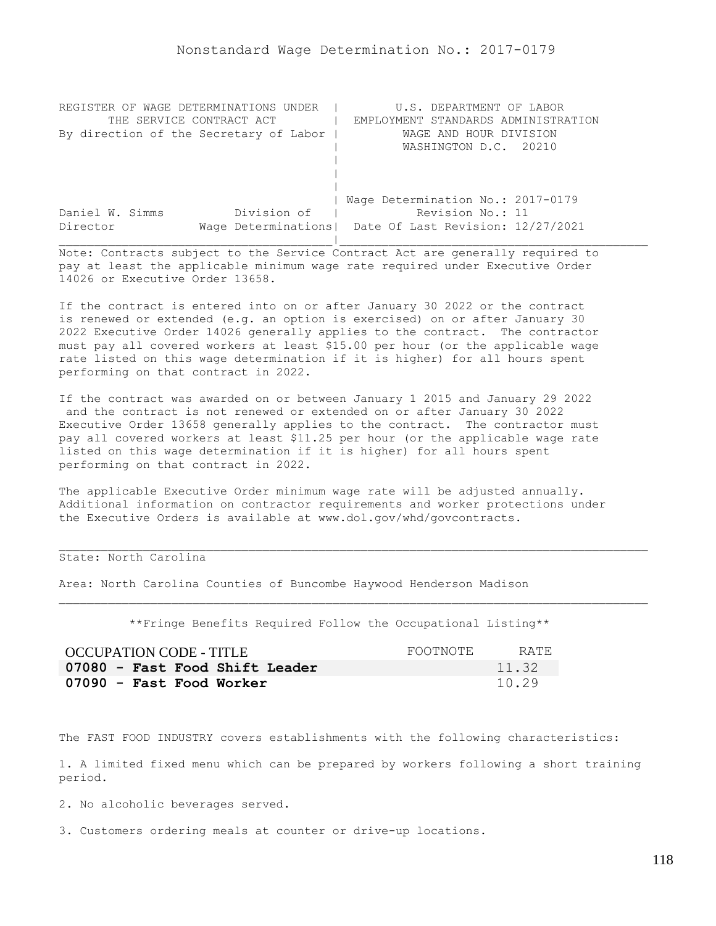| REGISTER OF WAGE DETERMINATIONS UNDER  | U.S. DEPARTMENT OF LABOR                                |
|----------------------------------------|---------------------------------------------------------|
| THE SERVICE CONTRACT ACT               | EMPLOYMENT STANDARDS ADMINISTRATION                     |
| By direction of the Secretary of Labor | WAGE AND HOUR DIVISION                                  |
|                                        | WASHINGTON D.C. 20210                                   |
|                                        |                                                         |
|                                        |                                                         |
|                                        |                                                         |
|                                        | Wage Determination No.: 2017-0179                       |
| Division of<br>Daniel W. Simms         | Revision No.: 11                                        |
| Director                               | Wage Determinations   Date Of Last Revision: 12/27/2021 |
|                                        |                                                         |

If the contract is entered into on or after January 30 2022 or the contract is renewed or extended (e.g. an option is exercised) on or after January 30 2022 Executive Order 14026 generally applies to the contract. The contractor must pay all covered workers at least \$15.00 per hour (or the applicable wage rate listed on this wage determination if it is higher) for all hours spent performing on that contract in 2022.

If the contract was awarded on or between January 1 2015 and January 29 2022 and the contract is not renewed or extended on or after January 30 2022 Executive Order 13658 generally applies to the contract. The contractor must pay all covered workers at least \$11.25 per hour (or the applicable wage rate listed on this wage determination if it is higher) for all hours spent performing on that contract in 2022.

The applicable Executive Order minimum wage rate will be adjusted annually. Additional information on contractor requirements and worker protections under the Executive Orders is available at www.dol.gov/whd/govcontracts.

## State: North Carolina

Area: North Carolina Counties of Buncombe Haywood Henderson Madison

\*\*Fringe Benefits Required Follow the Occupational Listing\*\*

| <b>OCCUPATION CODE - TITLE</b> | FOOTNOTE | RATE  |
|--------------------------------|----------|-------|
| 07080 - Fast Food Shift Leader |          | 11.32 |
| 07090 - Fast Food Worker       |          | 10.29 |

The FAST FOOD INDUSTRY covers establishments with the following characteristics:

1. A limited fixed menu which can be prepared by workers following a short training period.

2. No alcoholic beverages served.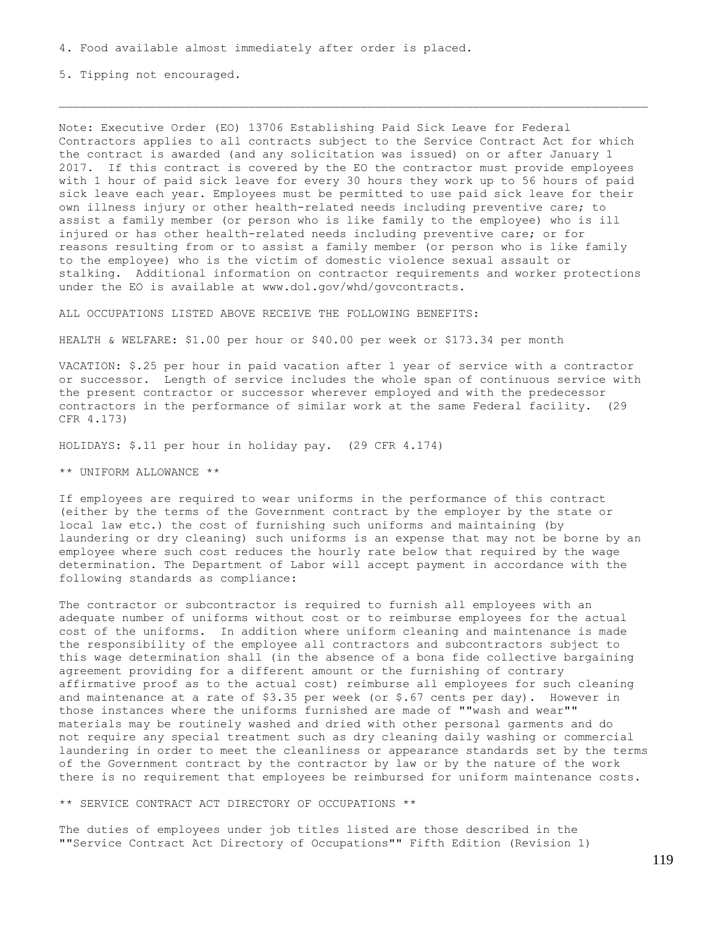5. Tipping not encouraged.

Note: Executive Order (EO) 13706 Establishing Paid Sick Leave for Federal Contractors applies to all contracts subject to the Service Contract Act for which the contract is awarded (and any solicitation was issued) on or after January 1 2017. If this contract is covered by the EO the contractor must provide employees with 1 hour of paid sick leave for every 30 hours they work up to 56 hours of paid sick leave each year. Employees must be permitted to use paid sick leave for their own illness injury or other health-related needs including preventive care; to assist a family member (or person who is like family to the employee) who is ill injured or has other health-related needs including preventive care; or for reasons resulting from or to assist a family member (or person who is like family to the employee) who is the victim of domestic violence sexual assault or stalking. Additional information on contractor requirements and worker protections under the EO is available at www.dol.gov/whd/govcontracts.

ALL OCCUPATIONS LISTED ABOVE RECEIVE THE FOLLOWING BENEFITS:

HEALTH & WELFARE: \$1.00 per hour or \$40.00 per week or \$173.34 per month

VACATION: \$.25 per hour in paid vacation after 1 year of service with a contractor or successor. Length of service includes the whole span of continuous service with the present contractor or successor wherever employed and with the predecessor contractors in the performance of similar work at the same Federal facility. (29 CFR 4.173)

HOLIDAYS: \$.11 per hour in holiday pay. (29 CFR 4.174)

\*\* UNIFORM ALLOWANCE \*\*

If employees are required to wear uniforms in the performance of this contract (either by the terms of the Government contract by the employer by the state or local law etc.) the cost of furnishing such uniforms and maintaining (by laundering or dry cleaning) such uniforms is an expense that may not be borne by an employee where such cost reduces the hourly rate below that required by the wage determination. The Department of Labor will accept payment in accordance with the following standards as compliance:

The contractor or subcontractor is required to furnish all employees with an adequate number of uniforms without cost or to reimburse employees for the actual cost of the uniforms. In addition where uniform cleaning and maintenance is made the responsibility of the employee all contractors and subcontractors subject to this wage determination shall (in the absence of a bona fide collective bargaining agreement providing for a different amount or the furnishing of contrary affirmative proof as to the actual cost) reimburse all employees for such cleaning and maintenance at a rate of \$3.35 per week (or \$.67 cents per day). However in those instances where the uniforms furnished are made of ""wash and wear"" materials may be routinely washed and dried with other personal garments and do not require any special treatment such as dry cleaning daily washing or commercial laundering in order to meet the cleanliness or appearance standards set by the terms of the Government contract by the contractor by law or by the nature of the work there is no requirement that employees be reimbursed for uniform maintenance costs.

\*\* SERVICE CONTRACT ACT DIRECTORY OF OCCUPATIONS \*\*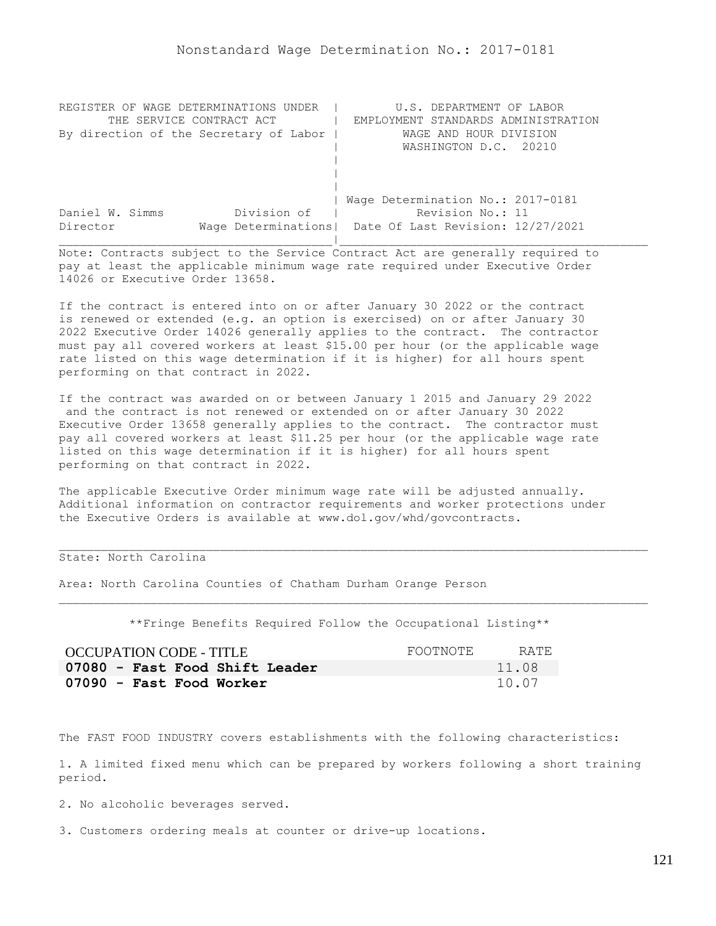| REGISTER OF WAGE DETERMINATIONS UNDER  | U.S. DEPARTMENT OF LABOR                                |
|----------------------------------------|---------------------------------------------------------|
| THE SERVICE CONTRACT ACT               | EMPLOYMENT STANDARDS ADMINISTRATION                     |
| By direction of the Secretary of Labor | WAGE AND HOUR DIVISION                                  |
|                                        | WASHINGTON D.C. 20210                                   |
|                                        |                                                         |
|                                        |                                                         |
|                                        |                                                         |
|                                        | Wage Determination No.: 2017-0181                       |
| Division of<br>Daniel W. Simms         | Revision No.: 11                                        |
| Director                               | Wage Determinations   Date Of Last Revision: 12/27/2021 |
|                                        |                                                         |

If the contract is entered into on or after January 30 2022 or the contract is renewed or extended (e.g. an option is exercised) on or after January 30 2022 Executive Order 14026 generally applies to the contract. The contractor must pay all covered workers at least \$15.00 per hour (or the applicable wage rate listed on this wage determination if it is higher) for all hours spent performing on that contract in 2022.

If the contract was awarded on or between January 1 2015 and January 29 2022 and the contract is not renewed or extended on or after January 30 2022 Executive Order 13658 generally applies to the contract. The contractor must pay all covered workers at least \$11.25 per hour (or the applicable wage rate listed on this wage determination if it is higher) for all hours spent performing on that contract in 2022.

The applicable Executive Order minimum wage rate will be adjusted annually. Additional information on contractor requirements and worker protections under the Executive Orders is available at www.dol.gov/whd/govcontracts.

### State: North Carolina

Area: North Carolina Counties of Chatham Durham Orange Person

\*\*Fringe Benefits Required Follow the Occupational Listing\*\*

| OCCUPATION CODE - TITLE        | FOOTNOTE | RATE. |
|--------------------------------|----------|-------|
| 07080 - Fast Food Shift Leader |          | 11.08 |
| 07090 - Fast Food Worker       |          | 10.07 |

The FAST FOOD INDUSTRY covers establishments with the following characteristics:

1. A limited fixed menu which can be prepared by workers following a short training period.

2. No alcoholic beverages served.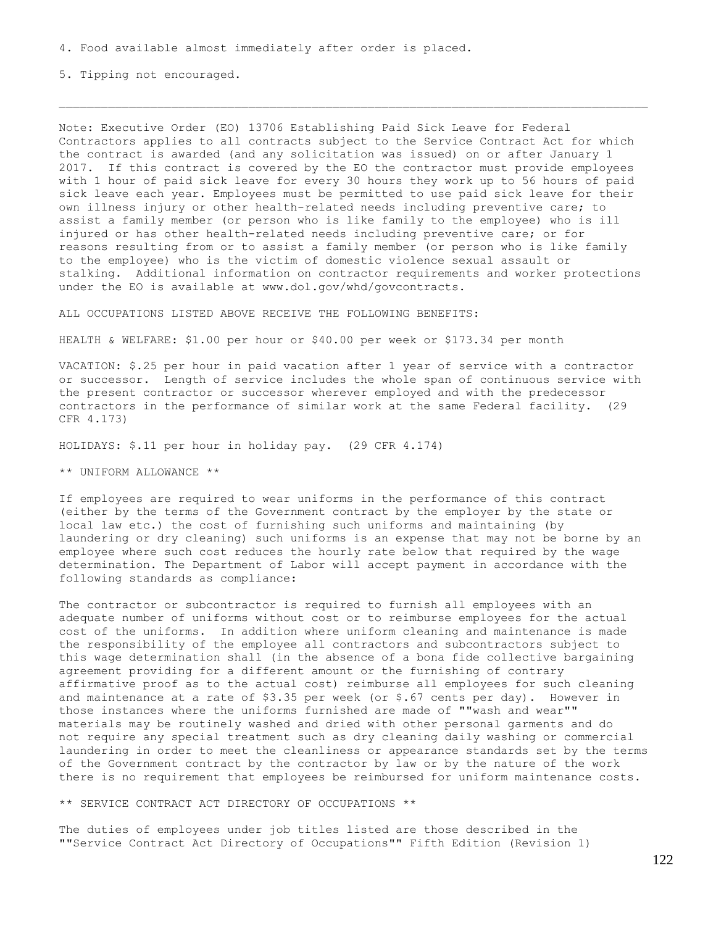5. Tipping not encouraged.

Note: Executive Order (EO) 13706 Establishing Paid Sick Leave for Federal Contractors applies to all contracts subject to the Service Contract Act for which the contract is awarded (and any solicitation was issued) on or after January 1 2017. If this contract is covered by the EO the contractor must provide employees with 1 hour of paid sick leave for every 30 hours they work up to 56 hours of paid sick leave each year. Employees must be permitted to use paid sick leave for their own illness injury or other health-related needs including preventive care; to assist a family member (or person who is like family to the employee) who is ill injured or has other health-related needs including preventive care; or for reasons resulting from or to assist a family member (or person who is like family to the employee) who is the victim of domestic violence sexual assault or stalking. Additional information on contractor requirements and worker protections under the EO is available at www.dol.gov/whd/govcontracts.

ALL OCCUPATIONS LISTED ABOVE RECEIVE THE FOLLOWING BENEFITS:

HEALTH & WELFARE: \$1.00 per hour or \$40.00 per week or \$173.34 per month

VACATION: \$.25 per hour in paid vacation after 1 year of service with a contractor or successor. Length of service includes the whole span of continuous service with the present contractor or successor wherever employed and with the predecessor contractors in the performance of similar work at the same Federal facility. (29 CFR 4.173)

HOLIDAYS: \$.11 per hour in holiday pay. (29 CFR 4.174)

\*\* UNIFORM ALLOWANCE \*\*

If employees are required to wear uniforms in the performance of this contract (either by the terms of the Government contract by the employer by the state or local law etc.) the cost of furnishing such uniforms and maintaining (by laundering or dry cleaning) such uniforms is an expense that may not be borne by an employee where such cost reduces the hourly rate below that required by the wage determination. The Department of Labor will accept payment in accordance with the following standards as compliance:

The contractor or subcontractor is required to furnish all employees with an adequate number of uniforms without cost or to reimburse employees for the actual cost of the uniforms. In addition where uniform cleaning and maintenance is made the responsibility of the employee all contractors and subcontractors subject to this wage determination shall (in the absence of a bona fide collective bargaining agreement providing for a different amount or the furnishing of contrary affirmative proof as to the actual cost) reimburse all employees for such cleaning and maintenance at a rate of \$3.35 per week (or \$.67 cents per day). However in those instances where the uniforms furnished are made of ""wash and wear"" materials may be routinely washed and dried with other personal garments and do not require any special treatment such as dry cleaning daily washing or commercial laundering in order to meet the cleanliness or appearance standards set by the terms of the Government contract by the contractor by law or by the nature of the work there is no requirement that employees be reimbursed for uniform maintenance costs.

\*\* SERVICE CONTRACT ACT DIRECTORY OF OCCUPATIONS \*\*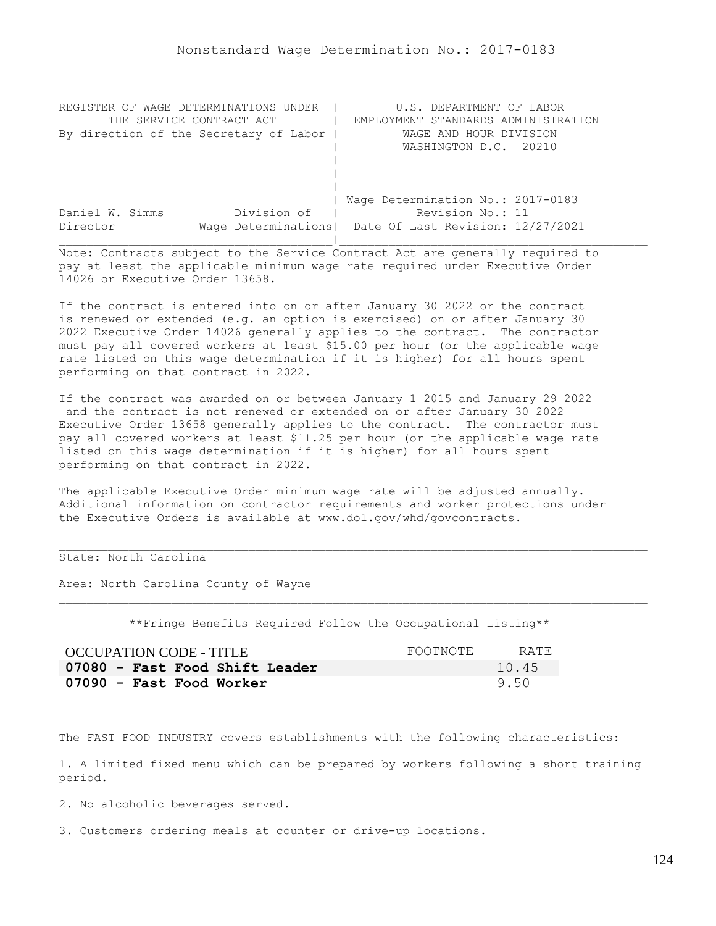| REGISTER OF WAGE DETERMINATIONS UNDER  | U.S. DEPARTMENT OF LABOR                                |
|----------------------------------------|---------------------------------------------------------|
| THE SERVICE CONTRACT ACT               | EMPLOYMENT STANDARDS ADMINISTRATION                     |
| By direction of the Secretary of Labor | WAGE AND HOUR DIVISION                                  |
|                                        | WASHINGTON D.C. 20210                                   |
|                                        |                                                         |
|                                        |                                                         |
|                                        |                                                         |
|                                        | Wage Determination No.: 2017-0183                       |
| Division of<br>Daniel W. Simms         | Revision No.: 11                                        |
| Director                               | Wage Determinations   Date Of Last Revision: 12/27/2021 |
|                                        |                                                         |

If the contract is entered into on or after January 30 2022 or the contract is renewed or extended (e.g. an option is exercised) on or after January 30 2022 Executive Order 14026 generally applies to the contract. The contractor must pay all covered workers at least \$15.00 per hour (or the applicable wage rate listed on this wage determination if it is higher) for all hours spent performing on that contract in 2022.

If the contract was awarded on or between January 1 2015 and January 29 2022 and the contract is not renewed or extended on or after January 30 2022 Executive Order 13658 generally applies to the contract. The contractor must pay all covered workers at least \$11.25 per hour (or the applicable wage rate listed on this wage determination if it is higher) for all hours spent performing on that contract in 2022.

The applicable Executive Order minimum wage rate will be adjusted annually. Additional information on contractor requirements and worker protections under the Executive Orders is available at www.dol.gov/whd/govcontracts.

## State: North Carolina

Area: North Carolina County of Wayne

\*\*Fringe Benefits Required Follow the Occupational Listing\*\*

| OCCUPATION CODE - TITLE        | FOOTNOTE | RATE  |
|--------------------------------|----------|-------|
| 07080 - Fast Food Shift Leader |          | 10.45 |
| 07090 - Fast Food Worker       |          | 9.50  |

The FAST FOOD INDUSTRY covers establishments with the following characteristics:

1. A limited fixed menu which can be prepared by workers following a short training period.

2. No alcoholic beverages served.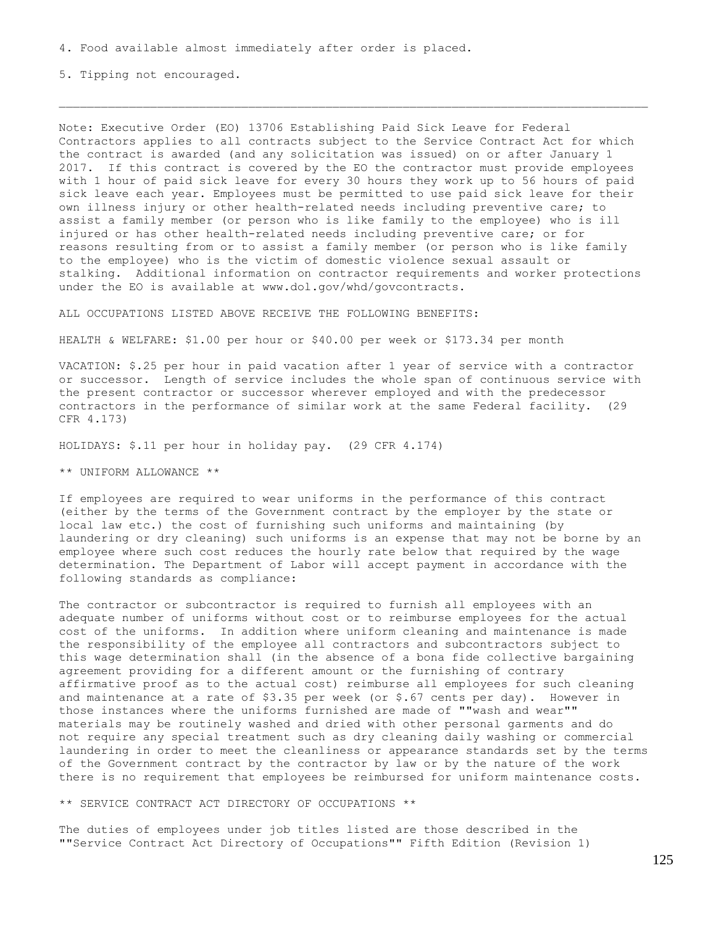5. Tipping not encouraged.

Note: Executive Order (EO) 13706 Establishing Paid Sick Leave for Federal Contractors applies to all contracts subject to the Service Contract Act for which the contract is awarded (and any solicitation was issued) on or after January 1 2017. If this contract is covered by the EO the contractor must provide employees with 1 hour of paid sick leave for every 30 hours they work up to 56 hours of paid sick leave each year. Employees must be permitted to use paid sick leave for their own illness injury or other health-related needs including preventive care; to assist a family member (or person who is like family to the employee) who is ill injured or has other health-related needs including preventive care; or for reasons resulting from or to assist a family member (or person who is like family to the employee) who is the victim of domestic violence sexual assault or stalking. Additional information on contractor requirements and worker protections under the EO is available at www.dol.gov/whd/govcontracts.

ALL OCCUPATIONS LISTED ABOVE RECEIVE THE FOLLOWING BENEFITS:

HEALTH & WELFARE: \$1.00 per hour or \$40.00 per week or \$173.34 per month

VACATION: \$.25 per hour in paid vacation after 1 year of service with a contractor or successor. Length of service includes the whole span of continuous service with the present contractor or successor wherever employed and with the predecessor contractors in the performance of similar work at the same Federal facility. (29 CFR 4.173)

HOLIDAYS: \$.11 per hour in holiday pay. (29 CFR 4.174)

\*\* UNIFORM ALLOWANCE \*\*

If employees are required to wear uniforms in the performance of this contract (either by the terms of the Government contract by the employer by the state or local law etc.) the cost of furnishing such uniforms and maintaining (by laundering or dry cleaning) such uniforms is an expense that may not be borne by an employee where such cost reduces the hourly rate below that required by the wage determination. The Department of Labor will accept payment in accordance with the following standards as compliance:

The contractor or subcontractor is required to furnish all employees with an adequate number of uniforms without cost or to reimburse employees for the actual cost of the uniforms. In addition where uniform cleaning and maintenance is made the responsibility of the employee all contractors and subcontractors subject to this wage determination shall (in the absence of a bona fide collective bargaining agreement providing for a different amount or the furnishing of contrary affirmative proof as to the actual cost) reimburse all employees for such cleaning and maintenance at a rate of \$3.35 per week (or \$.67 cents per day). However in those instances where the uniforms furnished are made of ""wash and wear"" materials may be routinely washed and dried with other personal garments and do not require any special treatment such as dry cleaning daily washing or commercial laundering in order to meet the cleanliness or appearance standards set by the terms of the Government contract by the contractor by law or by the nature of the work there is no requirement that employees be reimbursed for uniform maintenance costs.

\*\* SERVICE CONTRACT ACT DIRECTORY OF OCCUPATIONS \*\*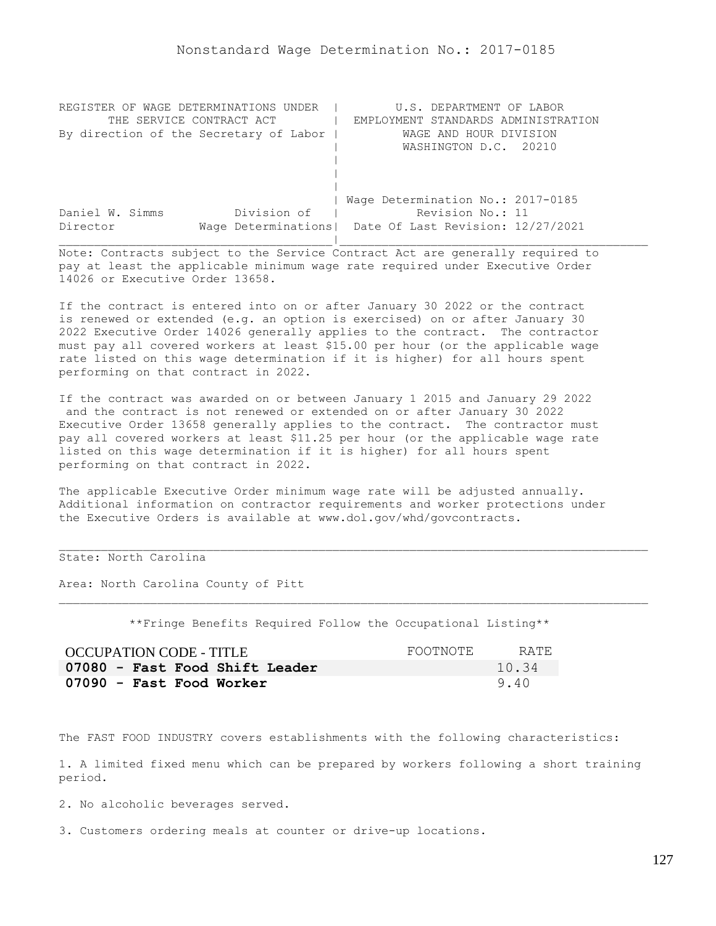| REGISTER OF WAGE DETERMINATIONS UNDER  | U.S. DEPARTMENT OF LABOR                                |
|----------------------------------------|---------------------------------------------------------|
| THE SERVICE CONTRACT ACT               | EMPLOYMENT STANDARDS ADMINISTRATION                     |
| By direction of the Secretary of Labor | WAGE AND HOUR DIVISION                                  |
|                                        | WASHINGTON D.C. 20210                                   |
|                                        |                                                         |
|                                        |                                                         |
|                                        |                                                         |
|                                        | Wage Determination No.: 2017-0185                       |
| Division of<br>Daniel W. Simms         | Revision No.: 11                                        |
| Director                               | Wage Determinations   Date Of Last Revision: 12/27/2021 |
|                                        |                                                         |

If the contract is entered into on or after January 30 2022 or the contract is renewed or extended (e.g. an option is exercised) on or after January 30 2022 Executive Order 14026 generally applies to the contract. The contractor must pay all covered workers at least \$15.00 per hour (or the applicable wage rate listed on this wage determination if it is higher) for all hours spent performing on that contract in 2022.

If the contract was awarded on or between January 1 2015 and January 29 2022 and the contract is not renewed or extended on or after January 30 2022 Executive Order 13658 generally applies to the contract. The contractor must pay all covered workers at least \$11.25 per hour (or the applicable wage rate listed on this wage determination if it is higher) for all hours spent performing on that contract in 2022.

The applicable Executive Order minimum wage rate will be adjusted annually. Additional information on contractor requirements and worker protections under the Executive Orders is available at www.dol.gov/whd/govcontracts.

### State: North Carolina

Area: North Carolina County of Pitt

\*\*Fringe Benefits Required Follow the Occupational Listing\*\*

| OCCUPATION CODE - TITLE        | FOOTNOTE | RATE  |
|--------------------------------|----------|-------|
| 07080 - Fast Food Shift Leader |          | 10.34 |
| 07090 - Fast Food Worker       |          | 9.40  |

The FAST FOOD INDUSTRY covers establishments with the following characteristics:

1. A limited fixed menu which can be prepared by workers following a short training period.

2. No alcoholic beverages served.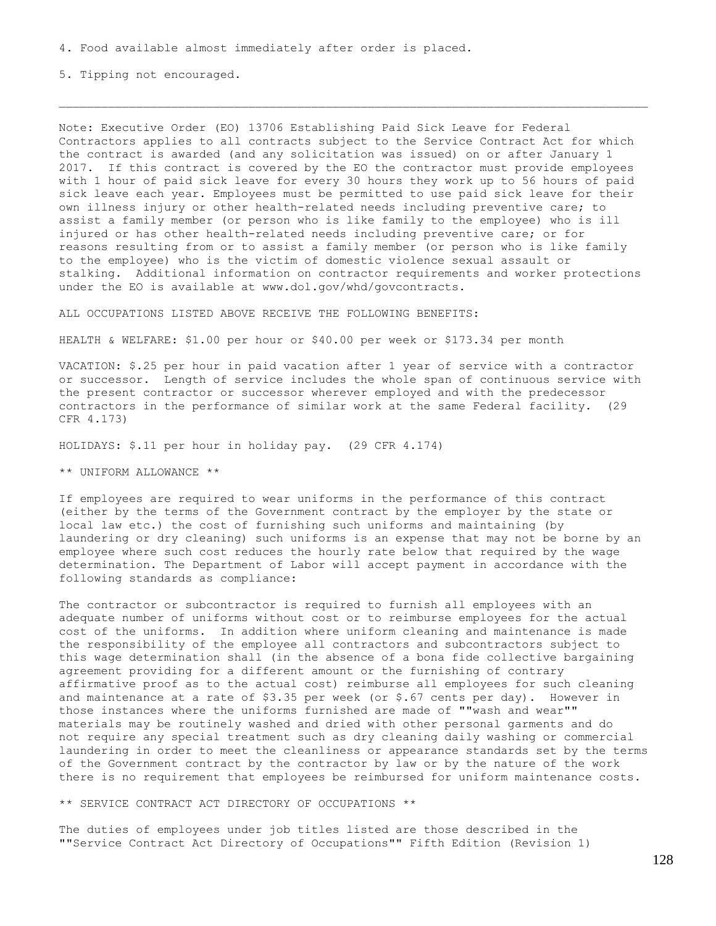5. Tipping not encouraged.

Note: Executive Order (EO) 13706 Establishing Paid Sick Leave for Federal Contractors applies to all contracts subject to the Service Contract Act for which the contract is awarded (and any solicitation was issued) on or after January 1 2017. If this contract is covered by the EO the contractor must provide employees with 1 hour of paid sick leave for every 30 hours they work up to 56 hours of paid sick leave each year. Employees must be permitted to use paid sick leave for their own illness injury or other health-related needs including preventive care; to assist a family member (or person who is like family to the employee) who is ill injured or has other health-related needs including preventive care; or for reasons resulting from or to assist a family member (or person who is like family to the employee) who is the victim of domestic violence sexual assault or stalking. Additional information on contractor requirements and worker protections under the EO is available at www.dol.gov/whd/govcontracts.

ALL OCCUPATIONS LISTED ABOVE RECEIVE THE FOLLOWING BENEFITS:

HEALTH & WELFARE: \$1.00 per hour or \$40.00 per week or \$173.34 per month

VACATION: \$.25 per hour in paid vacation after 1 year of service with a contractor or successor. Length of service includes the whole span of continuous service with the present contractor or successor wherever employed and with the predecessor contractors in the performance of similar work at the same Federal facility. (29 CFR 4.173)

HOLIDAYS: \$.11 per hour in holiday pay. (29 CFR 4.174)

\*\* UNIFORM ALLOWANCE \*\*

If employees are required to wear uniforms in the performance of this contract (either by the terms of the Government contract by the employer by the state or local law etc.) the cost of furnishing such uniforms and maintaining (by laundering or dry cleaning) such uniforms is an expense that may not be borne by an employee where such cost reduces the hourly rate below that required by the wage determination. The Department of Labor will accept payment in accordance with the following standards as compliance:

The contractor or subcontractor is required to furnish all employees with an adequate number of uniforms without cost or to reimburse employees for the actual cost of the uniforms. In addition where uniform cleaning and maintenance is made the responsibility of the employee all contractors and subcontractors subject to this wage determination shall (in the absence of a bona fide collective bargaining agreement providing for a different amount or the furnishing of contrary affirmative proof as to the actual cost) reimburse all employees for such cleaning and maintenance at a rate of \$3.35 per week (or \$.67 cents per day). However in those instances where the uniforms furnished are made of ""wash and wear"" materials may be routinely washed and dried with other personal garments and do not require any special treatment such as dry cleaning daily washing or commercial laundering in order to meet the cleanliness or appearance standards set by the terms of the Government contract by the contractor by law or by the nature of the work there is no requirement that employees be reimbursed for uniform maintenance costs.

\*\* SERVICE CONTRACT ACT DIRECTORY OF OCCUPATIONS \*\*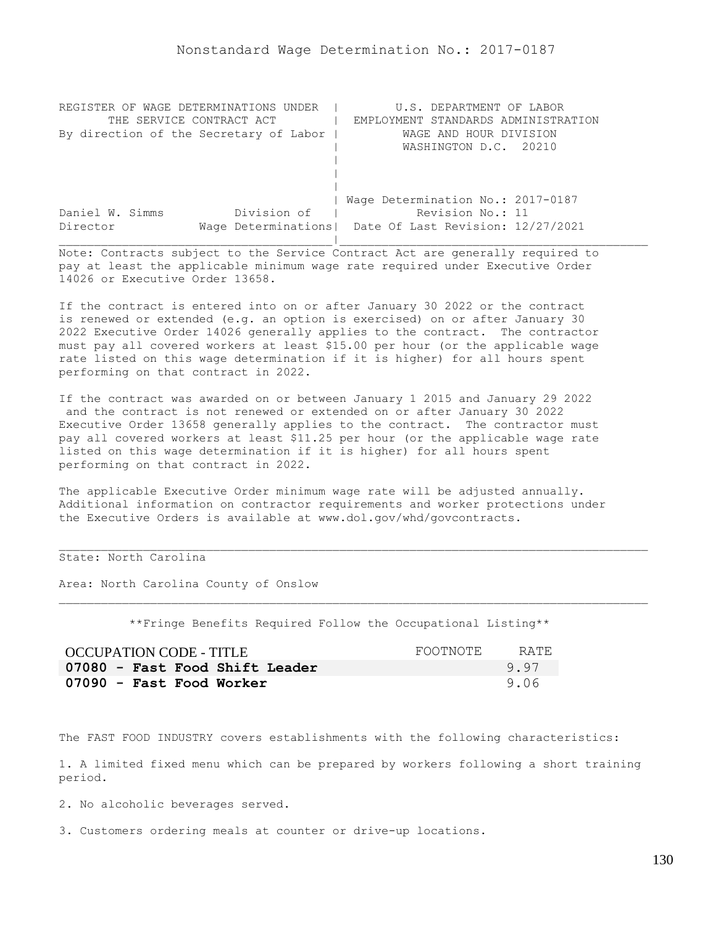| REGISTER OF WAGE DETERMINATIONS UNDER  | U.S. DEPARTMENT OF LABOR                                |
|----------------------------------------|---------------------------------------------------------|
| THE SERVICE CONTRACT ACT               | EMPLOYMENT STANDARDS ADMINISTRATION                     |
| By direction of the Secretary of Labor | WAGE AND HOUR DIVISION                                  |
|                                        | WASHINGTON D.C. 20210                                   |
|                                        |                                                         |
|                                        |                                                         |
|                                        |                                                         |
|                                        | Wage Determination No.: 2017-0187                       |
| Division of<br>Daniel W. Simms         | Revision No.: 11                                        |
| Director                               | Wage Determinations   Date Of Last Revision: 12/27/2021 |
|                                        |                                                         |

If the contract is entered into on or after January 30 2022 or the contract is renewed or extended (e.g. an option is exercised) on or after January 30 2022 Executive Order 14026 generally applies to the contract. The contractor must pay all covered workers at least \$15.00 per hour (or the applicable wage rate listed on this wage determination if it is higher) for all hours spent performing on that contract in 2022.

If the contract was awarded on or between January 1 2015 and January 29 2022 and the contract is not renewed or extended on or after January 30 2022 Executive Order 13658 generally applies to the contract. The contractor must pay all covered workers at least \$11.25 per hour (or the applicable wage rate listed on this wage determination if it is higher) for all hours spent performing on that contract in 2022.

The applicable Executive Order minimum wage rate will be adjusted annually. Additional information on contractor requirements and worker protections under the Executive Orders is available at www.dol.gov/whd/govcontracts.

## State: North Carolina

Area: North Carolina County of Onslow

\*\*Fringe Benefits Required Follow the Occupational Listing\*\*

| <b>OCCUPATION CODE - TITLE</b> | FOOTNOTE | RATE. |
|--------------------------------|----------|-------|
| 07080 - Fast Food Shift Leader |          | 9.97  |
| 07090 - Fast Food Worker       |          | 9.06  |

The FAST FOOD INDUSTRY covers establishments with the following characteristics:

1. A limited fixed menu which can be prepared by workers following a short training period.

2. No alcoholic beverages served.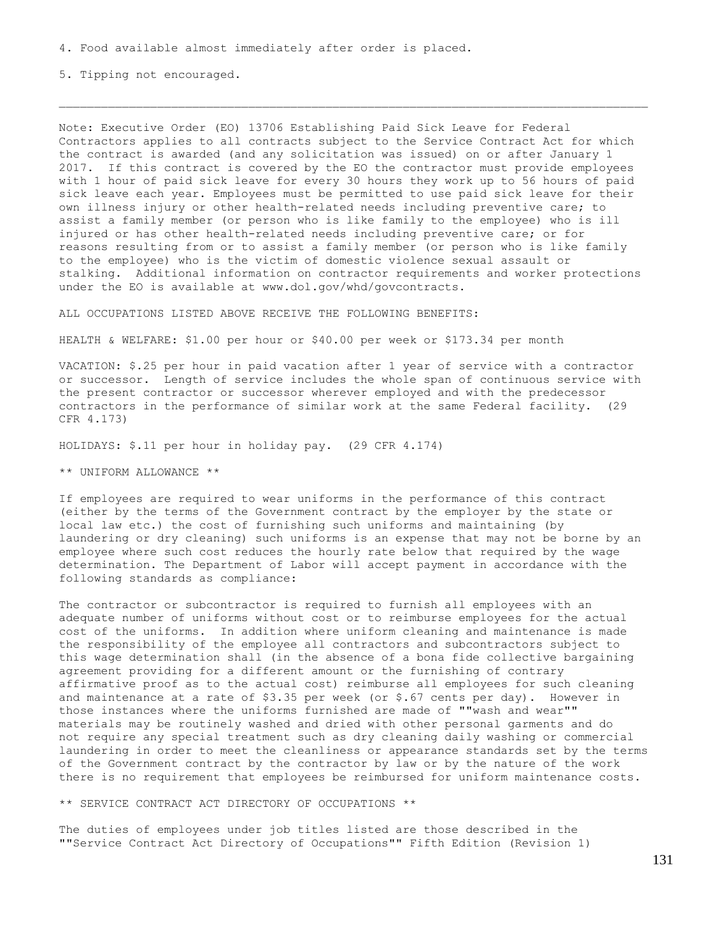5. Tipping not encouraged.

Note: Executive Order (EO) 13706 Establishing Paid Sick Leave for Federal Contractors applies to all contracts subject to the Service Contract Act for which the contract is awarded (and any solicitation was issued) on or after January 1 2017. If this contract is covered by the EO the contractor must provide employees with 1 hour of paid sick leave for every 30 hours they work up to 56 hours of paid sick leave each year. Employees must be permitted to use paid sick leave for their own illness injury or other health-related needs including preventive care; to assist a family member (or person who is like family to the employee) who is ill injured or has other health-related needs including preventive care; or for reasons resulting from or to assist a family member (or person who is like family to the employee) who is the victim of domestic violence sexual assault or stalking. Additional information on contractor requirements and worker protections under the EO is available at www.dol.gov/whd/govcontracts.

ALL OCCUPATIONS LISTED ABOVE RECEIVE THE FOLLOWING BENEFITS:

HEALTH & WELFARE: \$1.00 per hour or \$40.00 per week or \$173.34 per month

VACATION: \$.25 per hour in paid vacation after 1 year of service with a contractor or successor. Length of service includes the whole span of continuous service with the present contractor or successor wherever employed and with the predecessor contractors in the performance of similar work at the same Federal facility. (29 CFR 4.173)

HOLIDAYS: \$.11 per hour in holiday pay. (29 CFR 4.174)

\*\* UNIFORM ALLOWANCE \*\*

If employees are required to wear uniforms in the performance of this contract (either by the terms of the Government contract by the employer by the state or local law etc.) the cost of furnishing such uniforms and maintaining (by laundering or dry cleaning) such uniforms is an expense that may not be borne by an employee where such cost reduces the hourly rate below that required by the wage determination. The Department of Labor will accept payment in accordance with the following standards as compliance:

The contractor or subcontractor is required to furnish all employees with an adequate number of uniforms without cost or to reimburse employees for the actual cost of the uniforms. In addition where uniform cleaning and maintenance is made the responsibility of the employee all contractors and subcontractors subject to this wage determination shall (in the absence of a bona fide collective bargaining agreement providing for a different amount or the furnishing of contrary affirmative proof as to the actual cost) reimburse all employees for such cleaning and maintenance at a rate of \$3.35 per week (or \$.67 cents per day). However in those instances where the uniforms furnished are made of ""wash and wear"" materials may be routinely washed and dried with other personal garments and do not require any special treatment such as dry cleaning daily washing or commercial laundering in order to meet the cleanliness or appearance standards set by the terms of the Government contract by the contractor by law or by the nature of the work there is no requirement that employees be reimbursed for uniform maintenance costs.

\*\* SERVICE CONTRACT ACT DIRECTORY OF OCCUPATIONS \*\*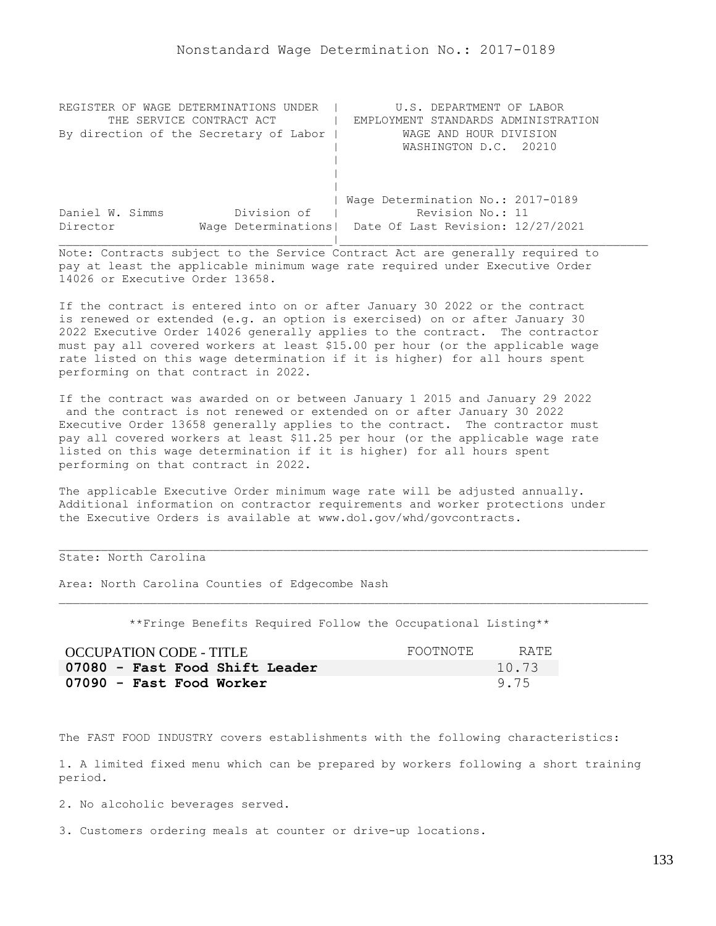| REGISTER OF WAGE DETERMINATIONS UNDER  | U.S. DEPARTMENT OF LABOR                                |
|----------------------------------------|---------------------------------------------------------|
| THE SERVICE CONTRACT ACT               | EMPLOYMENT STANDARDS ADMINISTRATION                     |
| By direction of the Secretary of Labor | WAGE AND HOUR DIVISION                                  |
|                                        | WASHINGTON D.C. 20210                                   |
|                                        |                                                         |
|                                        |                                                         |
|                                        |                                                         |
|                                        | Wage Determination No.: 2017-0189                       |
| Division of<br>Daniel W. Simms         | Revision No.: 11                                        |
| Director                               | Wage Determinations   Date Of Last Revision: 12/27/2021 |
|                                        |                                                         |

If the contract is entered into on or after January 30 2022 or the contract is renewed or extended (e.g. an option is exercised) on or after January 30 2022 Executive Order 14026 generally applies to the contract. The contractor must pay all covered workers at least \$15.00 per hour (or the applicable wage rate listed on this wage determination if it is higher) for all hours spent performing on that contract in 2022.

If the contract was awarded on or between January 1 2015 and January 29 2022 and the contract is not renewed or extended on or after January 30 2022 Executive Order 13658 generally applies to the contract. The contractor must pay all covered workers at least \$11.25 per hour (or the applicable wage rate listed on this wage determination if it is higher) for all hours spent performing on that contract in 2022.

The applicable Executive Order minimum wage rate will be adjusted annually. Additional information on contractor requirements and worker protections under the Executive Orders is available at www.dol.gov/whd/govcontracts.

### State: North Carolina

Area: North Carolina Counties of Edgecombe Nash

\*\*Fringe Benefits Required Follow the Occupational Listing\*\*

| OCCUPATION CODE - TITLE        | FOOTNOTE | RATE. |
|--------------------------------|----------|-------|
| 07080 - Fast Food Shift Leader |          | 10.73 |
| 07090 - Fast Food Worker       |          | 9.75  |

The FAST FOOD INDUSTRY covers establishments with the following characteristics:

1. A limited fixed menu which can be prepared by workers following a short training period.

2. No alcoholic beverages served.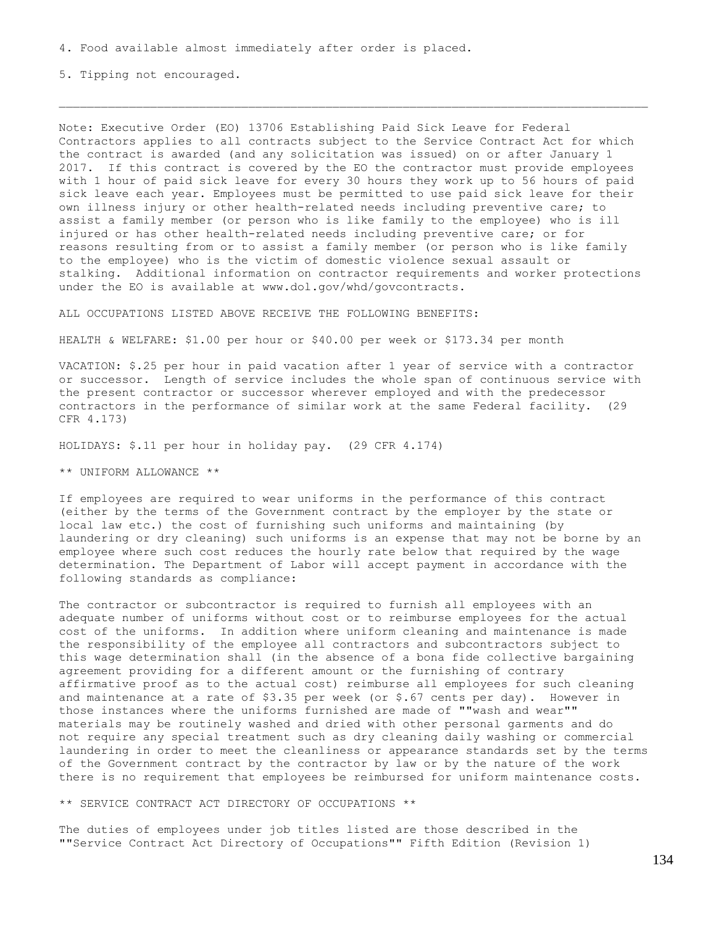5. Tipping not encouraged.

Note: Executive Order (EO) 13706 Establishing Paid Sick Leave for Federal Contractors applies to all contracts subject to the Service Contract Act for which the contract is awarded (and any solicitation was issued) on or after January 1 2017. If this contract is covered by the EO the contractor must provide employees with 1 hour of paid sick leave for every 30 hours they work up to 56 hours of paid sick leave each year. Employees must be permitted to use paid sick leave for their own illness injury or other health-related needs including preventive care; to assist a family member (or person who is like family to the employee) who is ill injured or has other health-related needs including preventive care; or for reasons resulting from or to assist a family member (or person who is like family to the employee) who is the victim of domestic violence sexual assault or stalking. Additional information on contractor requirements and worker protections under the EO is available at www.dol.gov/whd/govcontracts.

ALL OCCUPATIONS LISTED ABOVE RECEIVE THE FOLLOWING BENEFITS:

HEALTH & WELFARE: \$1.00 per hour or \$40.00 per week or \$173.34 per month

VACATION: \$.25 per hour in paid vacation after 1 year of service with a contractor or successor. Length of service includes the whole span of continuous service with the present contractor or successor wherever employed and with the predecessor contractors in the performance of similar work at the same Federal facility. (29 CFR 4.173)

HOLIDAYS: \$.11 per hour in holiday pay. (29 CFR 4.174)

\*\* UNIFORM ALLOWANCE \*\*

If employees are required to wear uniforms in the performance of this contract (either by the terms of the Government contract by the employer by the state or local law etc.) the cost of furnishing such uniforms and maintaining (by laundering or dry cleaning) such uniforms is an expense that may not be borne by an employee where such cost reduces the hourly rate below that required by the wage determination. The Department of Labor will accept payment in accordance with the following standards as compliance:

The contractor or subcontractor is required to furnish all employees with an adequate number of uniforms without cost or to reimburse employees for the actual cost of the uniforms. In addition where uniform cleaning and maintenance is made the responsibility of the employee all contractors and subcontractors subject to this wage determination shall (in the absence of a bona fide collective bargaining agreement providing for a different amount or the furnishing of contrary affirmative proof as to the actual cost) reimburse all employees for such cleaning and maintenance at a rate of \$3.35 per week (or \$.67 cents per day). However in those instances where the uniforms furnished are made of ""wash and wear"" materials may be routinely washed and dried with other personal garments and do not require any special treatment such as dry cleaning daily washing or commercial laundering in order to meet the cleanliness or appearance standards set by the terms of the Government contract by the contractor by law or by the nature of the work there is no requirement that employees be reimbursed for uniform maintenance costs.

\*\* SERVICE CONTRACT ACT DIRECTORY OF OCCUPATIONS \*\*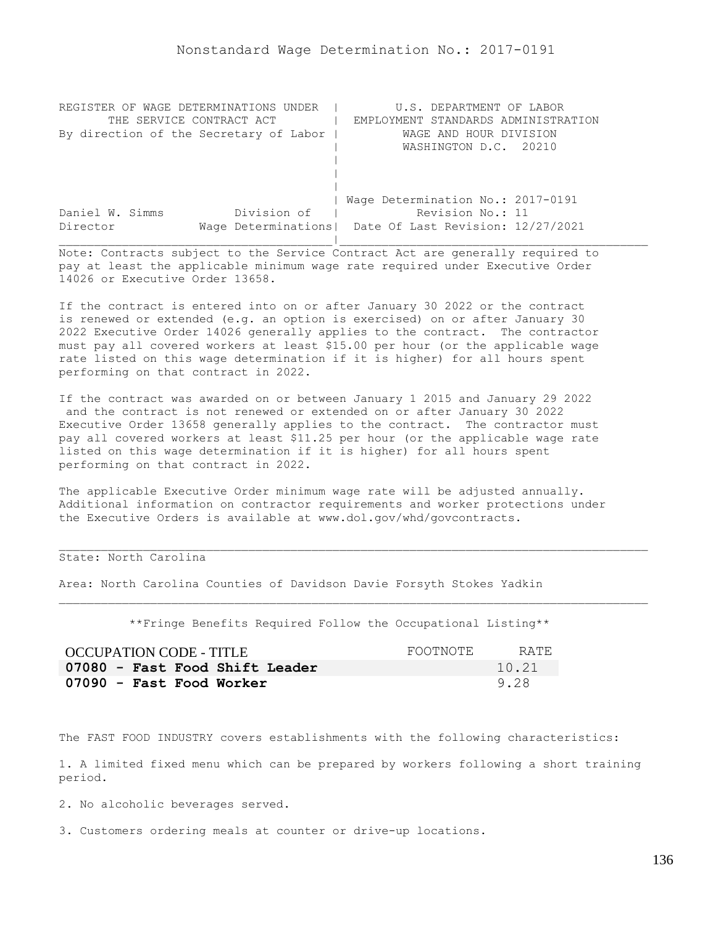| REGISTER OF WAGE DETERMINATIONS UNDER  | U.S. DEPARTMENT OF LABOR                                |
|----------------------------------------|---------------------------------------------------------|
| THE SERVICE CONTRACT ACT               | EMPLOYMENT STANDARDS ADMINISTRATION                     |
| By direction of the Secretary of Labor | WAGE AND HOUR DIVISION                                  |
|                                        | WASHINGTON D.C. 20210                                   |
|                                        |                                                         |
|                                        |                                                         |
|                                        |                                                         |
|                                        | Wage Determination No.: 2017-0191                       |
| Division of<br>Daniel W. Simms         | Revision No.: 11                                        |
| Director                               | Wage Determinations   Date Of Last Revision: 12/27/2021 |
|                                        |                                                         |

If the contract is entered into on or after January 30 2022 or the contract is renewed or extended (e.g. an option is exercised) on or after January 30 2022 Executive Order 14026 generally applies to the contract. The contractor must pay all covered workers at least \$15.00 per hour (or the applicable wage rate listed on this wage determination if it is higher) for all hours spent performing on that contract in 2022.

If the contract was awarded on or between January 1 2015 and January 29 2022 and the contract is not renewed or extended on or after January 30 2022 Executive Order 13658 generally applies to the contract. The contractor must pay all covered workers at least \$11.25 per hour (or the applicable wage rate listed on this wage determination if it is higher) for all hours spent performing on that contract in 2022.

The applicable Executive Order minimum wage rate will be adjusted annually. Additional information on contractor requirements and worker protections under the Executive Orders is available at www.dol.gov/whd/govcontracts.

## State: North Carolina

Area: North Carolina Counties of Davidson Davie Forsyth Stokes Yadkin

\*\*Fringe Benefits Required Follow the Occupational Listing\*\*

| OCCUPATION CODE - TITLE        | FOOTNOTE | RATE. |
|--------------------------------|----------|-------|
| 07080 - Fast Food Shift Leader |          | 10.21 |
| 07090 - Fast Food Worker       |          | 9.28  |

The FAST FOOD INDUSTRY covers establishments with the following characteristics:

1. A limited fixed menu which can be prepared by workers following a short training period.

2. No alcoholic beverages served.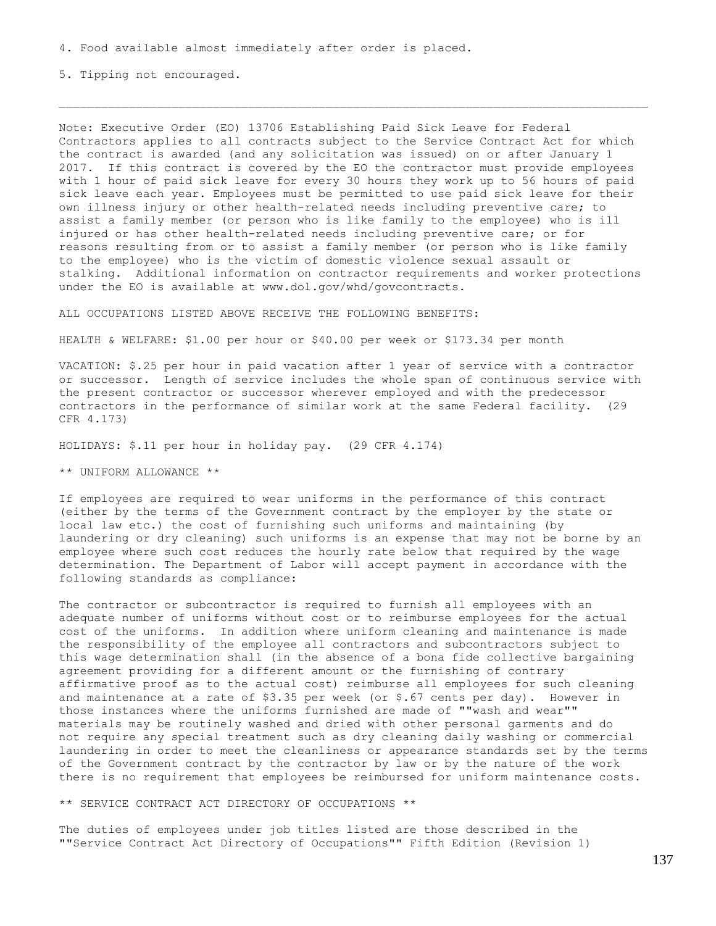5. Tipping not encouraged.

Note: Executive Order (EO) 13706 Establishing Paid Sick Leave for Federal Contractors applies to all contracts subject to the Service Contract Act for which the contract is awarded (and any solicitation was issued) on or after January 1 2017. If this contract is covered by the EO the contractor must provide employees with 1 hour of paid sick leave for every 30 hours they work up to 56 hours of paid sick leave each year. Employees must be permitted to use paid sick leave for their own illness injury or other health-related needs including preventive care; to assist a family member (or person who is like family to the employee) who is ill injured or has other health-related needs including preventive care; or for reasons resulting from or to assist a family member (or person who is like family to the employee) who is the victim of domestic violence sexual assault or stalking. Additional information on contractor requirements and worker protections under the EO is available at www.dol.gov/whd/govcontracts.

ALL OCCUPATIONS LISTED ABOVE RECEIVE THE FOLLOWING BENEFITS:

HEALTH & WELFARE: \$1.00 per hour or \$40.00 per week or \$173.34 per month

VACATION: \$.25 per hour in paid vacation after 1 year of service with a contractor or successor. Length of service includes the whole span of continuous service with the present contractor or successor wherever employed and with the predecessor contractors in the performance of similar work at the same Federal facility. (29 CFR 4.173)

HOLIDAYS: \$.11 per hour in holiday pay. (29 CFR 4.174)

\*\* UNIFORM ALLOWANCE \*\*

If employees are required to wear uniforms in the performance of this contract (either by the terms of the Government contract by the employer by the state or local law etc.) the cost of furnishing such uniforms and maintaining (by laundering or dry cleaning) such uniforms is an expense that may not be borne by an employee where such cost reduces the hourly rate below that required by the wage determination. The Department of Labor will accept payment in accordance with the following standards as compliance:

The contractor or subcontractor is required to furnish all employees with an adequate number of uniforms without cost or to reimburse employees for the actual cost of the uniforms. In addition where uniform cleaning and maintenance is made the responsibility of the employee all contractors and subcontractors subject to this wage determination shall (in the absence of a bona fide collective bargaining agreement providing for a different amount or the furnishing of contrary affirmative proof as to the actual cost) reimburse all employees for such cleaning and maintenance at a rate of  $$3.35$  per week (or  $$.67$  cents per day). However in those instances where the uniforms furnished are made of ""wash and wear"" materials may be routinely washed and dried with other personal garments and do not require any special treatment such as dry cleaning daily washing or commercial laundering in order to meet the cleanliness or appearance standards set by the terms of the Government contract by the contractor by law or by the nature of the work there is no requirement that employees be reimbursed for uniform maintenance costs.

\*\* SERVICE CONTRACT ACT DIRECTORY OF OCCUPATIONS \*\*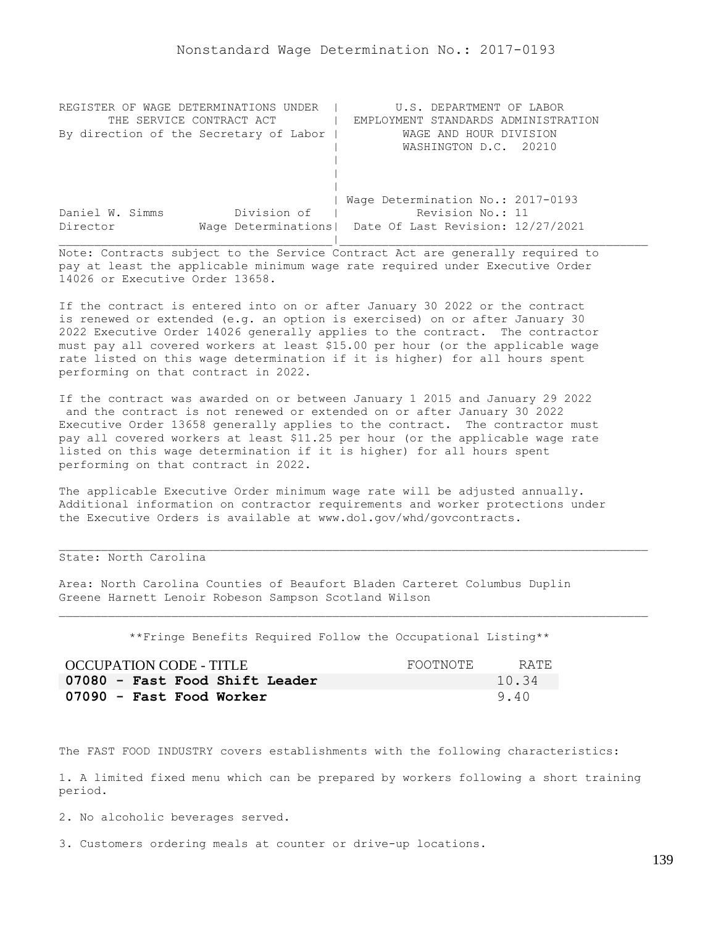| REGISTER OF WAGE DETERMINATIONS UNDER  | U.S. DEPARTMENT OF LABOR                                |
|----------------------------------------|---------------------------------------------------------|
| THE SERVICE CONTRACT ACT               | EMPLOYMENT STANDARDS ADMINISTRATION                     |
| By direction of the Secretary of Labor | WAGE AND HOUR DIVISION                                  |
|                                        | WASHINGTON D.C. 20210                                   |
|                                        |                                                         |
|                                        |                                                         |
|                                        |                                                         |
|                                        | Wage Determination No.: 2017-0193                       |
| Division of<br>Daniel W. Simms         | Revision No.: 11                                        |
| Director                               | Wage Determinations   Date Of Last Revision: 12/27/2021 |
|                                        |                                                         |

If the contract is entered into on or after January 30 2022 or the contract is renewed or extended (e.g. an option is exercised) on or after January 30 2022 Executive Order 14026 generally applies to the contract. The contractor must pay all covered workers at least \$15.00 per hour (or the applicable wage rate listed on this wage determination if it is higher) for all hours spent performing on that contract in 2022.

If the contract was awarded on or between January 1 2015 and January 29 2022 and the contract is not renewed or extended on or after January 30 2022 Executive Order 13658 generally applies to the contract. The contractor must pay all covered workers at least \$11.25 per hour (or the applicable wage rate listed on this wage determination if it is higher) for all hours spent performing on that contract in 2022.

The applicable Executive Order minimum wage rate will be adjusted annually. Additional information on contractor requirements and worker protections under the Executive Orders is available at www.dol.gov/whd/govcontracts.

## State: North Carolina

Area: North Carolina Counties of Beaufort Bladen Carteret Columbus Duplin Greene Harnett Lenoir Robeson Sampson Scotland Wilson

\*\*Fringe Benefits Required Follow the Occupational Listing\*\*

| OCCUPATION CODE - TITLE        | FOOTNOTE | RATE. |
|--------------------------------|----------|-------|
| 07080 - Fast Food Shift Leader |          | 10.34 |
| 07090 - Fast Food Worker       |          | 9.40  |

The FAST FOOD INDUSTRY covers establishments with the following characteristics:

1. A limited fixed menu which can be prepared by workers following a short training period.

2. No alcoholic beverages served.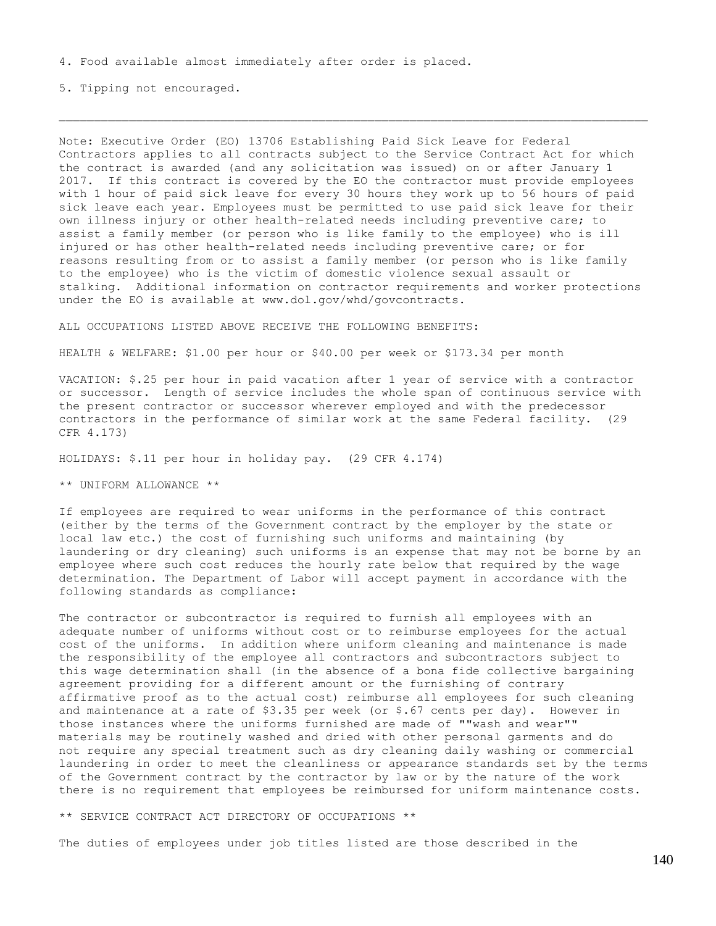5. Tipping not encouraged.

Note: Executive Order (EO) 13706 Establishing Paid Sick Leave for Federal Contractors applies to all contracts subject to the Service Contract Act for which the contract is awarded (and any solicitation was issued) on or after January 1 2017. If this contract is covered by the EO the contractor must provide employees with 1 hour of paid sick leave for every 30 hours they work up to 56 hours of paid sick leave each year. Employees must be permitted to use paid sick leave for their own illness injury or other health-related needs including preventive care; to assist a family member (or person who is like family to the employee) who is ill injured or has other health-related needs including preventive care; or for reasons resulting from or to assist a family member (or person who is like family to the employee) who is the victim of domestic violence sexual assault or stalking. Additional information on contractor requirements and worker protections under the EO is available at www.dol.gov/whd/govcontracts.

ALL OCCUPATIONS LISTED ABOVE RECEIVE THE FOLLOWING BENEFITS:

HEALTH & WELFARE: \$1.00 per hour or \$40.00 per week or \$173.34 per month

VACATION: \$.25 per hour in paid vacation after 1 year of service with a contractor or successor. Length of service includes the whole span of continuous service with the present contractor or successor wherever employed and with the predecessor contractors in the performance of similar work at the same Federal facility. (29 CFR 4.173)

HOLIDAYS: \$.11 per hour in holiday pay. (29 CFR 4.174)

\*\* UNIFORM ALLOWANCE \*\*

If employees are required to wear uniforms in the performance of this contract (either by the terms of the Government contract by the employer by the state or local law etc.) the cost of furnishing such uniforms and maintaining (by laundering or dry cleaning) such uniforms is an expense that may not be borne by an employee where such cost reduces the hourly rate below that required by the wage determination. The Department of Labor will accept payment in accordance with the following standards as compliance:

The contractor or subcontractor is required to furnish all employees with an adequate number of uniforms without cost or to reimburse employees for the actual cost of the uniforms. In addition where uniform cleaning and maintenance is made the responsibility of the employee all contractors and subcontractors subject to this wage determination shall (in the absence of a bona fide collective bargaining agreement providing for a different amount or the furnishing of contrary affirmative proof as to the actual cost) reimburse all employees for such cleaning and maintenance at a rate of  $$3.35$  per week (or  $$.67$  cents per day). However in those instances where the uniforms furnished are made of ""wash and wear"" materials may be routinely washed and dried with other personal garments and do not require any special treatment such as dry cleaning daily washing or commercial laundering in order to meet the cleanliness or appearance standards set by the terms of the Government contract by the contractor by law or by the nature of the work there is no requirement that employees be reimbursed for uniform maintenance costs.

\*\* SERVICE CONTRACT ACT DIRECTORY OF OCCUPATIONS \*\*

The duties of employees under job titles listed are those described in the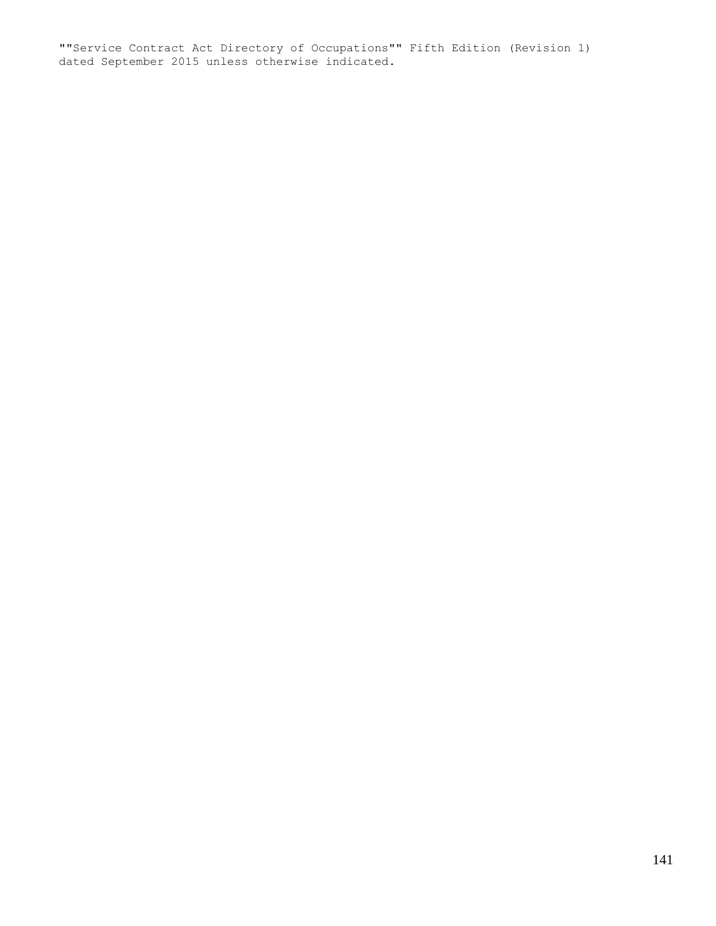""Service Contract Act Directory of Occupations"" Fifth Edition (Revision 1) dated September 2015 unless otherwise indicated.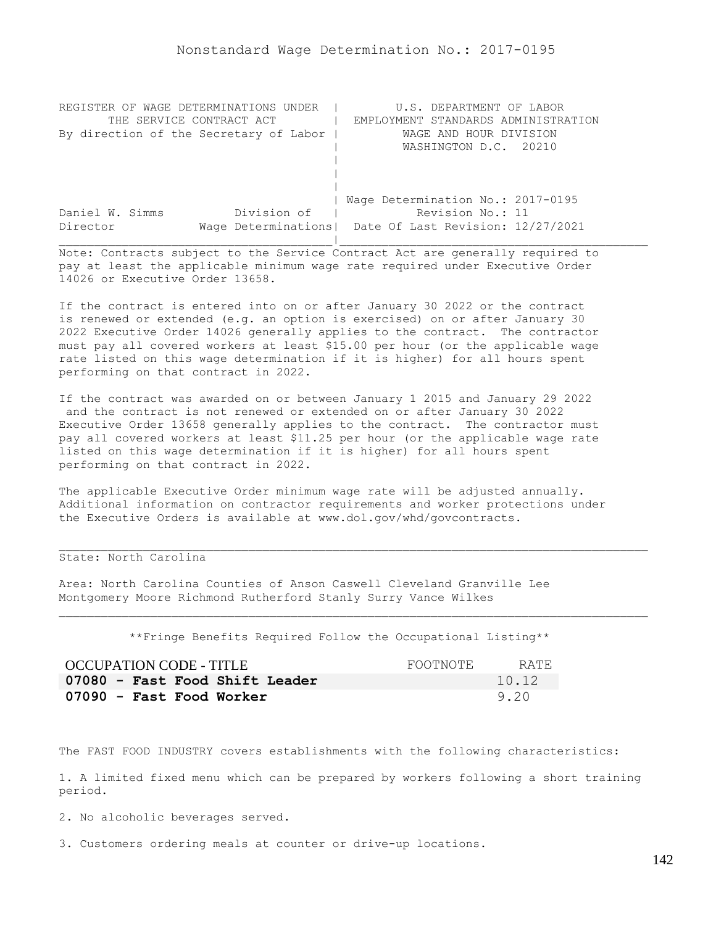| REGISTER OF WAGE DETERMINATIONS UNDER  | U.S. DEPARTMENT OF LABOR                                |
|----------------------------------------|---------------------------------------------------------|
| THE SERVICE CONTRACT ACT               | EMPLOYMENT STANDARDS ADMINISTRATION                     |
| By direction of the Secretary of Labor | WAGE AND HOUR DIVISION                                  |
|                                        | WASHINGTON D.C. 20210                                   |
|                                        |                                                         |
|                                        |                                                         |
|                                        |                                                         |
|                                        | Wage Determination No.: 2017-0195                       |
| Division of<br>Daniel W. Simms         | Revision No.: 11                                        |
| Director                               | Wage Determinations   Date Of Last Revision: 12/27/2021 |
|                                        |                                                         |

If the contract is entered into on or after January 30 2022 or the contract is renewed or extended (e.g. an option is exercised) on or after January 30 2022 Executive Order 14026 generally applies to the contract. The contractor must pay all covered workers at least \$15.00 per hour (or the applicable wage rate listed on this wage determination if it is higher) for all hours spent performing on that contract in 2022.

If the contract was awarded on or between January 1 2015 and January 29 2022 and the contract is not renewed or extended on or after January 30 2022 Executive Order 13658 generally applies to the contract. The contractor must pay all covered workers at least \$11.25 per hour (or the applicable wage rate listed on this wage determination if it is higher) for all hours spent performing on that contract in 2022.

The applicable Executive Order minimum wage rate will be adjusted annually. Additional information on contractor requirements and worker protections under the Executive Orders is available at www.dol.gov/whd/govcontracts.

## State: North Carolina

Area: North Carolina Counties of Anson Caswell Cleveland Granville Lee Montgomery Moore Richmond Rutherford Stanly Surry Vance Wilkes

\*\*Fringe Benefits Required Follow the Occupational Listing\*\*

| OCCUPATION CODE - TITLE        | FOOTNOTE | RATE. |
|--------------------------------|----------|-------|
| 07080 - Fast Food Shift Leader |          | 10.12 |
| 07090 - Fast Food Worker       |          | 9.20  |

The FAST FOOD INDUSTRY covers establishments with the following characteristics:

1. A limited fixed menu which can be prepared by workers following a short training period.

2. No alcoholic beverages served.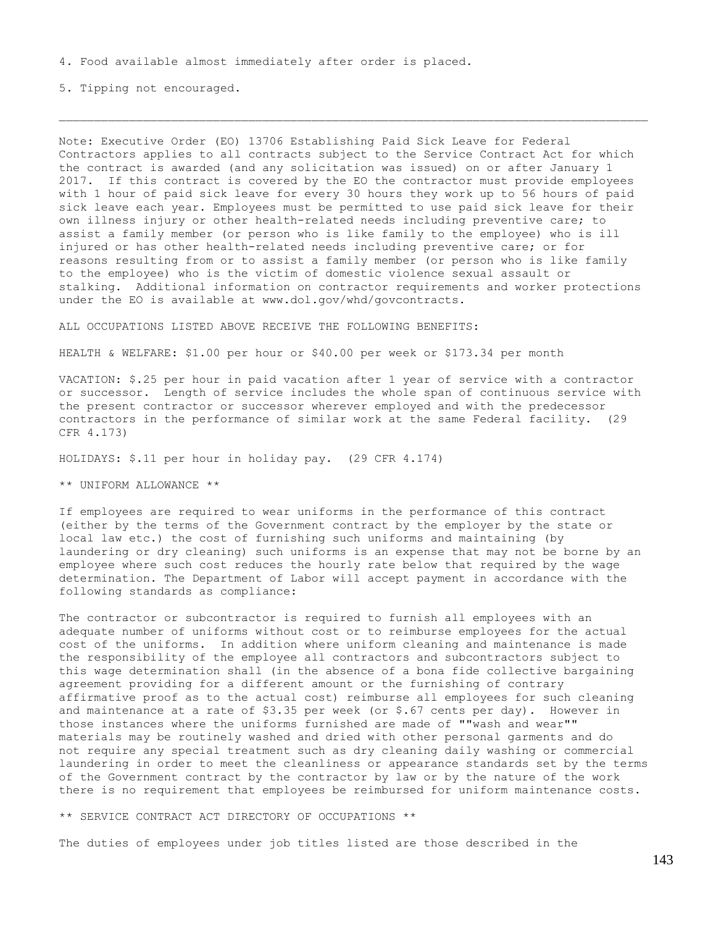5. Tipping not encouraged.

Note: Executive Order (EO) 13706 Establishing Paid Sick Leave for Federal Contractors applies to all contracts subject to the Service Contract Act for which the contract is awarded (and any solicitation was issued) on or after January 1 2017. If this contract is covered by the EO the contractor must provide employees with 1 hour of paid sick leave for every 30 hours they work up to 56 hours of paid sick leave each year. Employees must be permitted to use paid sick leave for their own illness injury or other health-related needs including preventive care; to assist a family member (or person who is like family to the employee) who is ill injured or has other health-related needs including preventive care; or for reasons resulting from or to assist a family member (or person who is like family to the employee) who is the victim of domestic violence sexual assault or stalking. Additional information on contractor requirements and worker protections under the EO is available at www.dol.gov/whd/govcontracts.

ALL OCCUPATIONS LISTED ABOVE RECEIVE THE FOLLOWING BENEFITS:

HEALTH & WELFARE: \$1.00 per hour or \$40.00 per week or \$173.34 per month

VACATION: \$.25 per hour in paid vacation after 1 year of service with a contractor or successor. Length of service includes the whole span of continuous service with the present contractor or successor wherever employed and with the predecessor contractors in the performance of similar work at the same Federal facility. (29 CFR 4.173)

HOLIDAYS: \$.11 per hour in holiday pay. (29 CFR 4.174)

\*\* UNIFORM ALLOWANCE \*\*

If employees are required to wear uniforms in the performance of this contract (either by the terms of the Government contract by the employer by the state or local law etc.) the cost of furnishing such uniforms and maintaining (by laundering or dry cleaning) such uniforms is an expense that may not be borne by an employee where such cost reduces the hourly rate below that required by the wage determination. The Department of Labor will accept payment in accordance with the following standards as compliance:

The contractor or subcontractor is required to furnish all employees with an adequate number of uniforms without cost or to reimburse employees for the actual cost of the uniforms. In addition where uniform cleaning and maintenance is made the responsibility of the employee all contractors and subcontractors subject to this wage determination shall (in the absence of a bona fide collective bargaining agreement providing for a different amount or the furnishing of contrary affirmative proof as to the actual cost) reimburse all employees for such cleaning and maintenance at a rate of  $$3.35$  per week (or  $$.67$  cents per day). However in those instances where the uniforms furnished are made of ""wash and wear"" materials may be routinely washed and dried with other personal garments and do not require any special treatment such as dry cleaning daily washing or commercial laundering in order to meet the cleanliness or appearance standards set by the terms of the Government contract by the contractor by law or by the nature of the work there is no requirement that employees be reimbursed for uniform maintenance costs.

\*\* SERVICE CONTRACT ACT DIRECTORY OF OCCUPATIONS \*\*

The duties of employees under job titles listed are those described in the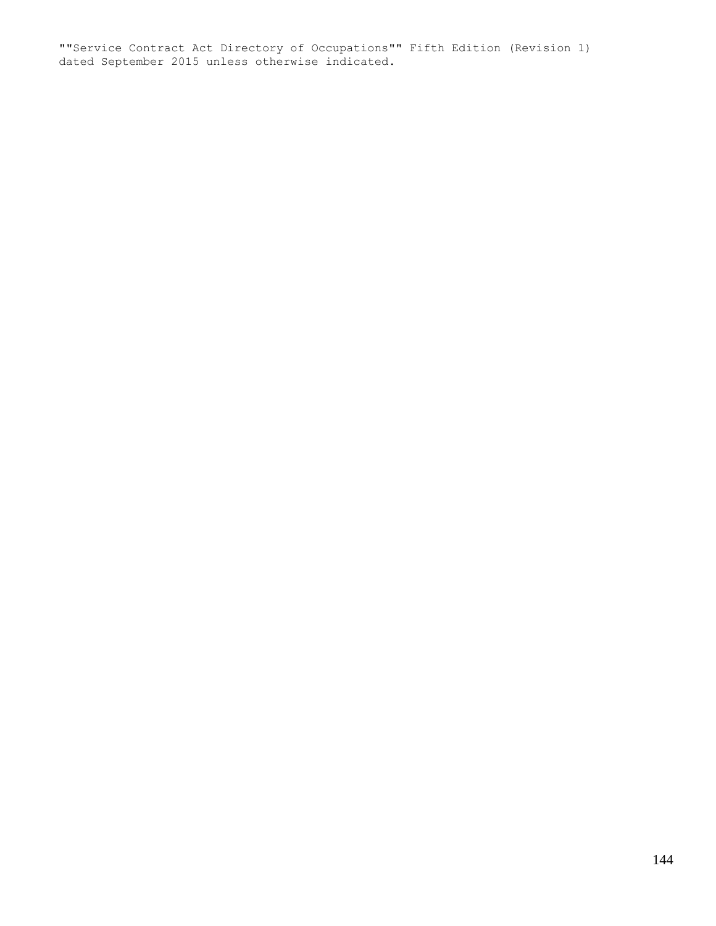""Service Contract Act Directory of Occupations"" Fifth Edition (Revision 1) dated September 2015 unless otherwise indicated.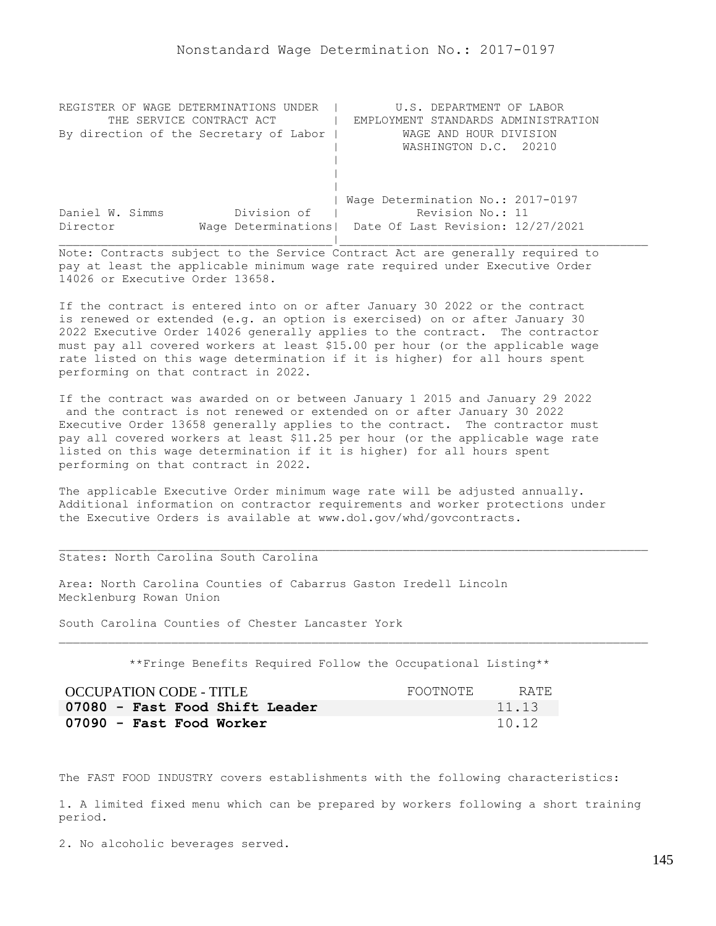| REGISTER OF WAGE DETERMINATIONS UNDER  | U.S. DEPARTMENT OF LABOR                                |
|----------------------------------------|---------------------------------------------------------|
| THE SERVICE CONTRACT ACT               | EMPLOYMENT STANDARDS ADMINISTRATION                     |
| By direction of the Secretary of Labor | WAGE AND HOUR DIVISION                                  |
|                                        | WASHINGTON D.C. 20210                                   |
|                                        |                                                         |
|                                        |                                                         |
|                                        |                                                         |
|                                        | Wage Determination No.: 2017-0197                       |
| Division of<br>Daniel W. Simms         | Revision No.: 11                                        |
| Director                               | Wage Determinations   Date Of Last Revision: 12/27/2021 |
|                                        |                                                         |

If the contract is entered into on or after January 30 2022 or the contract is renewed or extended (e.g. an option is exercised) on or after January 30 2022 Executive Order 14026 generally applies to the contract. The contractor must pay all covered workers at least \$15.00 per hour (or the applicable wage rate listed on this wage determination if it is higher) for all hours spent performing on that contract in 2022.

If the contract was awarded on or between January 1 2015 and January 29 2022 and the contract is not renewed or extended on or after January 30 2022 Executive Order 13658 generally applies to the contract. The contractor must pay all covered workers at least \$11.25 per hour (or the applicable wage rate listed on this wage determination if it is higher) for all hours spent performing on that contract in 2022.

The applicable Executive Order minimum wage rate will be adjusted annually. Additional information on contractor requirements and worker protections under the Executive Orders is available at www.dol.gov/whd/govcontracts.

# States: North Carolina South Carolina

Area: North Carolina Counties of Cabarrus Gaston Iredell Lincoln Mecklenburg Rowan Union

South Carolina Counties of Chester Lancaster York

\*\*Fringe Benefits Required Follow the Occupational Listing\*\*

| OCCUPATION CODE - TITLE        | FOOTNOTE | RATE. |
|--------------------------------|----------|-------|
| 07080 - Fast Food Shift Leader |          | 11.13 |
| 07090 - Fast Food Worker       |          | 10.12 |

The FAST FOOD INDUSTRY covers establishments with the following characteristics:

1. A limited fixed menu which can be prepared by workers following a short training period.

2. No alcoholic beverages served.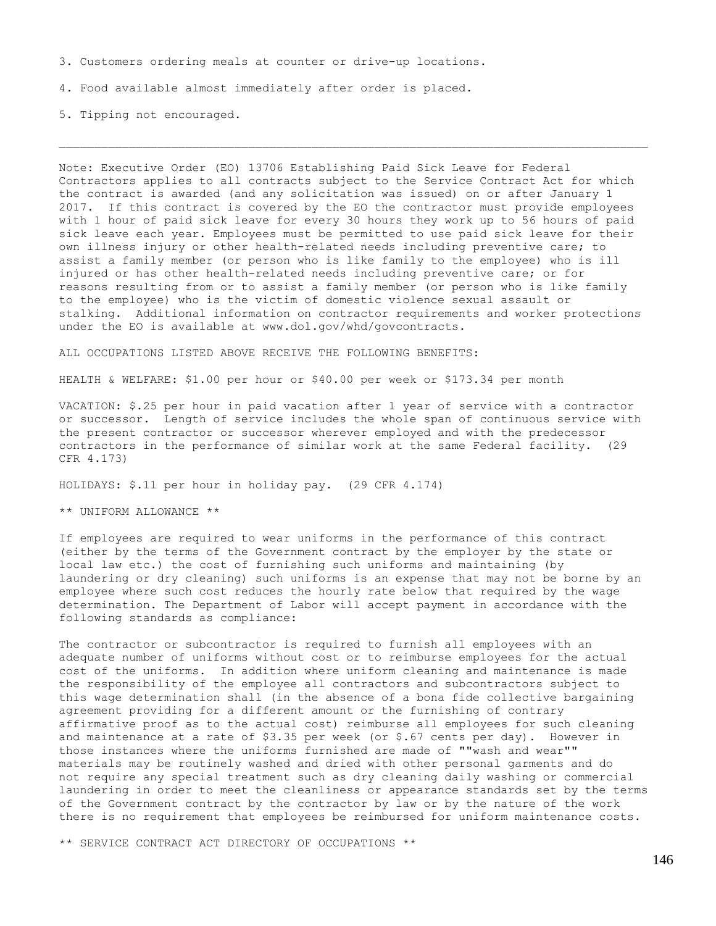3. Customers ordering meals at counter or drive-up locations.

4. Food available almost immediately after order is placed.

5. Tipping not encouraged.

Note: Executive Order (EO) 13706 Establishing Paid Sick Leave for Federal Contractors applies to all contracts subject to the Service Contract Act for which the contract is awarded (and any solicitation was issued) on or after January 1 2017. If this contract is covered by the EO the contractor must provide employees with 1 hour of paid sick leave for every 30 hours they work up to 56 hours of paid sick leave each year. Employees must be permitted to use paid sick leave for their own illness injury or other health-related needs including preventive care; to assist a family member (or person who is like family to the employee) who is ill injured or has other health-related needs including preventive care; or for reasons resulting from or to assist a family member (or person who is like family to the employee) who is the victim of domestic violence sexual assault or stalking. Additional information on contractor requirements and worker protections under the EO is available at www.dol.gov/whd/govcontracts.

ALL OCCUPATIONS LISTED ABOVE RECEIVE THE FOLLOWING BENEFITS:

HEALTH & WELFARE: \$1.00 per hour or \$40.00 per week or \$173.34 per month

VACATION: \$.25 per hour in paid vacation after 1 year of service with a contractor or successor. Length of service includes the whole span of continuous service with the present contractor or successor wherever employed and with the predecessor contractors in the performance of similar work at the same Federal facility. (29 CFR 4.173)

HOLIDAYS: \$.11 per hour in holiday pay. (29 CFR 4.174)

\*\* UNIFORM ALLOWANCE \*\*

If employees are required to wear uniforms in the performance of this contract (either by the terms of the Government contract by the employer by the state or local law etc.) the cost of furnishing such uniforms and maintaining (by laundering or dry cleaning) such uniforms is an expense that may not be borne by an employee where such cost reduces the hourly rate below that required by the wage determination. The Department of Labor will accept payment in accordance with the following standards as compliance:

The contractor or subcontractor is required to furnish all employees with an adequate number of uniforms without cost or to reimburse employees for the actual cost of the uniforms. In addition where uniform cleaning and maintenance is made the responsibility of the employee all contractors and subcontractors subject to this wage determination shall (in the absence of a bona fide collective bargaining agreement providing for a different amount or the furnishing of contrary affirmative proof as to the actual cost) reimburse all employees for such cleaning and maintenance at a rate of \$3.35 per week (or \$.67 cents per day). However in those instances where the uniforms furnished are made of ""wash and wear"" materials may be routinely washed and dried with other personal garments and do not require any special treatment such as dry cleaning daily washing or commercial laundering in order to meet the cleanliness or appearance standards set by the terms of the Government contract by the contractor by law or by the nature of the work there is no requirement that employees be reimbursed for uniform maintenance costs.

\*\* SERVICE CONTRACT ACT DIRECTORY OF OCCUPATIONS \*\*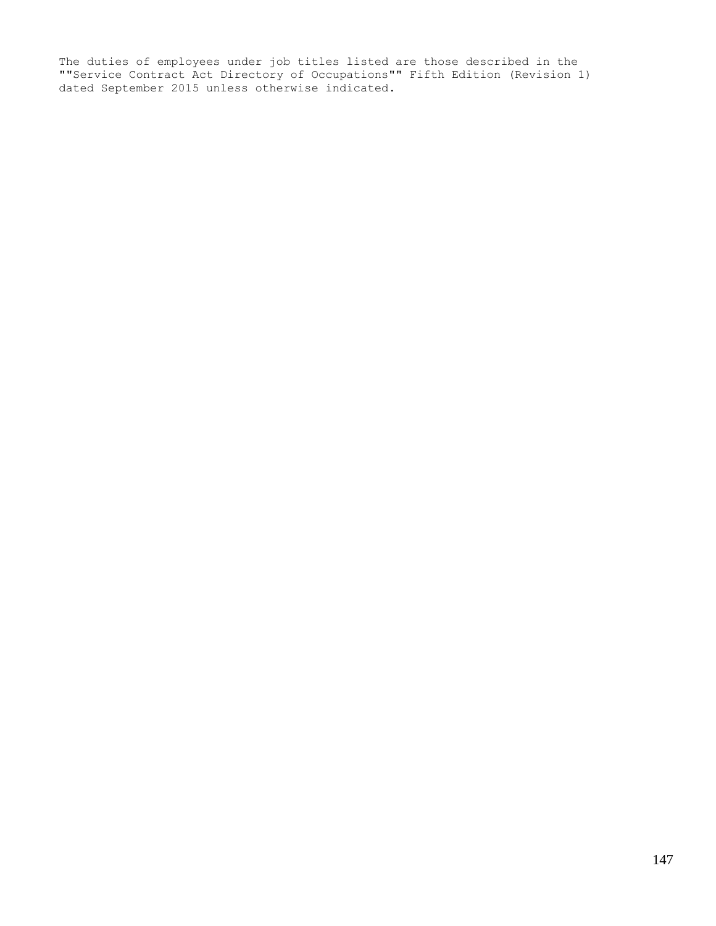The duties of employees under job titles listed are those described in the ""Service Contract Act Directory of Occupations"" Fifth Edition (Revision 1) dated September 2015 unless otherwise indicated.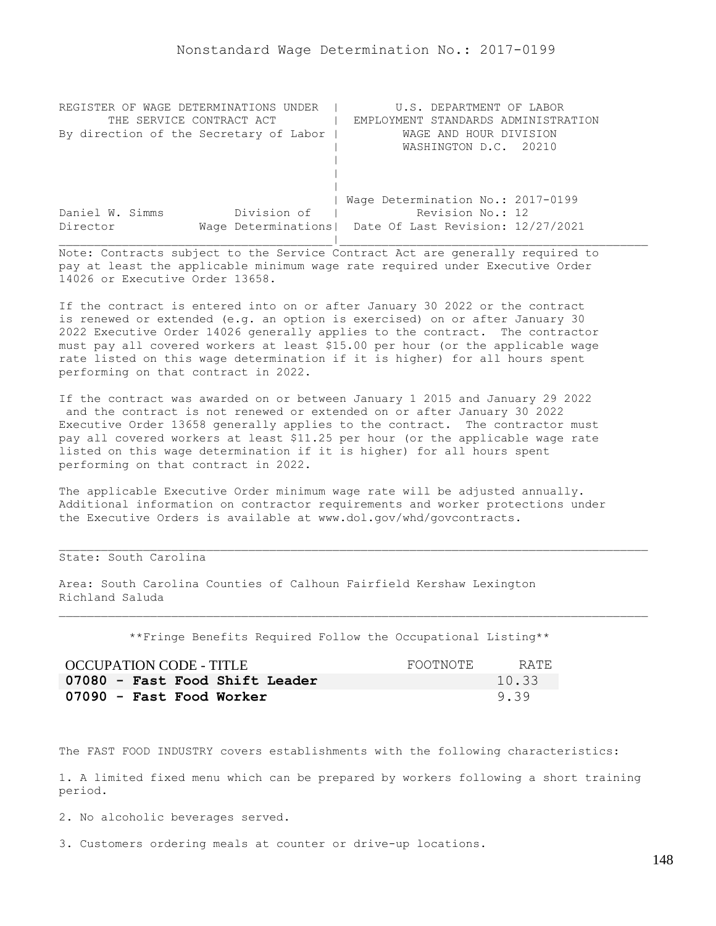| REGISTER OF WAGE DETERMINATIONS UNDER  | U.S. DEPARTMENT OF LABOR                                |
|----------------------------------------|---------------------------------------------------------|
| THE SERVICE CONTRACT ACT               | EMPLOYMENT STANDARDS ADMINISTRATION                     |
| By direction of the Secretary of Labor | WAGE AND HOUR DIVISION                                  |
|                                        | WASHINGTON D.C. 20210                                   |
|                                        |                                                         |
|                                        |                                                         |
|                                        |                                                         |
|                                        | Wage Determination No.: 2017-0199                       |
| Division of<br>Daniel W. Simms         | Revision No.: 12                                        |
| Director                               | Wage Determinations   Date Of Last Revision: 12/27/2021 |
|                                        |                                                         |

If the contract is entered into on or after January 30 2022 or the contract is renewed or extended (e.g. an option is exercised) on or after January 30 2022 Executive Order 14026 generally applies to the contract. The contractor must pay all covered workers at least \$15.00 per hour (or the applicable wage rate listed on this wage determination if it is higher) for all hours spent performing on that contract in 2022.

If the contract was awarded on or between January 1 2015 and January 29 2022 and the contract is not renewed or extended on or after January 30 2022 Executive Order 13658 generally applies to the contract. The contractor must pay all covered workers at least \$11.25 per hour (or the applicable wage rate listed on this wage determination if it is higher) for all hours spent performing on that contract in 2022.

The applicable Executive Order minimum wage rate will be adjusted annually. Additional information on contractor requirements and worker protections under the Executive Orders is available at www.dol.gov/whd/govcontracts.

# State: South Carolina

Area: South Carolina Counties of Calhoun Fairfield Kershaw Lexington Richland Saluda

\*\*Fringe Benefits Required Follow the Occupational Listing\*\*

| OCCUPATION CODE - TITLE        | FOOTNOTE | RATE. |
|--------------------------------|----------|-------|
| 07080 - Fast Food Shift Leader |          | 10.33 |
| 07090 - Fast Food Worker       |          | 9.39  |

The FAST FOOD INDUSTRY covers establishments with the following characteristics:

1. A limited fixed menu which can be prepared by workers following a short training period.

2. No alcoholic beverages served.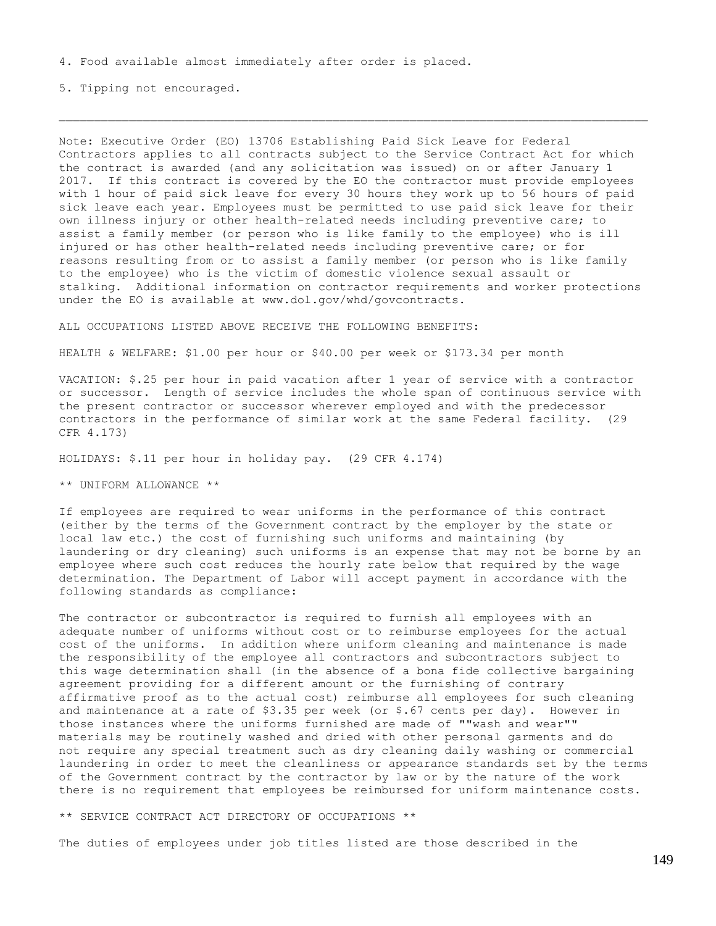5. Tipping not encouraged.

Note: Executive Order (EO) 13706 Establishing Paid Sick Leave for Federal Contractors applies to all contracts subject to the Service Contract Act for which the contract is awarded (and any solicitation was issued) on or after January 1 2017. If this contract is covered by the EO the contractor must provide employees with 1 hour of paid sick leave for every 30 hours they work up to 56 hours of paid sick leave each year. Employees must be permitted to use paid sick leave for their own illness injury or other health-related needs including preventive care; to assist a family member (or person who is like family to the employee) who is ill injured or has other health-related needs including preventive care; or for reasons resulting from or to assist a family member (or person who is like family to the employee) who is the victim of domestic violence sexual assault or stalking. Additional information on contractor requirements and worker protections under the EO is available at www.dol.gov/whd/govcontracts.

ALL OCCUPATIONS LISTED ABOVE RECEIVE THE FOLLOWING BENEFITS:

HEALTH & WELFARE: \$1.00 per hour or \$40.00 per week or \$173.34 per month

VACATION: \$.25 per hour in paid vacation after 1 year of service with a contractor or successor. Length of service includes the whole span of continuous service with the present contractor or successor wherever employed and with the predecessor contractors in the performance of similar work at the same Federal facility. (29 CFR 4.173)

HOLIDAYS: \$.11 per hour in holiday pay. (29 CFR 4.174)

\*\* UNIFORM ALLOWANCE \*\*

If employees are required to wear uniforms in the performance of this contract (either by the terms of the Government contract by the employer by the state or local law etc.) the cost of furnishing such uniforms and maintaining (by laundering or dry cleaning) such uniforms is an expense that may not be borne by an employee where such cost reduces the hourly rate below that required by the wage determination. The Department of Labor will accept payment in accordance with the following standards as compliance:

The contractor or subcontractor is required to furnish all employees with an adequate number of uniforms without cost or to reimburse employees for the actual cost of the uniforms. In addition where uniform cleaning and maintenance is made the responsibility of the employee all contractors and subcontractors subject to this wage determination shall (in the absence of a bona fide collective bargaining agreement providing for a different amount or the furnishing of contrary affirmative proof as to the actual cost) reimburse all employees for such cleaning and maintenance at a rate of  $$3.35$  per week (or  $$.67$  cents per day). However in those instances where the uniforms furnished are made of ""wash and wear"" materials may be routinely washed and dried with other personal garments and do not require any special treatment such as dry cleaning daily washing or commercial laundering in order to meet the cleanliness or appearance standards set by the terms of the Government contract by the contractor by law or by the nature of the work there is no requirement that employees be reimbursed for uniform maintenance costs.

\*\* SERVICE CONTRACT ACT DIRECTORY OF OCCUPATIONS \*\*

The duties of employees under job titles listed are those described in the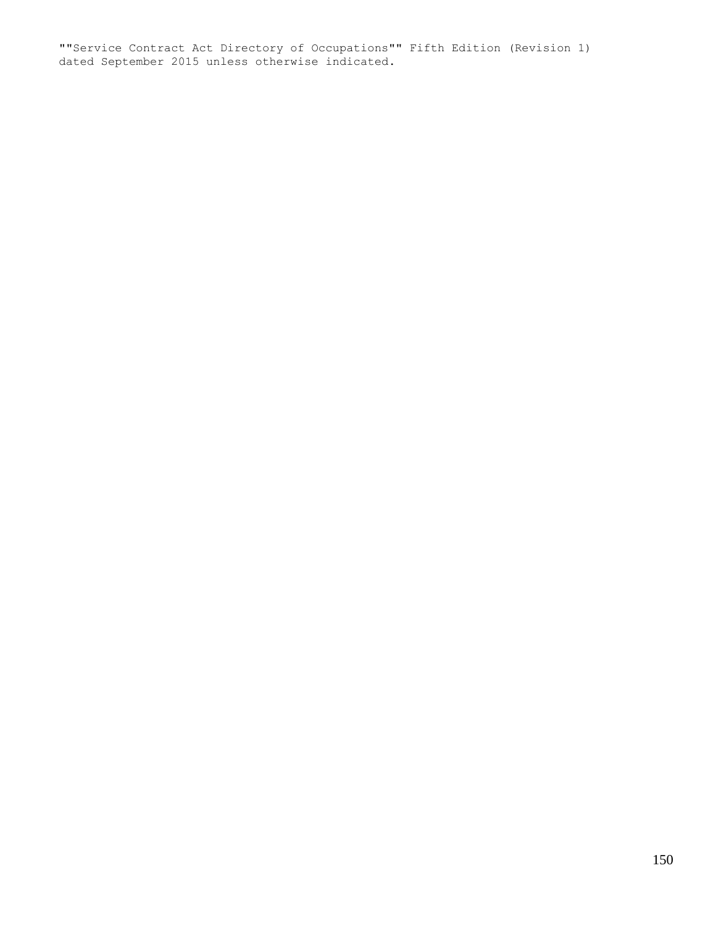""Service Contract Act Directory of Occupations"" Fifth Edition (Revision 1) dated September 2015 unless otherwise indicated.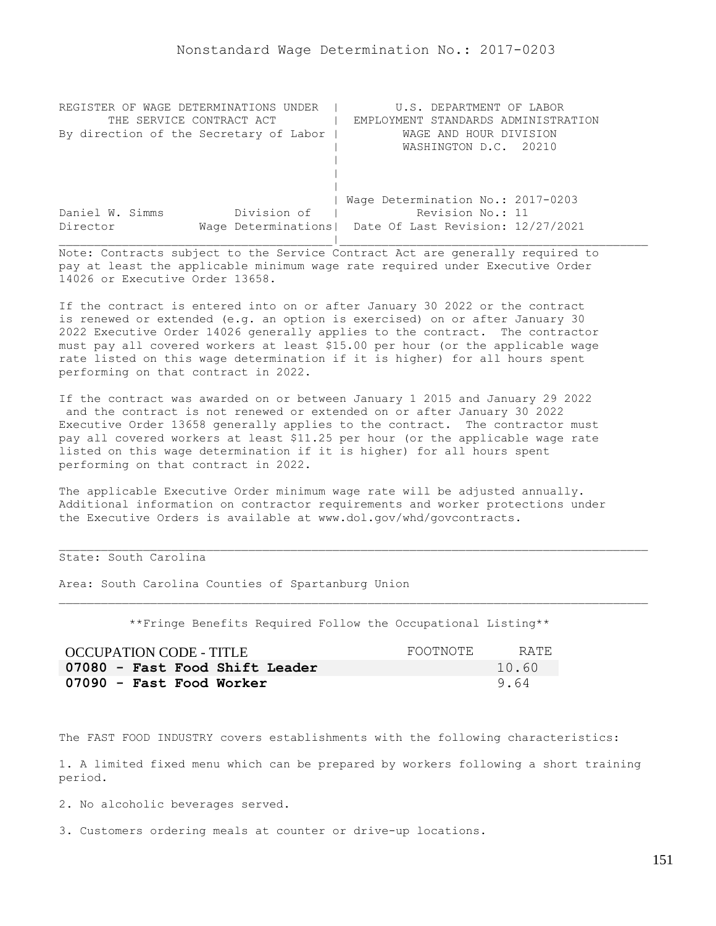| REGISTER OF WAGE DETERMINATIONS UNDER  | U.S. DEPARTMENT OF LABOR                                |
|----------------------------------------|---------------------------------------------------------|
| THE SERVICE CONTRACT ACT               | EMPLOYMENT STANDARDS ADMINISTRATION                     |
| By direction of the Secretary of Labor | WAGE AND HOUR DIVISION                                  |
|                                        | WASHINGTON D.C. 20210                                   |
|                                        |                                                         |
|                                        |                                                         |
|                                        |                                                         |
|                                        | Wage Determination No.: 2017-0203                       |
| Division of<br>Daniel W. Simms         | Revision No.: 11                                        |
| Director                               | Wage Determinations   Date Of Last Revision: 12/27/2021 |
|                                        |                                                         |

If the contract is entered into on or after January 30 2022 or the contract is renewed or extended (e.g. an option is exercised) on or after January 30 2022 Executive Order 14026 generally applies to the contract. The contractor must pay all covered workers at least \$15.00 per hour (or the applicable wage rate listed on this wage determination if it is higher) for all hours spent performing on that contract in 2022.

If the contract was awarded on or between January 1 2015 and January 29 2022 and the contract is not renewed or extended on or after January 30 2022 Executive Order 13658 generally applies to the contract. The contractor must pay all covered workers at least \$11.25 per hour (or the applicable wage rate listed on this wage determination if it is higher) for all hours spent performing on that contract in 2022.

The applicable Executive Order minimum wage rate will be adjusted annually. Additional information on contractor requirements and worker protections under the Executive Orders is available at www.dol.gov/whd/govcontracts.

# State: South Carolina

Area: South Carolina Counties of Spartanburg Union

\*\*Fringe Benefits Required Follow the Occupational Listing\*\*

| OCCUPATION CODE - TITLE        | FOOTNOTE | RATE. |
|--------------------------------|----------|-------|
| 07080 - Fast Food Shift Leader |          | 10.60 |
| 07090 - Fast Food Worker       |          | 9.64  |

The FAST FOOD INDUSTRY covers establishments with the following characteristics:

1. A limited fixed menu which can be prepared by workers following a short training period.

2. No alcoholic beverages served.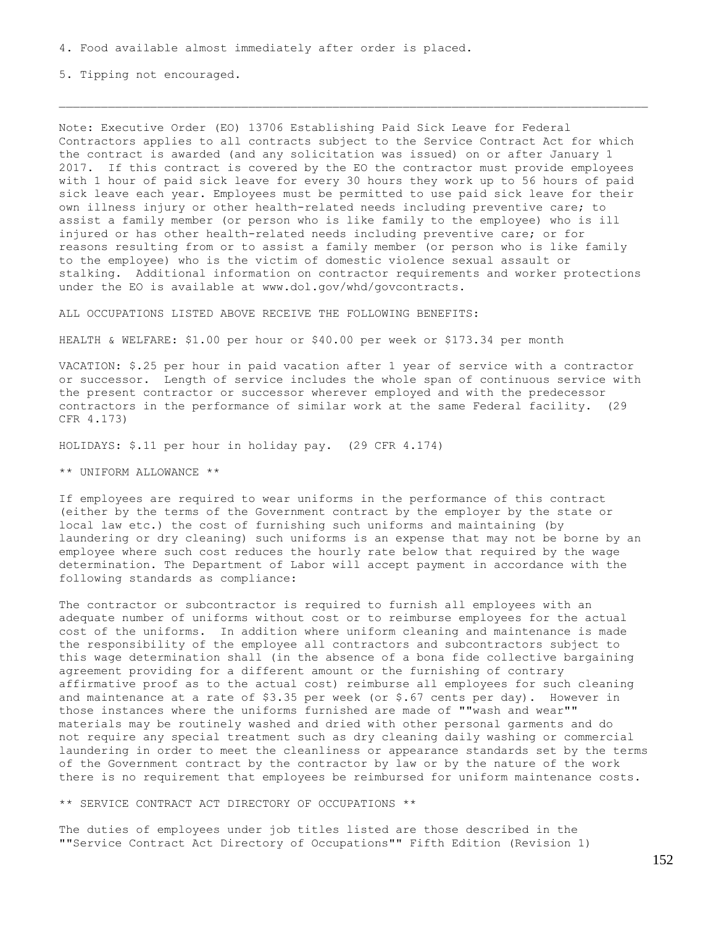5. Tipping not encouraged.

Note: Executive Order (EO) 13706 Establishing Paid Sick Leave for Federal Contractors applies to all contracts subject to the Service Contract Act for which the contract is awarded (and any solicitation was issued) on or after January 1 2017. If this contract is covered by the EO the contractor must provide employees with 1 hour of paid sick leave for every 30 hours they work up to 56 hours of paid sick leave each year. Employees must be permitted to use paid sick leave for their own illness injury or other health-related needs including preventive care; to assist a family member (or person who is like family to the employee) who is ill injured or has other health-related needs including preventive care; or for reasons resulting from or to assist a family member (or person who is like family to the employee) who is the victim of domestic violence sexual assault or stalking. Additional information on contractor requirements and worker protections under the EO is available at www.dol.gov/whd/govcontracts.

ALL OCCUPATIONS LISTED ABOVE RECEIVE THE FOLLOWING BENEFITS:

HEALTH & WELFARE: \$1.00 per hour or \$40.00 per week or \$173.34 per month

VACATION: \$.25 per hour in paid vacation after 1 year of service with a contractor or successor. Length of service includes the whole span of continuous service with the present contractor or successor wherever employed and with the predecessor contractors in the performance of similar work at the same Federal facility. (29 CFR 4.173)

HOLIDAYS: \$.11 per hour in holiday pay. (29 CFR 4.174)

\*\* UNIFORM ALLOWANCE \*\*

If employees are required to wear uniforms in the performance of this contract (either by the terms of the Government contract by the employer by the state or local law etc.) the cost of furnishing such uniforms and maintaining (by laundering or dry cleaning) such uniforms is an expense that may not be borne by an employee where such cost reduces the hourly rate below that required by the wage determination. The Department of Labor will accept payment in accordance with the following standards as compliance:

The contractor or subcontractor is required to furnish all employees with an adequate number of uniforms without cost or to reimburse employees for the actual cost of the uniforms. In addition where uniform cleaning and maintenance is made the responsibility of the employee all contractors and subcontractors subject to this wage determination shall (in the absence of a bona fide collective bargaining agreement providing for a different amount or the furnishing of contrary affirmative proof as to the actual cost) reimburse all employees for such cleaning and maintenance at a rate of \$3.35 per week (or \$.67 cents per day). However in those instances where the uniforms furnished are made of ""wash and wear"" materials may be routinely washed and dried with other personal garments and do not require any special treatment such as dry cleaning daily washing or commercial laundering in order to meet the cleanliness or appearance standards set by the terms of the Government contract by the contractor by law or by the nature of the work there is no requirement that employees be reimbursed for uniform maintenance costs.

\*\* SERVICE CONTRACT ACT DIRECTORY OF OCCUPATIONS \*\*

The duties of employees under job titles listed are those described in the ""Service Contract Act Directory of Occupations"" Fifth Edition (Revision 1)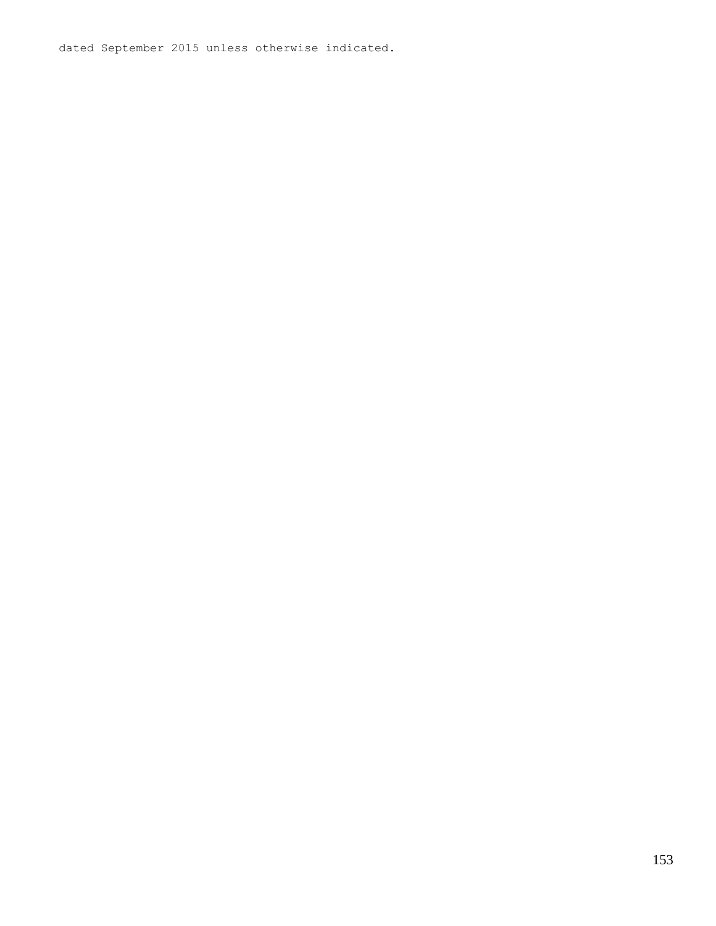dated September 2015 unless otherwise indicated.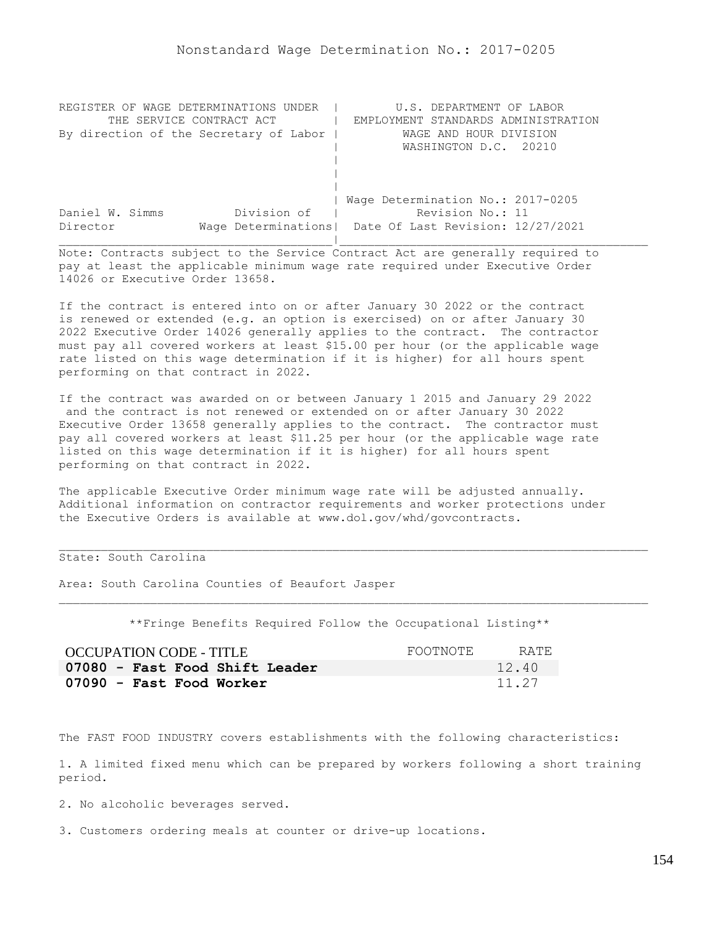| REGISTER OF WAGE DETERMINATIONS UNDER  | U.S. DEPARTMENT OF LABOR                                |
|----------------------------------------|---------------------------------------------------------|
| THE SERVICE CONTRACT ACT               | EMPLOYMENT STANDARDS ADMINISTRATION                     |
| By direction of the Secretary of Labor | WAGE AND HOUR DIVISION                                  |
|                                        | WASHINGTON D.C. 20210                                   |
|                                        |                                                         |
|                                        |                                                         |
|                                        |                                                         |
|                                        | Wage Determination No.: 2017-0205                       |
| Division of<br>Daniel W. Simms         | Revision No.: 11                                        |
| Director                               | Wage Determinations   Date Of Last Revision: 12/27/2021 |
|                                        |                                                         |

If the contract is entered into on or after January 30 2022 or the contract is renewed or extended (e.g. an option is exercised) on or after January 30 2022 Executive Order 14026 generally applies to the contract. The contractor must pay all covered workers at least \$15.00 per hour (or the applicable wage rate listed on this wage determination if it is higher) for all hours spent performing on that contract in 2022.

If the contract was awarded on or between January 1 2015 and January 29 2022 and the contract is not renewed or extended on or after January 30 2022 Executive Order 13658 generally applies to the contract. The contractor must pay all covered workers at least \$11.25 per hour (or the applicable wage rate listed on this wage determination if it is higher) for all hours spent performing on that contract in 2022.

The applicable Executive Order minimum wage rate will be adjusted annually. Additional information on contractor requirements and worker protections under the Executive Orders is available at www.dol.gov/whd/govcontracts.

# State: South Carolina

Area: South Carolina Counties of Beaufort Jasper

\*\*Fringe Benefits Required Follow the Occupational Listing\*\*

| OCCUPATION CODE - TITLE        | FOOTNOTE | RATE. |
|--------------------------------|----------|-------|
| 07080 - Fast Food Shift Leader |          | 12.40 |
| 07090 - Fast Food Worker       |          | 11.27 |

The FAST FOOD INDUSTRY covers establishments with the following characteristics:

1. A limited fixed menu which can be prepared by workers following a short training period.

2. No alcoholic beverages served.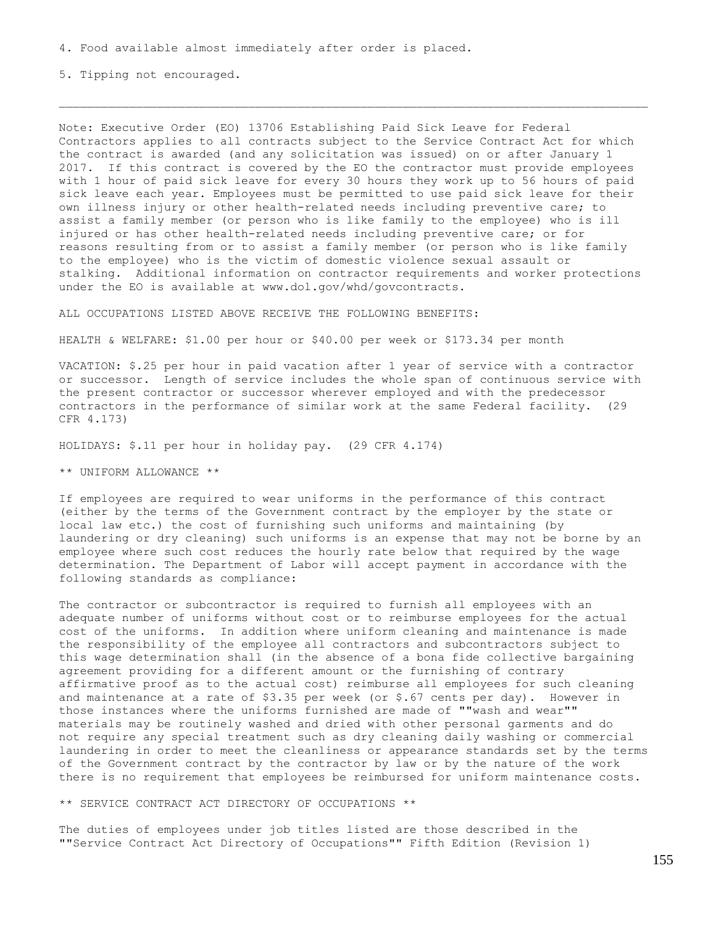5. Tipping not encouraged.

Note: Executive Order (EO) 13706 Establishing Paid Sick Leave for Federal Contractors applies to all contracts subject to the Service Contract Act for which the contract is awarded (and any solicitation was issued) on or after January 1 2017. If this contract is covered by the EO the contractor must provide employees with 1 hour of paid sick leave for every 30 hours they work up to 56 hours of paid sick leave each year. Employees must be permitted to use paid sick leave for their own illness injury or other health-related needs including preventive care; to assist a family member (or person who is like family to the employee) who is ill injured or has other health-related needs including preventive care; or for reasons resulting from or to assist a family member (or person who is like family to the employee) who is the victim of domestic violence sexual assault or stalking. Additional information on contractor requirements and worker protections under the EO is available at www.dol.gov/whd/govcontracts.

ALL OCCUPATIONS LISTED ABOVE RECEIVE THE FOLLOWING BENEFITS:

HEALTH & WELFARE: \$1.00 per hour or \$40.00 per week or \$173.34 per month

VACATION: \$.25 per hour in paid vacation after 1 year of service with a contractor or successor. Length of service includes the whole span of continuous service with the present contractor or successor wherever employed and with the predecessor contractors in the performance of similar work at the same Federal facility. (29 CFR 4.173)

HOLIDAYS: \$.11 per hour in holiday pay. (29 CFR 4.174)

\*\* UNIFORM ALLOWANCE \*\*

If employees are required to wear uniforms in the performance of this contract (either by the terms of the Government contract by the employer by the state or local law etc.) the cost of furnishing such uniforms and maintaining (by laundering or dry cleaning) such uniforms is an expense that may not be borne by an employee where such cost reduces the hourly rate below that required by the wage determination. The Department of Labor will accept payment in accordance with the following standards as compliance:

The contractor or subcontractor is required to furnish all employees with an adequate number of uniforms without cost or to reimburse employees for the actual cost of the uniforms. In addition where uniform cleaning and maintenance is made the responsibility of the employee all contractors and subcontractors subject to this wage determination shall (in the absence of a bona fide collective bargaining agreement providing for a different amount or the furnishing of contrary affirmative proof as to the actual cost) reimburse all employees for such cleaning and maintenance at a rate of \$3.35 per week (or \$.67 cents per day). However in those instances where the uniforms furnished are made of ""wash and wear"" materials may be routinely washed and dried with other personal garments and do not require any special treatment such as dry cleaning daily washing or commercial laundering in order to meet the cleanliness or appearance standards set by the terms of the Government contract by the contractor by law or by the nature of the work there is no requirement that employees be reimbursed for uniform maintenance costs.

\*\* SERVICE CONTRACT ACT DIRECTORY OF OCCUPATIONS \*\*

The duties of employees under job titles listed are those described in the ""Service Contract Act Directory of Occupations"" Fifth Edition (Revision 1)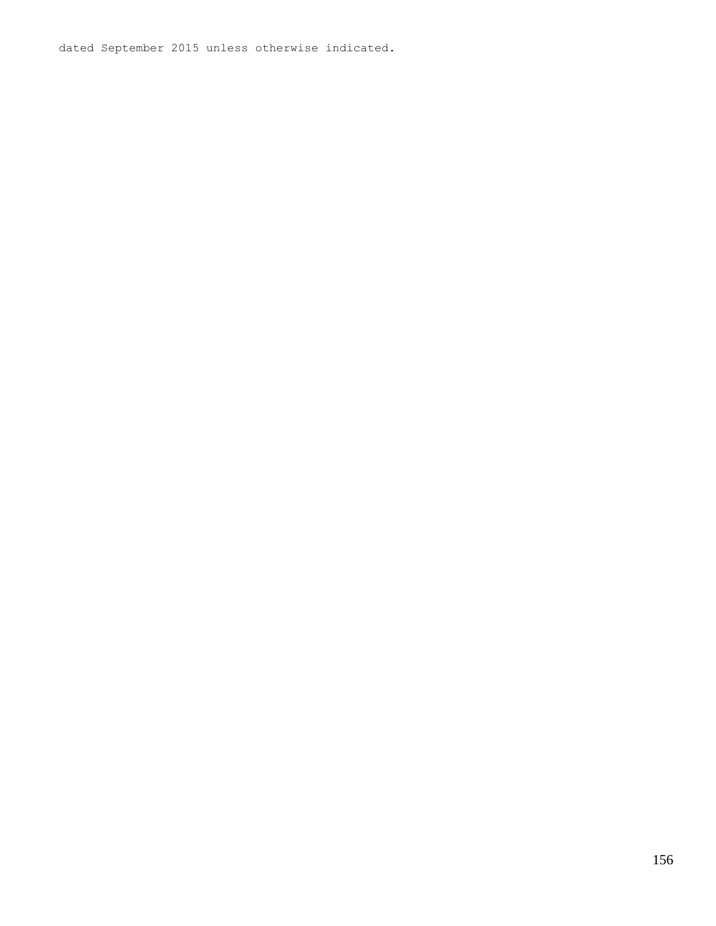dated September 2015 unless otherwise indicated.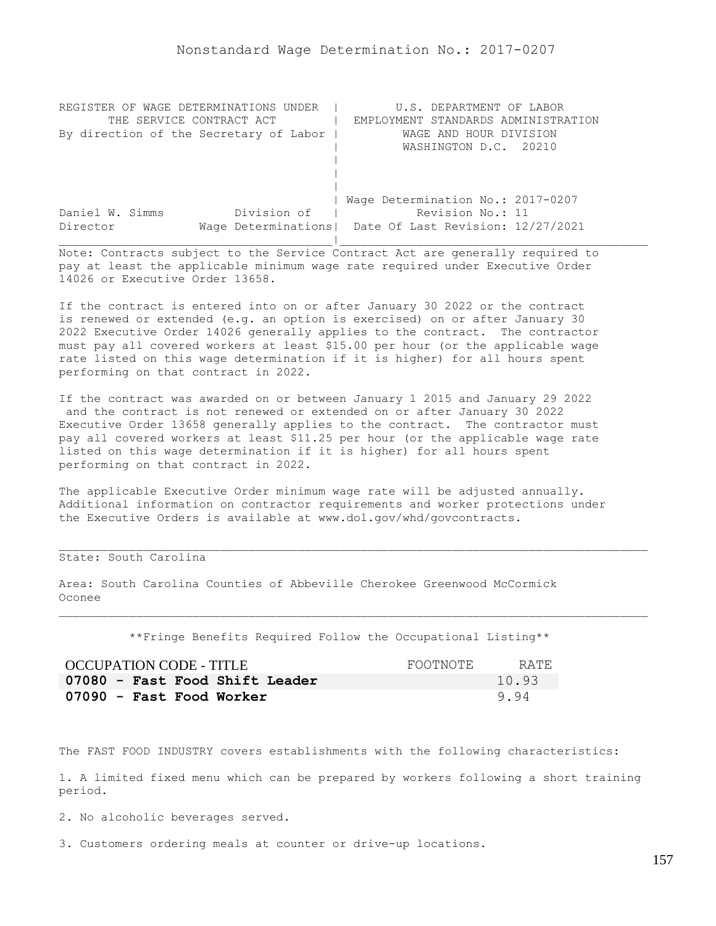| REGISTER OF WAGE DETERMINATIONS UNDER  | U.S. DEPARTMENT OF LABOR                                |
|----------------------------------------|---------------------------------------------------------|
| THE SERVICE CONTRACT ACT               | EMPLOYMENT STANDARDS ADMINISTRATION                     |
| By direction of the Secretary of Labor | WAGE AND HOUR DIVISION                                  |
|                                        | WASHINGTON D.C. 20210                                   |
|                                        |                                                         |
|                                        |                                                         |
|                                        |                                                         |
|                                        | Wage Determination No.: 2017-0207                       |
| Division of<br>Daniel W. Simms         | Revision No.: 11                                        |
| Director                               | Wage Determinations   Date Of Last Revision: 12/27/2021 |
|                                        |                                                         |

If the contract is entered into on or after January 30 2022 or the contract is renewed or extended (e.g. an option is exercised) on or after January 30 2022 Executive Order 14026 generally applies to the contract. The contractor must pay all covered workers at least \$15.00 per hour (or the applicable wage rate listed on this wage determination if it is higher) for all hours spent performing on that contract in 2022.

If the contract was awarded on or between January 1 2015 and January 29 2022 and the contract is not renewed or extended on or after January 30 2022 Executive Order 13658 generally applies to the contract. The contractor must pay all covered workers at least \$11.25 per hour (or the applicable wage rate listed on this wage determination if it is higher) for all hours spent performing on that contract in 2022.

The applicable Executive Order minimum wage rate will be adjusted annually. Additional information on contractor requirements and worker protections under the Executive Orders is available at www.dol.gov/whd/govcontracts.

# State: South Carolina

Area: South Carolina Counties of Abbeville Cherokee Greenwood McCormick Oconee

\*\*Fringe Benefits Required Follow the Occupational Listing\*\*

| OCCUPATION CODE - TITLE        | FOOTNOTE | RATE. |
|--------------------------------|----------|-------|
| 07080 - Fast Food Shift Leader |          | 10.93 |
| 07090 - Fast Food Worker       |          | 9.94  |

The FAST FOOD INDUSTRY covers establishments with the following characteristics:

1. A limited fixed menu which can be prepared by workers following a short training period.

2. No alcoholic beverages served.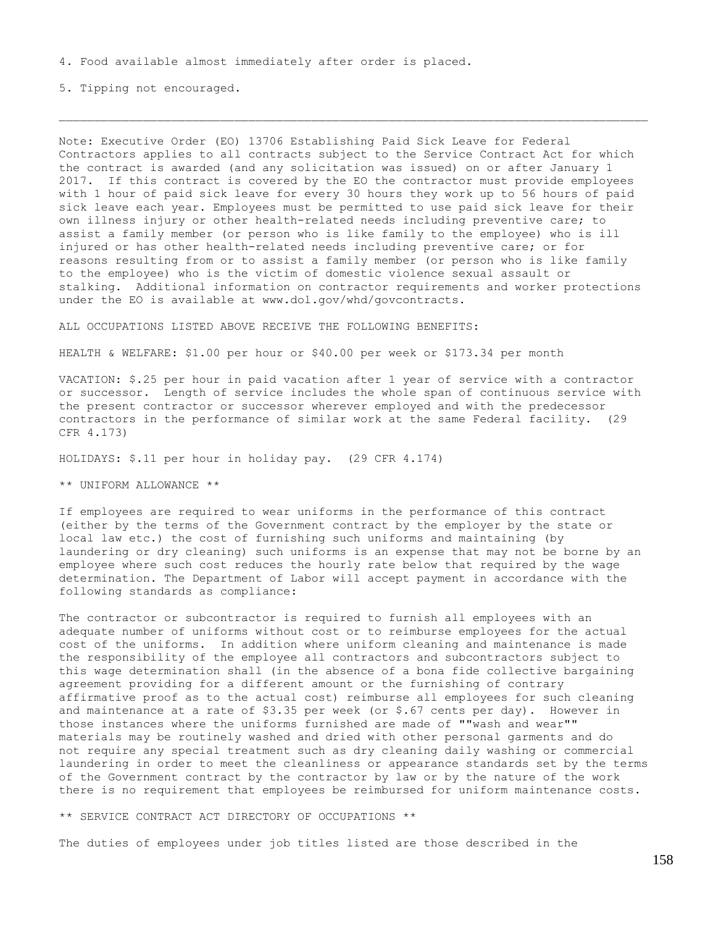5. Tipping not encouraged.

Note: Executive Order (EO) 13706 Establishing Paid Sick Leave for Federal Contractors applies to all contracts subject to the Service Contract Act for which the contract is awarded (and any solicitation was issued) on or after January 1 2017. If this contract is covered by the EO the contractor must provide employees with 1 hour of paid sick leave for every 30 hours they work up to 56 hours of paid sick leave each year. Employees must be permitted to use paid sick leave for their own illness injury or other health-related needs including preventive care; to assist a family member (or person who is like family to the employee) who is ill injured or has other health-related needs including preventive care; or for reasons resulting from or to assist a family member (or person who is like family to the employee) who is the victim of domestic violence sexual assault or stalking. Additional information on contractor requirements and worker protections under the EO is available at www.dol.gov/whd/govcontracts.

ALL OCCUPATIONS LISTED ABOVE RECEIVE THE FOLLOWING BENEFITS:

HEALTH & WELFARE: \$1.00 per hour or \$40.00 per week or \$173.34 per month

VACATION: \$.25 per hour in paid vacation after 1 year of service with a contractor or successor. Length of service includes the whole span of continuous service with the present contractor or successor wherever employed and with the predecessor contractors in the performance of similar work at the same Federal facility. (29 CFR 4.173)

HOLIDAYS: \$.11 per hour in holiday pay. (29 CFR 4.174)

\*\* UNIFORM ALLOWANCE \*\*

If employees are required to wear uniforms in the performance of this contract (either by the terms of the Government contract by the employer by the state or local law etc.) the cost of furnishing such uniforms and maintaining (by laundering or dry cleaning) such uniforms is an expense that may not be borne by an employee where such cost reduces the hourly rate below that required by the wage determination. The Department of Labor will accept payment in accordance with the following standards as compliance:

The contractor or subcontractor is required to furnish all employees with an adequate number of uniforms without cost or to reimburse employees for the actual cost of the uniforms. In addition where uniform cleaning and maintenance is made the responsibility of the employee all contractors and subcontractors subject to this wage determination shall (in the absence of a bona fide collective bargaining agreement providing for a different amount or the furnishing of contrary affirmative proof as to the actual cost) reimburse all employees for such cleaning and maintenance at a rate of  $$3.35$  per week (or  $$.67$  cents per day). However in those instances where the uniforms furnished are made of ""wash and wear"" materials may be routinely washed and dried with other personal garments and do not require any special treatment such as dry cleaning daily washing or commercial laundering in order to meet the cleanliness or appearance standards set by the terms of the Government contract by the contractor by law or by the nature of the work there is no requirement that employees be reimbursed for uniform maintenance costs.

\*\* SERVICE CONTRACT ACT DIRECTORY OF OCCUPATIONS \*\*

The duties of employees under job titles listed are those described in the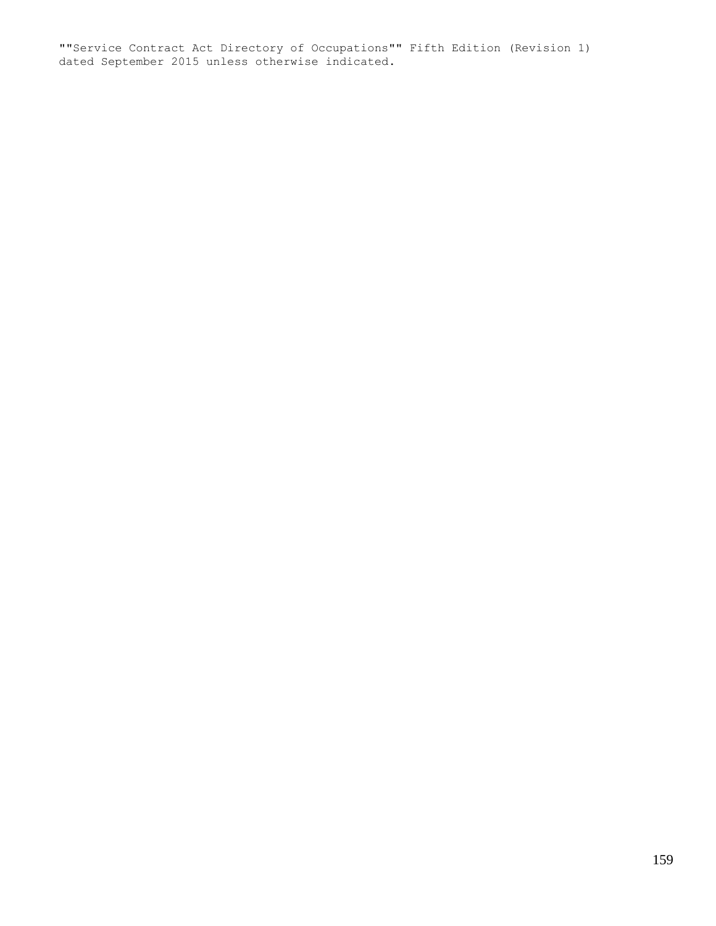""Service Contract Act Directory of Occupations"" Fifth Edition (Revision 1) dated September 2015 unless otherwise indicated.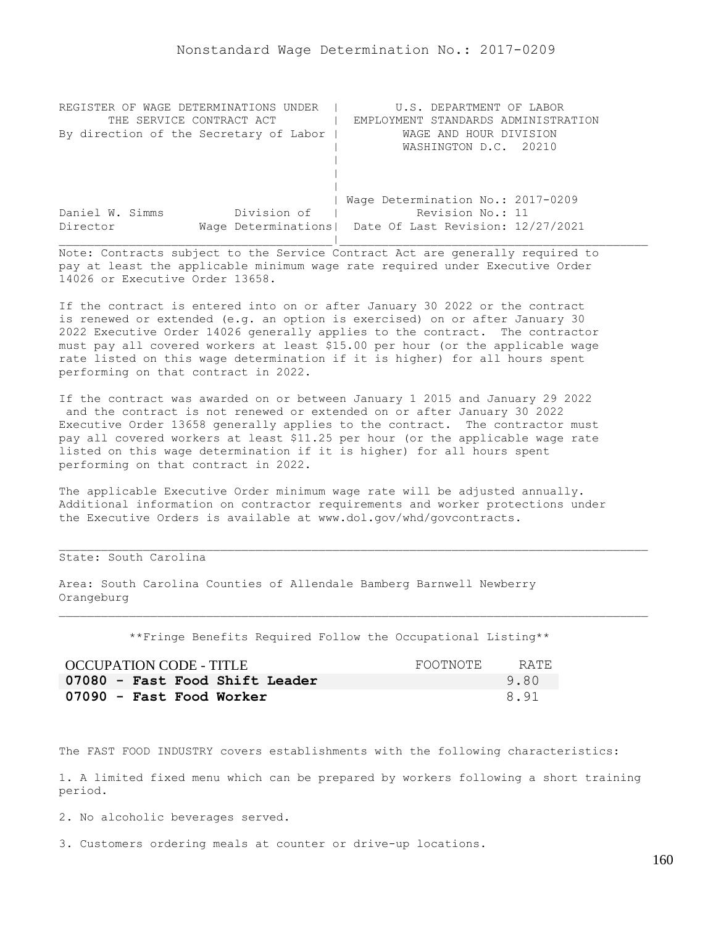| REGISTER OF WAGE DETERMINATIONS UNDER  | U.S. DEPARTMENT OF LABOR                                |
|----------------------------------------|---------------------------------------------------------|
| THE SERVICE CONTRACT ACT               | EMPLOYMENT STANDARDS ADMINISTRATION                     |
| By direction of the Secretary of Labor | WAGE AND HOUR DIVISION                                  |
|                                        | WASHINGTON D.C. 20210                                   |
|                                        |                                                         |
|                                        |                                                         |
|                                        |                                                         |
|                                        | Wage Determination No.: 2017-0209                       |
| Division of<br>Daniel W. Simms         | Revision No.: 11                                        |
| Director                               | Wage Determinations   Date Of Last Revision: 12/27/2021 |
|                                        |                                                         |

If the contract is entered into on or after January 30 2022 or the contract is renewed or extended (e.g. an option is exercised) on or after January 30 2022 Executive Order 14026 generally applies to the contract. The contractor must pay all covered workers at least \$15.00 per hour (or the applicable wage rate listed on this wage determination if it is higher) for all hours spent performing on that contract in 2022.

If the contract was awarded on or between January 1 2015 and January 29 2022 and the contract is not renewed or extended on or after January 30 2022 Executive Order 13658 generally applies to the contract. The contractor must pay all covered workers at least \$11.25 per hour (or the applicable wage rate listed on this wage determination if it is higher) for all hours spent performing on that contract in 2022.

The applicable Executive Order minimum wage rate will be adjusted annually. Additional information on contractor requirements and worker protections under the Executive Orders is available at www.dol.gov/whd/govcontracts.

# State: South Carolina

Area: South Carolina Counties of Allendale Bamberg Barnwell Newberry Orangeburg

\*\*Fringe Benefits Required Follow the Occupational Listing\*\*

| OCCUPATION CODE - TITLE        | FOOTNOTE | RATE. |
|--------------------------------|----------|-------|
| 07080 - Fast Food Shift Leader |          | 9.80  |
| 07090 - Fast Food Worker       |          | 8.91  |

The FAST FOOD INDUSTRY covers establishments with the following characteristics:

1. A limited fixed menu which can be prepared by workers following a short training period.

2. No alcoholic beverages served.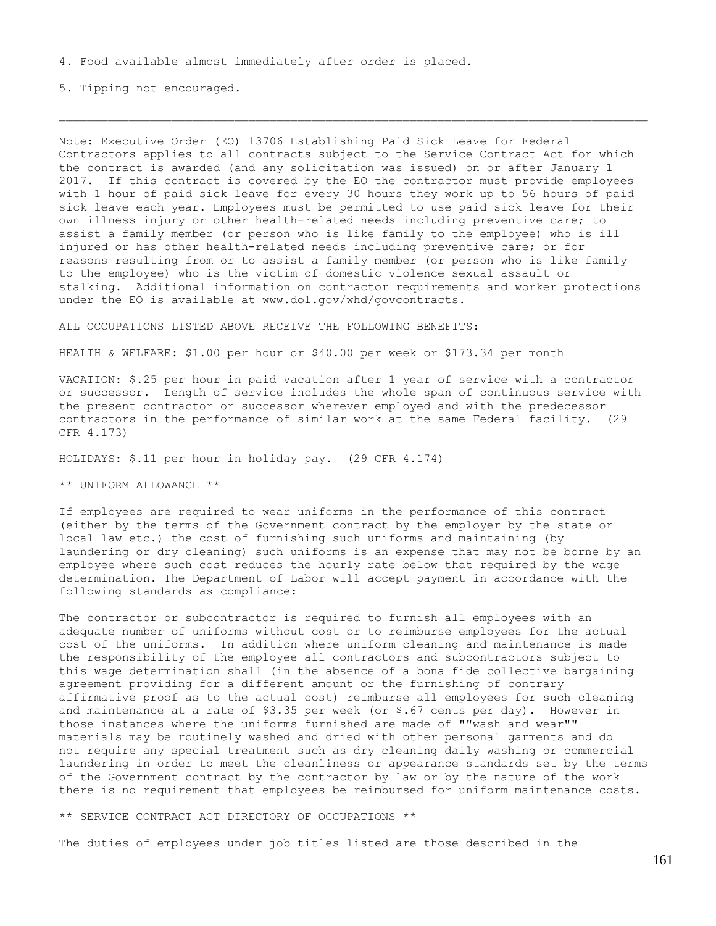5. Tipping not encouraged.

Note: Executive Order (EO) 13706 Establishing Paid Sick Leave for Federal Contractors applies to all contracts subject to the Service Contract Act for which the contract is awarded (and any solicitation was issued) on or after January 1 2017. If this contract is covered by the EO the contractor must provide employees with 1 hour of paid sick leave for every 30 hours they work up to 56 hours of paid sick leave each year. Employees must be permitted to use paid sick leave for their own illness injury or other health-related needs including preventive care; to assist a family member (or person who is like family to the employee) who is ill injured or has other health-related needs including preventive care; or for reasons resulting from or to assist a family member (or person who is like family to the employee) who is the victim of domestic violence sexual assault or stalking. Additional information on contractor requirements and worker protections under the EO is available at www.dol.gov/whd/govcontracts.

ALL OCCUPATIONS LISTED ABOVE RECEIVE THE FOLLOWING BENEFITS:

HEALTH & WELFARE: \$1.00 per hour or \$40.00 per week or \$173.34 per month

VACATION: \$.25 per hour in paid vacation after 1 year of service with a contractor or successor. Length of service includes the whole span of continuous service with the present contractor or successor wherever employed and with the predecessor contractors in the performance of similar work at the same Federal facility. (29 CFR 4.173)

HOLIDAYS: \$.11 per hour in holiday pay. (29 CFR 4.174)

\*\* UNIFORM ALLOWANCE \*\*

If employees are required to wear uniforms in the performance of this contract (either by the terms of the Government contract by the employer by the state or local law etc.) the cost of furnishing such uniforms and maintaining (by laundering or dry cleaning) such uniforms is an expense that may not be borne by an employee where such cost reduces the hourly rate below that required by the wage determination. The Department of Labor will accept payment in accordance with the following standards as compliance:

The contractor or subcontractor is required to furnish all employees with an adequate number of uniforms without cost or to reimburse employees for the actual cost of the uniforms. In addition where uniform cleaning and maintenance is made the responsibility of the employee all contractors and subcontractors subject to this wage determination shall (in the absence of a bona fide collective bargaining agreement providing for a different amount or the furnishing of contrary affirmative proof as to the actual cost) reimburse all employees for such cleaning and maintenance at a rate of  $$3.35$  per week (or  $$.67$  cents per day). However in those instances where the uniforms furnished are made of ""wash and wear"" materials may be routinely washed and dried with other personal garments and do not require any special treatment such as dry cleaning daily washing or commercial laundering in order to meet the cleanliness or appearance standards set by the terms of the Government contract by the contractor by law or by the nature of the work there is no requirement that employees be reimbursed for uniform maintenance costs.

\*\* SERVICE CONTRACT ACT DIRECTORY OF OCCUPATIONS \*\*

The duties of employees under job titles listed are those described in the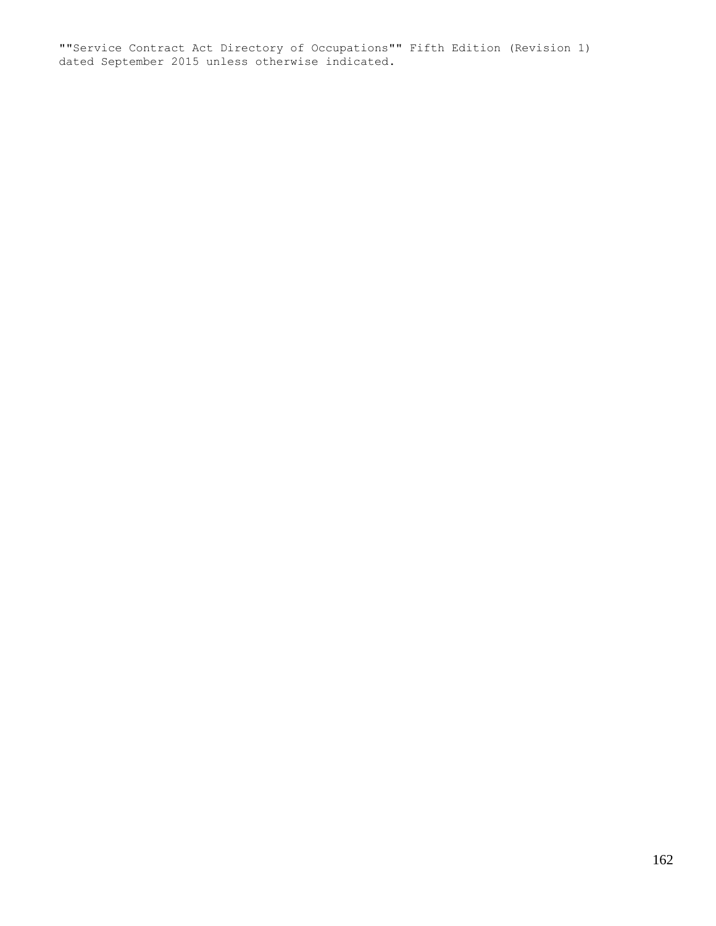""Service Contract Act Directory of Occupations"" Fifth Edition (Revision 1) dated September 2015 unless otherwise indicated.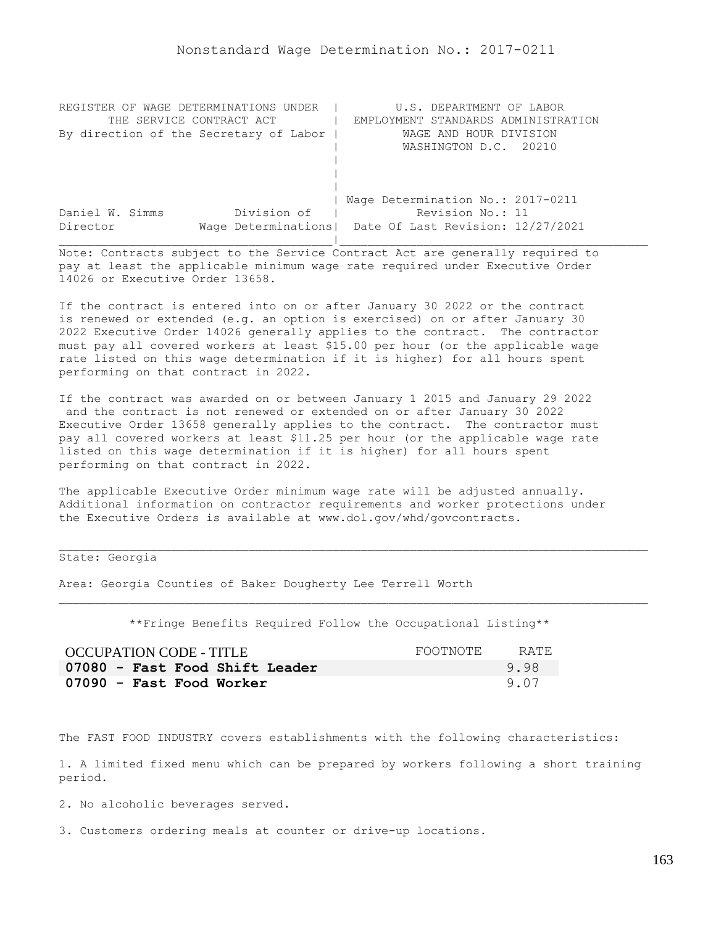| REGISTER OF WAGE DETERMINATIONS UNDER  | U.S. DEPARTMENT OF LABOR                                |
|----------------------------------------|---------------------------------------------------------|
| THE SERVICE CONTRACT ACT               | EMPLOYMENT STANDARDS ADMINISTRATION                     |
| By direction of the Secretary of Labor | WAGE AND HOUR DIVISION                                  |
|                                        | WASHINGTON D.C. 20210                                   |
|                                        |                                                         |
|                                        |                                                         |
|                                        |                                                         |
|                                        | Wage Determination No.: 2017-0211                       |
| Division of<br>Daniel W. Simms         | Revision No.: 11                                        |
| Director                               | Wage Determinations   Date Of Last Revision: 12/27/2021 |
|                                        |                                                         |

If the contract is entered into on or after January 30 2022 or the contract is renewed or extended (e.g. an option is exercised) on or after January 30 2022 Executive Order 14026 generally applies to the contract. The contractor must pay all covered workers at least \$15.00 per hour (or the applicable wage rate listed on this wage determination if it is higher) for all hours spent performing on that contract in 2022.

If the contract was awarded on or between January 1 2015 and January 29 2022 and the contract is not renewed or extended on or after January 30 2022 Executive Order 13658 generally applies to the contract. The contractor must pay all covered workers at least \$11.25 per hour (or the applicable wage rate listed on this wage determination if it is higher) for all hours spent performing on that contract in 2022.

The applicable Executive Order minimum wage rate will be adjusted annually. Additional information on contractor requirements and worker protections under the Executive Orders is available at www.dol.gov/whd/govcontracts.

State: Georgia

Area: Georgia Counties of Baker Dougherty Lee Terrell Worth

\*\*Fringe Benefits Required Follow the Occupational Listing\*\*

| <b>OCCUPATION CODE - TITLE</b> | FOOTNOTE | RATE |
|--------------------------------|----------|------|
| 07080 - Fast Food Shift Leader |          | 9.98 |
| 07090 - Fast Food Worker       |          | 9.07 |

The FAST FOOD INDUSTRY covers establishments with the following characteristics:

1. A limited fixed menu which can be prepared by workers following a short training period.

2. No alcoholic beverages served.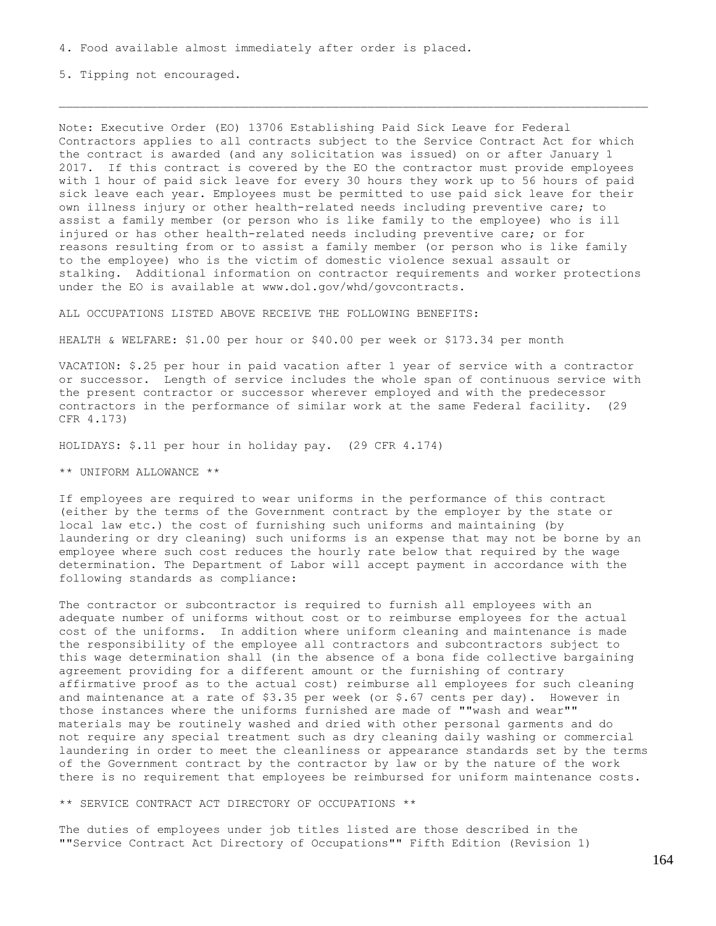5. Tipping not encouraged.

Note: Executive Order (EO) 13706 Establishing Paid Sick Leave for Federal Contractors applies to all contracts subject to the Service Contract Act for which the contract is awarded (and any solicitation was issued) on or after January 1 2017. If this contract is covered by the EO the contractor must provide employees with 1 hour of paid sick leave for every 30 hours they work up to 56 hours of paid sick leave each year. Employees must be permitted to use paid sick leave for their own illness injury or other health-related needs including preventive care; to assist a family member (or person who is like family to the employee) who is ill injured or has other health-related needs including preventive care; or for reasons resulting from or to assist a family member (or person who is like family to the employee) who is the victim of domestic violence sexual assault or stalking. Additional information on contractor requirements and worker protections under the EO is available at www.dol.gov/whd/govcontracts.

ALL OCCUPATIONS LISTED ABOVE RECEIVE THE FOLLOWING BENEFITS:

HEALTH & WELFARE: \$1.00 per hour or \$40.00 per week or \$173.34 per month

VACATION: \$.25 per hour in paid vacation after 1 year of service with a contractor or successor. Length of service includes the whole span of continuous service with the present contractor or successor wherever employed and with the predecessor contractors in the performance of similar work at the same Federal facility. (29 CFR 4.173)

HOLIDAYS: \$.11 per hour in holiday pay. (29 CFR 4.174)

\*\* UNIFORM ALLOWANCE \*\*

If employees are required to wear uniforms in the performance of this contract (either by the terms of the Government contract by the employer by the state or local law etc.) the cost of furnishing such uniforms and maintaining (by laundering or dry cleaning) such uniforms is an expense that may not be borne by an employee where such cost reduces the hourly rate below that required by the wage determination. The Department of Labor will accept payment in accordance with the following standards as compliance:

The contractor or subcontractor is required to furnish all employees with an adequate number of uniforms without cost or to reimburse employees for the actual cost of the uniforms. In addition where uniform cleaning and maintenance is made the responsibility of the employee all contractors and subcontractors subject to this wage determination shall (in the absence of a bona fide collective bargaining agreement providing for a different amount or the furnishing of contrary affirmative proof as to the actual cost) reimburse all employees for such cleaning and maintenance at a rate of \$3.35 per week (or \$.67 cents per day). However in those instances where the uniforms furnished are made of ""wash and wear"" materials may be routinely washed and dried with other personal garments and do not require any special treatment such as dry cleaning daily washing or commercial laundering in order to meet the cleanliness or appearance standards set by the terms of the Government contract by the contractor by law or by the nature of the work there is no requirement that employees be reimbursed for uniform maintenance costs.

\*\* SERVICE CONTRACT ACT DIRECTORY OF OCCUPATIONS \*\*

The duties of employees under job titles listed are those described in the ""Service Contract Act Directory of Occupations"" Fifth Edition (Revision 1)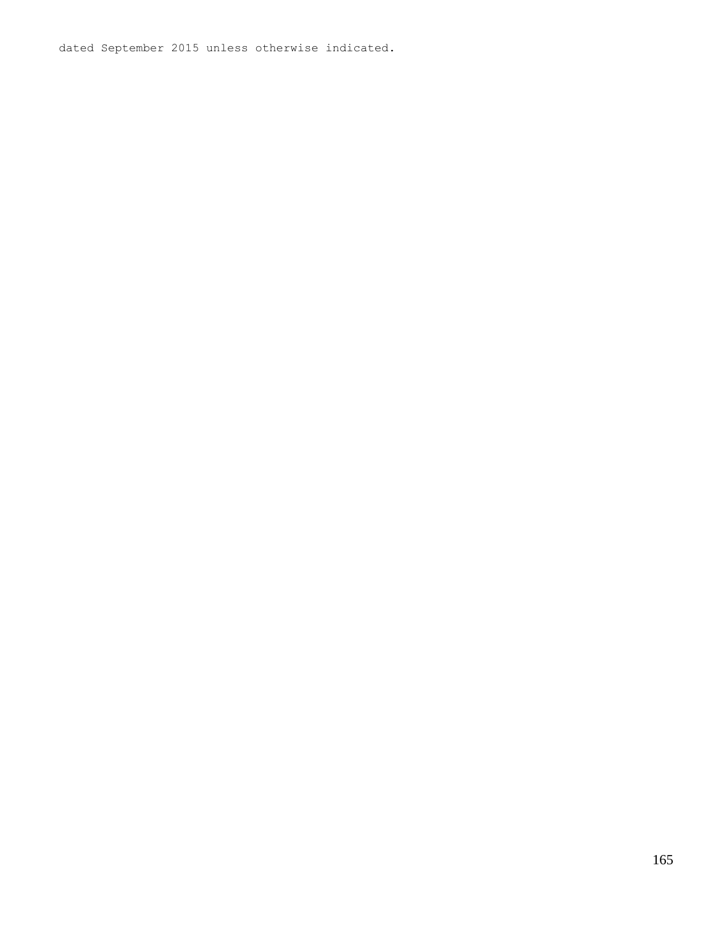dated September 2015 unless otherwise indicated.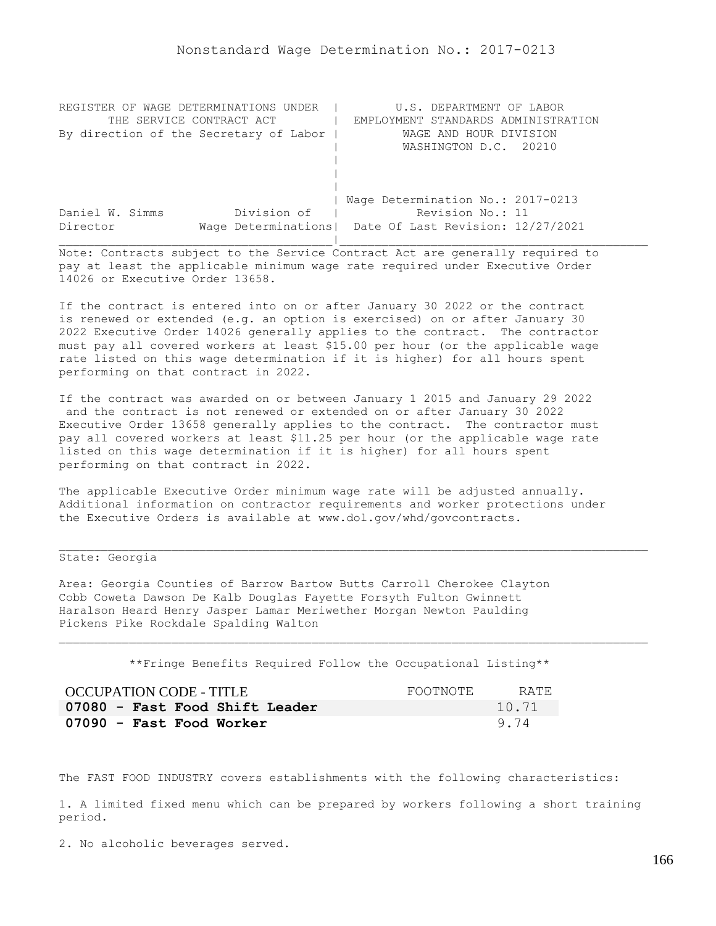| REGISTER OF WAGE DETERMINATIONS UNDER  | U.S. DEPARTMENT OF LABOR                                |
|----------------------------------------|---------------------------------------------------------|
| THE SERVICE CONTRACT ACT               | EMPLOYMENT STANDARDS ADMINISTRATION                     |
| By direction of the Secretary of Labor | WAGE AND HOUR DIVISION                                  |
|                                        | WASHINGTON D.C. 20210                                   |
|                                        |                                                         |
|                                        |                                                         |
|                                        |                                                         |
|                                        | Wage Determination No.: 2017-0213                       |
| Division of<br>Daniel W. Simms         | Revision No.: 11                                        |
| Director                               | Wage Determinations   Date Of Last Revision: 12/27/2021 |
|                                        |                                                         |

If the contract is entered into on or after January 30 2022 or the contract is renewed or extended (e.g. an option is exercised) on or after January 30 2022 Executive Order 14026 generally applies to the contract. The contractor must pay all covered workers at least \$15.00 per hour (or the applicable wage rate listed on this wage determination if it is higher) for all hours spent performing on that contract in 2022.

If the contract was awarded on or between January 1 2015 and January 29 2022 and the contract is not renewed or extended on or after January 30 2022 Executive Order 13658 generally applies to the contract. The contractor must pay all covered workers at least \$11.25 per hour (or the applicable wage rate listed on this wage determination if it is higher) for all hours spent performing on that contract in 2022.

The applicable Executive Order minimum wage rate will be adjusted annually. Additional information on contractor requirements and worker protections under the Executive Orders is available at www.dol.gov/whd/govcontracts.

# State: Georgia

Area: Georgia Counties of Barrow Bartow Butts Carroll Cherokee Clayton Cobb Coweta Dawson De Kalb Douglas Fayette Forsyth Fulton Gwinnett Haralson Heard Henry Jasper Lamar Meriwether Morgan Newton Paulding Pickens Pike Rockdale Spalding Walton

\*\*Fringe Benefits Required Follow the Occupational Listing\*\*

| OCCUPATION CODE - TITLE        | FOOTNOTE | RATE. |
|--------------------------------|----------|-------|
| 07080 - Fast Food Shift Leader |          | 10.71 |
| 07090 - Fast Food Worker       |          | 9.74  |

The FAST FOOD INDUSTRY covers establishments with the following characteristics:

1. A limited fixed menu which can be prepared by workers following a short training period.

2. No alcoholic beverages served.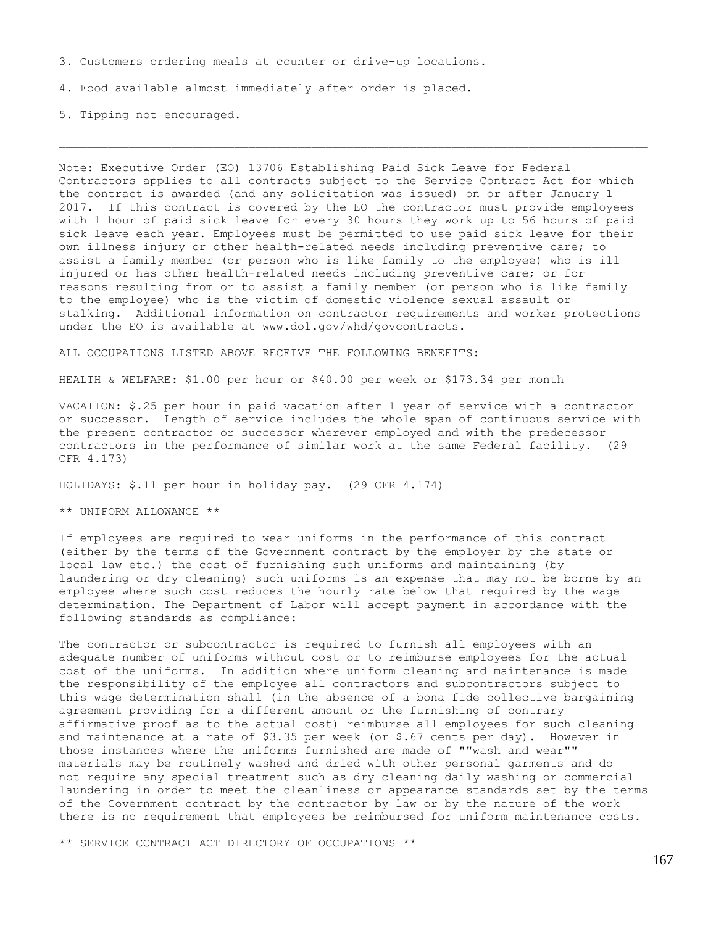3. Customers ordering meals at counter or drive-up locations.

4. Food available almost immediately after order is placed.

5. Tipping not encouraged.

Note: Executive Order (EO) 13706 Establishing Paid Sick Leave for Federal Contractors applies to all contracts subject to the Service Contract Act for which the contract is awarded (and any solicitation was issued) on or after January 1 2017. If this contract is covered by the EO the contractor must provide employees with 1 hour of paid sick leave for every 30 hours they work up to 56 hours of paid sick leave each year. Employees must be permitted to use paid sick leave for their own illness injury or other health-related needs including preventive care; to assist a family member (or person who is like family to the employee) who is ill injured or has other health-related needs including preventive care; or for reasons resulting from or to assist a family member (or person who is like family to the employee) who is the victim of domestic violence sexual assault or stalking. Additional information on contractor requirements and worker protections under the EO is available at www.dol.gov/whd/govcontracts.

ALL OCCUPATIONS LISTED ABOVE RECEIVE THE FOLLOWING BENEFITS:

HEALTH & WELFARE: \$1.00 per hour or \$40.00 per week or \$173.34 per month

VACATION: \$.25 per hour in paid vacation after 1 year of service with a contractor or successor. Length of service includes the whole span of continuous service with the present contractor or successor wherever employed and with the predecessor contractors in the performance of similar work at the same Federal facility. (29 CFR 4.173)

HOLIDAYS: \$.11 per hour in holiday pay. (29 CFR 4.174)

\*\* UNIFORM ALLOWANCE \*\*

If employees are required to wear uniforms in the performance of this contract (either by the terms of the Government contract by the employer by the state or local law etc.) the cost of furnishing such uniforms and maintaining (by laundering or dry cleaning) such uniforms is an expense that may not be borne by an employee where such cost reduces the hourly rate below that required by the wage determination. The Department of Labor will accept payment in accordance with the following standards as compliance:

The contractor or subcontractor is required to furnish all employees with an adequate number of uniforms without cost or to reimburse employees for the actual cost of the uniforms. In addition where uniform cleaning and maintenance is made the responsibility of the employee all contractors and subcontractors subject to this wage determination shall (in the absence of a bona fide collective bargaining agreement providing for a different amount or the furnishing of contrary affirmative proof as to the actual cost) reimburse all employees for such cleaning and maintenance at a rate of \$3.35 per week (or \$.67 cents per day). However in those instances where the uniforms furnished are made of ""wash and wear"" materials may be routinely washed and dried with other personal garments and do not require any special treatment such as dry cleaning daily washing or commercial laundering in order to meet the cleanliness or appearance standards set by the terms of the Government contract by the contractor by law or by the nature of the work there is no requirement that employees be reimbursed for uniform maintenance costs.

\*\* SERVICE CONTRACT ACT DIRECTORY OF OCCUPATIONS \*\*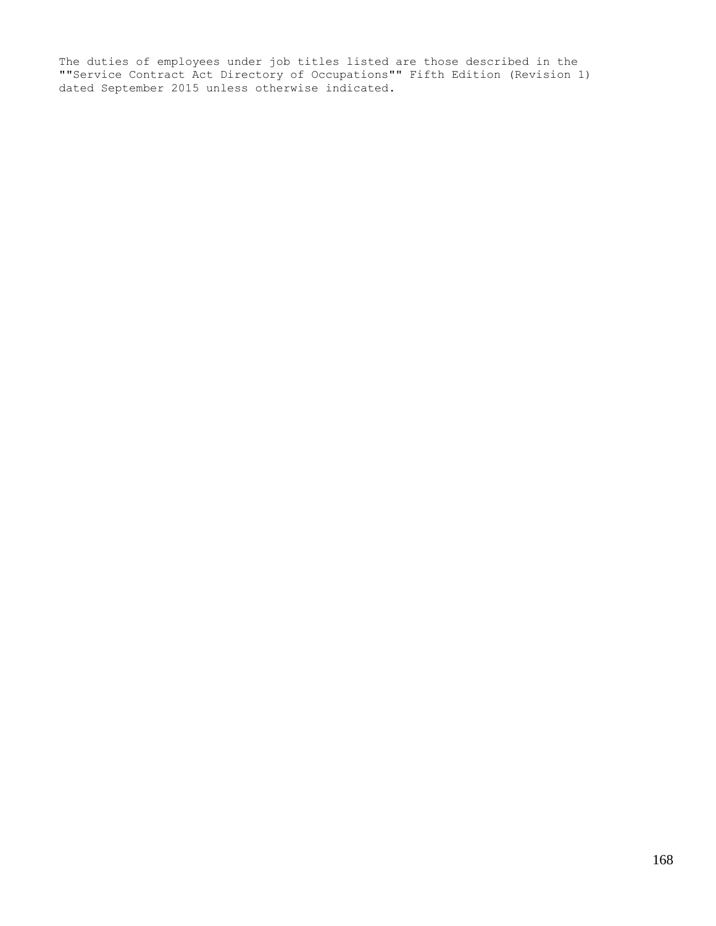The duties of employees under job titles listed are those described in the ""Service Contract Act Directory of Occupations"" Fifth Edition (Revision 1) dated September 2015 unless otherwise indicated.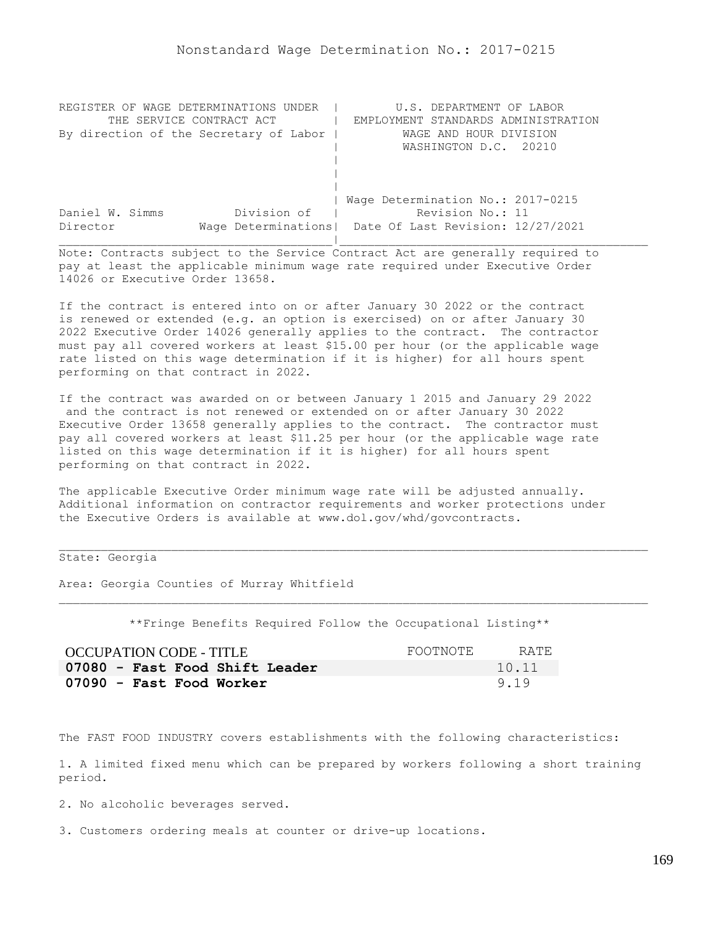| REGISTER OF WAGE DETERMINATIONS UNDER  | U.S. DEPARTMENT OF LABOR                                |
|----------------------------------------|---------------------------------------------------------|
| THE SERVICE CONTRACT ACT               | EMPLOYMENT STANDARDS ADMINISTRATION                     |
| By direction of the Secretary of Labor | WAGE AND HOUR DIVISION                                  |
|                                        | WASHINGTON D.C. 20210                                   |
|                                        |                                                         |
|                                        |                                                         |
|                                        |                                                         |
|                                        | Wage Determination No.: 2017-0215                       |
| Division of<br>Daniel W. Simms         | Revision No.: 11                                        |
| Director                               | Wage Determinations   Date Of Last Revision: 12/27/2021 |
|                                        |                                                         |

If the contract is entered into on or after January 30 2022 or the contract is renewed or extended (e.g. an option is exercised) on or after January 30 2022 Executive Order 14026 generally applies to the contract. The contractor must pay all covered workers at least \$15.00 per hour (or the applicable wage rate listed on this wage determination if it is higher) for all hours spent performing on that contract in 2022.

If the contract was awarded on or between January 1 2015 and January 29 2022 and the contract is not renewed or extended on or after January 30 2022 Executive Order 13658 generally applies to the contract. The contractor must pay all covered workers at least \$11.25 per hour (or the applicable wage rate listed on this wage determination if it is higher) for all hours spent performing on that contract in 2022.

The applicable Executive Order minimum wage rate will be adjusted annually. Additional information on contractor requirements and worker protections under the Executive Orders is available at www.dol.gov/whd/govcontracts.

State: Georgia

Area: Georgia Counties of Murray Whitfield

\*\*Fringe Benefits Required Follow the Occupational Listing\*\*

| OCCUPATION CODE - TITLE        | FOOTNOTE | RATE. |
|--------------------------------|----------|-------|
| 07080 - Fast Food Shift Leader |          | 10.11 |
| 07090 - Fast Food Worker       |          | 9.19  |

The FAST FOOD INDUSTRY covers establishments with the following characteristics:

1. A limited fixed menu which can be prepared by workers following a short training period.

2. No alcoholic beverages served.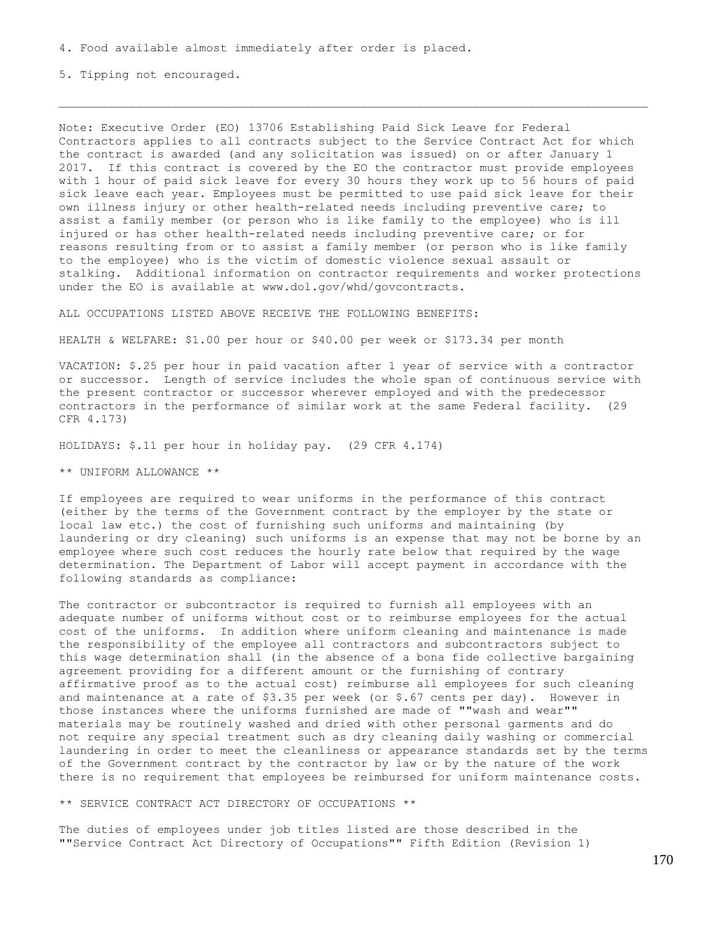5. Tipping not encouraged.

Note: Executive Order (EO) 13706 Establishing Paid Sick Leave for Federal Contractors applies to all contracts subject to the Service Contract Act for which the contract is awarded (and any solicitation was issued) on or after January 1 2017. If this contract is covered by the EO the contractor must provide employees with 1 hour of paid sick leave for every 30 hours they work up to 56 hours of paid sick leave each year. Employees must be permitted to use paid sick leave for their own illness injury or other health-related needs including preventive care; to assist a family member (or person who is like family to the employee) who is ill injured or has other health-related needs including preventive care; or for reasons resulting from or to assist a family member (or person who is like family to the employee) who is the victim of domestic violence sexual assault or stalking. Additional information on contractor requirements and worker protections under the EO is available at www.dol.gov/whd/govcontracts.

ALL OCCUPATIONS LISTED ABOVE RECEIVE THE FOLLOWING BENEFITS:

HEALTH & WELFARE: \$1.00 per hour or \$40.00 per week or \$173.34 per month

VACATION: \$.25 per hour in paid vacation after 1 year of service with a contractor or successor. Length of service includes the whole span of continuous service with the present contractor or successor wherever employed and with the predecessor contractors in the performance of similar work at the same Federal facility. (29 CFR 4.173)

HOLIDAYS: \$.11 per hour in holiday pay. (29 CFR 4.174)

\*\* UNIFORM ALLOWANCE \*\*

If employees are required to wear uniforms in the performance of this contract (either by the terms of the Government contract by the employer by the state or local law etc.) the cost of furnishing such uniforms and maintaining (by laundering or dry cleaning) such uniforms is an expense that may not be borne by an employee where such cost reduces the hourly rate below that required by the wage determination. The Department of Labor will accept payment in accordance with the following standards as compliance:

The contractor or subcontractor is required to furnish all employees with an adequate number of uniforms without cost or to reimburse employees for the actual cost of the uniforms. In addition where uniform cleaning and maintenance is made the responsibility of the employee all contractors and subcontractors subject to this wage determination shall (in the absence of a bona fide collective bargaining agreement providing for a different amount or the furnishing of contrary affirmative proof as to the actual cost) reimburse all employees for such cleaning and maintenance at a rate of \$3.35 per week (or \$.67 cents per day). However in those instances where the uniforms furnished are made of ""wash and wear"" materials may be routinely washed and dried with other personal garments and do not require any special treatment such as dry cleaning daily washing or commercial laundering in order to meet the cleanliness or appearance standards set by the terms of the Government contract by the contractor by law or by the nature of the work there is no requirement that employees be reimbursed for uniform maintenance costs.

\*\* SERVICE CONTRACT ACT DIRECTORY OF OCCUPATIONS \*\*

The duties of employees under job titles listed are those described in the ""Service Contract Act Directory of Occupations"" Fifth Edition (Revision 1)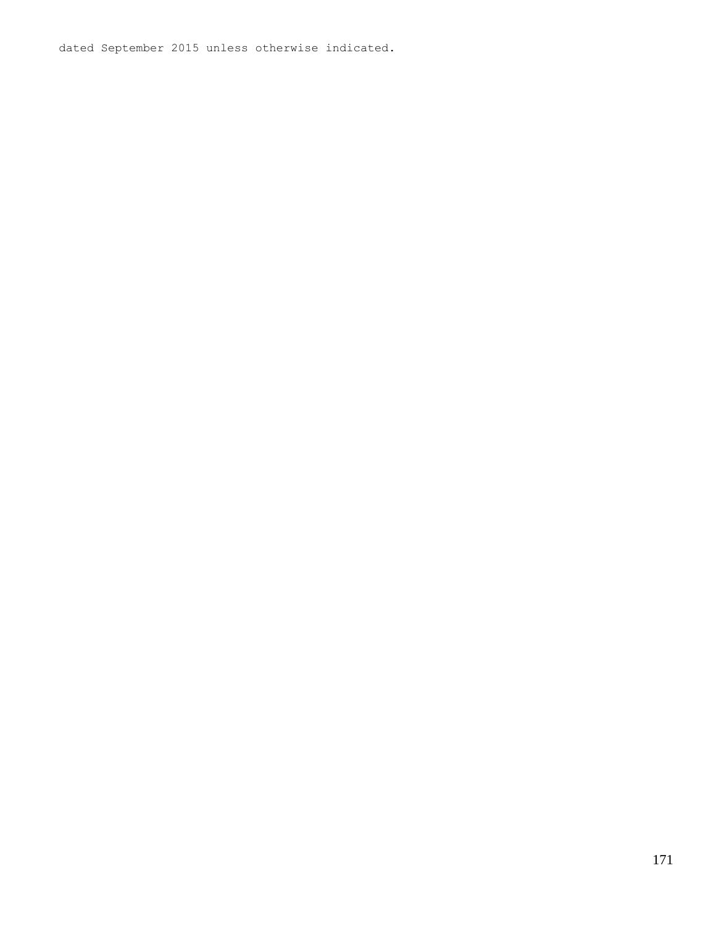dated September 2015 unless otherwise indicated.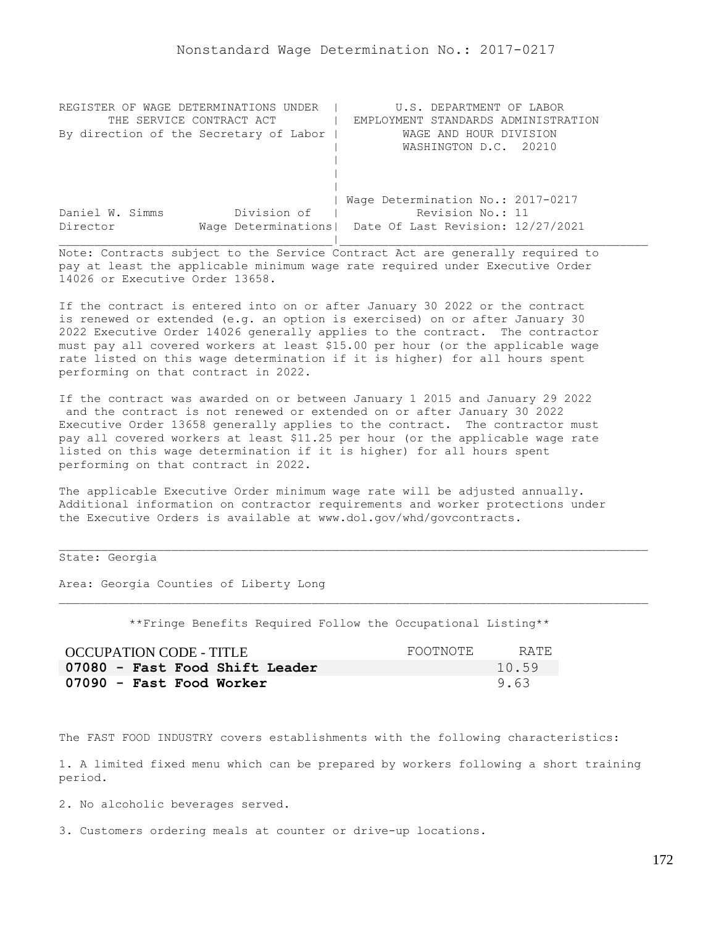| REGISTER OF WAGE DETERMINATIONS UNDER  | U.S. DEPARTMENT OF LABOR                                |
|----------------------------------------|---------------------------------------------------------|
| THE SERVICE CONTRACT ACT               | EMPLOYMENT STANDARDS ADMINISTRATION                     |
| By direction of the Secretary of Labor | WAGE AND HOUR DIVISION                                  |
|                                        | WASHINGTON D.C. 20210                                   |
|                                        |                                                         |
|                                        |                                                         |
|                                        |                                                         |
|                                        | Wage Determination No.: 2017-0217                       |
| Division of<br>Daniel W. Simms         | Revision No.: 11                                        |
| Director                               | Wage Determinations   Date Of Last Revision: 12/27/2021 |
|                                        |                                                         |

If the contract is entered into on or after January 30 2022 or the contract is renewed or extended (e.g. an option is exercised) on or after January 30 2022 Executive Order 14026 generally applies to the contract. The contractor must pay all covered workers at least \$15.00 per hour (or the applicable wage rate listed on this wage determination if it is higher) for all hours spent performing on that contract in 2022.

If the contract was awarded on or between January 1 2015 and January 29 2022 and the contract is not renewed or extended on or after January 30 2022 Executive Order 13658 generally applies to the contract. The contractor must pay all covered workers at least \$11.25 per hour (or the applicable wage rate listed on this wage determination if it is higher) for all hours spent performing on that contract in 2022.

The applicable Executive Order minimum wage rate will be adjusted annually. Additional information on contractor requirements and worker protections under the Executive Orders is available at www.dol.gov/whd/govcontracts.

State: Georgia

Area: Georgia Counties of Liberty Long

\*\*Fringe Benefits Required Follow the Occupational Listing\*\*

| OCCUPATION CODE - TITLE        | FOOTNOTE | RATE. |
|--------------------------------|----------|-------|
| 07080 - Fast Food Shift Leader |          | 10.59 |
| 07090 - Fast Food Worker       |          | 9.63  |

The FAST FOOD INDUSTRY covers establishments with the following characteristics:

1. A limited fixed menu which can be prepared by workers following a short training period.

2. No alcoholic beverages served.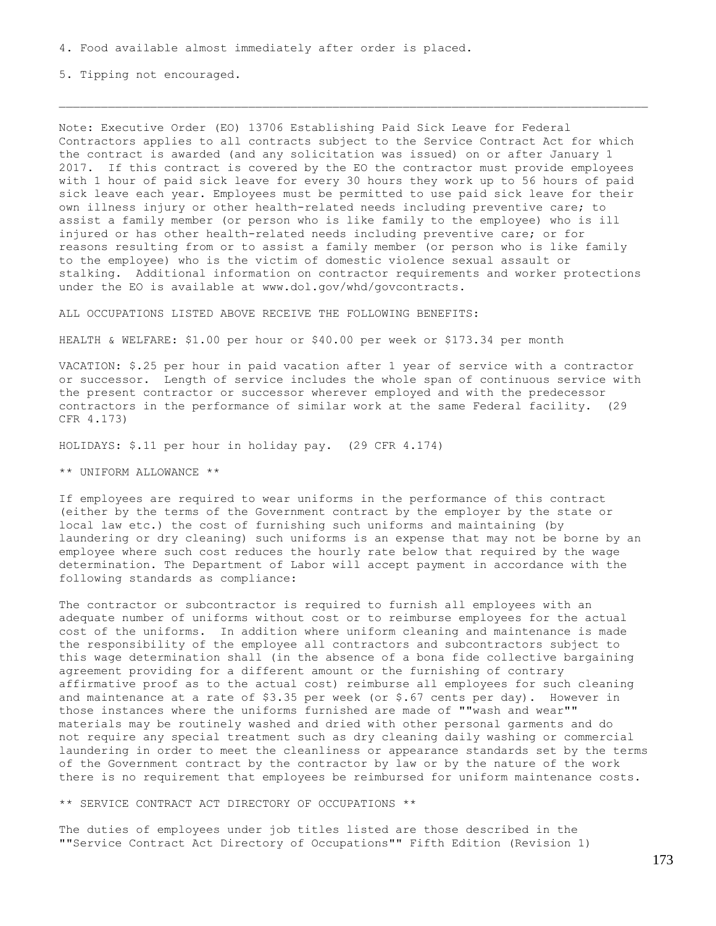5. Tipping not encouraged.

Note: Executive Order (EO) 13706 Establishing Paid Sick Leave for Federal Contractors applies to all contracts subject to the Service Contract Act for which the contract is awarded (and any solicitation was issued) on or after January 1 2017. If this contract is covered by the EO the contractor must provide employees with 1 hour of paid sick leave for every 30 hours they work up to 56 hours of paid sick leave each year. Employees must be permitted to use paid sick leave for their own illness injury or other health-related needs including preventive care; to assist a family member (or person who is like family to the employee) who is ill injured or has other health-related needs including preventive care; or for reasons resulting from or to assist a family member (or person who is like family to the employee) who is the victim of domestic violence sexual assault or stalking. Additional information on contractor requirements and worker protections under the EO is available at www.dol.gov/whd/govcontracts.

ALL OCCUPATIONS LISTED ABOVE RECEIVE THE FOLLOWING BENEFITS:

HEALTH & WELFARE: \$1.00 per hour or \$40.00 per week or \$173.34 per month

VACATION: \$.25 per hour in paid vacation after 1 year of service with a contractor or successor. Length of service includes the whole span of continuous service with the present contractor or successor wherever employed and with the predecessor contractors in the performance of similar work at the same Federal facility. (29 CFR 4.173)

HOLIDAYS: \$.11 per hour in holiday pay. (29 CFR 4.174)

\*\* UNIFORM ALLOWANCE \*\*

If employees are required to wear uniforms in the performance of this contract (either by the terms of the Government contract by the employer by the state or local law etc.) the cost of furnishing such uniforms and maintaining (by laundering or dry cleaning) such uniforms is an expense that may not be borne by an employee where such cost reduces the hourly rate below that required by the wage determination. The Department of Labor will accept payment in accordance with the following standards as compliance:

The contractor or subcontractor is required to furnish all employees with an adequate number of uniforms without cost or to reimburse employees for the actual cost of the uniforms. In addition where uniform cleaning and maintenance is made the responsibility of the employee all contractors and subcontractors subject to this wage determination shall (in the absence of a bona fide collective bargaining agreement providing for a different amount or the furnishing of contrary affirmative proof as to the actual cost) reimburse all employees for such cleaning and maintenance at a rate of \$3.35 per week (or \$.67 cents per day). However in those instances where the uniforms furnished are made of ""wash and wear"" materials may be routinely washed and dried with other personal garments and do not require any special treatment such as dry cleaning daily washing or commercial laundering in order to meet the cleanliness or appearance standards set by the terms of the Government contract by the contractor by law or by the nature of the work there is no requirement that employees be reimbursed for uniform maintenance costs.

\*\* SERVICE CONTRACT ACT DIRECTORY OF OCCUPATIONS \*\*

The duties of employees under job titles listed are those described in the ""Service Contract Act Directory of Occupations"" Fifth Edition (Revision 1)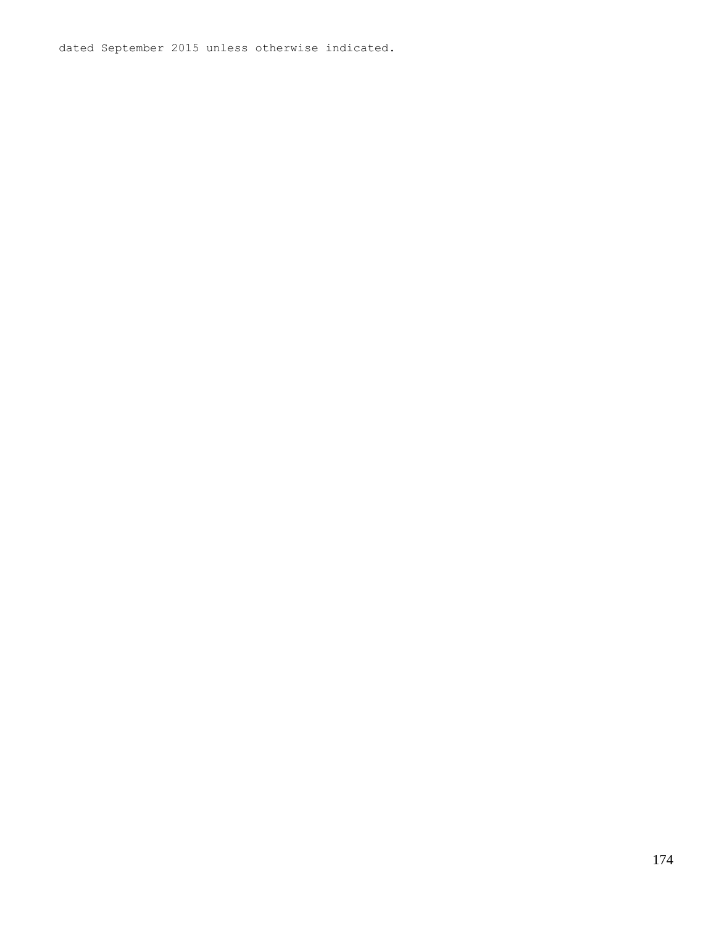dated September 2015 unless otherwise indicated.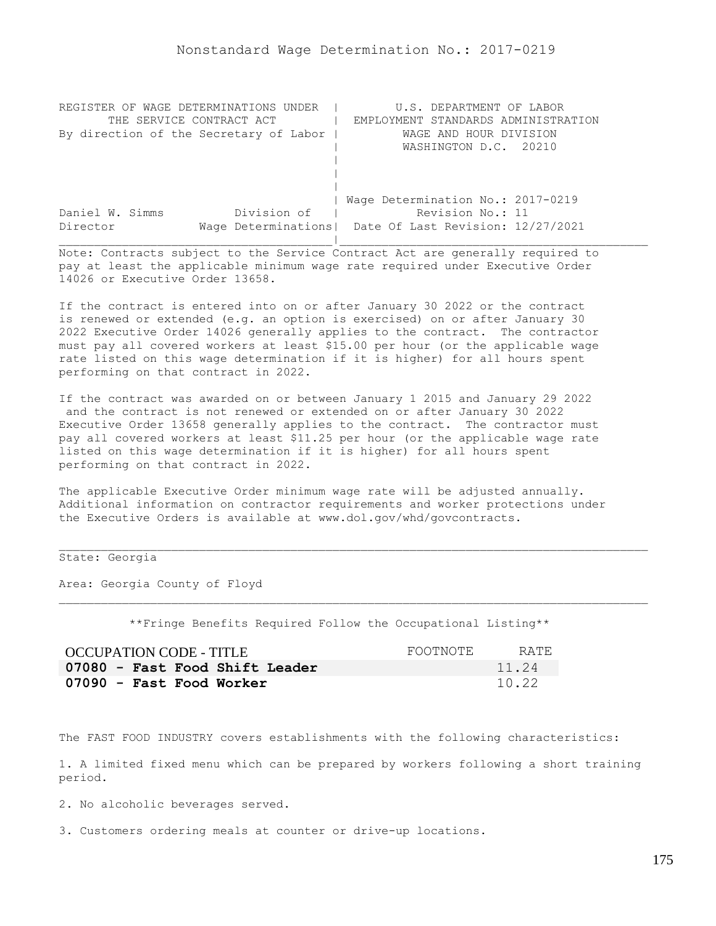| REGISTER OF WAGE DETERMINATIONS UNDER  | U.S. DEPARTMENT OF LABOR                                |
|----------------------------------------|---------------------------------------------------------|
| THE SERVICE CONTRACT ACT               | EMPLOYMENT STANDARDS ADMINISTRATION                     |
| By direction of the Secretary of Labor | WAGE AND HOUR DIVISION                                  |
|                                        | WASHINGTON D.C. 20210                                   |
|                                        |                                                         |
|                                        |                                                         |
|                                        |                                                         |
|                                        | Wage Determination No.: 2017-0219                       |
| Division of<br>Daniel W. Simms         | Revision No.: 11                                        |
| Director                               | Wage Determinations   Date Of Last Revision: 12/27/2021 |
|                                        |                                                         |

If the contract is entered into on or after January 30 2022 or the contract is renewed or extended (e.g. an option is exercised) on or after January 30 2022 Executive Order 14026 generally applies to the contract. The contractor must pay all covered workers at least \$15.00 per hour (or the applicable wage rate listed on this wage determination if it is higher) for all hours spent performing on that contract in 2022.

If the contract was awarded on or between January 1 2015 and January 29 2022 and the contract is not renewed or extended on or after January 30 2022 Executive Order 13658 generally applies to the contract. The contractor must pay all covered workers at least \$11.25 per hour (or the applicable wage rate listed on this wage determination if it is higher) for all hours spent performing on that contract in 2022.

The applicable Executive Order minimum wage rate will be adjusted annually. Additional information on contractor requirements and worker protections under the Executive Orders is available at www.dol.gov/whd/govcontracts.

# State: Georgia

Area: Georgia County of Floyd

\*\*Fringe Benefits Required Follow the Occupational Listing\*\*

| OCCUPATION CODE - TITLE        | FOOTNOTE | RATE. |
|--------------------------------|----------|-------|
| 07080 - Fast Food Shift Leader |          | 11.24 |
| 07090 - Fast Food Worker       |          | 10.22 |

The FAST FOOD INDUSTRY covers establishments with the following characteristics:

1. A limited fixed menu which can be prepared by workers following a short training period.

2. No alcoholic beverages served.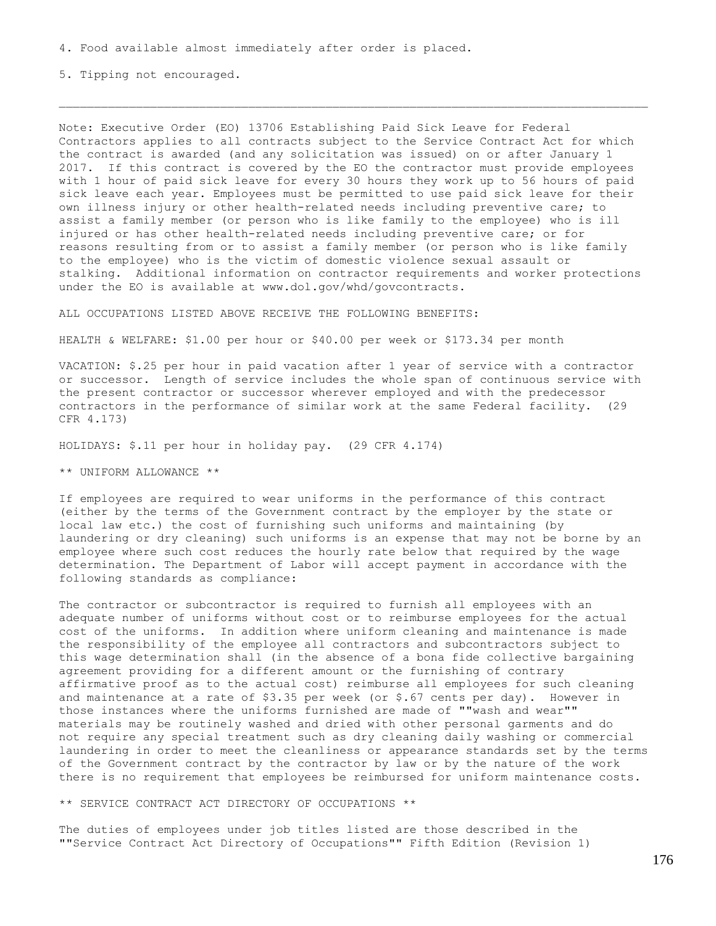5. Tipping not encouraged.

Note: Executive Order (EO) 13706 Establishing Paid Sick Leave for Federal Contractors applies to all contracts subject to the Service Contract Act for which the contract is awarded (and any solicitation was issued) on or after January 1 2017. If this contract is covered by the EO the contractor must provide employees with 1 hour of paid sick leave for every 30 hours they work up to 56 hours of paid sick leave each year. Employees must be permitted to use paid sick leave for their own illness injury or other health-related needs including preventive care; to assist a family member (or person who is like family to the employee) who is ill injured or has other health-related needs including preventive care; or for reasons resulting from or to assist a family member (or person who is like family to the employee) who is the victim of domestic violence sexual assault or stalking. Additional information on contractor requirements and worker protections under the EO is available at www.dol.gov/whd/govcontracts.

ALL OCCUPATIONS LISTED ABOVE RECEIVE THE FOLLOWING BENEFITS:

HEALTH & WELFARE: \$1.00 per hour or \$40.00 per week or \$173.34 per month

VACATION: \$.25 per hour in paid vacation after 1 year of service with a contractor or successor. Length of service includes the whole span of continuous service with the present contractor or successor wherever employed and with the predecessor contractors in the performance of similar work at the same Federal facility. (29 CFR 4.173)

HOLIDAYS: \$.11 per hour in holiday pay. (29 CFR 4.174)

\*\* UNIFORM ALLOWANCE \*\*

If employees are required to wear uniforms in the performance of this contract (either by the terms of the Government contract by the employer by the state or local law etc.) the cost of furnishing such uniforms and maintaining (by laundering or dry cleaning) such uniforms is an expense that may not be borne by an employee where such cost reduces the hourly rate below that required by the wage determination. The Department of Labor will accept payment in accordance with the following standards as compliance:

The contractor or subcontractor is required to furnish all employees with an adequate number of uniforms without cost or to reimburse employees for the actual cost of the uniforms. In addition where uniform cleaning and maintenance is made the responsibility of the employee all contractors and subcontractors subject to this wage determination shall (in the absence of a bona fide collective bargaining agreement providing for a different amount or the furnishing of contrary affirmative proof as to the actual cost) reimburse all employees for such cleaning and maintenance at a rate of \$3.35 per week (or \$.67 cents per day). However in those instances where the uniforms furnished are made of ""wash and wear"" materials may be routinely washed and dried with other personal garments and do not require any special treatment such as dry cleaning daily washing or commercial laundering in order to meet the cleanliness or appearance standards set by the terms of the Government contract by the contractor by law or by the nature of the work there is no requirement that employees be reimbursed for uniform maintenance costs.

\*\* SERVICE CONTRACT ACT DIRECTORY OF OCCUPATIONS \*\*

The duties of employees under job titles listed are those described in the ""Service Contract Act Directory of Occupations"" Fifth Edition (Revision 1)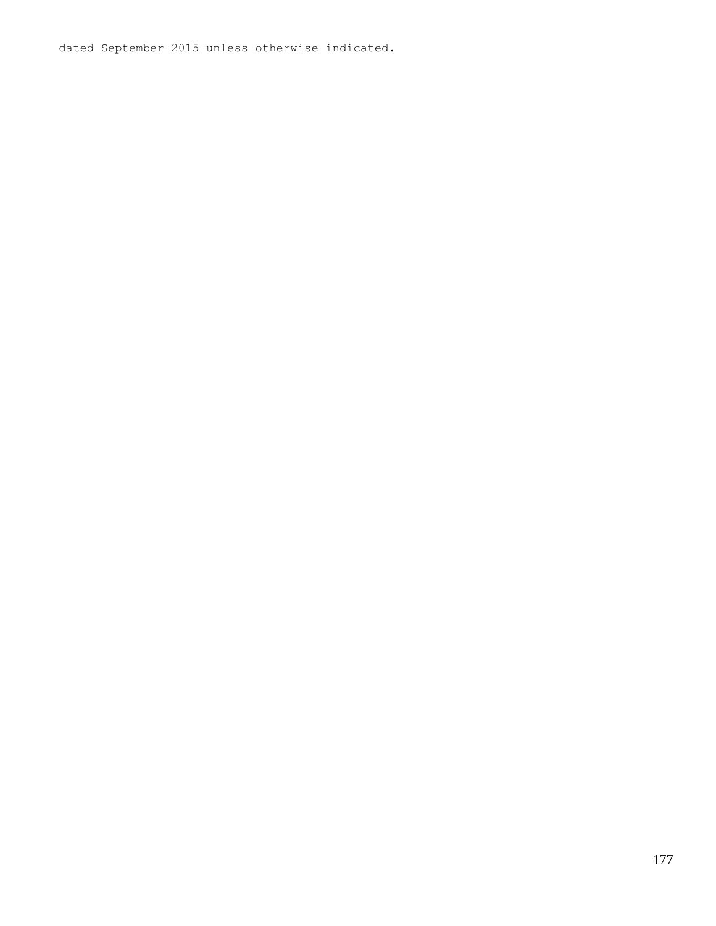dated September 2015 unless otherwise indicated.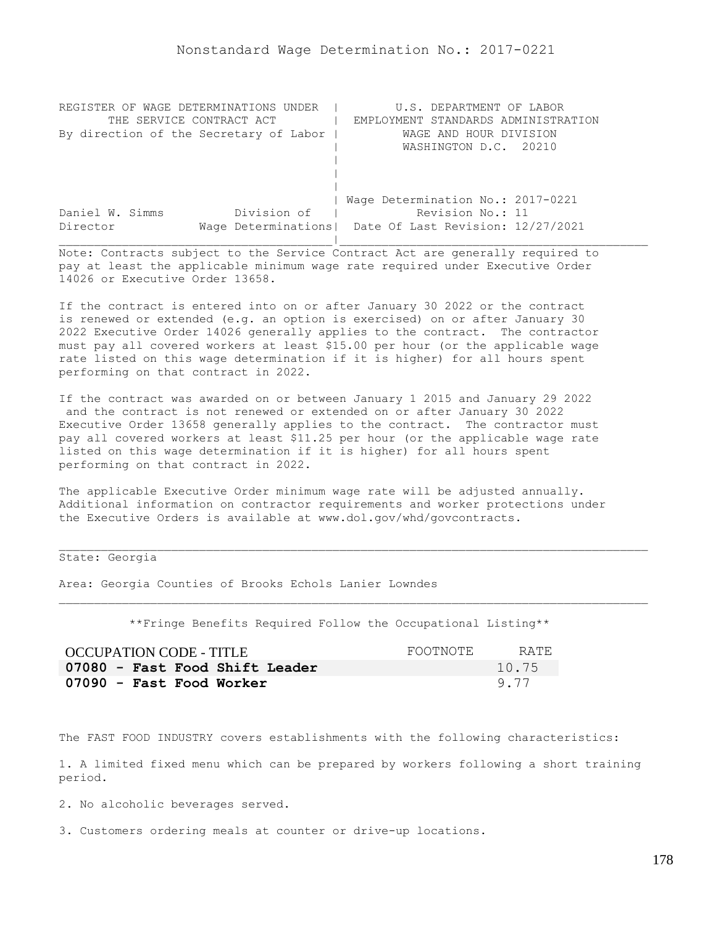| REGISTER OF WAGE DETERMINATIONS UNDER  | U.S. DEPARTMENT OF LABOR                                |
|----------------------------------------|---------------------------------------------------------|
| THE SERVICE CONTRACT ACT               | EMPLOYMENT STANDARDS ADMINISTRATION                     |
| By direction of the Secretary of Labor | WAGE AND HOUR DIVISION                                  |
|                                        | WASHINGTON D.C. 20210                                   |
|                                        |                                                         |
|                                        |                                                         |
|                                        |                                                         |
|                                        | Wage Determination No.: 2017-0221                       |
| Division of<br>Daniel W. Simms         | Revision No.: 11                                        |
| Director                               | Wage Determinations   Date Of Last Revision: 12/27/2021 |
|                                        |                                                         |

If the contract is entered into on or after January 30 2022 or the contract is renewed or extended (e.g. an option is exercised) on or after January 30 2022 Executive Order 14026 generally applies to the contract. The contractor must pay all covered workers at least \$15.00 per hour (or the applicable wage rate listed on this wage determination if it is higher) for all hours spent performing on that contract in 2022.

If the contract was awarded on or between January 1 2015 and January 29 2022 and the contract is not renewed or extended on or after January 30 2022 Executive Order 13658 generally applies to the contract. The contractor must pay all covered workers at least \$11.25 per hour (or the applicable wage rate listed on this wage determination if it is higher) for all hours spent performing on that contract in 2022.

The applicable Executive Order minimum wage rate will be adjusted annually. Additional information on contractor requirements and worker protections under the Executive Orders is available at www.dol.gov/whd/govcontracts.

State: Georgia

Area: Georgia Counties of Brooks Echols Lanier Lowndes

\*\*Fringe Benefits Required Follow the Occupational Listing\*\*

| OCCUPATION CODE - TITLE        | FOOTNOTE | RATE. |
|--------------------------------|----------|-------|
| 07080 - Fast Food Shift Leader |          | 10.75 |
| 07090 - Fast Food Worker       |          | 9.77  |

The FAST FOOD INDUSTRY covers establishments with the following characteristics:

1. A limited fixed menu which can be prepared by workers following a short training period.

2. No alcoholic beverages served.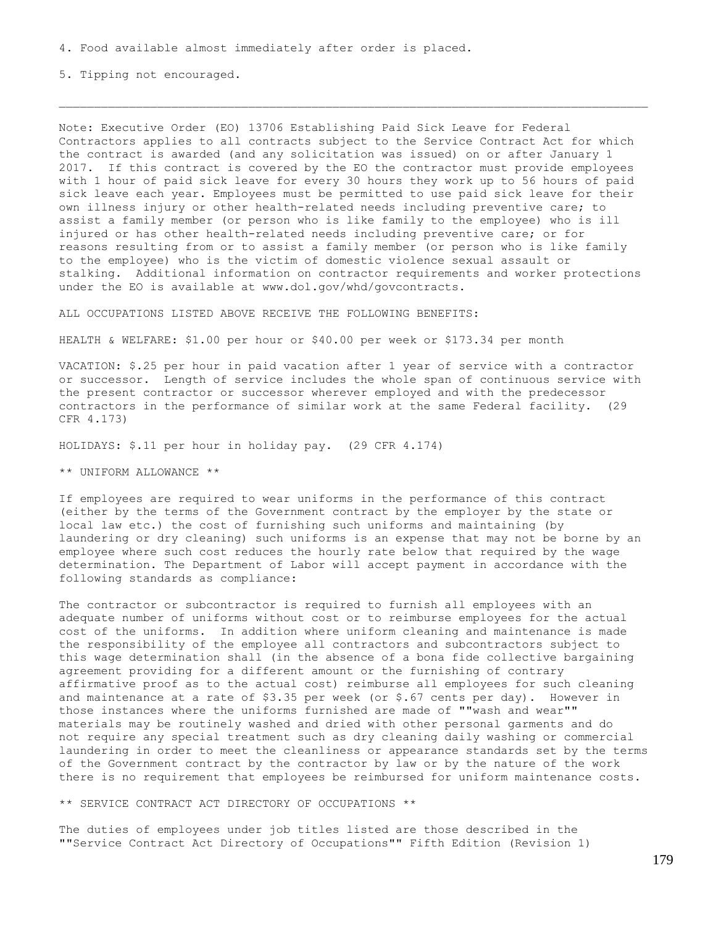5. Tipping not encouraged.

Note: Executive Order (EO) 13706 Establishing Paid Sick Leave for Federal Contractors applies to all contracts subject to the Service Contract Act for which the contract is awarded (and any solicitation was issued) on or after January 1 2017. If this contract is covered by the EO the contractor must provide employees with 1 hour of paid sick leave for every 30 hours they work up to 56 hours of paid sick leave each year. Employees must be permitted to use paid sick leave for their own illness injury or other health-related needs including preventive care; to assist a family member (or person who is like family to the employee) who is ill injured or has other health-related needs including preventive care; or for reasons resulting from or to assist a family member (or person who is like family to the employee) who is the victim of domestic violence sexual assault or stalking. Additional information on contractor requirements and worker protections under the EO is available at www.dol.gov/whd/govcontracts.

ALL OCCUPATIONS LISTED ABOVE RECEIVE THE FOLLOWING BENEFITS:

HEALTH & WELFARE: \$1.00 per hour or \$40.00 per week or \$173.34 per month

VACATION: \$.25 per hour in paid vacation after 1 year of service with a contractor or successor. Length of service includes the whole span of continuous service with the present contractor or successor wherever employed and with the predecessor contractors in the performance of similar work at the same Federal facility. (29 CFR 4.173)

HOLIDAYS: \$.11 per hour in holiday pay. (29 CFR 4.174)

\*\* UNIFORM ALLOWANCE \*\*

If employees are required to wear uniforms in the performance of this contract (either by the terms of the Government contract by the employer by the state or local law etc.) the cost of furnishing such uniforms and maintaining (by laundering or dry cleaning) such uniforms is an expense that may not be borne by an employee where such cost reduces the hourly rate below that required by the wage determination. The Department of Labor will accept payment in accordance with the following standards as compliance:

The contractor or subcontractor is required to furnish all employees with an adequate number of uniforms without cost or to reimburse employees for the actual cost of the uniforms. In addition where uniform cleaning and maintenance is made the responsibility of the employee all contractors and subcontractors subject to this wage determination shall (in the absence of a bona fide collective bargaining agreement providing for a different amount or the furnishing of contrary affirmative proof as to the actual cost) reimburse all employees for such cleaning and maintenance at a rate of \$3.35 per week (or \$.67 cents per day). However in those instances where the uniforms furnished are made of ""wash and wear"" materials may be routinely washed and dried with other personal garments and do not require any special treatment such as dry cleaning daily washing or commercial laundering in order to meet the cleanliness or appearance standards set by the terms of the Government contract by the contractor by law or by the nature of the work there is no requirement that employees be reimbursed for uniform maintenance costs.

\*\* SERVICE CONTRACT ACT DIRECTORY OF OCCUPATIONS \*\*

The duties of employees under job titles listed are those described in the ""Service Contract Act Directory of Occupations"" Fifth Edition (Revision 1)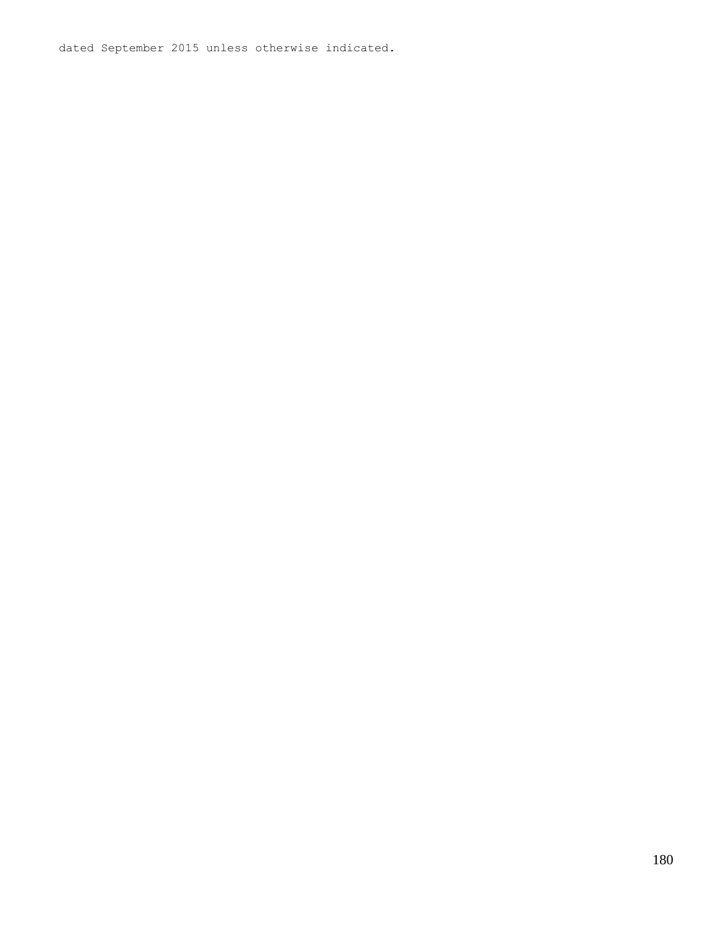dated September 2015 unless otherwise indicated.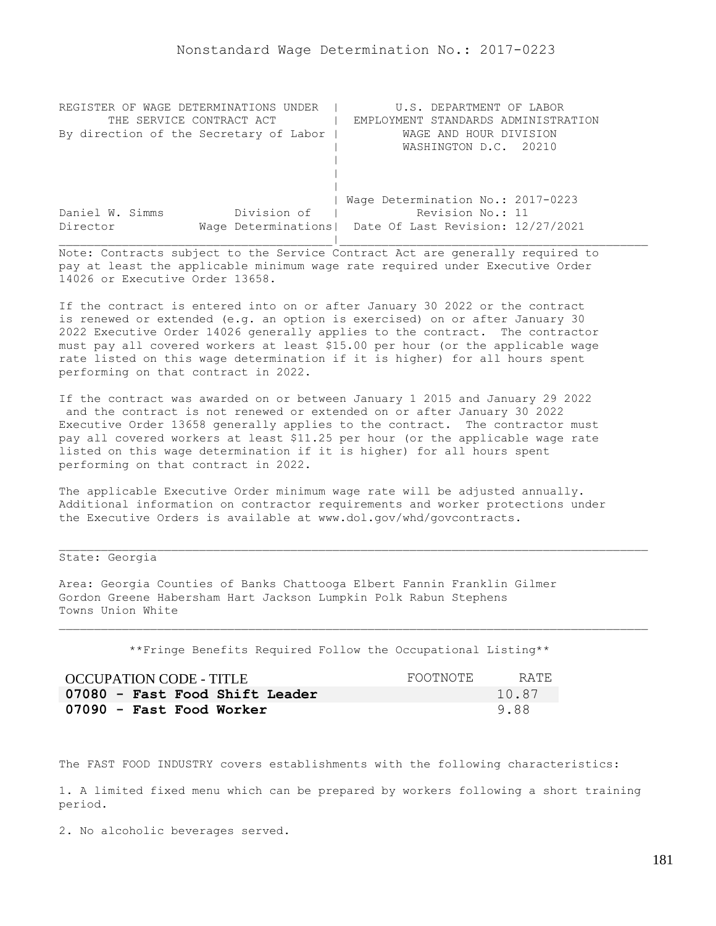| REGISTER OF WAGE DETERMINATIONS UNDER  | U.S. DEPARTMENT OF LABOR                                |
|----------------------------------------|---------------------------------------------------------|
| THE SERVICE CONTRACT ACT               | EMPLOYMENT STANDARDS ADMINISTRATION                     |
| By direction of the Secretary of Labor | WAGE AND HOUR DIVISION                                  |
|                                        | WASHINGTON D.C. 20210                                   |
|                                        |                                                         |
|                                        |                                                         |
|                                        |                                                         |
|                                        | Wage Determination No.: 2017-0223                       |
| Division of<br>Daniel W. Simms         | Revision No.: 11                                        |
| Director                               | Wage Determinations   Date Of Last Revision: 12/27/2021 |
|                                        |                                                         |

If the contract is entered into on or after January 30 2022 or the contract is renewed or extended (e.g. an option is exercised) on or after January 30 2022 Executive Order 14026 generally applies to the contract. The contractor must pay all covered workers at least \$15.00 per hour (or the applicable wage rate listed on this wage determination if it is higher) for all hours spent performing on that contract in 2022.

If the contract was awarded on or between January 1 2015 and January 29 2022 and the contract is not renewed or extended on or after January 30 2022 Executive Order 13658 generally applies to the contract. The contractor must pay all covered workers at least \$11.25 per hour (or the applicable wage rate listed on this wage determination if it is higher) for all hours spent performing on that contract in 2022.

The applicable Executive Order minimum wage rate will be adjusted annually. Additional information on contractor requirements and worker protections under the Executive Orders is available at www.dol.gov/whd/govcontracts.

# State: Georgia

Area: Georgia Counties of Banks Chattooga Elbert Fannin Franklin Gilmer Gordon Greene Habersham Hart Jackson Lumpkin Polk Rabun Stephens Towns Union White

\*\*Fringe Benefits Required Follow the Occupational Listing\*\*

| OCCUPATION CODE - TITLE        | FOOTNOTE | RATE  |
|--------------------------------|----------|-------|
| 07080 - Fast Food Shift Leader |          | 10.87 |
| 07090 - Fast Food Worker       |          | 9.88  |

The FAST FOOD INDUSTRY covers establishments with the following characteristics:

1. A limited fixed menu which can be prepared by workers following a short training period.

2. No alcoholic beverages served.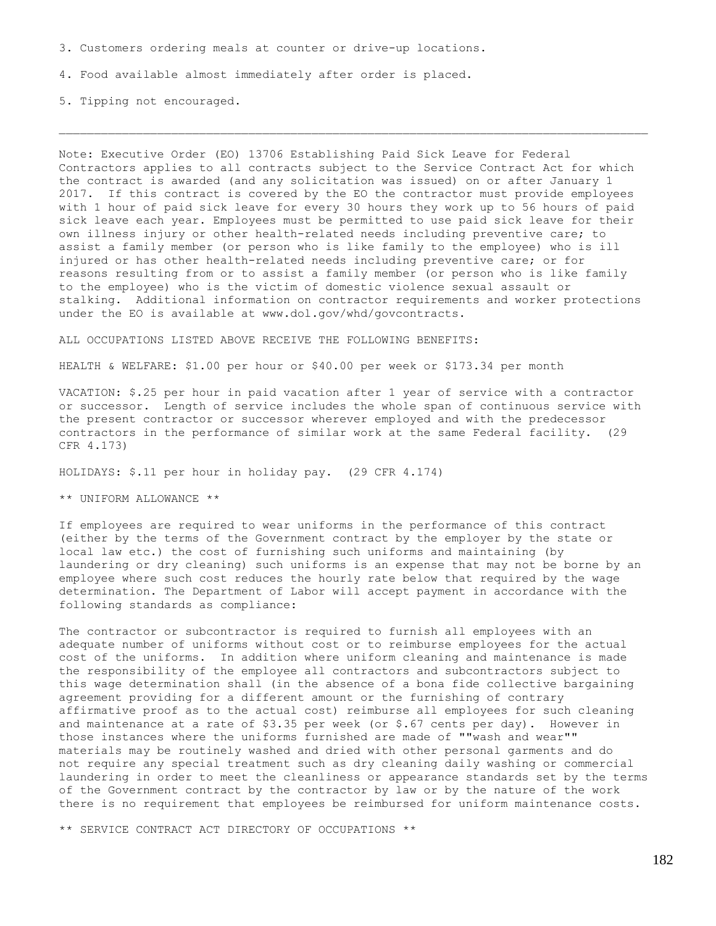3. Customers ordering meals at counter or drive-up locations.

4. Food available almost immediately after order is placed.

5. Tipping not encouraged.

Note: Executive Order (EO) 13706 Establishing Paid Sick Leave for Federal Contractors applies to all contracts subject to the Service Contract Act for which the contract is awarded (and any solicitation was issued) on or after January 1 2017. If this contract is covered by the EO the contractor must provide employees with 1 hour of paid sick leave for every 30 hours they work up to 56 hours of paid sick leave each year. Employees must be permitted to use paid sick leave for their own illness injury or other health-related needs including preventive care; to assist a family member (or person who is like family to the employee) who is ill injured or has other health-related needs including preventive care; or for reasons resulting from or to assist a family member (or person who is like family to the employee) who is the victim of domestic violence sexual assault or stalking. Additional information on contractor requirements and worker protections under the EO is available at www.dol.gov/whd/govcontracts.

ALL OCCUPATIONS LISTED ABOVE RECEIVE THE FOLLOWING BENEFITS:

HEALTH & WELFARE: \$1.00 per hour or \$40.00 per week or \$173.34 per month

VACATION: \$.25 per hour in paid vacation after 1 year of service with a contractor or successor. Length of service includes the whole span of continuous service with the present contractor or successor wherever employed and with the predecessor contractors in the performance of similar work at the same Federal facility. (29 CFR 4.173)

HOLIDAYS: \$.11 per hour in holiday pay. (29 CFR 4.174)

\*\* UNIFORM ALLOWANCE \*\*

If employees are required to wear uniforms in the performance of this contract (either by the terms of the Government contract by the employer by the state or local law etc.) the cost of furnishing such uniforms and maintaining (by laundering or dry cleaning) such uniforms is an expense that may not be borne by an employee where such cost reduces the hourly rate below that required by the wage determination. The Department of Labor will accept payment in accordance with the following standards as compliance:

The contractor or subcontractor is required to furnish all employees with an adequate number of uniforms without cost or to reimburse employees for the actual cost of the uniforms. In addition where uniform cleaning and maintenance is made the responsibility of the employee all contractors and subcontractors subject to this wage determination shall (in the absence of a bona fide collective bargaining agreement providing for a different amount or the furnishing of contrary affirmative proof as to the actual cost) reimburse all employees for such cleaning and maintenance at a rate of  $$3.35$  per week (or  $$.67$  cents per day). However in those instances where the uniforms furnished are made of ""wash and wear"" materials may be routinely washed and dried with other personal garments and do not require any special treatment such as dry cleaning daily washing or commercial laundering in order to meet the cleanliness or appearance standards set by the terms of the Government contract by the contractor by law or by the nature of the work there is no requirement that employees be reimbursed for uniform maintenance costs.

\*\* SERVICE CONTRACT ACT DIRECTORY OF OCCUPATIONS \*\*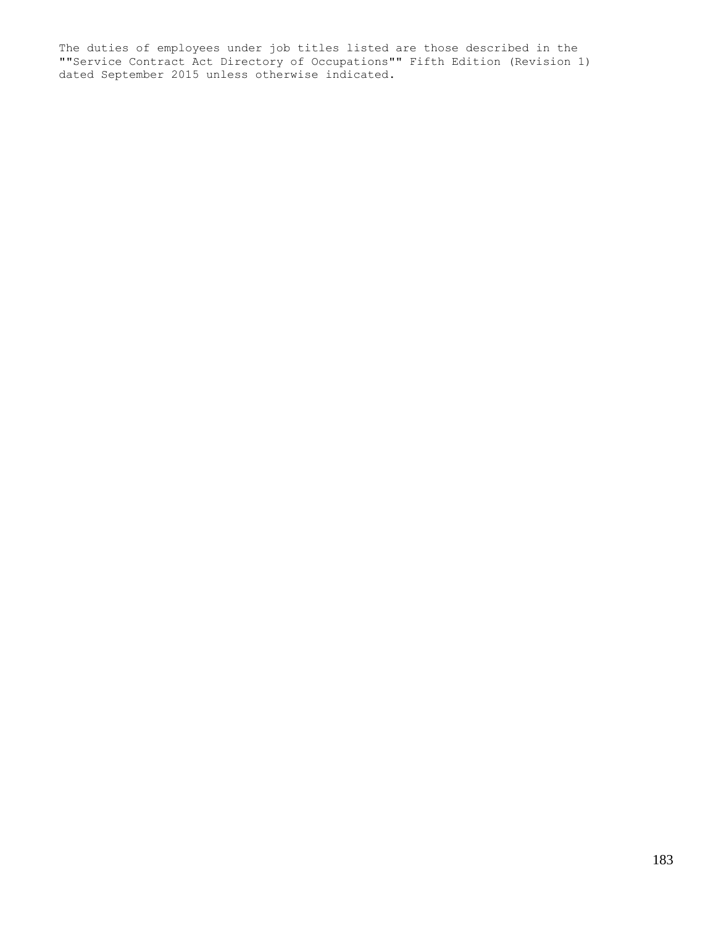The duties of employees under job titles listed are those described in the ""Service Contract Act Directory of Occupations"" Fifth Edition (Revision 1) dated September 2015 unless otherwise indicated.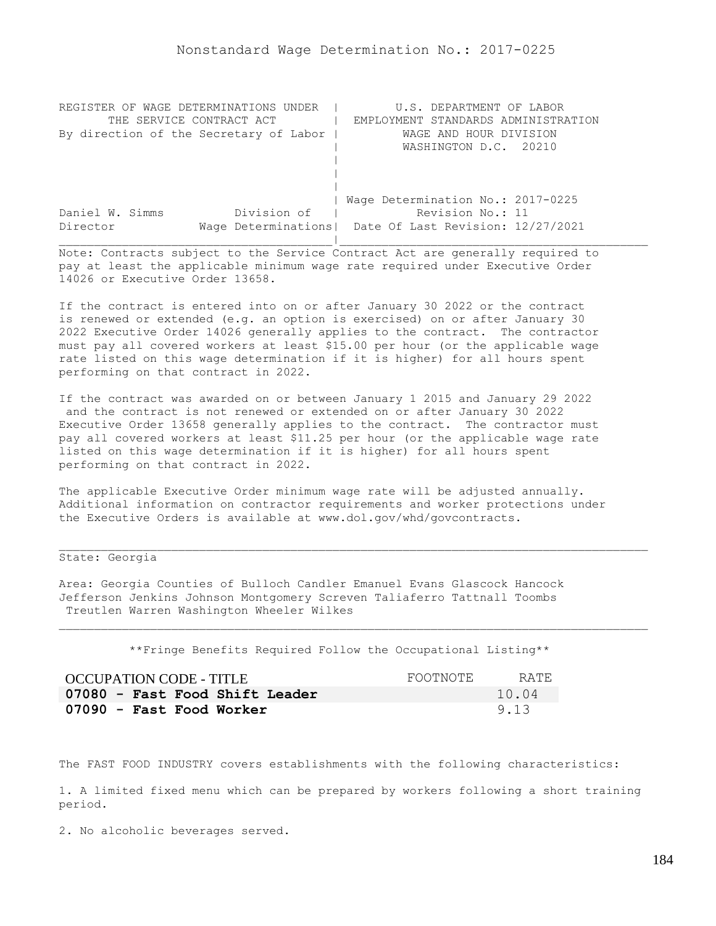| REGISTER OF WAGE DETERMINATIONS UNDER  | U.S. DEPARTMENT OF LABOR                                |
|----------------------------------------|---------------------------------------------------------|
| THE SERVICE CONTRACT ACT               | EMPLOYMENT STANDARDS ADMINISTRATION                     |
| By direction of the Secretary of Labor | WAGE AND HOUR DIVISION                                  |
|                                        | WASHINGTON D.C. 20210                                   |
|                                        |                                                         |
|                                        |                                                         |
|                                        |                                                         |
|                                        | Wage Determination No.: 2017-0225                       |
| Division of<br>Daniel W. Simms         | Revision No.: 11                                        |
| Director                               | Wage Determinations   Date Of Last Revision: 12/27/2021 |
|                                        |                                                         |

If the contract is entered into on or after January 30 2022 or the contract is renewed or extended (e.g. an option is exercised) on or after January 30 2022 Executive Order 14026 generally applies to the contract. The contractor must pay all covered workers at least \$15.00 per hour (or the applicable wage rate listed on this wage determination if it is higher) for all hours spent performing on that contract in 2022.

If the contract was awarded on or between January 1 2015 and January 29 2022 and the contract is not renewed or extended on or after January 30 2022 Executive Order 13658 generally applies to the contract. The contractor must pay all covered workers at least \$11.25 per hour (or the applicable wage rate listed on this wage determination if it is higher) for all hours spent performing on that contract in 2022.

The applicable Executive Order minimum wage rate will be adjusted annually. Additional information on contractor requirements and worker protections under the Executive Orders is available at www.dol.gov/whd/govcontracts.

## State: Georgia

Area: Georgia Counties of Bulloch Candler Emanuel Evans Glascock Hancock Jefferson Jenkins Johnson Montgomery Screven Taliaferro Tattnall Toombs Treutlen Warren Washington Wheeler Wilkes

\*\*Fringe Benefits Required Follow the Occupational Listing\*\*

| OCCUPATION CODE - TITLE        | FOOTNOTE | RATE. |
|--------------------------------|----------|-------|
| 07080 - Fast Food Shift Leader |          | 10.04 |
| 07090 - Fast Food Worker       |          | 9.13  |

The FAST FOOD INDUSTRY covers establishments with the following characteristics:

1. A limited fixed menu which can be prepared by workers following a short training period.

2. No alcoholic beverages served.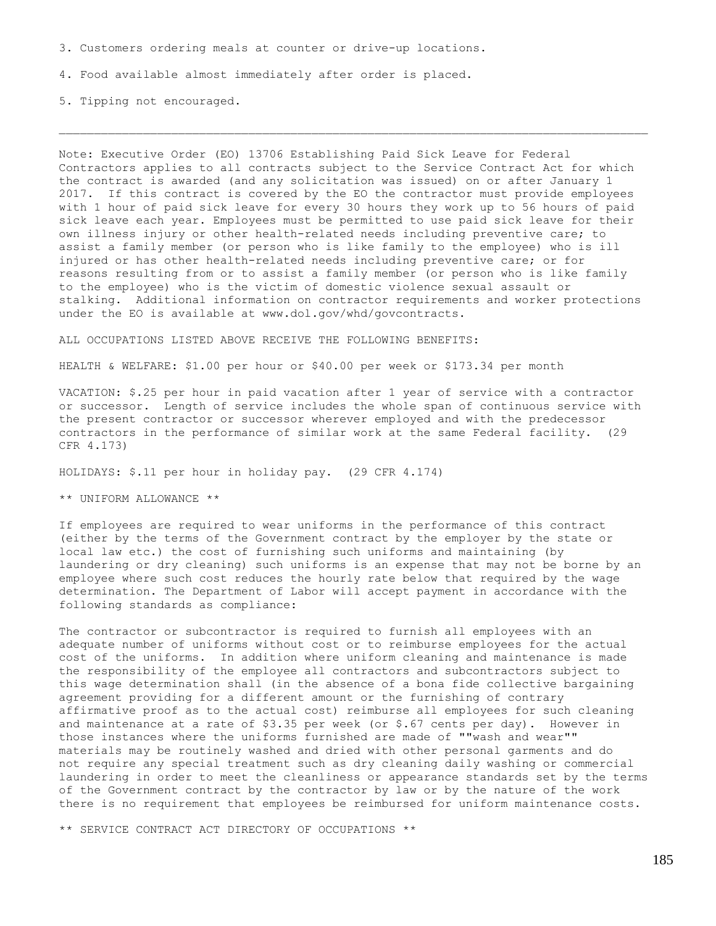3. Customers ordering meals at counter or drive-up locations.

4. Food available almost immediately after order is placed.

5. Tipping not encouraged.

Note: Executive Order (EO) 13706 Establishing Paid Sick Leave for Federal Contractors applies to all contracts subject to the Service Contract Act for which the contract is awarded (and any solicitation was issued) on or after January 1 2017. If this contract is covered by the EO the contractor must provide employees with 1 hour of paid sick leave for every 30 hours they work up to 56 hours of paid sick leave each year. Employees must be permitted to use paid sick leave for their own illness injury or other health-related needs including preventive care; to assist a family member (or person who is like family to the employee) who is ill injured or has other health-related needs including preventive care; or for reasons resulting from or to assist a family member (or person who is like family to the employee) who is the victim of domestic violence sexual assault or stalking. Additional information on contractor requirements and worker protections under the EO is available at www.dol.gov/whd/govcontracts.

ALL OCCUPATIONS LISTED ABOVE RECEIVE THE FOLLOWING BENEFITS:

HEALTH & WELFARE: \$1.00 per hour or \$40.00 per week or \$173.34 per month

VACATION: \$.25 per hour in paid vacation after 1 year of service with a contractor or successor. Length of service includes the whole span of continuous service with the present contractor or successor wherever employed and with the predecessor contractors in the performance of similar work at the same Federal facility. (29 CFR 4.173)

HOLIDAYS: \$.11 per hour in holiday pay. (29 CFR 4.174)

\*\* UNIFORM ALLOWANCE \*\*

If employees are required to wear uniforms in the performance of this contract (either by the terms of the Government contract by the employer by the state or local law etc.) the cost of furnishing such uniforms and maintaining (by laundering or dry cleaning) such uniforms is an expense that may not be borne by an employee where such cost reduces the hourly rate below that required by the wage determination. The Department of Labor will accept payment in accordance with the following standards as compliance:

The contractor or subcontractor is required to furnish all employees with an adequate number of uniforms without cost or to reimburse employees for the actual cost of the uniforms. In addition where uniform cleaning and maintenance is made the responsibility of the employee all contractors and subcontractors subject to this wage determination shall (in the absence of a bona fide collective bargaining agreement providing for a different amount or the furnishing of contrary affirmative proof as to the actual cost) reimburse all employees for such cleaning and maintenance at a rate of  $$3.35$  per week (or  $$.67$  cents per day). However in those instances where the uniforms furnished are made of ""wash and wear"" materials may be routinely washed and dried with other personal garments and do not require any special treatment such as dry cleaning daily washing or commercial laundering in order to meet the cleanliness or appearance standards set by the terms of the Government contract by the contractor by law or by the nature of the work there is no requirement that employees be reimbursed for uniform maintenance costs.

\*\* SERVICE CONTRACT ACT DIRECTORY OF OCCUPATIONS \*\*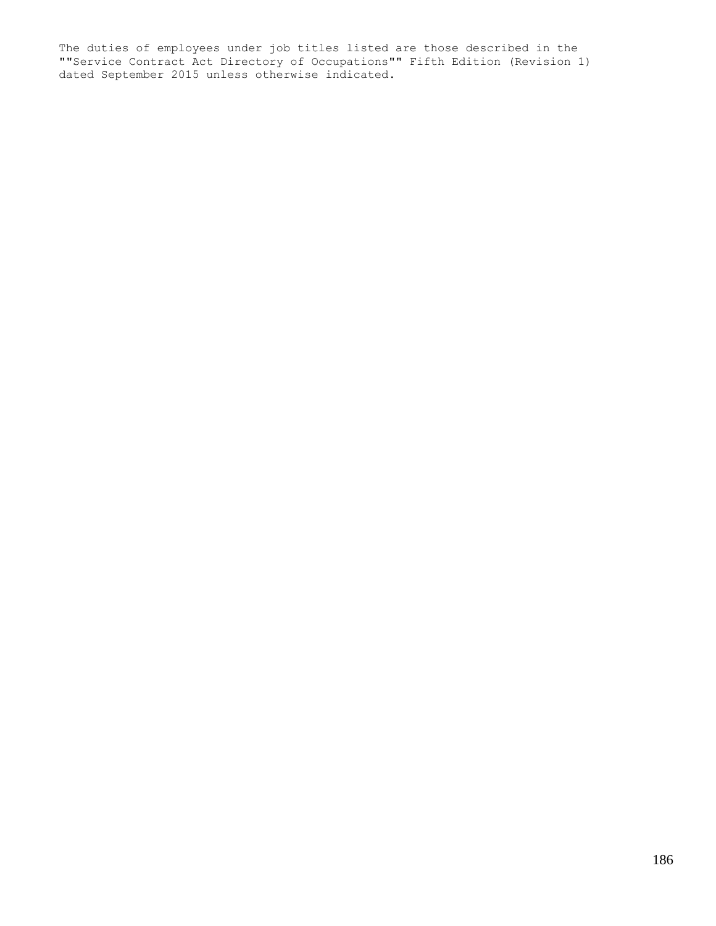The duties of employees under job titles listed are those described in the ""Service Contract Act Directory of Occupations"" Fifth Edition (Revision 1) dated September 2015 unless otherwise indicated.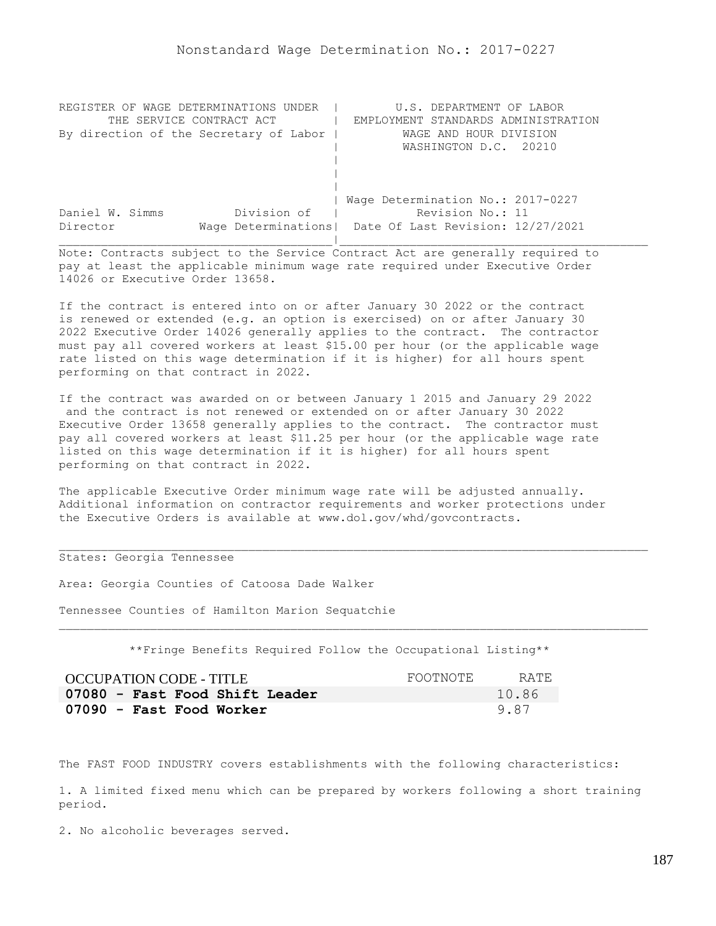| REGISTER OF WAGE DETERMINATIONS UNDER  | U.S. DEPARTMENT OF LABOR                                |
|----------------------------------------|---------------------------------------------------------|
| THE SERVICE CONTRACT ACT               | EMPLOYMENT STANDARDS ADMINISTRATION                     |
| By direction of the Secretary of Labor | WAGE AND HOUR DIVISION                                  |
|                                        | WASHINGTON D.C. 20210                                   |
|                                        |                                                         |
|                                        |                                                         |
|                                        |                                                         |
|                                        | Wage Determination No.: 2017-0227                       |
| Division of<br>Daniel W. Simms         | Revision No.: 11                                        |
| Director                               | Wage Determinations   Date Of Last Revision: 12/27/2021 |
|                                        |                                                         |

If the contract is entered into on or after January 30 2022 or the contract is renewed or extended (e.g. an option is exercised) on or after January 30 2022 Executive Order 14026 generally applies to the contract. The contractor must pay all covered workers at least \$15.00 per hour (or the applicable wage rate listed on this wage determination if it is higher) for all hours spent performing on that contract in 2022.

If the contract was awarded on or between January 1 2015 and January 29 2022 and the contract is not renewed or extended on or after January 30 2022 Executive Order 13658 generally applies to the contract. The contractor must pay all covered workers at least \$11.25 per hour (or the applicable wage rate listed on this wage determination if it is higher) for all hours spent performing on that contract in 2022.

The applicable Executive Order minimum wage rate will be adjusted annually. Additional information on contractor requirements and worker protections under the Executive Orders is available at www.dol.gov/whd/govcontracts.

## States: Georgia Tennessee

Area: Georgia Counties of Catoosa Dade Walker

Tennessee Counties of Hamilton Marion Sequatchie

\*\*Fringe Benefits Required Follow the Occupational Listing\*\*

| OCCUPATION CODE - TITLE        | FOOTNOTE | RATE. |
|--------------------------------|----------|-------|
| 07080 - Fast Food Shift Leader |          | 10.86 |
| 07090 - Fast Food Worker       |          | 9.87  |

The FAST FOOD INDUSTRY covers establishments with the following characteristics:

1. A limited fixed menu which can be prepared by workers following a short training period.

2. No alcoholic beverages served.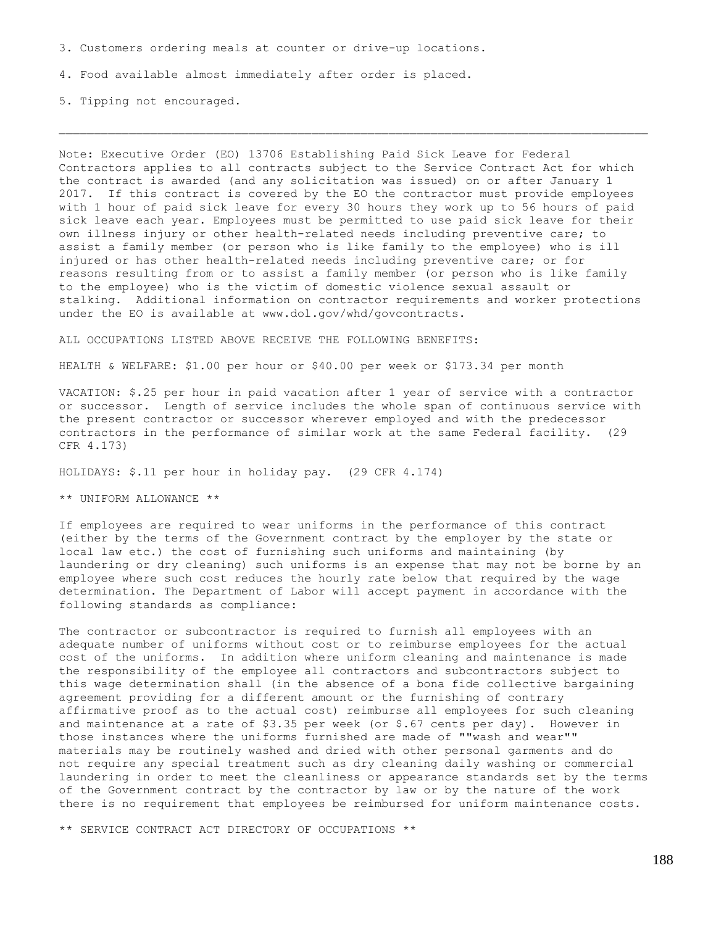3. Customers ordering meals at counter or drive-up locations.

4. Food available almost immediately after order is placed.

5. Tipping not encouraged.

Note: Executive Order (EO) 13706 Establishing Paid Sick Leave for Federal Contractors applies to all contracts subject to the Service Contract Act for which the contract is awarded (and any solicitation was issued) on or after January 1 2017. If this contract is covered by the EO the contractor must provide employees with 1 hour of paid sick leave for every 30 hours they work up to 56 hours of paid sick leave each year. Employees must be permitted to use paid sick leave for their own illness injury or other health-related needs including preventive care; to assist a family member (or person who is like family to the employee) who is ill injured or has other health-related needs including preventive care; or for reasons resulting from or to assist a family member (or person who is like family to the employee) who is the victim of domestic violence sexual assault or stalking. Additional information on contractor requirements and worker protections under the EO is available at www.dol.gov/whd/govcontracts.

ALL OCCUPATIONS LISTED ABOVE RECEIVE THE FOLLOWING BENEFITS:

HEALTH & WELFARE: \$1.00 per hour or \$40.00 per week or \$173.34 per month

VACATION: \$.25 per hour in paid vacation after 1 year of service with a contractor or successor. Length of service includes the whole span of continuous service with the present contractor or successor wherever employed and with the predecessor contractors in the performance of similar work at the same Federal facility. (29 CFR 4.173)

HOLIDAYS: \$.11 per hour in holiday pay. (29 CFR 4.174)

\*\* UNIFORM ALLOWANCE \*\*

If employees are required to wear uniforms in the performance of this contract (either by the terms of the Government contract by the employer by the state or local law etc.) the cost of furnishing such uniforms and maintaining (by laundering or dry cleaning) such uniforms is an expense that may not be borne by an employee where such cost reduces the hourly rate below that required by the wage determination. The Department of Labor will accept payment in accordance with the following standards as compliance:

The contractor or subcontractor is required to furnish all employees with an adequate number of uniforms without cost or to reimburse employees for the actual cost of the uniforms. In addition where uniform cleaning and maintenance is made the responsibility of the employee all contractors and subcontractors subject to this wage determination shall (in the absence of a bona fide collective bargaining agreement providing for a different amount or the furnishing of contrary affirmative proof as to the actual cost) reimburse all employees for such cleaning and maintenance at a rate of  $$3.35$  per week (or  $$.67$  cents per day). However in those instances where the uniforms furnished are made of ""wash and wear"" materials may be routinely washed and dried with other personal garments and do not require any special treatment such as dry cleaning daily washing or commercial laundering in order to meet the cleanliness or appearance standards set by the terms of the Government contract by the contractor by law or by the nature of the work there is no requirement that employees be reimbursed for uniform maintenance costs.

\*\* SERVICE CONTRACT ACT DIRECTORY OF OCCUPATIONS \*\*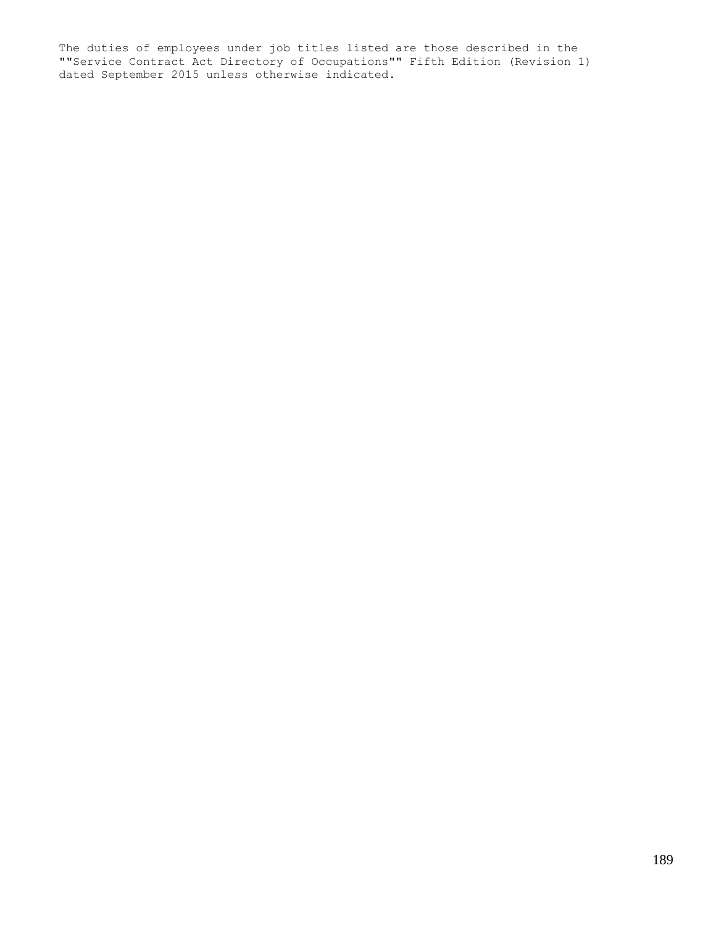The duties of employees under job titles listed are those described in the ""Service Contract Act Directory of Occupations"" Fifth Edition (Revision 1) dated September 2015 unless otherwise indicated.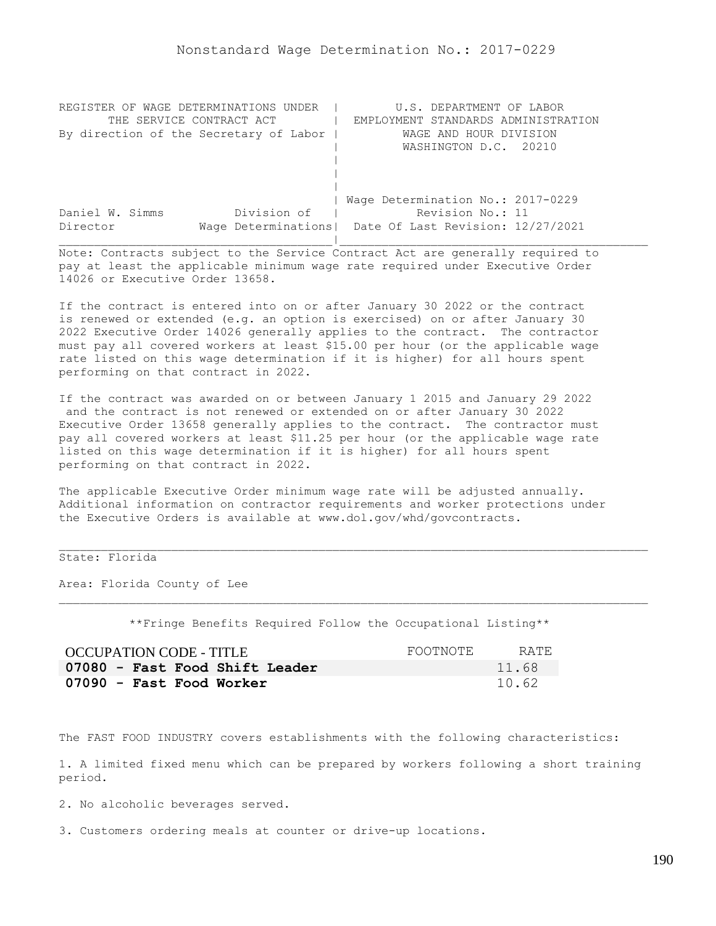| REGISTER OF WAGE DETERMINATIONS UNDER  | U.S. DEPARTMENT OF LABOR                                |
|----------------------------------------|---------------------------------------------------------|
| THE SERVICE CONTRACT ACT               | EMPLOYMENT STANDARDS ADMINISTRATION                     |
| By direction of the Secretary of Labor | WAGE AND HOUR DIVISION                                  |
|                                        | WASHINGTON D.C. 20210                                   |
|                                        |                                                         |
|                                        |                                                         |
|                                        |                                                         |
|                                        | Wage Determination No.: 2017-0229                       |
| Division of<br>Daniel W. Simms         | Revision No.: 11                                        |
| Director                               | Wage Determinations   Date Of Last Revision: 12/27/2021 |
|                                        |                                                         |

If the contract is entered into on or after January 30 2022 or the contract is renewed or extended (e.g. an option is exercised) on or after January 30 2022 Executive Order 14026 generally applies to the contract. The contractor must pay all covered workers at least \$15.00 per hour (or the applicable wage rate listed on this wage determination if it is higher) for all hours spent performing on that contract in 2022.

If the contract was awarded on or between January 1 2015 and January 29 2022 and the contract is not renewed or extended on or after January 30 2022 Executive Order 13658 generally applies to the contract. The contractor must pay all covered workers at least \$11.25 per hour (or the applicable wage rate listed on this wage determination if it is higher) for all hours spent performing on that contract in 2022.

The applicable Executive Order minimum wage rate will be adjusted annually. Additional information on contractor requirements and worker protections under the Executive Orders is available at www.dol.gov/whd/govcontracts.

## State: Florida

Area: Florida County of Lee

\*\*Fringe Benefits Required Follow the Occupational Listing\*\*

| OCCUPATION CODE - TITLE        | FOOTNOTE | RATE. |
|--------------------------------|----------|-------|
| 07080 - Fast Food Shift Leader |          | 11.68 |
| 07090 - Fast Food Worker       |          | 10.62 |

The FAST FOOD INDUSTRY covers establishments with the following characteristics:

1. A limited fixed menu which can be prepared by workers following a short training period.

2. No alcoholic beverages served.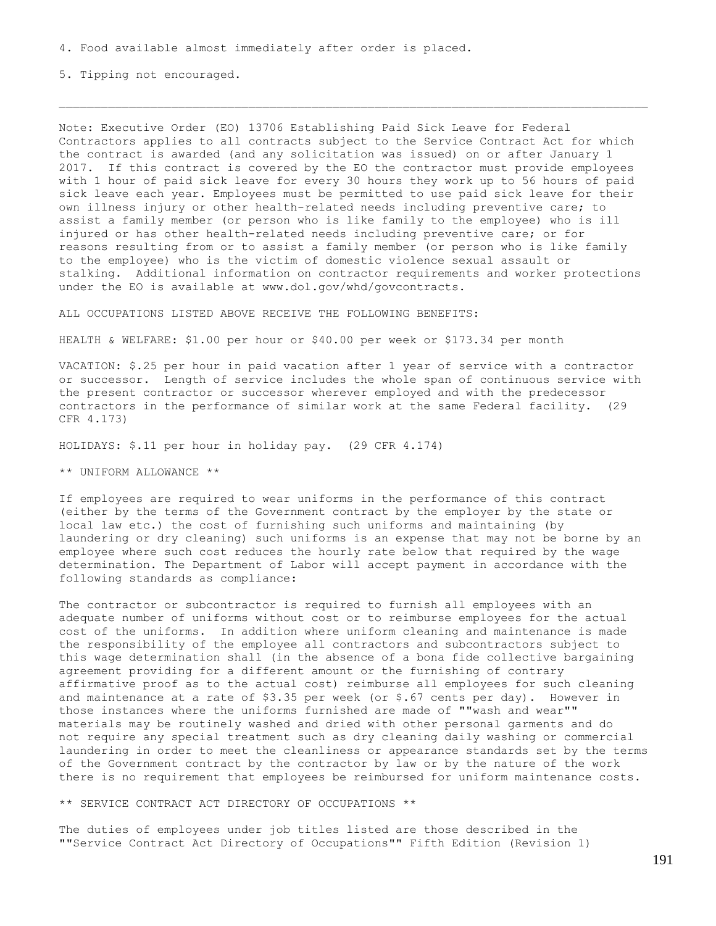5. Tipping not encouraged.

Note: Executive Order (EO) 13706 Establishing Paid Sick Leave for Federal Contractors applies to all contracts subject to the Service Contract Act for which the contract is awarded (and any solicitation was issued) on or after January 1 2017. If this contract is covered by the EO the contractor must provide employees with 1 hour of paid sick leave for every 30 hours they work up to 56 hours of paid sick leave each year. Employees must be permitted to use paid sick leave for their own illness injury or other health-related needs including preventive care; to assist a family member (or person who is like family to the employee) who is ill injured or has other health-related needs including preventive care; or for reasons resulting from or to assist a family member (or person who is like family to the employee) who is the victim of domestic violence sexual assault or stalking. Additional information on contractor requirements and worker protections under the EO is available at www.dol.gov/whd/govcontracts.

ALL OCCUPATIONS LISTED ABOVE RECEIVE THE FOLLOWING BENEFITS:

HEALTH & WELFARE: \$1.00 per hour or \$40.00 per week or \$173.34 per month

VACATION: \$.25 per hour in paid vacation after 1 year of service with a contractor or successor. Length of service includes the whole span of continuous service with the present contractor or successor wherever employed and with the predecessor contractors in the performance of similar work at the same Federal facility. (29 CFR 4.173)

HOLIDAYS: \$.11 per hour in holiday pay. (29 CFR 4.174)

\*\* UNIFORM ALLOWANCE \*\*

If employees are required to wear uniforms in the performance of this contract (either by the terms of the Government contract by the employer by the state or local law etc.) the cost of furnishing such uniforms and maintaining (by laundering or dry cleaning) such uniforms is an expense that may not be borne by an employee where such cost reduces the hourly rate below that required by the wage determination. The Department of Labor will accept payment in accordance with the following standards as compliance:

The contractor or subcontractor is required to furnish all employees with an adequate number of uniforms without cost or to reimburse employees for the actual cost of the uniforms. In addition where uniform cleaning and maintenance is made the responsibility of the employee all contractors and subcontractors subject to this wage determination shall (in the absence of a bona fide collective bargaining agreement providing for a different amount or the furnishing of contrary affirmative proof as to the actual cost) reimburse all employees for such cleaning and maintenance at a rate of \$3.35 per week (or \$.67 cents per day). However in those instances where the uniforms furnished are made of ""wash and wear"" materials may be routinely washed and dried with other personal garments and do not require any special treatment such as dry cleaning daily washing or commercial laundering in order to meet the cleanliness or appearance standards set by the terms of the Government contract by the contractor by law or by the nature of the work there is no requirement that employees be reimbursed for uniform maintenance costs.

\*\* SERVICE CONTRACT ACT DIRECTORY OF OCCUPATIONS \*\*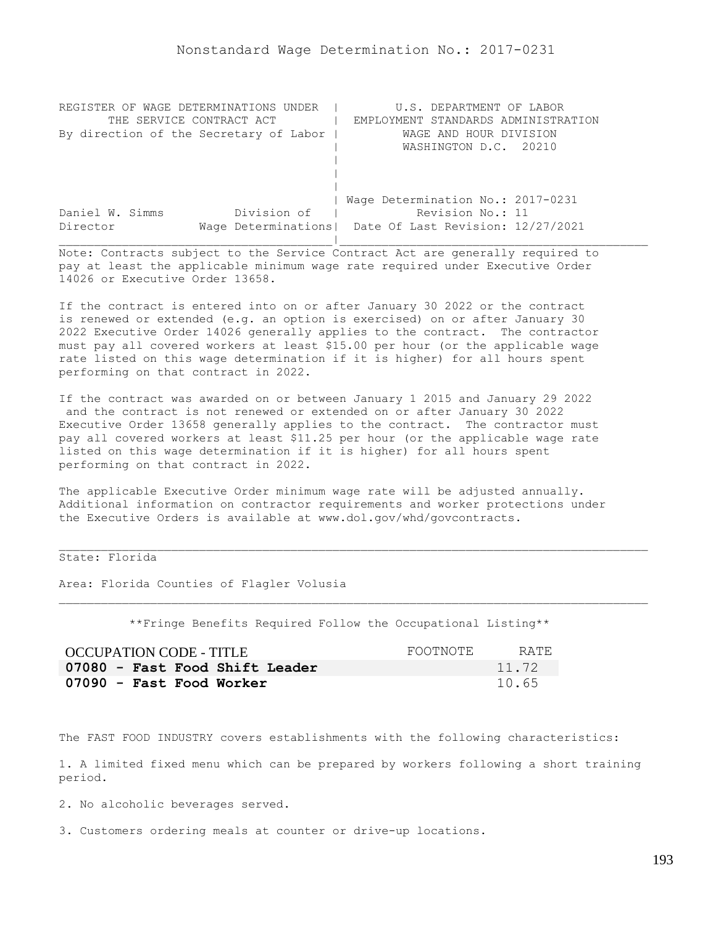| REGISTER OF WAGE DETERMINATIONS UNDER  | U.S. DEPARTMENT OF LABOR                                |
|----------------------------------------|---------------------------------------------------------|
| THE SERVICE CONTRACT ACT               | EMPLOYMENT STANDARDS ADMINISTRATION                     |
| By direction of the Secretary of Labor | WAGE AND HOUR DIVISION                                  |
|                                        | WASHINGTON D.C. 20210                                   |
|                                        |                                                         |
|                                        |                                                         |
|                                        |                                                         |
|                                        | Wage Determination No.: 2017-0231                       |
| Division of<br>Daniel W. Simms         | Revision No.: 11                                        |
| Director                               | Wage Determinations   Date Of Last Revision: 12/27/2021 |
|                                        |                                                         |

If the contract is entered into on or after January 30 2022 or the contract is renewed or extended (e.g. an option is exercised) on or after January 30 2022 Executive Order 14026 generally applies to the contract. The contractor must pay all covered workers at least \$15.00 per hour (or the applicable wage rate listed on this wage determination if it is higher) for all hours spent performing on that contract in 2022.

If the contract was awarded on or between January 1 2015 and January 29 2022 and the contract is not renewed or extended on or after January 30 2022 Executive Order 13658 generally applies to the contract. The contractor must pay all covered workers at least \$11.25 per hour (or the applicable wage rate listed on this wage determination if it is higher) for all hours spent performing on that contract in 2022.

The applicable Executive Order minimum wage rate will be adjusted annually. Additional information on contractor requirements and worker protections under the Executive Orders is available at www.dol.gov/whd/govcontracts.

## State: Florida

Area: Florida Counties of Flagler Volusia

\*\*Fringe Benefits Required Follow the Occupational Listing\*\*

| OCCUPATION CODE - TITLE        | FOOTNOTE | RATE  |
|--------------------------------|----------|-------|
| 07080 - Fast Food Shift Leader |          | 11.72 |
| 07090 - Fast Food Worker       |          | 10.65 |

The FAST FOOD INDUSTRY covers establishments with the following characteristics:

1. A limited fixed menu which can be prepared by workers following a short training period.

2. No alcoholic beverages served.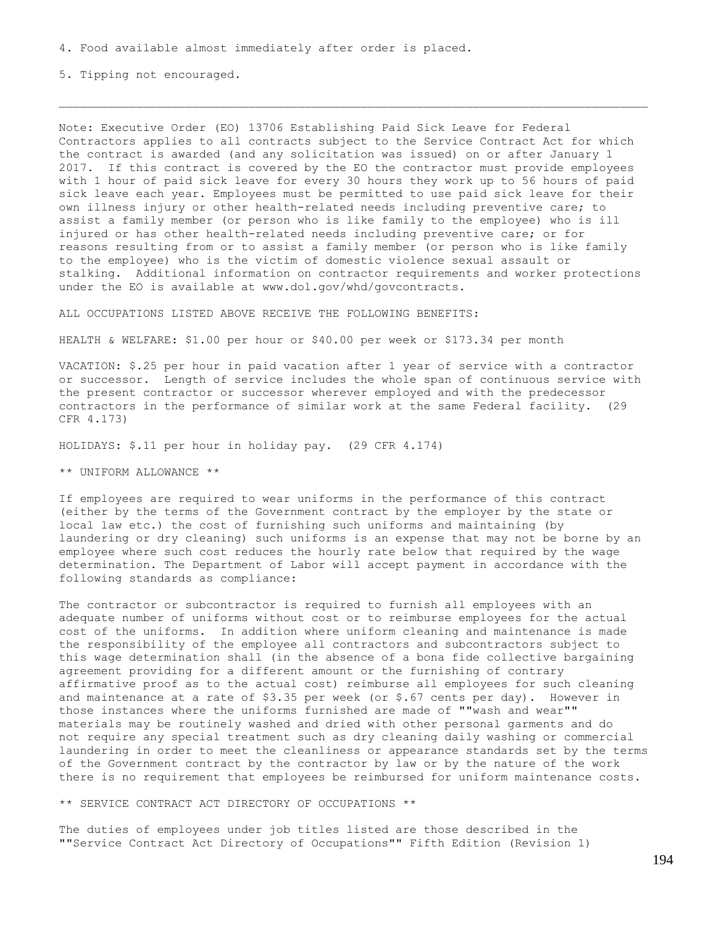5. Tipping not encouraged.

Note: Executive Order (EO) 13706 Establishing Paid Sick Leave for Federal Contractors applies to all contracts subject to the Service Contract Act for which the contract is awarded (and any solicitation was issued) on or after January 1 2017. If this contract is covered by the EO the contractor must provide employees with 1 hour of paid sick leave for every 30 hours they work up to 56 hours of paid sick leave each year. Employees must be permitted to use paid sick leave for their own illness injury or other health-related needs including preventive care; to assist a family member (or person who is like family to the employee) who is ill injured or has other health-related needs including preventive care; or for reasons resulting from or to assist a family member (or person who is like family to the employee) who is the victim of domestic violence sexual assault or stalking. Additional information on contractor requirements and worker protections under the EO is available at www.dol.gov/whd/govcontracts.

ALL OCCUPATIONS LISTED ABOVE RECEIVE THE FOLLOWING BENEFITS:

HEALTH & WELFARE: \$1.00 per hour or \$40.00 per week or \$173.34 per month

VACATION: \$.25 per hour in paid vacation after 1 year of service with a contractor or successor. Length of service includes the whole span of continuous service with the present contractor or successor wherever employed and with the predecessor contractors in the performance of similar work at the same Federal facility. (29 CFR 4.173)

HOLIDAYS: \$.11 per hour in holiday pay. (29 CFR 4.174)

\*\* UNIFORM ALLOWANCE \*\*

If employees are required to wear uniforms in the performance of this contract (either by the terms of the Government contract by the employer by the state or local law etc.) the cost of furnishing such uniforms and maintaining (by laundering or dry cleaning) such uniforms is an expense that may not be borne by an employee where such cost reduces the hourly rate below that required by the wage determination. The Department of Labor will accept payment in accordance with the following standards as compliance:

The contractor or subcontractor is required to furnish all employees with an adequate number of uniforms without cost or to reimburse employees for the actual cost of the uniforms. In addition where uniform cleaning and maintenance is made the responsibility of the employee all contractors and subcontractors subject to this wage determination shall (in the absence of a bona fide collective bargaining agreement providing for a different amount or the furnishing of contrary affirmative proof as to the actual cost) reimburse all employees for such cleaning and maintenance at a rate of \$3.35 per week (or \$.67 cents per day). However in those instances where the uniforms furnished are made of ""wash and wear"" materials may be routinely washed and dried with other personal garments and do not require any special treatment such as dry cleaning daily washing or commercial laundering in order to meet the cleanliness or appearance standards set by the terms of the Government contract by the contractor by law or by the nature of the work there is no requirement that employees be reimbursed for uniform maintenance costs.

\*\* SERVICE CONTRACT ACT DIRECTORY OF OCCUPATIONS \*\*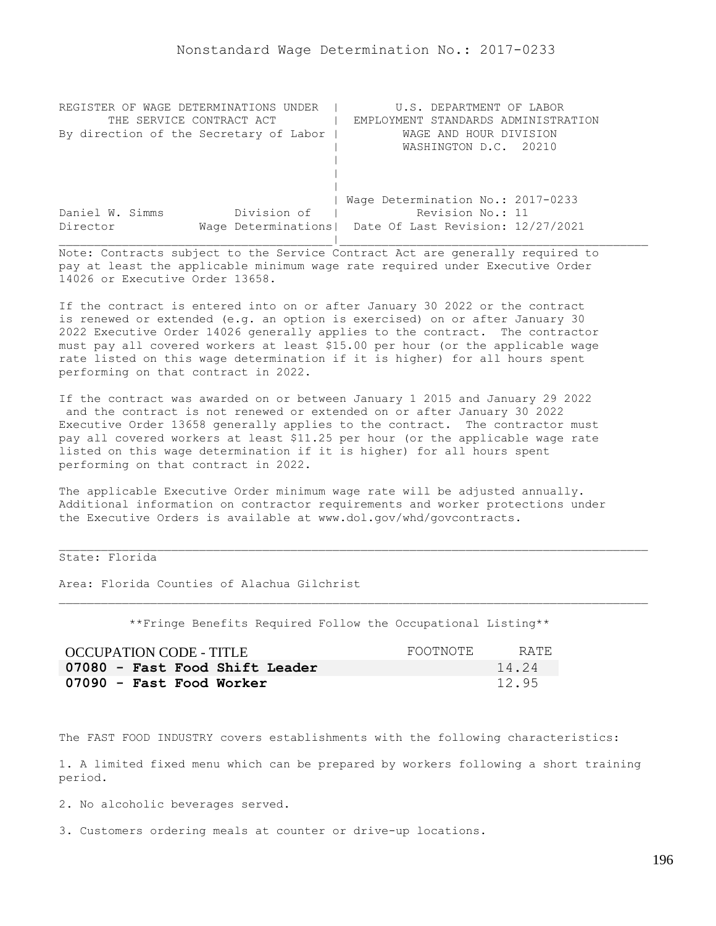| REGISTER OF WAGE DETERMINATIONS UNDER  | U.S. DEPARTMENT OF LABOR                                |
|----------------------------------------|---------------------------------------------------------|
| THE SERVICE CONTRACT ACT               | EMPLOYMENT STANDARDS ADMINISTRATION                     |
| By direction of the Secretary of Labor | WAGE AND HOUR DIVISION                                  |
|                                        | WASHINGTON D.C. 20210                                   |
|                                        |                                                         |
|                                        |                                                         |
|                                        |                                                         |
|                                        | Wage Determination No.: 2017-0233                       |
| Division of<br>Daniel W. Simms         | Revision No.: 11                                        |
| Director                               | Wage Determinations   Date Of Last Revision: 12/27/2021 |
|                                        |                                                         |

If the contract is entered into on or after January 30 2022 or the contract is renewed or extended (e.g. an option is exercised) on or after January 30 2022 Executive Order 14026 generally applies to the contract. The contractor must pay all covered workers at least \$15.00 per hour (or the applicable wage rate listed on this wage determination if it is higher) for all hours spent performing on that contract in 2022.

If the contract was awarded on or between January 1 2015 and January 29 2022 and the contract is not renewed or extended on or after January 30 2022 Executive Order 13658 generally applies to the contract. The contractor must pay all covered workers at least \$11.25 per hour (or the applicable wage rate listed on this wage determination if it is higher) for all hours spent performing on that contract in 2022.

The applicable Executive Order minimum wage rate will be adjusted annually. Additional information on contractor requirements and worker protections under the Executive Orders is available at www.dol.gov/whd/govcontracts.

# State: Florida

Area: Florida Counties of Alachua Gilchrist

\*\*Fringe Benefits Required Follow the Occupational Listing\*\*

| OCCUPATION CODE - TITLE        | FOOTNOTE | RATE. |
|--------------------------------|----------|-------|
| 07080 - Fast Food Shift Leader |          | 14.24 |
| 07090 - Fast Food Worker       |          | 12.95 |

The FAST FOOD INDUSTRY covers establishments with the following characteristics:

1. A limited fixed menu which can be prepared by workers following a short training period.

2. No alcoholic beverages served.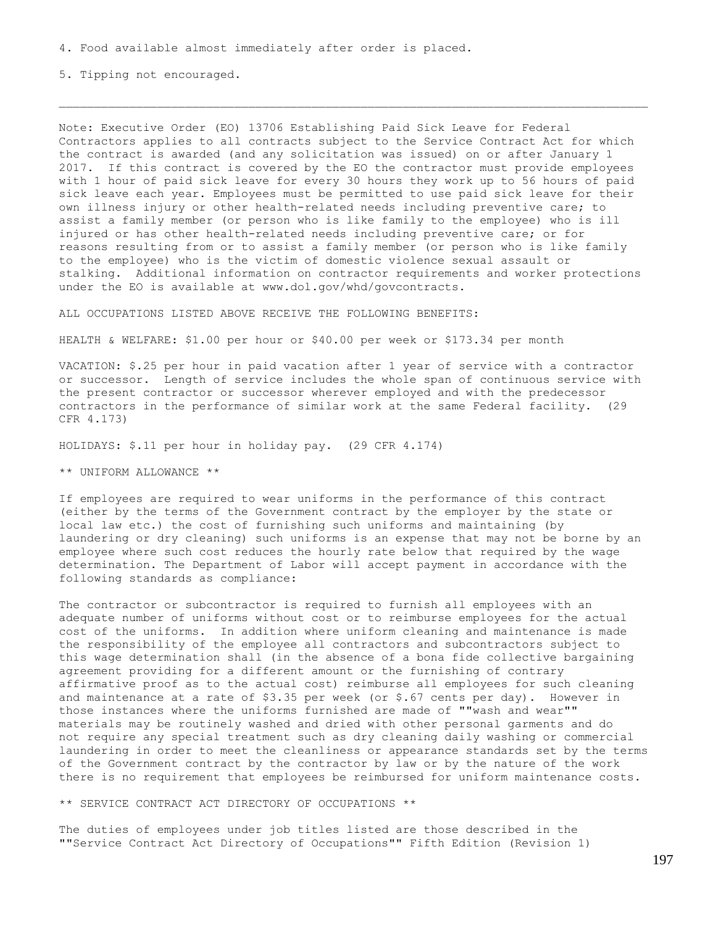5. Tipping not encouraged.

Note: Executive Order (EO) 13706 Establishing Paid Sick Leave for Federal Contractors applies to all contracts subject to the Service Contract Act for which the contract is awarded (and any solicitation was issued) on or after January 1 2017. If this contract is covered by the EO the contractor must provide employees with 1 hour of paid sick leave for every 30 hours they work up to 56 hours of paid sick leave each year. Employees must be permitted to use paid sick leave for their own illness injury or other health-related needs including preventive care; to assist a family member (or person who is like family to the employee) who is ill injured or has other health-related needs including preventive care; or for reasons resulting from or to assist a family member (or person who is like family to the employee) who is the victim of domestic violence sexual assault or stalking. Additional information on contractor requirements and worker protections under the EO is available at www.dol.gov/whd/govcontracts.

ALL OCCUPATIONS LISTED ABOVE RECEIVE THE FOLLOWING BENEFITS:

HEALTH & WELFARE: \$1.00 per hour or \$40.00 per week or \$173.34 per month

VACATION: \$.25 per hour in paid vacation after 1 year of service with a contractor or successor. Length of service includes the whole span of continuous service with the present contractor or successor wherever employed and with the predecessor contractors in the performance of similar work at the same Federal facility. (29 CFR 4.173)

HOLIDAYS: \$.11 per hour in holiday pay. (29 CFR 4.174)

\*\* UNIFORM ALLOWANCE \*\*

If employees are required to wear uniforms in the performance of this contract (either by the terms of the Government contract by the employer by the state or local law etc.) the cost of furnishing such uniforms and maintaining (by laundering or dry cleaning) such uniforms is an expense that may not be borne by an employee where such cost reduces the hourly rate below that required by the wage determination. The Department of Labor will accept payment in accordance with the following standards as compliance:

The contractor or subcontractor is required to furnish all employees with an adequate number of uniforms without cost or to reimburse employees for the actual cost of the uniforms. In addition where uniform cleaning and maintenance is made the responsibility of the employee all contractors and subcontractors subject to this wage determination shall (in the absence of a bona fide collective bargaining agreement providing for a different amount or the furnishing of contrary affirmative proof as to the actual cost) reimburse all employees for such cleaning and maintenance at a rate of  $$3.35$  per week (or  $$.67$  cents per day). However in those instances where the uniforms furnished are made of ""wash and wear"" materials may be routinely washed and dried with other personal garments and do not require any special treatment such as dry cleaning daily washing or commercial laundering in order to meet the cleanliness or appearance standards set by the terms of the Government contract by the contractor by law or by the nature of the work there is no requirement that employees be reimbursed for uniform maintenance costs.

\*\* SERVICE CONTRACT ACT DIRECTORY OF OCCUPATIONS \*\*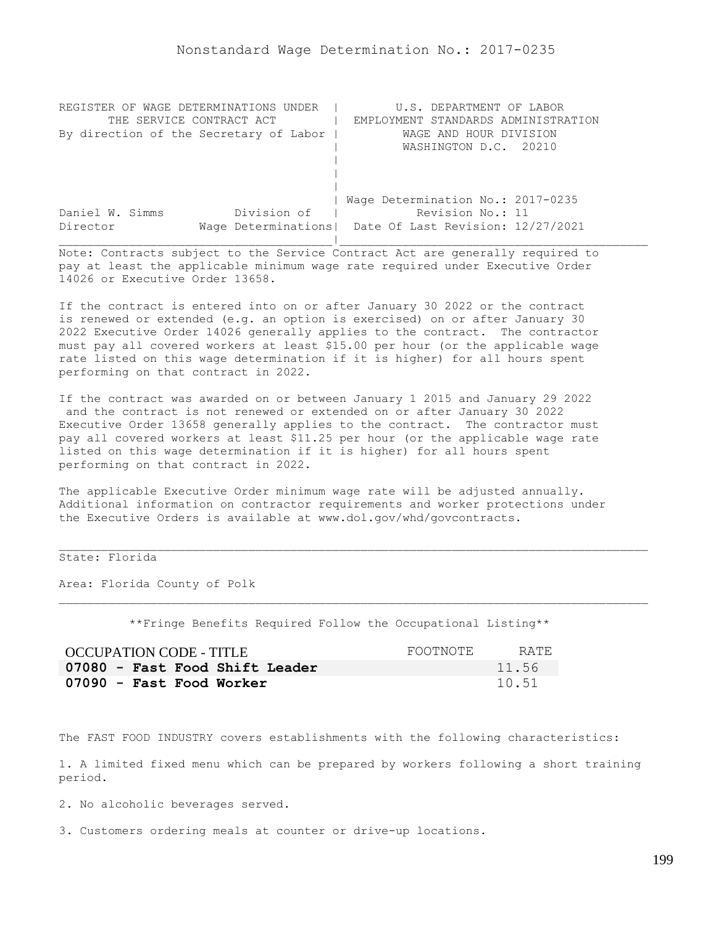| REGISTER OF WAGE DETERMINATIONS UNDER  | U.S. DEPARTMENT OF LABOR                                |
|----------------------------------------|---------------------------------------------------------|
| THE SERVICE CONTRACT ACT               | EMPLOYMENT STANDARDS ADMINISTRATION                     |
| By direction of the Secretary of Labor | WAGE AND HOUR DIVISION                                  |
|                                        | WASHINGTON D.C. 20210                                   |
|                                        |                                                         |
|                                        |                                                         |
|                                        |                                                         |
|                                        | Wage Determination No.: 2017-0235                       |
| Division of<br>Daniel W. Simms         | Revision No.: 11                                        |
| Director                               | Wage Determinations   Date Of Last Revision: 12/27/2021 |
|                                        |                                                         |

If the contract is entered into on or after January 30 2022 or the contract is renewed or extended (e.g. an option is exercised) on or after January 30 2022 Executive Order 14026 generally applies to the contract. The contractor must pay all covered workers at least \$15.00 per hour (or the applicable wage rate listed on this wage determination if it is higher) for all hours spent performing on that contract in 2022.

If the contract was awarded on or between January 1 2015 and January 29 2022 and the contract is not renewed or extended on or after January 30 2022 Executive Order 13658 generally applies to the contract. The contractor must pay all covered workers at least \$11.25 per hour (or the applicable wage rate listed on this wage determination if it is higher) for all hours spent performing on that contract in 2022.

The applicable Executive Order minimum wage rate will be adjusted annually. Additional information on contractor requirements and worker protections under the Executive Orders is available at www.dol.gov/whd/govcontracts.

## State: Florida

Area: Florida County of Polk

\*\*Fringe Benefits Required Follow the Occupational Listing\*\*

| OCCUPATION CODE - TITLE        | FOOTNOTE | RATE  |
|--------------------------------|----------|-------|
| 07080 - Fast Food Shift Leader |          | 11.56 |
| 07090 - Fast Food Worker       |          | 10.51 |

The FAST FOOD INDUSTRY covers establishments with the following characteristics:

1. A limited fixed menu which can be prepared by workers following a short training period.

2. No alcoholic beverages served.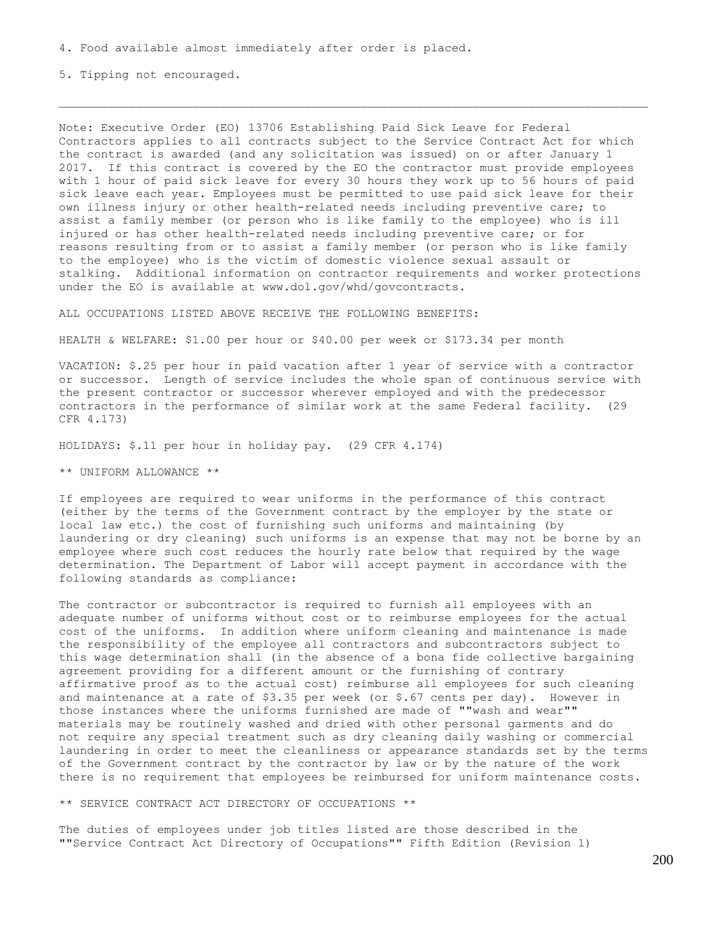5. Tipping not encouraged.

Note: Executive Order (EO) 13706 Establishing Paid Sick Leave for Federal Contractors applies to all contracts subject to the Service Contract Act for which the contract is awarded (and any solicitation was issued) on or after January 1 2017. If this contract is covered by the EO the contractor must provide employees with 1 hour of paid sick leave for every 30 hours they work up to 56 hours of paid sick leave each year. Employees must be permitted to use paid sick leave for their own illness injury or other health-related needs including preventive care; to assist a family member (or person who is like family to the employee) who is ill injured or has other health-related needs including preventive care; or for reasons resulting from or to assist a family member (or person who is like family to the employee) who is the victim of domestic violence sexual assault or stalking. Additional information on contractor requirements and worker protections under the EO is available at www.dol.gov/whd/govcontracts.

ALL OCCUPATIONS LISTED ABOVE RECEIVE THE FOLLOWING BENEFITS:

HEALTH & WELFARE: \$1.00 per hour or \$40.00 per week or \$173.34 per month

VACATION: \$.25 per hour in paid vacation after 1 year of service with a contractor or successor. Length of service includes the whole span of continuous service with the present contractor or successor wherever employed and with the predecessor contractors in the performance of similar work at the same Federal facility. (29 CFR 4.173)

HOLIDAYS: \$.11 per hour in holiday pay. (29 CFR 4.174)

\*\* UNIFORM ALLOWANCE \*\*

If employees are required to wear uniforms in the performance of this contract (either by the terms of the Government contract by the employer by the state or local law etc.) the cost of furnishing such uniforms and maintaining (by laundering or dry cleaning) such uniforms is an expense that may not be borne by an employee where such cost reduces the hourly rate below that required by the wage determination. The Department of Labor will accept payment in accordance with the following standards as compliance:

The contractor or subcontractor is required to furnish all employees with an adequate number of uniforms without cost or to reimburse employees for the actual cost of the uniforms. In addition where uniform cleaning and maintenance is made the responsibility of the employee all contractors and subcontractors subject to this wage determination shall (in the absence of a bona fide collective bargaining agreement providing for a different amount or the furnishing of contrary affirmative proof as to the actual cost) reimburse all employees for such cleaning and maintenance at a rate of \$3.35 per week (or \$.67 cents per day). However in those instances where the uniforms furnished are made of ""wash and wear"" materials may be routinely washed and dried with other personal garments and do not require any special treatment such as dry cleaning daily washing or commercial laundering in order to meet the cleanliness or appearance standards set by the terms of the Government contract by the contractor by law or by the nature of the work there is no requirement that employees be reimbursed for uniform maintenance costs.

\*\* SERVICE CONTRACT ACT DIRECTORY OF OCCUPATIONS \*\*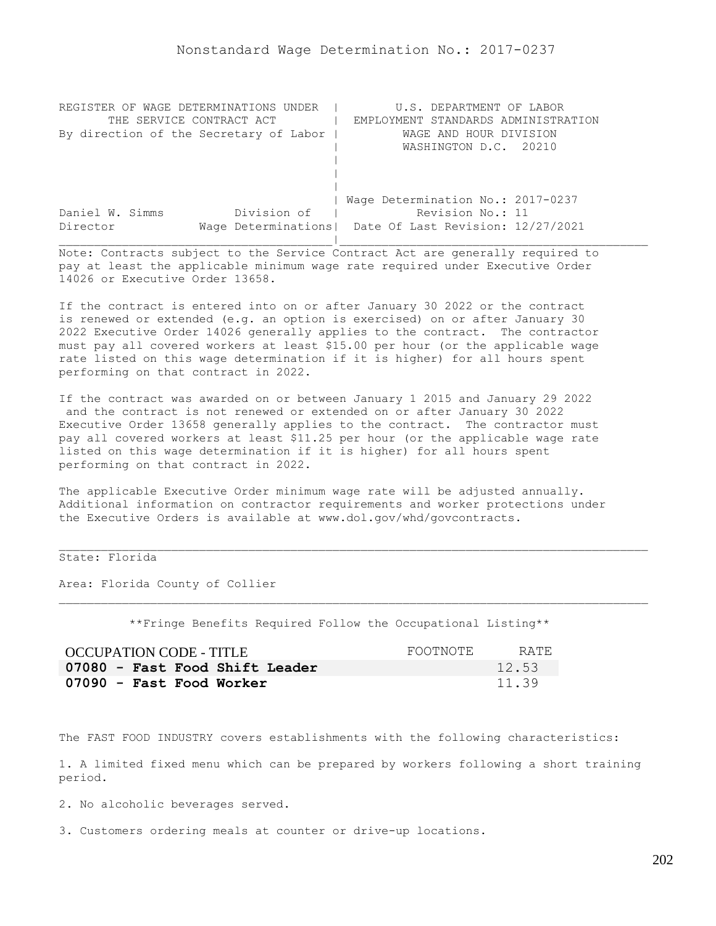| REGISTER OF WAGE DETERMINATIONS UNDER  | U.S. DEPARTMENT OF LABOR                                |
|----------------------------------------|---------------------------------------------------------|
| THE SERVICE CONTRACT ACT               | EMPLOYMENT STANDARDS ADMINISTRATION                     |
| By direction of the Secretary of Labor | WAGE AND HOUR DIVISION                                  |
|                                        | WASHINGTON D.C. 20210                                   |
|                                        |                                                         |
|                                        |                                                         |
|                                        |                                                         |
|                                        | Wage Determination No.: 2017-0237                       |
| Division of<br>Daniel W. Simms         | Revision No.: 11                                        |
| Director                               | Wage Determinations   Date Of Last Revision: 12/27/2021 |
|                                        |                                                         |

If the contract is entered into on or after January 30 2022 or the contract is renewed or extended (e.g. an option is exercised) on or after January 30 2022 Executive Order 14026 generally applies to the contract. The contractor must pay all covered workers at least \$15.00 per hour (or the applicable wage rate listed on this wage determination if it is higher) for all hours spent performing on that contract in 2022.

If the contract was awarded on or between January 1 2015 and January 29 2022 and the contract is not renewed or extended on or after January 30 2022 Executive Order 13658 generally applies to the contract. The contractor must pay all covered workers at least \$11.25 per hour (or the applicable wage rate listed on this wage determination if it is higher) for all hours spent performing on that contract in 2022.

The applicable Executive Order minimum wage rate will be adjusted annually. Additional information on contractor requirements and worker protections under the Executive Orders is available at www.dol.gov/whd/govcontracts.

# State: Florida

Area: Florida County of Collier

\*\*Fringe Benefits Required Follow the Occupational Listing\*\*

| <b>OCCUPATION CODE - TITLE</b> | FOOTNOTE | RATE. |
|--------------------------------|----------|-------|
| 07080 - Fast Food Shift Leader |          | 12.53 |
| 07090 - Fast Food Worker       |          | 11.39 |

The FAST FOOD INDUSTRY covers establishments with the following characteristics:

1. A limited fixed menu which can be prepared by workers following a short training period.

2. No alcoholic beverages served.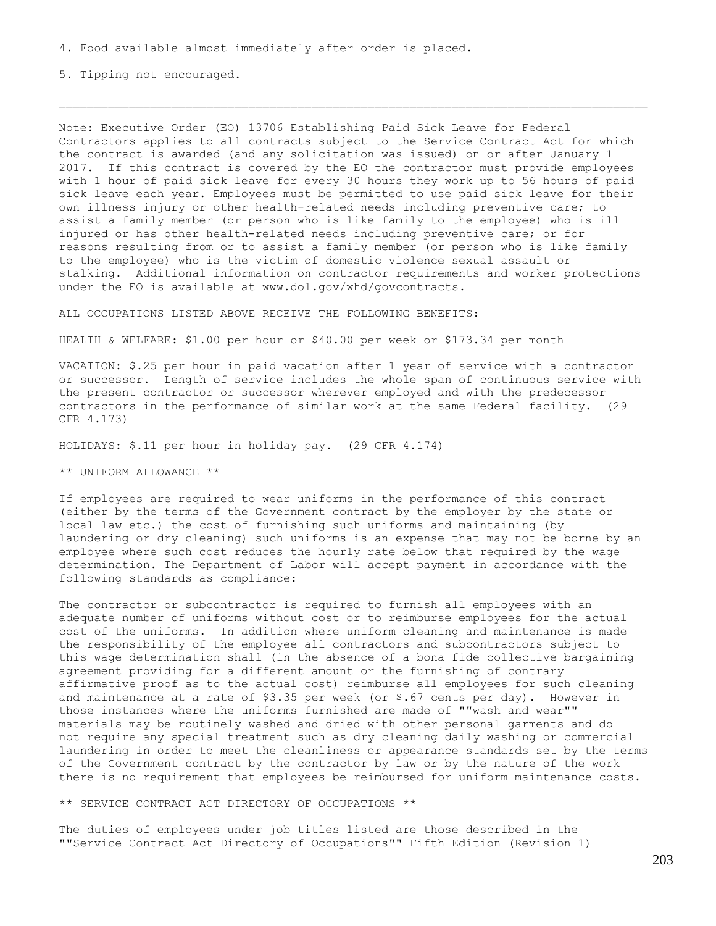5. Tipping not encouraged.

Note: Executive Order (EO) 13706 Establishing Paid Sick Leave for Federal Contractors applies to all contracts subject to the Service Contract Act for which the contract is awarded (and any solicitation was issued) on or after January 1 2017. If this contract is covered by the EO the contractor must provide employees with 1 hour of paid sick leave for every 30 hours they work up to 56 hours of paid sick leave each year. Employees must be permitted to use paid sick leave for their own illness injury or other health-related needs including preventive care; to assist a family member (or person who is like family to the employee) who is ill injured or has other health-related needs including preventive care; or for reasons resulting from or to assist a family member (or person who is like family to the employee) who is the victim of domestic violence sexual assault or stalking. Additional information on contractor requirements and worker protections under the EO is available at www.dol.gov/whd/govcontracts.

ALL OCCUPATIONS LISTED ABOVE RECEIVE THE FOLLOWING BENEFITS:

HEALTH & WELFARE: \$1.00 per hour or \$40.00 per week or \$173.34 per month

VACATION: \$.25 per hour in paid vacation after 1 year of service with a contractor or successor. Length of service includes the whole span of continuous service with the present contractor or successor wherever employed and with the predecessor contractors in the performance of similar work at the same Federal facility. (29 CFR 4.173)

HOLIDAYS: \$.11 per hour in holiday pay. (29 CFR 4.174)

\*\* UNIFORM ALLOWANCE \*\*

If employees are required to wear uniforms in the performance of this contract (either by the terms of the Government contract by the employer by the state or local law etc.) the cost of furnishing such uniforms and maintaining (by laundering or dry cleaning) such uniforms is an expense that may not be borne by an employee where such cost reduces the hourly rate below that required by the wage determination. The Department of Labor will accept payment in accordance with the following standards as compliance:

The contractor or subcontractor is required to furnish all employees with an adequate number of uniforms without cost or to reimburse employees for the actual cost of the uniforms. In addition where uniform cleaning and maintenance is made the responsibility of the employee all contractors and subcontractors subject to this wage determination shall (in the absence of a bona fide collective bargaining agreement providing for a different amount or the furnishing of contrary affirmative proof as to the actual cost) reimburse all employees for such cleaning and maintenance at a rate of \$3.35 per week (or \$.67 cents per day). However in those instances where the uniforms furnished are made of ""wash and wear"" materials may be routinely washed and dried with other personal garments and do not require any special treatment such as dry cleaning daily washing or commercial laundering in order to meet the cleanliness or appearance standards set by the terms of the Government contract by the contractor by law or by the nature of the work there is no requirement that employees be reimbursed for uniform maintenance costs.

\*\* SERVICE CONTRACT ACT DIRECTORY OF OCCUPATIONS \*\*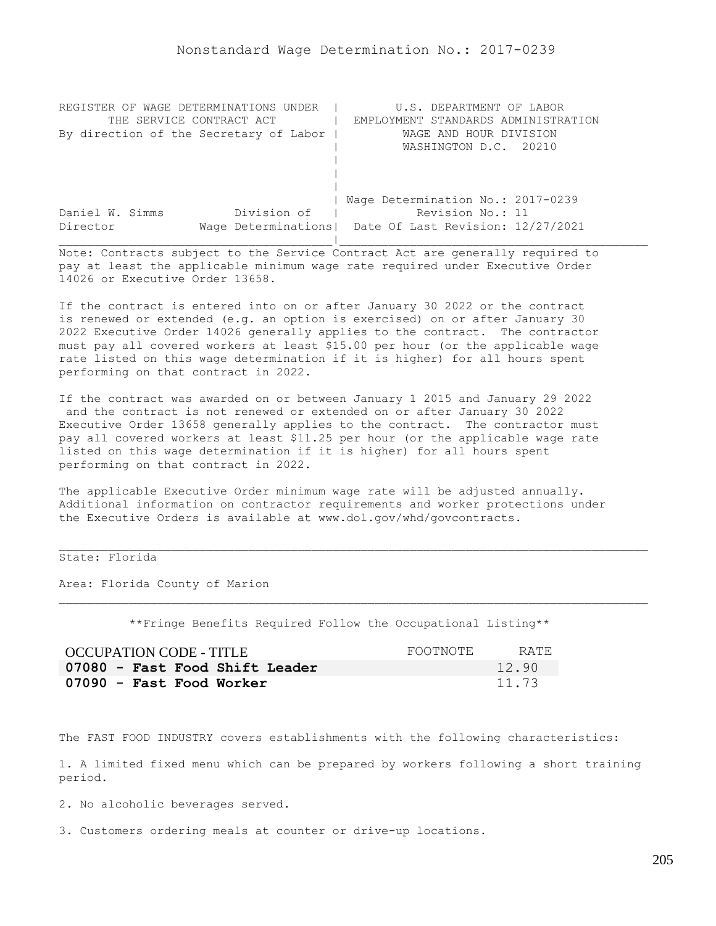| REGISTER OF WAGE DETERMINATIONS UNDER  | U.S. DEPARTMENT OF LABOR                                |
|----------------------------------------|---------------------------------------------------------|
| THE SERVICE CONTRACT ACT               | EMPLOYMENT STANDARDS ADMINISTRATION                     |
| By direction of the Secretary of Labor | WAGE AND HOUR DIVISION                                  |
|                                        | WASHINGTON D.C. 20210                                   |
|                                        |                                                         |
|                                        |                                                         |
|                                        |                                                         |
|                                        | Wage Determination No.: 2017-0239                       |
| Division of<br>Daniel W. Simms         | Revision No.: 11                                        |
| Director                               | Wage Determinations   Date Of Last Revision: 12/27/2021 |
|                                        |                                                         |

If the contract is entered into on or after January 30 2022 or the contract is renewed or extended (e.g. an option is exercised) on or after January 30 2022 Executive Order 14026 generally applies to the contract. The contractor must pay all covered workers at least \$15.00 per hour (or the applicable wage rate listed on this wage determination if it is higher) for all hours spent performing on that contract in 2022.

If the contract was awarded on or between January 1 2015 and January 29 2022 and the contract is not renewed or extended on or after January 30 2022 Executive Order 13658 generally applies to the contract. The contractor must pay all covered workers at least \$11.25 per hour (or the applicable wage rate listed on this wage determination if it is higher) for all hours spent performing on that contract in 2022.

The applicable Executive Order minimum wage rate will be adjusted annually. Additional information on contractor requirements and worker protections under the Executive Orders is available at www.dol.gov/whd/govcontracts.

# State: Florida

Area: Florida County of Marion

\*\*Fringe Benefits Required Follow the Occupational Listing\*\*

| <b>OCCUPATION CODE - TITLE</b> | FOOTNOTE | RATE. |
|--------------------------------|----------|-------|
| 07080 - Fast Food Shift Leader |          | 12.90 |
| 07090 - Fast Food Worker       |          | 11.73 |

The FAST FOOD INDUSTRY covers establishments with the following characteristics:

1. A limited fixed menu which can be prepared by workers following a short training period.

2. No alcoholic beverages served.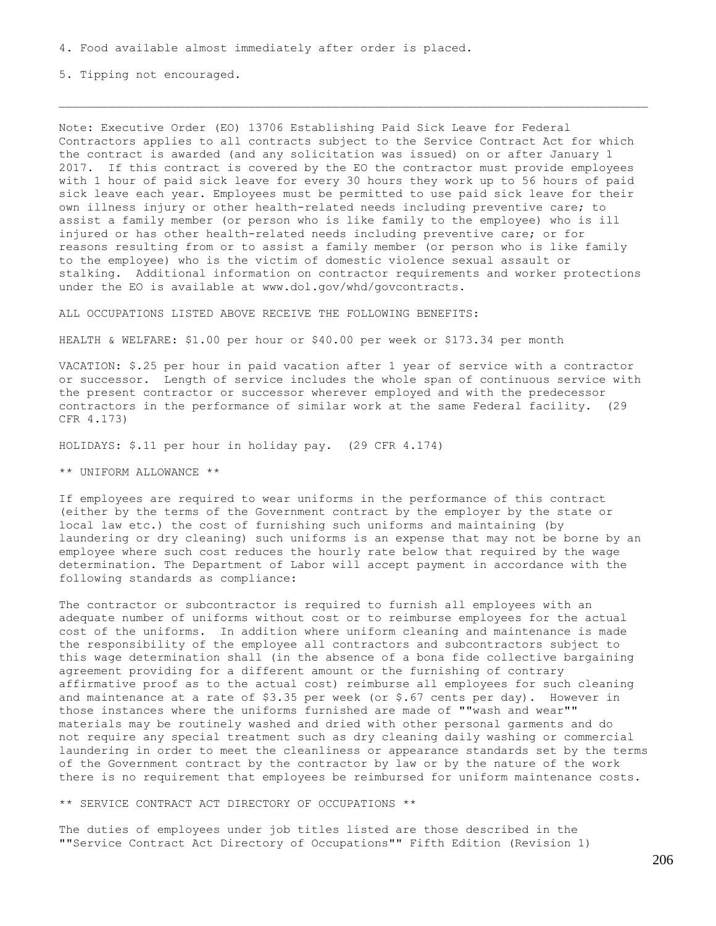5. Tipping not encouraged.

Note: Executive Order (EO) 13706 Establishing Paid Sick Leave for Federal Contractors applies to all contracts subject to the Service Contract Act for which the contract is awarded (and any solicitation was issued) on or after January 1 2017. If this contract is covered by the EO the contractor must provide employees with 1 hour of paid sick leave for every 30 hours they work up to 56 hours of paid sick leave each year. Employees must be permitted to use paid sick leave for their own illness injury or other health-related needs including preventive care; to assist a family member (or person who is like family to the employee) who is ill injured or has other health-related needs including preventive care; or for reasons resulting from or to assist a family member (or person who is like family to the employee) who is the victim of domestic violence sexual assault or stalking. Additional information on contractor requirements and worker protections under the EO is available at www.dol.gov/whd/govcontracts.

ALL OCCUPATIONS LISTED ABOVE RECEIVE THE FOLLOWING BENEFITS:

HEALTH & WELFARE: \$1.00 per hour or \$40.00 per week or \$173.34 per month

VACATION: \$.25 per hour in paid vacation after 1 year of service with a contractor or successor. Length of service includes the whole span of continuous service with the present contractor or successor wherever employed and with the predecessor contractors in the performance of similar work at the same Federal facility. (29 CFR 4.173)

HOLIDAYS: \$.11 per hour in holiday pay. (29 CFR 4.174)

\*\* UNIFORM ALLOWANCE \*\*

If employees are required to wear uniforms in the performance of this contract (either by the terms of the Government contract by the employer by the state or local law etc.) the cost of furnishing such uniforms and maintaining (by laundering or dry cleaning) such uniforms is an expense that may not be borne by an employee where such cost reduces the hourly rate below that required by the wage determination. The Department of Labor will accept payment in accordance with the following standards as compliance:

The contractor or subcontractor is required to furnish all employees with an adequate number of uniforms without cost or to reimburse employees for the actual cost of the uniforms. In addition where uniform cleaning and maintenance is made the responsibility of the employee all contractors and subcontractors subject to this wage determination shall (in the absence of a bona fide collective bargaining agreement providing for a different amount or the furnishing of contrary affirmative proof as to the actual cost) reimburse all employees for such cleaning and maintenance at a rate of \$3.35 per week (or \$.67 cents per day). However in those instances where the uniforms furnished are made of ""wash and wear"" materials may be routinely washed and dried with other personal garments and do not require any special treatment such as dry cleaning daily washing or commercial laundering in order to meet the cleanliness or appearance standards set by the terms of the Government contract by the contractor by law or by the nature of the work there is no requirement that employees be reimbursed for uniform maintenance costs.

\*\* SERVICE CONTRACT ACT DIRECTORY OF OCCUPATIONS \*\*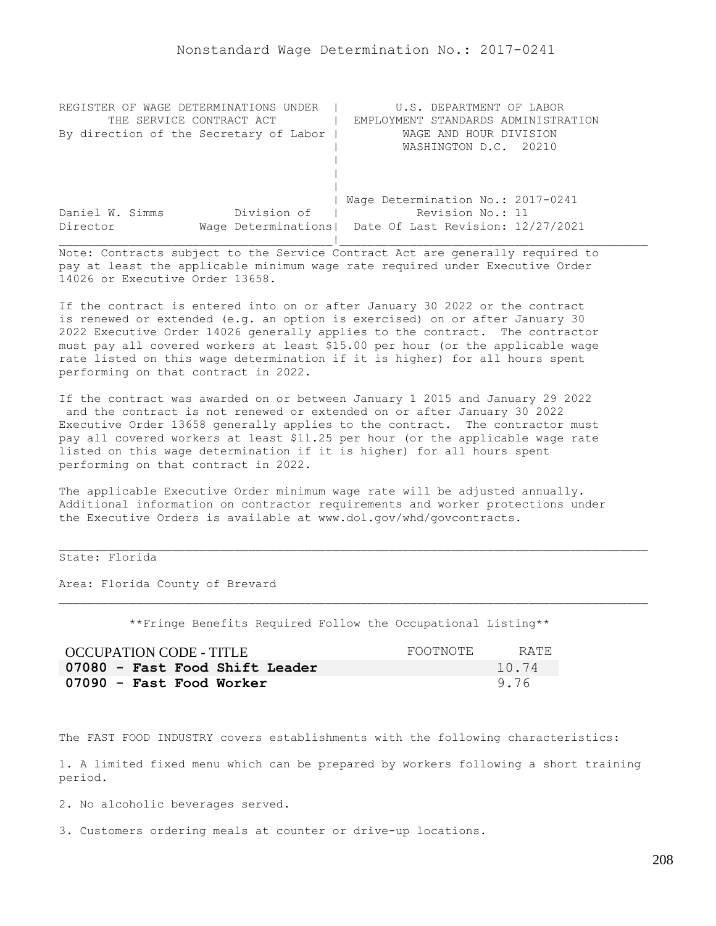| REGISTER OF WAGE DETERMINATIONS<br>UNDER | U.S. DEPARTMENT OF LABOR                                |
|------------------------------------------|---------------------------------------------------------|
| THE SERVICE CONTRACT ACT                 | EMPLOYMENT STANDARDS ADMINISTRATION                     |
| By direction of the Secretary of Labor   | WAGE AND HOUR DIVISION                                  |
|                                          | WASHINGTON D.C. 20210                                   |
|                                          |                                                         |
|                                          |                                                         |
|                                          |                                                         |
|                                          | Wage Determination No.: 2017-0241                       |
| Division of<br>Daniel W. Simms           | Revision No.: 11                                        |
| Director                                 | Wage Determinations   Date Of Last Revision: 12/27/2021 |
|                                          |                                                         |

If the contract is entered into on or after January 30 2022 or the contract is renewed or extended (e.g. an option is exercised) on or after January 30 2022 Executive Order 14026 generally applies to the contract. The contractor must pay all covered workers at least \$15.00 per hour (or the applicable wage rate listed on this wage determination if it is higher) for all hours spent performing on that contract in 2022.

If the contract was awarded on or between January 1 2015 and January 29 2022 and the contract is not renewed or extended on or after January 30 2022 Executive Order 13658 generally applies to the contract. The contractor must pay all covered workers at least \$11.25 per hour (or the applicable wage rate listed on this wage determination if it is higher) for all hours spent performing on that contract in 2022.

The applicable Executive Order minimum wage rate will be adjusted annually. Additional information on contractor requirements and worker protections under the Executive Orders is available at www.dol.gov/whd/govcontracts.

## State: Florida

Area: Florida County of Brevard

\*\*Fringe Benefits Required Follow the Occupational Listing\*\*

| OCCUPATION CODE - TITLE        | FOOTNOTE | RATE. |
|--------------------------------|----------|-------|
| 07080 - Fast Food Shift Leader |          | 10.74 |
| 07090 - Fast Food Worker       |          | 9.76  |

The FAST FOOD INDUSTRY covers establishments with the following characteristics:

1. A limited fixed menu which can be prepared by workers following a short training period.

2. No alcoholic beverages served.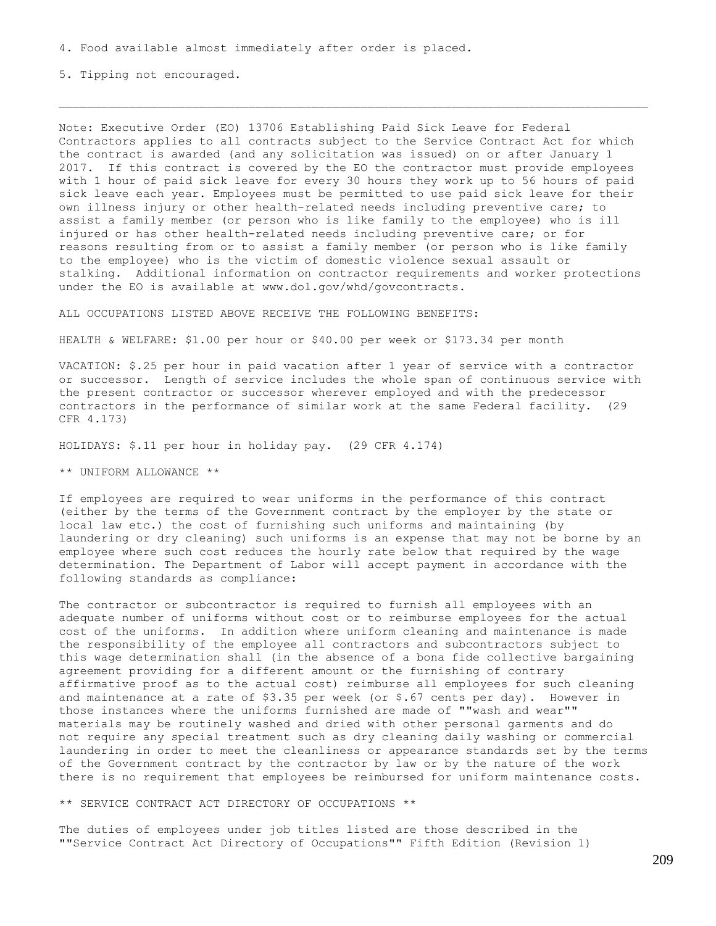5. Tipping not encouraged.

Note: Executive Order (EO) 13706 Establishing Paid Sick Leave for Federal Contractors applies to all contracts subject to the Service Contract Act for which the contract is awarded (and any solicitation was issued) on or after January 1 2017. If this contract is covered by the EO the contractor must provide employees with 1 hour of paid sick leave for every 30 hours they work up to 56 hours of paid sick leave each year. Employees must be permitted to use paid sick leave for their own illness injury or other health-related needs including preventive care; to assist a family member (or person who is like family to the employee) who is ill injured or has other health-related needs including preventive care; or for reasons resulting from or to assist a family member (or person who is like family to the employee) who is the victim of domestic violence sexual assault or stalking. Additional information on contractor requirements and worker protections under the EO is available at www.dol.gov/whd/govcontracts.

ALL OCCUPATIONS LISTED ABOVE RECEIVE THE FOLLOWING BENEFITS:

HEALTH & WELFARE: \$1.00 per hour or \$40.00 per week or \$173.34 per month

VACATION: \$.25 per hour in paid vacation after 1 year of service with a contractor or successor. Length of service includes the whole span of continuous service with the present contractor or successor wherever employed and with the predecessor contractors in the performance of similar work at the same Federal facility. (29 CFR 4.173)

HOLIDAYS: \$.11 per hour in holiday pay. (29 CFR 4.174)

\*\* UNIFORM ALLOWANCE \*\*

If employees are required to wear uniforms in the performance of this contract (either by the terms of the Government contract by the employer by the state or local law etc.) the cost of furnishing such uniforms and maintaining (by laundering or dry cleaning) such uniforms is an expense that may not be borne by an employee where such cost reduces the hourly rate below that required by the wage determination. The Department of Labor will accept payment in accordance with the following standards as compliance:

The contractor or subcontractor is required to furnish all employees with an adequate number of uniforms without cost or to reimburse employees for the actual cost of the uniforms. In addition where uniform cleaning and maintenance is made the responsibility of the employee all contractors and subcontractors subject to this wage determination shall (in the absence of a bona fide collective bargaining agreement providing for a different amount or the furnishing of contrary affirmative proof as to the actual cost) reimburse all employees for such cleaning and maintenance at a rate of \$3.35 per week (or \$.67 cents per day). However in those instances where the uniforms furnished are made of ""wash and wear"" materials may be routinely washed and dried with other personal garments and do not require any special treatment such as dry cleaning daily washing or commercial laundering in order to meet the cleanliness or appearance standards set by the terms of the Government contract by the contractor by law or by the nature of the work there is no requirement that employees be reimbursed for uniform maintenance costs.

\*\* SERVICE CONTRACT ACT DIRECTORY OF OCCUPATIONS \*\*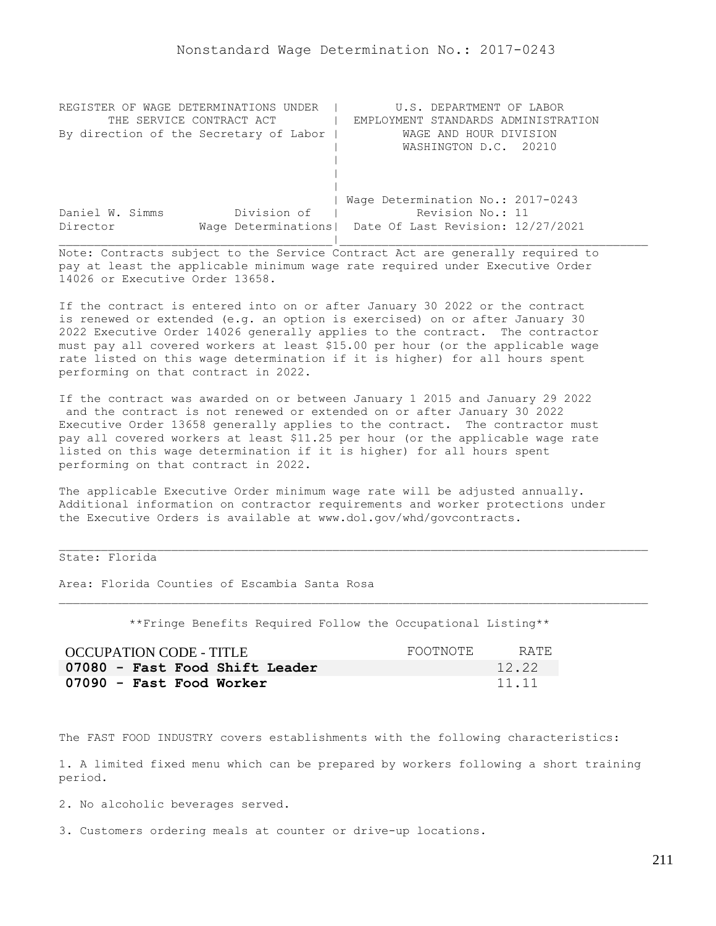| REGISTER OF WAGE DETERMINATIONS UNDER  | U.S. DEPARTMENT OF LABOR                                |
|----------------------------------------|---------------------------------------------------------|
| THE SERVICE CONTRACT ACT               | EMPLOYMENT STANDARDS ADMINISTRATION                     |
| By direction of the Secretary of Labor | WAGE AND HOUR DIVISION                                  |
|                                        | WASHINGTON D.C. 20210                                   |
|                                        |                                                         |
|                                        |                                                         |
|                                        |                                                         |
|                                        | Wage Determination No.: 2017-0243                       |
| Division of<br>Daniel W. Simms         | Revision No.: 11                                        |
| Director                               | Wage Determinations   Date Of Last Revision: 12/27/2021 |
|                                        |                                                         |

If the contract is entered into on or after January 30 2022 or the contract is renewed or extended (e.g. an option is exercised) on or after January 30 2022 Executive Order 14026 generally applies to the contract. The contractor must pay all covered workers at least \$15.00 per hour (or the applicable wage rate listed on this wage determination if it is higher) for all hours spent performing on that contract in 2022.

If the contract was awarded on or between January 1 2015 and January 29 2022 and the contract is not renewed or extended on or after January 30 2022 Executive Order 13658 generally applies to the contract. The contractor must pay all covered workers at least \$11.25 per hour (or the applicable wage rate listed on this wage determination if it is higher) for all hours spent performing on that contract in 2022.

The applicable Executive Order minimum wage rate will be adjusted annually. Additional information on contractor requirements and worker protections under the Executive Orders is available at www.dol.gov/whd/govcontracts.

## State: Florida

Area: Florida Counties of Escambia Santa Rosa

\*\*Fringe Benefits Required Follow the Occupational Listing\*\*

| OCCUPATION CODE - TITLE        | FOOTNOTE | RATE. |
|--------------------------------|----------|-------|
| 07080 - Fast Food Shift Leader |          | 12.22 |
| 07090 - Fast Food Worker       |          | 11.11 |

The FAST FOOD INDUSTRY covers establishments with the following characteristics:

1. A limited fixed menu which can be prepared by workers following a short training period.

2. No alcoholic beverages served.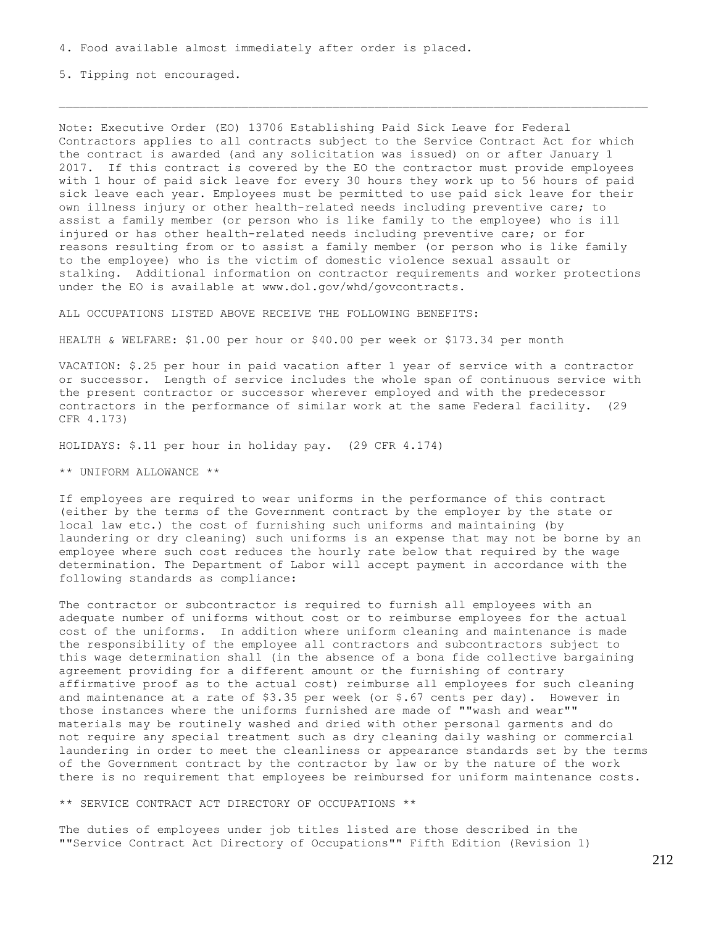5. Tipping not encouraged.

Note: Executive Order (EO) 13706 Establishing Paid Sick Leave for Federal Contractors applies to all contracts subject to the Service Contract Act for which the contract is awarded (and any solicitation was issued) on or after January 1 2017. If this contract is covered by the EO the contractor must provide employees with 1 hour of paid sick leave for every 30 hours they work up to 56 hours of paid sick leave each year. Employees must be permitted to use paid sick leave for their own illness injury or other health-related needs including preventive care; to assist a family member (or person who is like family to the employee) who is ill injured or has other health-related needs including preventive care; or for reasons resulting from or to assist a family member (or person who is like family to the employee) who is the victim of domestic violence sexual assault or stalking. Additional information on contractor requirements and worker protections under the EO is available at www.dol.gov/whd/govcontracts.

ALL OCCUPATIONS LISTED ABOVE RECEIVE THE FOLLOWING BENEFITS:

HEALTH & WELFARE: \$1.00 per hour or \$40.00 per week or \$173.34 per month

VACATION: \$.25 per hour in paid vacation after 1 year of service with a contractor or successor. Length of service includes the whole span of continuous service with the present contractor or successor wherever employed and with the predecessor contractors in the performance of similar work at the same Federal facility. (29 CFR 4.173)

HOLIDAYS: \$.11 per hour in holiday pay. (29 CFR 4.174)

\*\* UNIFORM ALLOWANCE \*\*

If employees are required to wear uniforms in the performance of this contract (either by the terms of the Government contract by the employer by the state or local law etc.) the cost of furnishing such uniforms and maintaining (by laundering or dry cleaning) such uniforms is an expense that may not be borne by an employee where such cost reduces the hourly rate below that required by the wage determination. The Department of Labor will accept payment in accordance with the following standards as compliance:

The contractor or subcontractor is required to furnish all employees with an adequate number of uniforms without cost or to reimburse employees for the actual cost of the uniforms. In addition where uniform cleaning and maintenance is made the responsibility of the employee all contractors and subcontractors subject to this wage determination shall (in the absence of a bona fide collective bargaining agreement providing for a different amount or the furnishing of contrary affirmative proof as to the actual cost) reimburse all employees for such cleaning and maintenance at a rate of \$3.35 per week (or \$.67 cents per day). However in those instances where the uniforms furnished are made of ""wash and wear"" materials may be routinely washed and dried with other personal garments and do not require any special treatment such as dry cleaning daily washing or commercial laundering in order to meet the cleanliness or appearance standards set by the terms of the Government contract by the contractor by law or by the nature of the work there is no requirement that employees be reimbursed for uniform maintenance costs.

\*\* SERVICE CONTRACT ACT DIRECTORY OF OCCUPATIONS \*\*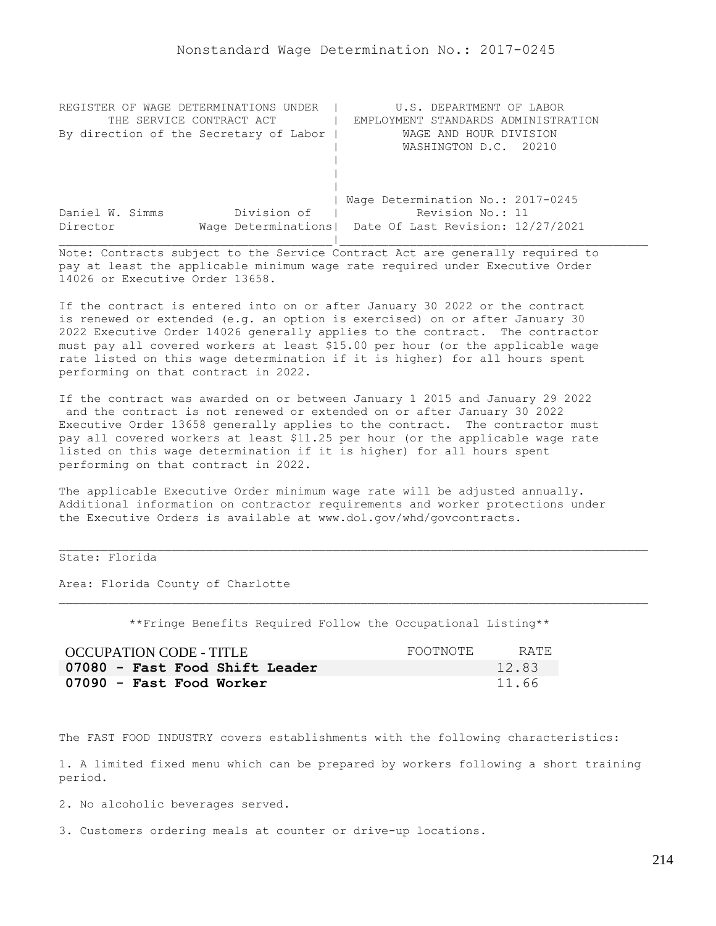| REGISTER OF WAGE DETERMINATIONS UNDER  | U.S. DEPARTMENT OF LABOR                                |
|----------------------------------------|---------------------------------------------------------|
| THE SERVICE CONTRACT ACT               | EMPLOYMENT STANDARDS ADMINISTRATION                     |
| By direction of the Secretary of Labor | WAGE AND HOUR DIVISION                                  |
|                                        | WASHINGTON D.C. 20210                                   |
|                                        |                                                         |
|                                        |                                                         |
|                                        |                                                         |
|                                        | Wage Determination No.: 2017-0245                       |
| Division of<br>Daniel W. Simms         | Revision No.: 11                                        |
| Director                               | Wage Determinations   Date Of Last Revision: 12/27/2021 |
|                                        |                                                         |

If the contract is entered into on or after January 30 2022 or the contract is renewed or extended (e.g. an option is exercised) on or after January 30 2022 Executive Order 14026 generally applies to the contract. The contractor must pay all covered workers at least \$15.00 per hour (or the applicable wage rate listed on this wage determination if it is higher) for all hours spent performing on that contract in 2022.

If the contract was awarded on or between January 1 2015 and January 29 2022 and the contract is not renewed or extended on or after January 30 2022 Executive Order 13658 generally applies to the contract. The contractor must pay all covered workers at least \$11.25 per hour (or the applicable wage rate listed on this wage determination if it is higher) for all hours spent performing on that contract in 2022.

The applicable Executive Order minimum wage rate will be adjusted annually. Additional information on contractor requirements and worker protections under the Executive Orders is available at www.dol.gov/whd/govcontracts.

# State: Florida

Area: Florida County of Charlotte

\*\*Fringe Benefits Required Follow the Occupational Listing\*\*

| OCCUPATION CODE - TITLE        | FOOTNOTE | RATE. |
|--------------------------------|----------|-------|
| 07080 - Fast Food Shift Leader |          | 12.83 |
| 07090 - Fast Food Worker       |          | 11.66 |

The FAST FOOD INDUSTRY covers establishments with the following characteristics:

1. A limited fixed menu which can be prepared by workers following a short training period.

2. No alcoholic beverages served.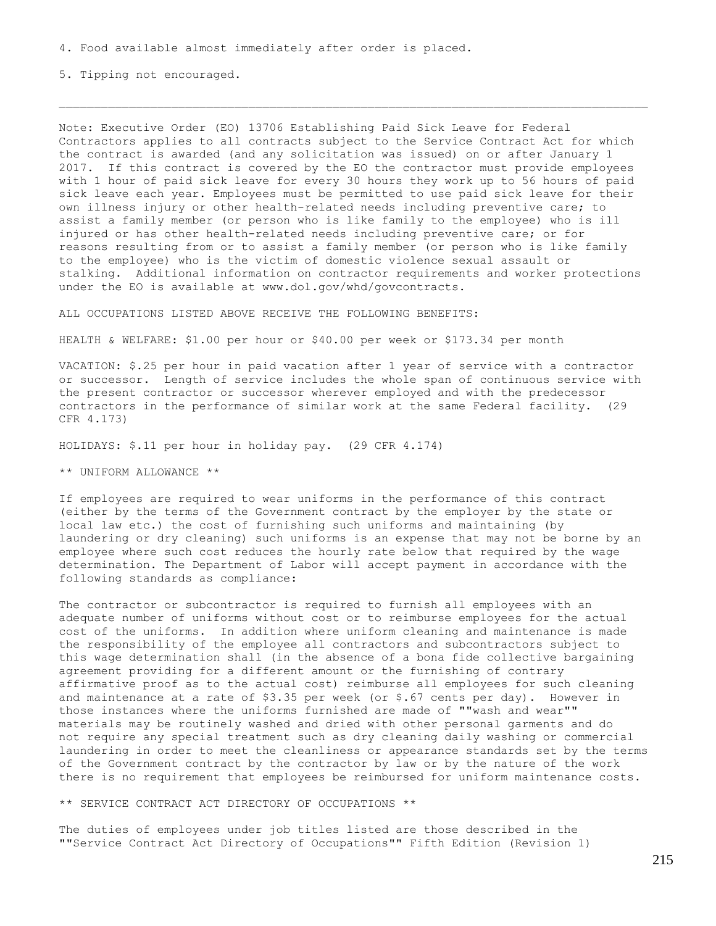5. Tipping not encouraged.

Note: Executive Order (EO) 13706 Establishing Paid Sick Leave for Federal Contractors applies to all contracts subject to the Service Contract Act for which the contract is awarded (and any solicitation was issued) on or after January 1 2017. If this contract is covered by the EO the contractor must provide employees with 1 hour of paid sick leave for every 30 hours they work up to 56 hours of paid sick leave each year. Employees must be permitted to use paid sick leave for their own illness injury or other health-related needs including preventive care; to assist a family member (or person who is like family to the employee) who is ill injured or has other health-related needs including preventive care; or for reasons resulting from or to assist a family member (or person who is like family to the employee) who is the victim of domestic violence sexual assault or stalking. Additional information on contractor requirements and worker protections under the EO is available at www.dol.gov/whd/govcontracts.

ALL OCCUPATIONS LISTED ABOVE RECEIVE THE FOLLOWING BENEFITS:

HEALTH & WELFARE: \$1.00 per hour or \$40.00 per week or \$173.34 per month

VACATION: \$.25 per hour in paid vacation after 1 year of service with a contractor or successor. Length of service includes the whole span of continuous service with the present contractor or successor wherever employed and with the predecessor contractors in the performance of similar work at the same Federal facility. (29 CFR 4.173)

HOLIDAYS: \$.11 per hour in holiday pay. (29 CFR 4.174)

\*\* UNIFORM ALLOWANCE \*\*

If employees are required to wear uniforms in the performance of this contract (either by the terms of the Government contract by the employer by the state or local law etc.) the cost of furnishing such uniforms and maintaining (by laundering or dry cleaning) such uniforms is an expense that may not be borne by an employee where such cost reduces the hourly rate below that required by the wage determination. The Department of Labor will accept payment in accordance with the following standards as compliance:

The contractor or subcontractor is required to furnish all employees with an adequate number of uniforms without cost or to reimburse employees for the actual cost of the uniforms. In addition where uniform cleaning and maintenance is made the responsibility of the employee all contractors and subcontractors subject to this wage determination shall (in the absence of a bona fide collective bargaining agreement providing for a different amount or the furnishing of contrary affirmative proof as to the actual cost) reimburse all employees for such cleaning and maintenance at a rate of \$3.35 per week (or \$.67 cents per day). However in those instances where the uniforms furnished are made of ""wash and wear"" materials may be routinely washed and dried with other personal garments and do not require any special treatment such as dry cleaning daily washing or commercial laundering in order to meet the cleanliness or appearance standards set by the terms of the Government contract by the contractor by law or by the nature of the work there is no requirement that employees be reimbursed for uniform maintenance costs.

\*\* SERVICE CONTRACT ACT DIRECTORY OF OCCUPATIONS \*\*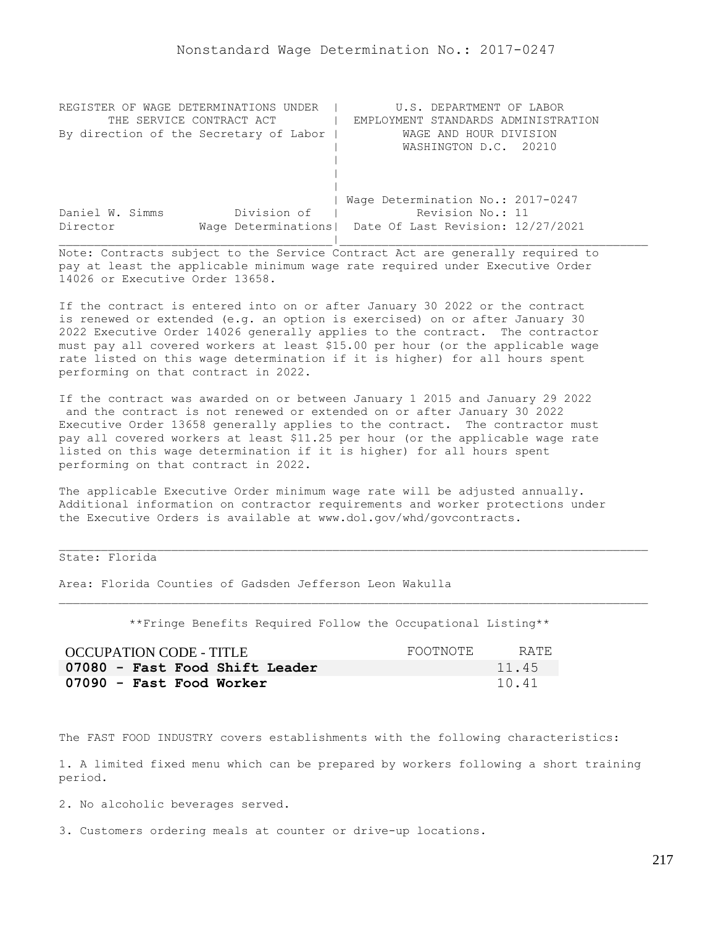| REGISTER OF WAGE DETERMINATIONS UNDER  | U.S. DEPARTMENT OF LABOR                                |
|----------------------------------------|---------------------------------------------------------|
| THE SERVICE CONTRACT ACT               | EMPLOYMENT STANDARDS ADMINISTRATION                     |
| By direction of the Secretary of Labor | WAGE AND HOUR DIVISION                                  |
|                                        | WASHINGTON D.C. 20210                                   |
|                                        |                                                         |
|                                        |                                                         |
|                                        |                                                         |
|                                        | Wage Determination No.: 2017-0247                       |
| Division of<br>Daniel W. Simms         | Revision No.: 11                                        |
| Director                               | Wage Determinations   Date Of Last Revision: 12/27/2021 |
|                                        |                                                         |

If the contract is entered into on or after January 30 2022 or the contract is renewed or extended (e.g. an option is exercised) on or after January 30 2022 Executive Order 14026 generally applies to the contract. The contractor must pay all covered workers at least \$15.00 per hour (or the applicable wage rate listed on this wage determination if it is higher) for all hours spent performing on that contract in 2022.

If the contract was awarded on or between January 1 2015 and January 29 2022 and the contract is not renewed or extended on or after January 30 2022 Executive Order 13658 generally applies to the contract. The contractor must pay all covered workers at least \$11.25 per hour (or the applicable wage rate listed on this wage determination if it is higher) for all hours spent performing on that contract in 2022.

The applicable Executive Order minimum wage rate will be adjusted annually. Additional information on contractor requirements and worker protections under the Executive Orders is available at www.dol.gov/whd/govcontracts.

# State: Florida

Area: Florida Counties of Gadsden Jefferson Leon Wakulla

\*\*Fringe Benefits Required Follow the Occupational Listing\*\*

| OCCUPATION CODE - TITLE        | FOOTNOTE | RATE. |
|--------------------------------|----------|-------|
| 07080 - Fast Food Shift Leader |          | 11.45 |
| 07090 - Fast Food Worker       |          | 10.41 |

The FAST FOOD INDUSTRY covers establishments with the following characteristics:

1. A limited fixed menu which can be prepared by workers following a short training period.

2. No alcoholic beverages served.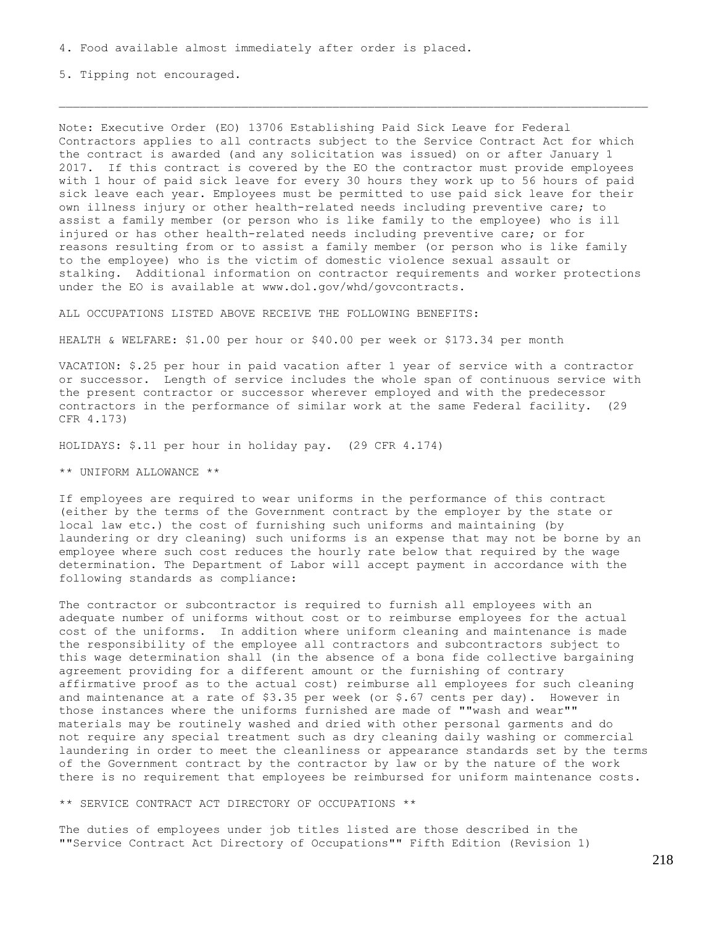5. Tipping not encouraged.

Note: Executive Order (EO) 13706 Establishing Paid Sick Leave for Federal Contractors applies to all contracts subject to the Service Contract Act for which the contract is awarded (and any solicitation was issued) on or after January 1 2017. If this contract is covered by the EO the contractor must provide employees with 1 hour of paid sick leave for every 30 hours they work up to 56 hours of paid sick leave each year. Employees must be permitted to use paid sick leave for their own illness injury or other health-related needs including preventive care; to assist a family member (or person who is like family to the employee) who is ill injured or has other health-related needs including preventive care; or for reasons resulting from or to assist a family member (or person who is like family to the employee) who is the victim of domestic violence sexual assault or stalking. Additional information on contractor requirements and worker protections under the EO is available at www.dol.gov/whd/govcontracts.

ALL OCCUPATIONS LISTED ABOVE RECEIVE THE FOLLOWING BENEFITS:

HEALTH & WELFARE: \$1.00 per hour or \$40.00 per week or \$173.34 per month

VACATION: \$.25 per hour in paid vacation after 1 year of service with a contractor or successor. Length of service includes the whole span of continuous service with the present contractor or successor wherever employed and with the predecessor contractors in the performance of similar work at the same Federal facility. (29 CFR 4.173)

HOLIDAYS: \$.11 per hour in holiday pay. (29 CFR 4.174)

\*\* UNIFORM ALLOWANCE \*\*

If employees are required to wear uniforms in the performance of this contract (either by the terms of the Government contract by the employer by the state or local law etc.) the cost of furnishing such uniforms and maintaining (by laundering or dry cleaning) such uniforms is an expense that may not be borne by an employee where such cost reduces the hourly rate below that required by the wage determination. The Department of Labor will accept payment in accordance with the following standards as compliance:

The contractor or subcontractor is required to furnish all employees with an adequate number of uniforms without cost or to reimburse employees for the actual cost of the uniforms. In addition where uniform cleaning and maintenance is made the responsibility of the employee all contractors and subcontractors subject to this wage determination shall (in the absence of a bona fide collective bargaining agreement providing for a different amount or the furnishing of contrary affirmative proof as to the actual cost) reimburse all employees for such cleaning and maintenance at a rate of \$3.35 per week (or \$.67 cents per day). However in those instances where the uniforms furnished are made of ""wash and wear"" materials may be routinely washed and dried with other personal garments and do not require any special treatment such as dry cleaning daily washing or commercial laundering in order to meet the cleanliness or appearance standards set by the terms of the Government contract by the contractor by law or by the nature of the work there is no requirement that employees be reimbursed for uniform maintenance costs.

\*\* SERVICE CONTRACT ACT DIRECTORY OF OCCUPATIONS \*\*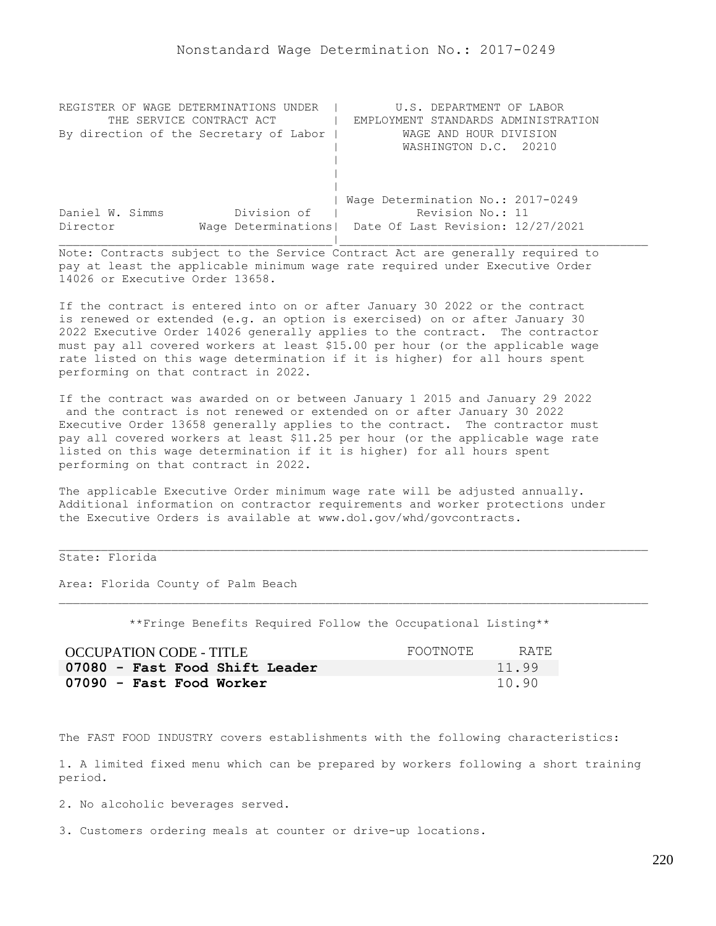| REGISTER OF WAGE DETERMINATIONS<br>UNDER | U.S. DEPARTMENT OF LABOR                                |
|------------------------------------------|---------------------------------------------------------|
| THE SERVICE CONTRACT ACT                 | EMPLOYMENT STANDARDS ADMINISTRATION                     |
| By direction of the Secretary of Labor   | WAGE AND HOUR DIVISION                                  |
|                                          | WASHINGTON D.C. 20210                                   |
|                                          |                                                         |
|                                          |                                                         |
|                                          |                                                         |
|                                          | Wage Determination No.: 2017-0249                       |
| Division of<br>Daniel W. Simms           | Revision No.: 11                                        |
| Director                                 | Wage Determinations   Date Of Last Revision: 12/27/2021 |
|                                          |                                                         |

If the contract is entered into on or after January 30 2022 or the contract is renewed or extended (e.g. an option is exercised) on or after January 30 2022 Executive Order 14026 generally applies to the contract. The contractor must pay all covered workers at least \$15.00 per hour (or the applicable wage rate listed on this wage determination if it is higher) for all hours spent performing on that contract in 2022.

If the contract was awarded on or between January 1 2015 and January 29 2022 and the contract is not renewed or extended on or after January 30 2022 Executive Order 13658 generally applies to the contract. The contractor must pay all covered workers at least \$11.25 per hour (or the applicable wage rate listed on this wage determination if it is higher) for all hours spent performing on that contract in 2022.

The applicable Executive Order minimum wage rate will be adjusted annually. Additional information on contractor requirements and worker protections under the Executive Orders is available at www.dol.gov/whd/govcontracts.

# State: Florida

Area: Florida County of Palm Beach

\*\*Fringe Benefits Required Follow the Occupational Listing\*\*

| OCCUPATION CODE - TITLE        | FOOTNOTE | RATE  |
|--------------------------------|----------|-------|
| 07080 - Fast Food Shift Leader |          | 11.99 |
| 07090 - Fast Food Worker       |          | 10.90 |

The FAST FOOD INDUSTRY covers establishments with the following characteristics:

1. A limited fixed menu which can be prepared by workers following a short training period.

2. No alcoholic beverages served.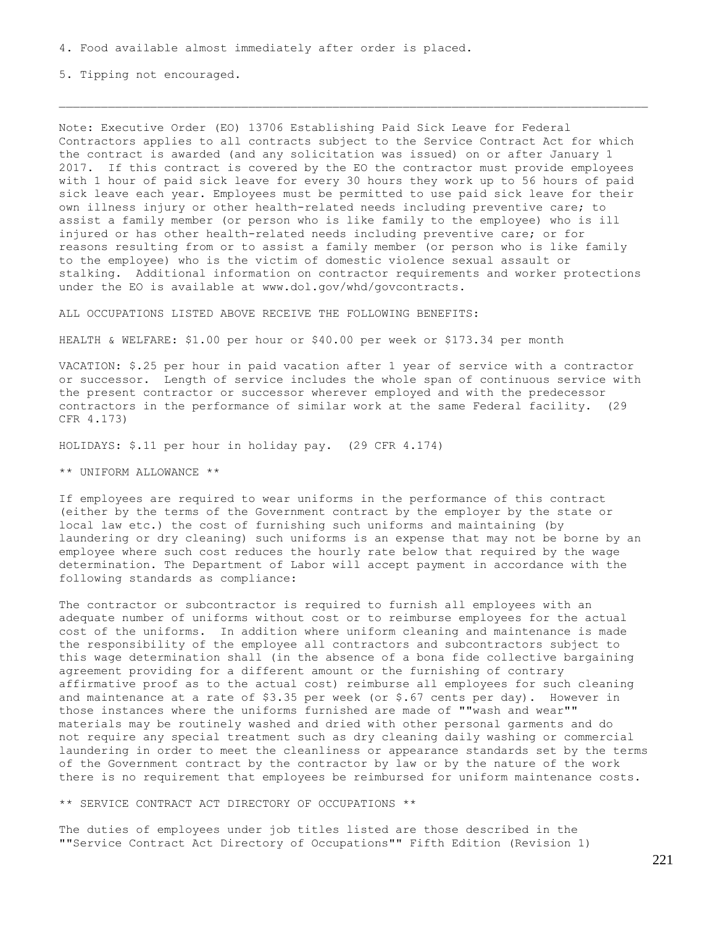5. Tipping not encouraged.

Note: Executive Order (EO) 13706 Establishing Paid Sick Leave for Federal Contractors applies to all contracts subject to the Service Contract Act for which the contract is awarded (and any solicitation was issued) on or after January 1 2017. If this contract is covered by the EO the contractor must provide employees with 1 hour of paid sick leave for every 30 hours they work up to 56 hours of paid sick leave each year. Employees must be permitted to use paid sick leave for their own illness injury or other health-related needs including preventive care; to assist a family member (or person who is like family to the employee) who is ill injured or has other health-related needs including preventive care; or for reasons resulting from or to assist a family member (or person who is like family to the employee) who is the victim of domestic violence sexual assault or stalking. Additional information on contractor requirements and worker protections under the EO is available at www.dol.gov/whd/govcontracts.

ALL OCCUPATIONS LISTED ABOVE RECEIVE THE FOLLOWING BENEFITS:

HEALTH & WELFARE: \$1.00 per hour or \$40.00 per week or \$173.34 per month

VACATION: \$.25 per hour in paid vacation after 1 year of service with a contractor or successor. Length of service includes the whole span of continuous service with the present contractor or successor wherever employed and with the predecessor contractors in the performance of similar work at the same Federal facility. (29 CFR 4.173)

HOLIDAYS: \$.11 per hour in holiday pay. (29 CFR 4.174)

\*\* UNIFORM ALLOWANCE \*\*

If employees are required to wear uniforms in the performance of this contract (either by the terms of the Government contract by the employer by the state or local law etc.) the cost of furnishing such uniforms and maintaining (by laundering or dry cleaning) such uniforms is an expense that may not be borne by an employee where such cost reduces the hourly rate below that required by the wage determination. The Department of Labor will accept payment in accordance with the following standards as compliance:

The contractor or subcontractor is required to furnish all employees with an adequate number of uniforms without cost or to reimburse employees for the actual cost of the uniforms. In addition where uniform cleaning and maintenance is made the responsibility of the employee all contractors and subcontractors subject to this wage determination shall (in the absence of a bona fide collective bargaining agreement providing for a different amount or the furnishing of contrary affirmative proof as to the actual cost) reimburse all employees for such cleaning and maintenance at a rate of \$3.35 per week (or \$.67 cents per day). However in those instances where the uniforms furnished are made of ""wash and wear"" materials may be routinely washed and dried with other personal garments and do not require any special treatment such as dry cleaning daily washing or commercial laundering in order to meet the cleanliness or appearance standards set by the terms of the Government contract by the contractor by law or by the nature of the work there is no requirement that employees be reimbursed for uniform maintenance costs.

\*\* SERVICE CONTRACT ACT DIRECTORY OF OCCUPATIONS \*\*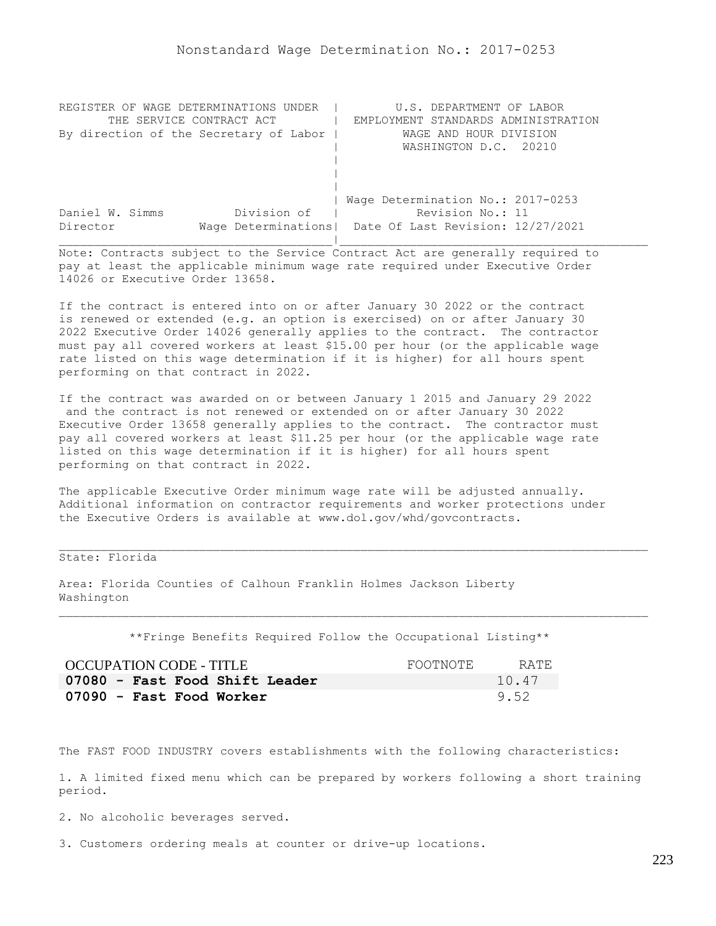| REGISTER OF WAGE DETERMINATIONS UNDER  | U.S. DEPARTMENT OF LABOR                                |
|----------------------------------------|---------------------------------------------------------|
| THE SERVICE CONTRACT ACT               | EMPLOYMENT STANDARDS ADMINISTRATION                     |
| By direction of the Secretary of Labor | WAGE AND HOUR DIVISION                                  |
|                                        | WASHINGTON D.C. 20210                                   |
|                                        |                                                         |
|                                        |                                                         |
|                                        |                                                         |
|                                        | Wage Determination No.: 2017-0253                       |
| Division of<br>Daniel W. Simms         | Revision No.: 11                                        |
| Director                               | Wage Determinations   Date Of Last Revision: 12/27/2021 |
|                                        |                                                         |

If the contract is entered into on or after January 30 2022 or the contract is renewed or extended (e.g. an option is exercised) on or after January 30 2022 Executive Order 14026 generally applies to the contract. The contractor must pay all covered workers at least \$15.00 per hour (or the applicable wage rate listed on this wage determination if it is higher) for all hours spent performing on that contract in 2022.

If the contract was awarded on or between January 1 2015 and January 29 2022 and the contract is not renewed or extended on or after January 30 2022 Executive Order 13658 generally applies to the contract. The contractor must pay all covered workers at least \$11.25 per hour (or the applicable wage rate listed on this wage determination if it is higher) for all hours spent performing on that contract in 2022.

The applicable Executive Order minimum wage rate will be adjusted annually. Additional information on contractor requirements and worker protections under the Executive Orders is available at www.dol.gov/whd/govcontracts.

State: Florida

Area: Florida Counties of Calhoun Franklin Holmes Jackson Liberty Washington

\*\*Fringe Benefits Required Follow the Occupational Listing\*\*

| OCCUPATION CODE - TITLE        | FOOTNOTE | RATE. |
|--------------------------------|----------|-------|
| 07080 - Fast Food Shift Leader |          | 10.47 |
| 07090 - Fast Food Worker       |          | 9.52  |

The FAST FOOD INDUSTRY covers establishments with the following characteristics:

1. A limited fixed menu which can be prepared by workers following a short training period.

2. No alcoholic beverages served.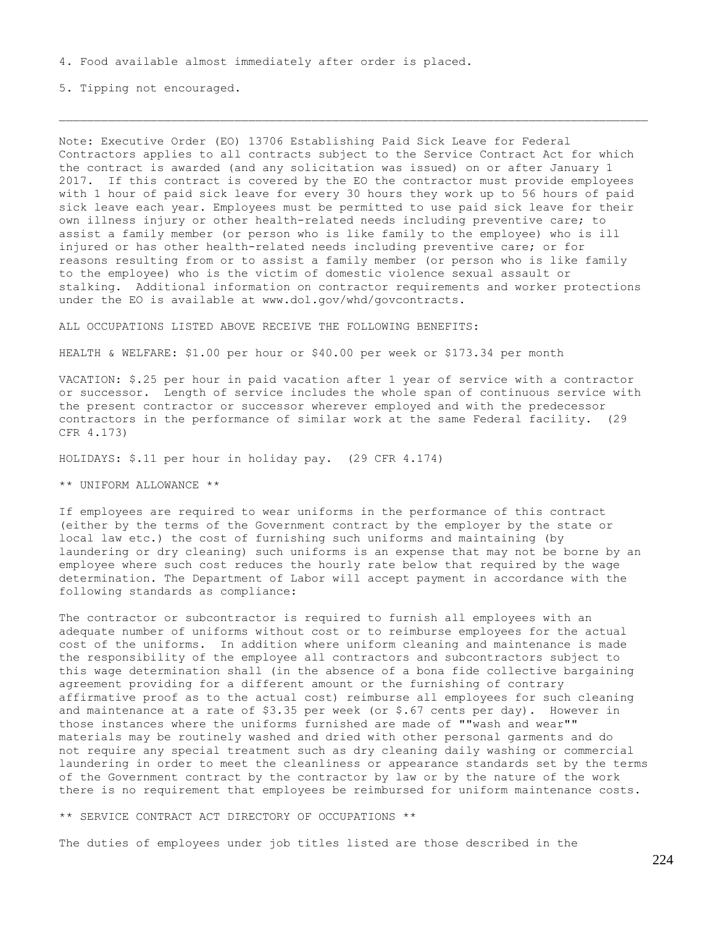5. Tipping not encouraged.

Note: Executive Order (EO) 13706 Establishing Paid Sick Leave for Federal Contractors applies to all contracts subject to the Service Contract Act for which the contract is awarded (and any solicitation was issued) on or after January 1 2017. If this contract is covered by the EO the contractor must provide employees with 1 hour of paid sick leave for every 30 hours they work up to 56 hours of paid sick leave each year. Employees must be permitted to use paid sick leave for their own illness injury or other health-related needs including preventive care; to assist a family member (or person who is like family to the employee) who is ill injured or has other health-related needs including preventive care; or for reasons resulting from or to assist a family member (or person who is like family to the employee) who is the victim of domestic violence sexual assault or stalking. Additional information on contractor requirements and worker protections under the EO is available at www.dol.gov/whd/govcontracts.

ALL OCCUPATIONS LISTED ABOVE RECEIVE THE FOLLOWING BENEFITS:

HEALTH & WELFARE: \$1.00 per hour or \$40.00 per week or \$173.34 per month

VACATION: \$.25 per hour in paid vacation after 1 year of service with a contractor or successor. Length of service includes the whole span of continuous service with the present contractor or successor wherever employed and with the predecessor contractors in the performance of similar work at the same Federal facility. (29 CFR 4.173)

HOLIDAYS: \$.11 per hour in holiday pay. (29 CFR 4.174)

\*\* UNIFORM ALLOWANCE \*\*

If employees are required to wear uniforms in the performance of this contract (either by the terms of the Government contract by the employer by the state or local law etc.) the cost of furnishing such uniforms and maintaining (by laundering or dry cleaning) such uniforms is an expense that may not be borne by an employee where such cost reduces the hourly rate below that required by the wage determination. The Department of Labor will accept payment in accordance with the following standards as compliance:

The contractor or subcontractor is required to furnish all employees with an adequate number of uniforms without cost or to reimburse employees for the actual cost of the uniforms. In addition where uniform cleaning and maintenance is made the responsibility of the employee all contractors and subcontractors subject to this wage determination shall (in the absence of a bona fide collective bargaining agreement providing for a different amount or the furnishing of contrary affirmative proof as to the actual cost) reimburse all employees for such cleaning and maintenance at a rate of  $$3.35$  per week (or  $$.67$  cents per day). However in those instances where the uniforms furnished are made of ""wash and wear"" materials may be routinely washed and dried with other personal garments and do not require any special treatment such as dry cleaning daily washing or commercial laundering in order to meet the cleanliness or appearance standards set by the terms of the Government contract by the contractor by law or by the nature of the work there is no requirement that employees be reimbursed for uniform maintenance costs.

\*\* SERVICE CONTRACT ACT DIRECTORY OF OCCUPATIONS \*\*

The duties of employees under job titles listed are those described in the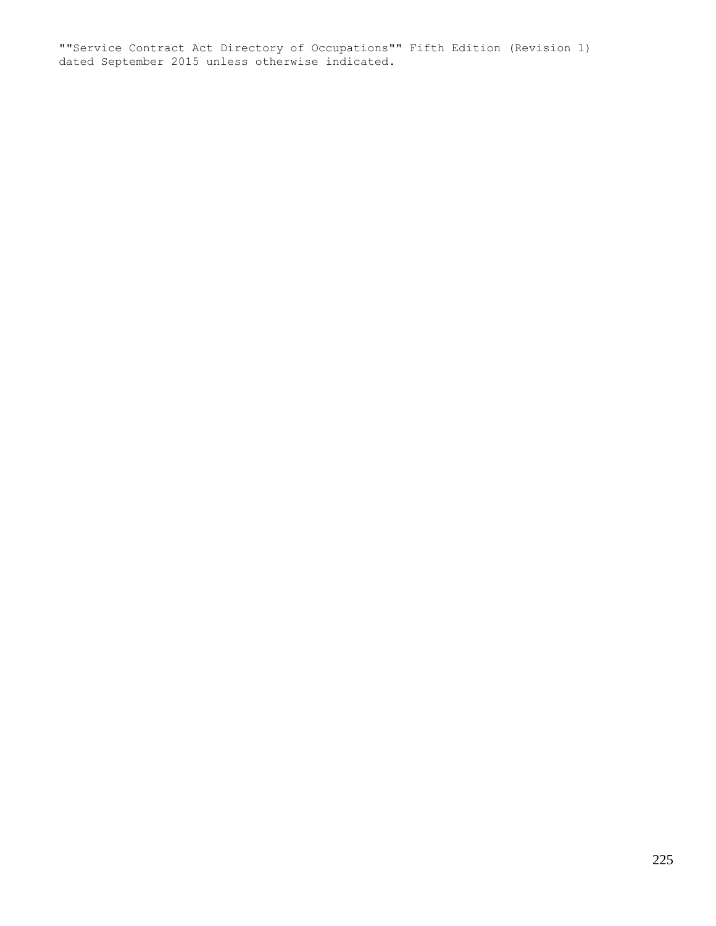""Service Contract Act Directory of Occupations"" Fifth Edition (Revision 1) dated September 2015 unless otherwise indicated.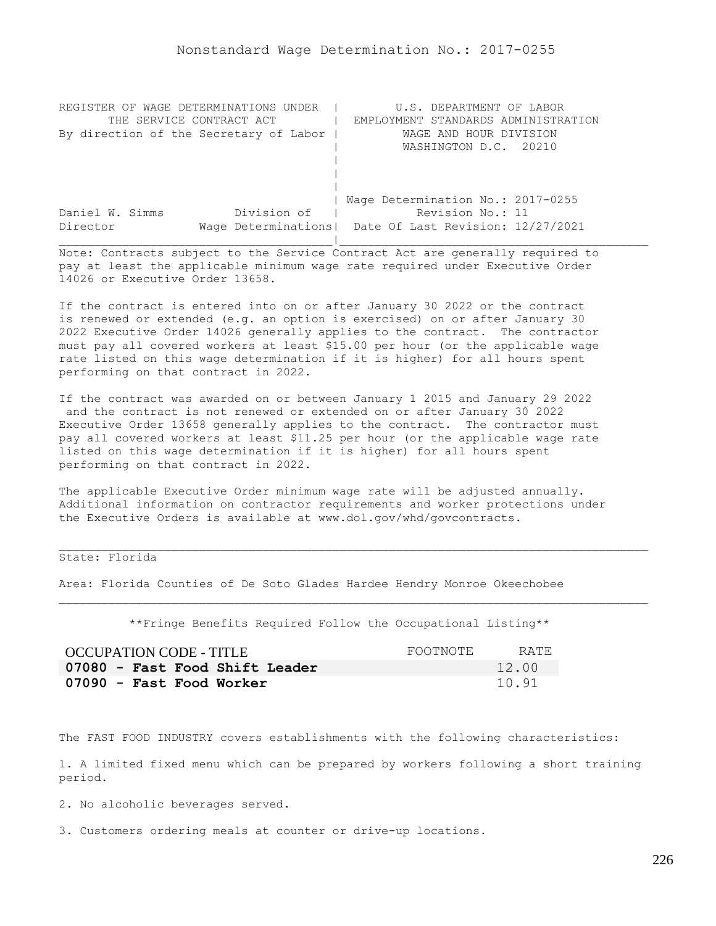| REGISTER OF WAGE DETERMINATIONS UNDER  | U.S. DEPARTMENT OF LABOR                                |
|----------------------------------------|---------------------------------------------------------|
| THE SERVICE CONTRACT ACT               | EMPLOYMENT STANDARDS ADMINISTRATION                     |
| By direction of the Secretary of Labor | WAGE AND HOUR DIVISION                                  |
|                                        | WASHINGTON D.C. 20210                                   |
|                                        |                                                         |
|                                        |                                                         |
|                                        |                                                         |
|                                        | Wage Determination No.: 2017-0255                       |
| Division of<br>Daniel W. Simms         | Revision No.: 11                                        |
| Director                               | Wage Determinations   Date Of Last Revision: 12/27/2021 |
|                                        |                                                         |

If the contract is entered into on or after January 30 2022 or the contract is renewed or extended (e.g. an option is exercised) on or after January 30 2022 Executive Order 14026 generally applies to the contract. The contractor must pay all covered workers at least \$15.00 per hour (or the applicable wage rate listed on this wage determination if it is higher) for all hours spent performing on that contract in 2022.

If the contract was awarded on or between January 1 2015 and January 29 2022 and the contract is not renewed or extended on or after January 30 2022 Executive Order 13658 generally applies to the contract. The contractor must pay all covered workers at least \$11.25 per hour (or the applicable wage rate listed on this wage determination if it is higher) for all hours spent performing on that contract in 2022.

The applicable Executive Order minimum wage rate will be adjusted annually. Additional information on contractor requirements and worker protections under the Executive Orders is available at www.dol.gov/whd/govcontracts.

# State: Florida

Area: Florida Counties of De Soto Glades Hardee Hendry Monroe Okeechobee

\*\*Fringe Benefits Required Follow the Occupational Listing\*\*

| OCCUPATION CODE - TITLE        | FOOTNOTE | RATE  |
|--------------------------------|----------|-------|
| 07080 - Fast Food Shift Leader |          | 12.00 |
| 07090 - Fast Food Worker       |          | 10.91 |

The FAST FOOD INDUSTRY covers establishments with the following characteristics:

1. A limited fixed menu which can be prepared by workers following a short training period.

2. No alcoholic beverages served.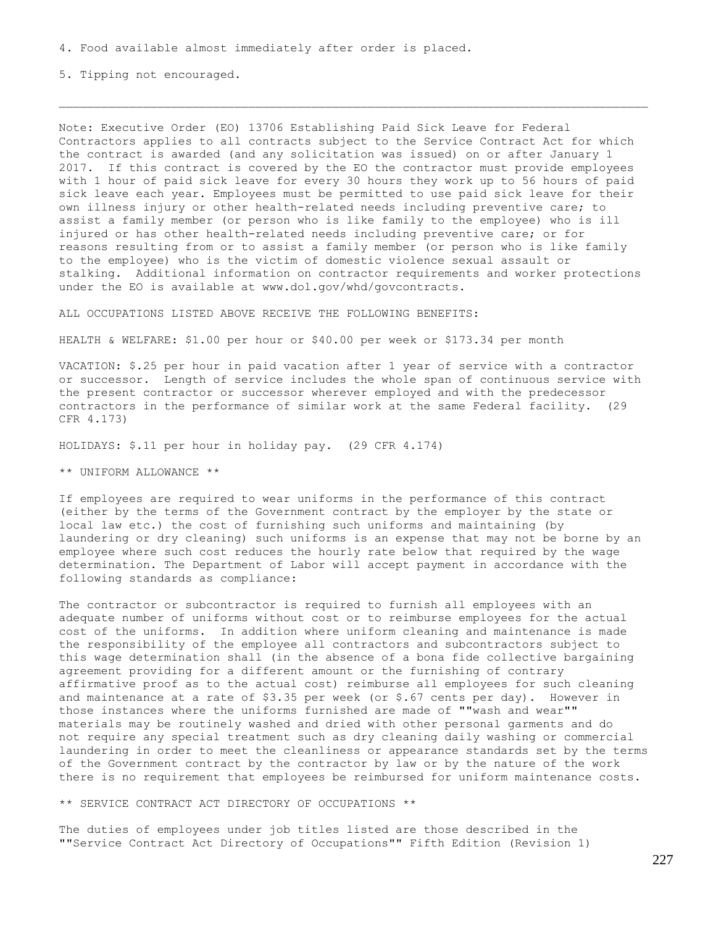5. Tipping not encouraged.

Note: Executive Order (EO) 13706 Establishing Paid Sick Leave for Federal Contractors applies to all contracts subject to the Service Contract Act for which the contract is awarded (and any solicitation was issued) on or after January 1 2017. If this contract is covered by the EO the contractor must provide employees with 1 hour of paid sick leave for every 30 hours they work up to 56 hours of paid sick leave each year. Employees must be permitted to use paid sick leave for their own illness injury or other health-related needs including preventive care; to assist a family member (or person who is like family to the employee) who is ill injured or has other health-related needs including preventive care; or for reasons resulting from or to assist a family member (or person who is like family to the employee) who is the victim of domestic violence sexual assault or stalking. Additional information on contractor requirements and worker protections under the EO is available at www.dol.gov/whd/govcontracts.

ALL OCCUPATIONS LISTED ABOVE RECEIVE THE FOLLOWING BENEFITS:

HEALTH & WELFARE: \$1.00 per hour or \$40.00 per week or \$173.34 per month

VACATION: \$.25 per hour in paid vacation after 1 year of service with a contractor or successor. Length of service includes the whole span of continuous service with the present contractor or successor wherever employed and with the predecessor contractors in the performance of similar work at the same Federal facility. (29 CFR 4.173)

HOLIDAYS: \$.11 per hour in holiday pay. (29 CFR 4.174)

\*\* UNIFORM ALLOWANCE \*\*

If employees are required to wear uniforms in the performance of this contract (either by the terms of the Government contract by the employer by the state or local law etc.) the cost of furnishing such uniforms and maintaining (by laundering or dry cleaning) such uniforms is an expense that may not be borne by an employee where such cost reduces the hourly rate below that required by the wage determination. The Department of Labor will accept payment in accordance with the following standards as compliance:

The contractor or subcontractor is required to furnish all employees with an adequate number of uniforms without cost or to reimburse employees for the actual cost of the uniforms. In addition where uniform cleaning and maintenance is made the responsibility of the employee all contractors and subcontractors subject to this wage determination shall (in the absence of a bona fide collective bargaining agreement providing for a different amount or the furnishing of contrary affirmative proof as to the actual cost) reimburse all employees for such cleaning and maintenance at a rate of \$3.35 per week (or \$.67 cents per day). However in those instances where the uniforms furnished are made of ""wash and wear"" materials may be routinely washed and dried with other personal garments and do not require any special treatment such as dry cleaning daily washing or commercial laundering in order to meet the cleanliness or appearance standards set by the terms of the Government contract by the contractor by law or by the nature of the work there is no requirement that employees be reimbursed for uniform maintenance costs.

\*\* SERVICE CONTRACT ACT DIRECTORY OF OCCUPATIONS \*\*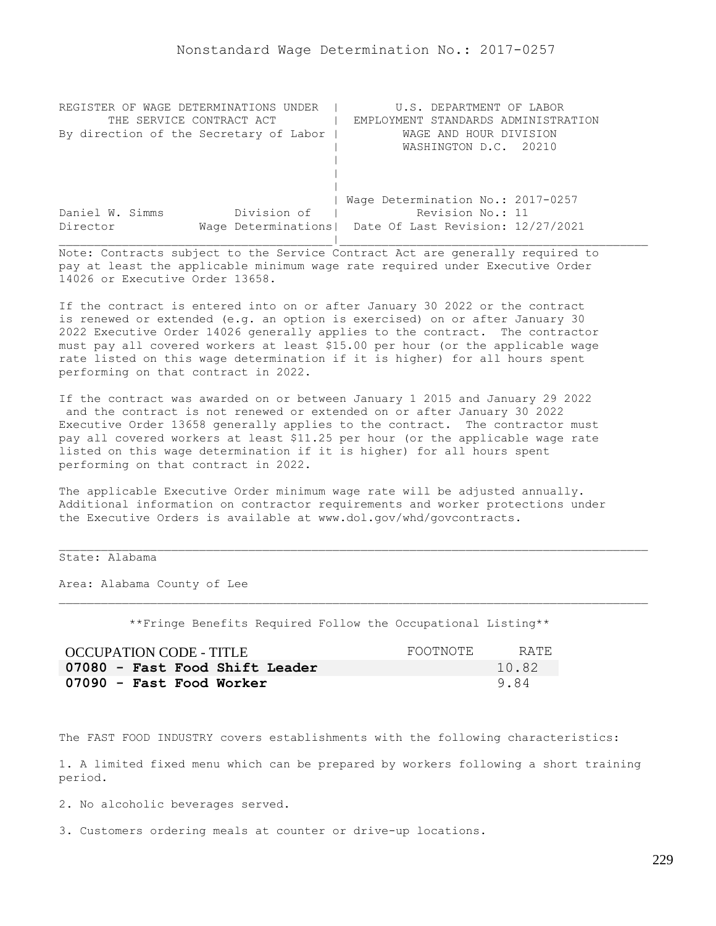| REGISTER OF WAGE DETERMINATIONS UNDER  | U.S. DEPARTMENT OF LABOR                                |
|----------------------------------------|---------------------------------------------------------|
| THE SERVICE CONTRACT ACT               | EMPLOYMENT STANDARDS ADMINISTRATION                     |
| By direction of the Secretary of Labor | WAGE AND HOUR DIVISION                                  |
|                                        | WASHINGTON D.C. 20210                                   |
|                                        |                                                         |
|                                        |                                                         |
|                                        |                                                         |
|                                        | Wage Determination No.: 2017-0257                       |
| Division of<br>Daniel W. Simms         | Revision No.: 11                                        |
| Director                               | Wage Determinations   Date Of Last Revision: 12/27/2021 |
|                                        |                                                         |

If the contract is entered into on or after January 30 2022 or the contract is renewed or extended (e.g. an option is exercised) on or after January 30 2022 Executive Order 14026 generally applies to the contract. The contractor must pay all covered workers at least \$15.00 per hour (or the applicable wage rate listed on this wage determination if it is higher) for all hours spent performing on that contract in 2022.

If the contract was awarded on or between January 1 2015 and January 29 2022 and the contract is not renewed or extended on or after January 30 2022 Executive Order 13658 generally applies to the contract. The contractor must pay all covered workers at least \$11.25 per hour (or the applicable wage rate listed on this wage determination if it is higher) for all hours spent performing on that contract in 2022.

The applicable Executive Order minimum wage rate will be adjusted annually. Additional information on contractor requirements and worker protections under the Executive Orders is available at www.dol.gov/whd/govcontracts.

## State: Alabama

Area: Alabama County of Lee

\*\*Fringe Benefits Required Follow the Occupational Listing\*\*

| <b>OCCUPATION CODE - TITLE</b> | FOOTNOTE. | RATE. |
|--------------------------------|-----------|-------|
| 07080 - Fast Food Shift Leader |           | 10.82 |
| 07090 - Fast Food Worker       |           | 984   |

The FAST FOOD INDUSTRY covers establishments with the following characteristics:

1. A limited fixed menu which can be prepared by workers following a short training period.

2. No alcoholic beverages served.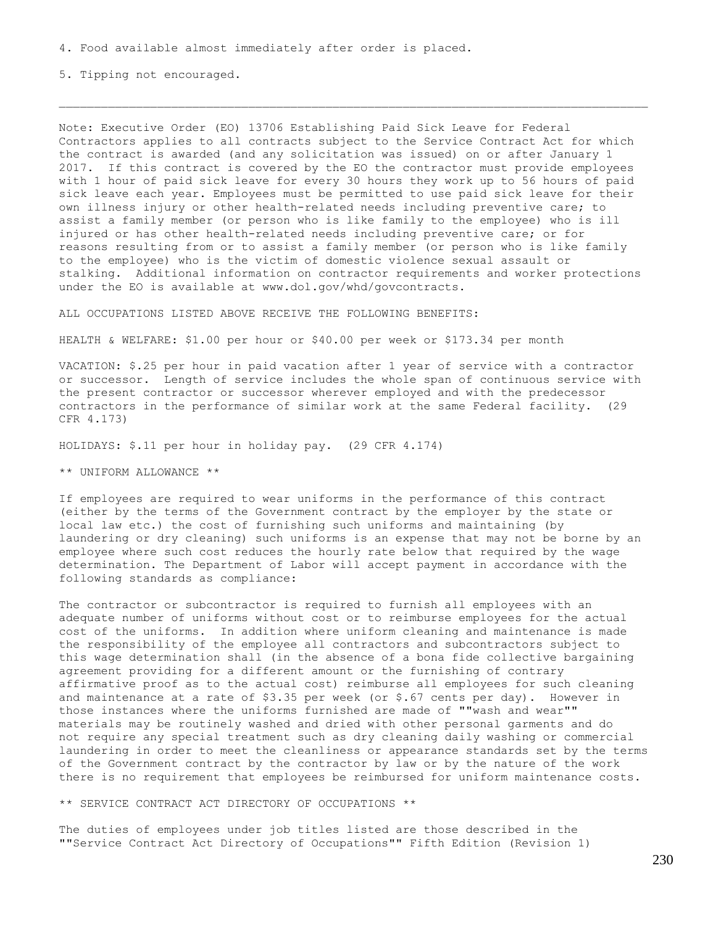5. Tipping not encouraged.

Note: Executive Order (EO) 13706 Establishing Paid Sick Leave for Federal Contractors applies to all contracts subject to the Service Contract Act for which the contract is awarded (and any solicitation was issued) on or after January 1 2017. If this contract is covered by the EO the contractor must provide employees with 1 hour of paid sick leave for every 30 hours they work up to 56 hours of paid sick leave each year. Employees must be permitted to use paid sick leave for their own illness injury or other health-related needs including preventive care; to assist a family member (or person who is like family to the employee) who is ill injured or has other health-related needs including preventive care; or for reasons resulting from or to assist a family member (or person who is like family to the employee) who is the victim of domestic violence sexual assault or stalking. Additional information on contractor requirements and worker protections under the EO is available at www.dol.gov/whd/govcontracts.

ALL OCCUPATIONS LISTED ABOVE RECEIVE THE FOLLOWING BENEFITS:

HEALTH & WELFARE: \$1.00 per hour or \$40.00 per week or \$173.34 per month

VACATION: \$.25 per hour in paid vacation after 1 year of service with a contractor or successor. Length of service includes the whole span of continuous service with the present contractor or successor wherever employed and with the predecessor contractors in the performance of similar work at the same Federal facility. (29 CFR 4.173)

HOLIDAYS: \$.11 per hour in holiday pay. (29 CFR 4.174)

\*\* UNIFORM ALLOWANCE \*\*

If employees are required to wear uniforms in the performance of this contract (either by the terms of the Government contract by the employer by the state or local law etc.) the cost of furnishing such uniforms and maintaining (by laundering or dry cleaning) such uniforms is an expense that may not be borne by an employee where such cost reduces the hourly rate below that required by the wage determination. The Department of Labor will accept payment in accordance with the following standards as compliance:

The contractor or subcontractor is required to furnish all employees with an adequate number of uniforms without cost or to reimburse employees for the actual cost of the uniforms. In addition where uniform cleaning and maintenance is made the responsibility of the employee all contractors and subcontractors subject to this wage determination shall (in the absence of a bona fide collective bargaining agreement providing for a different amount or the furnishing of contrary affirmative proof as to the actual cost) reimburse all employees for such cleaning and maintenance at a rate of \$3.35 per week (or \$.67 cents per day). However in those instances where the uniforms furnished are made of ""wash and wear"" materials may be routinely washed and dried with other personal garments and do not require any special treatment such as dry cleaning daily washing or commercial laundering in order to meet the cleanliness or appearance standards set by the terms of the Government contract by the contractor by law or by the nature of the work there is no requirement that employees be reimbursed for uniform maintenance costs.

\*\* SERVICE CONTRACT ACT DIRECTORY OF OCCUPATIONS \*\*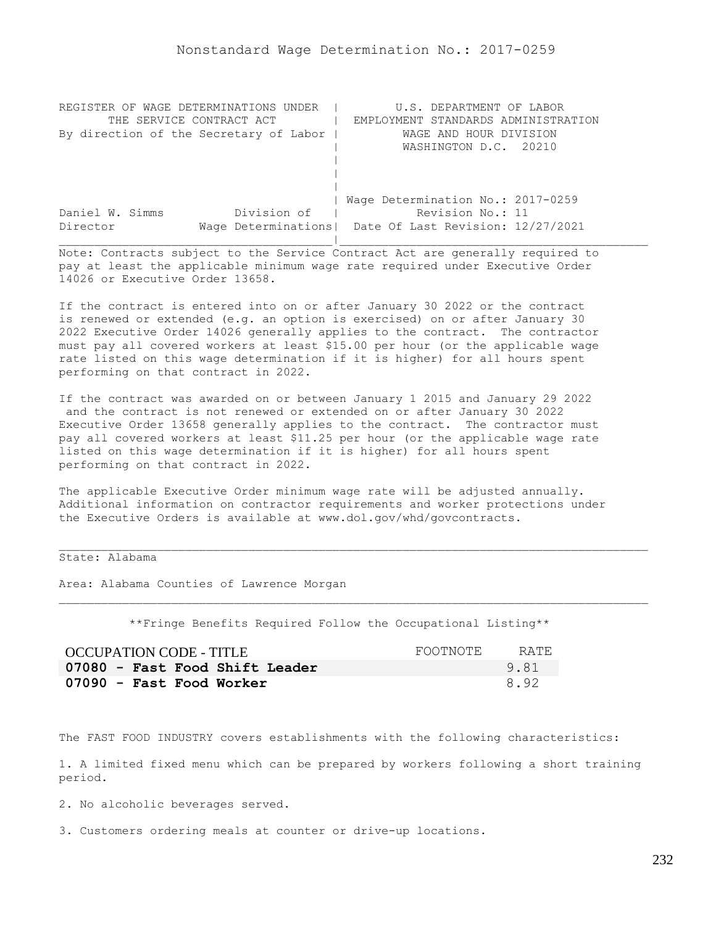| REGISTER OF WAGE DETERMINATIONS UNDER  | U.S. DEPARTMENT OF LABOR                                |
|----------------------------------------|---------------------------------------------------------|
| THE SERVICE CONTRACT ACT               | EMPLOYMENT STANDARDS ADMINISTRATION                     |
| By direction of the Secretary of Labor | WAGE AND HOUR DIVISION                                  |
|                                        | WASHINGTON D.C. 20210                                   |
|                                        |                                                         |
|                                        |                                                         |
|                                        |                                                         |
|                                        | Wage Determination No.: 2017-0259                       |
| Division of<br>Daniel W. Simms         | Revision No.: 11                                        |
| Director                               | Wage Determinations   Date Of Last Revision: 12/27/2021 |
|                                        |                                                         |

If the contract is entered into on or after January 30 2022 or the contract is renewed or extended (e.g. an option is exercised) on or after January 30 2022 Executive Order 14026 generally applies to the contract. The contractor must pay all covered workers at least \$15.00 per hour (or the applicable wage rate listed on this wage determination if it is higher) for all hours spent performing on that contract in 2022.

If the contract was awarded on or between January 1 2015 and January 29 2022 and the contract is not renewed or extended on or after January 30 2022 Executive Order 13658 generally applies to the contract. The contractor must pay all covered workers at least \$11.25 per hour (or the applicable wage rate listed on this wage determination if it is higher) for all hours spent performing on that contract in 2022.

The applicable Executive Order minimum wage rate will be adjusted annually. Additional information on contractor requirements and worker protections under the Executive Orders is available at www.dol.gov/whd/govcontracts.

State: Alabama

Area: Alabama Counties of Lawrence Morgan

\*\*Fringe Benefits Required Follow the Occupational Listing\*\*

| <b>OCCUPATION CODE - TITLE</b> | FOOTNOTE | RATE |
|--------------------------------|----------|------|
| 07080 - Fast Food Shift Leader |          | 9.81 |
| 07090 - Fast Food Worker       |          | 8.92 |

The FAST FOOD INDUSTRY covers establishments with the following characteristics:

1. A limited fixed menu which can be prepared by workers following a short training period.

2. No alcoholic beverages served.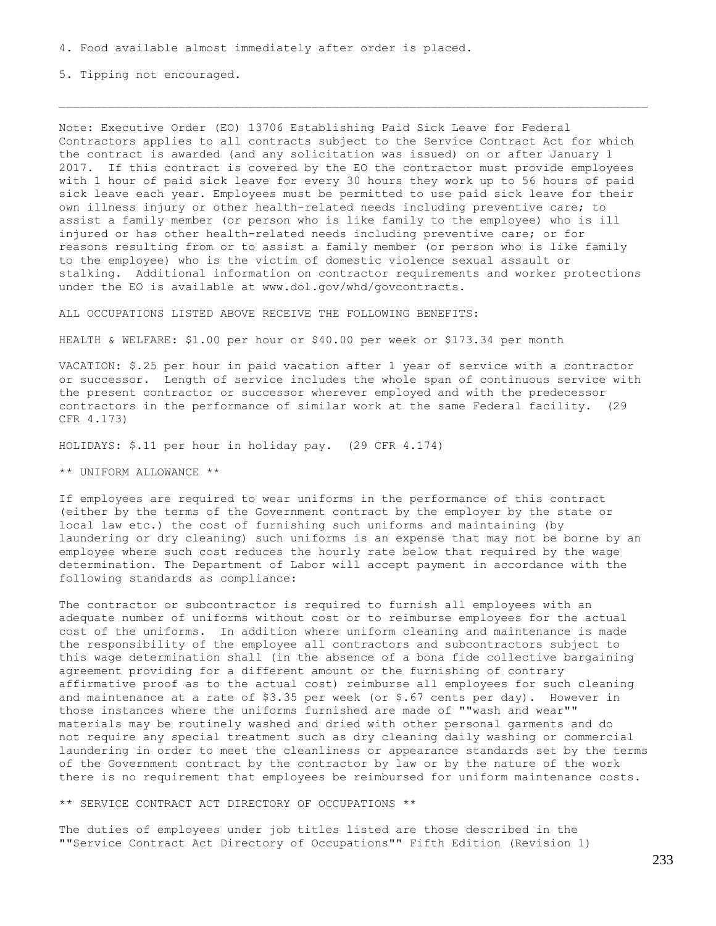5. Tipping not encouraged.

Note: Executive Order (EO) 13706 Establishing Paid Sick Leave for Federal Contractors applies to all contracts subject to the Service Contract Act for which the contract is awarded (and any solicitation was issued) on or after January 1 2017. If this contract is covered by the EO the contractor must provide employees with 1 hour of paid sick leave for every 30 hours they work up to 56 hours of paid sick leave each year. Employees must be permitted to use paid sick leave for their own illness injury or other health-related needs including preventive care; to assist a family member (or person who is like family to the employee) who is ill injured or has other health-related needs including preventive care; or for reasons resulting from or to assist a family member (or person who is like family to the employee) who is the victim of domestic violence sexual assault or stalking. Additional information on contractor requirements and worker protections under the EO is available at www.dol.gov/whd/govcontracts.

ALL OCCUPATIONS LISTED ABOVE RECEIVE THE FOLLOWING BENEFITS:

HEALTH & WELFARE: \$1.00 per hour or \$40.00 per week or \$173.34 per month

VACATION: \$.25 per hour in paid vacation after 1 year of service with a contractor or successor. Length of service includes the whole span of continuous service with the present contractor or successor wherever employed and with the predecessor contractors in the performance of similar work at the same Federal facility. (29 CFR 4.173)

HOLIDAYS: \$.11 per hour in holiday pay. (29 CFR 4.174)

\*\* UNIFORM ALLOWANCE \*\*

If employees are required to wear uniforms in the performance of this contract (either by the terms of the Government contract by the employer by the state or local law etc.) the cost of furnishing such uniforms and maintaining (by laundering or dry cleaning) such uniforms is an expense that may not be borne by an employee where such cost reduces the hourly rate below that required by the wage determination. The Department of Labor will accept payment in accordance with the following standards as compliance:

The contractor or subcontractor is required to furnish all employees with an adequate number of uniforms without cost or to reimburse employees for the actual cost of the uniforms. In addition where uniform cleaning and maintenance is made the responsibility of the employee all contractors and subcontractors subject to this wage determination shall (in the absence of a bona fide collective bargaining agreement providing for a different amount or the furnishing of contrary affirmative proof as to the actual cost) reimburse all employees for such cleaning and maintenance at a rate of \$3.35 per week (or \$.67 cents per day). However in those instances where the uniforms furnished are made of ""wash and wear"" materials may be routinely washed and dried with other personal garments and do not require any special treatment such as dry cleaning daily washing or commercial laundering in order to meet the cleanliness or appearance standards set by the terms of the Government contract by the contractor by law or by the nature of the work there is no requirement that employees be reimbursed for uniform maintenance costs.

\*\* SERVICE CONTRACT ACT DIRECTORY OF OCCUPATIONS \*\*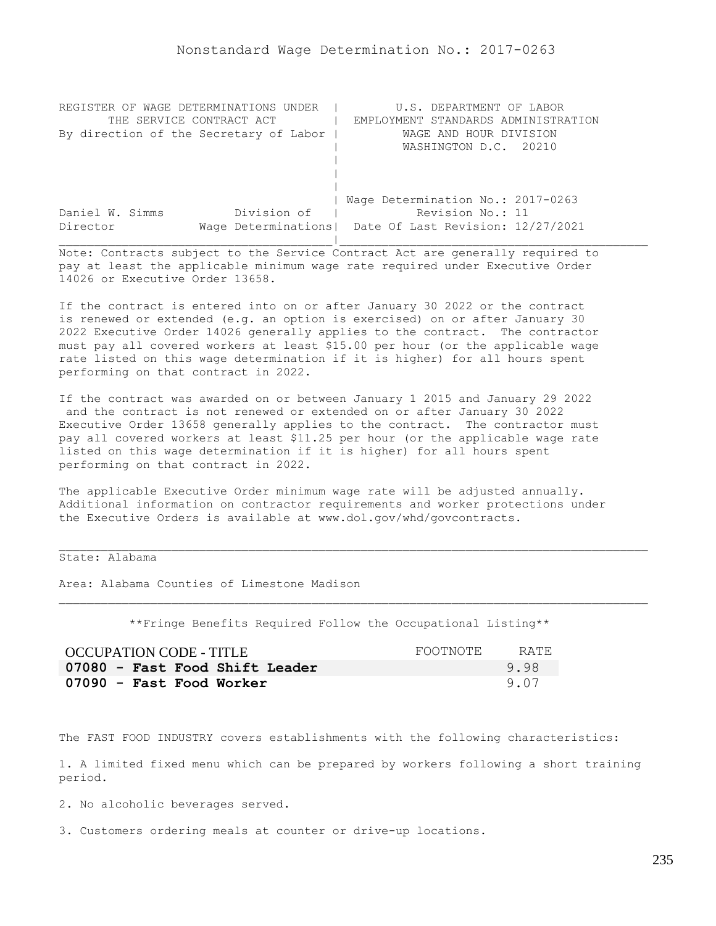| REGISTER OF WAGE DETERMINATIONS UNDER  | U.S. DEPARTMENT OF LABOR                                |
|----------------------------------------|---------------------------------------------------------|
| THE SERVICE CONTRACT ACT               | EMPLOYMENT STANDARDS ADMINISTRATION                     |
| By direction of the Secretary of Labor | WAGE AND HOUR DIVISION                                  |
|                                        | WASHINGTON D.C. 20210                                   |
|                                        |                                                         |
|                                        |                                                         |
|                                        |                                                         |
|                                        | Wage Determination No.: 2017-0263                       |
| Division of<br>Daniel W. Simms         | Revision No.: 11                                        |
| Director                               | Wage Determinations   Date Of Last Revision: 12/27/2021 |
|                                        |                                                         |

If the contract is entered into on or after January 30 2022 or the contract is renewed or extended (e.g. an option is exercised) on or after January 30 2022 Executive Order 14026 generally applies to the contract. The contractor must pay all covered workers at least \$15.00 per hour (or the applicable wage rate listed on this wage determination if it is higher) for all hours spent performing on that contract in 2022.

If the contract was awarded on or between January 1 2015 and January 29 2022 and the contract is not renewed or extended on or after January 30 2022 Executive Order 13658 generally applies to the contract. The contractor must pay all covered workers at least \$11.25 per hour (or the applicable wage rate listed on this wage determination if it is higher) for all hours spent performing on that contract in 2022.

The applicable Executive Order minimum wage rate will be adjusted annually. Additional information on contractor requirements and worker protections under the Executive Orders is available at www.dol.gov/whd/govcontracts.

State: Alabama

Area: Alabama Counties of Limestone Madison

\*\*Fringe Benefits Required Follow the Occupational Listing\*\*

| <b>OCCUPATION CODE - TITLE</b> | FOOTNOTE | RATE. |
|--------------------------------|----------|-------|
| 07080 - Fast Food Shift Leader |          | 9.98  |
| 07090 - Fast Food Worker       |          | 9.07  |

The FAST FOOD INDUSTRY covers establishments with the following characteristics:

1. A limited fixed menu which can be prepared by workers following a short training period.

2. No alcoholic beverages served.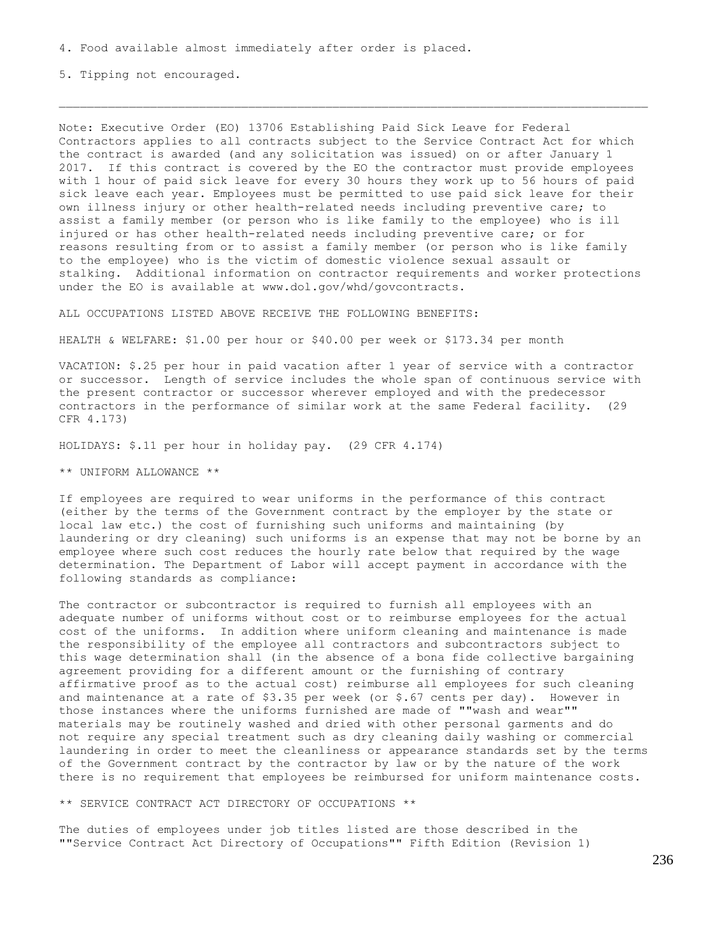5. Tipping not encouraged.

Note: Executive Order (EO) 13706 Establishing Paid Sick Leave for Federal Contractors applies to all contracts subject to the Service Contract Act for which the contract is awarded (and any solicitation was issued) on or after January 1 2017. If this contract is covered by the EO the contractor must provide employees with 1 hour of paid sick leave for every 30 hours they work up to 56 hours of paid sick leave each year. Employees must be permitted to use paid sick leave for their own illness injury or other health-related needs including preventive care; to assist a family member (or person who is like family to the employee) who is ill injured or has other health-related needs including preventive care; or for reasons resulting from or to assist a family member (or person who is like family to the employee) who is the victim of domestic violence sexual assault or stalking. Additional information on contractor requirements and worker protections under the EO is available at www.dol.gov/whd/govcontracts.

ALL OCCUPATIONS LISTED ABOVE RECEIVE THE FOLLOWING BENEFITS:

HEALTH & WELFARE: \$1.00 per hour or \$40.00 per week or \$173.34 per month

VACATION: \$.25 per hour in paid vacation after 1 year of service with a contractor or successor. Length of service includes the whole span of continuous service with the present contractor or successor wherever employed and with the predecessor contractors in the performance of similar work at the same Federal facility. (29 CFR 4.173)

HOLIDAYS: \$.11 per hour in holiday pay. (29 CFR 4.174)

\*\* UNIFORM ALLOWANCE \*\*

If employees are required to wear uniforms in the performance of this contract (either by the terms of the Government contract by the employer by the state or local law etc.) the cost of furnishing such uniforms and maintaining (by laundering or dry cleaning) such uniforms is an expense that may not be borne by an employee where such cost reduces the hourly rate below that required by the wage determination. The Department of Labor will accept payment in accordance with the following standards as compliance:

The contractor or subcontractor is required to furnish all employees with an adequate number of uniforms without cost or to reimburse employees for the actual cost of the uniforms. In addition where uniform cleaning and maintenance is made the responsibility of the employee all contractors and subcontractors subject to this wage determination shall (in the absence of a bona fide collective bargaining agreement providing for a different amount or the furnishing of contrary affirmative proof as to the actual cost) reimburse all employees for such cleaning and maintenance at a rate of \$3.35 per week (or \$.67 cents per day). However in those instances where the uniforms furnished are made of ""wash and wear"" materials may be routinely washed and dried with other personal garments and do not require any special treatment such as dry cleaning daily washing or commercial laundering in order to meet the cleanliness or appearance standards set by the terms of the Government contract by the contractor by law or by the nature of the work there is no requirement that employees be reimbursed for uniform maintenance costs.

\*\* SERVICE CONTRACT ACT DIRECTORY OF OCCUPATIONS \*\*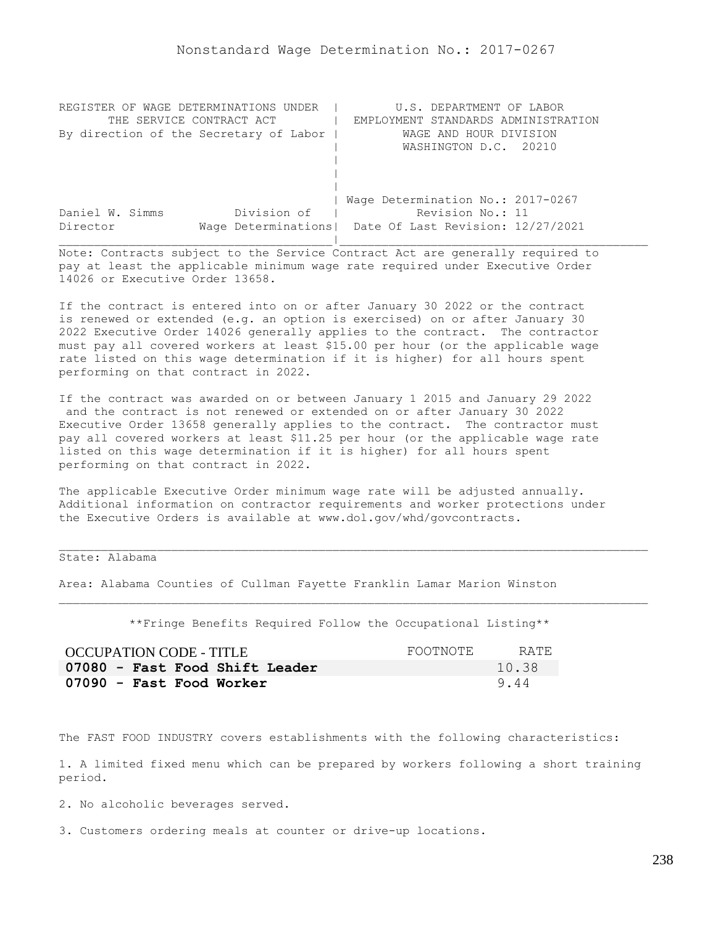| REGISTER OF WAGE DETERMINATIONS UNDER  | U.S. DEPARTMENT OF LABOR                                |
|----------------------------------------|---------------------------------------------------------|
| THE SERVICE CONTRACT ACT               | EMPLOYMENT STANDARDS ADMINISTRATION                     |
| By direction of the Secretary of Labor | WAGE AND HOUR DIVISION                                  |
|                                        | WASHINGTON D.C. 20210                                   |
|                                        |                                                         |
|                                        |                                                         |
|                                        |                                                         |
|                                        | Wage Determination No.: 2017-0267                       |
| Division of<br>Daniel W. Simms         | Revision No.: 11                                        |
| Director                               | Wage Determinations   Date Of Last Revision: 12/27/2021 |
|                                        |                                                         |

If the contract is entered into on or after January 30 2022 or the contract is renewed or extended (e.g. an option is exercised) on or after January 30 2022 Executive Order 14026 generally applies to the contract. The contractor must pay all covered workers at least \$15.00 per hour (or the applicable wage rate listed on this wage determination if it is higher) for all hours spent performing on that contract in 2022.

If the contract was awarded on or between January 1 2015 and January 29 2022 and the contract is not renewed or extended on or after January 30 2022 Executive Order 13658 generally applies to the contract. The contractor must pay all covered workers at least \$11.25 per hour (or the applicable wage rate listed on this wage determination if it is higher) for all hours spent performing on that contract in 2022.

The applicable Executive Order minimum wage rate will be adjusted annually. Additional information on contractor requirements and worker protections under the Executive Orders is available at www.dol.gov/whd/govcontracts.

## State: Alabama

Area: Alabama Counties of Cullman Fayette Franklin Lamar Marion Winston

\*\*Fringe Benefits Required Follow the Occupational Listing\*\*

| OCCUPATION CODE - TITLE        | FOOTNOTE | RATE. |
|--------------------------------|----------|-------|
| 07080 - Fast Food Shift Leader |          | 10.38 |
| 07090 - Fast Food Worker       |          | 9.44  |

The FAST FOOD INDUSTRY covers establishments with the following characteristics:

1. A limited fixed menu which can be prepared by workers following a short training period.

2. No alcoholic beverages served.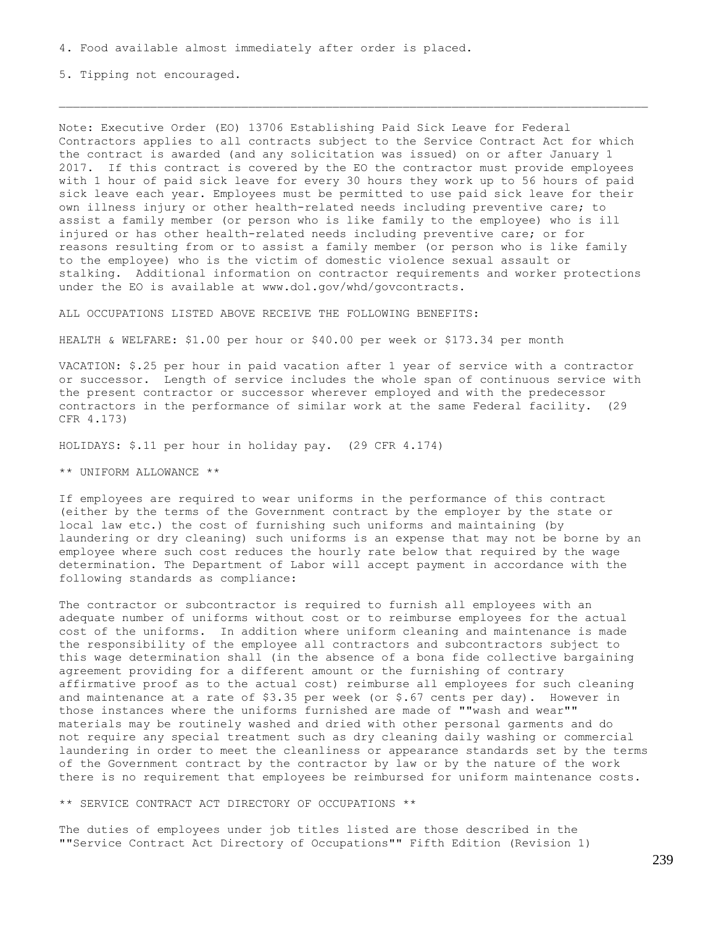5. Tipping not encouraged.

Note: Executive Order (EO) 13706 Establishing Paid Sick Leave for Federal Contractors applies to all contracts subject to the Service Contract Act for which the contract is awarded (and any solicitation was issued) on or after January 1 2017. If this contract is covered by the EO the contractor must provide employees with 1 hour of paid sick leave for every 30 hours they work up to 56 hours of paid sick leave each year. Employees must be permitted to use paid sick leave for their own illness injury or other health-related needs including preventive care; to assist a family member (or person who is like family to the employee) who is ill injured or has other health-related needs including preventive care; or for reasons resulting from or to assist a family member (or person who is like family to the employee) who is the victim of domestic violence sexual assault or stalking. Additional information on contractor requirements and worker protections under the EO is available at www.dol.gov/whd/govcontracts.

ALL OCCUPATIONS LISTED ABOVE RECEIVE THE FOLLOWING BENEFITS:

HEALTH & WELFARE: \$1.00 per hour or \$40.00 per week or \$173.34 per month

VACATION: \$.25 per hour in paid vacation after 1 year of service with a contractor or successor. Length of service includes the whole span of continuous service with the present contractor or successor wherever employed and with the predecessor contractors in the performance of similar work at the same Federal facility. (29 CFR 4.173)

HOLIDAYS: \$.11 per hour in holiday pay. (29 CFR 4.174)

\*\* UNIFORM ALLOWANCE \*\*

If employees are required to wear uniforms in the performance of this contract (either by the terms of the Government contract by the employer by the state or local law etc.) the cost of furnishing such uniforms and maintaining (by laundering or dry cleaning) such uniforms is an expense that may not be borne by an employee where such cost reduces the hourly rate below that required by the wage determination. The Department of Labor will accept payment in accordance with the following standards as compliance:

The contractor or subcontractor is required to furnish all employees with an adequate number of uniforms without cost or to reimburse employees for the actual cost of the uniforms. In addition where uniform cleaning and maintenance is made the responsibility of the employee all contractors and subcontractors subject to this wage determination shall (in the absence of a bona fide collective bargaining agreement providing for a different amount or the furnishing of contrary affirmative proof as to the actual cost) reimburse all employees for such cleaning and maintenance at a rate of \$3.35 per week (or \$.67 cents per day). However in those instances where the uniforms furnished are made of ""wash and wear"" materials may be routinely washed and dried with other personal garments and do not require any special treatment such as dry cleaning daily washing or commercial laundering in order to meet the cleanliness or appearance standards set by the terms of the Government contract by the contractor by law or by the nature of the work there is no requirement that employees be reimbursed for uniform maintenance costs.

\*\* SERVICE CONTRACT ACT DIRECTORY OF OCCUPATIONS \*\*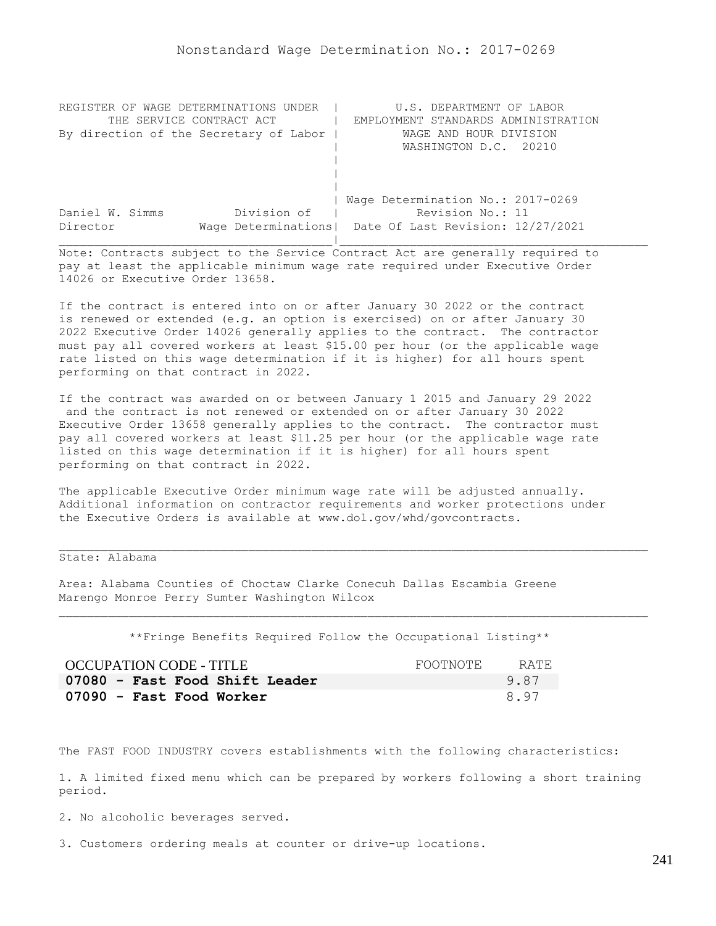| REGISTER OF WAGE DETERMINATIONS UNDER  | U.S. DEPARTMENT OF LABOR                                |
|----------------------------------------|---------------------------------------------------------|
| THE SERVICE CONTRACT ACT               | EMPLOYMENT STANDARDS ADMINISTRATION                     |
| By direction of the Secretary of Labor | WAGE AND HOUR DIVISION                                  |
|                                        | WASHINGTON D.C. 20210                                   |
|                                        |                                                         |
|                                        |                                                         |
|                                        |                                                         |
|                                        | Wage Determination No.: 2017-0269                       |
| Division of<br>Daniel W. Simms         | Revision No.: 11                                        |
| Director                               | Wage Determinations   Date Of Last Revision: 12/27/2021 |
|                                        |                                                         |

If the contract is entered into on or after January 30 2022 or the contract is renewed or extended (e.g. an option is exercised) on or after January 30 2022 Executive Order 14026 generally applies to the contract. The contractor must pay all covered workers at least \$15.00 per hour (or the applicable wage rate listed on this wage determination if it is higher) for all hours spent performing on that contract in 2022.

If the contract was awarded on or between January 1 2015 and January 29 2022 and the contract is not renewed or extended on or after January 30 2022 Executive Order 13658 generally applies to the contract. The contractor must pay all covered workers at least \$11.25 per hour (or the applicable wage rate listed on this wage determination if it is higher) for all hours spent performing on that contract in 2022.

The applicable Executive Order minimum wage rate will be adjusted annually. Additional information on contractor requirements and worker protections under the Executive Orders is available at www.dol.gov/whd/govcontracts.

State: Alabama

Area: Alabama Counties of Choctaw Clarke Conecuh Dallas Escambia Greene Marengo Monroe Perry Sumter Washington Wilcox

\*\*Fringe Benefits Required Follow the Occupational Listing\*\*

| OCCUPATION CODE - TITLE        | FOOTNOTE | RATE. |
|--------------------------------|----------|-------|
| 07080 - Fast Food Shift Leader |          | 9.87  |
| 07090 - Fast Food Worker       |          | 8.97  |

The FAST FOOD INDUSTRY covers establishments with the following characteristics:

1. A limited fixed menu which can be prepared by workers following a short training period.

2. No alcoholic beverages served.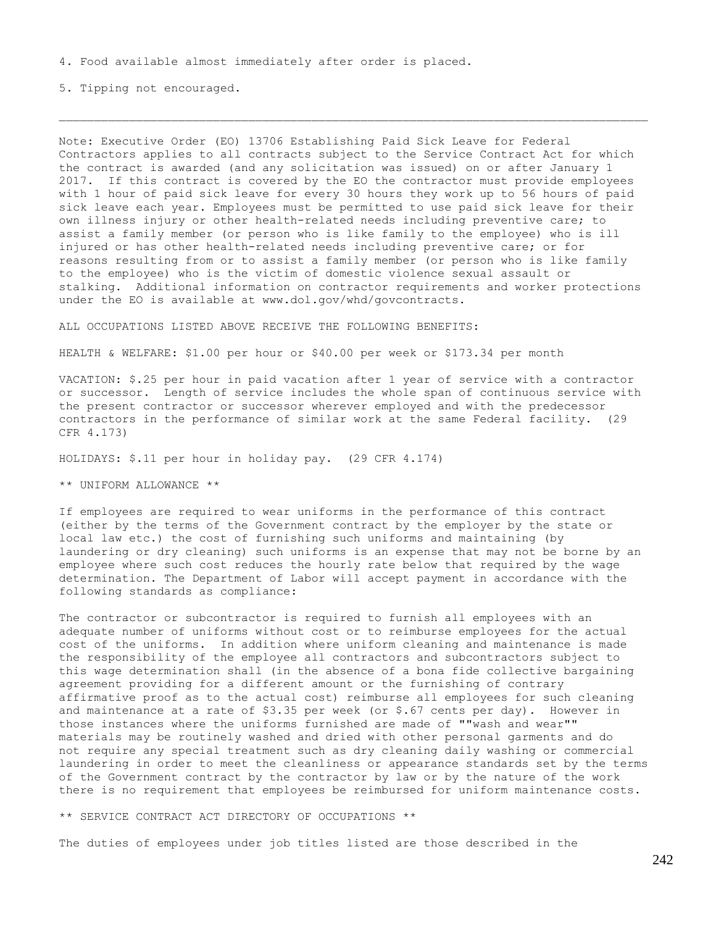5. Tipping not encouraged.

Note: Executive Order (EO) 13706 Establishing Paid Sick Leave for Federal Contractors applies to all contracts subject to the Service Contract Act for which the contract is awarded (and any solicitation was issued) on or after January 1 2017. If this contract is covered by the EO the contractor must provide employees with 1 hour of paid sick leave for every 30 hours they work up to 56 hours of paid sick leave each year. Employees must be permitted to use paid sick leave for their own illness injury or other health-related needs including preventive care; to assist a family member (or person who is like family to the employee) who is ill injured or has other health-related needs including preventive care; or for reasons resulting from or to assist a family member (or person who is like family to the employee) who is the victim of domestic violence sexual assault or stalking. Additional information on contractor requirements and worker protections under the EO is available at www.dol.gov/whd/govcontracts.

ALL OCCUPATIONS LISTED ABOVE RECEIVE THE FOLLOWING BENEFITS:

HEALTH & WELFARE: \$1.00 per hour or \$40.00 per week or \$173.34 per month

VACATION: \$.25 per hour in paid vacation after 1 year of service with a contractor or successor. Length of service includes the whole span of continuous service with the present contractor or successor wherever employed and with the predecessor contractors in the performance of similar work at the same Federal facility. (29 CFR 4.173)

HOLIDAYS: \$.11 per hour in holiday pay. (29 CFR 4.174)

\*\* UNIFORM ALLOWANCE \*\*

If employees are required to wear uniforms in the performance of this contract (either by the terms of the Government contract by the employer by the state or local law etc.) the cost of furnishing such uniforms and maintaining (by laundering or dry cleaning) such uniforms is an expense that may not be borne by an employee where such cost reduces the hourly rate below that required by the wage determination. The Department of Labor will accept payment in accordance with the following standards as compliance:

The contractor or subcontractor is required to furnish all employees with an adequate number of uniforms without cost or to reimburse employees for the actual cost of the uniforms. In addition where uniform cleaning and maintenance is made the responsibility of the employee all contractors and subcontractors subject to this wage determination shall (in the absence of a bona fide collective bargaining agreement providing for a different amount or the furnishing of contrary affirmative proof as to the actual cost) reimburse all employees for such cleaning and maintenance at a rate of  $$3.35$  per week (or  $$.67$  cents per day). However in those instances where the uniforms furnished are made of ""wash and wear"" materials may be routinely washed and dried with other personal garments and do not require any special treatment such as dry cleaning daily washing or commercial laundering in order to meet the cleanliness or appearance standards set by the terms of the Government contract by the contractor by law or by the nature of the work there is no requirement that employees be reimbursed for uniform maintenance costs.

\*\* SERVICE CONTRACT ACT DIRECTORY OF OCCUPATIONS \*\*

The duties of employees under job titles listed are those described in the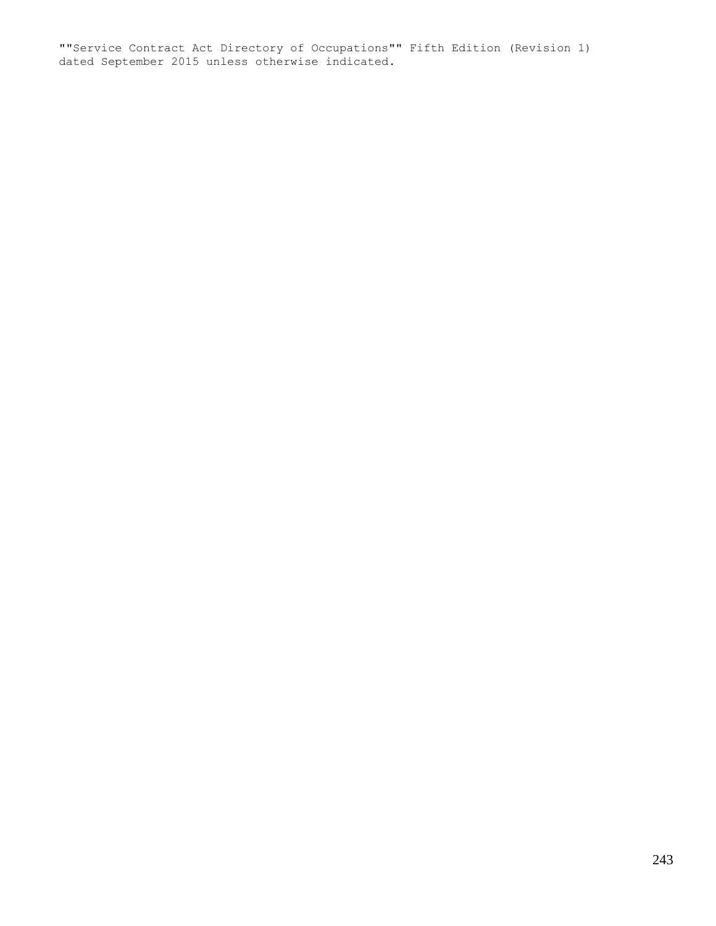""Service Contract Act Directory of Occupations"" Fifth Edition (Revision 1) dated September 2015 unless otherwise indicated.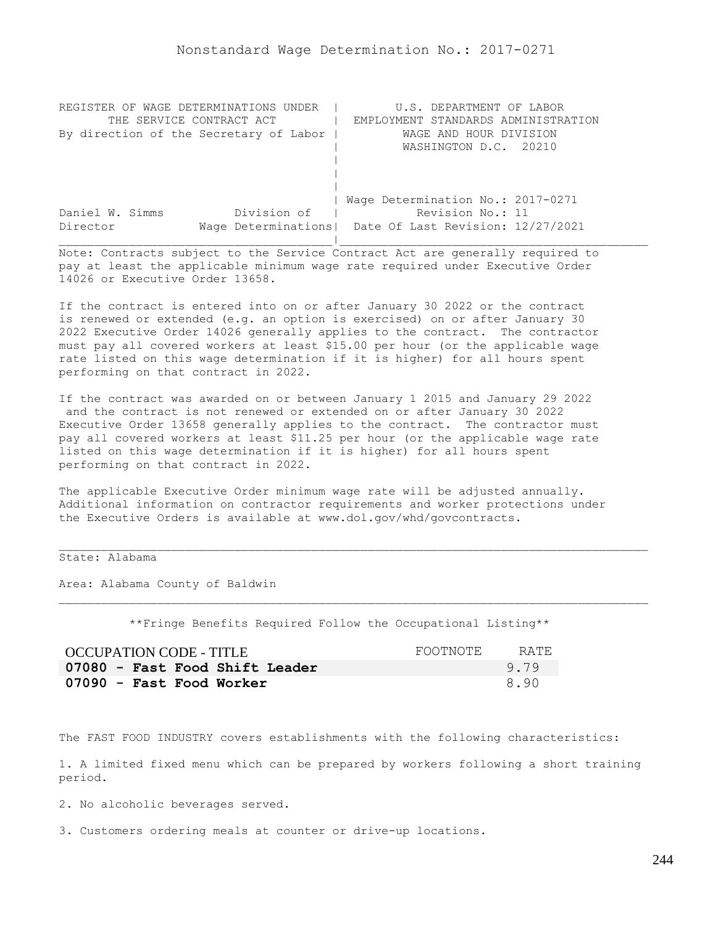| REGISTER OF WAGE DETERMINATIONS<br>UNDER | U.S. DEPARTMENT OF LABOR                                |
|------------------------------------------|---------------------------------------------------------|
| THE SERVICE CONTRACT ACT                 | EMPLOYMENT STANDARDS ADMINISTRATION                     |
| By direction of the Secretary of Labor   | WAGE AND HOUR DIVISION                                  |
|                                          | WASHINGTON D.C. 20210                                   |
|                                          |                                                         |
|                                          |                                                         |
|                                          |                                                         |
|                                          | Wage Determination No.: 2017-0271                       |
| Division of<br>Daniel W. Simms           | Revision No.: 11                                        |
| Director                                 | Wage Determinations   Date Of Last Revision: 12/27/2021 |
|                                          |                                                         |

If the contract is entered into on or after January 30 2022 or the contract is renewed or extended (e.g. an option is exercised) on or after January 30 2022 Executive Order 14026 generally applies to the contract. The contractor must pay all covered workers at least \$15.00 per hour (or the applicable wage rate listed on this wage determination if it is higher) for all hours spent performing on that contract in 2022.

If the contract was awarded on or between January 1 2015 and January 29 2022 and the contract is not renewed or extended on or after January 30 2022 Executive Order 13658 generally applies to the contract. The contractor must pay all covered workers at least \$11.25 per hour (or the applicable wage rate listed on this wage determination if it is higher) for all hours spent performing on that contract in 2022.

The applicable Executive Order minimum wage rate will be adjusted annually. Additional information on contractor requirements and worker protections under the Executive Orders is available at www.dol.gov/whd/govcontracts.

## State: Alabama

Area: Alabama County of Baldwin

\*\*Fringe Benefits Required Follow the Occupational Listing\*\*

| <b>OCCUPATION CODE - TITLE</b> | FOOTNOTE | RATE |
|--------------------------------|----------|------|
| 07080 - Fast Food Shift Leader |          | 9.79 |
| 07090 - Fast Food Worker       |          | 8.90 |

The FAST FOOD INDUSTRY covers establishments with the following characteristics:

1. A limited fixed menu which can be prepared by workers following a short training period.

2. No alcoholic beverages served.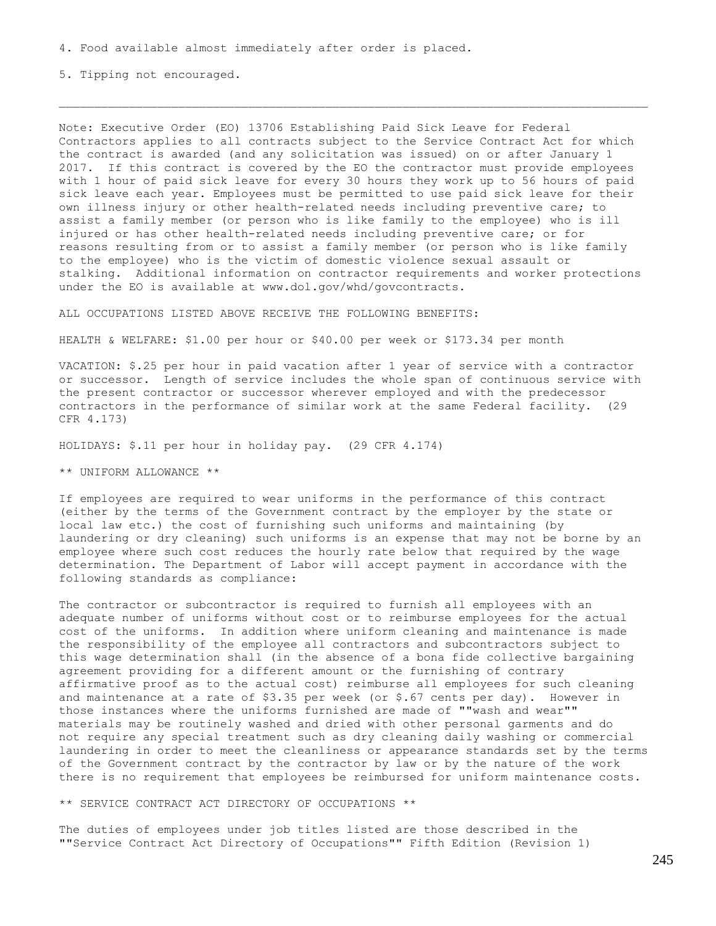5. Tipping not encouraged.

Note: Executive Order (EO) 13706 Establishing Paid Sick Leave for Federal Contractors applies to all contracts subject to the Service Contract Act for which the contract is awarded (and any solicitation was issued) on or after January 1 2017. If this contract is covered by the EO the contractor must provide employees with 1 hour of paid sick leave for every 30 hours they work up to 56 hours of paid sick leave each year. Employees must be permitted to use paid sick leave for their own illness injury or other health-related needs including preventive care; to assist a family member (or person who is like family to the employee) who is ill injured or has other health-related needs including preventive care; or for reasons resulting from or to assist a family member (or person who is like family to the employee) who is the victim of domestic violence sexual assault or stalking. Additional information on contractor requirements and worker protections under the EO is available at www.dol.gov/whd/govcontracts.

ALL OCCUPATIONS LISTED ABOVE RECEIVE THE FOLLOWING BENEFITS:

HEALTH & WELFARE: \$1.00 per hour or \$40.00 per week or \$173.34 per month

VACATION: \$.25 per hour in paid vacation after 1 year of service with a contractor or successor. Length of service includes the whole span of continuous service with the present contractor or successor wherever employed and with the predecessor contractors in the performance of similar work at the same Federal facility. (29 CFR 4.173)

HOLIDAYS: \$.11 per hour in holiday pay. (29 CFR 4.174)

\*\* UNIFORM ALLOWANCE \*\*

If employees are required to wear uniforms in the performance of this contract (either by the terms of the Government contract by the employer by the state or local law etc.) the cost of furnishing such uniforms and maintaining (by laundering or dry cleaning) such uniforms is an expense that may not be borne by an employee where such cost reduces the hourly rate below that required by the wage determination. The Department of Labor will accept payment in accordance with the following standards as compliance:

The contractor or subcontractor is required to furnish all employees with an adequate number of uniforms without cost or to reimburse employees for the actual cost of the uniforms. In addition where uniform cleaning and maintenance is made the responsibility of the employee all contractors and subcontractors subject to this wage determination shall (in the absence of a bona fide collective bargaining agreement providing for a different amount or the furnishing of contrary affirmative proof as to the actual cost) reimburse all employees for such cleaning and maintenance at a rate of \$3.35 per week (or \$.67 cents per day). However in those instances where the uniforms furnished are made of ""wash and wear"" materials may be routinely washed and dried with other personal garments and do not require any special treatment such as dry cleaning daily washing or commercial laundering in order to meet the cleanliness or appearance standards set by the terms of the Government contract by the contractor by law or by the nature of the work there is no requirement that employees be reimbursed for uniform maintenance costs.

\*\* SERVICE CONTRACT ACT DIRECTORY OF OCCUPATIONS \*\*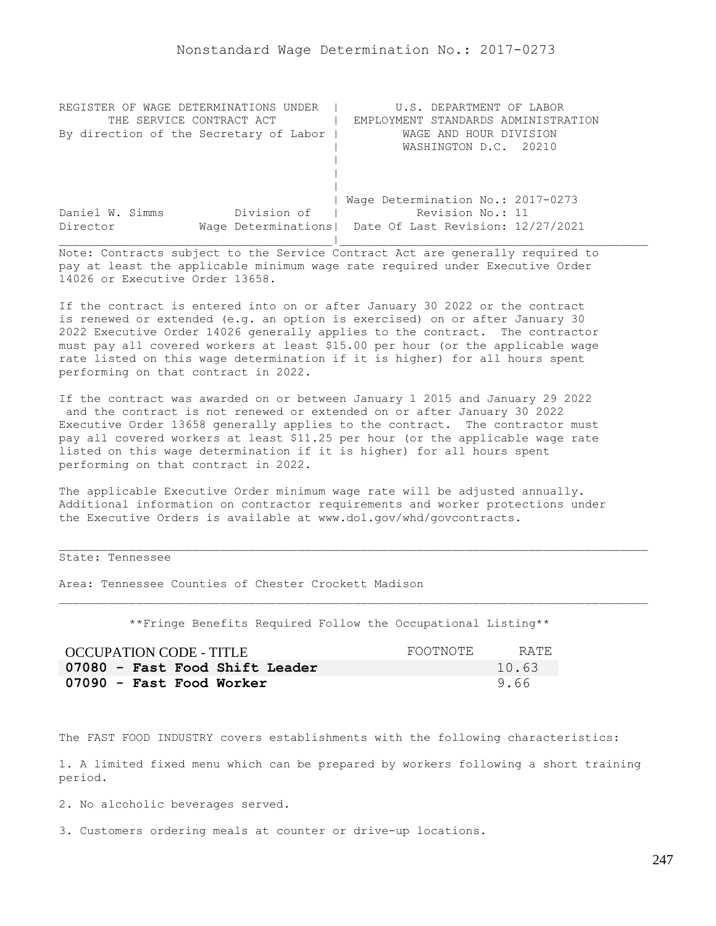| REGISTER OF WAGE DETERMINATIONS UNDER  | U.S. DEPARTMENT OF LABOR                                |
|----------------------------------------|---------------------------------------------------------|
| THE SERVICE CONTRACT ACT               | EMPLOYMENT STANDARDS ADMINISTRATION                     |
| By direction of the Secretary of Labor | WAGE AND HOUR DIVISION                                  |
|                                        | WASHINGTON D.C. 20210                                   |
|                                        |                                                         |
|                                        |                                                         |
|                                        |                                                         |
|                                        | Wage Determination No.: 2017-0273                       |
| Division of<br>Daniel W. Simms         | Revision No.: 11                                        |
| Director                               | Wage Determinations   Date Of Last Revision: 12/27/2021 |
|                                        |                                                         |

If the contract is entered into on or after January 30 2022 or the contract is renewed or extended (e.g. an option is exercised) on or after January 30 2022 Executive Order 14026 generally applies to the contract. The contractor must pay all covered workers at least \$15.00 per hour (or the applicable wage rate listed on this wage determination if it is higher) for all hours spent performing on that contract in 2022.

If the contract was awarded on or between January 1 2015 and January 29 2022 and the contract is not renewed or extended on or after January 30 2022 Executive Order 13658 generally applies to the contract. The contractor must pay all covered workers at least \$11.25 per hour (or the applicable wage rate listed on this wage determination if it is higher) for all hours spent performing on that contract in 2022.

The applicable Executive Order minimum wage rate will be adjusted annually. Additional information on contractor requirements and worker protections under the Executive Orders is available at www.dol.gov/whd/govcontracts.

## State: Tennessee

Area: Tennessee Counties of Chester Crockett Madison

\*\*Fringe Benefits Required Follow the Occupational Listing\*\*

| OCCUPATION CODE - TITLE        | FOOTNOTE | RATE. |
|--------------------------------|----------|-------|
| 07080 - Fast Food Shift Leader |          | 10.63 |
| 07090 - Fast Food Worker       |          | 9.66  |

The FAST FOOD INDUSTRY covers establishments with the following characteristics:

1. A limited fixed menu which can be prepared by workers following a short training period.

2. No alcoholic beverages served.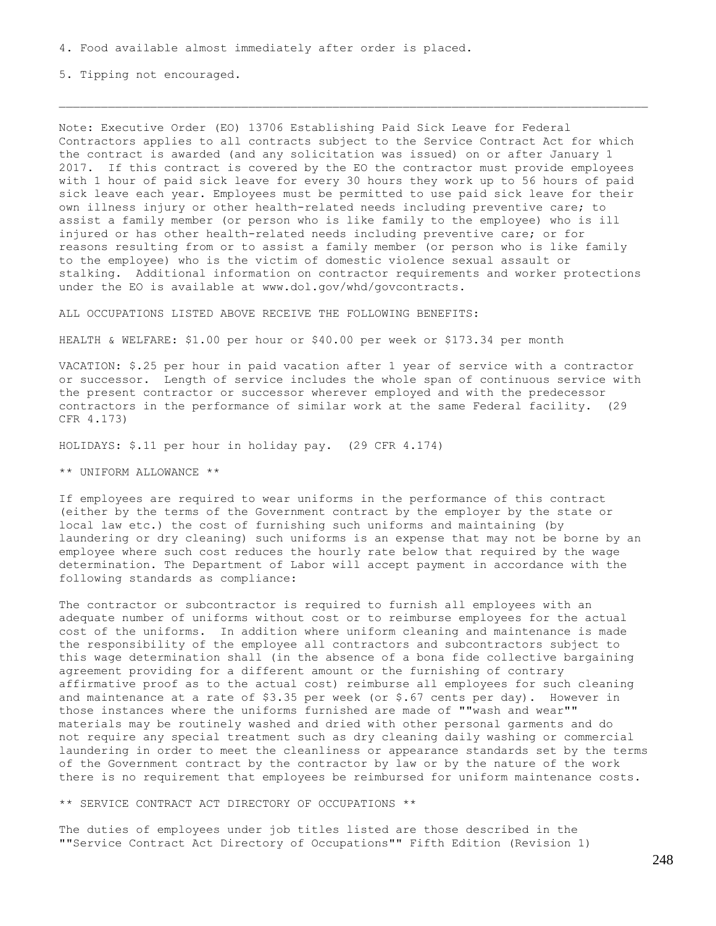5. Tipping not encouraged.

Note: Executive Order (EO) 13706 Establishing Paid Sick Leave for Federal Contractors applies to all contracts subject to the Service Contract Act for which the contract is awarded (and any solicitation was issued) on or after January 1 2017. If this contract is covered by the EO the contractor must provide employees with 1 hour of paid sick leave for every 30 hours they work up to 56 hours of paid sick leave each year. Employees must be permitted to use paid sick leave for their own illness injury or other health-related needs including preventive care; to assist a family member (or person who is like family to the employee) who is ill injured or has other health-related needs including preventive care; or for reasons resulting from or to assist a family member (or person who is like family to the employee) who is the victim of domestic violence sexual assault or stalking. Additional information on contractor requirements and worker protections under the EO is available at www.dol.gov/whd/govcontracts.

ALL OCCUPATIONS LISTED ABOVE RECEIVE THE FOLLOWING BENEFITS:

HEALTH & WELFARE: \$1.00 per hour or \$40.00 per week or \$173.34 per month

VACATION: \$.25 per hour in paid vacation after 1 year of service with a contractor or successor. Length of service includes the whole span of continuous service with the present contractor or successor wherever employed and with the predecessor contractors in the performance of similar work at the same Federal facility. (29 CFR 4.173)

HOLIDAYS: \$.11 per hour in holiday pay. (29 CFR 4.174)

\*\* UNIFORM ALLOWANCE \*\*

If employees are required to wear uniforms in the performance of this contract (either by the terms of the Government contract by the employer by the state or local law etc.) the cost of furnishing such uniforms and maintaining (by laundering or dry cleaning) such uniforms is an expense that may not be borne by an employee where such cost reduces the hourly rate below that required by the wage determination. The Department of Labor will accept payment in accordance with the following standards as compliance:

The contractor or subcontractor is required to furnish all employees with an adequate number of uniforms without cost or to reimburse employees for the actual cost of the uniforms. In addition where uniform cleaning and maintenance is made the responsibility of the employee all contractors and subcontractors subject to this wage determination shall (in the absence of a bona fide collective bargaining agreement providing for a different amount or the furnishing of contrary affirmative proof as to the actual cost) reimburse all employees for such cleaning and maintenance at a rate of \$3.35 per week (or \$.67 cents per day). However in those instances where the uniforms furnished are made of ""wash and wear"" materials may be routinely washed and dried with other personal garments and do not require any special treatment such as dry cleaning daily washing or commercial laundering in order to meet the cleanliness or appearance standards set by the terms of the Government contract by the contractor by law or by the nature of the work there is no requirement that employees be reimbursed for uniform maintenance costs.

\*\* SERVICE CONTRACT ACT DIRECTORY OF OCCUPATIONS \*\*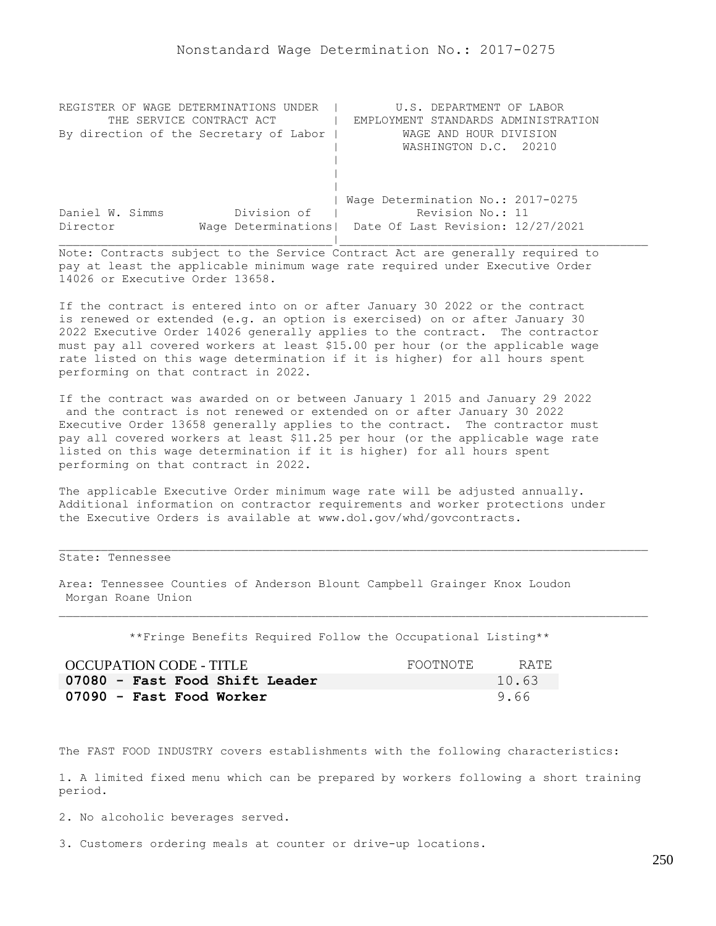| REGISTER OF WAGE DETERMINATIONS UNDER  | U.S. DEPARTMENT OF LABOR                                |
|----------------------------------------|---------------------------------------------------------|
| THE SERVICE CONTRACT ACT               | EMPLOYMENT STANDARDS ADMINISTRATION                     |
| By direction of the Secretary of Labor | WAGE AND HOUR DIVISION                                  |
|                                        | WASHINGTON D.C. 20210                                   |
|                                        |                                                         |
|                                        |                                                         |
|                                        |                                                         |
|                                        | Wage Determination No.: 2017-0275                       |
| Division of<br>Daniel W. Simms         | Revision No.: 11                                        |
| Director                               | Wage Determinations   Date Of Last Revision: 12/27/2021 |
|                                        |                                                         |

If the contract is entered into on or after January 30 2022 or the contract is renewed or extended (e.g. an option is exercised) on or after January 30 2022 Executive Order 14026 generally applies to the contract. The contractor must pay all covered workers at least \$15.00 per hour (or the applicable wage rate listed on this wage determination if it is higher) for all hours spent performing on that contract in 2022.

If the contract was awarded on or between January 1 2015 and January 29 2022 and the contract is not renewed or extended on or after January 30 2022 Executive Order 13658 generally applies to the contract. The contractor must pay all covered workers at least \$11.25 per hour (or the applicable wage rate listed on this wage determination if it is higher) for all hours spent performing on that contract in 2022.

The applicable Executive Order minimum wage rate will be adjusted annually. Additional information on contractor requirements and worker protections under the Executive Orders is available at www.dol.gov/whd/govcontracts.

## State: Tennessee

Area: Tennessee Counties of Anderson Blount Campbell Grainger Knox Loudon Morgan Roane Union

\*\*Fringe Benefits Required Follow the Occupational Listing\*\*

| <b>OCCUPATION CODE - TITLE</b> | FOOTNOTE | RATE. |
|--------------------------------|----------|-------|
| 07080 - Fast Food Shift Leader |          | 10.63 |
| 07090 - Fast Food Worker       |          | 9.66  |

The FAST FOOD INDUSTRY covers establishments with the following characteristics:

1. A limited fixed menu which can be prepared by workers following a short training period.

2. No alcoholic beverages served.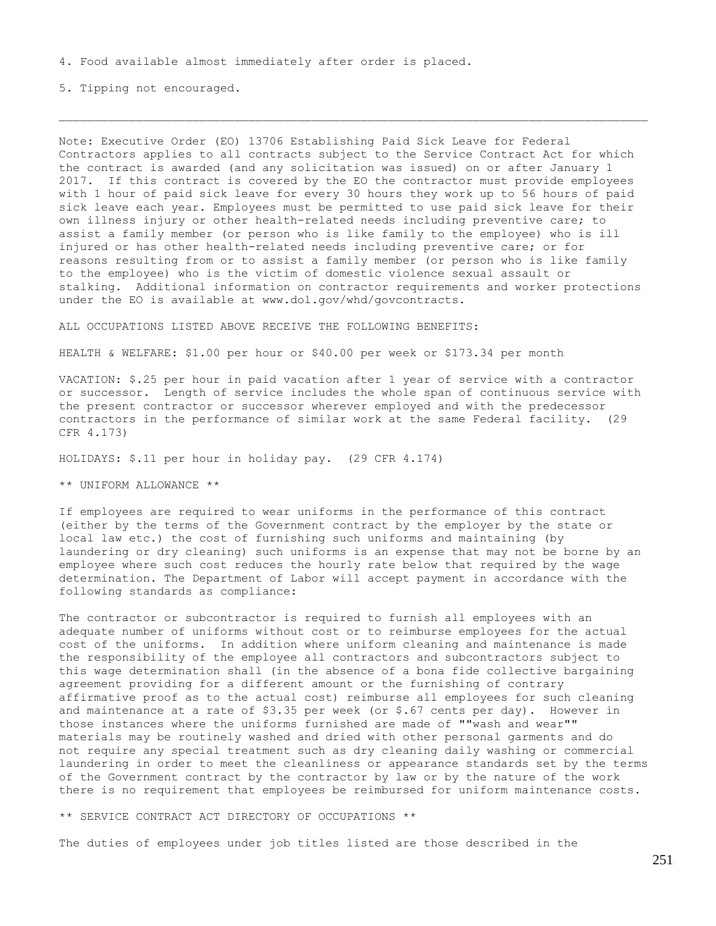5. Tipping not encouraged.

Note: Executive Order (EO) 13706 Establishing Paid Sick Leave for Federal Contractors applies to all contracts subject to the Service Contract Act for which the contract is awarded (and any solicitation was issued) on or after January 1 2017. If this contract is covered by the EO the contractor must provide employees with 1 hour of paid sick leave for every 30 hours they work up to 56 hours of paid sick leave each year. Employees must be permitted to use paid sick leave for their own illness injury or other health-related needs including preventive care; to assist a family member (or person who is like family to the employee) who is ill injured or has other health-related needs including preventive care; or for reasons resulting from or to assist a family member (or person who is like family to the employee) who is the victim of domestic violence sexual assault or stalking. Additional information on contractor requirements and worker protections under the EO is available at www.dol.gov/whd/govcontracts.

ALL OCCUPATIONS LISTED ABOVE RECEIVE THE FOLLOWING BENEFITS:

HEALTH & WELFARE: \$1.00 per hour or \$40.00 per week or \$173.34 per month

VACATION: \$.25 per hour in paid vacation after 1 year of service with a contractor or successor. Length of service includes the whole span of continuous service with the present contractor or successor wherever employed and with the predecessor contractors in the performance of similar work at the same Federal facility. (29 CFR 4.173)

HOLIDAYS: \$.11 per hour in holiday pay. (29 CFR 4.174)

\*\* UNIFORM ALLOWANCE \*\*

If employees are required to wear uniforms in the performance of this contract (either by the terms of the Government contract by the employer by the state or local law etc.) the cost of furnishing such uniforms and maintaining (by laundering or dry cleaning) such uniforms is an expense that may not be borne by an employee where such cost reduces the hourly rate below that required by the wage determination. The Department of Labor will accept payment in accordance with the following standards as compliance:

The contractor or subcontractor is required to furnish all employees with an adequate number of uniforms without cost or to reimburse employees for the actual cost of the uniforms. In addition where uniform cleaning and maintenance is made the responsibility of the employee all contractors and subcontractors subject to this wage determination shall (in the absence of a bona fide collective bargaining agreement providing for a different amount or the furnishing of contrary affirmative proof as to the actual cost) reimburse all employees for such cleaning and maintenance at a rate of  $$3.35$  per week (or  $$.67$  cents per day). However in those instances where the uniforms furnished are made of ""wash and wear"" materials may be routinely washed and dried with other personal garments and do not require any special treatment such as dry cleaning daily washing or commercial laundering in order to meet the cleanliness or appearance standards set by the terms of the Government contract by the contractor by law or by the nature of the work there is no requirement that employees be reimbursed for uniform maintenance costs.

\*\* SERVICE CONTRACT ACT DIRECTORY OF OCCUPATIONS \*\*

The duties of employees under job titles listed are those described in the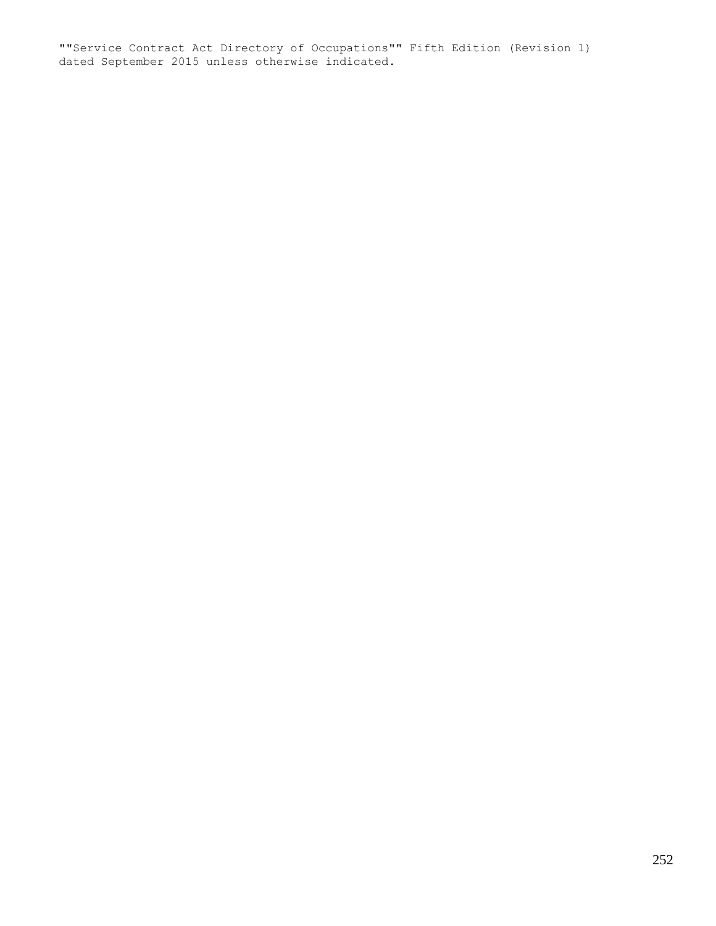""Service Contract Act Directory of Occupations"" Fifth Edition (Revision 1) dated September 2015 unless otherwise indicated.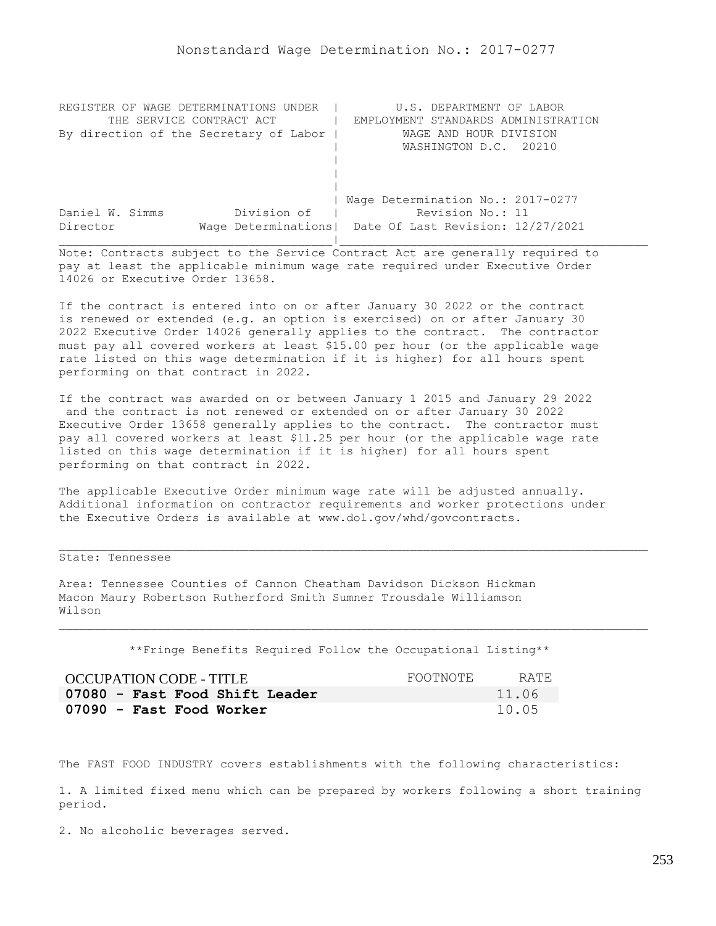| REGISTER OF WAGE DETERMINATIONS UNDER  | U.S. DEPARTMENT OF LABOR                                |
|----------------------------------------|---------------------------------------------------------|
| THE SERVICE CONTRACT ACT               | EMPLOYMENT STANDARDS ADMINISTRATION                     |
| By direction of the Secretary of Labor | WAGE AND HOUR DIVISION                                  |
|                                        | WASHINGTON D.C. 20210                                   |
|                                        |                                                         |
|                                        |                                                         |
|                                        |                                                         |
|                                        | Wage Determination No.: 2017-0277                       |
| Division of<br>Daniel W. Simms         | Revision No.: 11                                        |
| Director                               | Wage Determinations   Date Of Last Revision: 12/27/2021 |
|                                        |                                                         |

If the contract is entered into on or after January 30 2022 or the contract is renewed or extended (e.g. an option is exercised) on or after January 30 2022 Executive Order 14026 generally applies to the contract. The contractor must pay all covered workers at least \$15.00 per hour (or the applicable wage rate listed on this wage determination if it is higher) for all hours spent performing on that contract in 2022.

If the contract was awarded on or between January 1 2015 and January 29 2022 and the contract is not renewed or extended on or after January 30 2022 Executive Order 13658 generally applies to the contract. The contractor must pay all covered workers at least \$11.25 per hour (or the applicable wage rate listed on this wage determination if it is higher) for all hours spent performing on that contract in 2022.

The applicable Executive Order minimum wage rate will be adjusted annually. Additional information on contractor requirements and worker protections under the Executive Orders is available at www.dol.gov/whd/govcontracts.

## State: Tennessee

Area: Tennessee Counties of Cannon Cheatham Davidson Dickson Hickman Macon Maury Robertson Rutherford Smith Sumner Trousdale Williamson Wilson

\*\*Fringe Benefits Required Follow the Occupational Listing\*\*

| OCCUPATION CODE - TITLE        | FOOTNOTE | RATE. |
|--------------------------------|----------|-------|
| 07080 - Fast Food Shift Leader |          | 11.06 |
| 07090 - Fast Food Worker       |          | 10.05 |

The FAST FOOD INDUSTRY covers establishments with the following characteristics:

1. A limited fixed menu which can be prepared by workers following a short training period.

2. No alcoholic beverages served.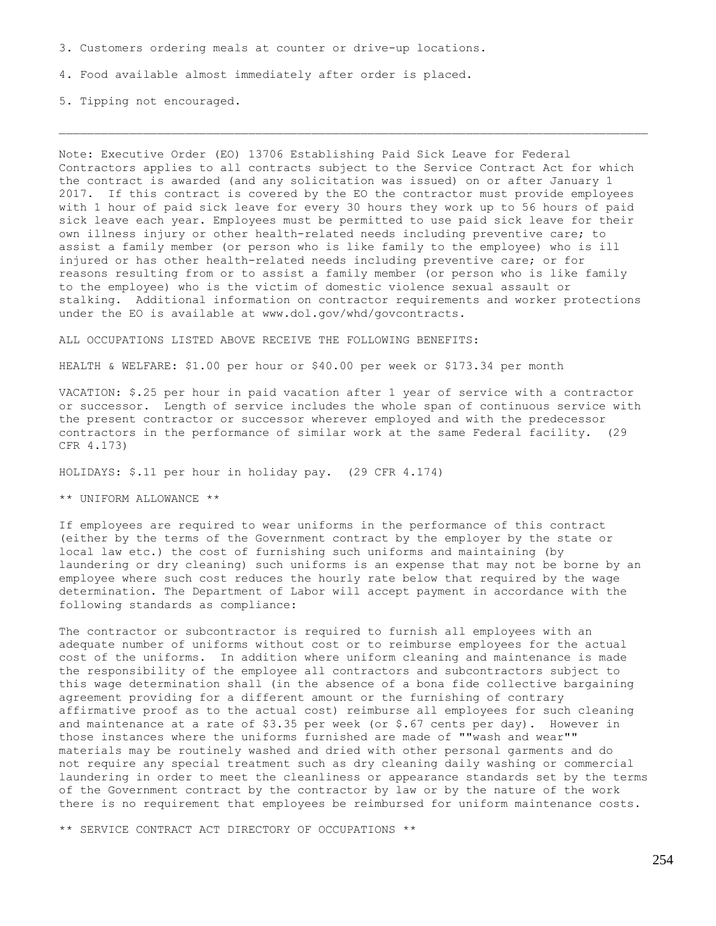3. Customers ordering meals at counter or drive-up locations.

4. Food available almost immediately after order is placed.

5. Tipping not encouraged.

Note: Executive Order (EO) 13706 Establishing Paid Sick Leave for Federal Contractors applies to all contracts subject to the Service Contract Act for which the contract is awarded (and any solicitation was issued) on or after January 1 2017. If this contract is covered by the EO the contractor must provide employees with 1 hour of paid sick leave for every 30 hours they work up to 56 hours of paid sick leave each year. Employees must be permitted to use paid sick leave for their own illness injury or other health-related needs including preventive care; to assist a family member (or person who is like family to the employee) who is ill injured or has other health-related needs including preventive care; or for reasons resulting from or to assist a family member (or person who is like family to the employee) who is the victim of domestic violence sexual assault or stalking. Additional information on contractor requirements and worker protections under the EO is available at www.dol.gov/whd/govcontracts.

ALL OCCUPATIONS LISTED ABOVE RECEIVE THE FOLLOWING BENEFITS:

HEALTH & WELFARE: \$1.00 per hour or \$40.00 per week or \$173.34 per month

VACATION: \$.25 per hour in paid vacation after 1 year of service with a contractor or successor. Length of service includes the whole span of continuous service with the present contractor or successor wherever employed and with the predecessor contractors in the performance of similar work at the same Federal facility. (29 CFR 4.173)

HOLIDAYS: \$.11 per hour in holiday pay. (29 CFR 4.174)

\*\* UNIFORM ALLOWANCE \*\*

If employees are required to wear uniforms in the performance of this contract (either by the terms of the Government contract by the employer by the state or local law etc.) the cost of furnishing such uniforms and maintaining (by laundering or dry cleaning) such uniforms is an expense that may not be borne by an employee where such cost reduces the hourly rate below that required by the wage determination. The Department of Labor will accept payment in accordance with the following standards as compliance:

The contractor or subcontractor is required to furnish all employees with an adequate number of uniforms without cost or to reimburse employees for the actual cost of the uniforms. In addition where uniform cleaning and maintenance is made the responsibility of the employee all contractors and subcontractors subject to this wage determination shall (in the absence of a bona fide collective bargaining agreement providing for a different amount or the furnishing of contrary affirmative proof as to the actual cost) reimburse all employees for such cleaning and maintenance at a rate of  $$3.35$  per week (or  $$.67$  cents per day). However in those instances where the uniforms furnished are made of ""wash and wear"" materials may be routinely washed and dried with other personal garments and do not require any special treatment such as dry cleaning daily washing or commercial laundering in order to meet the cleanliness or appearance standards set by the terms of the Government contract by the contractor by law or by the nature of the work there is no requirement that employees be reimbursed for uniform maintenance costs.

\*\* SERVICE CONTRACT ACT DIRECTORY OF OCCUPATIONS \*\*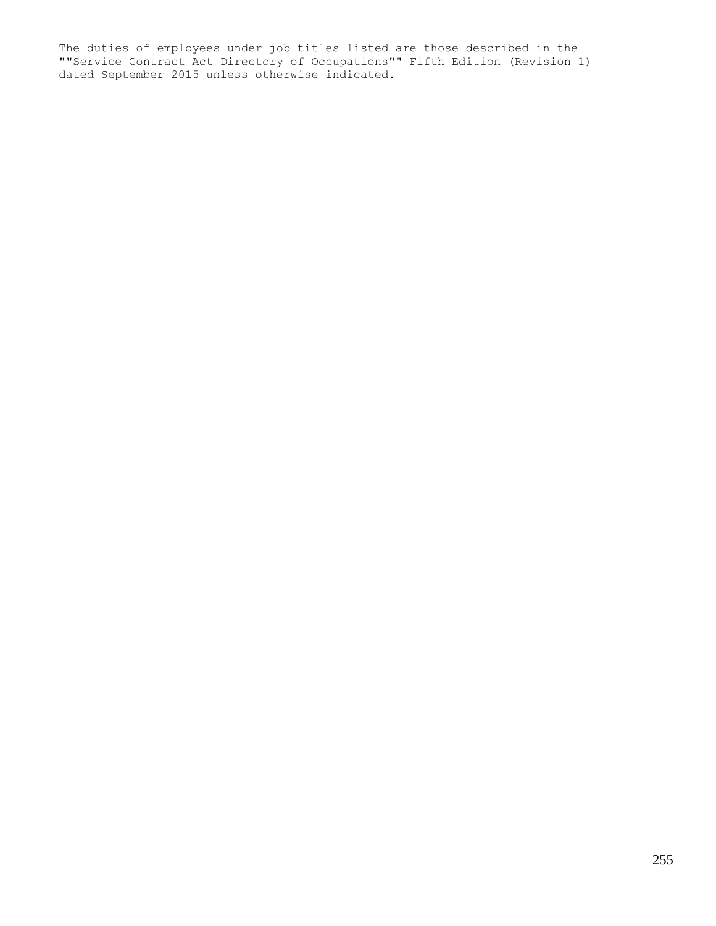The duties of employees under job titles listed are those described in the ""Service Contract Act Directory of Occupations"" Fifth Edition (Revision 1) dated September 2015 unless otherwise indicated.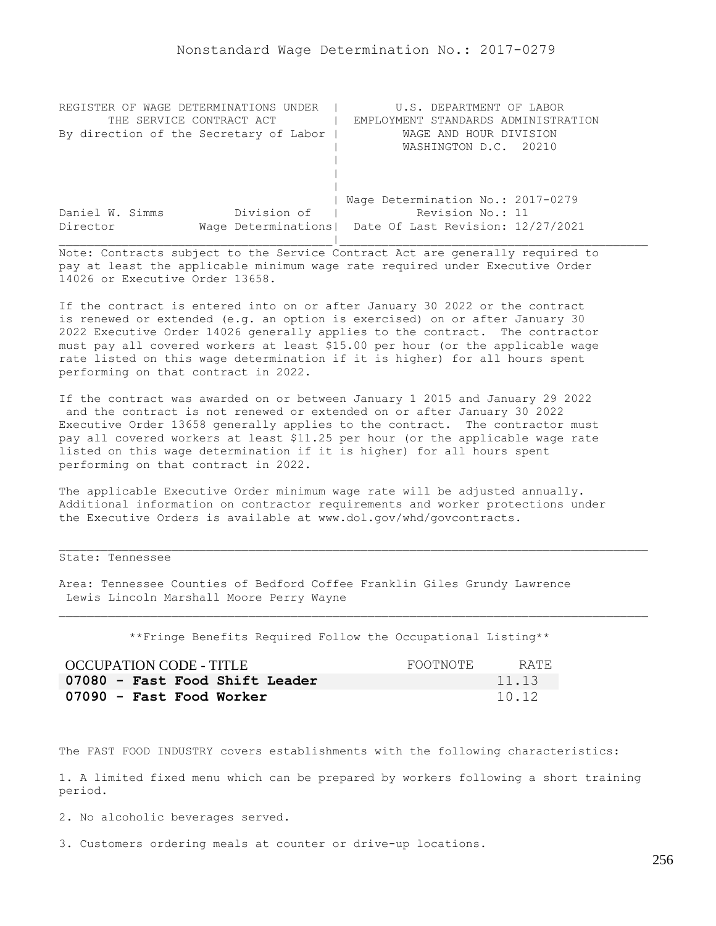| REGISTER OF WAGE DETERMINATIONS UNDER  | U.S. DEPARTMENT OF LABOR                                |
|----------------------------------------|---------------------------------------------------------|
| THE SERVICE CONTRACT ACT               | EMPLOYMENT STANDARDS ADMINISTRATION                     |
| By direction of the Secretary of Labor | WAGE AND HOUR DIVISION                                  |
|                                        | WASHINGTON D.C. 20210                                   |
|                                        |                                                         |
|                                        |                                                         |
|                                        |                                                         |
|                                        | Wage Determination No.: 2017-0279                       |
| Division of<br>Daniel W. Simms         | Revision No.: 11                                        |
| Director                               | Wage Determinations   Date Of Last Revision: 12/27/2021 |
|                                        |                                                         |

If the contract is entered into on or after January 30 2022 or the contract is renewed or extended (e.g. an option is exercised) on or after January 30 2022 Executive Order 14026 generally applies to the contract. The contractor must pay all covered workers at least \$15.00 per hour (or the applicable wage rate listed on this wage determination if it is higher) for all hours spent performing on that contract in 2022.

If the contract was awarded on or between January 1 2015 and January 29 2022 and the contract is not renewed or extended on or after January 30 2022 Executive Order 13658 generally applies to the contract. The contractor must pay all covered workers at least \$11.25 per hour (or the applicable wage rate listed on this wage determination if it is higher) for all hours spent performing on that contract in 2022.

The applicable Executive Order minimum wage rate will be adjusted annually. Additional information on contractor requirements and worker protections under the Executive Orders is available at www.dol.gov/whd/govcontracts.

## State: Tennessee

Area: Tennessee Counties of Bedford Coffee Franklin Giles Grundy Lawrence Lewis Lincoln Marshall Moore Perry Wayne

\*\*Fringe Benefits Required Follow the Occupational Listing\*\*

| OCCUPATION CODE - TITLE        | FOOTNOTE | RATE. |
|--------------------------------|----------|-------|
| 07080 - Fast Food Shift Leader |          | 11.13 |
| 07090 - Fast Food Worker       |          | 10.12 |

The FAST FOOD INDUSTRY covers establishments with the following characteristics:

1. A limited fixed menu which can be prepared by workers following a short training period.

2. No alcoholic beverages served.

3. Customers ordering meals at counter or drive-up locations.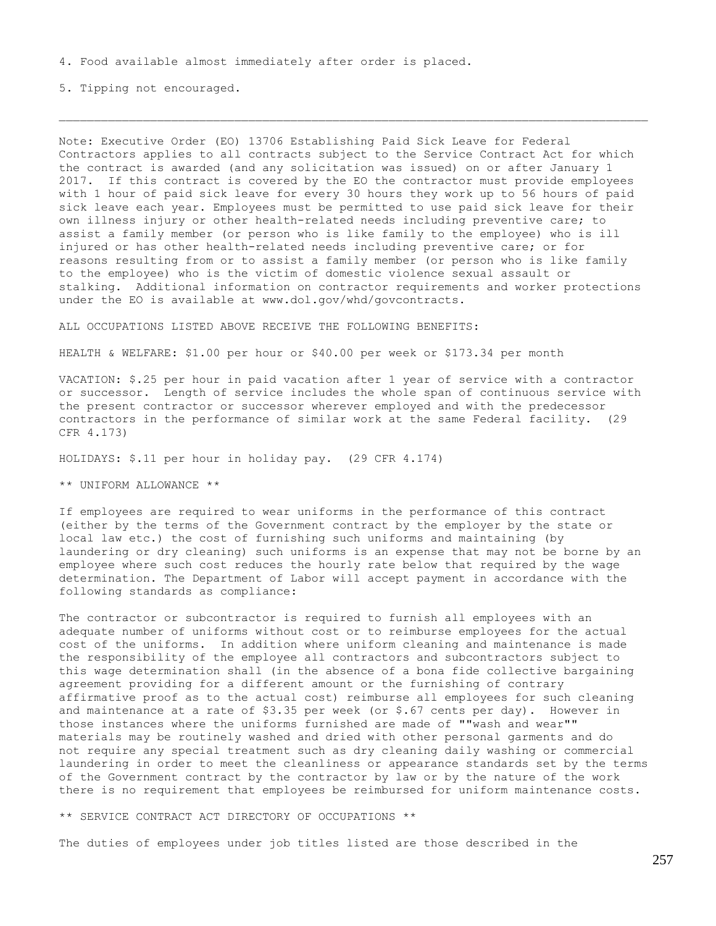4. Food available almost immediately after order is placed.

5. Tipping not encouraged.

Note: Executive Order (EO) 13706 Establishing Paid Sick Leave for Federal Contractors applies to all contracts subject to the Service Contract Act for which the contract is awarded (and any solicitation was issued) on or after January 1 2017. If this contract is covered by the EO the contractor must provide employees with 1 hour of paid sick leave for every 30 hours they work up to 56 hours of paid sick leave each year. Employees must be permitted to use paid sick leave for their own illness injury or other health-related needs including preventive care; to assist a family member (or person who is like family to the employee) who is ill injured or has other health-related needs including preventive care; or for reasons resulting from or to assist a family member (or person who is like family to the employee) who is the victim of domestic violence sexual assault or stalking. Additional information on contractor requirements and worker protections under the EO is available at www.dol.gov/whd/govcontracts.

ALL OCCUPATIONS LISTED ABOVE RECEIVE THE FOLLOWING BENEFITS:

HEALTH & WELFARE: \$1.00 per hour or \$40.00 per week or \$173.34 per month

VACATION: \$.25 per hour in paid vacation after 1 year of service with a contractor or successor. Length of service includes the whole span of continuous service with the present contractor or successor wherever employed and with the predecessor contractors in the performance of similar work at the same Federal facility. (29 CFR 4.173)

HOLIDAYS: \$.11 per hour in holiday pay. (29 CFR 4.174)

\*\* UNIFORM ALLOWANCE \*\*

If employees are required to wear uniforms in the performance of this contract (either by the terms of the Government contract by the employer by the state or local law etc.) the cost of furnishing such uniforms and maintaining (by laundering or dry cleaning) such uniforms is an expense that may not be borne by an employee where such cost reduces the hourly rate below that required by the wage determination. The Department of Labor will accept payment in accordance with the following standards as compliance:

The contractor or subcontractor is required to furnish all employees with an adequate number of uniforms without cost or to reimburse employees for the actual cost of the uniforms. In addition where uniform cleaning and maintenance is made the responsibility of the employee all contractors and subcontractors subject to this wage determination shall (in the absence of a bona fide collective bargaining agreement providing for a different amount or the furnishing of contrary affirmative proof as to the actual cost) reimburse all employees for such cleaning and maintenance at a rate of  $$3.35$  per week (or  $$.67$  cents per day). However in those instances where the uniforms furnished are made of ""wash and wear"" materials may be routinely washed and dried with other personal garments and do not require any special treatment such as dry cleaning daily washing or commercial laundering in order to meet the cleanliness or appearance standards set by the terms of the Government contract by the contractor by law or by the nature of the work there is no requirement that employees be reimbursed for uniform maintenance costs.

\*\* SERVICE CONTRACT ACT DIRECTORY OF OCCUPATIONS \*\*

The duties of employees under job titles listed are those described in the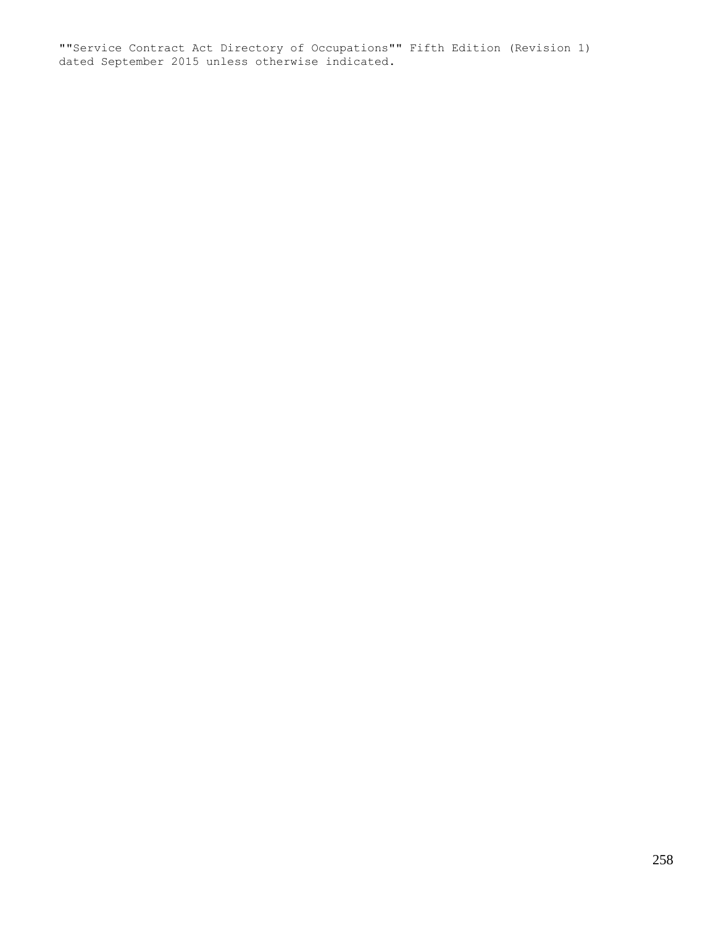""Service Contract Act Directory of Occupations"" Fifth Edition (Revision 1) dated September 2015 unless otherwise indicated.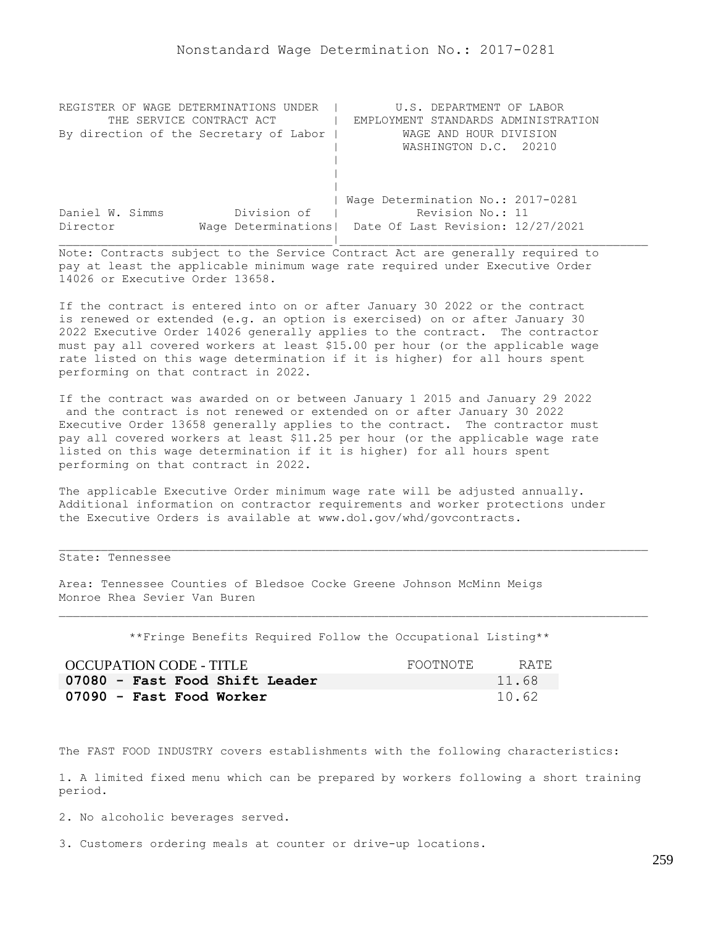| REGISTER OF WAGE DETERMINATIONS UNDER  | U.S. DEPARTMENT OF LABOR                                |
|----------------------------------------|---------------------------------------------------------|
| THE SERVICE CONTRACT ACT               | EMPLOYMENT STANDARDS ADMINISTRATION                     |
| By direction of the Secretary of Labor | WAGE AND HOUR DIVISION                                  |
|                                        | WASHINGTON D.C. 20210                                   |
|                                        |                                                         |
|                                        |                                                         |
|                                        |                                                         |
|                                        | Wage Determination No.: 2017-0281                       |
| Division of<br>Daniel W. Simms         | Revision No.: 11                                        |
| Director                               | Wage Determinations   Date Of Last Revision: 12/27/2021 |
|                                        |                                                         |

If the contract is entered into on or after January 30 2022 or the contract is renewed or extended (e.g. an option is exercised) on or after January 30 2022 Executive Order 14026 generally applies to the contract. The contractor must pay all covered workers at least \$15.00 per hour (or the applicable wage rate listed on this wage determination if it is higher) for all hours spent performing on that contract in 2022.

If the contract was awarded on or between January 1 2015 and January 29 2022 and the contract is not renewed or extended on or after January 30 2022 Executive Order 13658 generally applies to the contract. The contractor must pay all covered workers at least \$11.25 per hour (or the applicable wage rate listed on this wage determination if it is higher) for all hours spent performing on that contract in 2022.

The applicable Executive Order minimum wage rate will be adjusted annually. Additional information on contractor requirements and worker protections under the Executive Orders is available at www.dol.gov/whd/govcontracts.

## State: Tennessee

Area: Tennessee Counties of Bledsoe Cocke Greene Johnson McMinn Meigs Monroe Rhea Sevier Van Buren

\*\*Fringe Benefits Required Follow the Occupational Listing\*\*

| OCCUPATION CODE - TITLE        | FOOTNOTE | RATE. |
|--------------------------------|----------|-------|
| 07080 - Fast Food Shift Leader |          | 11.68 |
| 07090 - Fast Food Worker       |          | 10.62 |

The FAST FOOD INDUSTRY covers establishments with the following characteristics:

1. A limited fixed menu which can be prepared by workers following a short training period.

2. No alcoholic beverages served.

3. Customers ordering meals at counter or drive-up locations.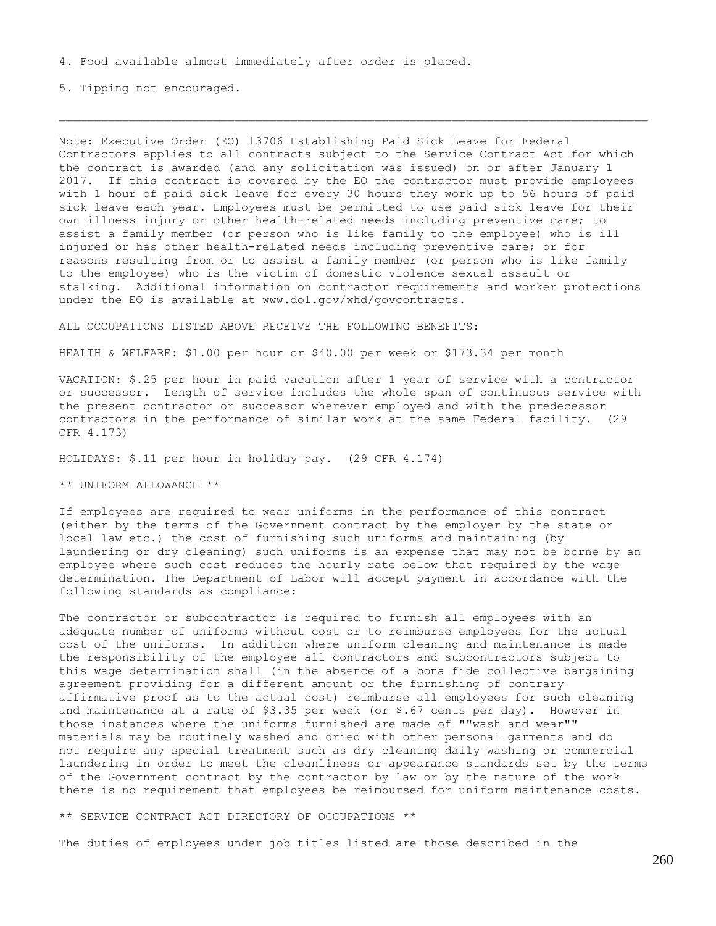4. Food available almost immediately after order is placed.

5. Tipping not encouraged.

Note: Executive Order (EO) 13706 Establishing Paid Sick Leave for Federal Contractors applies to all contracts subject to the Service Contract Act for which the contract is awarded (and any solicitation was issued) on or after January 1 2017. If this contract is covered by the EO the contractor must provide employees with 1 hour of paid sick leave for every 30 hours they work up to 56 hours of paid sick leave each year. Employees must be permitted to use paid sick leave for their own illness injury or other health-related needs including preventive care; to assist a family member (or person who is like family to the employee) who is ill injured or has other health-related needs including preventive care; or for reasons resulting from or to assist a family member (or person who is like family to the employee) who is the victim of domestic violence sexual assault or stalking. Additional information on contractor requirements and worker protections under the EO is available at www.dol.gov/whd/govcontracts.

ALL OCCUPATIONS LISTED ABOVE RECEIVE THE FOLLOWING BENEFITS:

HEALTH & WELFARE: \$1.00 per hour or \$40.00 per week or \$173.34 per month

VACATION: \$.25 per hour in paid vacation after 1 year of service with a contractor or successor. Length of service includes the whole span of continuous service with the present contractor or successor wherever employed and with the predecessor contractors in the performance of similar work at the same Federal facility. (29 CFR 4.173)

HOLIDAYS: \$.11 per hour in holiday pay. (29 CFR 4.174)

\*\* UNIFORM ALLOWANCE \*\*

If employees are required to wear uniforms in the performance of this contract (either by the terms of the Government contract by the employer by the state or local law etc.) the cost of furnishing such uniforms and maintaining (by laundering or dry cleaning) such uniforms is an expense that may not be borne by an employee where such cost reduces the hourly rate below that required by the wage determination. The Department of Labor will accept payment in accordance with the following standards as compliance:

The contractor or subcontractor is required to furnish all employees with an adequate number of uniforms without cost or to reimburse employees for the actual cost of the uniforms. In addition where uniform cleaning and maintenance is made the responsibility of the employee all contractors and subcontractors subject to this wage determination shall (in the absence of a bona fide collective bargaining agreement providing for a different amount or the furnishing of contrary affirmative proof as to the actual cost) reimburse all employees for such cleaning and maintenance at a rate of  $$3.35$  per week (or  $$.67$  cents per day). However in those instances where the uniforms furnished are made of ""wash and wear"" materials may be routinely washed and dried with other personal garments and do not require any special treatment such as dry cleaning daily washing or commercial laundering in order to meet the cleanliness or appearance standards set by the terms of the Government contract by the contractor by law or by the nature of the work there is no requirement that employees be reimbursed for uniform maintenance costs.

\*\* SERVICE CONTRACT ACT DIRECTORY OF OCCUPATIONS \*\*

The duties of employees under job titles listed are those described in the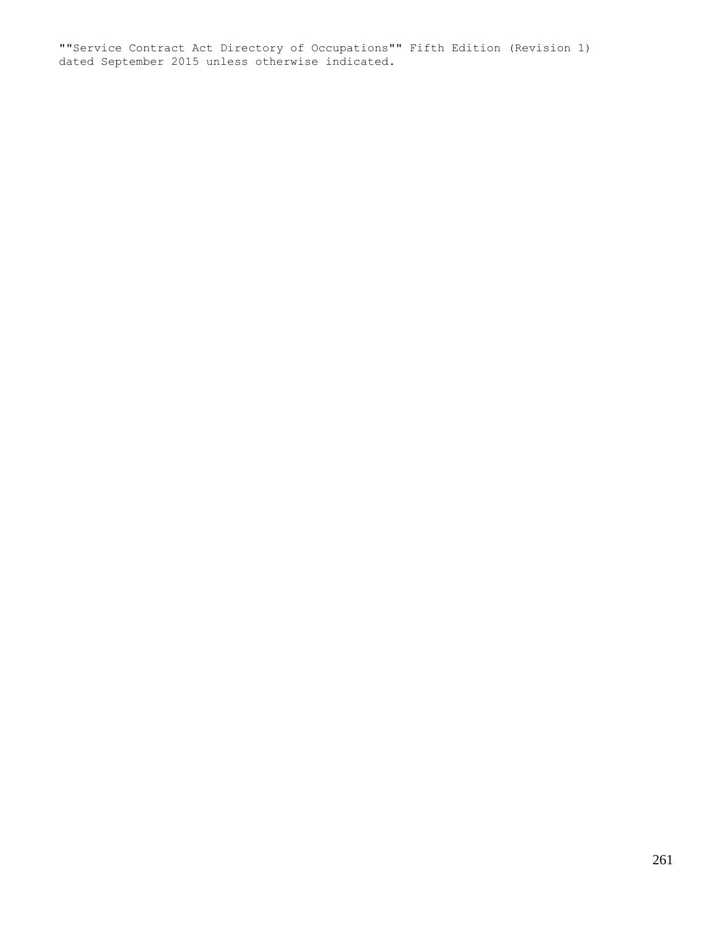""Service Contract Act Directory of Occupations"" Fifth Edition (Revision 1) dated September 2015 unless otherwise indicated.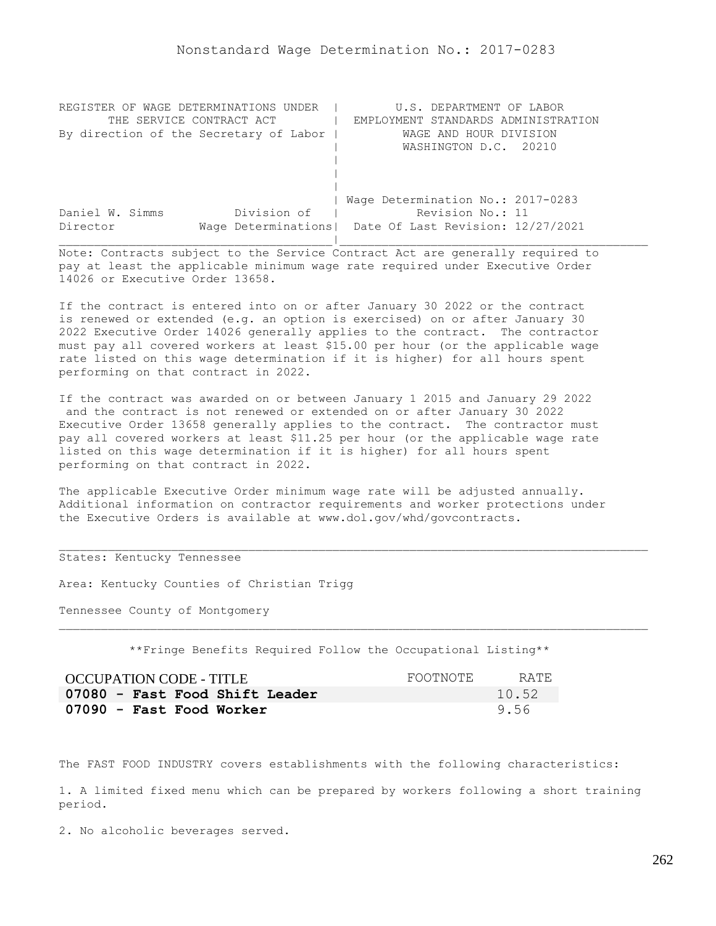| REGISTER OF WAGE DETERMINATIONS UNDER  | U.S. DEPARTMENT OF LABOR                                |
|----------------------------------------|---------------------------------------------------------|
| THE SERVICE CONTRACT ACT               | EMPLOYMENT STANDARDS ADMINISTRATION                     |
| By direction of the Secretary of Labor | WAGE AND HOUR DIVISION                                  |
|                                        | WASHINGTON D.C. 20210                                   |
|                                        |                                                         |
|                                        |                                                         |
|                                        |                                                         |
|                                        | Wage Determination No.: 2017-0283                       |
| Division of<br>Daniel W. Simms         | Revision No.: 11                                        |
| Director                               | Wage Determinations   Date Of Last Revision: 12/27/2021 |
|                                        |                                                         |

If the contract is entered into on or after January 30 2022 or the contract is renewed or extended (e.g. an option is exercised) on or after January 30 2022 Executive Order 14026 generally applies to the contract. The contractor must pay all covered workers at least \$15.00 per hour (or the applicable wage rate listed on this wage determination if it is higher) for all hours spent performing on that contract in 2022.

If the contract was awarded on or between January 1 2015 and January 29 2022 and the contract is not renewed or extended on or after January 30 2022 Executive Order 13658 generally applies to the contract. The contractor must pay all covered workers at least \$11.25 per hour (or the applicable wage rate listed on this wage determination if it is higher) for all hours spent performing on that contract in 2022.

The applicable Executive Order minimum wage rate will be adjusted annually. Additional information on contractor requirements and worker protections under the Executive Orders is available at www.dol.gov/whd/govcontracts.

## States: Kentucky Tennessee

Area: Kentucky Counties of Christian Trigg

Tennessee County of Montgomery

\*\*Fringe Benefits Required Follow the Occupational Listing\*\*

| OCCUPATION CODE - TITLE        | FOOTNOTE | RATE  |
|--------------------------------|----------|-------|
| 07080 - Fast Food Shift Leader |          | 10.52 |
| 07090 - Fast Food Worker       |          | 9.56  |

The FAST FOOD INDUSTRY covers establishments with the following characteristics:

1. A limited fixed menu which can be prepared by workers following a short training period.

2. No alcoholic beverages served.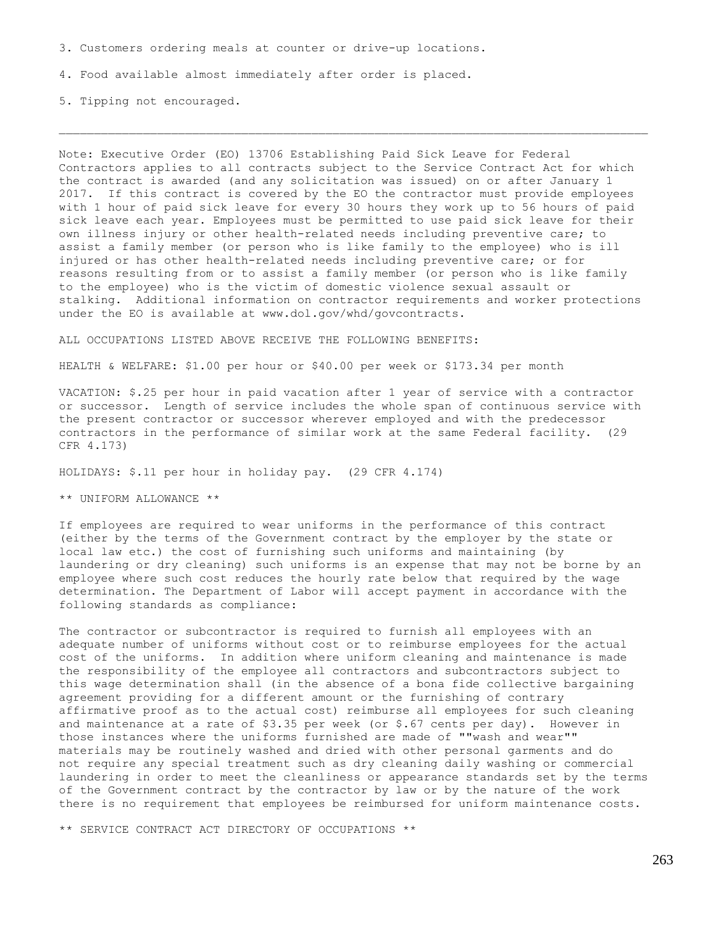3. Customers ordering meals at counter or drive-up locations.

4. Food available almost immediately after order is placed.

5. Tipping not encouraged.

Note: Executive Order (EO) 13706 Establishing Paid Sick Leave for Federal Contractors applies to all contracts subject to the Service Contract Act for which the contract is awarded (and any solicitation was issued) on or after January 1 2017. If this contract is covered by the EO the contractor must provide employees with 1 hour of paid sick leave for every 30 hours they work up to 56 hours of paid sick leave each year. Employees must be permitted to use paid sick leave for their own illness injury or other health-related needs including preventive care; to assist a family member (or person who is like family to the employee) who is ill injured or has other health-related needs including preventive care; or for reasons resulting from or to assist a family member (or person who is like family to the employee) who is the victim of domestic violence sexual assault or stalking. Additional information on contractor requirements and worker protections under the EO is available at www.dol.gov/whd/govcontracts.

ALL OCCUPATIONS LISTED ABOVE RECEIVE THE FOLLOWING BENEFITS:

HEALTH & WELFARE: \$1.00 per hour or \$40.00 per week or \$173.34 per month

VACATION: \$.25 per hour in paid vacation after 1 year of service with a contractor or successor. Length of service includes the whole span of continuous service with the present contractor or successor wherever employed and with the predecessor contractors in the performance of similar work at the same Federal facility. (29 CFR 4.173)

HOLIDAYS: \$.11 per hour in holiday pay. (29 CFR 4.174)

\*\* UNIFORM ALLOWANCE \*\*

If employees are required to wear uniforms in the performance of this contract (either by the terms of the Government contract by the employer by the state or local law etc.) the cost of furnishing such uniforms and maintaining (by laundering or dry cleaning) such uniforms is an expense that may not be borne by an employee where such cost reduces the hourly rate below that required by the wage determination. The Department of Labor will accept payment in accordance with the following standards as compliance:

The contractor or subcontractor is required to furnish all employees with an adequate number of uniforms without cost or to reimburse employees for the actual cost of the uniforms. In addition where uniform cleaning and maintenance is made the responsibility of the employee all contractors and subcontractors subject to this wage determination shall (in the absence of a bona fide collective bargaining agreement providing for a different amount or the furnishing of contrary affirmative proof as to the actual cost) reimburse all employees for such cleaning and maintenance at a rate of  $$3.35$  per week (or  $$.67$  cents per day). However in those instances where the uniforms furnished are made of ""wash and wear"" materials may be routinely washed and dried with other personal garments and do not require any special treatment such as dry cleaning daily washing or commercial laundering in order to meet the cleanliness or appearance standards set by the terms of the Government contract by the contractor by law or by the nature of the work there is no requirement that employees be reimbursed for uniform maintenance costs.

\*\* SERVICE CONTRACT ACT DIRECTORY OF OCCUPATIONS \*\*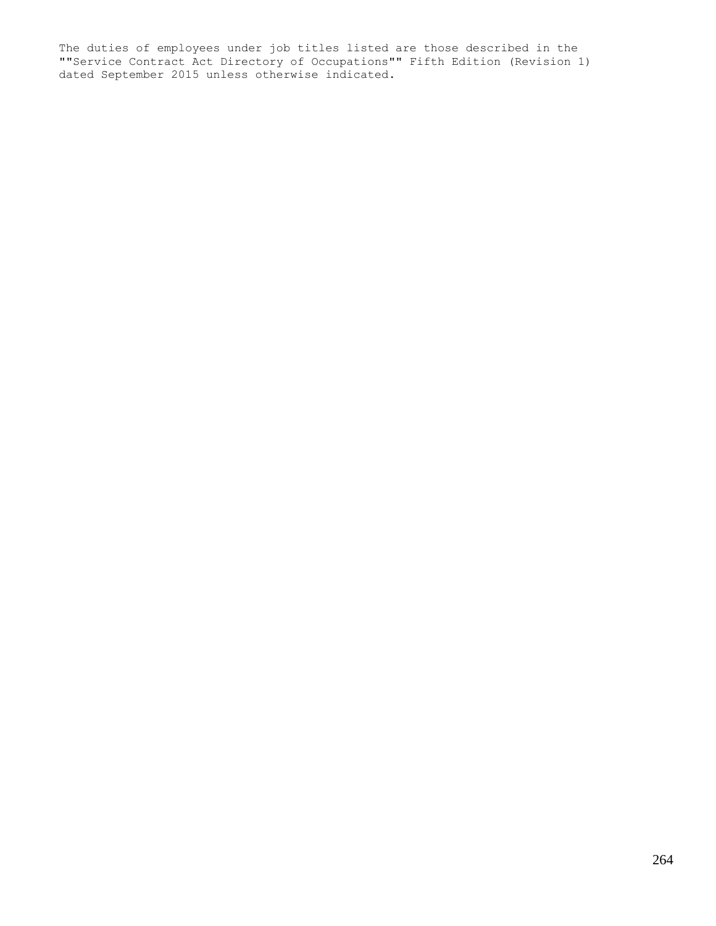The duties of employees under job titles listed are those described in the ""Service Contract Act Directory of Occupations"" Fifth Edition (Revision 1) dated September 2015 unless otherwise indicated.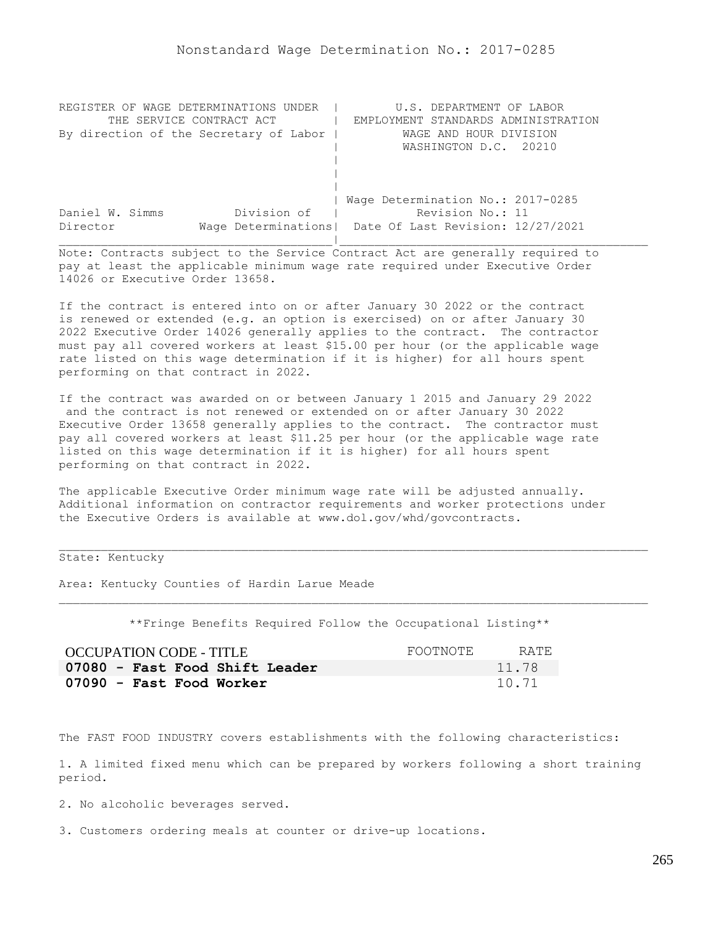| REGISTER OF WAGE DETERMINATIONS UNDER  | U.S. DEPARTMENT OF LABOR                                |
|----------------------------------------|---------------------------------------------------------|
| THE SERVICE CONTRACT ACT               | EMPLOYMENT STANDARDS ADMINISTRATION                     |
| By direction of the Secretary of Labor | WAGE AND HOUR DIVISION                                  |
|                                        | WASHINGTON D.C. 20210                                   |
|                                        |                                                         |
|                                        |                                                         |
|                                        |                                                         |
|                                        | Wage Determination No.: 2017-0285                       |
| Division of<br>Daniel W. Simms         | Revision No.: 11                                        |
| Director                               | Wage Determinations   Date Of Last Revision: 12/27/2021 |
|                                        |                                                         |

If the contract is entered into on or after January 30 2022 or the contract is renewed or extended (e.g. an option is exercised) on or after January 30 2022 Executive Order 14026 generally applies to the contract. The contractor must pay all covered workers at least \$15.00 per hour (or the applicable wage rate listed on this wage determination if it is higher) for all hours spent performing on that contract in 2022.

If the contract was awarded on or between January 1 2015 and January 29 2022 and the contract is not renewed or extended on or after January 30 2022 Executive Order 13658 generally applies to the contract. The contractor must pay all covered workers at least \$11.25 per hour (or the applicable wage rate listed on this wage determination if it is higher) for all hours spent performing on that contract in 2022.

The applicable Executive Order minimum wage rate will be adjusted annually. Additional information on contractor requirements and worker protections under the Executive Orders is available at www.dol.gov/whd/govcontracts.

State: Kentucky

Area: Kentucky Counties of Hardin Larue Meade

\*\*Fringe Benefits Required Follow the Occupational Listing\*\*

| OCCUPATION CODE - TITLE        | FOOTNOTE | RATE  |
|--------------------------------|----------|-------|
| 07080 - Fast Food Shift Leader |          | 11.78 |
| 07090 - Fast Food Worker       |          | 10.71 |

The FAST FOOD INDUSTRY covers establishments with the following characteristics:

1. A limited fixed menu which can be prepared by workers following a short training period.

2. No alcoholic beverages served.

3. Customers ordering meals at counter or drive-up locations.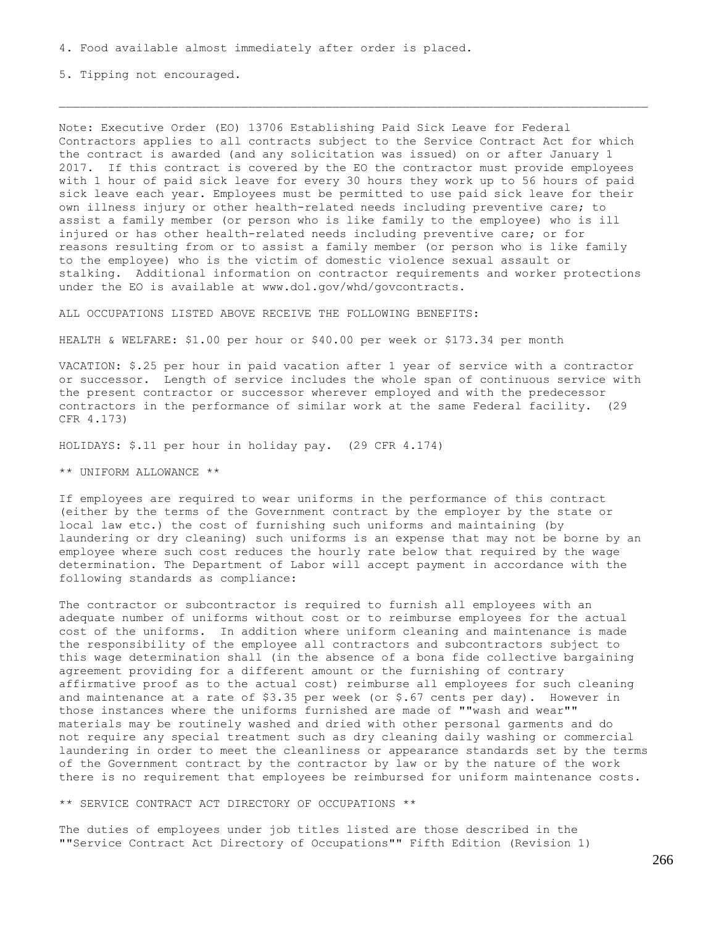4. Food available almost immediately after order is placed.

5. Tipping not encouraged.

Note: Executive Order (EO) 13706 Establishing Paid Sick Leave for Federal Contractors applies to all contracts subject to the Service Contract Act for which the contract is awarded (and any solicitation was issued) on or after January 1 2017. If this contract is covered by the EO the contractor must provide employees with 1 hour of paid sick leave for every 30 hours they work up to 56 hours of paid sick leave each year. Employees must be permitted to use paid sick leave for their own illness injury or other health-related needs including preventive care; to assist a family member (or person who is like family to the employee) who is ill injured or has other health-related needs including preventive care; or for reasons resulting from or to assist a family member (or person who is like family to the employee) who is the victim of domestic violence sexual assault or stalking. Additional information on contractor requirements and worker protections under the EO is available at www.dol.gov/whd/govcontracts.

ALL OCCUPATIONS LISTED ABOVE RECEIVE THE FOLLOWING BENEFITS:

HEALTH & WELFARE: \$1.00 per hour or \$40.00 per week or \$173.34 per month

VACATION: \$.25 per hour in paid vacation after 1 year of service with a contractor or successor. Length of service includes the whole span of continuous service with the present contractor or successor wherever employed and with the predecessor contractors in the performance of similar work at the same Federal facility. (29 CFR 4.173)

HOLIDAYS: \$.11 per hour in holiday pay. (29 CFR 4.174)

\*\* UNIFORM ALLOWANCE \*\*

If employees are required to wear uniforms in the performance of this contract (either by the terms of the Government contract by the employer by the state or local law etc.) the cost of furnishing such uniforms and maintaining (by laundering or dry cleaning) such uniforms is an expense that may not be borne by an employee where such cost reduces the hourly rate below that required by the wage determination. The Department of Labor will accept payment in accordance with the following standards as compliance:

The contractor or subcontractor is required to furnish all employees with an adequate number of uniforms without cost or to reimburse employees for the actual cost of the uniforms. In addition where uniform cleaning and maintenance is made the responsibility of the employee all contractors and subcontractors subject to this wage determination shall (in the absence of a bona fide collective bargaining agreement providing for a different amount or the furnishing of contrary affirmative proof as to the actual cost) reimburse all employees for such cleaning and maintenance at a rate of  $$3.35$  per week (or  $$.67$  cents per day). However in those instances where the uniforms furnished are made of ""wash and wear"" materials may be routinely washed and dried with other personal garments and do not require any special treatment such as dry cleaning daily washing or commercial laundering in order to meet the cleanliness or appearance standards set by the terms of the Government contract by the contractor by law or by the nature of the work there is no requirement that employees be reimbursed for uniform maintenance costs.

\*\* SERVICE CONTRACT ACT DIRECTORY OF OCCUPATIONS \*\*

The duties of employees under job titles listed are those described in the ""Service Contract Act Directory of Occupations"" Fifth Edition (Revision 1)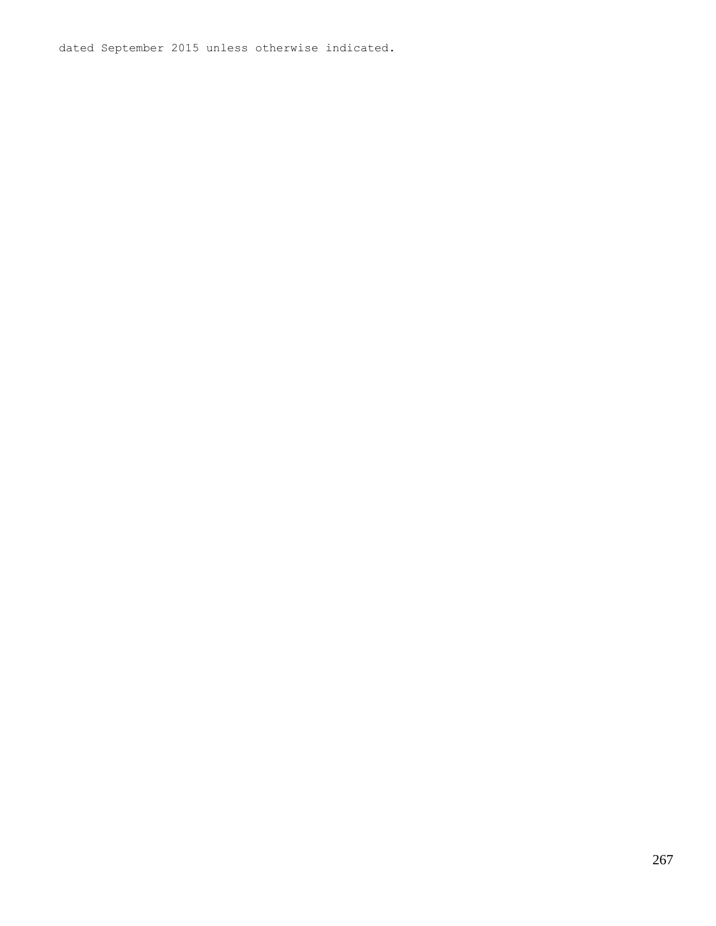dated September 2015 unless otherwise indicated.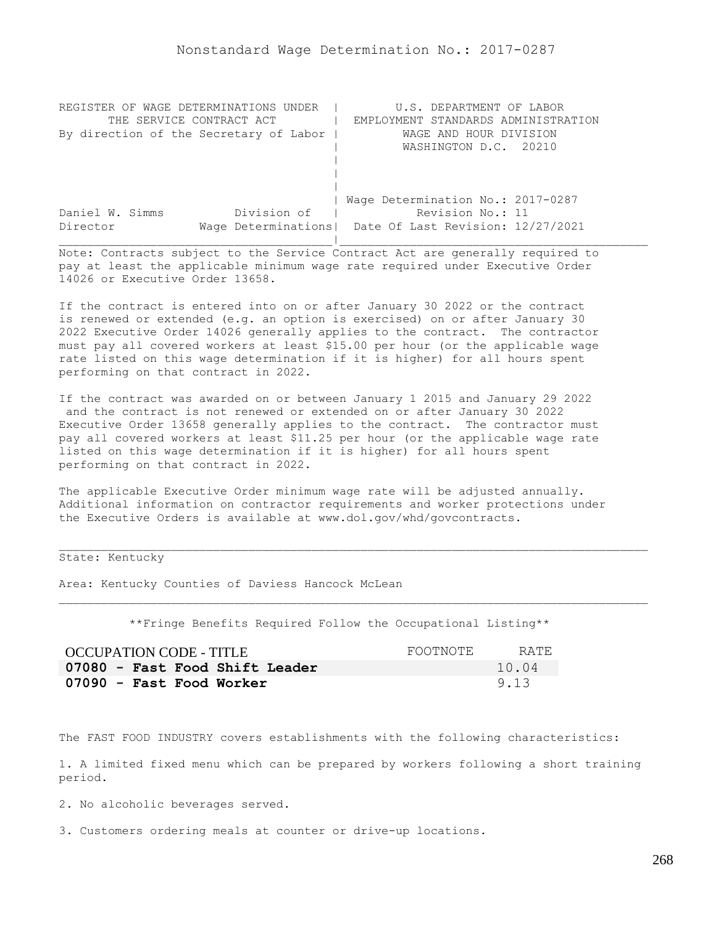| REGISTER OF WAGE DETERMINATIONS UNDER  | U.S. DEPARTMENT OF LABOR                                |
|----------------------------------------|---------------------------------------------------------|
| THE SERVICE CONTRACT ACT               | EMPLOYMENT STANDARDS ADMINISTRATION                     |
| By direction of the Secretary of Labor | WAGE AND HOUR DIVISION                                  |
|                                        | WASHINGTON D.C. 20210                                   |
|                                        |                                                         |
|                                        |                                                         |
|                                        |                                                         |
|                                        | Wage Determination No.: 2017-0287                       |
| Division of<br>Daniel W. Simms         | Revision No.: 11                                        |
| Director                               | Wage Determinations   Date Of Last Revision: 12/27/2021 |
|                                        |                                                         |

If the contract is entered into on or after January 30 2022 or the contract is renewed or extended (e.g. an option is exercised) on or after January 30 2022 Executive Order 14026 generally applies to the contract. The contractor must pay all covered workers at least \$15.00 per hour (or the applicable wage rate listed on this wage determination if it is higher) for all hours spent performing on that contract in 2022.

If the contract was awarded on or between January 1 2015 and January 29 2022 and the contract is not renewed or extended on or after January 30 2022 Executive Order 13658 generally applies to the contract. The contractor must pay all covered workers at least \$11.25 per hour (or the applicable wage rate listed on this wage determination if it is higher) for all hours spent performing on that contract in 2022.

The applicable Executive Order minimum wage rate will be adjusted annually. Additional information on contractor requirements and worker protections under the Executive Orders is available at www.dol.gov/whd/govcontracts.

State: Kentucky

Area: Kentucky Counties of Daviess Hancock McLean

\*\*Fringe Benefits Required Follow the Occupational Listing\*\*

| OCCUPATION CODE - TITLE        | FOOTNOTE | RATE. |
|--------------------------------|----------|-------|
| 07080 - Fast Food Shift Leader |          | 10.04 |
| 07090 - Fast Food Worker       |          | 9.13  |

The FAST FOOD INDUSTRY covers establishments with the following characteristics:

1. A limited fixed menu which can be prepared by workers following a short training period.

2. No alcoholic beverages served.

3. Customers ordering meals at counter or drive-up locations.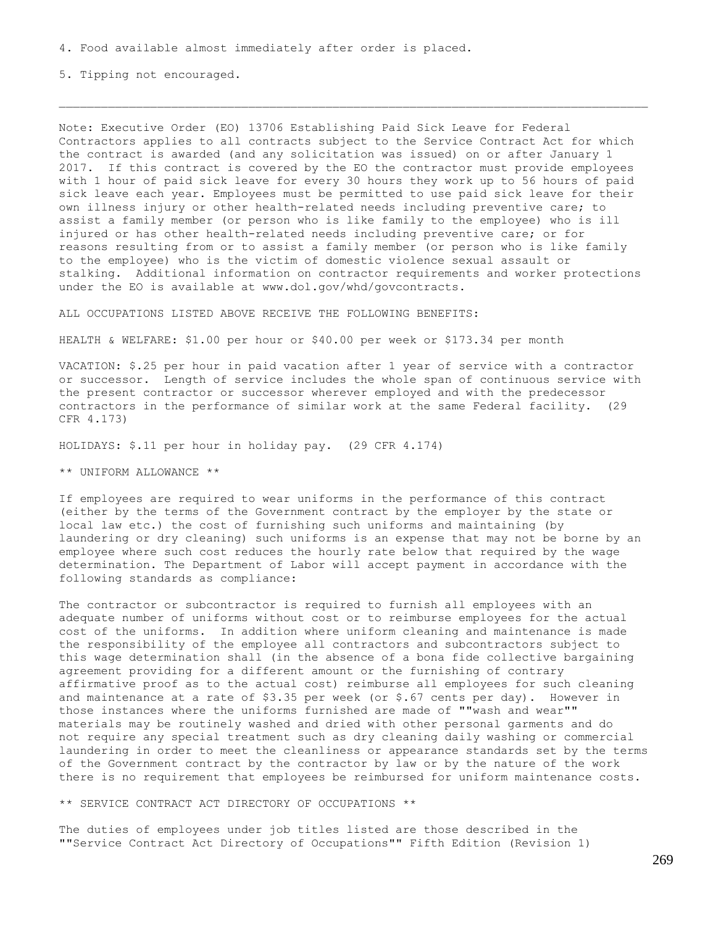4. Food available almost immediately after order is placed.

5. Tipping not encouraged.

Note: Executive Order (EO) 13706 Establishing Paid Sick Leave for Federal Contractors applies to all contracts subject to the Service Contract Act for which the contract is awarded (and any solicitation was issued) on or after January 1 2017. If this contract is covered by the EO the contractor must provide employees with 1 hour of paid sick leave for every 30 hours they work up to 56 hours of paid sick leave each year. Employees must be permitted to use paid sick leave for their own illness injury or other health-related needs including preventive care; to assist a family member (or person who is like family to the employee) who is ill injured or has other health-related needs including preventive care; or for reasons resulting from or to assist a family member (or person who is like family to the employee) who is the victim of domestic violence sexual assault or stalking. Additional information on contractor requirements and worker protections under the EO is available at www.dol.gov/whd/govcontracts.

ALL OCCUPATIONS LISTED ABOVE RECEIVE THE FOLLOWING BENEFITS:

HEALTH & WELFARE: \$1.00 per hour or \$40.00 per week or \$173.34 per month

VACATION: \$.25 per hour in paid vacation after 1 year of service with a contractor or successor. Length of service includes the whole span of continuous service with the present contractor or successor wherever employed and with the predecessor contractors in the performance of similar work at the same Federal facility. (29 CFR 4.173)

HOLIDAYS: \$.11 per hour in holiday pay. (29 CFR 4.174)

\*\* UNIFORM ALLOWANCE \*\*

If employees are required to wear uniforms in the performance of this contract (either by the terms of the Government contract by the employer by the state or local law etc.) the cost of furnishing such uniforms and maintaining (by laundering or dry cleaning) such uniforms is an expense that may not be borne by an employee where such cost reduces the hourly rate below that required by the wage determination. The Department of Labor will accept payment in accordance with the following standards as compliance:

The contractor or subcontractor is required to furnish all employees with an adequate number of uniforms without cost or to reimburse employees for the actual cost of the uniforms. In addition where uniform cleaning and maintenance is made the responsibility of the employee all contractors and subcontractors subject to this wage determination shall (in the absence of a bona fide collective bargaining agreement providing for a different amount or the furnishing of contrary affirmative proof as to the actual cost) reimburse all employees for such cleaning and maintenance at a rate of \$3.35 per week (or \$.67 cents per day). However in those instances where the uniforms furnished are made of ""wash and wear"" materials may be routinely washed and dried with other personal garments and do not require any special treatment such as dry cleaning daily washing or commercial laundering in order to meet the cleanliness or appearance standards set by the terms of the Government contract by the contractor by law or by the nature of the work there is no requirement that employees be reimbursed for uniform maintenance costs.

\*\* SERVICE CONTRACT ACT DIRECTORY OF OCCUPATIONS \*\*

The duties of employees under job titles listed are those described in the ""Service Contract Act Directory of Occupations"" Fifth Edition (Revision 1)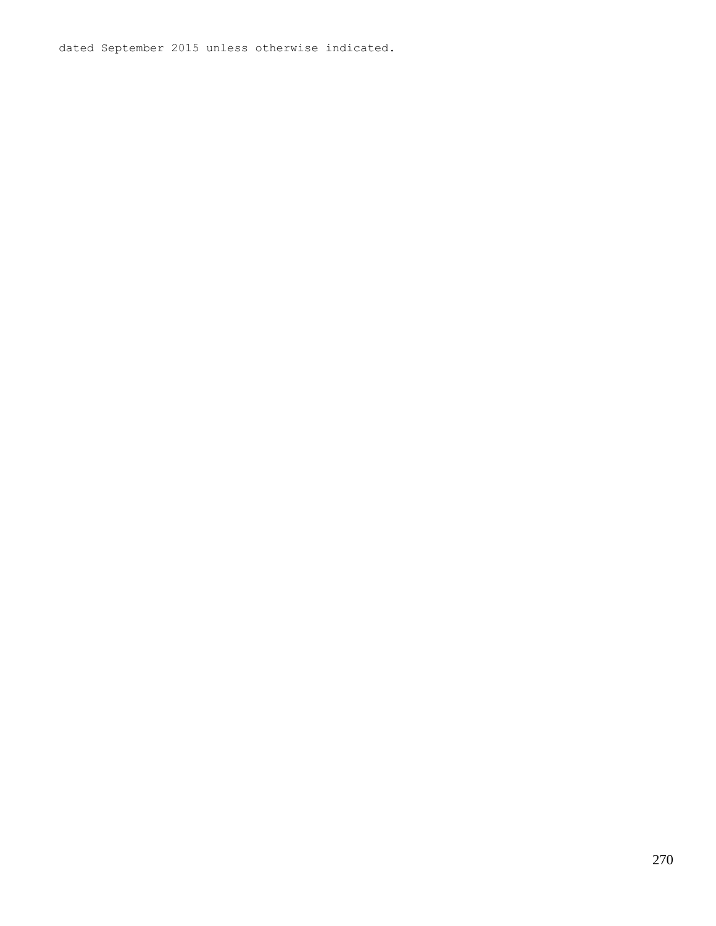dated September 2015 unless otherwise indicated.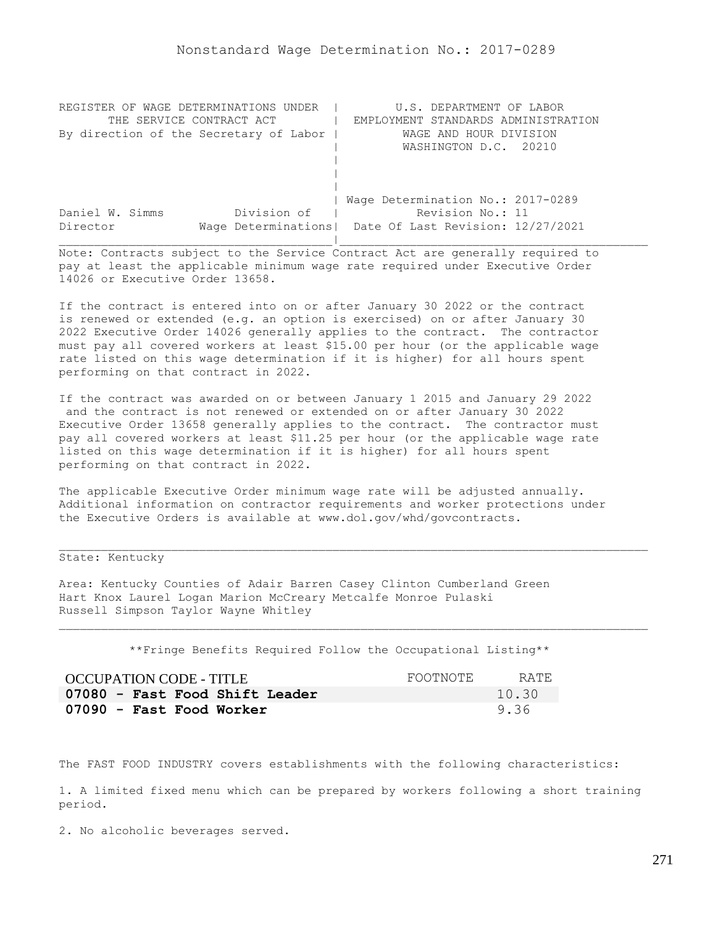| REGISTER OF WAGE DETERMINATIONS UNDER  | U.S. DEPARTMENT OF LABOR                                |
|----------------------------------------|---------------------------------------------------------|
| THE SERVICE CONTRACT ACT               | EMPLOYMENT STANDARDS ADMINISTRATION                     |
| By direction of the Secretary of Labor | WAGE AND HOUR DIVISION                                  |
|                                        | WASHINGTON D.C. 20210                                   |
|                                        |                                                         |
|                                        |                                                         |
|                                        |                                                         |
|                                        | Wage Determination No.: 2017-0289                       |
| Division of<br>Daniel W. Simms         | Revision No.: 11                                        |
| Director                               | Wage Determinations   Date Of Last Revision: 12/27/2021 |
|                                        |                                                         |

If the contract is entered into on or after January 30 2022 or the contract is renewed or extended (e.g. an option is exercised) on or after January 30 2022 Executive Order 14026 generally applies to the contract. The contractor must pay all covered workers at least \$15.00 per hour (or the applicable wage rate listed on this wage determination if it is higher) for all hours spent performing on that contract in 2022.

If the contract was awarded on or between January 1 2015 and January 29 2022 and the contract is not renewed or extended on or after January 30 2022 Executive Order 13658 generally applies to the contract. The contractor must pay all covered workers at least \$11.25 per hour (or the applicable wage rate listed on this wage determination if it is higher) for all hours spent performing on that contract in 2022.

The applicable Executive Order minimum wage rate will be adjusted annually. Additional information on contractor requirements and worker protections under the Executive Orders is available at www.dol.gov/whd/govcontracts.

# State: Kentucky

Area: Kentucky Counties of Adair Barren Casey Clinton Cumberland Green Hart Knox Laurel Logan Marion McCreary Metcalfe Monroe Pulaski Russell Simpson Taylor Wayne Whitley

\*\*Fringe Benefits Required Follow the Occupational Listing\*\*

| OCCUPATION CODE - TITLE        | FOOTNOTE | RATE  |
|--------------------------------|----------|-------|
| 07080 - Fast Food Shift Leader |          | 10.30 |
| 07090 - Fast Food Worker       |          | 9.36  |

The FAST FOOD INDUSTRY covers establishments with the following characteristics:

1. A limited fixed menu which can be prepared by workers following a short training period.

2. No alcoholic beverages served.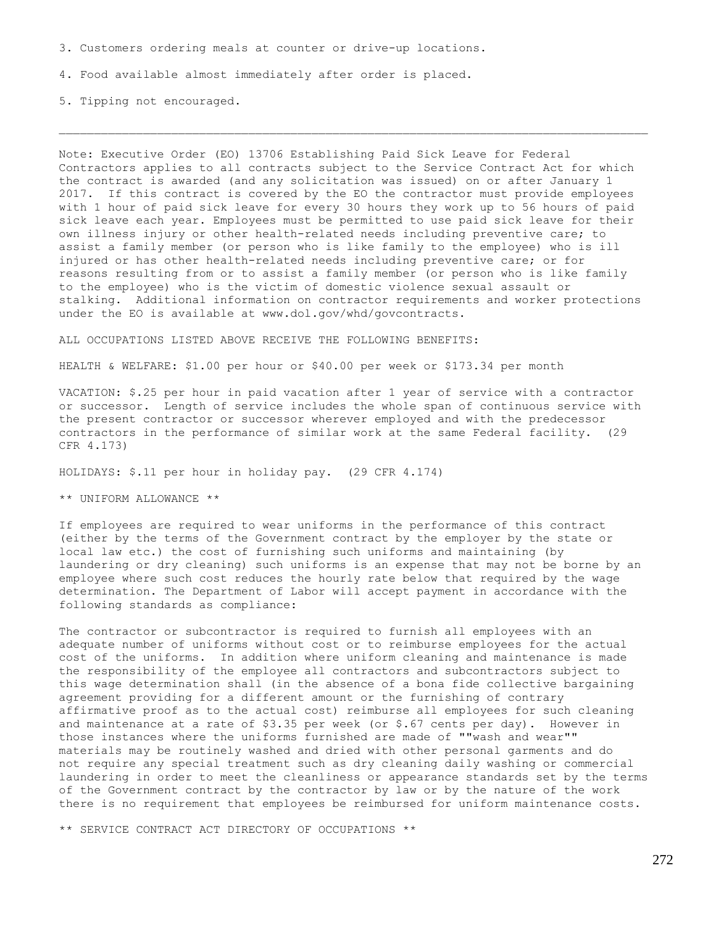3. Customers ordering meals at counter or drive-up locations.

4. Food available almost immediately after order is placed.

5. Tipping not encouraged.

Note: Executive Order (EO) 13706 Establishing Paid Sick Leave for Federal Contractors applies to all contracts subject to the Service Contract Act for which the contract is awarded (and any solicitation was issued) on or after January 1 2017. If this contract is covered by the EO the contractor must provide employees with 1 hour of paid sick leave for every 30 hours they work up to 56 hours of paid sick leave each year. Employees must be permitted to use paid sick leave for their own illness injury or other health-related needs including preventive care; to assist a family member (or person who is like family to the employee) who is ill injured or has other health-related needs including preventive care; or for reasons resulting from or to assist a family member (or person who is like family to the employee) who is the victim of domestic violence sexual assault or stalking. Additional information on contractor requirements and worker protections under the EO is available at www.dol.gov/whd/govcontracts.

ALL OCCUPATIONS LISTED ABOVE RECEIVE THE FOLLOWING BENEFITS:

HEALTH & WELFARE: \$1.00 per hour or \$40.00 per week or \$173.34 per month

VACATION: \$.25 per hour in paid vacation after 1 year of service with a contractor or successor. Length of service includes the whole span of continuous service with the present contractor or successor wherever employed and with the predecessor contractors in the performance of similar work at the same Federal facility. (29 CFR 4.173)

HOLIDAYS: \$.11 per hour in holiday pay. (29 CFR 4.174)

\*\* UNIFORM ALLOWANCE \*\*

If employees are required to wear uniforms in the performance of this contract (either by the terms of the Government contract by the employer by the state or local law etc.) the cost of furnishing such uniforms and maintaining (by laundering or dry cleaning) such uniforms is an expense that may not be borne by an employee where such cost reduces the hourly rate below that required by the wage determination. The Department of Labor will accept payment in accordance with the following standards as compliance:

The contractor or subcontractor is required to furnish all employees with an adequate number of uniforms without cost or to reimburse employees for the actual cost of the uniforms. In addition where uniform cleaning and maintenance is made the responsibility of the employee all contractors and subcontractors subject to this wage determination shall (in the absence of a bona fide collective bargaining agreement providing for a different amount or the furnishing of contrary affirmative proof as to the actual cost) reimburse all employees for such cleaning and maintenance at a rate of  $$3.35$  per week (or  $$.67$  cents per day). However in those instances where the uniforms furnished are made of ""wash and wear"" materials may be routinely washed and dried with other personal garments and do not require any special treatment such as dry cleaning daily washing or commercial laundering in order to meet the cleanliness or appearance standards set by the terms of the Government contract by the contractor by law or by the nature of the work there is no requirement that employees be reimbursed for uniform maintenance costs.

\*\* SERVICE CONTRACT ACT DIRECTORY OF OCCUPATIONS \*\*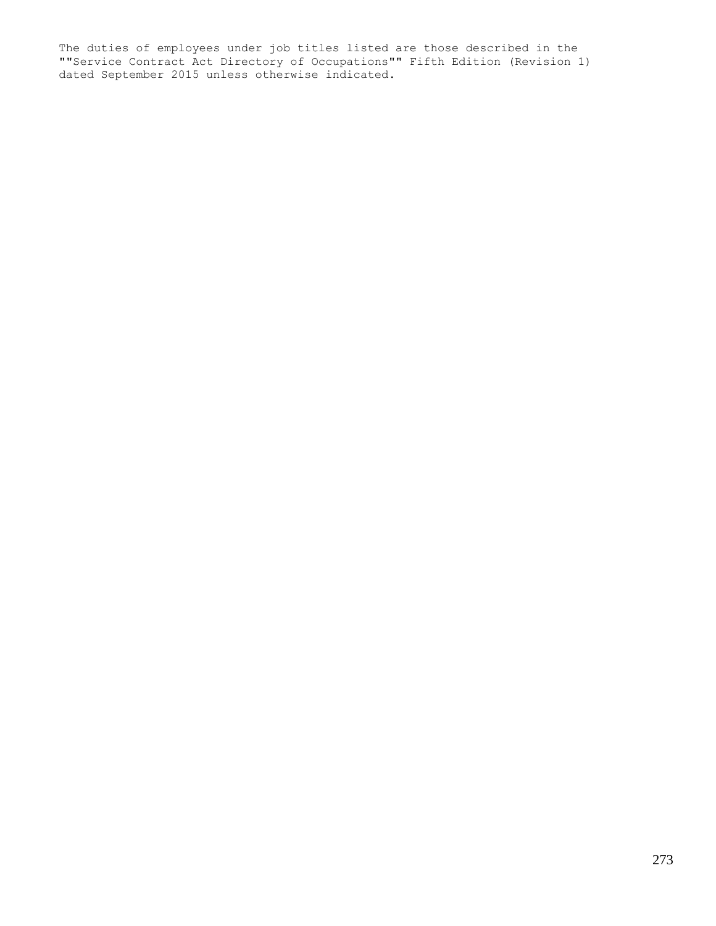The duties of employees under job titles listed are those described in the ""Service Contract Act Directory of Occupations"" Fifth Edition (Revision 1) dated September 2015 unless otherwise indicated.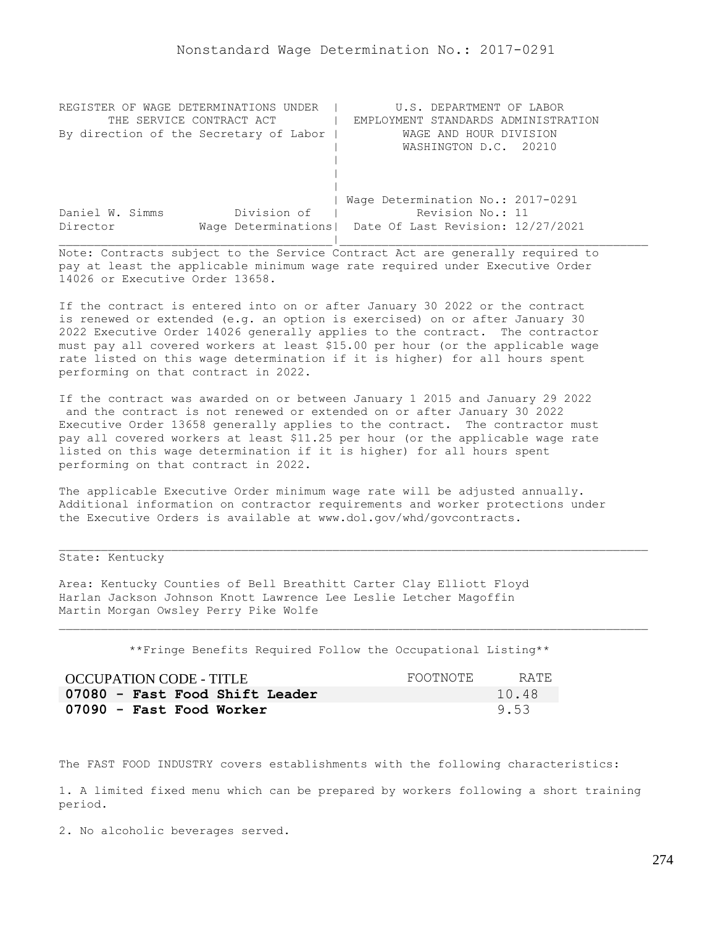| REGISTER OF WAGE DETERMINATIONS UNDER  | U.S. DEPARTMENT OF LABOR                                |
|----------------------------------------|---------------------------------------------------------|
| THE SERVICE CONTRACT ACT               | EMPLOYMENT STANDARDS ADMINISTRATION                     |
| By direction of the Secretary of Labor | WAGE AND HOUR DIVISION                                  |
|                                        | WASHINGTON D.C. 20210                                   |
|                                        |                                                         |
|                                        |                                                         |
|                                        |                                                         |
|                                        | Wage Determination No.: 2017-0291                       |
| Division of<br>Daniel W. Simms         | Revision No.: 11                                        |
| Director                               | Wage Determinations   Date Of Last Revision: 12/27/2021 |
|                                        |                                                         |

If the contract is entered into on or after January 30 2022 or the contract is renewed or extended (e.g. an option is exercised) on or after January 30 2022 Executive Order 14026 generally applies to the contract. The contractor must pay all covered workers at least \$15.00 per hour (or the applicable wage rate listed on this wage determination if it is higher) for all hours spent performing on that contract in 2022.

If the contract was awarded on or between January 1 2015 and January 29 2022 and the contract is not renewed or extended on or after January 30 2022 Executive Order 13658 generally applies to the contract. The contractor must pay all covered workers at least \$11.25 per hour (or the applicable wage rate listed on this wage determination if it is higher) for all hours spent performing on that contract in 2022.

The applicable Executive Order minimum wage rate will be adjusted annually. Additional information on contractor requirements and worker protections under the Executive Orders is available at www.dol.gov/whd/govcontracts.

# State: Kentucky

Area: Kentucky Counties of Bell Breathitt Carter Clay Elliott Floyd Harlan Jackson Johnson Knott Lawrence Lee Leslie Letcher Magoffin Martin Morgan Owsley Perry Pike Wolfe

\*\*Fringe Benefits Required Follow the Occupational Listing\*\*

| OCCUPATION CODE - TITLE        | FOOTNOTE | RATE. |
|--------------------------------|----------|-------|
| 07080 - Fast Food Shift Leader |          | 10.48 |
| 07090 - Fast Food Worker       |          | 9.53  |

The FAST FOOD INDUSTRY covers establishments with the following characteristics:

1. A limited fixed menu which can be prepared by workers following a short training period.

2. No alcoholic beverages served.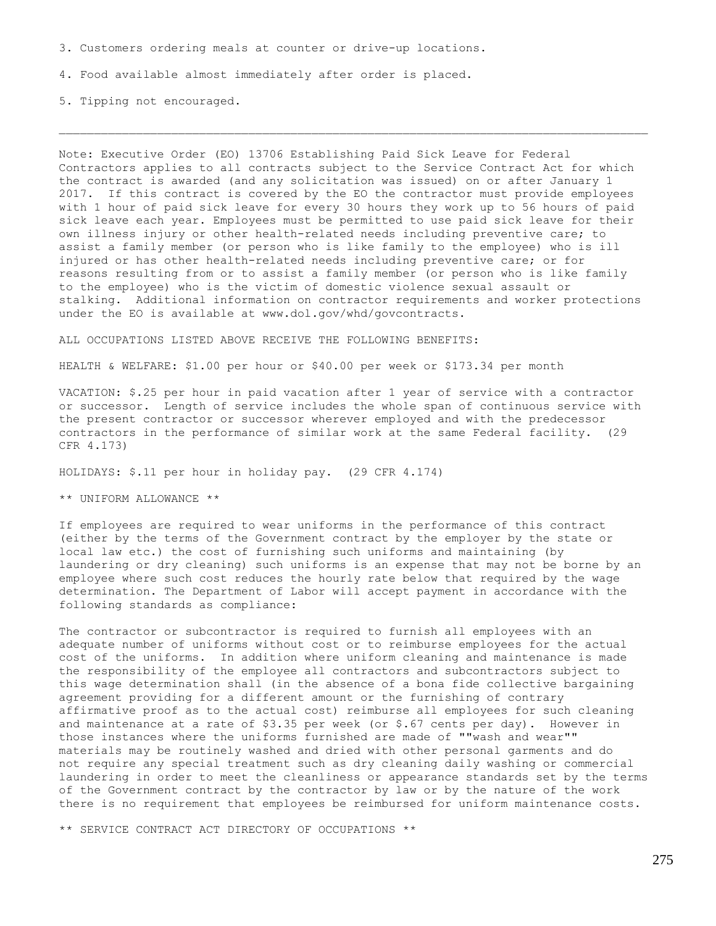3. Customers ordering meals at counter or drive-up locations.

4. Food available almost immediately after order is placed.

5. Tipping not encouraged.

Note: Executive Order (EO) 13706 Establishing Paid Sick Leave for Federal Contractors applies to all contracts subject to the Service Contract Act for which the contract is awarded (and any solicitation was issued) on or after January 1 2017. If this contract is covered by the EO the contractor must provide employees with 1 hour of paid sick leave for every 30 hours they work up to 56 hours of paid sick leave each year. Employees must be permitted to use paid sick leave for their own illness injury or other health-related needs including preventive care; to assist a family member (or person who is like family to the employee) who is ill injured or has other health-related needs including preventive care; or for reasons resulting from or to assist a family member (or person who is like family to the employee) who is the victim of domestic violence sexual assault or stalking. Additional information on contractor requirements and worker protections under the EO is available at www.dol.gov/whd/govcontracts.

ALL OCCUPATIONS LISTED ABOVE RECEIVE THE FOLLOWING BENEFITS:

HEALTH & WELFARE: \$1.00 per hour or \$40.00 per week or \$173.34 per month

VACATION: \$.25 per hour in paid vacation after 1 year of service with a contractor or successor. Length of service includes the whole span of continuous service with the present contractor or successor wherever employed and with the predecessor contractors in the performance of similar work at the same Federal facility. (29 CFR 4.173)

HOLIDAYS: \$.11 per hour in holiday pay. (29 CFR 4.174)

\*\* UNIFORM ALLOWANCE \*\*

If employees are required to wear uniforms in the performance of this contract (either by the terms of the Government contract by the employer by the state or local law etc.) the cost of furnishing such uniforms and maintaining (by laundering or dry cleaning) such uniforms is an expense that may not be borne by an employee where such cost reduces the hourly rate below that required by the wage determination. The Department of Labor will accept payment in accordance with the following standards as compliance:

The contractor or subcontractor is required to furnish all employees with an adequate number of uniforms without cost or to reimburse employees for the actual cost of the uniforms. In addition where uniform cleaning and maintenance is made the responsibility of the employee all contractors and subcontractors subject to this wage determination shall (in the absence of a bona fide collective bargaining agreement providing for a different amount or the furnishing of contrary affirmative proof as to the actual cost) reimburse all employees for such cleaning and maintenance at a rate of  $$3.35$  per week (or  $$.67$  cents per day). However in those instances where the uniforms furnished are made of ""wash and wear"" materials may be routinely washed and dried with other personal garments and do not require any special treatment such as dry cleaning daily washing or commercial laundering in order to meet the cleanliness or appearance standards set by the terms of the Government contract by the contractor by law or by the nature of the work there is no requirement that employees be reimbursed for uniform maintenance costs.

\*\* SERVICE CONTRACT ACT DIRECTORY OF OCCUPATIONS \*\*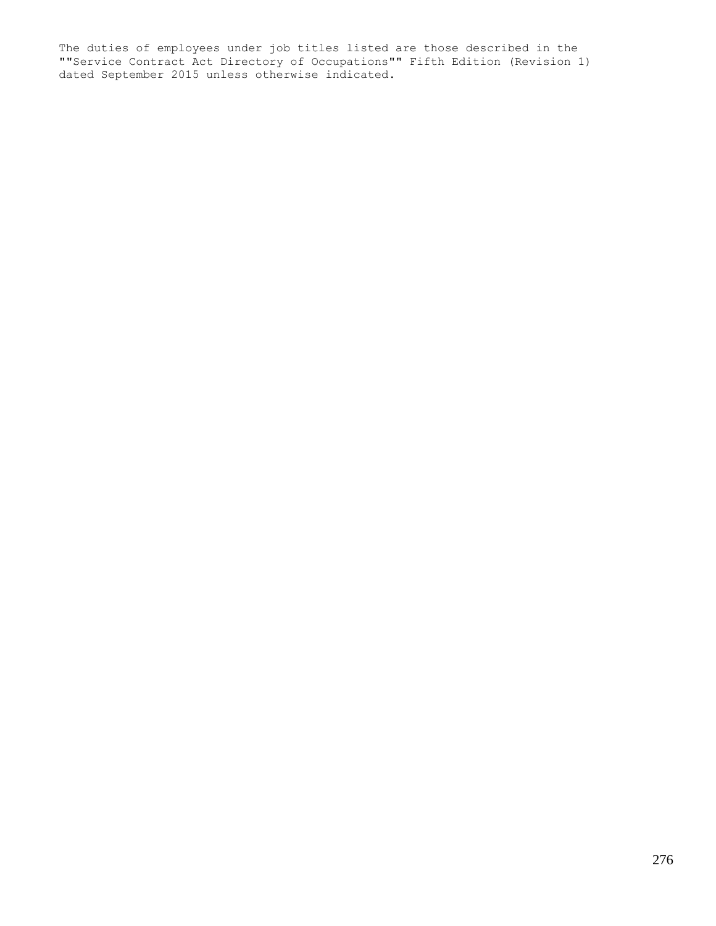The duties of employees under job titles listed are those described in the ""Service Contract Act Directory of Occupations"" Fifth Edition (Revision 1) dated September 2015 unless otherwise indicated.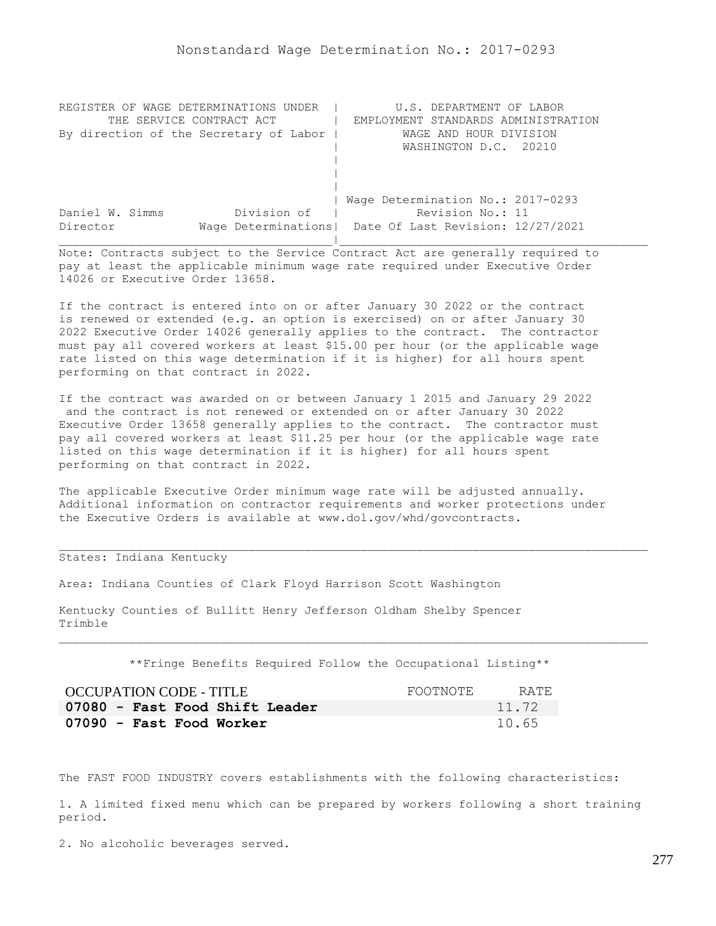| REGISTER OF WAGE DETERMINATIONS UNDER  | U.S. DEPARTMENT OF LABOR                                |
|----------------------------------------|---------------------------------------------------------|
| THE SERVICE CONTRACT ACT               | EMPLOYMENT STANDARDS ADMINISTRATION                     |
| By direction of the Secretary of Labor | WAGE AND HOUR DIVISION                                  |
|                                        | WASHINGTON D.C. 20210                                   |
|                                        |                                                         |
|                                        |                                                         |
|                                        |                                                         |
|                                        | Wage Determination No.: 2017-0293                       |
| Division of<br>Daniel W. Simms         | Revision No.: 11                                        |
| Director                               | Wage Determinations   Date Of Last Revision: 12/27/2021 |
|                                        |                                                         |

If the contract is entered into on or after January 30 2022 or the contract is renewed or extended (e.g. an option is exercised) on or after January 30 2022 Executive Order 14026 generally applies to the contract. The contractor must pay all covered workers at least \$15.00 per hour (or the applicable wage rate listed on this wage determination if it is higher) for all hours spent performing on that contract in 2022.

If the contract was awarded on or between January 1 2015 and January 29 2022 and the contract is not renewed or extended on or after January 30 2022 Executive Order 13658 generally applies to the contract. The contractor must pay all covered workers at least \$11.25 per hour (or the applicable wage rate listed on this wage determination if it is higher) for all hours spent performing on that contract in 2022.

The applicable Executive Order minimum wage rate will be adjusted annually. Additional information on contractor requirements and worker protections under the Executive Orders is available at www.dol.gov/whd/govcontracts.

## States: Indiana Kentucky

Area: Indiana Counties of Clark Floyd Harrison Scott Washington

Kentucky Counties of Bullitt Henry Jefferson Oldham Shelby Spencer Trimble

\*\*Fringe Benefits Required Follow the Occupational Listing\*\*

| OCCUPATION CODE - TITLE        | FOOTNOTE | RATE. |
|--------------------------------|----------|-------|
| 07080 - Fast Food Shift Leader |          | 11.72 |
| 07090 - Fast Food Worker       |          | 10.65 |

The FAST FOOD INDUSTRY covers establishments with the following characteristics:

1. A limited fixed menu which can be prepared by workers following a short training period.

2. No alcoholic beverages served.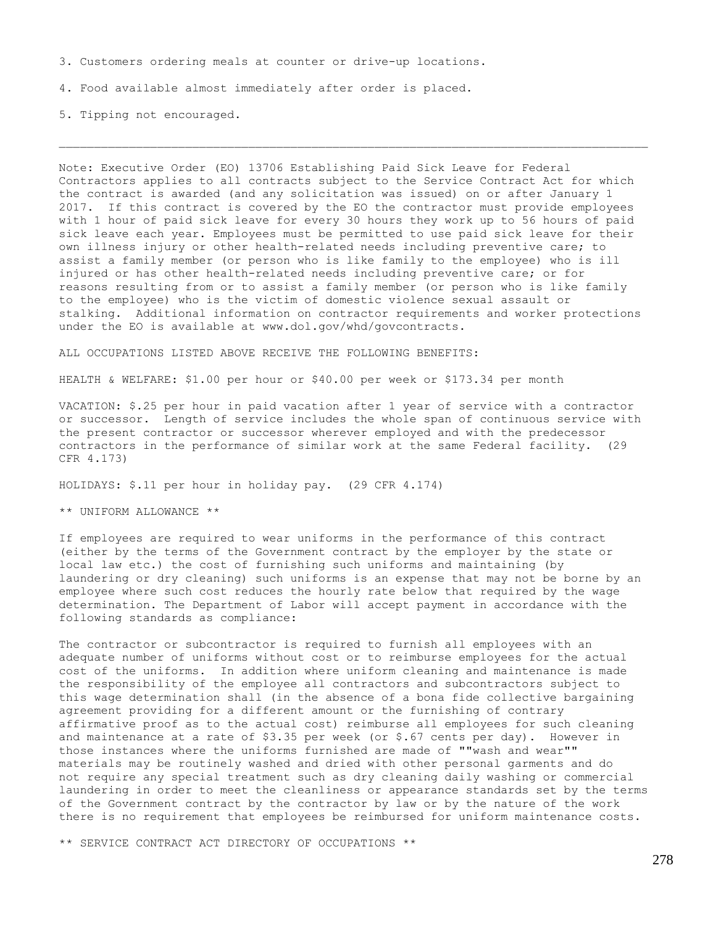3. Customers ordering meals at counter or drive-up locations.

4. Food available almost immediately after order is placed.

5. Tipping not encouraged.

Note: Executive Order (EO) 13706 Establishing Paid Sick Leave for Federal Contractors applies to all contracts subject to the Service Contract Act for which the contract is awarded (and any solicitation was issued) on or after January 1 2017. If this contract is covered by the EO the contractor must provide employees with 1 hour of paid sick leave for every 30 hours they work up to 56 hours of paid sick leave each year. Employees must be permitted to use paid sick leave for their own illness injury or other health-related needs including preventive care; to assist a family member (or person who is like family to the employee) who is ill injured or has other health-related needs including preventive care; or for reasons resulting from or to assist a family member (or person who is like family to the employee) who is the victim of domestic violence sexual assault or stalking. Additional information on contractor requirements and worker protections under the EO is available at www.dol.gov/whd/govcontracts.

ALL OCCUPATIONS LISTED ABOVE RECEIVE THE FOLLOWING BENEFITS:

HEALTH & WELFARE: \$1.00 per hour or \$40.00 per week or \$173.34 per month

VACATION: \$.25 per hour in paid vacation after 1 year of service with a contractor or successor. Length of service includes the whole span of continuous service with the present contractor or successor wherever employed and with the predecessor contractors in the performance of similar work at the same Federal facility. (29 CFR 4.173)

HOLIDAYS: \$.11 per hour in holiday pay. (29 CFR 4.174)

\*\* UNIFORM ALLOWANCE \*\*

If employees are required to wear uniforms in the performance of this contract (either by the terms of the Government contract by the employer by the state or local law etc.) the cost of furnishing such uniforms and maintaining (by laundering or dry cleaning) such uniforms is an expense that may not be borne by an employee where such cost reduces the hourly rate below that required by the wage determination. The Department of Labor will accept payment in accordance with the following standards as compliance:

The contractor or subcontractor is required to furnish all employees with an adequate number of uniforms without cost or to reimburse employees for the actual cost of the uniforms. In addition where uniform cleaning and maintenance is made the responsibility of the employee all contractors and subcontractors subject to this wage determination shall (in the absence of a bona fide collective bargaining agreement providing for a different amount or the furnishing of contrary affirmative proof as to the actual cost) reimburse all employees for such cleaning and maintenance at a rate of \$3.35 per week (or \$.67 cents per day). However in those instances where the uniforms furnished are made of ""wash and wear"" materials may be routinely washed and dried with other personal garments and do not require any special treatment such as dry cleaning daily washing or commercial laundering in order to meet the cleanliness or appearance standards set by the terms of the Government contract by the contractor by law or by the nature of the work there is no requirement that employees be reimbursed for uniform maintenance costs.

\*\* SERVICE CONTRACT ACT DIRECTORY OF OCCUPATIONS \*\*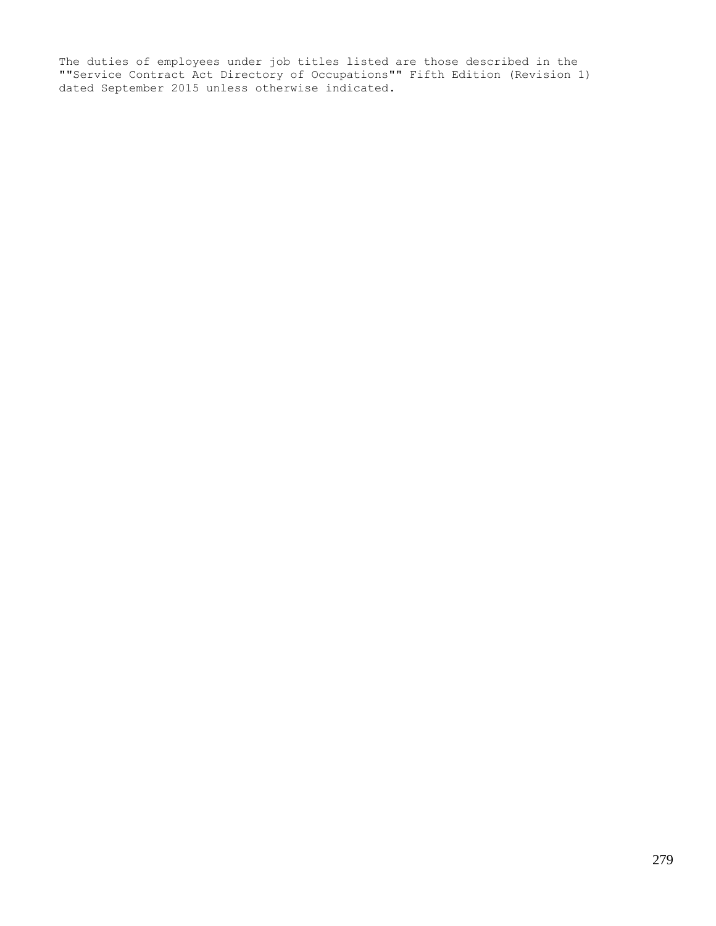The duties of employees under job titles listed are those described in the ""Service Contract Act Directory of Occupations"" Fifth Edition (Revision 1) dated September 2015 unless otherwise indicated.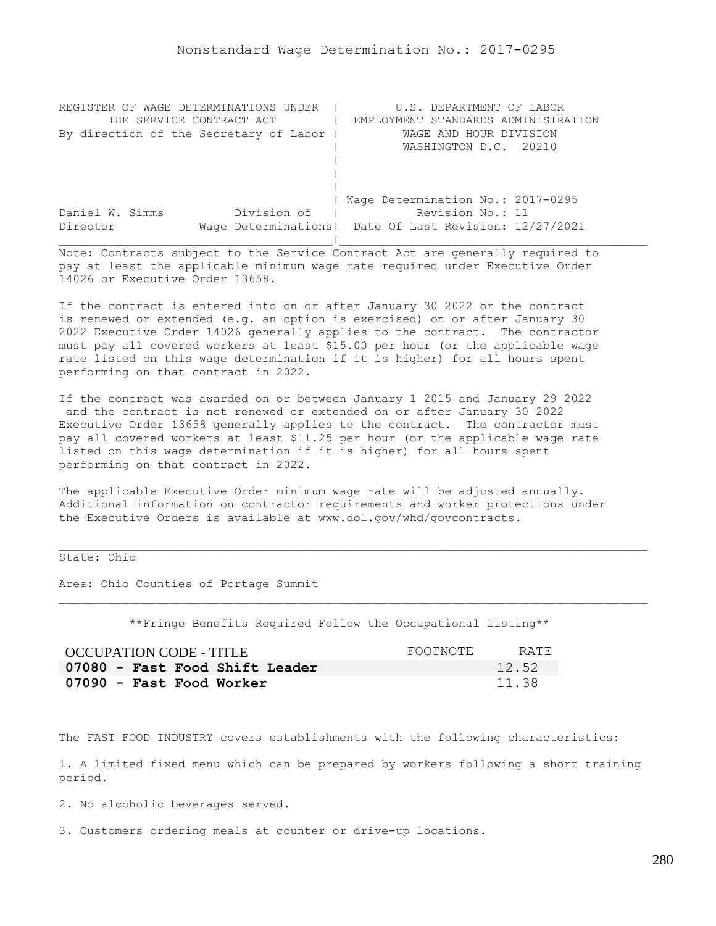| REGISTER OF WAGE DETERMINATIONS UNDER  | U.S. DEPARTMENT OF LABOR                                |
|----------------------------------------|---------------------------------------------------------|
| THE SERVICE CONTRACT ACT               | EMPLOYMENT STANDARDS ADMINISTRATION                     |
| By direction of the Secretary of Labor | WAGE AND HOUR DIVISION                                  |
|                                        | WASHINGTON D.C. 20210                                   |
|                                        |                                                         |
|                                        |                                                         |
|                                        |                                                         |
|                                        | Wage Determination No.: 2017-0295                       |
| Division of<br>Daniel W. Simms         | Revision No.: 11                                        |
| Director                               | Wage Determinations   Date Of Last Revision: 12/27/2021 |
|                                        |                                                         |

If the contract is entered into on or after January 30 2022 or the contract is renewed or extended (e.g. an option is exercised) on or after January 30 2022 Executive Order 14026 generally applies to the contract. The contractor must pay all covered workers at least \$15.00 per hour (or the applicable wage rate listed on this wage determination if it is higher) for all hours spent performing on that contract in 2022.

If the contract was awarded on or between January 1 2015 and January 29 2022 and the contract is not renewed or extended on or after January 30 2022 Executive Order 13658 generally applies to the contract. The contractor must pay all covered workers at least \$11.25 per hour (or the applicable wage rate listed on this wage determination if it is higher) for all hours spent performing on that contract in 2022.

The applicable Executive Order minimum wage rate will be adjusted annually. Additional information on contractor requirements and worker protections under the Executive Orders is available at www.dol.gov/whd/govcontracts.

## State: Ohio

Area: Ohio Counties of Portage Summit

\*\*Fringe Benefits Required Follow the Occupational Listing\*\*

| <b>OCCUPATION CODE - TITLE</b> | FOOTNOTE | RATE. |
|--------------------------------|----------|-------|
| 07080 - Fast Food Shift Leader |          | 12.52 |
| 07090 - Fast Food Worker       |          | 11.38 |

The FAST FOOD INDUSTRY covers establishments with the following characteristics:

1. A limited fixed menu which can be prepared by workers following a short training period.

2. No alcoholic beverages served.

3. Customers ordering meals at counter or drive-up locations.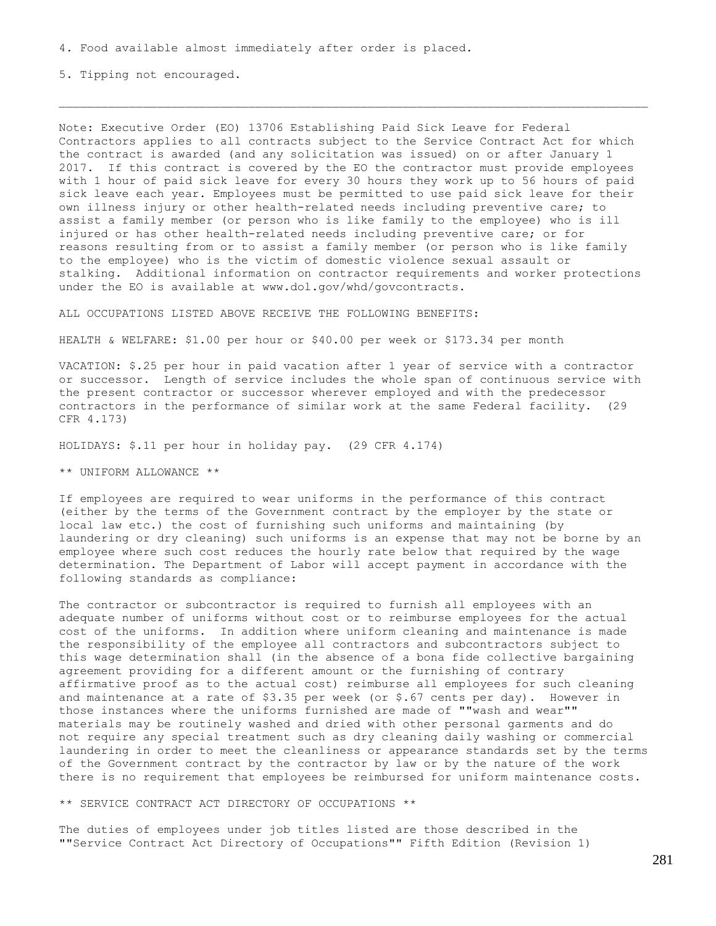4. Food available almost immediately after order is placed.

5. Tipping not encouraged.

Note: Executive Order (EO) 13706 Establishing Paid Sick Leave for Federal Contractors applies to all contracts subject to the Service Contract Act for which the contract is awarded (and any solicitation was issued) on or after January 1 2017. If this contract is covered by the EO the contractor must provide employees with 1 hour of paid sick leave for every 30 hours they work up to 56 hours of paid sick leave each year. Employees must be permitted to use paid sick leave for their own illness injury or other health-related needs including preventive care; to assist a family member (or person who is like family to the employee) who is ill injured or has other health-related needs including preventive care; or for reasons resulting from or to assist a family member (or person who is like family to the employee) who is the victim of domestic violence sexual assault or stalking. Additional information on contractor requirements and worker protections under the EO is available at www.dol.gov/whd/govcontracts.

ALL OCCUPATIONS LISTED ABOVE RECEIVE THE FOLLOWING BENEFITS:

HEALTH & WELFARE: \$1.00 per hour or \$40.00 per week or \$173.34 per month

VACATION: \$.25 per hour in paid vacation after 1 year of service with a contractor or successor. Length of service includes the whole span of continuous service with the present contractor or successor wherever employed and with the predecessor contractors in the performance of similar work at the same Federal facility. (29 CFR 4.173)

HOLIDAYS: \$.11 per hour in holiday pay. (29 CFR 4.174)

\*\* UNIFORM ALLOWANCE \*\*

If employees are required to wear uniforms in the performance of this contract (either by the terms of the Government contract by the employer by the state or local law etc.) the cost of furnishing such uniforms and maintaining (by laundering or dry cleaning) such uniforms is an expense that may not be borne by an employee where such cost reduces the hourly rate below that required by the wage determination. The Department of Labor will accept payment in accordance with the following standards as compliance:

The contractor or subcontractor is required to furnish all employees with an adequate number of uniforms without cost or to reimburse employees for the actual cost of the uniforms. In addition where uniform cleaning and maintenance is made the responsibility of the employee all contractors and subcontractors subject to this wage determination shall (in the absence of a bona fide collective bargaining agreement providing for a different amount or the furnishing of contrary affirmative proof as to the actual cost) reimburse all employees for such cleaning and maintenance at a rate of \$3.35 per week (or \$.67 cents per day). However in those instances where the uniforms furnished are made of ""wash and wear"" materials may be routinely washed and dried with other personal garments and do not require any special treatment such as dry cleaning daily washing or commercial laundering in order to meet the cleanliness or appearance standards set by the terms of the Government contract by the contractor by law or by the nature of the work there is no requirement that employees be reimbursed for uniform maintenance costs.

\*\* SERVICE CONTRACT ACT DIRECTORY OF OCCUPATIONS \*\*

The duties of employees under job titles listed are those described in the ""Service Contract Act Directory of Occupations"" Fifth Edition (Revision 1)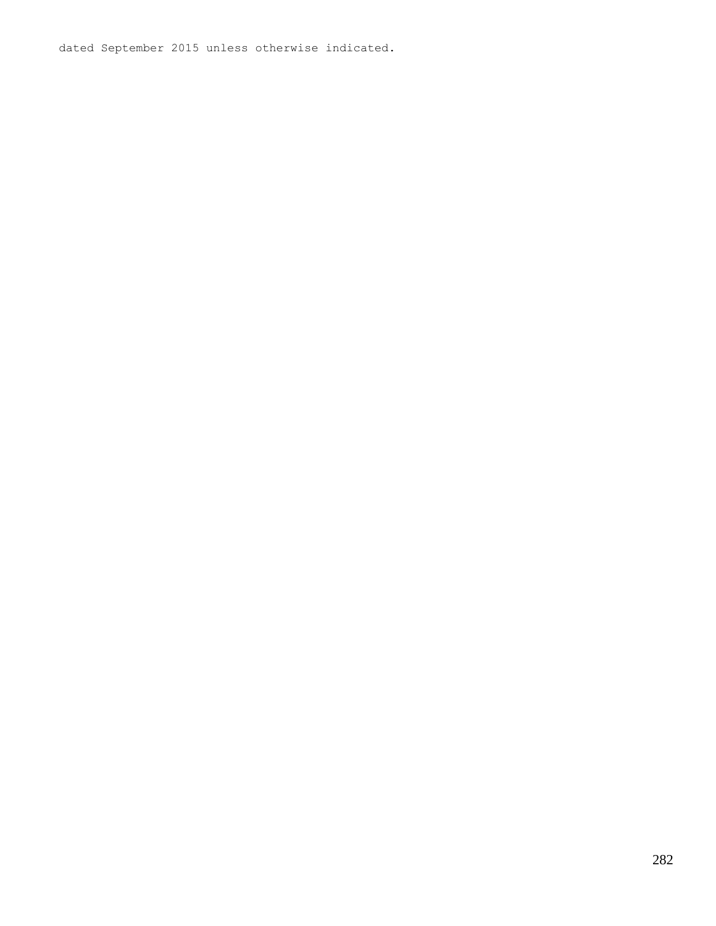dated September 2015 unless otherwise indicated.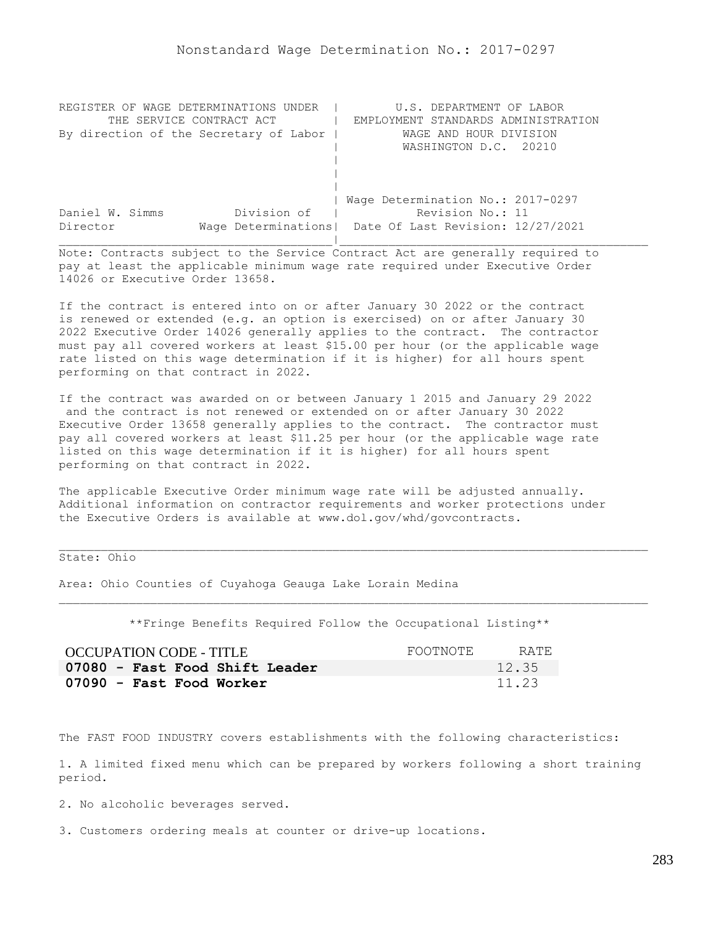| REGISTER OF WAGE DETERMINATIONS UNDER  | U.S. DEPARTMENT OF LABOR                                |
|----------------------------------------|---------------------------------------------------------|
| THE SERVICE CONTRACT ACT               | EMPLOYMENT STANDARDS ADMINISTRATION                     |
| By direction of the Secretary of Labor | WAGE AND HOUR DIVISION                                  |
|                                        | WASHINGTON D.C. 20210                                   |
|                                        |                                                         |
|                                        |                                                         |
|                                        |                                                         |
|                                        | Wage Determination No.: 2017-0297                       |
| Division of<br>Daniel W. Simms         | Revision No.: 11                                        |
| Director                               | Wage Determinations   Date Of Last Revision: 12/27/2021 |
|                                        |                                                         |

If the contract is entered into on or after January 30 2022 or the contract is renewed or extended (e.g. an option is exercised) on or after January 30 2022 Executive Order 14026 generally applies to the contract. The contractor must pay all covered workers at least \$15.00 per hour (or the applicable wage rate listed on this wage determination if it is higher) for all hours spent performing on that contract in 2022.

If the contract was awarded on or between January 1 2015 and January 29 2022 and the contract is not renewed or extended on or after January 30 2022 Executive Order 13658 generally applies to the contract. The contractor must pay all covered workers at least \$11.25 per hour (or the applicable wage rate listed on this wage determination if it is higher) for all hours spent performing on that contract in 2022.

The applicable Executive Order minimum wage rate will be adjusted annually. Additional information on contractor requirements and worker protections under the Executive Orders is available at www.dol.gov/whd/govcontracts.

## State: Ohio

Area: Ohio Counties of Cuyahoga Geauga Lake Lorain Medina

\*\*Fringe Benefits Required Follow the Occupational Listing\*\*

| OCCUPATION CODE - TITLE        | FOOTNOTE | RATE. |
|--------------------------------|----------|-------|
| 07080 - Fast Food Shift Leader |          | 12.35 |
| 07090 - Fast Food Worker       |          | 11.23 |

The FAST FOOD INDUSTRY covers establishments with the following characteristics:

1. A limited fixed menu which can be prepared by workers following a short training period.

2. No alcoholic beverages served.

3. Customers ordering meals at counter or drive-up locations.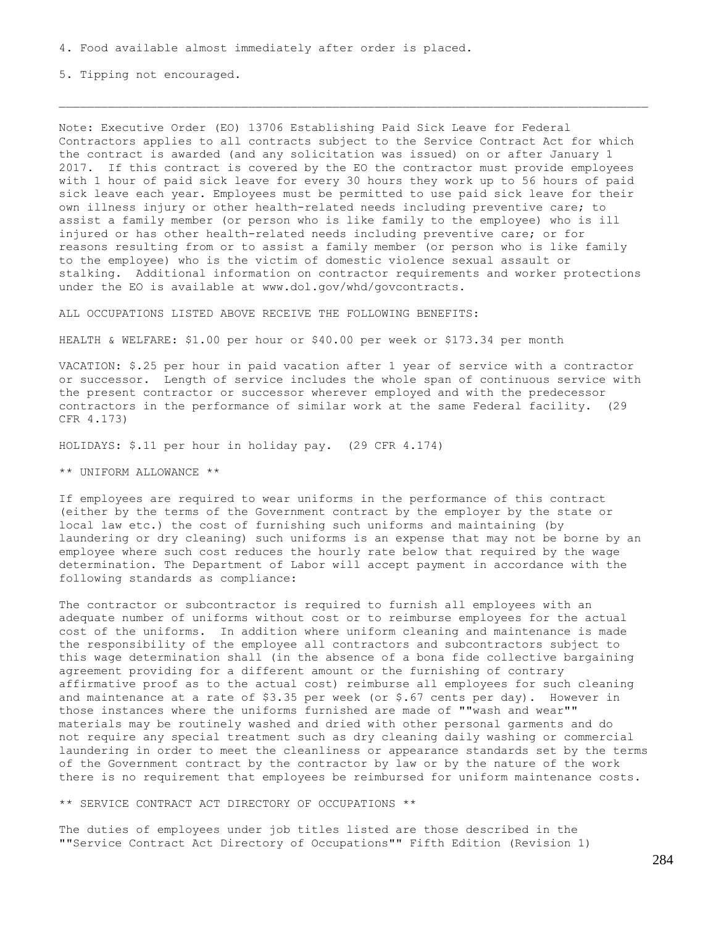4. Food available almost immediately after order is placed.

5. Tipping not encouraged.

Note: Executive Order (EO) 13706 Establishing Paid Sick Leave for Federal Contractors applies to all contracts subject to the Service Contract Act for which the contract is awarded (and any solicitation was issued) on or after January 1 2017. If this contract is covered by the EO the contractor must provide employees with 1 hour of paid sick leave for every 30 hours they work up to 56 hours of paid sick leave each year. Employees must be permitted to use paid sick leave for their own illness injury or other health-related needs including preventive care; to assist a family member (or person who is like family to the employee) who is ill injured or has other health-related needs including preventive care; or for reasons resulting from or to assist a family member (or person who is like family to the employee) who is the victim of domestic violence sexual assault or stalking. Additional information on contractor requirements and worker protections under the EO is available at www.dol.gov/whd/govcontracts.

ALL OCCUPATIONS LISTED ABOVE RECEIVE THE FOLLOWING BENEFITS:

HEALTH & WELFARE: \$1.00 per hour or \$40.00 per week or \$173.34 per month

VACATION: \$.25 per hour in paid vacation after 1 year of service with a contractor or successor. Length of service includes the whole span of continuous service with the present contractor or successor wherever employed and with the predecessor contractors in the performance of similar work at the same Federal facility. (29 CFR 4.173)

HOLIDAYS: \$.11 per hour in holiday pay. (29 CFR 4.174)

\*\* UNIFORM ALLOWANCE \*\*

If employees are required to wear uniforms in the performance of this contract (either by the terms of the Government contract by the employer by the state or local law etc.) the cost of furnishing such uniforms and maintaining (by laundering or dry cleaning) such uniforms is an expense that may not be borne by an employee where such cost reduces the hourly rate below that required by the wage determination. The Department of Labor will accept payment in accordance with the following standards as compliance:

The contractor or subcontractor is required to furnish all employees with an adequate number of uniforms without cost or to reimburse employees for the actual cost of the uniforms. In addition where uniform cleaning and maintenance is made the responsibility of the employee all contractors and subcontractors subject to this wage determination shall (in the absence of a bona fide collective bargaining agreement providing for a different amount or the furnishing of contrary affirmative proof as to the actual cost) reimburse all employees for such cleaning and maintenance at a rate of \$3.35 per week (or \$.67 cents per day). However in those instances where the uniforms furnished are made of ""wash and wear"" materials may be routinely washed and dried with other personal garments and do not require any special treatment such as dry cleaning daily washing or commercial laundering in order to meet the cleanliness or appearance standards set by the terms of the Government contract by the contractor by law or by the nature of the work there is no requirement that employees be reimbursed for uniform maintenance costs.

\*\* SERVICE CONTRACT ACT DIRECTORY OF OCCUPATIONS \*\*

The duties of employees under job titles listed are those described in the ""Service Contract Act Directory of Occupations"" Fifth Edition (Revision 1)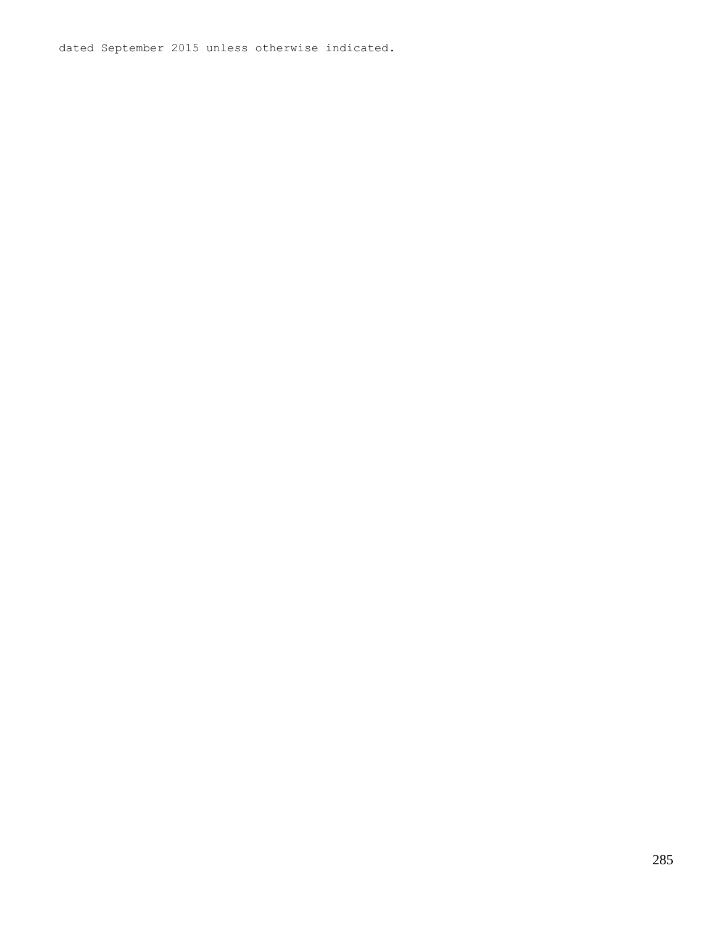dated September 2015 unless otherwise indicated.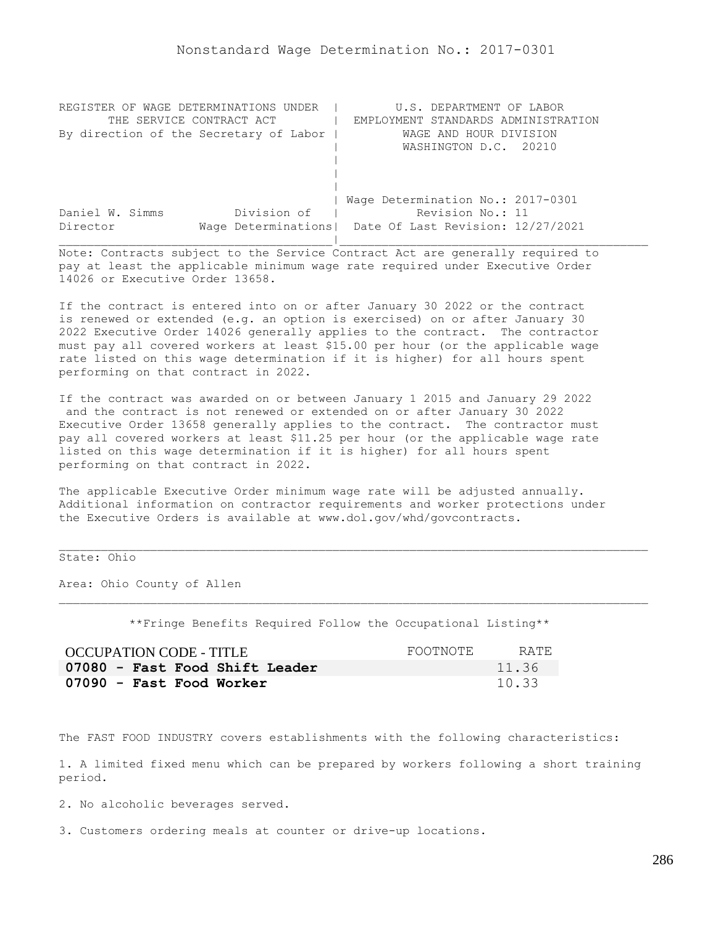| REGISTER OF WAGE DETERMINATIONS UNDER  | U.S. DEPARTMENT OF LABOR                                |
|----------------------------------------|---------------------------------------------------------|
| THE SERVICE CONTRACT ACT               | EMPLOYMENT STANDARDS ADMINISTRATION                     |
| By direction of the Secretary of Labor | WAGE AND HOUR DIVISION                                  |
|                                        | WASHINGTON D.C. 20210                                   |
|                                        |                                                         |
|                                        |                                                         |
|                                        |                                                         |
|                                        | Wage Determination No.: 2017-0301                       |
| Division of<br>Daniel W. Simms         | Revision No.: 11                                        |
| Director                               | Wage Determinations   Date Of Last Revision: 12/27/2021 |
|                                        |                                                         |

If the contract is entered into on or after January 30 2022 or the contract is renewed or extended (e.g. an option is exercised) on or after January 30 2022 Executive Order 14026 generally applies to the contract. The contractor must pay all covered workers at least \$15.00 per hour (or the applicable wage rate listed on this wage determination if it is higher) for all hours spent performing on that contract in 2022.

If the contract was awarded on or between January 1 2015 and January 29 2022 and the contract is not renewed or extended on or after January 30 2022 Executive Order 13658 generally applies to the contract. The contractor must pay all covered workers at least \$11.25 per hour (or the applicable wage rate listed on this wage determination if it is higher) for all hours spent performing on that contract in 2022.

The applicable Executive Order minimum wage rate will be adjusted annually. Additional information on contractor requirements and worker protections under the Executive Orders is available at www.dol.gov/whd/govcontracts.

## State: Ohio

Area: Ohio County of Allen

\*\*Fringe Benefits Required Follow the Occupational Listing\*\*

| <b>OCCUPATION CODE - TITLE</b> | FOOTNOTE | RATE. |
|--------------------------------|----------|-------|
| 07080 - Fast Food Shift Leader |          | 11.36 |
| 07090 - Fast Food Worker       |          | 10.33 |

The FAST FOOD INDUSTRY covers establishments with the following characteristics:

1. A limited fixed menu which can be prepared by workers following a short training period.

2. No alcoholic beverages served.

3. Customers ordering meals at counter or drive-up locations.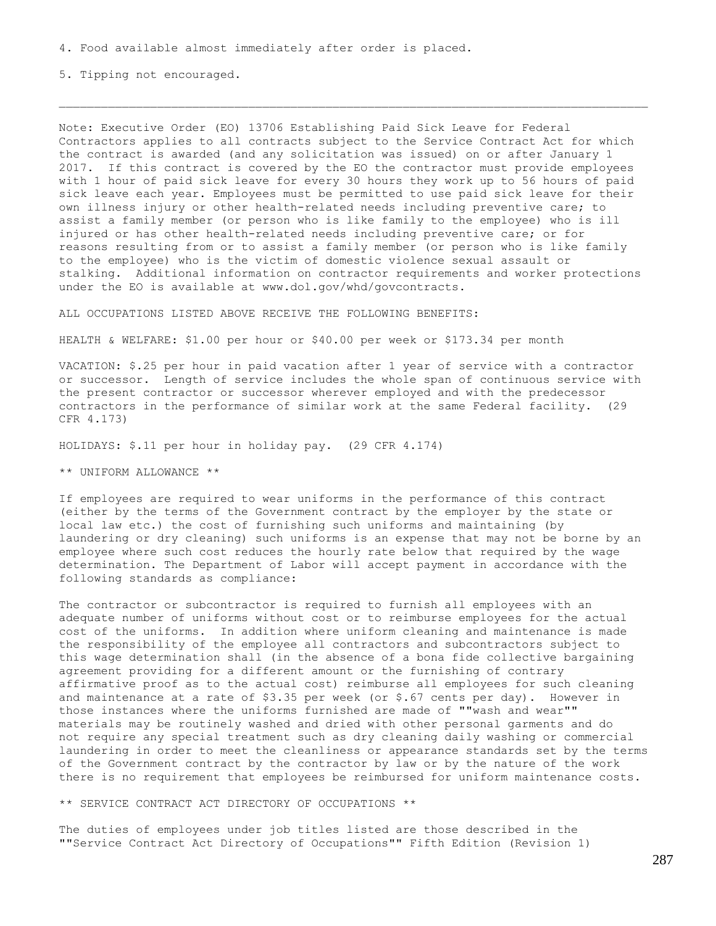4. Food available almost immediately after order is placed.

5. Tipping not encouraged.

Note: Executive Order (EO) 13706 Establishing Paid Sick Leave for Federal Contractors applies to all contracts subject to the Service Contract Act for which the contract is awarded (and any solicitation was issued) on or after January 1 2017. If this contract is covered by the EO the contractor must provide employees with 1 hour of paid sick leave for every 30 hours they work up to 56 hours of paid sick leave each year. Employees must be permitted to use paid sick leave for their own illness injury or other health-related needs including preventive care; to assist a family member (or person who is like family to the employee) who is ill injured or has other health-related needs including preventive care; or for reasons resulting from or to assist a family member (or person who is like family to the employee) who is the victim of domestic violence sexual assault or stalking. Additional information on contractor requirements and worker protections under the EO is available at www.dol.gov/whd/govcontracts.

ALL OCCUPATIONS LISTED ABOVE RECEIVE THE FOLLOWING BENEFITS:

HEALTH & WELFARE: \$1.00 per hour or \$40.00 per week or \$173.34 per month

VACATION: \$.25 per hour in paid vacation after 1 year of service with a contractor or successor. Length of service includes the whole span of continuous service with the present contractor or successor wherever employed and with the predecessor contractors in the performance of similar work at the same Federal facility. (29 CFR 4.173)

HOLIDAYS: \$.11 per hour in holiday pay. (29 CFR 4.174)

\*\* UNIFORM ALLOWANCE \*\*

If employees are required to wear uniforms in the performance of this contract (either by the terms of the Government contract by the employer by the state or local law etc.) the cost of furnishing such uniforms and maintaining (by laundering or dry cleaning) such uniforms is an expense that may not be borne by an employee where such cost reduces the hourly rate below that required by the wage determination. The Department of Labor will accept payment in accordance with the following standards as compliance:

The contractor or subcontractor is required to furnish all employees with an adequate number of uniforms without cost or to reimburse employees for the actual cost of the uniforms. In addition where uniform cleaning and maintenance is made the responsibility of the employee all contractors and subcontractors subject to this wage determination shall (in the absence of a bona fide collective bargaining agreement providing for a different amount or the furnishing of contrary affirmative proof as to the actual cost) reimburse all employees for such cleaning and maintenance at a rate of \$3.35 per week (or \$.67 cents per day). However in those instances where the uniforms furnished are made of ""wash and wear"" materials may be routinely washed and dried with other personal garments and do not require any special treatment such as dry cleaning daily washing or commercial laundering in order to meet the cleanliness or appearance standards set by the terms of the Government contract by the contractor by law or by the nature of the work there is no requirement that employees be reimbursed for uniform maintenance costs.

\*\* SERVICE CONTRACT ACT DIRECTORY OF OCCUPATIONS \*\*

The duties of employees under job titles listed are those described in the ""Service Contract Act Directory of Occupations"" Fifth Edition (Revision 1)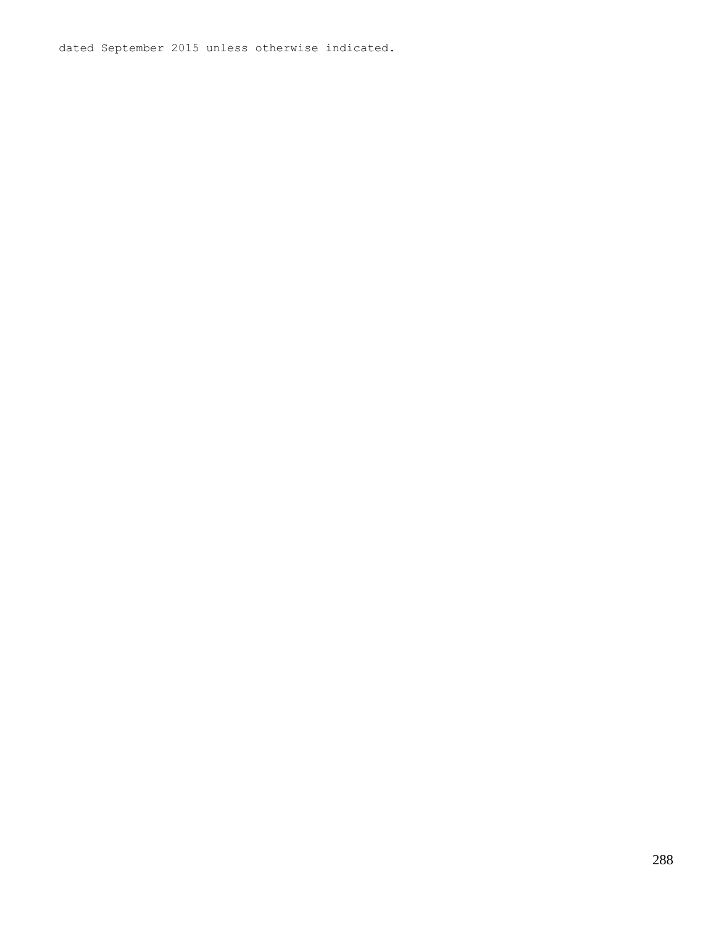dated September 2015 unless otherwise indicated.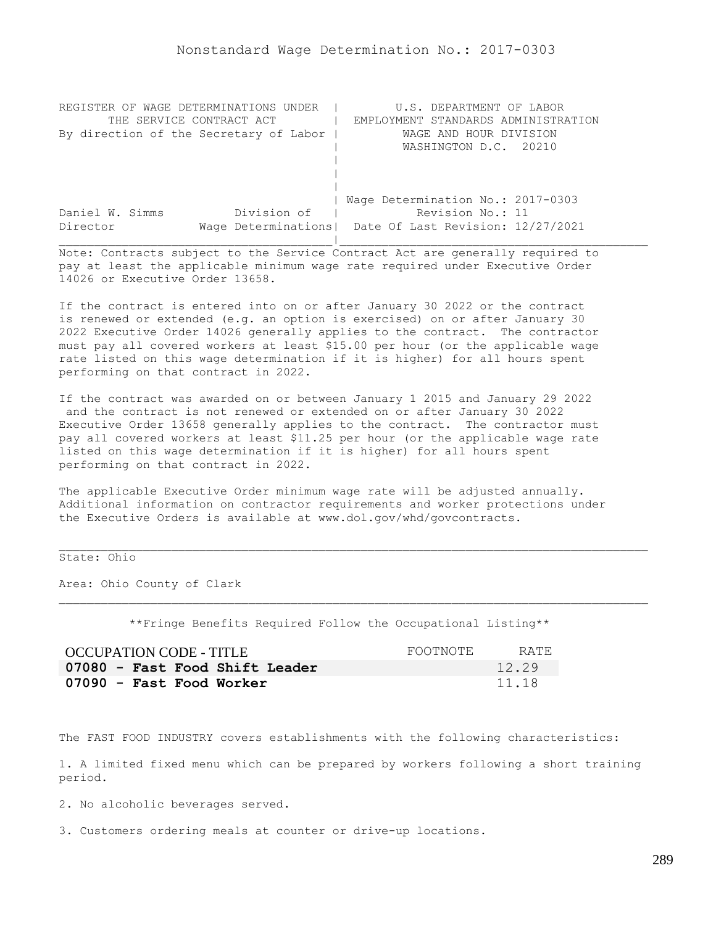| REGISTER OF WAGE DETERMINATIONS UNDER  | U.S. DEPARTMENT OF LABOR                                |
|----------------------------------------|---------------------------------------------------------|
| THE SERVICE CONTRACT ACT               | EMPLOYMENT STANDARDS ADMINISTRATION                     |
| By direction of the Secretary of Labor | WAGE AND HOUR DIVISION                                  |
|                                        | WASHINGTON D.C. 20210                                   |
|                                        |                                                         |
|                                        |                                                         |
|                                        |                                                         |
|                                        | Wage Determination No.: 2017-0303                       |
| Division of<br>Daniel W. Simms         | Revision No.: 11                                        |
| Director                               | Wage Determinations   Date Of Last Revision: 12/27/2021 |
|                                        |                                                         |

Note: Contracts subject to the Service Contract Act are generally required to pay at least the applicable minimum wage rate required under Executive Order 14026 or Executive Order 13658.

If the contract is entered into on or after January 30 2022 or the contract is renewed or extended (e.g. an option is exercised) on or after January 30 2022 Executive Order 14026 generally applies to the contract. The contractor must pay all covered workers at least \$15.00 per hour (or the applicable wage rate listed on this wage determination if it is higher) for all hours spent performing on that contract in 2022.

If the contract was awarded on or between January 1 2015 and January 29 2022 and the contract is not renewed or extended on or after January 30 2022 Executive Order 13658 generally applies to the contract. The contractor must pay all covered workers at least \$11.25 per hour (or the applicable wage rate listed on this wage determination if it is higher) for all hours spent performing on that contract in 2022.

The applicable Executive Order minimum wage rate will be adjusted annually. Additional information on contractor requirements and worker protections under the Executive Orders is available at www.dol.gov/whd/govcontracts.

## State: Ohio

Area: Ohio County of Clark

\*\*Fringe Benefits Required Follow the Occupational Listing\*\*

| <b>OCCUPATION CODE - TITLE</b> | FOOTNOTE | RATE. |
|--------------------------------|----------|-------|
| 07080 - Fast Food Shift Leader |          | 12.29 |
| 07090 - Fast Food Worker       |          | 11.18 |

The FAST FOOD INDUSTRY covers establishments with the following characteristics:

1. A limited fixed menu which can be prepared by workers following a short training period.

2. No alcoholic beverages served.

3. Customers ordering meals at counter or drive-up locations.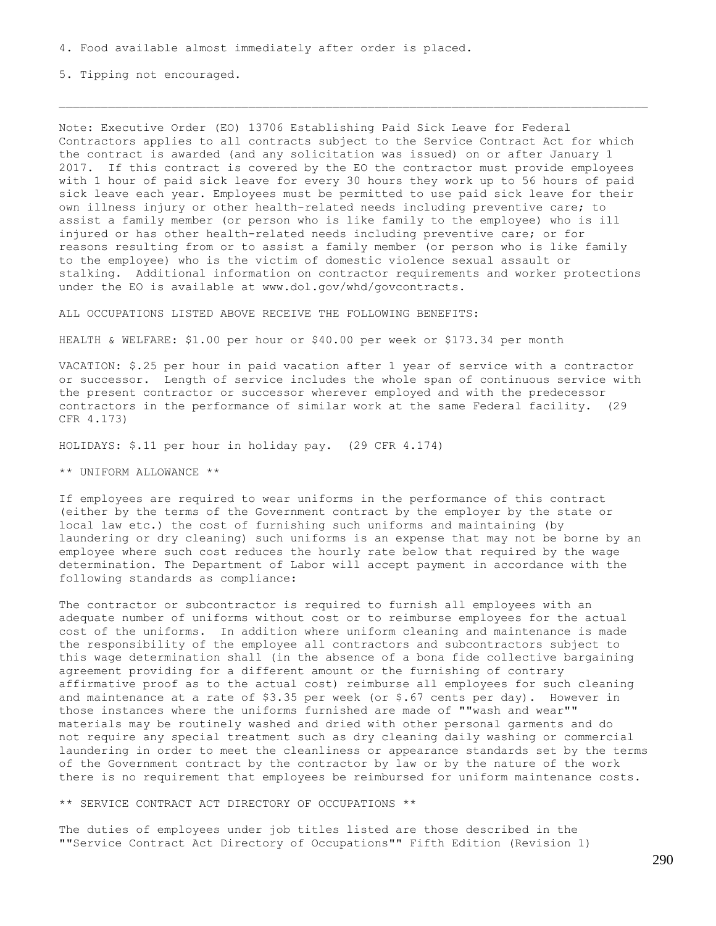4. Food available almost immediately after order is placed.

5. Tipping not encouraged.

Note: Executive Order (EO) 13706 Establishing Paid Sick Leave for Federal Contractors applies to all contracts subject to the Service Contract Act for which the contract is awarded (and any solicitation was issued) on or after January 1 2017. If this contract is covered by the EO the contractor must provide employees with 1 hour of paid sick leave for every 30 hours they work up to 56 hours of paid sick leave each year. Employees must be permitted to use paid sick leave for their own illness injury or other health-related needs including preventive care; to assist a family member (or person who is like family to the employee) who is ill injured or has other health-related needs including preventive care; or for reasons resulting from or to assist a family member (or person who is like family to the employee) who is the victim of domestic violence sexual assault or stalking. Additional information on contractor requirements and worker protections under the EO is available at www.dol.gov/whd/govcontracts.

ALL OCCUPATIONS LISTED ABOVE RECEIVE THE FOLLOWING BENEFITS:

HEALTH & WELFARE: \$1.00 per hour or \$40.00 per week or \$173.34 per month

VACATION: \$.25 per hour in paid vacation after 1 year of service with a contractor or successor. Length of service includes the whole span of continuous service with the present contractor or successor wherever employed and with the predecessor contractors in the performance of similar work at the same Federal facility. (29 CFR 4.173)

HOLIDAYS: \$.11 per hour in holiday pay. (29 CFR 4.174)

\*\* UNIFORM ALLOWANCE \*\*

If employees are required to wear uniforms in the performance of this contract (either by the terms of the Government contract by the employer by the state or local law etc.) the cost of furnishing such uniforms and maintaining (by laundering or dry cleaning) such uniforms is an expense that may not be borne by an employee where such cost reduces the hourly rate below that required by the wage determination. The Department of Labor will accept payment in accordance with the following standards as compliance:

The contractor or subcontractor is required to furnish all employees with an adequate number of uniforms without cost or to reimburse employees for the actual cost of the uniforms. In addition where uniform cleaning and maintenance is made the responsibility of the employee all contractors and subcontractors subject to this wage determination shall (in the absence of a bona fide collective bargaining agreement providing for a different amount or the furnishing of contrary affirmative proof as to the actual cost) reimburse all employees for such cleaning and maintenance at a rate of \$3.35 per week (or \$.67 cents per day). However in those instances where the uniforms furnished are made of ""wash and wear"" materials may be routinely washed and dried with other personal garments and do not require any special treatment such as dry cleaning daily washing or commercial laundering in order to meet the cleanliness or appearance standards set by the terms of the Government contract by the contractor by law or by the nature of the work there is no requirement that employees be reimbursed for uniform maintenance costs.

\*\* SERVICE CONTRACT ACT DIRECTORY OF OCCUPATIONS \*\*

The duties of employees under job titles listed are those described in the ""Service Contract Act Directory of Occupations"" Fifth Edition (Revision 1)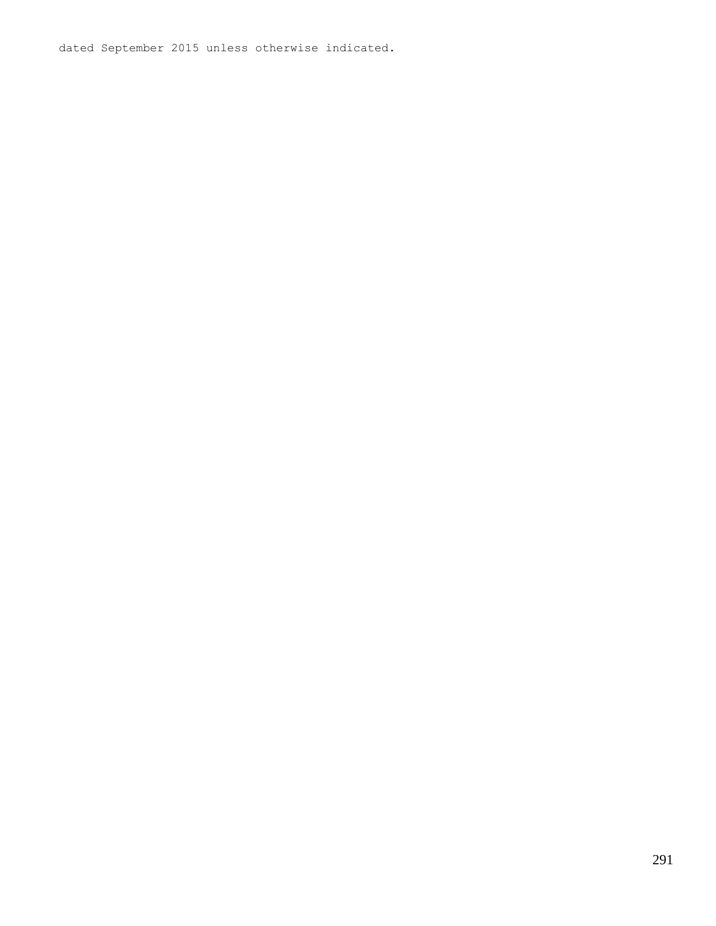dated September 2015 unless otherwise indicated.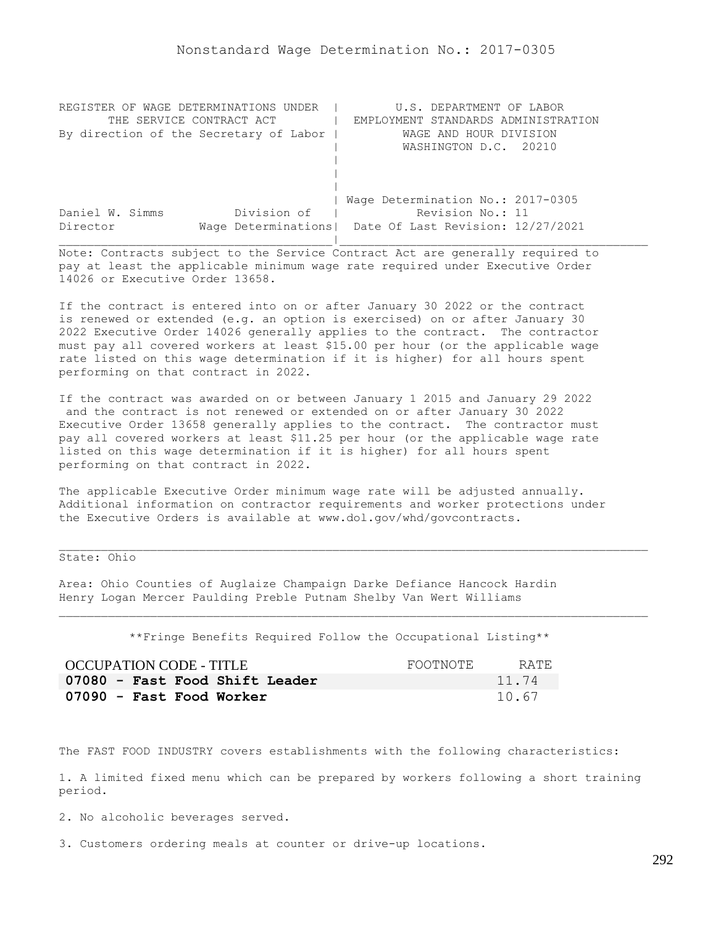| REGISTER OF WAGE DETERMINATIONS UNDER  | U.S. DEPARTMENT OF LABOR                                |
|----------------------------------------|---------------------------------------------------------|
| THE SERVICE CONTRACT ACT               | EMPLOYMENT STANDARDS ADMINISTRATION                     |
| By direction of the Secretary of Labor | WAGE AND HOUR DIVISION                                  |
|                                        | WASHINGTON D.C. 20210                                   |
|                                        |                                                         |
|                                        |                                                         |
|                                        |                                                         |
|                                        | Wage Determination No.: 2017-0305                       |
| Division of<br>Daniel W. Simms         | Revision No.: 11                                        |
| Director                               | Wage Determinations   Date Of Last Revision: 12/27/2021 |
|                                        |                                                         |

Note: Contracts subject to the Service Contract Act are generally required to pay at least the applicable minimum wage rate required under Executive Order 14026 or Executive Order 13658.

If the contract is entered into on or after January 30 2022 or the contract is renewed or extended (e.g. an option is exercised) on or after January 30 2022 Executive Order 14026 generally applies to the contract. The contractor must pay all covered workers at least \$15.00 per hour (or the applicable wage rate listed on this wage determination if it is higher) for all hours spent performing on that contract in 2022.

If the contract was awarded on or between January 1 2015 and January 29 2022 and the contract is not renewed or extended on or after January 30 2022 Executive Order 13658 generally applies to the contract. The contractor must pay all covered workers at least \$11.25 per hour (or the applicable wage rate listed on this wage determination if it is higher) for all hours spent performing on that contract in 2022.

The applicable Executive Order minimum wage rate will be adjusted annually. Additional information on contractor requirements and worker protections under the Executive Orders is available at www.dol.gov/whd/govcontracts.

State: Ohio

Area: Ohio Counties of Auglaize Champaign Darke Defiance Hancock Hardin Henry Logan Mercer Paulding Preble Putnam Shelby Van Wert Williams

\*\*Fringe Benefits Required Follow the Occupational Listing\*\*

| OCCUPATION CODE - TITLE        | FOOTNOTE | RATE. |
|--------------------------------|----------|-------|
| 07080 - Fast Food Shift Leader |          | 11.74 |
| 07090 - Fast Food Worker       |          | 10.67 |

The FAST FOOD INDUSTRY covers establishments with the following characteristics:

1. A limited fixed menu which can be prepared by workers following a short training period.

2. No alcoholic beverages served.

3. Customers ordering meals at counter or drive-up locations.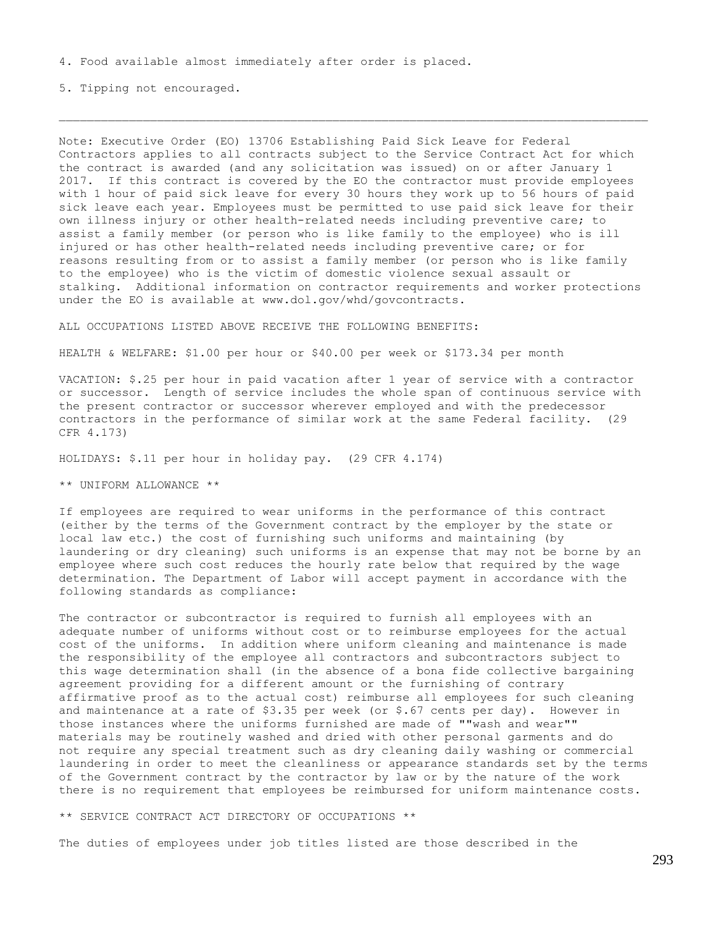4. Food available almost immediately after order is placed.

5. Tipping not encouraged.

Note: Executive Order (EO) 13706 Establishing Paid Sick Leave for Federal Contractors applies to all contracts subject to the Service Contract Act for which the contract is awarded (and any solicitation was issued) on or after January 1 2017. If this contract is covered by the EO the contractor must provide employees with 1 hour of paid sick leave for every 30 hours they work up to 56 hours of paid sick leave each year. Employees must be permitted to use paid sick leave for their own illness injury or other health-related needs including preventive care; to assist a family member (or person who is like family to the employee) who is ill injured or has other health-related needs including preventive care; or for reasons resulting from or to assist a family member (or person who is like family to the employee) who is the victim of domestic violence sexual assault or stalking. Additional information on contractor requirements and worker protections under the EO is available at www.dol.gov/whd/govcontracts.

ALL OCCUPATIONS LISTED ABOVE RECEIVE THE FOLLOWING BENEFITS:

HEALTH & WELFARE: \$1.00 per hour or \$40.00 per week or \$173.34 per month

VACATION: \$.25 per hour in paid vacation after 1 year of service with a contractor or successor. Length of service includes the whole span of continuous service with the present contractor or successor wherever employed and with the predecessor contractors in the performance of similar work at the same Federal facility. (29 CFR 4.173)

HOLIDAYS: \$.11 per hour in holiday pay. (29 CFR 4.174)

\*\* UNIFORM ALLOWANCE \*\*

If employees are required to wear uniforms in the performance of this contract (either by the terms of the Government contract by the employer by the state or local law etc.) the cost of furnishing such uniforms and maintaining (by laundering or dry cleaning) such uniforms is an expense that may not be borne by an employee where such cost reduces the hourly rate below that required by the wage determination. The Department of Labor will accept payment in accordance with the following standards as compliance:

The contractor or subcontractor is required to furnish all employees with an adequate number of uniforms without cost or to reimburse employees for the actual cost of the uniforms. In addition where uniform cleaning and maintenance is made the responsibility of the employee all contractors and subcontractors subject to this wage determination shall (in the absence of a bona fide collective bargaining agreement providing for a different amount or the furnishing of contrary affirmative proof as to the actual cost) reimburse all employees for such cleaning and maintenance at a rate of  $$3.35$  per week (or  $$.67$  cents per day). However in those instances where the uniforms furnished are made of ""wash and wear"" materials may be routinely washed and dried with other personal garments and do not require any special treatment such as dry cleaning daily washing or commercial laundering in order to meet the cleanliness or appearance standards set by the terms of the Government contract by the contractor by law or by the nature of the work there is no requirement that employees be reimbursed for uniform maintenance costs.

\*\* SERVICE CONTRACT ACT DIRECTORY OF OCCUPATIONS \*\*

The duties of employees under job titles listed are those described in the